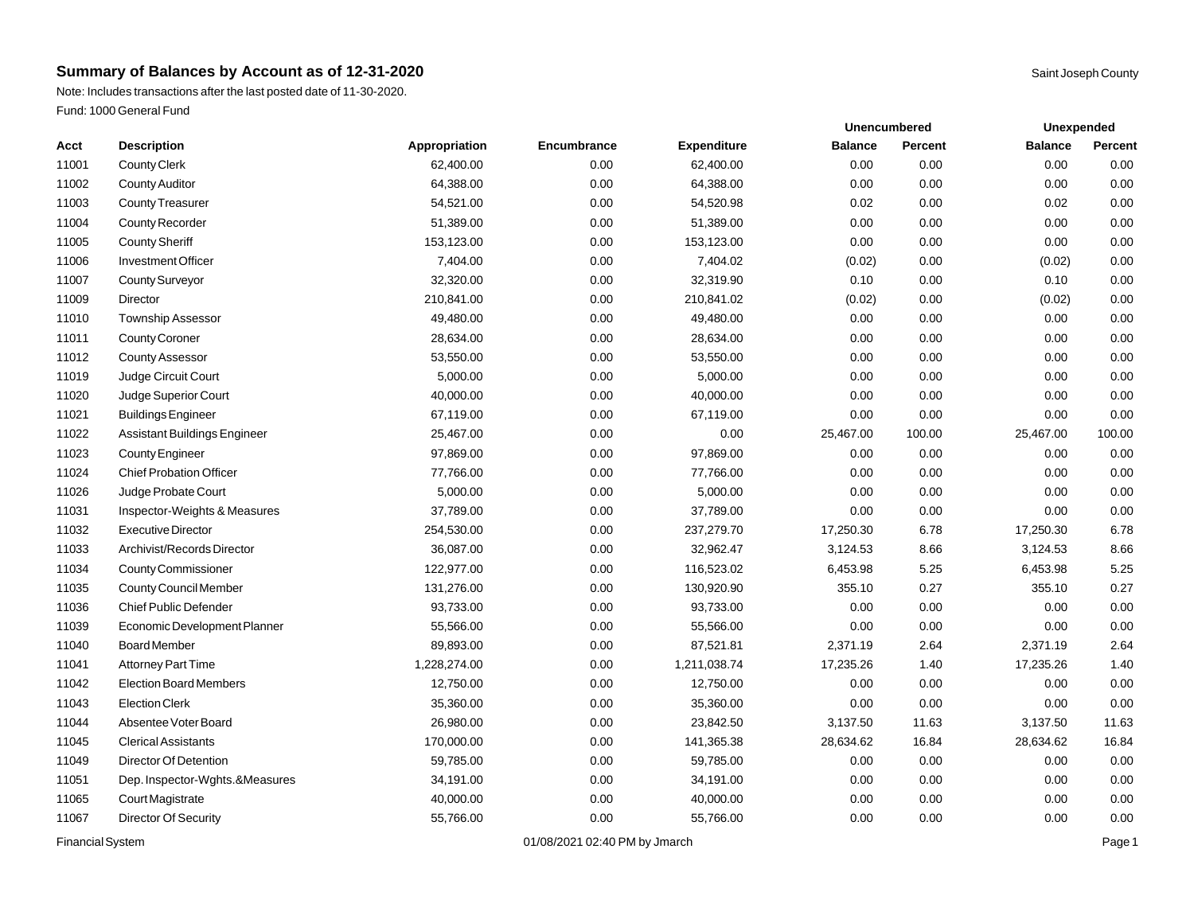Note: Includes transactions after the last posted date of 11-30-2020. Fund: 1000 General Fund

|       |                                |               |             |                    |                | <b>Unencumbered</b> | Unexpended     |         |
|-------|--------------------------------|---------------|-------------|--------------------|----------------|---------------------|----------------|---------|
| Acct  | <b>Description</b>             | Appropriation | Encumbrance | <b>Expenditure</b> | <b>Balance</b> | Percent             | <b>Balance</b> | Percent |
| 11001 | <b>County Clerk</b>            | 62,400.00     | 0.00        | 62,400.00          | 0.00           | 0.00                | 0.00           | 0.00    |
| 11002 | <b>County Auditor</b>          | 64,388.00     | 0.00        | 64,388.00          | 0.00           | 0.00                | 0.00           | 0.00    |
| 11003 | <b>County Treasurer</b>        | 54,521.00     | 0.00        | 54,520.98          | 0.02           | 0.00                | 0.02           | 0.00    |
| 11004 | County Recorder                | 51,389.00     | 0.00        | 51,389.00          | 0.00           | 0.00                | 0.00           | 0.00    |
| 11005 | <b>County Sheriff</b>          | 153,123.00    | 0.00        | 153,123.00         | 0.00           | 0.00                | 0.00           | 0.00    |
| 11006 | <b>Investment Officer</b>      | 7,404.00      | 0.00        | 7,404.02           | (0.02)         | 0.00                | (0.02)         | 0.00    |
| 11007 | <b>County Surveyor</b>         | 32,320.00     | 0.00        | 32,319.90          | 0.10           | 0.00                | 0.10           | 0.00    |
| 11009 | Director                       | 210,841.00    | 0.00        | 210,841.02         | (0.02)         | 0.00                | (0.02)         | 0.00    |
| 11010 | <b>Township Assessor</b>       | 49,480.00     | 0.00        | 49,480.00          | 0.00           | 0.00                | 0.00           | 0.00    |
| 11011 | <b>County Coroner</b>          | 28,634.00     | 0.00        | 28,634.00          | 0.00           | 0.00                | 0.00           | 0.00    |
| 11012 | <b>County Assessor</b>         | 53,550.00     | 0.00        | 53,550.00          | 0.00           | 0.00                | 0.00           | 0.00    |
| 11019 | Judge Circuit Court            | 5,000.00      | 0.00        | 5,000.00           | 0.00           | 0.00                | 0.00           | 0.00    |
| 11020 | Judge Superior Court           | 40,000.00     | 0.00        | 40,000.00          | 0.00           | 0.00                | 0.00           | 0.00    |
| 11021 | <b>Buildings Engineer</b>      | 67,119.00     | 0.00        | 67,119.00          | 0.00           | 0.00                | 0.00           | 0.00    |
| 11022 | Assistant Buildings Engineer   | 25,467.00     | 0.00        | 0.00               | 25,467.00      | 100.00              | 25,467.00      | 100.00  |
| 11023 | <b>County Engineer</b>         | 97,869.00     | 0.00        | 97,869.00          | 0.00           | 0.00                | 0.00           | 0.00    |
| 11024 | <b>Chief Probation Officer</b> | 77,766.00     | 0.00        | 77,766.00          | 0.00           | 0.00                | 0.00           | 0.00    |
| 11026 | Judge Probate Court            | 5,000.00      | 0.00        | 5,000.00           | 0.00           | 0.00                | 0.00           | 0.00    |
| 11031 | Inspector-Weights & Measures   | 37,789.00     | 0.00        | 37,789.00          | 0.00           | 0.00                | 0.00           | 0.00    |
| 11032 | <b>Executive Director</b>      | 254,530.00    | 0.00        | 237,279.70         | 17,250.30      | 6.78                | 17,250.30      | 6.78    |
| 11033 | Archivist/Records Director     | 36,087.00     | 0.00        | 32,962.47          | 3,124.53       | 8.66                | 3,124.53       | 8.66    |
| 11034 | <b>County Commissioner</b>     | 122,977.00    | 0.00        | 116,523.02         | 6,453.98       | 5.25                | 6,453.98       | 5.25    |
| 11035 | County Council Member          | 131,276.00    | 0.00        | 130,920.90         | 355.10         | 0.27                | 355.10         | 0.27    |
| 11036 | <b>Chief Public Defender</b>   | 93,733.00     | 0.00        | 93,733.00          | 0.00           | 0.00                | 0.00           | 0.00    |
| 11039 | Economic Development Planner   | 55,566.00     | 0.00        | 55,566.00          | 0.00           | 0.00                | 0.00           | 0.00    |
| 11040 | <b>Board Member</b>            | 89,893.00     | 0.00        | 87,521.81          | 2,371.19       | 2.64                | 2,371.19       | 2.64    |
| 11041 | Attorney Part Time             | 1,228,274.00  | 0.00        | 1,211,038.74       | 17,235.26      | 1.40                | 17,235.26      | 1.40    |
| 11042 | <b>Election Board Members</b>  | 12,750.00     | 0.00        | 12,750.00          | 0.00           | 0.00                | 0.00           | 0.00    |
| 11043 | <b>Election Clerk</b>          | 35,360.00     | 0.00        | 35,360.00          | 0.00           | 0.00                | 0.00           | 0.00    |
| 11044 | Absentee Voter Board           | 26,980.00     | 0.00        | 23,842.50          | 3,137.50       | 11.63               | 3,137.50       | 11.63   |
| 11045 | <b>Clerical Assistants</b>     | 170,000.00    | 0.00        | 141,365.38         | 28,634.62      | 16.84               | 28,634.62      | 16.84   |
| 11049 | Director Of Detention          | 59,785.00     | 0.00        | 59,785.00          | 0.00           | 0.00                | 0.00           | 0.00    |
| 11051 | Dep. Inspector-Wghts.&Measures | 34,191.00     | 0.00        | 34,191.00          | 0.00           | 0.00                | 0.00           | 0.00    |
| 11065 | Court Magistrate               | 40,000.00     | 0.00        | 40,000.00          | 0.00           | 0.00                | 0.00           | 0.00    |
| 11067 | Director Of Security           | 55,766.00     | 0.00        | 55,766.00          | 0.00           | 0.00                | 0.00           | 0.00    |
|       |                                |               |             |                    |                |                     |                |         |

Financial System **Example 2019** 21/08/2021 02:40 PM by Jmarch **Page 1** Page 1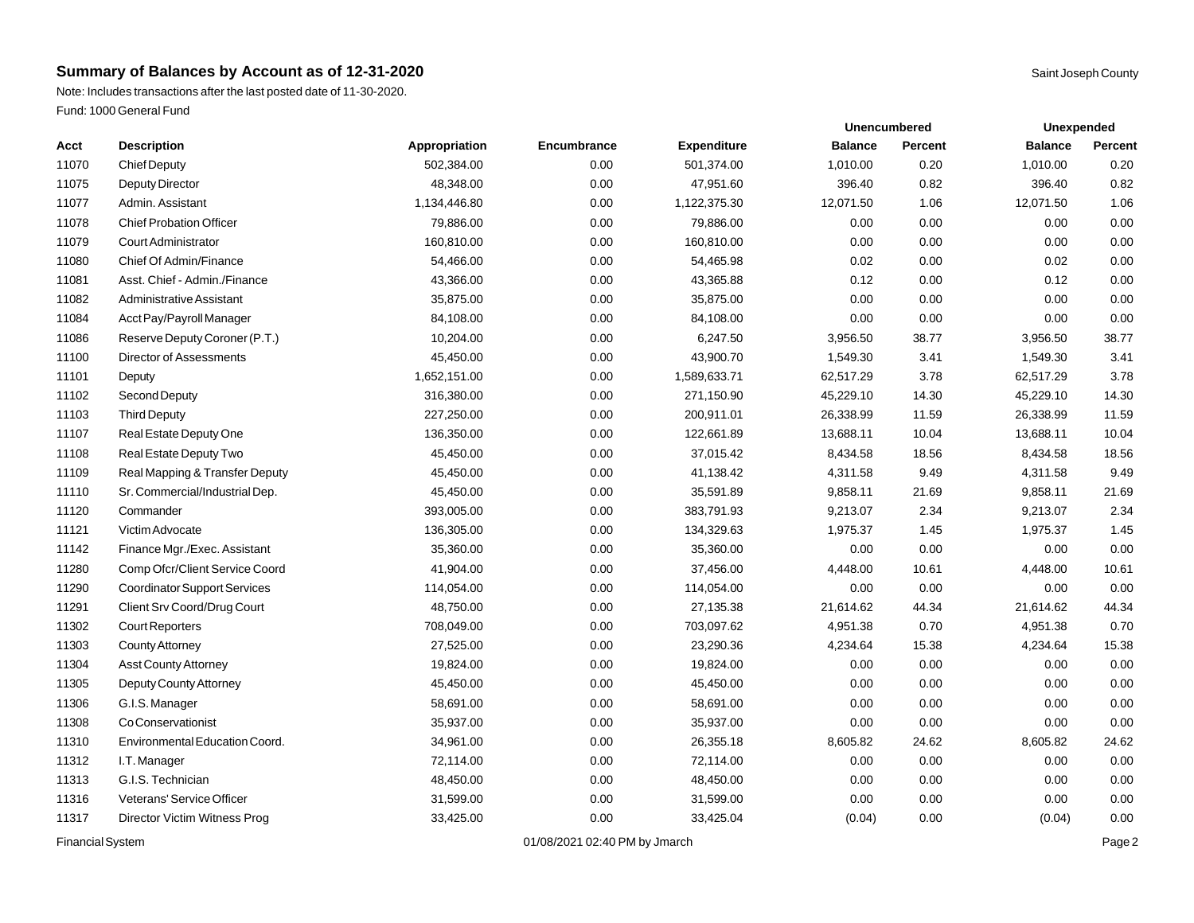Note: Includes transactions after the last posted date of 11-30-2020. Fund: 1000 General Fund

|       |                                     |               |             |                    |                | <b>Unencumbered</b> |                | Unexpended |  |
|-------|-------------------------------------|---------------|-------------|--------------------|----------------|---------------------|----------------|------------|--|
| Acct  | <b>Description</b>                  | Appropriation | Encumbrance | <b>Expenditure</b> | <b>Balance</b> | <b>Percent</b>      | <b>Balance</b> | Percent    |  |
| 11070 | <b>Chief Deputy</b>                 | 502,384.00    | 0.00        | 501,374.00         | 1,010.00       | 0.20                | 1,010.00       | 0.20       |  |
| 11075 | Deputy Director                     | 48,348.00     | 0.00        | 47,951.60          | 396.40         | 0.82                | 396.40         | 0.82       |  |
| 11077 | Admin, Assistant                    | 1,134,446.80  | 0.00        | 1,122,375.30       | 12,071.50      | 1.06                | 12,071.50      | 1.06       |  |
| 11078 | <b>Chief Probation Officer</b>      | 79,886.00     | 0.00        | 79,886.00          | 0.00           | 0.00                | 0.00           | 0.00       |  |
| 11079 | <b>Court Administrator</b>          | 160,810.00    | 0.00        | 160,810.00         | 0.00           | 0.00                | 0.00           | 0.00       |  |
| 11080 | Chief Of Admin/Finance              | 54,466.00     | 0.00        | 54,465.98          | 0.02           | 0.00                | 0.02           | 0.00       |  |
| 11081 | Asst. Chief - Admin./Finance        | 43,366.00     | 0.00        | 43,365.88          | 0.12           | 0.00                | 0.12           | 0.00       |  |
| 11082 | <b>Administrative Assistant</b>     | 35,875.00     | 0.00        | 35,875.00          | 0.00           | 0.00                | 0.00           | 0.00       |  |
| 11084 | Acct Pay/Payroll Manager            | 84,108.00     | 0.00        | 84,108.00          | 0.00           | 0.00                | 0.00           | 0.00       |  |
| 11086 | Reserve Deputy Coroner (P.T.)       | 10,204.00     | 0.00        | 6,247.50           | 3,956.50       | 38.77               | 3,956.50       | 38.77      |  |
| 11100 | <b>Director of Assessments</b>      | 45,450.00     | 0.00        | 43,900.70          | 1,549.30       | 3.41                | 1,549.30       | 3.41       |  |
| 11101 | Deputy                              | 1,652,151.00  | 0.00        | 1,589,633.71       | 62,517.29      | 3.78                | 62,517.29      | 3.78       |  |
| 11102 | Second Deputy                       | 316,380.00    | 0.00        | 271,150.90         | 45,229.10      | 14.30               | 45,229.10      | 14.30      |  |
| 11103 | <b>Third Deputy</b>                 | 227,250.00    | 0.00        | 200,911.01         | 26,338.99      | 11.59               | 26,338.99      | 11.59      |  |
| 11107 | Real Estate Deputy One              | 136,350.00    | 0.00        | 122,661.89         | 13,688.11      | 10.04               | 13,688.11      | 10.04      |  |
| 11108 | Real Estate Deputy Two              | 45,450.00     | 0.00        | 37,015.42          | 8,434.58       | 18.56               | 8,434.58       | 18.56      |  |
| 11109 | Real Mapping & Transfer Deputy      | 45,450.00     | 0.00        | 41,138.42          | 4,311.58       | 9.49                | 4,311.58       | 9.49       |  |
| 11110 | Sr. Commercial/Industrial Dep.      | 45,450.00     | 0.00        | 35,591.89          | 9,858.11       | 21.69               | 9,858.11       | 21.69      |  |
| 11120 | Commander                           | 393,005.00    | 0.00        | 383,791.93         | 9,213.07       | 2.34                | 9,213.07       | 2.34       |  |
| 11121 | Victim Advocate                     | 136,305.00    | 0.00        | 134,329.63         | 1,975.37       | 1.45                | 1,975.37       | 1.45       |  |
| 11142 | Finance Mgr./Exec. Assistant        | 35,360.00     | 0.00        | 35,360.00          | 0.00           | 0.00                | 0.00           | 0.00       |  |
| 11280 | Comp Ofcr/Client Service Coord      | 41,904.00     | 0.00        | 37,456.00          | 4,448.00       | 10.61               | 4,448.00       | 10.61      |  |
| 11290 | <b>Coordinator Support Services</b> | 114,054.00    | 0.00        | 114,054.00         | 0.00           | 0.00                | 0.00           | 0.00       |  |
| 11291 | Client Srv Coord/Drug Court         | 48,750.00     | 0.00        | 27,135.38          | 21,614.62      | 44.34               | 21,614.62      | 44.34      |  |
| 11302 | <b>Court Reporters</b>              | 708,049.00    | 0.00        | 703,097.62         | 4,951.38       | 0.70                | 4,951.38       | 0.70       |  |
| 11303 | <b>County Attorney</b>              | 27,525.00     | 0.00        | 23,290.36          | 4,234.64       | 15.38               | 4,234.64       | 15.38      |  |
| 11304 | <b>Asst County Attorney</b>         | 19,824.00     | 0.00        | 19,824.00          | 0.00           | 0.00                | 0.00           | 0.00       |  |
| 11305 | Deputy County Attorney              | 45,450.00     | 0.00        | 45,450.00          | 0.00           | 0.00                | 0.00           | 0.00       |  |
| 11306 | G.I.S. Manager                      | 58,691.00     | 0.00        | 58,691.00          | 0.00           | 0.00                | 0.00           | 0.00       |  |
| 11308 | Co Conservationist                  | 35,937.00     | 0.00        | 35,937.00          | 0.00           | 0.00                | 0.00           | 0.00       |  |
| 11310 | Environmental Education Coord.      | 34,961.00     | 0.00        | 26,355.18          | 8,605.82       | 24.62               | 8,605.82       | 24.62      |  |
| 11312 | I.T. Manager                        | 72,114.00     | 0.00        | 72,114.00          | 0.00           | 0.00                | 0.00           | 0.00       |  |
| 11313 | G.I.S. Technician                   | 48,450.00     | 0.00        | 48,450.00          | 0.00           | 0.00                | 0.00           | 0.00       |  |
| 11316 | Veterans' Service Officer           | 31,599.00     | 0.00        | 31,599.00          | 0.00           | 0.00                | 0.00           | 0.00       |  |
| 11317 | Director Victim Witness Prog        | 33,425.00     | 0.00        | 33,425.04          | (0.04)         | 0.00                | (0.04)         | 0.00       |  |
|       |                                     |               |             |                    |                |                     |                |            |  |

Financial System **Example 2** and the USA of the USA of the USA of the USA of the USA of the Page 2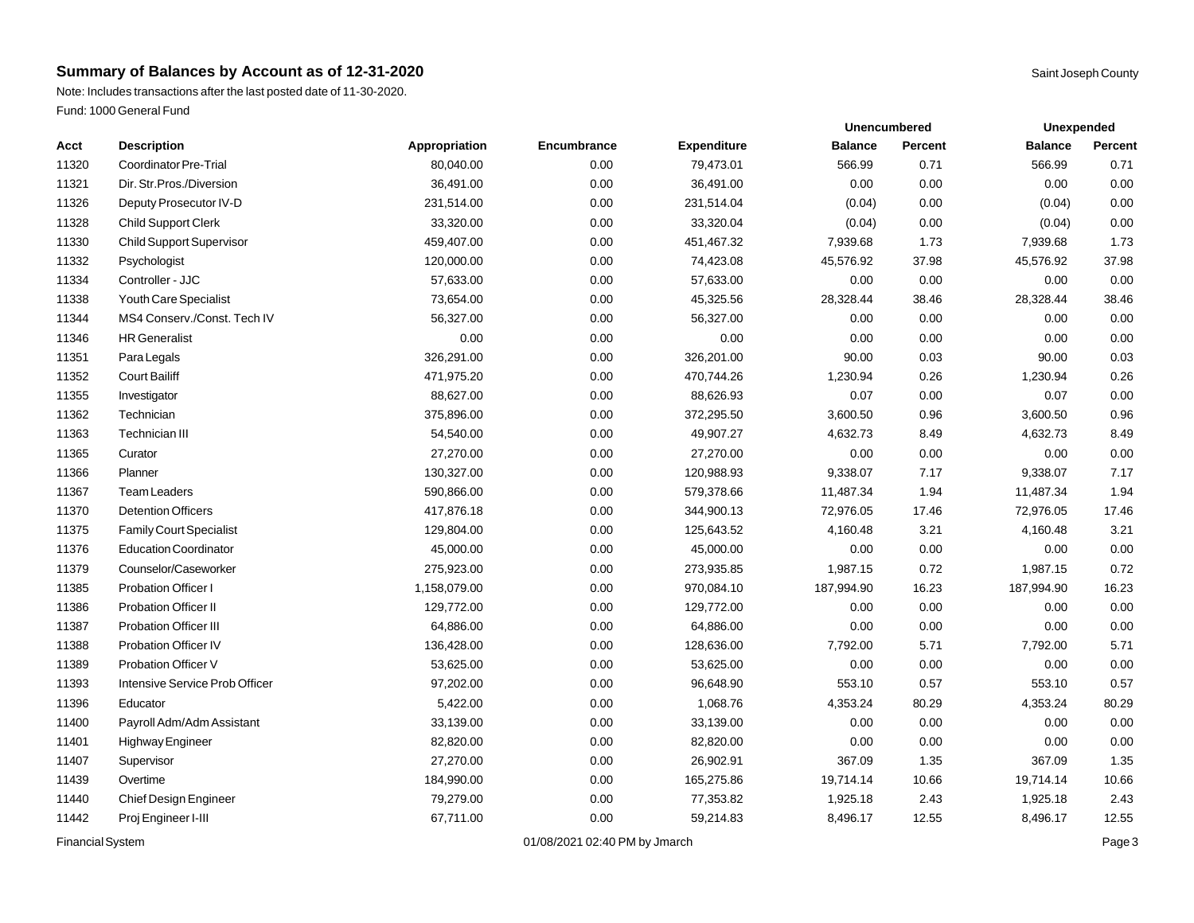Note: Includes transactions after the last posted date of 11-30-2020. Fund: 1000 General Fund

|       |                                 |               |             |                    |                | <b>Unencumbered</b> | Unexpended     |         |
|-------|---------------------------------|---------------|-------------|--------------------|----------------|---------------------|----------------|---------|
| Acct  | <b>Description</b>              | Appropriation | Encumbrance | <b>Expenditure</b> | <b>Balance</b> | Percent             | <b>Balance</b> | Percent |
| 11320 | Coordinator Pre-Trial           | 80,040.00     | 0.00        | 79,473.01          | 566.99         | 0.71                | 566.99         | 0.71    |
| 11321 | Dir. Str. Pros./Diversion       | 36,491.00     | 0.00        | 36,491.00          | 0.00           | 0.00                | 0.00           | 0.00    |
| 11326 | Deputy Prosecutor IV-D          | 231,514.00    | 0.00        | 231,514.04         | (0.04)         | 0.00                | (0.04)         | 0.00    |
| 11328 | <b>Child Support Clerk</b>      | 33,320.00     | 0.00        | 33,320.04          | (0.04)         | 0.00                | (0.04)         | 0.00    |
| 11330 | <b>Child Support Supervisor</b> | 459,407.00    | 0.00        | 451,467.32         | 7,939.68       | 1.73                | 7,939.68       | 1.73    |
| 11332 | Psychologist                    | 120,000.00    | 0.00        | 74,423.08          | 45,576.92      | 37.98               | 45,576.92      | 37.98   |
| 11334 | Controller - JJC                | 57,633.00     | 0.00        | 57,633.00          | 0.00           | 0.00                | 0.00           | 0.00    |
| 11338 | Youth Care Specialist           | 73,654.00     | 0.00        | 45,325.56          | 28,328.44      | 38.46               | 28,328.44      | 38.46   |
| 11344 | MS4 Conserv./Const. Tech IV     | 56,327.00     | 0.00        | 56,327.00          | 0.00           | 0.00                | 0.00           | 0.00    |
| 11346 | <b>HR</b> Generalist            | 0.00          | 0.00        | 0.00               | 0.00           | 0.00                | 0.00           | 0.00    |
| 11351 | Para Legals                     | 326,291.00    | 0.00        | 326,201.00         | 90.00          | 0.03                | 90.00          | 0.03    |
| 11352 | <b>Court Bailiff</b>            | 471,975.20    | 0.00        | 470,744.26         | 1,230.94       | 0.26                | 1,230.94       | 0.26    |
| 11355 | Investigator                    | 88,627.00     | 0.00        | 88,626.93          | 0.07           | 0.00                | 0.07           | 0.00    |
| 11362 | Technician                      | 375,896.00    | 0.00        | 372,295.50         | 3,600.50       | 0.96                | 3,600.50       | 0.96    |
| 11363 | <b>Technician III</b>           | 54,540.00     | 0.00        | 49,907.27          | 4,632.73       | 8.49                | 4,632.73       | 8.49    |
| 11365 | Curator                         | 27,270.00     | 0.00        | 27,270.00          | 0.00           | 0.00                | 0.00           | 0.00    |
| 11366 | Planner                         | 130,327.00    | 0.00        | 120,988.93         | 9,338.07       | 7.17                | 9,338.07       | 7.17    |
| 11367 | <b>Team Leaders</b>             | 590,866.00    | 0.00        | 579,378.66         | 11,487.34      | 1.94                | 11,487.34      | 1.94    |
| 11370 | <b>Detention Officers</b>       | 417,876.18    | 0.00        | 344,900.13         | 72,976.05      | 17.46               | 72,976.05      | 17.46   |
| 11375 | <b>Family Court Specialist</b>  | 129,804.00    | 0.00        | 125,643.52         | 4,160.48       | 3.21                | 4,160.48       | 3.21    |
| 11376 | <b>Education Coordinator</b>    | 45,000.00     | 0.00        | 45,000.00          | 0.00           | 0.00                | 0.00           | 0.00    |
| 11379 | Counselor/Caseworker            | 275,923.00    | 0.00        | 273,935.85         | 1,987.15       | 0.72                | 1,987.15       | 0.72    |
| 11385 | Probation Officer I             | 1,158,079.00  | 0.00        | 970,084.10         | 187,994.90     | 16.23               | 187,994.90     | 16.23   |
| 11386 | Probation Officer II            | 129,772.00    | 0.00        | 129,772.00         | 0.00           | 0.00                | 0.00           | 0.00    |
| 11387 | <b>Probation Officer III</b>    | 64,886.00     | 0.00        | 64,886.00          | 0.00           | 0.00                | 0.00           | 0.00    |
| 11388 | Probation Officer IV            | 136,428.00    | 0.00        | 128,636.00         | 7,792.00       | 5.71                | 7,792.00       | 5.71    |
| 11389 | <b>Probation Officer V</b>      | 53,625.00     | 0.00        | 53,625.00          | 0.00           | 0.00                | 0.00           | 0.00    |
| 11393 | Intensive Service Prob Officer  | 97,202.00     | 0.00        | 96,648.90          | 553.10         | 0.57                | 553.10         | 0.57    |
| 11396 | Educator                        | 5,422.00      | 0.00        | 1,068.76           | 4,353.24       | 80.29               | 4,353.24       | 80.29   |
| 11400 | Payroll Adm/Adm Assistant       | 33,139.00     | 0.00        | 33,139.00          | 0.00           | 0.00                | 0.00           | 0.00    |
| 11401 | Highway Engineer                | 82,820.00     | 0.00        | 82,820.00          | 0.00           | 0.00                | 0.00           | 0.00    |
| 11407 | Supervisor                      | 27,270.00     | 0.00        | 26,902.91          | 367.09         | 1.35                | 367.09         | 1.35    |
| 11439 | Overtime                        | 184,990.00    | 0.00        | 165,275.86         | 19,714.14      | 10.66               | 19,714.14      | 10.66   |
| 11440 | Chief Design Engineer           | 79,279.00     | 0.00        | 77,353.82          | 1,925.18       | 2.43                | 1,925.18       | 2.43    |
| 11442 | Proj Engineer I-III             | 67,711.00     | 0.00        | 59,214.83          | 8,496.17       | 12.55               | 8,496.17       | 12.55   |
|       |                                 |               |             |                    |                |                     |                |         |

Financial System **Example 3** Page 3 Contract 201/08/2021 02:40 PM by Jmarch **Page 3** Contract 201/08/2021 02:40 PM by Jmarch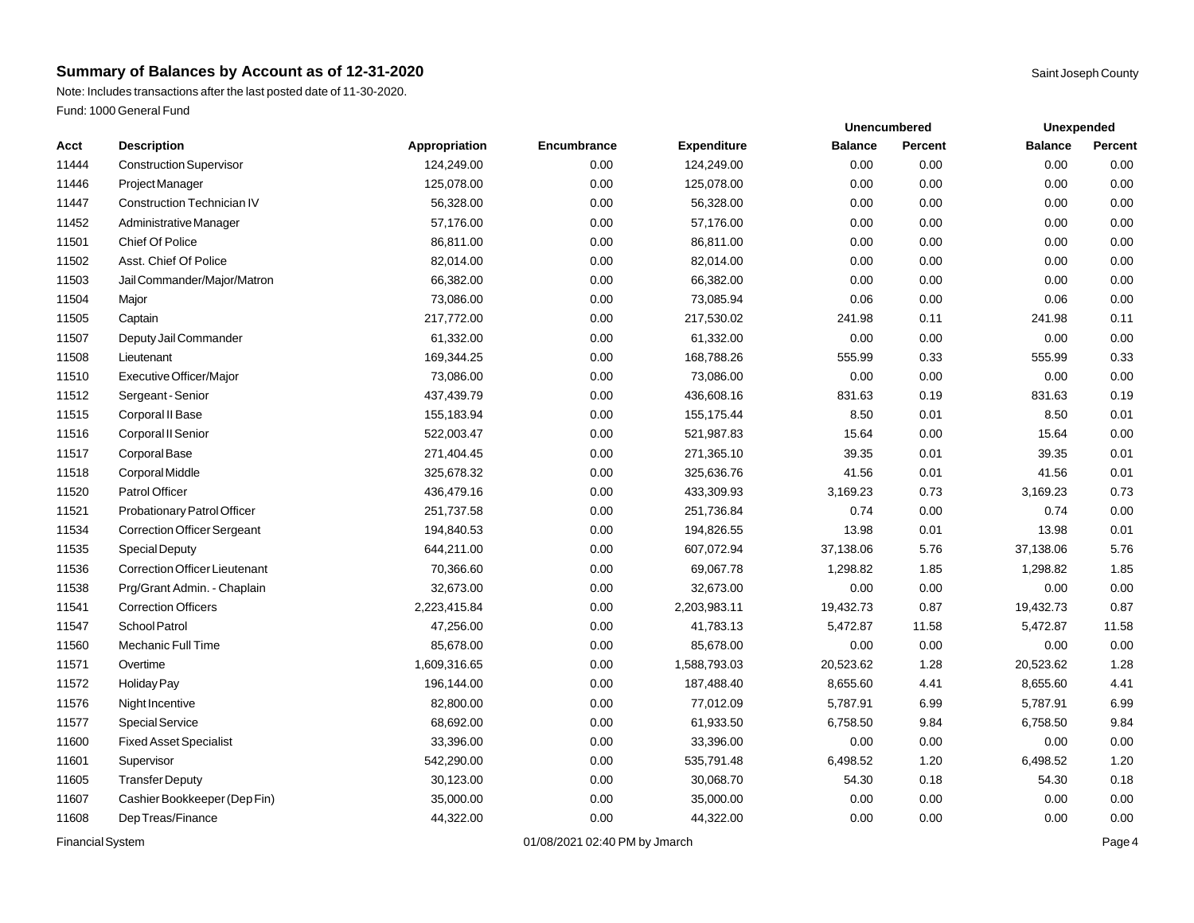Note: Includes transactions after the last posted date of 11-30-2020. Fund: 1000 General Fund

|       |                                      |               |             | <b>Unencumbered</b> |                | Unexpended |                |         |
|-------|--------------------------------------|---------------|-------------|---------------------|----------------|------------|----------------|---------|
| Acct  | <b>Description</b>                   | Appropriation | Encumbrance | <b>Expenditure</b>  | <b>Balance</b> | Percent    | <b>Balance</b> | Percent |
| 11444 | <b>Construction Supervisor</b>       | 124,249.00    | 0.00        | 124,249.00          | 0.00           | 0.00       | 0.00           | 0.00    |
| 11446 | Project Manager                      | 125,078.00    | 0.00        | 125,078.00          | 0.00           | 0.00       | 0.00           | 0.00    |
| 11447 | <b>Construction Technician IV</b>    | 56,328.00     | 0.00        | 56,328.00           | 0.00           | 0.00       | 0.00           | 0.00    |
| 11452 | Administrative Manager               | 57,176.00     | 0.00        | 57,176.00           | 0.00           | 0.00       | 0.00           | 0.00    |
| 11501 | <b>Chief Of Police</b>               | 86,811.00     | 0.00        | 86,811.00           | 0.00           | 0.00       | 0.00           | 0.00    |
| 11502 | Asst. Chief Of Police                | 82,014.00     | 0.00        | 82,014.00           | 0.00           | 0.00       | 0.00           | 0.00    |
| 11503 | Jail Commander/Major/Matron          | 66,382.00     | 0.00        | 66,382.00           | 0.00           | 0.00       | 0.00           | 0.00    |
| 11504 | Major                                | 73,086.00     | 0.00        | 73,085.94           | 0.06           | 0.00       | 0.06           | 0.00    |
| 11505 | Captain                              | 217,772.00    | 0.00        | 217,530.02          | 241.98         | 0.11       | 241.98         | 0.11    |
| 11507 | Deputy Jail Commander                | 61,332.00     | 0.00        | 61,332.00           | 0.00           | 0.00       | 0.00           | 0.00    |
| 11508 | Lieutenant                           | 169,344.25    | 0.00        | 168,788.26          | 555.99         | 0.33       | 555.99         | 0.33    |
| 11510 | Executive Officer/Major              | 73,086.00     | 0.00        | 73,086.00           | 0.00           | 0.00       | 0.00           | 0.00    |
| 11512 | Sergeant - Senior                    | 437,439.79    | 0.00        | 436,608.16          | 831.63         | 0.19       | 831.63         | 0.19    |
| 11515 | Corporal II Base                     | 155,183.94    | 0.00        | 155,175.44          | 8.50           | 0.01       | 8.50           | 0.01    |
| 11516 | Corporal II Senior                   | 522,003.47    | 0.00        | 521,987.83          | 15.64          | 0.00       | 15.64          | 0.00    |
| 11517 | Corporal Base                        | 271,404.45    | 0.00        | 271,365.10          | 39.35          | 0.01       | 39.35          | 0.01    |
| 11518 | Corporal Middle                      | 325,678.32    | 0.00        | 325,636.76          | 41.56          | 0.01       | 41.56          | 0.01    |
| 11520 | Patrol Officer                       | 436,479.16    | 0.00        | 433,309.93          | 3,169.23       | 0.73       | 3,169.23       | 0.73    |
| 11521 | Probationary Patrol Officer          | 251,737.58    | 0.00        | 251,736.84          | 0.74           | 0.00       | 0.74           | 0.00    |
| 11534 | <b>Correction Officer Sergeant</b>   | 194,840.53    | 0.00        | 194,826.55          | 13.98          | 0.01       | 13.98          | 0.01    |
| 11535 | <b>Special Deputy</b>                | 644,211.00    | 0.00        | 607,072.94          | 37,138.06      | 5.76       | 37,138.06      | 5.76    |
| 11536 | <b>Correction Officer Lieutenant</b> | 70,366.60     | 0.00        | 69,067.78           | 1,298.82       | 1.85       | 1,298.82       | 1.85    |
| 11538 | Prg/Grant Admin. - Chaplain          | 32,673.00     | 0.00        | 32,673.00           | 0.00           | 0.00       | 0.00           | 0.00    |
| 11541 | <b>Correction Officers</b>           | 2,223,415.84  | 0.00        | 2,203,983.11        | 19,432.73      | 0.87       | 19,432.73      | 0.87    |
| 11547 | School Patrol                        | 47,256.00     | 0.00        | 41,783.13           | 5,472.87       | 11.58      | 5,472.87       | 11.58   |
| 11560 | Mechanic Full Time                   | 85,678.00     | 0.00        | 85,678.00           | 0.00           | 0.00       | 0.00           | 0.00    |
| 11571 | Overtime                             | 1,609,316.65  | 0.00        | 1,588,793.03        | 20,523.62      | 1.28       | 20,523.62      | 1.28    |
| 11572 | Holiday Pay                          | 196,144.00    | 0.00        | 187,488.40          | 8,655.60       | 4.41       | 8,655.60       | 4.41    |
| 11576 | Night Incentive                      | 82,800.00     | 0.00        | 77,012.09           | 5,787.91       | 6.99       | 5,787.91       | 6.99    |
| 11577 | Special Service                      | 68,692.00     | 0.00        | 61,933.50           | 6,758.50       | 9.84       | 6,758.50       | 9.84    |
| 11600 | <b>Fixed Asset Specialist</b>        | 33,396.00     | 0.00        | 33,396.00           | 0.00           | 0.00       | 0.00           | 0.00    |
| 11601 | Supervisor                           | 542,290.00    | 0.00        | 535,791.48          | 6,498.52       | 1.20       | 6,498.52       | 1.20    |
| 11605 | <b>TransferDeputy</b>                | 30,123.00     | 0.00        | 30,068.70           | 54.30          | 0.18       | 54.30          | 0.18    |
| 11607 | Cashier Bookkeeper (Dep Fin)         | 35,000.00     | 0.00        | 35,000.00           | 0.00           | 0.00       | 0.00           | 0.00    |
| 11608 | Dep Treas/Finance                    | 44,322.00     | 0.00        | 44,322.00           | 0.00           | 0.00       | 0.00           | 0.00    |
|       |                                      |               |             |                     |                |            |                |         |

Financial System **Example 2019** 2021 02:40 PM by Jmarch **Page 4** 201/08/2021 02:40 PM by Jmarch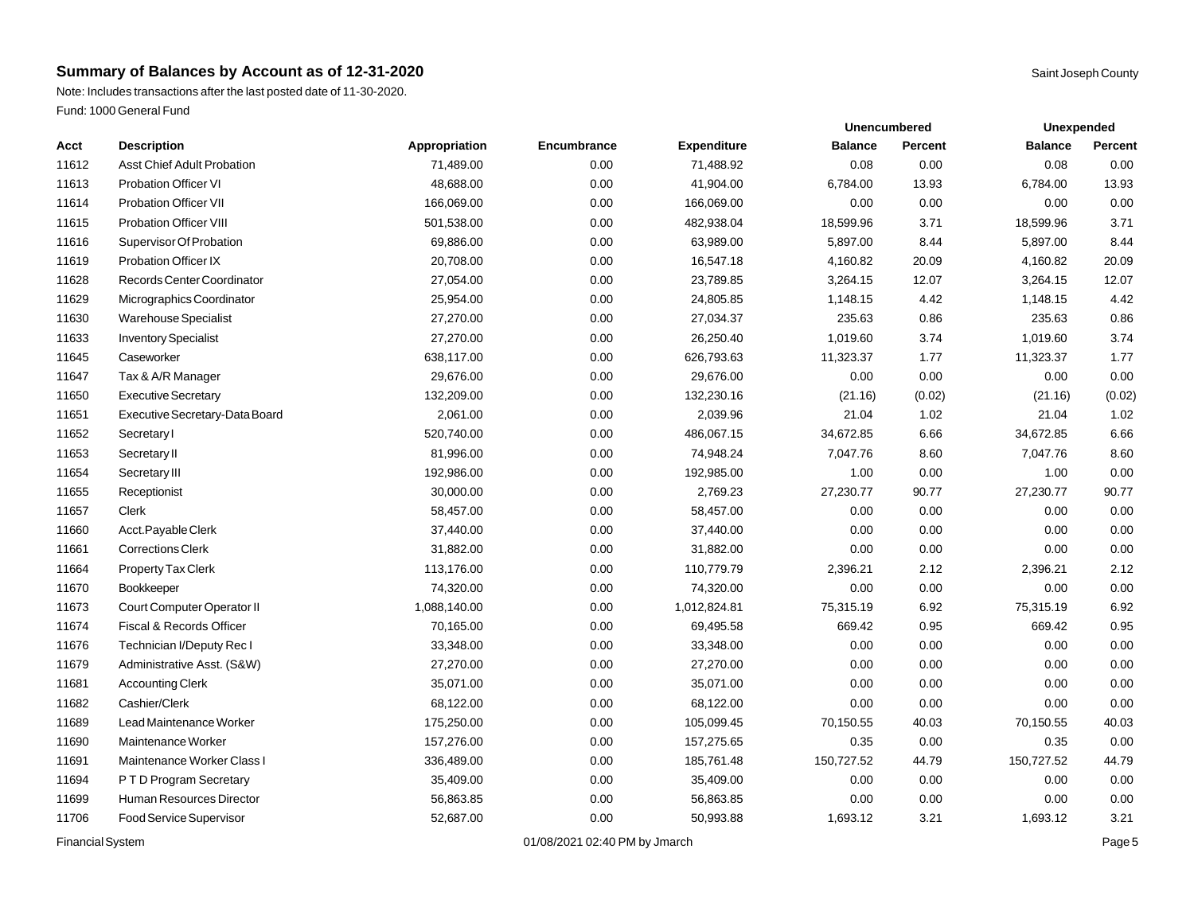Note: Includes transactions after the last posted date of 11-30-2020. Fund: 1000 General Fund

|       |                                   |               |             |                    | <b>Unencumbered</b> | Unexpended |                |         |
|-------|-----------------------------------|---------------|-------------|--------------------|---------------------|------------|----------------|---------|
| Acct  | <b>Description</b>                | Appropriation | Encumbrance | <b>Expenditure</b> | <b>Balance</b>      | Percent    | <b>Balance</b> | Percent |
| 11612 | <b>Asst Chief Adult Probation</b> | 71,489.00     | 0.00        | 71,488.92          | 0.08                | 0.00       | 0.08           | 0.00    |
| 11613 | <b>Probation Officer VI</b>       | 48,688.00     | 0.00        | 41,904.00          | 6,784.00            | 13.93      | 6,784.00       | 13.93   |
| 11614 | Probation Officer VII             | 166,069.00    | 0.00        | 166,069.00         | 0.00                | 0.00       | 0.00           | 0.00    |
| 11615 | <b>Probation Officer VIII</b>     | 501,538.00    | 0.00        | 482,938.04         | 18,599.96           | 3.71       | 18,599.96      | 3.71    |
| 11616 | Supervisor Of Probation           | 69,886.00     | 0.00        | 63,989.00          | 5,897.00            | 8.44       | 5,897.00       | 8.44    |
| 11619 | <b>Probation Officer IX</b>       | 20,708.00     | 0.00        | 16,547.18          | 4,160.82            | 20.09      | 4,160.82       | 20.09   |
| 11628 | Records Center Coordinator        | 27,054.00     | 0.00        | 23,789.85          | 3,264.15            | 12.07      | 3,264.15       | 12.07   |
| 11629 | Micrographics Coordinator         | 25,954.00     | 0.00        | 24,805.85          | 1,148.15            | 4.42       | 1,148.15       | 4.42    |
| 11630 | <b>Warehouse Specialist</b>       | 27,270.00     | 0.00        | 27,034.37          | 235.63              | 0.86       | 235.63         | 0.86    |
| 11633 | <b>Inventory Specialist</b>       | 27,270.00     | 0.00        | 26,250.40          | 1,019.60            | 3.74       | 1,019.60       | 3.74    |
| 11645 | Caseworker                        | 638,117.00    | 0.00        | 626,793.63         | 11,323.37           | 1.77       | 11,323.37      | 1.77    |
| 11647 | Tax & A/R Manager                 | 29,676.00     | 0.00        | 29,676.00          | 0.00                | 0.00       | 0.00           | 0.00    |
| 11650 | <b>Executive Secretary</b>        | 132,209.00    | 0.00        | 132,230.16         | (21.16)             | (0.02)     | (21.16)        | (0.02)  |
| 11651 | Executive Secretary-Data Board    | 2,061.00      | 0.00        | 2,039.96           | 21.04               | 1.02       | 21.04          | 1.02    |
| 11652 | Secretary I                       | 520,740.00    | 0.00        | 486,067.15         | 34,672.85           | 6.66       | 34,672.85      | 6.66    |
| 11653 | Secretary II                      | 81,996.00     | 0.00        | 74,948.24          | 7,047.76            | 8.60       | 7,047.76       | 8.60    |
| 11654 | Secretary III                     | 192,986.00    | 0.00        | 192,985.00         | 1.00                | 0.00       | 1.00           | 0.00    |
| 11655 | Receptionist                      | 30,000.00     | 0.00        | 2,769.23           | 27,230.77           | 90.77      | 27,230.77      | 90.77   |
| 11657 | Clerk                             | 58,457.00     | 0.00        | 58,457.00          | 0.00                | 0.00       | 0.00           | 0.00    |
| 11660 | Acct.Payable Clerk                | 37,440.00     | 0.00        | 37,440.00          | 0.00                | 0.00       | 0.00           | 0.00    |
| 11661 | <b>Corrections Clerk</b>          | 31,882.00     | 0.00        | 31,882.00          | 0.00                | 0.00       | 0.00           | 0.00    |
| 11664 | Property Tax Clerk                | 113,176.00    | 0.00        | 110,779.79         | 2,396.21            | 2.12       | 2,396.21       | 2.12    |
| 11670 | Bookkeeper                        | 74,320.00     | 0.00        | 74,320.00          | 0.00                | 0.00       | 0.00           | 0.00    |
| 11673 | Court Computer Operator II        | 1,088,140.00  | 0.00        | 1,012,824.81       | 75,315.19           | 6.92       | 75,315.19      | 6.92    |
| 11674 | Fiscal & Records Officer          | 70,165.00     | 0.00        | 69,495.58          | 669.42              | 0.95       | 669.42         | 0.95    |
| 11676 | Technician I/Deputy Rec I         | 33,348.00     | 0.00        | 33,348.00          | 0.00                | 0.00       | 0.00           | 0.00    |
| 11679 | Administrative Asst. (S&W)        | 27,270.00     | 0.00        | 27,270.00          | 0.00                | 0.00       | 0.00           | 0.00    |
| 11681 | <b>Accounting Clerk</b>           | 35,071.00     | 0.00        | 35,071.00          | 0.00                | 0.00       | 0.00           | 0.00    |
| 11682 | Cashier/Clerk                     | 68,122.00     | 0.00        | 68,122.00          | 0.00                | 0.00       | 0.00           | 0.00    |
| 11689 | Lead Maintenance Worker           | 175,250.00    | 0.00        | 105,099.45         | 70,150.55           | 40.03      | 70,150.55      | 40.03   |
| 11690 | Maintenance Worker                | 157,276.00    | 0.00        | 157,275.65         | 0.35                | 0.00       | 0.35           | 0.00    |
| 11691 | Maintenance Worker Class I        | 336,489.00    | 0.00        | 185,761.48         | 150,727.52          | 44.79      | 150,727.52     | 44.79   |
| 11694 | PTD Program Secretary             | 35,409.00     | 0.00        | 35,409.00          | 0.00                | 0.00       | 0.00           | 0.00    |
| 11699 | Human Resources Director          | 56,863.85     | 0.00        | 56,863.85          | 0.00                | 0.00       | 0.00           | 0.00    |
| 11706 | Food Service Supervisor           | 52,687.00     | 0.00        | 50,993.88          | 1,693.12            | 3.21       | 1,693.12       | 3.21    |
|       |                                   |               |             |                    |                     |            |                |         |

Financial System **Example 2014** Page 5 Contract 2014 02:40 PM by Jmarch Page 5 Contract 2016 2021 02:40 PM by Jmarch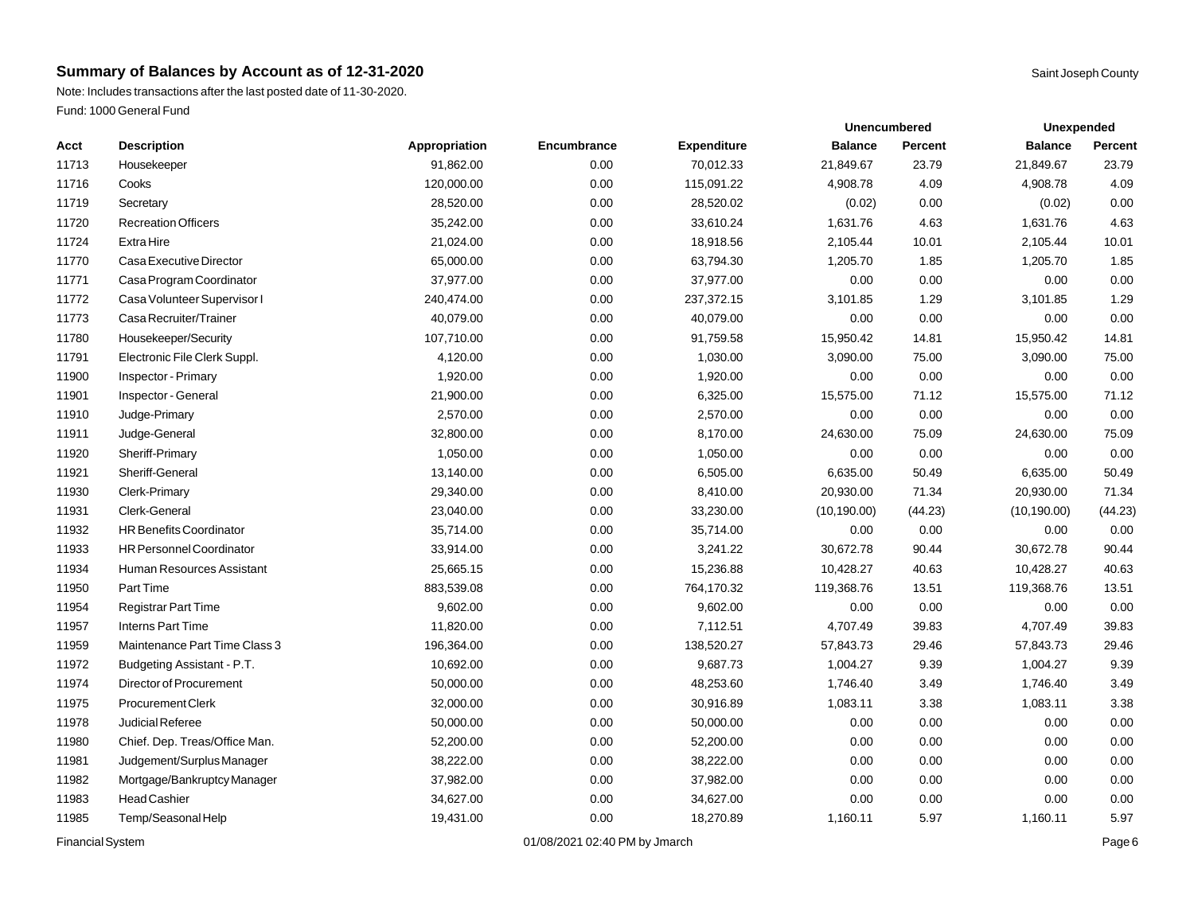Note: Includes transactions after the last posted date of 11-30-2020. Fund: 1000 General Fund

| Acct  | <b>Description</b>              | Appropriation | Encumbrance | <b>Expenditure</b> | <b>Balance</b> | Percent | <b>Balance</b> | Percent |
|-------|---------------------------------|---------------|-------------|--------------------|----------------|---------|----------------|---------|
| 11713 | Housekeeper                     | 91,862.00     | 0.00        | 70,012.33          | 21,849.67      | 23.79   | 21,849.67      | 23.79   |
| 11716 | Cooks                           | 120,000.00    | 0.00        | 115,091.22         | 4,908.78       | 4.09    | 4,908.78       | 4.09    |
| 11719 | Secretary                       | 28,520.00     | 0.00        | 28,520.02          | (0.02)         | 0.00    | (0.02)         | 0.00    |
| 11720 | <b>Recreation Officers</b>      | 35,242.00     | 0.00        | 33,610.24          | 1,631.76       | 4.63    | 1,631.76       | 4.63    |
| 11724 | <b>ExtraHire</b>                | 21,024.00     | 0.00        | 18,918.56          | 2,105.44       | 10.01   | 2,105.44       | 10.01   |
| 11770 | Casa Executive Director         | 65,000.00     | 0.00        | 63,794.30          | 1,205.70       | 1.85    | 1,205.70       | 1.85    |
| 11771 | Casa Program Coordinator        | 37,977.00     | 0.00        | 37,977.00          | 0.00           | 0.00    | 0.00           | 0.00    |
| 11772 | Casa Volunteer Supervisor I     | 240,474.00    | 0.00        | 237,372.15         | 3,101.85       | 1.29    | 3,101.85       | 1.29    |
| 11773 | Casa Recruiter/Trainer          | 40,079.00     | 0.00        | 40,079.00          | 0.00           | 0.00    | 0.00           | 0.00    |
| 11780 | Housekeeper/Security            | 107,710.00    | 0.00        | 91,759.58          | 15,950.42      | 14.81   | 15,950.42      | 14.81   |
| 11791 | Electronic File Clerk Suppl.    | 4,120.00      | 0.00        | 1,030.00           | 3,090.00       | 75.00   | 3,090.00       | 75.00   |
| 11900 | <b>Inspector</b> - Primary      | 1,920.00      | 0.00        | 1,920.00           | 0.00           | 0.00    | 0.00           | 0.00    |
| 11901 | Inspector - General             | 21,900.00     | 0.00        | 6,325.00           | 15,575.00      | 71.12   | 15,575.00      | 71.12   |
| 11910 | Judge-Primary                   | 2,570.00      | 0.00        | 2,570.00           | 0.00           | 0.00    | 0.00           | 0.00    |
| 11911 | Judge-General                   | 32,800.00     | 0.00        | 8,170.00           | 24,630.00      | 75.09   | 24,630.00      | 75.09   |
| 11920 | Sheriff-Primary                 | 1,050.00      | 0.00        | 1,050.00           | 0.00           | 0.00    | 0.00           | 0.00    |
| 11921 | Sheriff-General                 | 13,140.00     | 0.00        | 6,505.00           | 6,635.00       | 50.49   | 6,635.00       | 50.49   |
| 11930 | Clerk-Primary                   | 29,340.00     | 0.00        | 8,410.00           | 20,930.00      | 71.34   | 20,930.00      | 71.34   |
| 11931 | Clerk-General                   | 23,040.00     | 0.00        | 33,230.00          | (10, 190.00)   | (44.23) | (10, 190.00)   | (44.23) |
| 11932 | <b>HR Benefits Coordinator</b>  | 35,714.00     | 0.00        | 35,714.00          | 0.00           | 0.00    | 0.00           | 0.00    |
| 11933 | <b>HR Personnel Coordinator</b> | 33,914.00     | 0.00        | 3,241.22           | 30,672.78      | 90.44   | 30,672.78      | 90.44   |
| 11934 | Human Resources Assistant       | 25,665.15     | 0.00        | 15,236.88          | 10,428.27      | 40.63   | 10,428.27      | 40.63   |
| 11950 | Part Time                       | 883,539.08    | 0.00        | 764,170.32         | 119,368.76     | 13.51   | 119,368.76     | 13.51   |
| 11954 | <b>Registrar Part Time</b>      | 9,602.00      | 0.00        | 9,602.00           | 0.00           | 0.00    | 0.00           | 0.00    |
| 11957 | <b>Interns Part Time</b>        | 11,820.00     | 0.00        | 7,112.51           | 4,707.49       | 39.83   | 4,707.49       | 39.83   |
| 11959 | Maintenance Part Time Class 3   | 196,364.00    | 0.00        | 138,520.27         | 57,843.73      | 29.46   | 57,843.73      | 29.46   |
| 11972 | Budgeting Assistant - P.T.      | 10,692.00     | 0.00        | 9,687.73           | 1,004.27       | 9.39    | 1,004.27       | 9.39    |
| 11974 | Director of Procurement         | 50,000.00     | 0.00        | 48,253.60          | 1,746.40       | 3.49    | 1,746.40       | 3.49    |
| 11975 | Procurement Clerk               | 32,000.00     | 0.00        | 30,916.89          | 1,083.11       | 3.38    | 1,083.11       | 3.38    |
| 11978 | Judicial Referee                | 50,000.00     | 0.00        | 50,000.00          | 0.00           | 0.00    | 0.00           | 0.00    |
| 11980 | Chief. Dep. Treas/Office Man.   | 52,200.00     | 0.00        | 52,200.00          | 0.00           | 0.00    | 0.00           | 0.00    |
| 11981 | Judgement/Surplus Manager       | 38,222.00     | 0.00        | 38,222.00          | 0.00           | 0.00    | 0.00           | 0.00    |
| 11982 | Mortgage/Bankruptcy Manager     | 37,982.00     | 0.00        | 37,982.00          | 0.00           | 0.00    | 0.00           | 0.00    |
| 11983 | <b>Head Cashier</b>             | 34,627.00     | 0.00        | 34,627.00          | 0.00           | 0.00    | 0.00           | 0.00    |
| 11985 | Temp/Seasonal Help              | 19,431.00     | 0.00        | 18,270.89          | 1,160.11       | 5.97    | 1,160.11       | 5.97    |

Financial System **Example 2019** 2021 02:40 PM by Jmarch **Page 6** 201/08/2021 02:40 PM by Jmarch

**Unexpended**

**Unencumbered**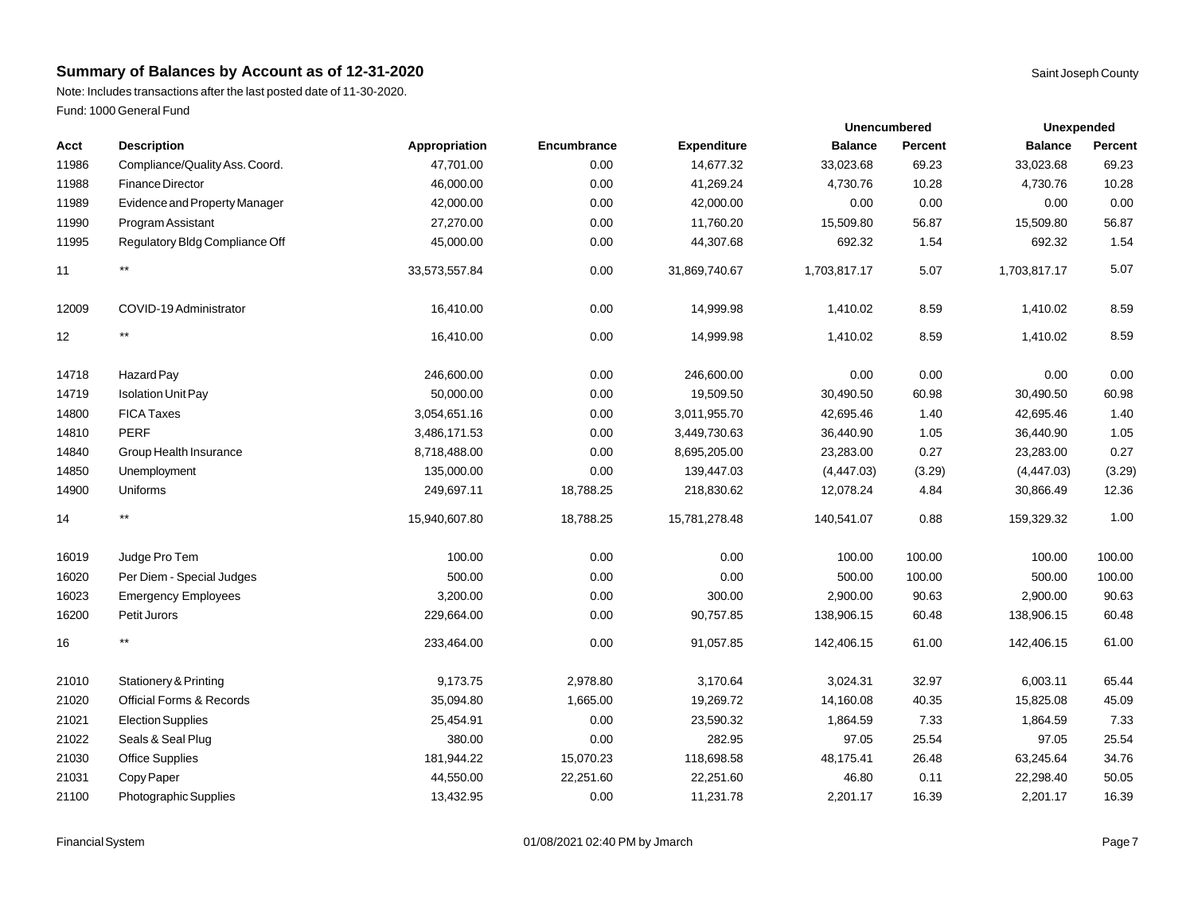Note: Includes transactions after the last posted date of 11-30-2020. Fund: 1000 General Fund

| Acct  | <b>Description</b>                  | Appropriation | Encumbrance | <b>Expenditure</b> | <b>Balance</b> | Percent | <b>Balance</b> | <b>Percent</b> |
|-------|-------------------------------------|---------------|-------------|--------------------|----------------|---------|----------------|----------------|
| 11986 | Compliance/Quality Ass. Coord.      | 47,701.00     | 0.00        | 14,677.32          | 33,023.68      | 69.23   | 33,023.68      | 69.23          |
| 11988 | <b>Finance Director</b>             | 46,000.00     | 0.00        | 41,269.24          | 4,730.76       | 10.28   | 4,730.76       | 10.28          |
| 11989 | Evidence and Property Manager       | 42,000.00     | 0.00        | 42,000.00          | 0.00           | 0.00    | 0.00           | 0.00           |
| 11990 | Program Assistant                   | 27,270.00     | 0.00        | 11,760.20          | 15,509.80      | 56.87   | 15,509.80      | 56.87          |
| 11995 | Regulatory Bldg Compliance Off      | 45,000.00     | 0.00        | 44,307.68          | 692.32         | 1.54    | 692.32         | 1.54           |
| 11    | $^{\star\star}$                     | 33,573,557.84 | 0.00        | 31,869,740.67      | 1,703,817.17   | 5.07    | 1,703,817.17   | 5.07           |
| 12009 | COVID-19 Administrator              | 16,410.00     | 0.00        | 14,999.98          | 1,410.02       | 8.59    | 1,410.02       | 8.59           |
| 12    | $^{\star\star}$                     | 16,410.00     | 0.00        | 14,999.98          | 1,410.02       | 8.59    | 1,410.02       | 8.59           |
| 14718 | Hazard Pay                          | 246,600.00    | 0.00        | 246,600.00         | 0.00           | 0.00    | 0.00           | 0.00           |
| 14719 | <b>Isolation Unit Pay</b>           | 50,000.00     | 0.00        | 19,509.50          | 30,490.50      | 60.98   | 30,490.50      | 60.98          |
| 14800 | <b>FICA Taxes</b>                   | 3,054,651.16  | 0.00        | 3,011,955.70       | 42,695.46      | 1.40    | 42,695.46      | 1.40           |
| 14810 | <b>PERF</b>                         | 3,486,171.53  | 0.00        | 3,449,730.63       | 36,440.90      | 1.05    | 36,440.90      | 1.05           |
| 14840 | Group Health Insurance              | 8,718,488.00  | 0.00        | 8,695,205.00       | 23,283.00      | 0.27    | 23,283.00      | 0.27           |
| 14850 | Unemployment                        | 135,000.00    | 0.00        | 139,447.03         | (4,447.03)     | (3.29)  | (4,447.03)     | (3.29)         |
| 14900 | Uniforms                            | 249,697.11    | 18,788.25   | 218,830.62         | 12,078.24      | 4.84    | 30,866.49      | 12.36          |
| 14    | $^{\star\star}$                     | 15,940,607.80 | 18,788.25   | 15,781,278.48      | 140,541.07     | 0.88    | 159,329.32     | 1.00           |
| 16019 | Judge Pro Tem                       | 100.00        | 0.00        | 0.00               | 100.00         | 100.00  | 100.00         | 100.00         |
| 16020 | Per Diem - Special Judges           | 500.00        | 0.00        | 0.00               | 500.00         | 100.00  | 500.00         | 100.00         |
| 16023 | <b>Emergency Employees</b>          | 3,200.00      | 0.00        | 300.00             | 2,900.00       | 90.63   | 2,900.00       | 90.63          |
| 16200 | Petit Jurors                        | 229,664.00    | 0.00        | 90,757.85          | 138,906.15     | 60.48   | 138,906.15     | 60.48          |
| 16    | $^{\star\star}$                     | 233,464.00    | 0.00        | 91,057.85          | 142,406.15     | 61.00   | 142,406.15     | 61.00          |
| 21010 | <b>Stationery &amp; Printing</b>    | 9,173.75      | 2,978.80    | 3,170.64           | 3,024.31       | 32.97   | 6,003.11       | 65.44          |
| 21020 | <b>Official Forms &amp; Records</b> | 35,094.80     | 1,665.00    | 19,269.72          | 14,160.08      | 40.35   | 15,825.08      | 45.09          |
| 21021 | <b>Election Supplies</b>            | 25,454.91     | 0.00        | 23,590.32          | 1,864.59       | 7.33    | 1,864.59       | 7.33           |
| 21022 | Seals & Seal Plug                   | 380.00        | 0.00        | 282.95             | 97.05          | 25.54   | 97.05          | 25.54          |
| 21030 | <b>Office Supplies</b>              | 181,944.22    | 15,070.23   | 118,698.58         | 48,175.41      | 26.48   | 63,245.64      | 34.76          |
| 21031 | Copy Paper                          | 44,550.00     | 22,251.60   | 22,251.60          | 46.80          | 0.11    | 22,298.40      | 50.05          |
| 21100 | Photographic Supplies               | 13,432.95     | 0.00        | 11,231.78          | 2,201.17       | 16.39   | 2,201.17       | 16.39          |

**Unexpended**

**Unencumbered**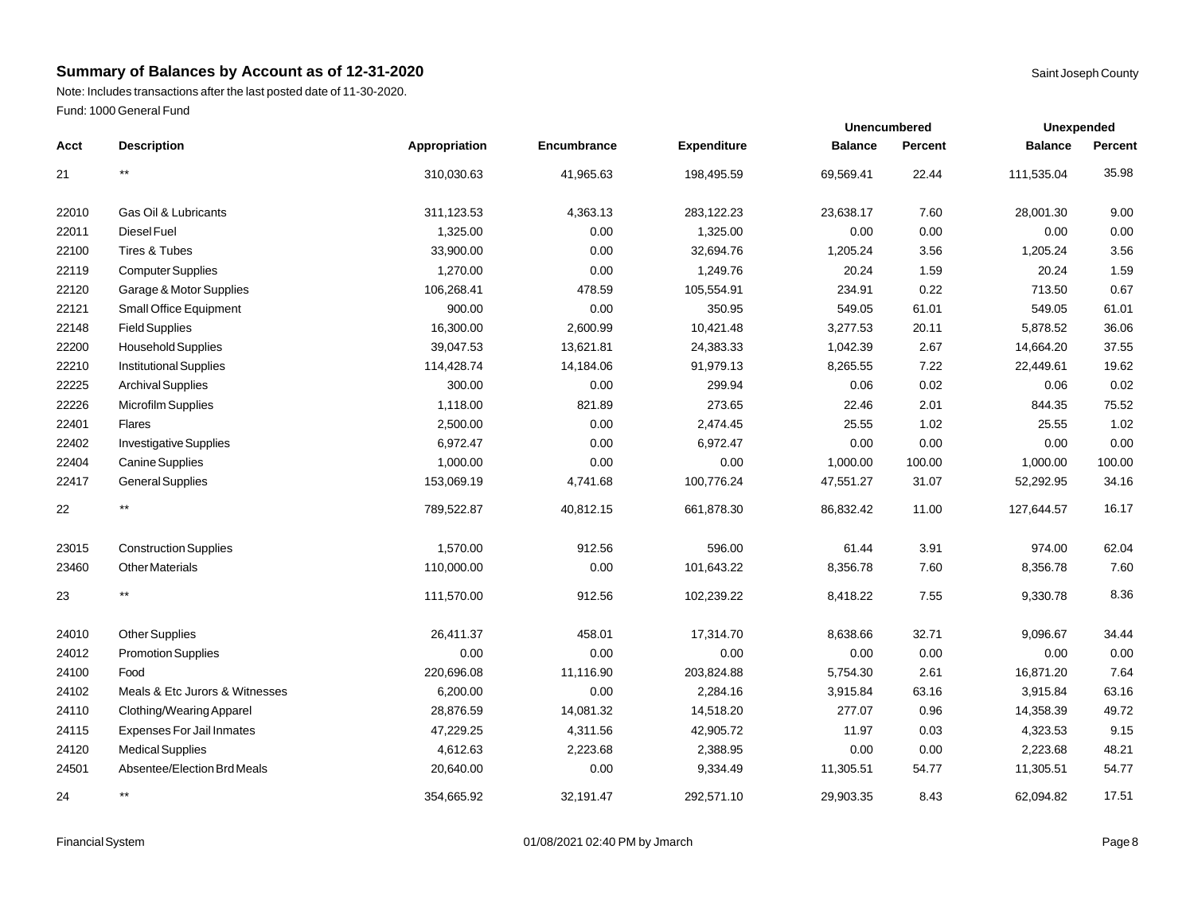Note: Includes transactions after the last posted date of 11-30-2020. Fund: 1000 General Fund

|       |                                  |               |             |                    |                | <b>Unencumbered</b> | <b>Unexpended</b> |         |
|-------|----------------------------------|---------------|-------------|--------------------|----------------|---------------------|-------------------|---------|
| Acct  | <b>Description</b>               | Appropriation | Encumbrance | <b>Expenditure</b> | <b>Balance</b> | Percent             | <b>Balance</b>    | Percent |
| 21    | $\star\star$                     | 310,030.63    | 41,965.63   | 198,495.59         | 69,569.41      | 22.44               | 111,535.04        | 35.98   |
| 22010 | Gas Oil & Lubricants             | 311,123.53    | 4,363.13    | 283,122.23         | 23,638.17      | 7.60                | 28,001.30         | 9.00    |
| 22011 | Diesel Fuel                      | 1,325.00      | 0.00        | 1,325.00           | 0.00           | 0.00                | 0.00              | 0.00    |
| 22100 | Tires & Tubes                    | 33,900.00     | 0.00        | 32,694.76          | 1,205.24       | 3.56                | 1,205.24          | 3.56    |
| 22119 | <b>Computer Supplies</b>         | 1,270.00      | 0.00        | 1,249.76           | 20.24          | 1.59                | 20.24             | 1.59    |
| 22120 | Garage & Motor Supplies          | 106,268.41    | 478.59      | 105,554.91         | 234.91         | 0.22                | 713.50            | 0.67    |
| 22121 | Small Office Equipment           | 900.00        | 0.00        | 350.95             | 549.05         | 61.01               | 549.05            | 61.01   |
| 22148 | <b>Field Supplies</b>            | 16,300.00     | 2,600.99    | 10,421.48          | 3,277.53       | 20.11               | 5,878.52          | 36.06   |
| 22200 | Household Supplies               | 39,047.53     | 13,621.81   | 24,383.33          | 1,042.39       | 2.67                | 14,664.20         | 37.55   |
| 22210 | <b>Institutional Supplies</b>    | 114,428.74    | 14,184.06   | 91,979.13          | 8,265.55       | 7.22                | 22,449.61         | 19.62   |
| 22225 | <b>Archival Supplies</b>         | 300.00        | 0.00        | 299.94             | 0.06           | 0.02                | 0.06              | 0.02    |
| 22226 | Microfilm Supplies               | 1,118.00      | 821.89      | 273.65             | 22.46          | 2.01                | 844.35            | 75.52   |
| 22401 | Flares                           | 2,500.00      | 0.00        | 2,474.45           | 25.55          | 1.02                | 25.55             | 1.02    |
| 22402 | <b>Investigative Supplies</b>    | 6,972.47      | 0.00        | 6,972.47           | 0.00           | 0.00                | 0.00              | 0.00    |
| 22404 | Canine Supplies                  | 1,000.00      | 0.00        | 0.00               | 1,000.00       | 100.00              | 1,000.00          | 100.00  |
| 22417 | <b>General Supplies</b>          | 153,069.19    | 4,741.68    | 100,776.24         | 47,551.27      | 31.07               | 52,292.95         | 34.16   |
| 22    | $^{\star\star}$                  | 789,522.87    | 40,812.15   | 661,878.30         | 86,832.42      | 11.00               | 127,644.57        | 16.17   |
| 23015 | <b>Construction Supplies</b>     | 1,570.00      | 912.56      | 596.00             | 61.44          | 3.91                | 974.00            | 62.04   |
| 23460 | <b>Other Materials</b>           | 110,000.00    | 0.00        | 101,643.22         | 8,356.78       | 7.60                | 8,356.78          | 7.60    |
| 23    | $***$                            | 111,570.00    | 912.56      | 102,239.22         | 8,418.22       | 7.55                | 9,330.78          | 8.36    |
| 24010 | <b>Other Supplies</b>            | 26,411.37     | 458.01      | 17,314.70          | 8,638.66       | 32.71               | 9,096.67          | 34.44   |
| 24012 | <b>Promotion Supplies</b>        | 0.00          | 0.00        | 0.00               | 0.00           | 0.00                | 0.00              | 0.00    |
| 24100 | Food                             | 220,696.08    | 11,116.90   | 203,824.88         | 5,754.30       | 2.61                | 16,871.20         | 7.64    |
| 24102 | Meals & Etc Jurors & Witnesses   | 6,200.00      | 0.00        | 2,284.16           | 3,915.84       | 63.16               | 3,915.84          | 63.16   |
| 24110 | Clothing/Wearing Apparel         | 28,876.59     | 14,081.32   | 14,518.20          | 277.07         | 0.96                | 14,358.39         | 49.72   |
| 24115 | <b>Expenses For Jail Inmates</b> | 47,229.25     | 4,311.56    | 42,905.72          | 11.97          | 0.03                | 4,323.53          | 9.15    |
| 24120 | <b>Medical Supplies</b>          | 4,612.63      | 2,223.68    | 2,388.95           | 0.00           | 0.00                | 2,223.68          | 48.21   |
| 24501 | Absentee/Election Brd Meals      | 20,640.00     | 0.00        | 9,334.49           | 11,305.51      | 54.77               | 11,305.51         | 54.77   |
| 24    | $***$                            | 354,665.92    | 32.191.47   | 292.571.10         | 29.903.35      | 8.43                | 62.094.82         | 17.51   |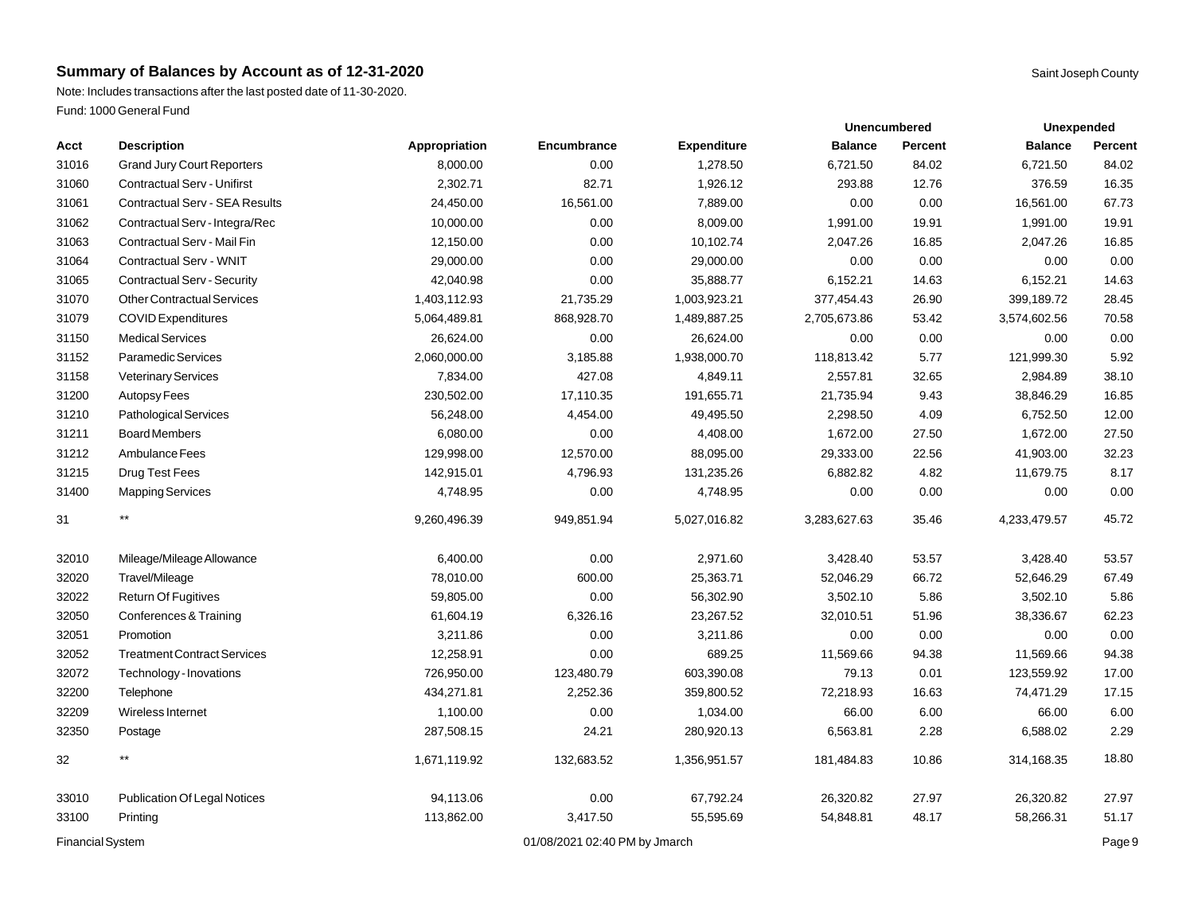Note: Includes transactions after the last posted date of 11-30-2020. Fund: 1000 General Fund

|       | Fund: TOOO General Fund               |               |             |                    |                |                     |                   |           |
|-------|---------------------------------------|---------------|-------------|--------------------|----------------|---------------------|-------------------|-----------|
|       |                                       |               |             |                    |                | <b>Unencumbered</b> | <b>Unexpended</b> |           |
| Acct  | <b>Description</b>                    | Appropriation | Encumbrance | <b>Expenditure</b> | <b>Balance</b> | Percent             | <b>Balance</b>    | Percent   |
| 31016 | <b>Grand Jury Court Reporters</b>     | 8,000.00      | 0.00        | 1,278.50           | 6,721.50       | 84.02               | 6,721.50          | 84.02     |
| 31060 | <b>Contractual Serv - Unifirst</b>    | 2,302.71      | 82.71       | 1,926.12           | 293.88         | 12.76               | 376.59            | 16.35     |
| 31061 | <b>Contractual Serv - SEA Results</b> | 24,450.00     | 16,561.00   | 7,889.00           | 0.00           | 0.00                | 16,561.00         | 67.73     |
| 31062 | Contractual Serv - Integra/Rec        | 10,000.00     | 0.00        | 8,009.00           | 1,991.00       | 19.91               | 1,991.00          | 19.91     |
| 31063 | Contractual Serv - Mail Fin           | 12,150.00     | 0.00        | 10,102.74          | 2,047.26       | 16.85               | 2,047.26          | 16.85     |
| 31064 | Contractual Serv - WNIT               | 29,000.00     | 0.00        | 29,000.00          | 0.00           | 0.00                | 0.00              | 0.00      |
| 31065 | <b>Contractual Serv - Security</b>    | 42,040.98     | 0.00        | 35,888.77          | 6,152.21       | 14.63               | 6,152.21          | 14.63     |
| 31070 | <b>Other Contractual Services</b>     | 1,403,112.93  | 21,735.29   | 1,003,923.21       | 377,454.43     | 26.90               | 399,189.72        | 28.45     |
| 31079 | <b>COVID Expenditures</b>             | 5,064,489.81  | 868,928.70  | 1,489,887.25       | 2,705,673.86   | 53.42               | 3,574,602.56      | 70.58     |
| 31150 | <b>Medical Services</b>               | 26,624.00     | 0.00        | 26,624.00          | 0.00           | 0.00                | 0.00              | 0.00      |
| 31152 | <b>Paramedic Services</b>             | 2,060,000.00  | 3,185.88    | 1,938,000.70       | 118,813.42     | 5.77                | 121,999.30        | 5.92      |
| 31158 | <b>Veterinary Services</b>            | 7,834.00      | 427.08      | 4,849.11           | 2,557.81       | 32.65               | 2,984.89          | 38.10     |
| 31200 | Autopsy Fees                          | 230,502.00    | 17,110.35   | 191,655.71         | 21,735.94      | 9.43                | 38,846.29         | 16.85     |
| 31210 | Pathological Services                 | 56,248.00     | 4,454.00    | 49,495.50          | 2,298.50       | 4.09                | 6,752.50          | 12.00     |
| 31211 | <b>Board Members</b>                  | 6,080.00      | 0.00        | 4,408.00           | 1,672.00       | 27.50               | 1,672.00          | 27.50     |
| ----- |                                       |               |             | -- --- --          | $\cdots$       | $- - -$             | .                 | $- - - -$ |

| <b>Financial System</b> |                                       |              | 01/08/2021 02:40 PM by Jmarch |              |              |       | Page 9       |       |
|-------------------------|---------------------------------------|--------------|-------------------------------|--------------|--------------|-------|--------------|-------|
| 33100                   | Printing                              | 113,862.00   | 3,417.50                      | 55,595.69    | 54,848.81    | 48.17 | 58,266.31    | 51.17 |
| 33010                   | <b>Publication Of Legal Notices</b>   | 94,113.06    | 0.00                          | 67,792.24    | 26,320.82    | 27.97 | 26,320.82    | 27.97 |
| 32                      | $***$                                 | 1,671,119.92 | 132,683.52                    | 1,356,951.57 | 181,484.83   | 10.86 | 314,168.35   | 18.80 |
| 32350                   | Postage                               | 287,508.15   | 24.21                         | 280,920.13   | 6,563.81     | 2.28  | 6,588.02     | 2.29  |
| 32209                   | Wireless Internet                     | 1,100.00     | 0.00                          | 1,034.00     | 66.00        | 6.00  | 66.00        | 6.00  |
| 32200                   | Telephone                             | 434,271.81   | 2,252.36                      | 359,800.52   | 72,218.93    | 16.63 | 74,471.29    | 17.15 |
| 32072                   | Technology - Inovations               | 726,950.00   | 123,480.79                    | 603,390.08   | 79.13        | 0.01  | 123,559.92   | 17.00 |
| 32052                   | <b>Treatment Contract Services</b>    | 12,258.91    | 0.00                          | 689.25       | 11,569.66    | 94.38 | 11,569.66    | 94.38 |
| 32051                   | Promotion                             | 3,211.86     | 0.00                          | 3,211.86     | 0.00         | 0.00  | 0.00         | 0.00  |
| 32050                   | Conferences & Training                | 61,604.19    | 6,326.16                      | 23,267.52    | 32,010.51    | 51.96 | 38,336.67    | 62.23 |
| 32022                   | <b>Return Of Fugitives</b>            | 59,805.00    | 0.00                          | 56,302.90    | 3,502.10     | 5.86  | 3,502.10     | 5.86  |
| 32020                   | Travel/Mileage                        | 78,010.00    | 600.00                        | 25,363.71    | 52,046.29    | 66.72 | 52,646.29    | 67.49 |
| 32010                   | Mileage/Mileage Allowance             | 6,400.00     | 0.00                          | 2,971.60     | 3,428.40     | 53.57 | 3,428.40     | 53.57 |
| 31                      |                                       | 9,260,496.39 | 949,851.94                    | 5,027,016.82 | 3,283,627.63 | 35.46 | 4,233,479.57 | 45.72 |
| 31400                   | <b>Mapping Services</b>               | 4,748.95     | 0.00                          | 4,748.95     | 0.00         | 0.00  | 0.00         | 0.00  |
| 31215                   | Drug Test Fees                        | 142,915.01   | 4,796.93                      | 131,235.26   | 6,882.82     | 4.82  | 11,679.75    | 8.17  |
| 31212                   | Ambulance Fees                        | 129,998.00   | 12,570.00                     | 88,095.00    | 29,333.00    | 22.56 | 41,903.00    | 32.23 |
| 31211                   | <b>Board Members</b>                  | 6,080.00     | 0.00                          | 4,408.00     | 1,672.00     | 27.50 | 1,672.00     | 27.50 |
| 31210                   | Pathological Services                 | 56,248.00    | 4,454.00                      | 49,495.50    | 2,298.50     | 4.09  | 6,752.50     | 12.00 |
| 31200                   | Autopsy Fees                          | 230,502.00   | 17,110.35                     | 191,655.71   | 21,735.94    | 9.43  | 38,846.29    | 16.85 |
| 31158                   | <b>Veterinary Services</b>            | 7,834.00     | 427.08                        | 4,849.11     | 2,557.81     | 32.65 | 2,984.89     | 38.10 |
| 31152                   | <b>Paramedic Services</b>             | 2,060,000.00 | 3,185.88                      | 1,938,000.70 | 118,813.42   | 5.77  | 121,999.30   | 5.92  |
| 31150                   | <b>Medical Services</b>               | 26,624.00    | 0.00                          | 26,624.00    | 0.00         | 0.00  | 0.00         | 0.00  |
| 31079                   | <b>COVID Expenditures</b>             | 5,064,489.81 | 868,928.70                    | 1,489,887.25 | 2,705,673.86 | 53.42 | 3,574,602.56 | 70.58 |
| 31070                   | <b>Other Contractual Services</b>     | 1,403,112.93 | 21,735.29                     | 1,003,923.21 | 377,454.43   | 26.90 | 399,189.72   | 28.45 |
| 31065                   | <b>Contractual Serv - Security</b>    | 42,040.98    | 0.00                          | 35,888.77    | 6,152.21     | 14.63 | 6,152.21     | 14.63 |
| 31064                   | Contractual Serv - WNIT               | 29,000.00    | 0.00                          | 29,000.00    | 0.00         | 0.00  | 0.00         | 0.00  |
| 31063                   | Contractual Serv - Mail Fin           | 12,150.00    | 0.00                          | 10,102.74    | 2,047.26     | 16.85 | 2,047.26     | 16.85 |
| 31062                   | Contractual Serv - Integra/Rec        | 10,000.00    | 0.00                          | 8,009.00     | 1,991.00     | 19.91 | 1,991.00     | 19.91 |
| 31061                   | <b>Contractual Serv - SEA Results</b> | 24,450.00    | 16,561.00                     | 7,889.00     | 0.00         | 0.00  | 16,561.00    | 67.73 |
| 31060                   | <b>Contractual Serv - Unifirst</b>    | 2,302.71     | 82.71                         | 1,926.12     | 293.88       | 12.76 | 376.59       | 16.35 |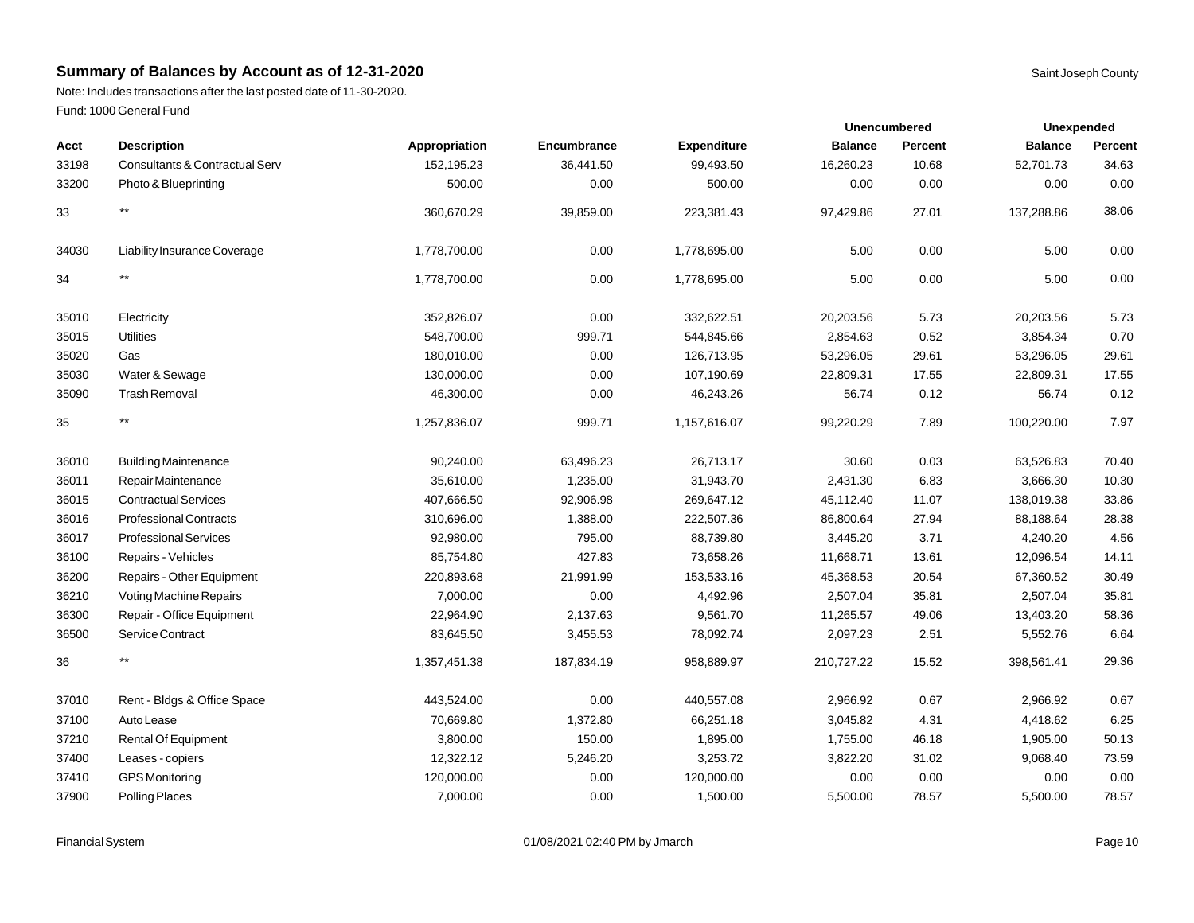Note: Includes transactions after the last posted date of 11-30-2020. Fund: 1000 General Fund

| Acct  | <b>Description</b>             | Appropriation | Encumbrance | <b>Expenditure</b> | <b>Balance</b> | Percent | <b>Balance</b> | Percent |
|-------|--------------------------------|---------------|-------------|--------------------|----------------|---------|----------------|---------|
| 33198 | Consultants & Contractual Serv | 152,195.23    | 36,441.50   | 99,493.50          | 16,260.23      | 10.68   | 52,701.73      | 34.63   |
| 33200 | Photo & Blueprinting           | 500.00        | 0.00        | 500.00             | 0.00           | 0.00    | 0.00           | 0.00    |
| 33    | $***$                          | 360,670.29    | 39,859.00   | 223,381.43         | 97,429.86      | 27.01   | 137,288.86     | 38.06   |
| 34030 | Liability Insurance Coverage   | 1,778,700.00  | 0.00        | 1,778,695.00       | 5.00           | 0.00    | 5.00           | 0.00    |
| 34    | **                             | 1,778,700.00  | 0.00        | 1,778,695.00       | 5.00           | 0.00    | 5.00           | 0.00    |
| 35010 | Electricity                    | 352,826.07    | 0.00        | 332,622.51         | 20,203.56      | 5.73    | 20,203.56      | 5.73    |
| 35015 | <b>Utilities</b>               | 548,700.00    | 999.71      | 544,845.66         | 2,854.63       | 0.52    | 3,854.34       | 0.70    |
| 35020 | Gas                            | 180,010.00    | 0.00        | 126,713.95         | 53,296.05      | 29.61   | 53,296.05      | 29.61   |
| 35030 | Water & Sewage                 | 130,000.00    | 0.00        | 107,190.69         | 22,809.31      | 17.55   | 22,809.31      | 17.55   |
| 35090 | <b>Trash Removal</b>           | 46,300.00     | 0.00        | 46,243.26          | 56.74          | 0.12    | 56.74          | 0.12    |
| 35    | $***$                          | 1,257,836.07  | 999.71      | 1,157,616.07       | 99,220.29      | 7.89    | 100,220.00     | 7.97    |
| 36010 | <b>Building Maintenance</b>    | 90,240.00     | 63,496.23   | 26,713.17          | 30.60          | 0.03    | 63,526.83      | 70.40   |
| 36011 | Repair Maintenance             | 35,610.00     | 1,235.00    | 31,943.70          | 2,431.30       | 6.83    | 3,666.30       | 10.30   |
| 36015 | <b>Contractual Services</b>    | 407,666.50    | 92,906.98   | 269,647.12         | 45,112.40      | 11.07   | 138,019.38     | 33.86   |
| 36016 | <b>Professional Contracts</b>  | 310,696.00    | 1,388.00    | 222,507.36         | 86,800.64      | 27.94   | 88,188.64      | 28.38   |
| 36017 | <b>Professional Services</b>   | 92,980.00     | 795.00      | 88,739.80          | 3,445.20       | 3.71    | 4,240.20       | 4.56    |
| 36100 | Repairs - Vehicles             | 85,754.80     | 427.83      | 73,658.26          | 11,668.71      | 13.61   | 12,096.54      | 14.11   |
| 36200 | Repairs - Other Equipment      | 220,893.68    | 21,991.99   | 153,533.16         | 45,368.53      | 20.54   | 67,360.52      | 30.49   |
| 36210 | Voting Machine Repairs         | 7,000.00      | 0.00        | 4,492.96           | 2,507.04       | 35.81   | 2,507.04       | 35.81   |
| 36300 | Repair - Office Equipment      | 22,964.90     | 2,137.63    | 9,561.70           | 11,265.57      | 49.06   | 13,403.20      | 58.36   |
| 36500 | Service Contract               | 83,645.50     | 3,455.53    | 78,092.74          | 2,097.23       | 2.51    | 5,552.76       | 6.64    |
| 36    | $***$                          | 1,357,451.38  | 187,834.19  | 958,889.97         | 210,727.22     | 15.52   | 398,561.41     | 29.36   |
| 37010 | Rent - Bldgs & Office Space    | 443,524.00    | 0.00        | 440,557.08         | 2,966.92       | 0.67    | 2,966.92       | 0.67    |
| 37100 | Auto Lease                     | 70,669.80     | 1,372.80    | 66,251.18          | 3,045.82       | 4.31    | 4,418.62       | 6.25    |
| 37210 | <b>Rental Of Equipment</b>     | 3,800.00      | 150.00      | 1,895.00           | 1,755.00       | 46.18   | 1,905.00       | 50.13   |
| 37400 | Leases - copiers               | 12,322.12     | 5,246.20    | 3,253.72           | 3,822.20       | 31.02   | 9,068.40       | 73.59   |
| 37410 | <b>GPS</b> Monitoring          | 120,000.00    | 0.00        | 120,000.00         | 0.00           | 0.00    | 0.00           | 0.00    |
| 37900 | Polling Places                 | 7,000.00      | 0.00        | 1,500.00           | 5,500.00       | 78.57   | 5,500.00       | 78.57   |

**Unexpended**

**Unencumbered**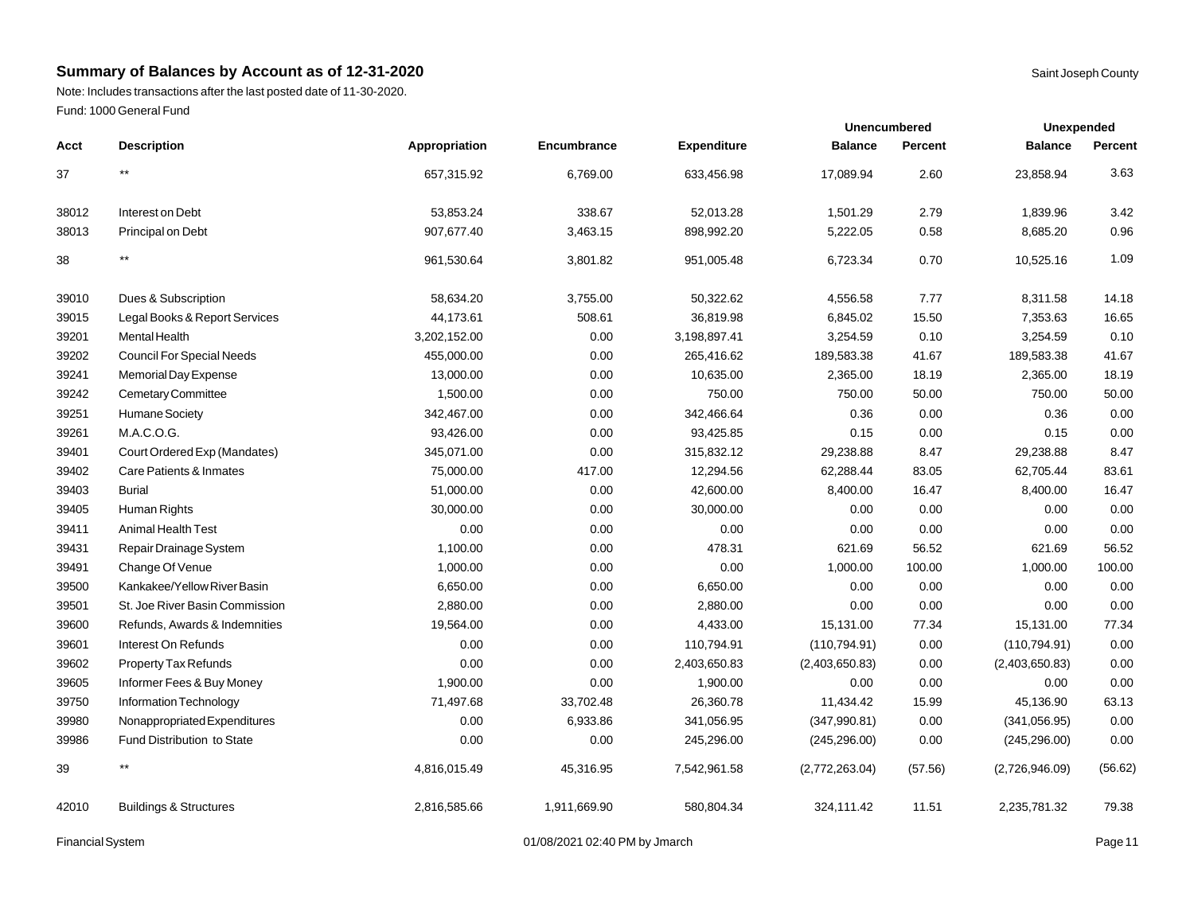Note: Includes transactions after the last posted date of 11-30-2020. Fund: 1000 General Fund

|       |                                   |               |              |                    | <b>Unencumbered</b> |         | Unexpended     |         |
|-------|-----------------------------------|---------------|--------------|--------------------|---------------------|---------|----------------|---------|
| Acct  | <b>Description</b>                | Appropriation | Encumbrance  | <b>Expenditure</b> | <b>Balance</b>      | Percent | <b>Balance</b> | Percent |
| 37    | $***$                             | 657,315.92    | 6,769.00     | 633,456.98         | 17,089.94           | 2.60    | 23,858.94      | 3.63    |
| 38012 | Interest on Debt                  | 53,853.24     | 338.67       | 52,013.28          | 1,501.29            | 2.79    | 1,839.96       | 3.42    |
| 38013 | Principal on Debt                 | 907,677.40    | 3,463.15     | 898,992.20         | 5,222.05            | 0.58    | 8,685.20       | 0.96    |
| 38    | $***$                             | 961,530.64    | 3,801.82     | 951,005.48         | 6,723.34            | 0.70    | 10,525.16      | 1.09    |
| 39010 | Dues & Subscription               | 58,634.20     | 3,755.00     | 50,322.62          | 4,556.58            | 7.77    | 8,311.58       | 14.18   |
| 39015 | Legal Books & Report Services     | 44,173.61     | 508.61       | 36,819.98          | 6,845.02            | 15.50   | 7,353.63       | 16.65   |
| 39201 | Mental Health                     | 3,202,152.00  | 0.00         | 3,198,897.41       | 3,254.59            | 0.10    | 3,254.59       | 0.10    |
| 39202 | <b>Council For Special Needs</b>  | 455,000.00    | 0.00         | 265,416.62         | 189,583.38          | 41.67   | 189,583.38     | 41.67   |
| 39241 | Memorial Day Expense              | 13,000.00     | 0.00         | 10,635.00          | 2,365.00            | 18.19   | 2,365.00       | 18.19   |
| 39242 | Cemetary Committee                | 1,500.00      | 0.00         | 750.00             | 750.00              | 50.00   | 750.00         | 50.00   |
| 39251 | Humane Society                    | 342,467.00    | 0.00         | 342,466.64         | 0.36                | 0.00    | 0.36           | 0.00    |
| 39261 | M.A.C.O.G.                        | 93,426.00     | 0.00         | 93,425.85          | 0.15                | 0.00    | 0.15           | 0.00    |
| 39401 | Court Ordered Exp (Mandates)      | 345,071.00    | 0.00         | 315,832.12         | 29,238.88           | 8.47    | 29,238.88      | 8.47    |
| 39402 | Care Patients & Inmates           | 75,000.00     | 417.00       | 12,294.56          | 62,288.44           | 83.05   | 62,705.44      | 83.61   |
| 39403 | <b>Burial</b>                     | 51,000.00     | 0.00         | 42,600.00          | 8,400.00            | 16.47   | 8,400.00       | 16.47   |
| 39405 | Human Rights                      | 30,000.00     | 0.00         | 30,000.00          | 0.00                | 0.00    | 0.00           | 0.00    |
| 39411 | <b>Animal Health Test</b>         | 0.00          | 0.00         | 0.00               | 0.00                | 0.00    | 0.00           | 0.00    |
| 39431 | Repair Drainage System            | 1,100.00      | 0.00         | 478.31             | 621.69              | 56.52   | 621.69         | 56.52   |
| 39491 | Change Of Venue                   | 1,000.00      | 0.00         | 0.00               | 1,000.00            | 100.00  | 1,000.00       | 100.00  |
| 39500 | Kankakee/Yellow River Basin       | 6,650.00      | 0.00         | 6,650.00           | 0.00                | 0.00    | 0.00           | 0.00    |
| 39501 | St. Joe River Basin Commission    | 2,880.00      | 0.00         | 2,880.00           | 0.00                | 0.00    | 0.00           | 0.00    |
| 39600 | Refunds, Awards & Indemnities     | 19,564.00     | 0.00         | 4,433.00           | 15,131.00           | 77.34   | 15,131.00      | 77.34   |
| 39601 | Interest On Refunds               | 0.00          | 0.00         | 110,794.91         | (110, 794.91)       | 0.00    | (110, 794.91)  | 0.00    |
| 39602 | <b>Property Tax Refunds</b>       | 0.00          | 0.00         | 2,403,650.83       | (2,403,650.83)      | 0.00    | (2,403,650.83) | 0.00    |
| 39605 | Informer Fees & Buy Money         | 1,900.00      | 0.00         | 1,900.00           | 0.00                | 0.00    | 0.00           | 0.00    |
| 39750 | Information Technology            | 71,497.68     | 33,702.48    | 26,360.78          | 11,434.42           | 15.99   | 45,136.90      | 63.13   |
| 39980 | Nonappropriated Expenditures      | 0.00          | 6,933.86     | 341,056.95         | (347,990.81)        | 0.00    | (341, 056.95)  | 0.00    |
| 39986 | <b>Fund Distribution to State</b> | 0.00          | 0.00         | 245,296.00         | (245, 296.00)       | 0.00    | (245, 296.00)  | 0.00    |
| 39    | $***$                             | 4,816,015.49  | 45,316.95    | 7,542,961.58       | (2,772,263.04)      | (57.56) | (2,726,946.09) | (56.62) |
| 42010 | <b>Buildings &amp; Structures</b> | 2,816,585.66  | 1.911.669.90 | 580.804.34         | 324,111.42          | 11.51   | 2,235,781.32   | 79.38   |

Financial System **Example 2014** 01/08/2021 02:40 PM by Jmarch **Page 11** Page 11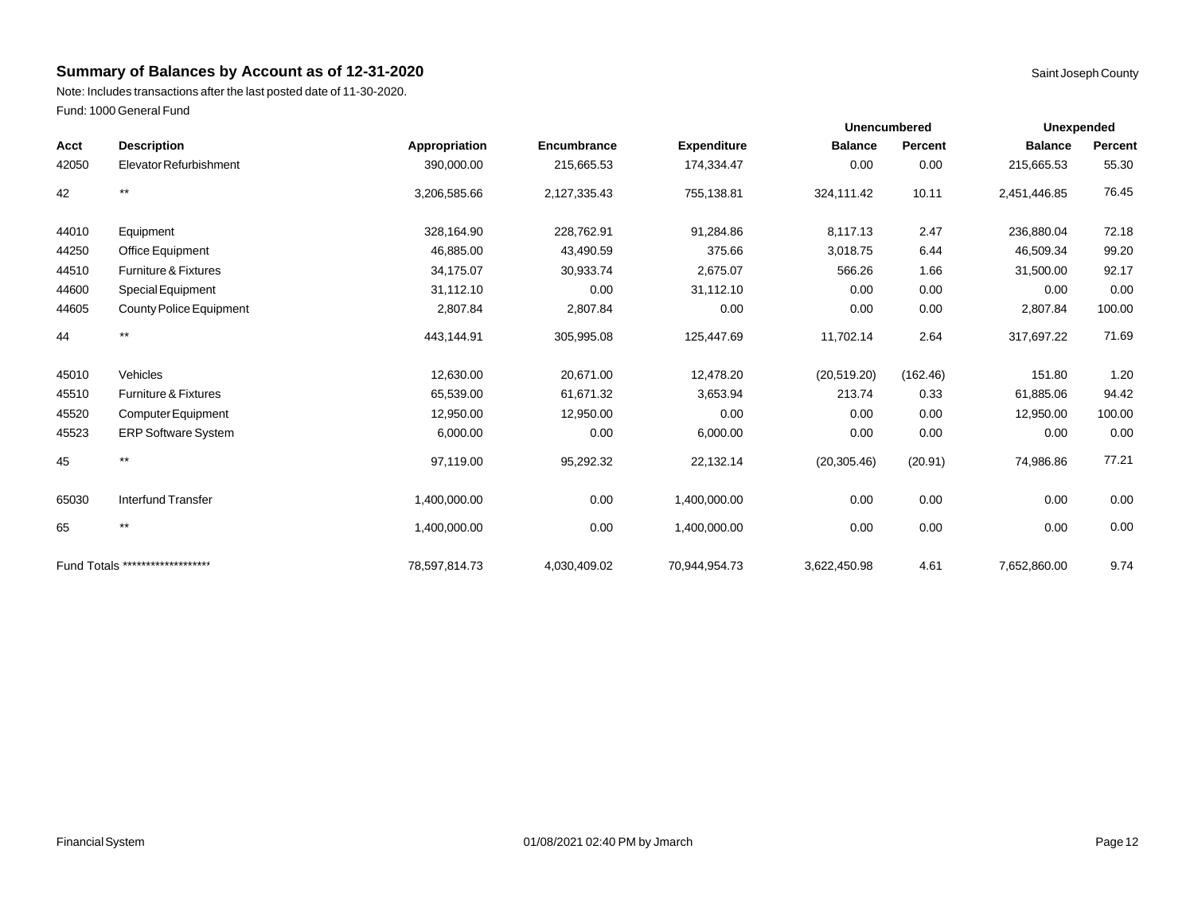Note: Includes transactions after the last posted date of 11-30-2020. Fund: 1000 General Fund

|       |                                  |               |              |                    |                | <b>Unencumbered</b> |                | <b>Unexpended</b> |  |  |
|-------|----------------------------------|---------------|--------------|--------------------|----------------|---------------------|----------------|-------------------|--|--|
| Acct  | <b>Description</b>               | Appropriation | Encumbrance  | <b>Expenditure</b> | <b>Balance</b> | Percent             | <b>Balance</b> | Percent           |  |  |
| 42050 | Elevator Refurbishment           | 390,000.00    | 215,665.53   | 174,334.47         | 0.00           | 0.00                | 215,665.53     | 55.30             |  |  |
| 42    | $***$                            | 3,206,585.66  | 2,127,335.43 | 755,138.81         | 324,111.42     | 10.11               | 2,451,446.85   | 76.45             |  |  |
| 44010 | Equipment                        | 328,164.90    | 228,762.91   | 91,284.86          | 8,117.13       | 2.47                | 236,880.04     | 72.18             |  |  |
| 44250 | Office Equipment                 | 46,885.00     | 43,490.59    | 375.66             | 3,018.75       | 6.44                | 46,509.34      | 99.20             |  |  |
| 44510 | Furniture & Fixtures             | 34,175.07     | 30,933.74    | 2,675.07           | 566.26         | 1.66                | 31,500.00      | 92.17             |  |  |
| 44600 | <b>Special Equipment</b>         | 31,112.10     | 0.00         | 31,112.10          | 0.00           | 0.00                | 0.00           | 0.00              |  |  |
| 44605 | <b>County Police Equipment</b>   | 2,807.84      | 2,807.84     | 0.00               | 0.00           | $0.00\,$            | 2,807.84       | 100.00            |  |  |
| 44    | $***$                            | 443,144.91    | 305,995.08   | 125,447.69         | 11,702.14      | 2.64                | 317,697.22     | 71.69             |  |  |
| 45010 | Vehicles                         | 12,630.00     | 20,671.00    | 12,478.20          | (20, 519.20)   | (162.46)            | 151.80         | 1.20              |  |  |
| 45510 | <b>Furniture &amp; Fixtures</b>  | 65,539.00     | 61,671.32    | 3,653.94           | 213.74         | 0.33                | 61,885.06      | 94.42             |  |  |
| 45520 | Computer Equipment               | 12,950.00     | 12,950.00    | 0.00               | 0.00           | 0.00                | 12,950.00      | 100.00            |  |  |
| 45523 | <b>ERP Software System</b>       | 6,000.00      | 0.00         | 6,000.00           | 0.00           | 0.00                | 0.00           | 0.00              |  |  |
| 45    | $***$                            | 97,119.00     | 95,292.32    | 22,132.14          | (20, 305.46)   | (20.91)             | 74,986.86      | 77.21             |  |  |
| 65030 | <b>Interfund Transfer</b>        | 1,400,000.00  | 0.00         | 1,400,000.00       | 0.00           | 0.00                | 0.00           | 0.00              |  |  |
| 65    | $***$                            | 1,400,000.00  | 0.00         | 1,400,000.00       | 0.00           | 0.00                | 0.00           | 0.00              |  |  |
|       | Fund Totals ******************** | 78.597.814.73 | 4,030,409.02 | 70.944.954.73      | 3,622,450.98   | 4.61                | 7,652,860.00   | 9.74              |  |  |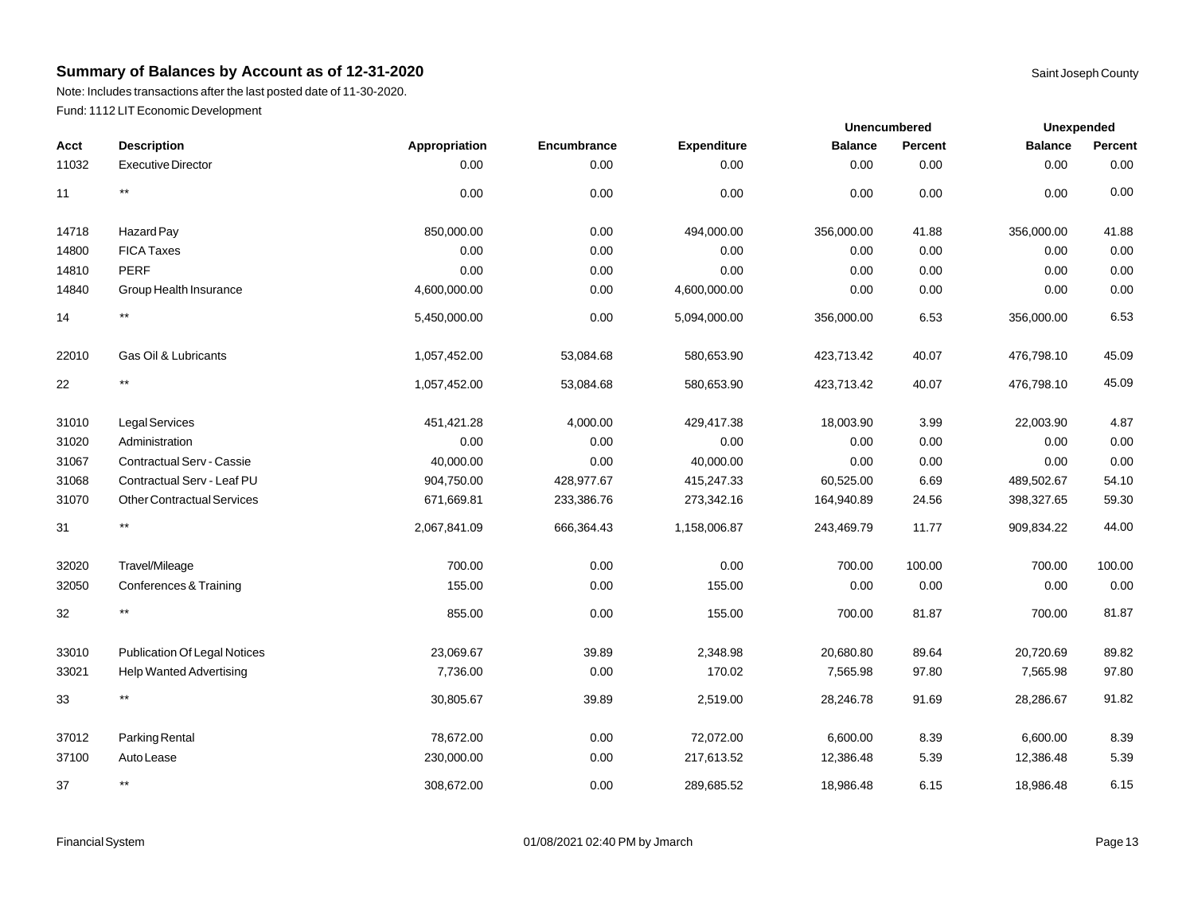Note: Includes transactions after the last posted date of 11-30-2020. Fund: 1112 LIT Economic Development

|       |                                     |               |             |                    |                | <b>Unencumbered</b> | <b>Unexpended</b> |         |
|-------|-------------------------------------|---------------|-------------|--------------------|----------------|---------------------|-------------------|---------|
| Acct  | <b>Description</b>                  | Appropriation | Encumbrance | <b>Expenditure</b> | <b>Balance</b> | Percent             | <b>Balance</b>    | Percent |
| 11032 | <b>Executive Director</b>           | 0.00          | 0.00        | 0.00               | 0.00           | 0.00                | 0.00              | 0.00    |
| 11    | $^{\star\star}$                     | 0.00          | 0.00        | 0.00               | 0.00           | 0.00                | 0.00              | 0.00    |
| 14718 | Hazard Pay                          | 850,000.00    | 0.00        | 494,000.00         | 356,000.00     | 41.88               | 356,000.00        | 41.88   |
| 14800 | <b>FICA Taxes</b>                   | 0.00          | 0.00        | 0.00               | 0.00           | 0.00                | 0.00              | 0.00    |
| 14810 | <b>PERF</b>                         | 0.00          | 0.00        | 0.00               | 0.00           | 0.00                | 0.00              | 0.00    |
| 14840 | Group Health Insurance              | 4,600,000.00  | 0.00        | 4,600,000.00       | 0.00           | 0.00                | 0.00              | 0.00    |
| 14    | $^{\star\star}$                     | 5,450,000.00  | 0.00        | 5,094,000.00       | 356,000.00     | 6.53                | 356,000.00        | 6.53    |
| 22010 | Gas Oil & Lubricants                | 1,057,452.00  | 53,084.68   | 580,653.90         | 423,713.42     | 40.07               | 476,798.10        | 45.09   |
| 22    | $^{\star\star}$                     | 1,057,452.00  | 53,084.68   | 580,653.90         | 423,713.42     | 40.07               | 476,798.10        | 45.09   |
| 31010 | Legal Services                      | 451,421.28    | 4,000.00    | 429,417.38         | 18,003.90      | 3.99                | 22,003.90         | 4.87    |
| 31020 | Administration                      | 0.00          | 0.00        | 0.00               | 0.00           | 0.00                | 0.00              | 0.00    |
| 31067 | <b>Contractual Serv - Cassie</b>    | 40,000.00     | 0.00        | 40,000.00          | 0.00           | 0.00                | 0.00              | 0.00    |
| 31068 | Contractual Serv - Leaf PU          | 904,750.00    | 428,977.67  | 415,247.33         | 60,525.00      | 6.69                | 489,502.67        | 54.10   |
| 31070 | <b>Other Contractual Services</b>   | 671,669.81    | 233,386.76  | 273,342.16         | 164,940.89     | 24.56               | 398,327.65        | 59.30   |
| 31    | $^{\star\star}$                     | 2,067,841.09  | 666,364.43  | 1,158,006.87       | 243,469.79     | 11.77               | 909,834.22        | 44.00   |
| 32020 | Travel/Mileage                      | 700.00        | 0.00        | 0.00               | 700.00         | 100.00              | 700.00            | 100.00  |
| 32050 | Conferences & Training              | 155.00        | 0.00        | 155.00             | 0.00           | 0.00                | 0.00              | 0.00    |
| 32    | $^{\star\star}$                     | 855.00        | 0.00        | 155.00             | 700.00         | 81.87               | 700.00            | 81.87   |
| 33010 | <b>Publication Of Legal Notices</b> | 23,069.67     | 39.89       | 2,348.98           | 20,680.80      | 89.64               | 20,720.69         | 89.82   |
| 33021 | <b>Help Wanted Advertising</b>      | 7,736.00      | 0.00        | 170.02             | 7,565.98       | 97.80               | 7,565.98          | 97.80   |
| 33    | $***$                               | 30,805.67     | 39.89       | 2,519.00           | 28,246.78      | 91.69               | 28,286.67         | 91.82   |
| 37012 | Parking Rental                      | 78,672.00     | 0.00        | 72,072.00          | 6,600.00       | 8.39                | 6,600.00          | 8.39    |
| 37100 | Auto Lease                          | 230,000.00    | 0.00        | 217,613.52         | 12,386.48      | 5.39                | 12,386.48         | 5.39    |
| 37    | $^{\star\star}$                     | 308,672.00    | 0.00        | 289,685.52         | 18,986.48      | 6.15                | 18,986.48         | 6.15    |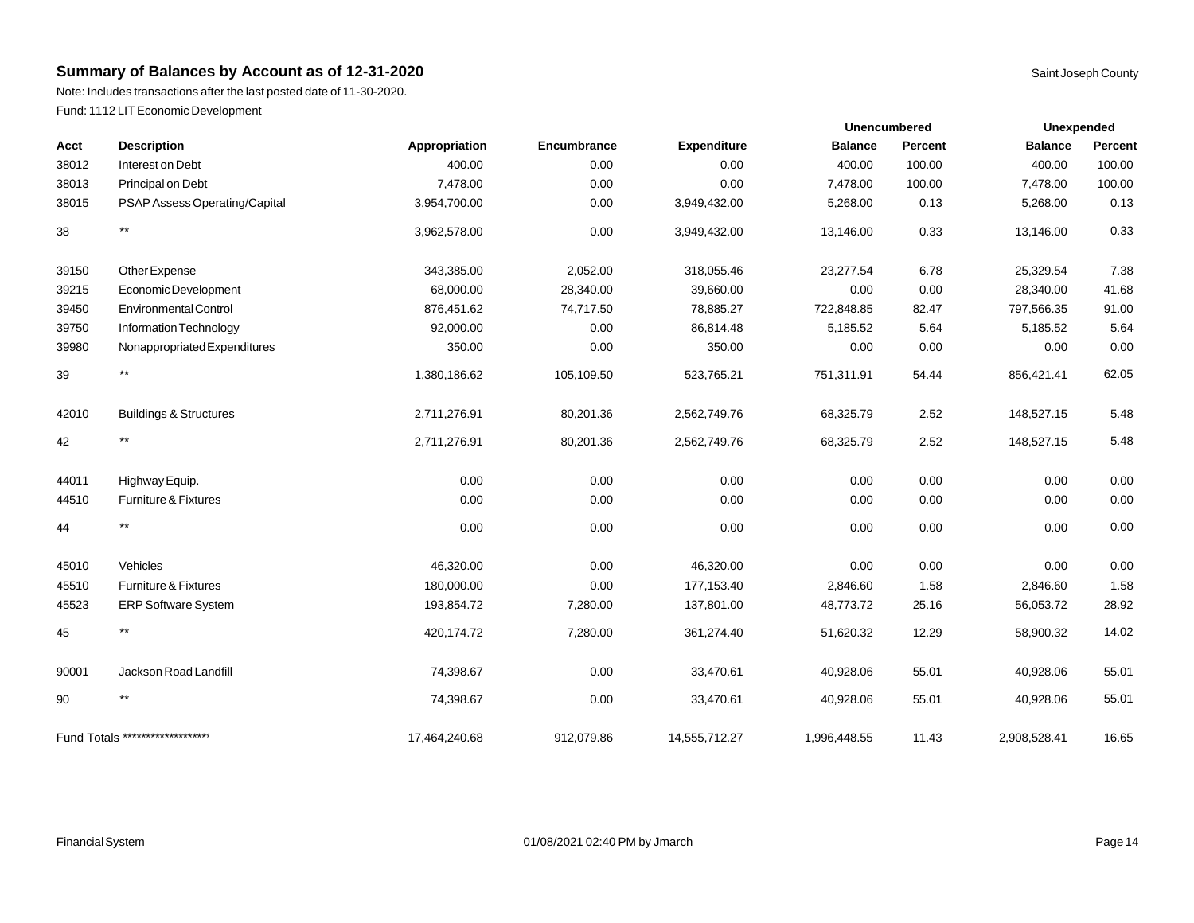Note: Includes transactions after the last posted date of 11-30-2020. Fund: 1112 LIT Economic Development

|       |                                   |               |             |                    |                | <b>Unencumbered</b> |                | <b>Unexpended</b> |  |
|-------|-----------------------------------|---------------|-------------|--------------------|----------------|---------------------|----------------|-------------------|--|
| Acct  | <b>Description</b>                | Appropriation | Encumbrance | <b>Expenditure</b> | <b>Balance</b> | Percent             | <b>Balance</b> | Percent           |  |
| 38012 | Interest on Debt                  | 400.00        | 0.00        | 0.00               | 400.00         | 100.00              | 400.00         | 100.00            |  |
| 38013 | Principal on Debt                 | 7,478.00      | 0.00        | 0.00               | 7,478.00       | 100.00              | 7,478.00       | 100.00            |  |
| 38015 | PSAP Assess Operating/Capital     | 3,954,700.00  | 0.00        | 3,949,432.00       | 5,268.00       | 0.13                | 5,268.00       | 0.13              |  |
| 38    | $***$                             | 3,962,578.00  | 0.00        | 3,949,432.00       | 13,146.00      | 0.33                | 13,146.00      | 0.33              |  |
| 39150 | Other Expense                     | 343,385.00    | 2,052.00    | 318,055.46         | 23,277.54      | 6.78                | 25,329.54      | 7.38              |  |
| 39215 | Economic Development              | 68,000.00     | 28,340.00   | 39,660.00          | 0.00           | 0.00                | 28,340.00      | 41.68             |  |
| 39450 | <b>Environmental Control</b>      | 876,451.62    | 74,717.50   | 78,885.27          | 722,848.85     | 82.47               | 797,566.35     | 91.00             |  |
| 39750 | Information Technology            | 92,000.00     | 0.00        | 86,814.48          | 5,185.52       | 5.64                | 5,185.52       | 5.64              |  |
| 39980 | Nonappropriated Expenditures      | 350.00        | 0.00        | 350.00             | 0.00           | 0.00                | 0.00           | 0.00              |  |
| 39    | $***$                             | 1,380,186.62  | 105,109.50  | 523,765.21         | 751,311.91     | 54.44               | 856,421.41     | 62.05             |  |
| 42010 | <b>Buildings &amp; Structures</b> | 2,711,276.91  | 80,201.36   | 2,562,749.76       | 68,325.79      | 2.52                | 148,527.15     | 5.48              |  |
| 42    | $***$                             | 2,711,276.91  | 80,201.36   | 2,562,749.76       | 68,325.79      | 2.52                | 148,527.15     | 5.48              |  |
| 44011 | Highway Equip.                    | 0.00          | 0.00        | 0.00               | 0.00           | 0.00                | 0.00           | 0.00              |  |
| 44510 | Furniture & Fixtures              | 0.00          | 0.00        | 0.00               | 0.00           | 0.00                | 0.00           | 0.00              |  |
| 44    | $***$                             | 0.00          | 0.00        | 0.00               | 0.00           | 0.00                | 0.00           | 0.00              |  |
| 45010 | Vehicles                          | 46,320.00     | 0.00        | 46,320.00          | 0.00           | 0.00                | 0.00           | 0.00              |  |
| 45510 | Furniture & Fixtures              | 180,000.00    | 0.00        | 177,153.40         | 2,846.60       | 1.58                | 2,846.60       | 1.58              |  |
| 45523 | <b>ERP Software System</b>        | 193,854.72    | 7,280.00    | 137,801.00         | 48,773.72      | 25.16               | 56,053.72      | 28.92             |  |
| 45    | $***$                             | 420,174.72    | 7,280.00    | 361,274.40         | 51,620.32      | 12.29               | 58,900.32      | 14.02             |  |
| 90001 | Jackson Road Landfill             | 74,398.67     | 0.00        | 33,470.61          | 40,928.06      | 55.01               | 40,928.06      | 55.01             |  |
| 90    | $***$                             | 74,398.67     | 0.00        | 33,470.61          | 40,928.06      | 55.01               | 40,928.06      | 55.01             |  |
|       | Fund Totals ********************  | 17,464,240.68 | 912,079.86  | 14,555,712.27      | 1,996,448.55   | 11.43               | 2,908,528.41   | 16.65             |  |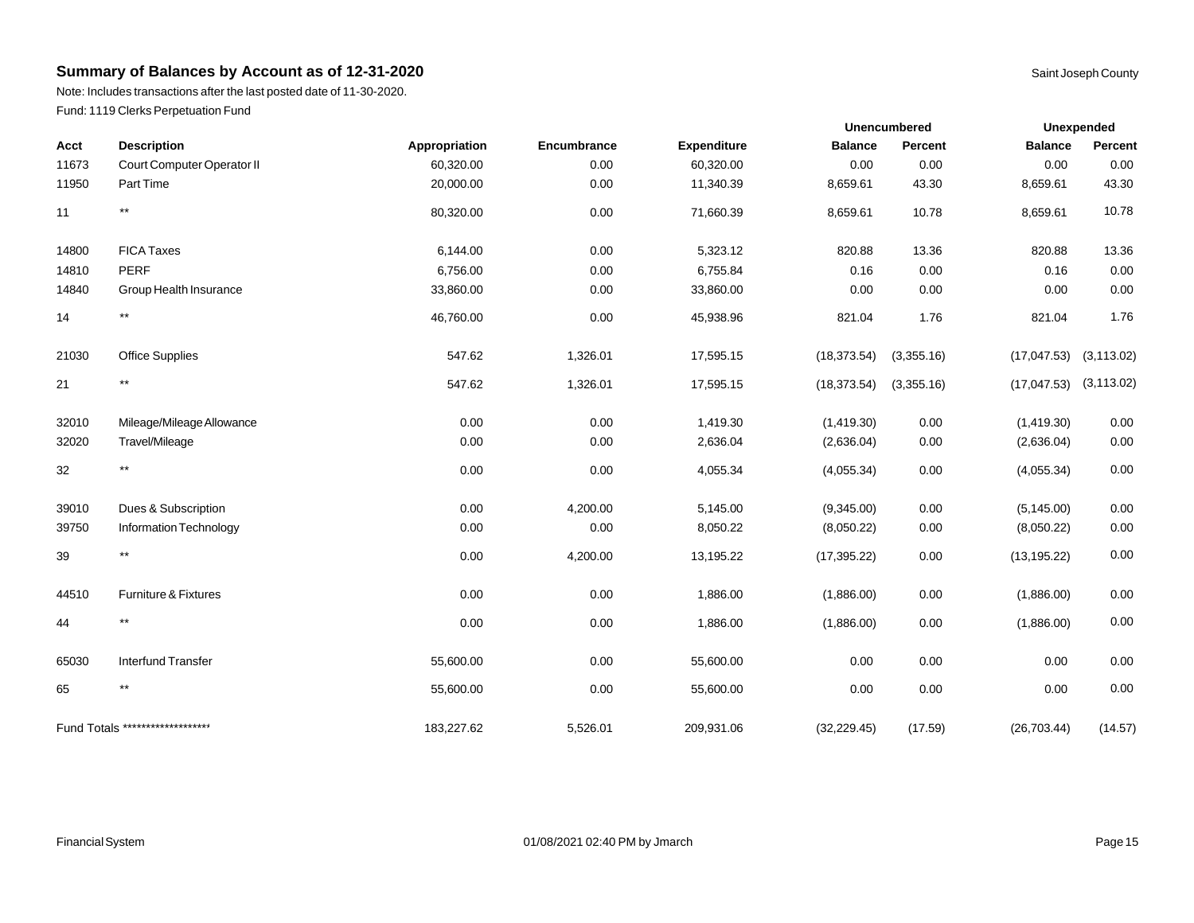Note: Includes transactions after the last posted date of 11-30-2020. Fund: 1119 Clerks Perpetuation Fund

| Acct  | <b>Description</b>               | Appropriation | Encumbrance | <b>Expenditure</b> | <b>Balance</b> | Percent    | <b>Balance</b> | Percent     |
|-------|----------------------------------|---------------|-------------|--------------------|----------------|------------|----------------|-------------|
| 11673 | Court Computer Operator II       | 60,320.00     | 0.00        | 60,320.00          | 0.00           | 0.00       | 0.00           | 0.00        |
| 11950 | Part Time                        | 20,000.00     | 0.00        | 11,340.39          | 8,659.61       | 43.30      | 8,659.61       | 43.30       |
| 11    | $***$                            | 80,320.00     | 0.00        | 71,660.39          | 8,659.61       | 10.78      | 8,659.61       | 10.78       |
| 14800 | <b>FICA Taxes</b>                | 6,144.00      | 0.00        | 5,323.12           | 820.88         | 13.36      | 820.88         | 13.36       |
| 14810 | <b>PERF</b>                      | 6,756.00      | 0.00        | 6,755.84           | 0.16           | 0.00       | 0.16           | 0.00        |
| 14840 | Group Health Insurance           | 33,860.00     | 0.00        | 33,860.00          | 0.00           | 0.00       | 0.00           | 0.00        |
| 14    | $^{\star\star}$                  | 46,760.00     | 0.00        | 45,938.96          | 821.04         | 1.76       | 821.04         | 1.76        |
| 21030 | <b>Office Supplies</b>           | 547.62        | 1,326.01    | 17,595.15          | (18, 373.54)   | (3,355.16) | (17, 047.53)   | (3, 113.02) |
| 21    | $^{\star\star}$                  | 547.62        | 1,326.01    | 17,595.15          | (18, 373.54)   | (3,355.16) | (17, 047.53)   | (3, 113.02) |
| 32010 | Mileage/Mileage Allowance        | 0.00          | 0.00        | 1,419.30           | (1,419.30)     | $0.00\,$   | (1,419.30)     | 0.00        |
| 32020 | Travel/Mileage                   | 0.00          | 0.00        | 2,636.04           | (2,636.04)     | 0.00       | (2,636.04)     | 0.00        |
| 32    | $^{\star\star}$                  | 0.00          | 0.00        | 4,055.34           | (4,055.34)     | 0.00       | (4,055.34)     | 0.00        |
| 39010 | Dues & Subscription              | 0.00          | 4,200.00    | 5,145.00           | (9,345.00)     | 0.00       | (5, 145.00)    | 0.00        |
| 39750 | Information Technology           | 0.00          | 0.00        | 8,050.22           | (8,050.22)     | $0.00\,$   | (8,050.22)     | 0.00        |
| 39    | $***$                            | 0.00          | 4,200.00    | 13,195.22          | (17, 395.22)   | 0.00       | (13, 195.22)   | $0.00\,$    |
| 44510 | Furniture & Fixtures             | 0.00          | 0.00        | 1,886.00           | (1,886.00)     | 0.00       | (1,886.00)     | 0.00        |
| 44    | $***$                            | 0.00          | 0.00        | 1,886.00           | (1,886.00)     | $0.00\,$   | (1,886.00)     | 0.00        |
| 65030 | <b>Interfund Transfer</b>        | 55,600.00     | 0.00        | 55,600.00          | 0.00           | $0.00\,$   | 0.00           | 0.00        |
| 65    | $^{\star\star}$                  | 55,600.00     | 0.00        | 55,600.00          | 0.00           | 0.00       | 0.00           | 0.00        |
|       | Fund Totals ******************** | 183,227.62    | 5,526.01    | 209,931.06         | (32, 229.45)   | (17.59)    | (26, 703.44)   | (14.57)     |

**Unexpended**

**Unencumbered**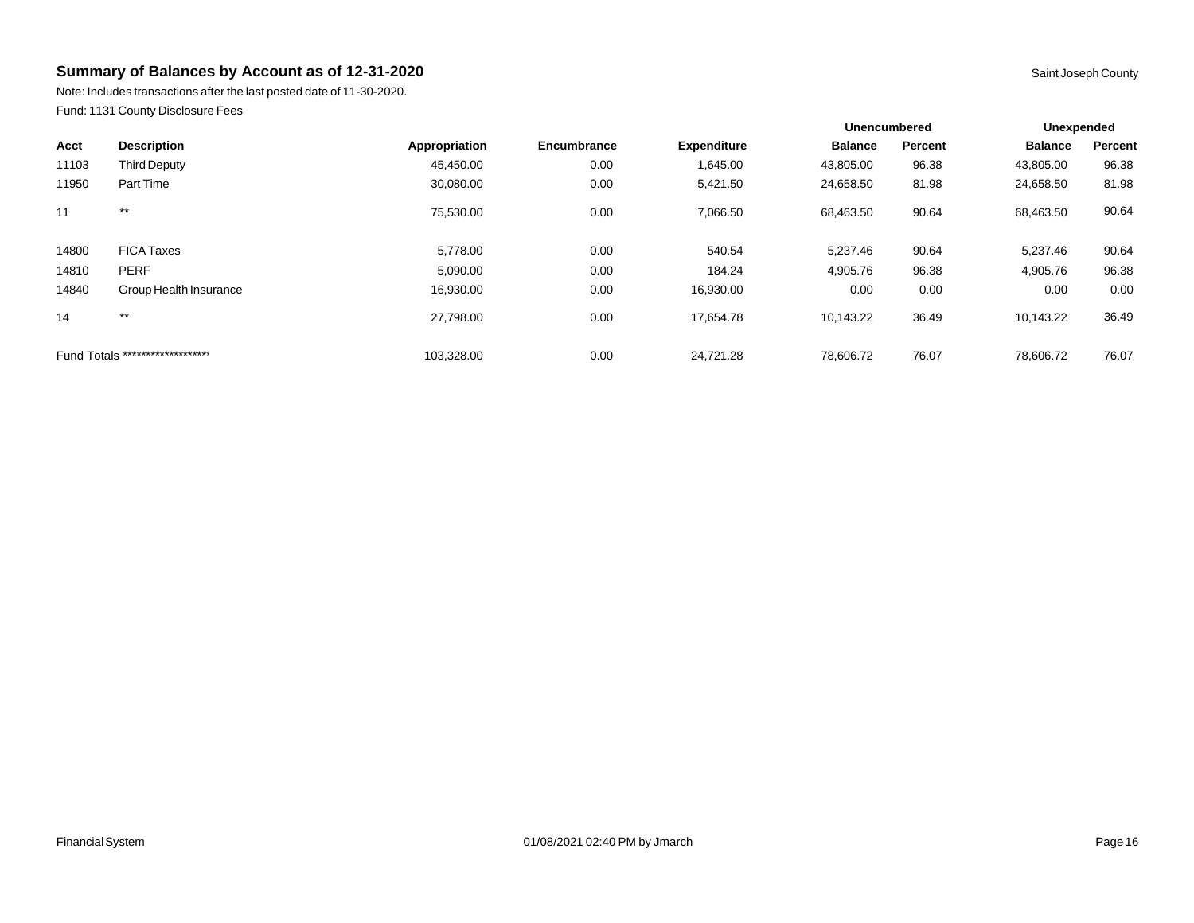Note: Includes transactions after the last posted date of 11-30-2020. Fund: 1131 County Disclosure Fees

|                                  |                        |               |             |                    | <b>Unencumbered</b> |         | Unexpended     |         |
|----------------------------------|------------------------|---------------|-------------|--------------------|---------------------|---------|----------------|---------|
| Acct                             | <b>Description</b>     | Appropriation | Encumbrance | <b>Expenditure</b> | <b>Balance</b>      | Percent | <b>Balance</b> | Percent |
| 11103                            | <b>Third Deputy</b>    | 45,450.00     | 0.00        | 1,645.00           | 43,805.00           | 96.38   | 43,805.00      | 96.38   |
| 11950                            | Part Time              | 30,080.00     | 0.00        | 5,421.50           | 24,658.50           | 81.98   | 24,658.50      | 81.98   |
| 11                               | $***$                  | 75,530.00     | 0.00        | 7,066.50           | 68,463.50           | 90.64   | 68,463.50      | 90.64   |
| 14800                            | <b>FICA Taxes</b>      | 5,778.00      | 0.00        | 540.54             | 5,237.46            | 90.64   | 5,237.46       | 90.64   |
| 14810                            | <b>PERF</b>            | 5,090.00      | 0.00        | 184.24             | 4,905.76            | 96.38   | 4,905.76       | 96.38   |
| 14840                            | Group Health Insurance | 16,930.00     | 0.00        | 16,930.00          | 0.00                | 0.00    | 0.00           | 0.00    |
| 14                               | $***$                  | 27.798.00     | 0.00        | 17.654.78          | 10.143.22           | 36.49   | 10.143.22      | 36.49   |
| Fund Totals ******************** |                        | 103,328.00    | 0.00        | 24.721.28          | 78,606.72           | 76.07   | 78,606.72      | 76.07   |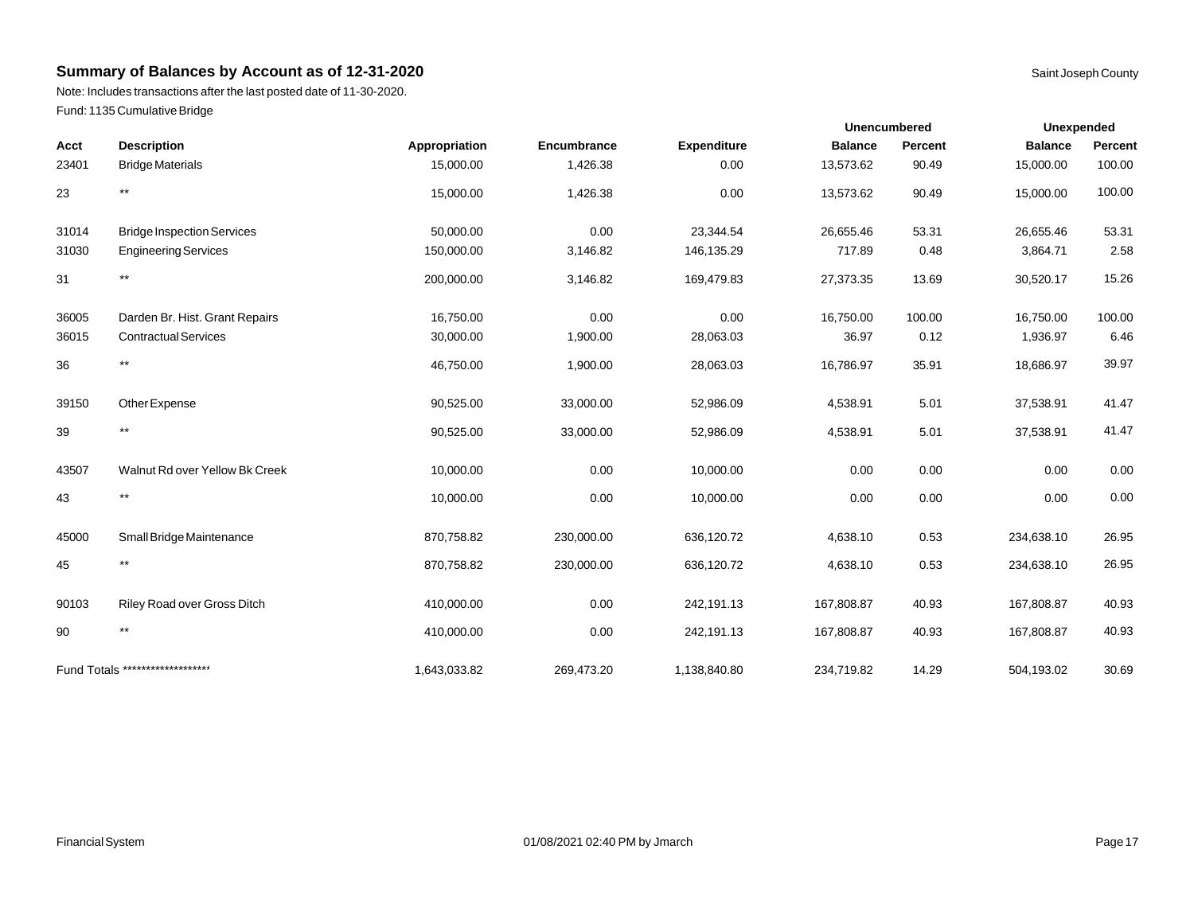Note: Includes transactions after the last posted date of 11-30-2020. Fund: 1135 Cumulative Bridge

|       |                                   |               |             |                    |                | <b>Unencumbered</b> | <b>Unexpended</b> |         |
|-------|-----------------------------------|---------------|-------------|--------------------|----------------|---------------------|-------------------|---------|
| Acct  | <b>Description</b>                | Appropriation | Encumbrance | <b>Expenditure</b> | <b>Balance</b> | Percent             | <b>Balance</b>    | Percent |
| 23401 | <b>Bridge Materials</b>           | 15,000.00     | 1,426.38    | 0.00               | 13,573.62      | 90.49               | 15,000.00         | 100.00  |
| 23    | $***$                             | 15,000.00     | 1,426.38    | 0.00               | 13,573.62      | 90.49               | 15,000.00         | 100.00  |
| 31014 | <b>Bridge Inspection Services</b> | 50,000.00     | 0.00        | 23,344.54          | 26,655.46      | 53.31               | 26,655.46         | 53.31   |
| 31030 | <b>Engineering Services</b>       | 150,000.00    | 3,146.82    | 146,135.29         | 717.89         | 0.48                | 3,864.71          | 2.58    |
| 31    | $\star\star$                      | 200,000.00    | 3,146.82    | 169,479.83         | 27,373.35      | 13.69               | 30,520.17         | 15.26   |
| 36005 | Darden Br. Hist. Grant Repairs    | 16,750.00     | 0.00        | 0.00               | 16,750.00      | 100.00              | 16,750.00         | 100.00  |
| 36015 | <b>Contractual Services</b>       | 30,000.00     | 1,900.00    | 28,063.03          | 36.97          | 0.12                | 1,936.97          | 6.46    |
| 36    | $***$                             | 46,750.00     | 1,900.00    | 28,063.03          | 16,786.97      | 35.91               | 18,686.97         | 39.97   |
| 39150 | Other Expense                     | 90,525.00     | 33,000.00   | 52,986.09          | 4,538.91       | 5.01                | 37,538.91         | 41.47   |
| 39    | $***$                             | 90,525.00     | 33,000.00   | 52,986.09          | 4,538.91       | 5.01                | 37,538.91         | 41.47   |
| 43507 | Walnut Rd over Yellow Bk Creek    | 10,000.00     | 0.00        | 10,000.00          | 0.00           | 0.00                | 0.00              | 0.00    |
| 43    | $***$                             | 10,000.00     | 0.00        | 10,000.00          | 0.00           | 0.00                | 0.00              | 0.00    |
| 45000 | Small Bridge Maintenance          | 870,758.82    | 230,000.00  | 636,120.72         | 4,638.10       | 0.53                | 234,638.10        | 26.95   |
| 45    | $***$                             | 870,758.82    | 230,000.00  | 636,120.72         | 4,638.10       | 0.53                | 234,638.10        | 26.95   |
| 90103 | Riley Road over Gross Ditch       | 410,000.00    | 0.00        | 242,191.13         | 167,808.87     | 40.93               | 167,808.87        | 40.93   |
| 90    | $***$                             | 410,000.00    | 0.00        | 242,191.13         | 167,808.87     | 40.93               | 167,808.87        | 40.93   |
|       | Fund Totals ********************  | 1,643,033.82  | 269,473.20  | 1,138,840.80       | 234,719.82     | 14.29               | 504,193.02        | 30.69   |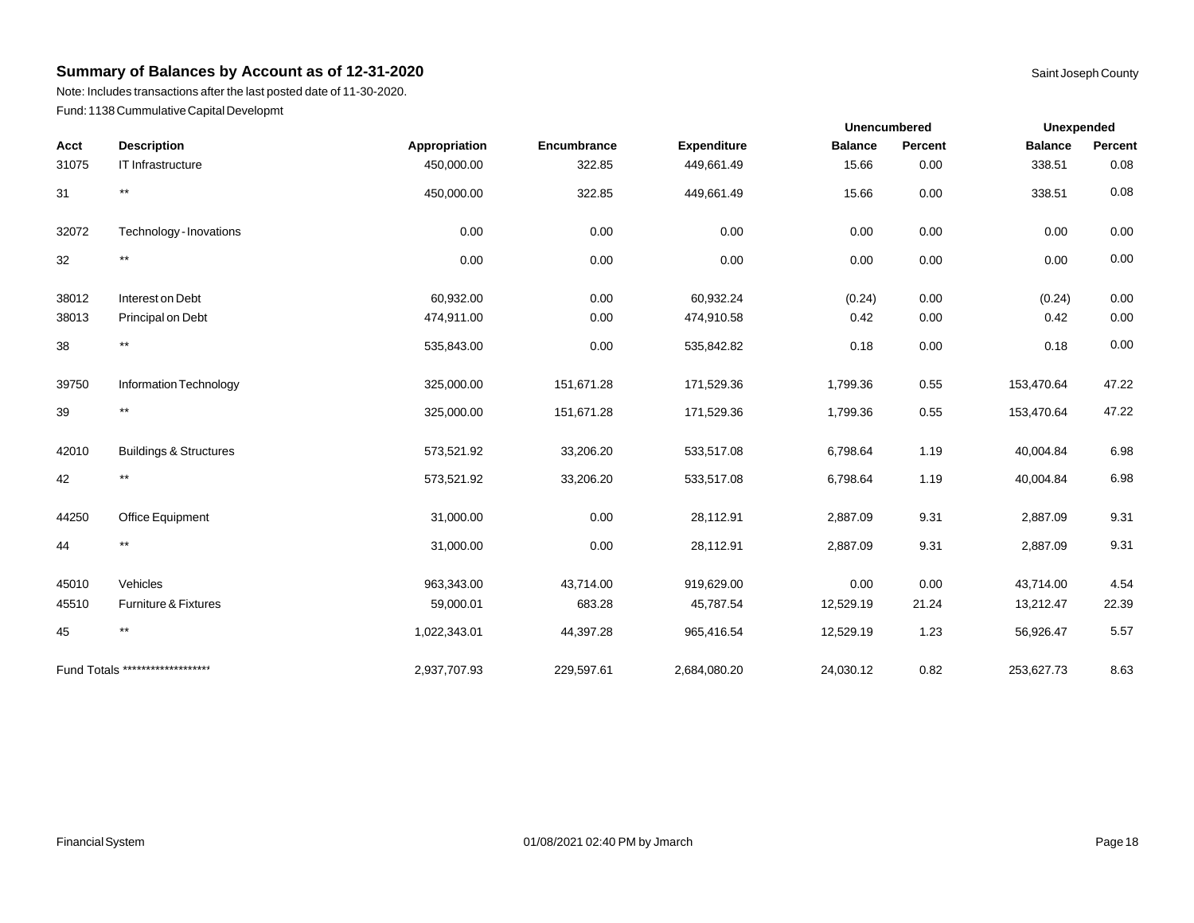Note: Includes transactions after the last posted date of 11-30-2020. Fund: 1138 Cummulative Capital Developmt

|       |                                   |               |             |                    |                | <b>Unencumbered</b> | <b>Unexpended</b> |         |
|-------|-----------------------------------|---------------|-------------|--------------------|----------------|---------------------|-------------------|---------|
| Acct  | <b>Description</b>                | Appropriation | Encumbrance | <b>Expenditure</b> | <b>Balance</b> | Percent             | <b>Balance</b>    | Percent |
| 31075 | IT Infrastructure                 | 450,000.00    | 322.85      | 449,661.49         | 15.66          | 0.00                | 338.51            | 0.08    |
| 31    | $***$                             | 450,000.00    | 322.85      | 449,661.49         | 15.66          | 0.00                | 338.51            | 0.08    |
| 32072 | Technology - Inovations           | 0.00          | 0.00        | 0.00               | 0.00           | 0.00                | 0.00              | 0.00    |
| 32    | $***$                             | 0.00          | 0.00        | 0.00               | 0.00           | 0.00                | 0.00              | 0.00    |
| 38012 | Interest on Debt                  | 60,932.00     | 0.00        | 60,932.24          | (0.24)         | 0.00                | (0.24)            | 0.00    |
| 38013 | Principal on Debt                 | 474,911.00    | 0.00        | 474,910.58         | 0.42           | 0.00                | 0.42              | 0.00    |
| 38    | $***$                             | 535,843.00    | 0.00        | 535,842.82         | 0.18           | 0.00                | 0.18              | 0.00    |
| 39750 | Information Technology            | 325,000.00    | 151,671.28  | 171,529.36         | 1,799.36       | 0.55                | 153,470.64        | 47.22   |
| 39    | $***$                             | 325,000.00    | 151,671.28  | 171,529.36         | 1,799.36       | 0.55                | 153,470.64        | 47.22   |
| 42010 | <b>Buildings &amp; Structures</b> | 573,521.92    | 33,206.20   | 533,517.08         | 6,798.64       | 1.19                | 40,004.84         | 6.98    |
| 42    | $\star\star$                      | 573,521.92    | 33,206.20   | 533,517.08         | 6,798.64       | 1.19                | 40,004.84         | 6.98    |
| 44250 | Office Equipment                  | 31,000.00     | 0.00        | 28,112.91          | 2,887.09       | 9.31                | 2,887.09          | 9.31    |
| 44    | $***$                             | 31,000.00     | 0.00        | 28,112.91          | 2,887.09       | 9.31                | 2,887.09          | 9.31    |
| 45010 | Vehicles                          | 963,343.00    | 43,714.00   | 919,629.00         | 0.00           | 0.00                | 43,714.00         | 4.54    |
| 45510 | Furniture & Fixtures              | 59,000.01     | 683.28      | 45,787.54          | 12,529.19      | 21.24               | 13,212.47         | 22.39   |
| 45    | $***$                             | 1,022,343.01  | 44,397.28   | 965,416.54         | 12,529.19      | 1.23                | 56,926.47         | 5.57    |
|       | Fund Totals ********************  | 2,937,707.93  | 229,597.61  | 2,684,080.20       | 24,030.12      | 0.82                | 253,627.73        | 8.63    |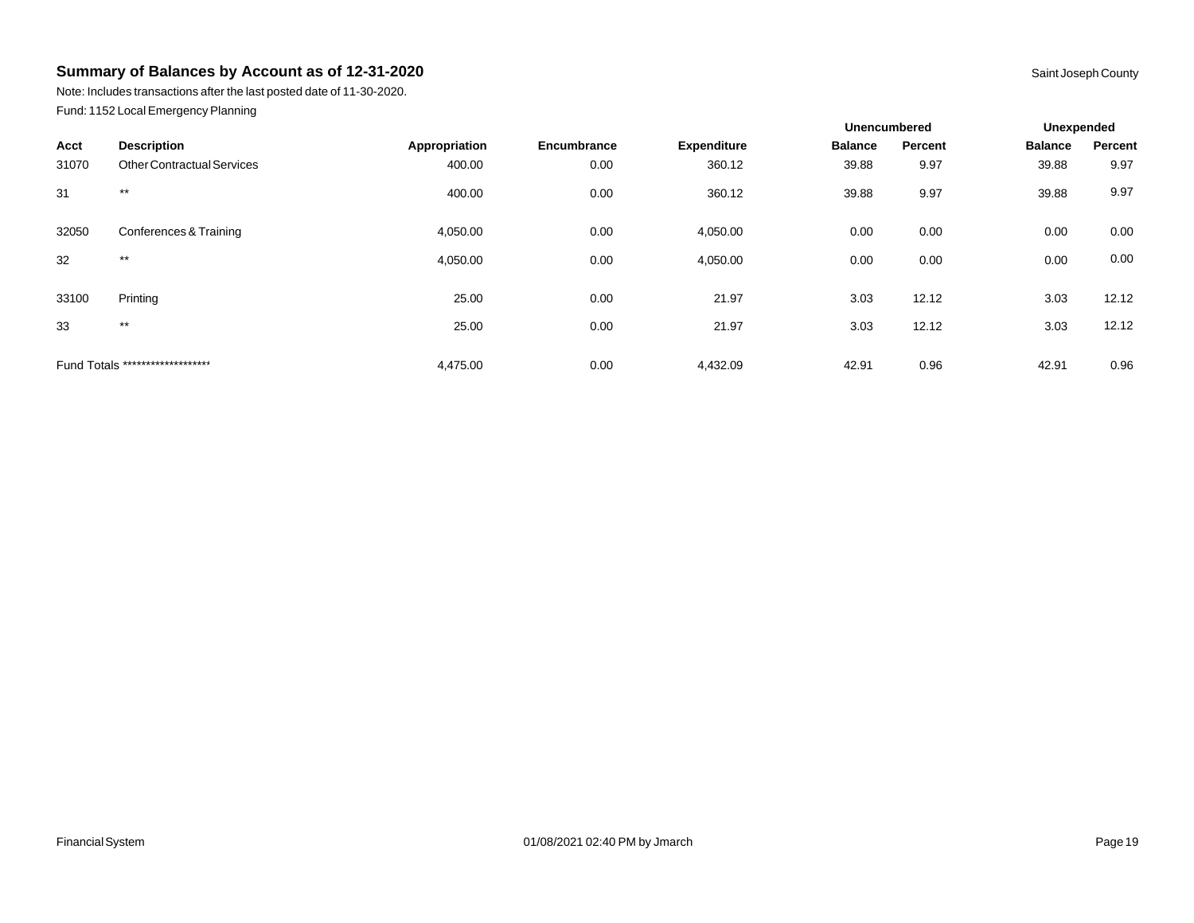Note: Includes transactions after the last posted date of 11-30-2020. Fund: 1152 Local Emergency Planning

|       |                                   |               |             |                    | <b>Unencumbered</b> |         | <b>Unexpended</b> |         |
|-------|-----------------------------------|---------------|-------------|--------------------|---------------------|---------|-------------------|---------|
| Acct  | <b>Description</b>                | Appropriation | Encumbrance | <b>Expenditure</b> | <b>Balance</b>      | Percent | <b>Balance</b>    | Percent |
| 31070 | <b>Other Contractual Services</b> | 400.00        | 0.00        | 360.12             | 39.88               | 9.97    | 39.88             | 9.97    |
| 31    | $***$                             | 400.00        | 0.00        | 360.12             | 39.88               | 9.97    | 39.88             | 9.97    |
| 32050 | Conferences & Training            | 4,050.00      | 0.00        | 4,050.00           | 0.00                | 0.00    | 0.00              | 0.00    |
| 32    | $***$                             | 4,050.00      | 0.00        | 4,050.00           | 0.00                | 0.00    | 0.00              | 0.00    |
| 33100 | Printing                          | 25.00         | 0.00        | 21.97              | 3.03                | 12.12   | 3.03              | 12.12   |
| 33    | $***$                             | 25.00         | 0.00        | 21.97              | 3.03                | 12.12   | 3.03              | 12.12   |
|       | Fund Totals ********************  | 4,475.00      | 0.00        | 4,432.09           | 42.91               | 0.96    | 42.91             | 0.96    |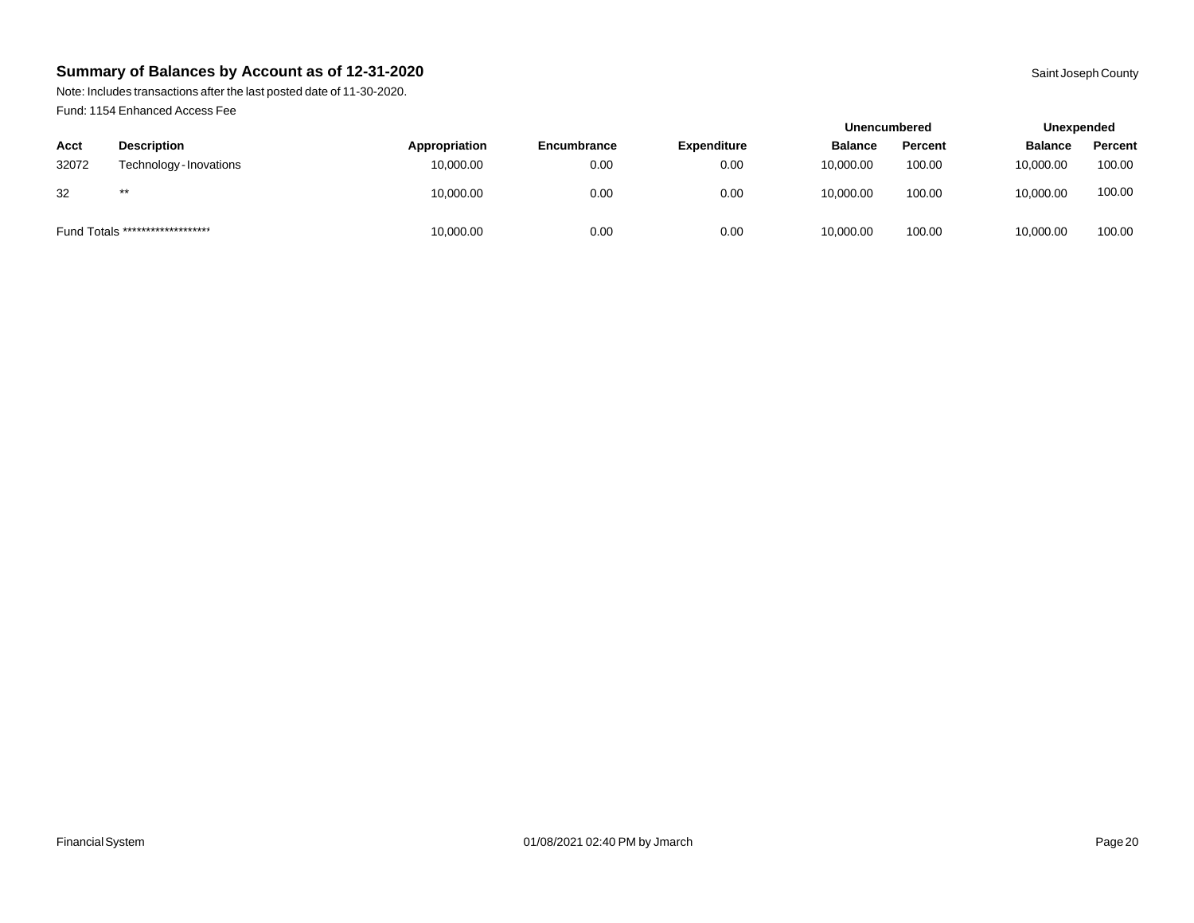Note: Includes transactions after the last posted date of 11-30-2020. Fund: 1154 Enhanced Access Fee

|       |                                  |               |             |                    | <b>Unencumbered</b> |         | Unexpended     |         |
|-------|----------------------------------|---------------|-------------|--------------------|---------------------|---------|----------------|---------|
| Acct  | <b>Description</b>               | Appropriation | Encumbrance | <b>Expenditure</b> | <b>Balance</b>      | Percent | <b>Balance</b> | Percent |
| 32072 | Technology - Inovations          | 10,000.00     | 0.00        | 0.00               | 10.000.00           | 100.00  | 10,000.00      | 100.00  |
| 32    | $***$                            | 10,000.00     | 0.00        | 0.00               | 10.000.00           | 100.00  | 10,000.00      | 100.00  |
|       | Fund Totals ******************** | 10,000.00     | 0.00        | 0.00               | 10,000.00           | 100.00  | 10,000.00      | 100.00  |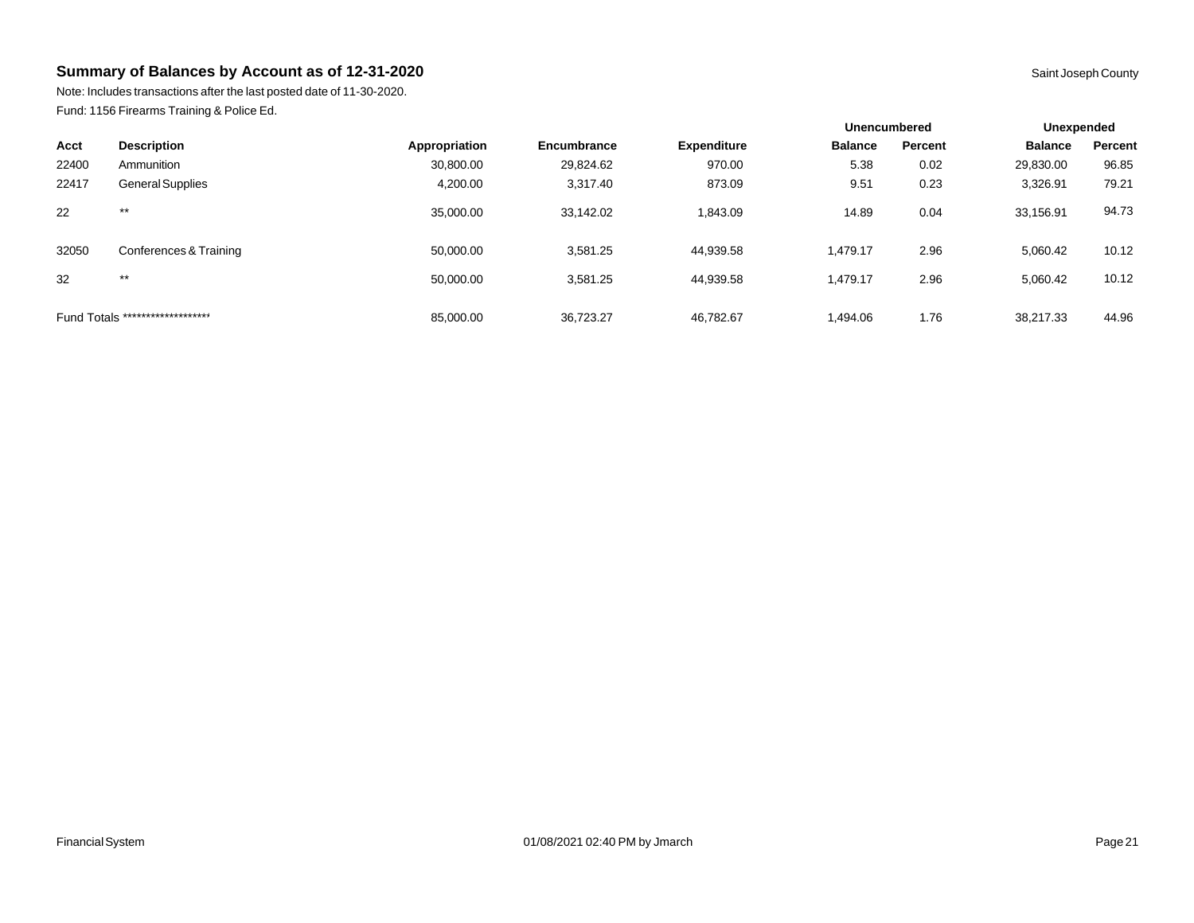Note: Includes transactions after the last posted date of 11-30-2020. Fund: 1156 Firearms Training & Police Ed.

|       |                                  | <b>Unencumbered</b> |             |                    | Unexpended     |         |                |         |
|-------|----------------------------------|---------------------|-------------|--------------------|----------------|---------|----------------|---------|
| Acct  | <b>Description</b>               | Appropriation       | Encumbrance | <b>Expenditure</b> | <b>Balance</b> | Percent | <b>Balance</b> | Percent |
| 22400 | Ammunition                       | 30,800.00           | 29,824.62   | 970.00             | 5.38           | 0.02    | 29,830.00      | 96.85   |
| 22417 | General Supplies                 | 4,200.00            | 3,317.40    | 873.09             | 9.51           | 0.23    | 3,326.91       | 79.21   |
| 22    | $***$                            | 35,000.00           | 33,142.02   | 1.843.09           | 14.89          | 0.04    | 33,156.91      | 94.73   |
| 32050 | Conferences & Training           | 50,000.00           | 3,581.25    | 44,939.58          | 1.479.17       | 2.96    | 5,060.42       | 10.12   |
| 32    | $***$                            | 50,000.00           | 3,581.25    | 44,939.58          | 1.479.17       | 2.96    | 5,060.42       | 10.12   |
|       | Fund Totals ******************** | 85,000.00           | 36,723.27   | 46,782.67          | 1.494.06       | 1.76    | 38,217.33      | 44.96   |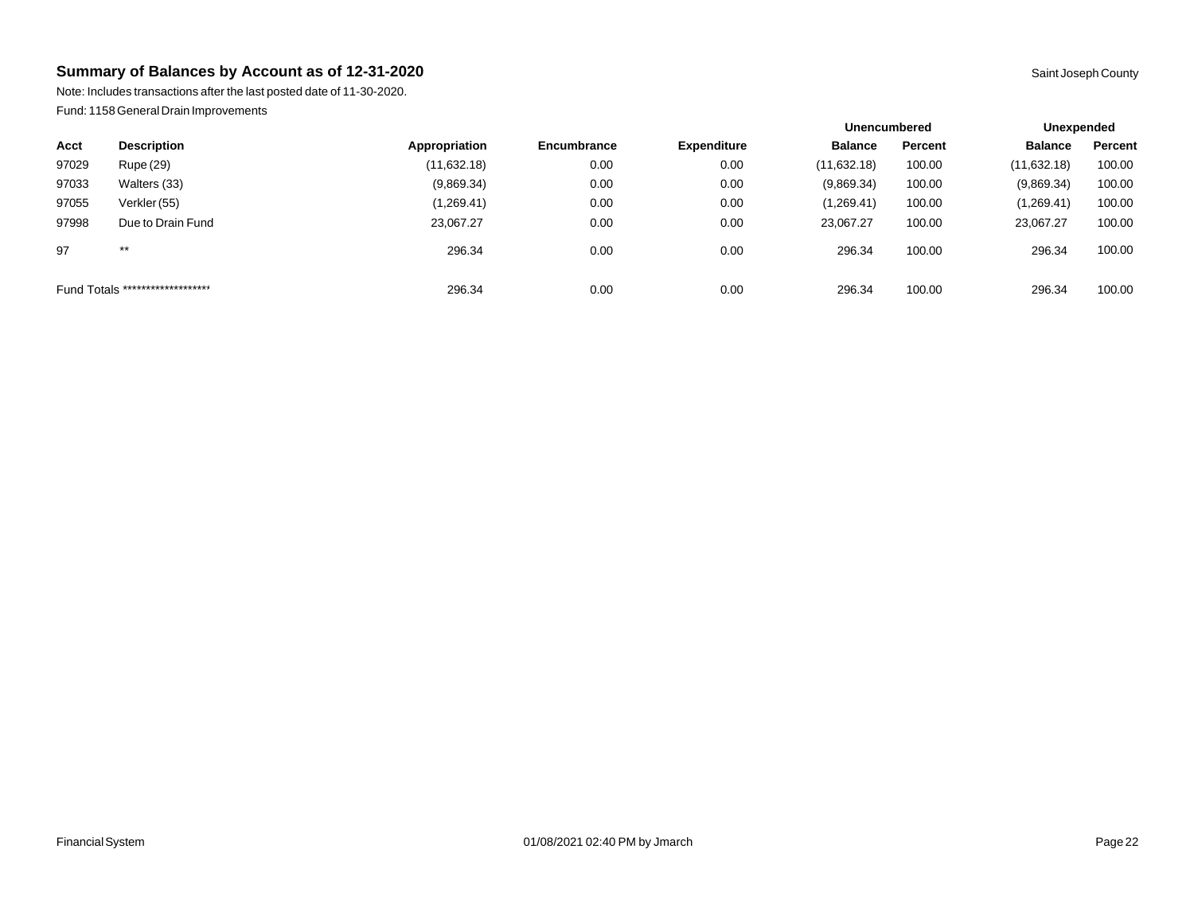Note: Includes transactions after the last posted date of 11-30-2020. Fund: 1158 General Drain Improvements

|                                  |                    |               |                    |                    | <b>Unencumbered</b> |         | Unexpended     |         |
|----------------------------------|--------------------|---------------|--------------------|--------------------|---------------------|---------|----------------|---------|
| Acct                             | <b>Description</b> | Appropriation | <b>Encumbrance</b> | <b>Expenditure</b> | <b>Balance</b>      | Percent | <b>Balance</b> | Percent |
| 97029                            | Rupe (29)          | (11,632.18)   | 0.00               | 0.00               | (11,632.18)         | 100.00  | (11,632.18)    | 100.00  |
| 97033                            | Walters (33)       | (9,869.34)    | 0.00               | 0.00               | (9,869.34)          | 100.00  | (9,869.34)     | 100.00  |
| 97055                            | Verkler (55)       | (1,269.41)    | 0.00               | 0.00               | (1,269.41)          | 100.00  | (1,269.41)     | 100.00  |
| 97998                            | Due to Drain Fund  | 23,067.27     | 0.00               | 0.00               | 23,067.27           | 100.00  | 23,067.27      | 100.00  |
| 97                               | $***$              | 296.34        | 0.00               | 0.00               | 296.34              | 100.00  | 296.34         | 100.00  |
| Fund Totals ******************** |                    | 296.34        | 0.00               | 0.00               | 296.34              | 100.00  | 296.34         | 100.00  |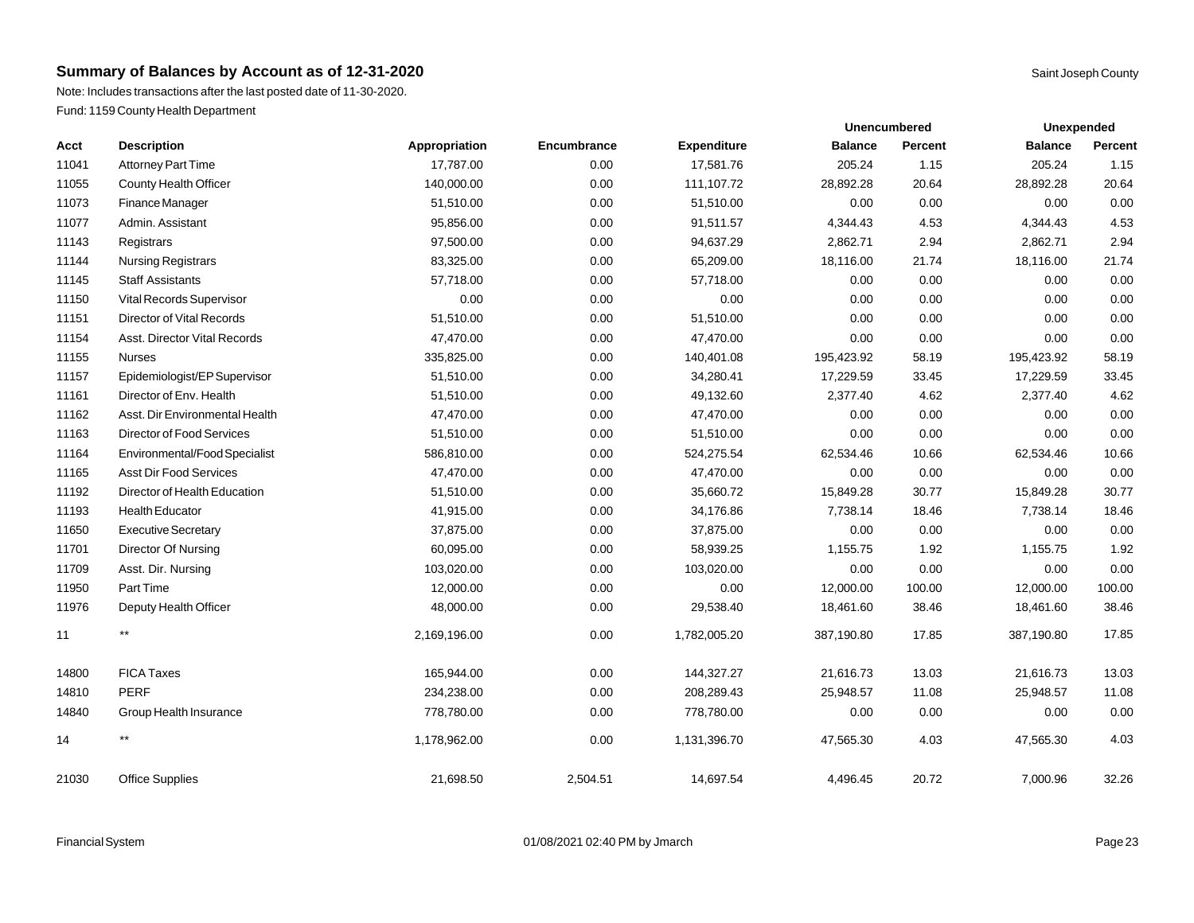Note: Includes transactions after the last posted date of 11-30-2020. Fund: 1159 County Health Department

|       |                                |               |             |                    |                | <b>Unencumbered</b> | <b>Unexpended</b> |         |
|-------|--------------------------------|---------------|-------------|--------------------|----------------|---------------------|-------------------|---------|
| Acct  | <b>Description</b>             | Appropriation | Encumbrance | <b>Expenditure</b> | <b>Balance</b> | Percent             | <b>Balance</b>    | Percent |
| 11041 | Attorney Part Time             | 17,787.00     | 0.00        | 17,581.76          | 205.24         | 1.15                | 205.24            | 1.15    |
| 11055 | <b>County Health Officer</b>   | 140,000.00    | 0.00        | 111,107.72         | 28,892.28      | 20.64               | 28,892.28         | 20.64   |
| 11073 | Finance Manager                | 51,510.00     | 0.00        | 51,510.00          | 0.00           | 0.00                | 0.00              | 0.00    |
| 11077 | Admin. Assistant               | 95,856.00     | 0.00        | 91,511.57          | 4,344.43       | 4.53                | 4,344.43          | 4.53    |
| 11143 | Registrars                     | 97,500.00     | 0.00        | 94,637.29          | 2,862.71       | 2.94                | 2,862.71          | 2.94    |
| 11144 | <b>Nursing Registrars</b>      | 83,325.00     | 0.00        | 65,209.00          | 18,116.00      | 21.74               | 18,116.00         | 21.74   |
| 11145 | <b>Staff Assistants</b>        | 57,718.00     | 0.00        | 57,718.00          | 0.00           | 0.00                | 0.00              | 0.00    |
| 11150 | Vital Records Supervisor       | 0.00          | 0.00        | 0.00               | 0.00           | 0.00                | 0.00              | 0.00    |
| 11151 | Director of Vital Records      | 51,510.00     | 0.00        | 51,510.00          | 0.00           | 0.00                | 0.00              | 0.00    |
| 11154 | Asst. Director Vital Records   | 47,470.00     | 0.00        | 47,470.00          | 0.00           | 0.00                | 0.00              | 0.00    |
| 11155 | <b>Nurses</b>                  | 335,825.00    | 0.00        | 140,401.08         | 195,423.92     | 58.19               | 195,423.92        | 58.19   |
| 11157 | Epidemiologist/EP Supervisor   | 51,510.00     | 0.00        | 34,280.41          | 17,229.59      | 33.45               | 17,229.59         | 33.45   |
| 11161 | Director of Env. Health        | 51,510.00     | 0.00        | 49,132.60          | 2,377.40       | 4.62                | 2,377.40          | 4.62    |
| 11162 | Asst. Dir Environmental Health | 47,470.00     | 0.00        | 47,470.00          | 0.00           | 0.00                | 0.00              | 0.00    |
| 11163 | Director of Food Services      | 51,510.00     | 0.00        | 51,510.00          | 0.00           | 0.00                | 0.00              | 0.00    |
| 11164 | Environmental/Food Specialist  | 586,810.00    | 0.00        | 524,275.54         | 62,534.46      | 10.66               | 62,534.46         | 10.66   |
| 11165 | <b>Asst Dir Food Services</b>  | 47,470.00     | 0.00        | 47,470.00          | 0.00           | 0.00                | 0.00              | 0.00    |
| 11192 | Director of Health Education   | 51,510.00     | 0.00        | 35,660.72          | 15,849.28      | 30.77               | 15,849.28         | 30.77   |
| 11193 | <b>Health Educator</b>         | 41,915.00     | 0.00        | 34,176.86          | 7,738.14       | 18.46               | 7,738.14          | 18.46   |
| 11650 | <b>Executive Secretary</b>     | 37,875.00     | 0.00        | 37,875.00          | 0.00           | 0.00                | 0.00              | 0.00    |
| 11701 | Director Of Nursing            | 60,095.00     | 0.00        | 58,939.25          | 1,155.75       | 1.92                | 1,155.75          | 1.92    |
| 11709 | Asst. Dir. Nursing             | 103,020.00    | 0.00        | 103,020.00         | 0.00           | 0.00                | 0.00              | 0.00    |
| 11950 | Part Time                      | 12,000.00     | 0.00        | 0.00               | 12,000.00      | 100.00              | 12,000.00         | 100.00  |
| 11976 | Deputy Health Officer          | 48,000.00     | 0.00        | 29,538.40          | 18,461.60      | 38.46               | 18,461.60         | 38.46   |
| 11    | $***$                          | 2,169,196.00  | 0.00        | 1,782,005.20       | 387,190.80     | 17.85               | 387,190.80        | 17.85   |
| 14800 | <b>FICA Taxes</b>              | 165,944.00    | 0.00        | 144,327.27         | 21,616.73      | 13.03               | 21,616.73         | 13.03   |
| 14810 | <b>PERF</b>                    | 234,238.00    | 0.00        | 208,289.43         | 25,948.57      | 11.08               | 25,948.57         | 11.08   |
| 14840 | Group Health Insurance         | 778,780.00    | 0.00        | 778,780.00         | 0.00           | 0.00                | 0.00              | 0.00    |
| 14    | $^{\star\star}$                | 1,178,962.00  | 0.00        | 1,131,396.70       | 47,565.30      | 4.03                | 47,565.30         | 4.03    |
| 21030 | <b>Office Supplies</b>         | 21,698.50     | 2,504.51    | 14,697.54          | 4,496.45       | 20.72               | 7,000.96          | 32.26   |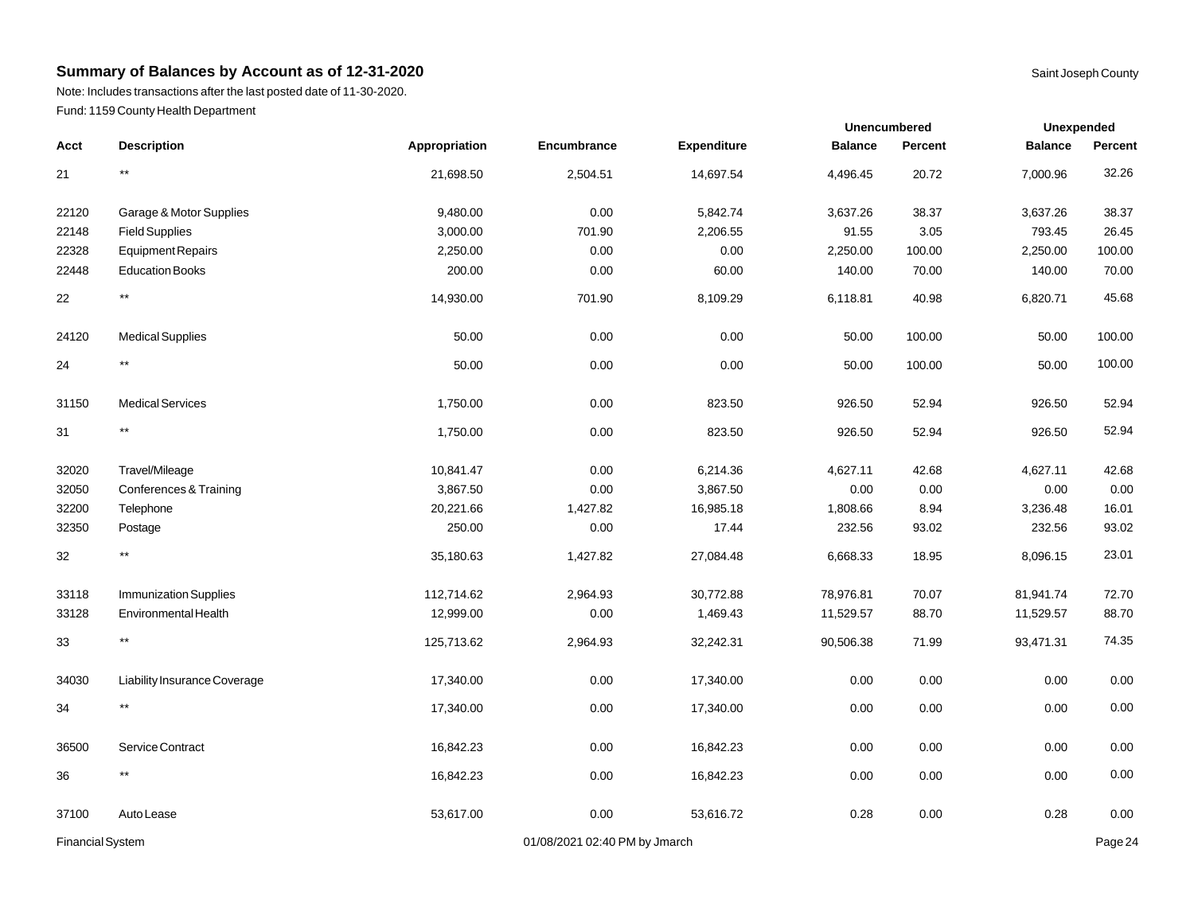Note: Includes transactions after the last posted date of 11-30-2020. Fund: 1159 County Health Department

|                         |                              |               |                               |             |                | <b>Unencumbered</b> | Unexpended     |         |
|-------------------------|------------------------------|---------------|-------------------------------|-------------|----------------|---------------------|----------------|---------|
| Acct                    | <b>Description</b>           | Appropriation | Encumbrance                   | Expenditure | <b>Balance</b> | <b>Percent</b>      | <b>Balance</b> | Percent |
| 21                      | $^{\star\star}$              | 21,698.50     | 2,504.51                      | 14,697.54   | 4,496.45       | 20.72               | 7,000.96       | 32.26   |
| 22120                   | Garage & Motor Supplies      | 9,480.00      | 0.00                          | 5,842.74    | 3,637.26       | 38.37               | 3,637.26       | 38.37   |
| 22148                   | <b>Field Supplies</b>        | 3,000.00      | 701.90                        | 2,206.55    | 91.55          | 3.05                | 793.45         | 26.45   |
| 22328                   | <b>Equipment Repairs</b>     | 2,250.00      | 0.00                          | 0.00        | 2,250.00       | 100.00              | 2,250.00       | 100.00  |
| 22448                   | <b>Education Books</b>       | 200.00        | 0.00                          | 60.00       | 140.00         | 70.00               | 140.00         | 70.00   |
| 22                      | $***$                        | 14,930.00     | 701.90                        | 8,109.29    | 6,118.81       | 40.98               | 6,820.71       | 45.68   |
| 24120                   | <b>Medical Supplies</b>      | 50.00         | 0.00                          | 0.00        | 50.00          | 100.00              | 50.00          | 100.00  |
| 24                      | $^{\star\star}$              | 50.00         | 0.00                          | 0.00        | 50.00          | 100.00              | 50.00          | 100.00  |
| 31150                   | <b>Medical Services</b>      | 1,750.00      | 0.00                          | 823.50      | 926.50         | 52.94               | 926.50         | 52.94   |
| 31                      | $^{\star\star}$              | 1,750.00      | 0.00                          | 823.50      | 926.50         | 52.94               | 926.50         | 52.94   |
| 32020                   | Travel/Mileage               | 10,841.47     | 0.00                          | 6,214.36    | 4,627.11       | 42.68               | 4,627.11       | 42.68   |
| 32050                   | Conferences & Training       | 3,867.50      | 0.00                          | 3,867.50    | 0.00           | 0.00                | 0.00           | 0.00    |
| 32200                   | Telephone                    | 20,221.66     | 1,427.82                      | 16,985.18   | 1,808.66       | 8.94                | 3,236.48       | 16.01   |
| 32350                   | Postage                      | 250.00        | 0.00                          | 17.44       | 232.56         | 93.02               | 232.56         | 93.02   |
| 32                      | $^{\star\star}$              | 35,180.63     | 1,427.82                      | 27,084.48   | 6,668.33       | 18.95               | 8,096.15       | 23.01   |
| 33118                   | <b>Immunization Supplies</b> | 112,714.62    | 2,964.93                      | 30,772.88   | 78,976.81      | 70.07               | 81,941.74      | 72.70   |
| 33128                   | Environmental Health         | 12,999.00     | 0.00                          | 1,469.43    | 11,529.57      | 88.70               | 11,529.57      | 88.70   |
| 33                      | $^{\star\star}$              | 125,713.62    | 2,964.93                      | 32,242.31   | 90,506.38      | 71.99               | 93,471.31      | 74.35   |
| 34030                   | Liability Insurance Coverage | 17,340.00     | 0.00                          | 17,340.00   | 0.00           | 0.00                | 0.00           | 0.00    |
| 34                      | $^{\star\star}$              | 17,340.00     | 0.00                          | 17,340.00   | 0.00           | 0.00                | 0.00           | 0.00    |
| 36500                   | Service Contract             | 16,842.23     | 0.00                          | 16,842.23   | 0.00           | 0.00                | 0.00           | 0.00    |
| 36                      | $^{\star\star}$              | 16,842.23     | 0.00                          | 16,842.23   | 0.00           | 0.00                | 0.00           | 0.00    |
| 37100                   | Auto Lease                   | 53,617.00     | 0.00                          | 53,616.72   | 0.28           | 0.00                | 0.28           | 0.00    |
| <b>Financial System</b> |                              |               | 01/08/2021 02:40 PM by Jmarch |             |                |                     |                | Page 24 |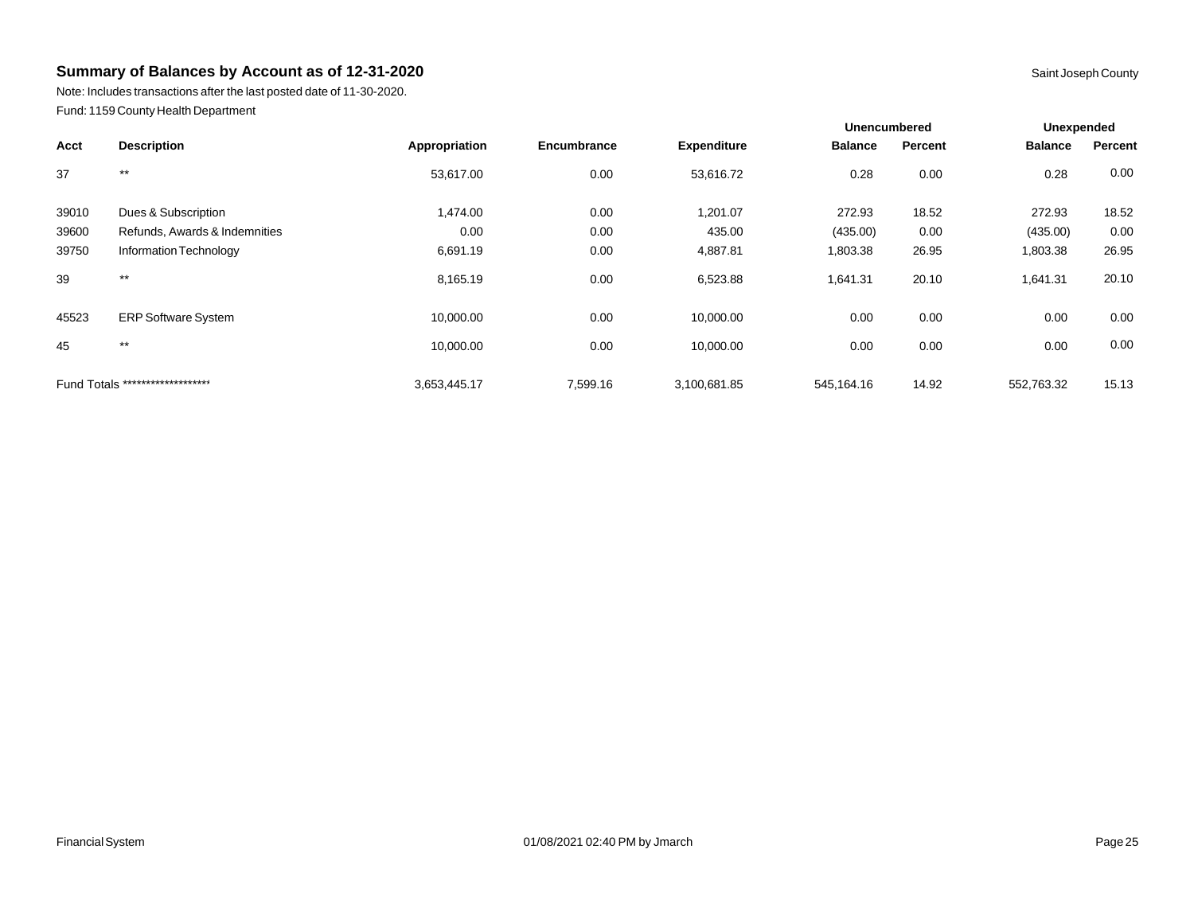Note: Includes transactions after the last posted date of 11-30-2020. Fund: 1159 County Health Department

|       |                                  |               |             |                    | <b>Unencumbered</b> |         | Unexpended     |         |
|-------|----------------------------------|---------------|-------------|--------------------|---------------------|---------|----------------|---------|
| Acct  | <b>Description</b>               | Appropriation | Encumbrance | <b>Expenditure</b> | <b>Balance</b>      | Percent | <b>Balance</b> | Percent |
| 37    | $***$                            | 53,617.00     | 0.00        | 53,616.72          | 0.28                | 0.00    | 0.28           | 0.00    |
| 39010 | Dues & Subscription              | 1,474.00      | 0.00        | 1,201.07           | 272.93              | 18.52   | 272.93         | 18.52   |
| 39600 | Refunds, Awards & Indemnities    | 0.00          | 0.00        | 435.00             | (435.00)            | 0.00    | (435.00)       | 0.00    |
| 39750 | Information Technology           | 6,691.19      | 0.00        | 4,887.81           | 1,803.38            | 26.95   | 1,803.38       | 26.95   |
| 39    | $***$                            | 8,165.19      | 0.00        | 6,523.88           | 1,641.31            | 20.10   | 1,641.31       | 20.10   |
| 45523 | <b>ERP Software System</b>       | 10,000.00     | 0.00        | 10,000.00          | 0.00                | 0.00    | 0.00           | 0.00    |
| 45    | $***$                            | 10,000.00     | 0.00        | 10,000.00          | 0.00                | 0.00    | 0.00           | 0.00    |
|       | Fund Totals ******************** | 3,653,445.17  | 7,599.16    | 3,100,681.85       | 545.164.16          | 14.92   | 552,763.32     | 15.13   |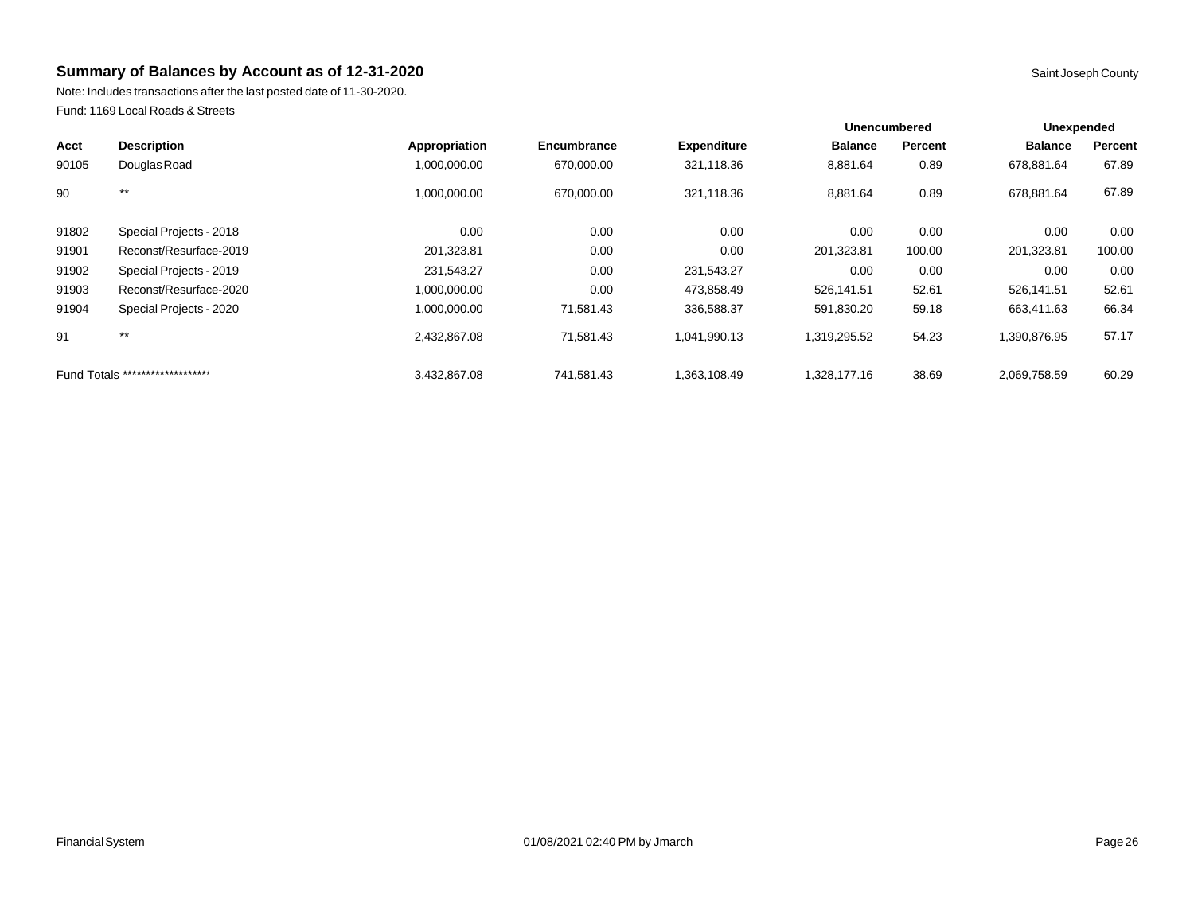Note: Includes transactions after the last posted date of 11-30-2020. Fund: 1169 Local Roads & Streets

|       |                                  |               |             |                    |                | <b>Unencumbered</b> | <b>Unexpended</b> |         |
|-------|----------------------------------|---------------|-------------|--------------------|----------------|---------------------|-------------------|---------|
| Acct  | <b>Description</b>               | Appropriation | Encumbrance | <b>Expenditure</b> | <b>Balance</b> | Percent             | <b>Balance</b>    | Percent |
| 90105 | Douglas Road                     | 1,000,000.00  | 670,000.00  | 321,118.36         | 8,881.64       | 0.89                | 678.881.64        | 67.89   |
| 90    | $***$                            | 1,000,000.00  | 670,000.00  | 321,118.36         | 8,881.64       | 0.89                | 678,881.64        | 67.89   |
| 91802 | Special Projects - 2018          | 0.00          | 0.00        | 0.00               | 0.00           | 0.00                | 0.00              | 0.00    |
| 91901 | Reconst/Resurface-2019           | 201,323.81    | 0.00        | 0.00               | 201,323.81     | 100.00              | 201,323.81        | 100.00  |
| 91902 | Special Projects - 2019          | 231,543.27    | 0.00        | 231,543.27         | 0.00           | 0.00                | 0.00              | 0.00    |
| 91903 | Reconst/Resurface-2020           | 1,000,000.00  | 0.00        | 473,858.49         | 526,141.51     | 52.61               | 526,141.51        | 52.61   |
| 91904 | Special Projects - 2020          | 1,000,000.00  | 71,581.43   | 336,588.37         | 591,830.20     | 59.18               | 663,411.63        | 66.34   |
| 91    | $***$                            | 2,432,867.08  | 71,581.43   | 1,041,990.13       | 1,319,295.52   | 54.23               | 1,390,876.95      | 57.17   |
|       | Fund Totals ******************** | 3,432,867.08  | 741,581.43  | 1,363,108.49       | 1,328,177.16   | 38.69               | 2,069,758.59      | 60.29   |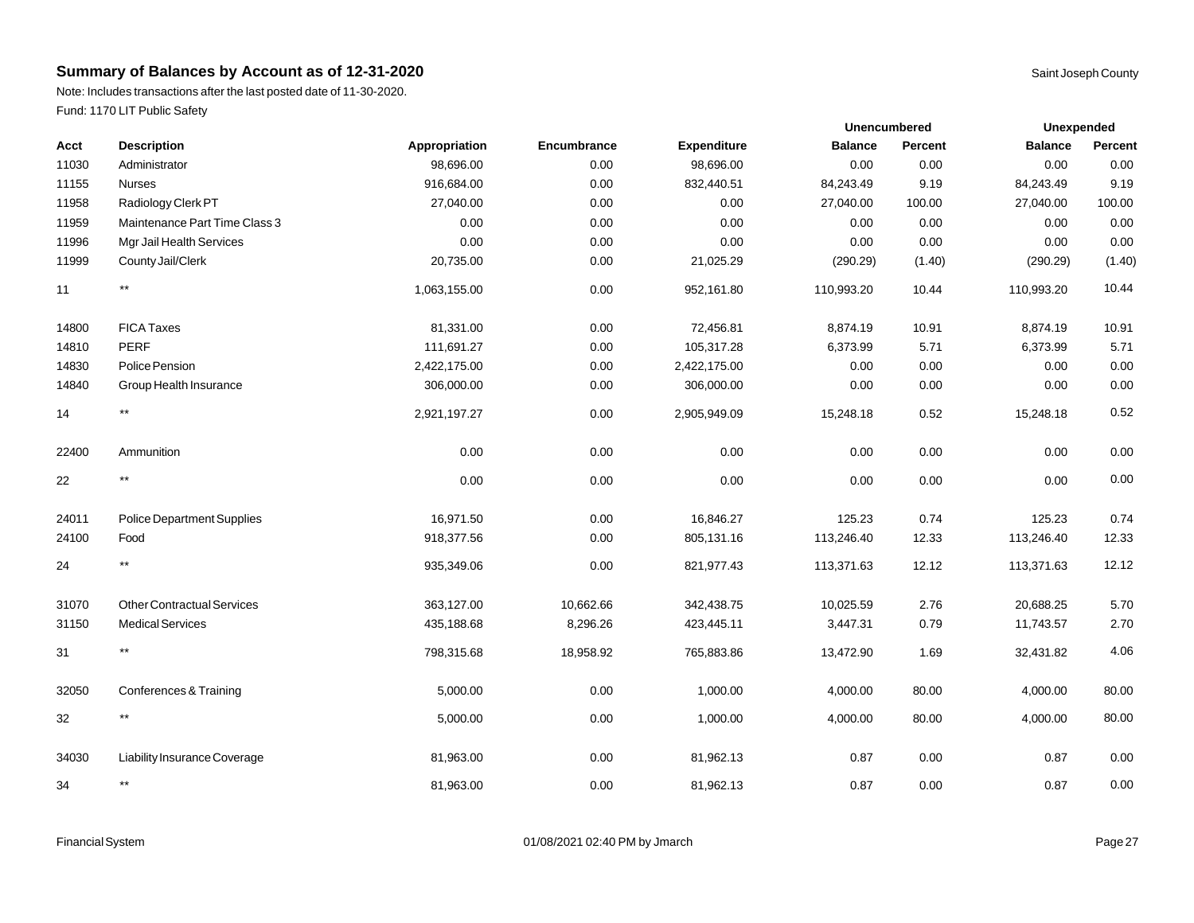Note: Includes transactions after the last posted date of 11-30-2020. Fund: 1170 LIT Public Safety

| Acct  | <b>Description</b>                | Appropriation | Encumbrance | <b>Expenditure</b> | <b>Balance</b> | Percent | <b>Balance</b> | Percent |
|-------|-----------------------------------|---------------|-------------|--------------------|----------------|---------|----------------|---------|
| 11030 | Administrator                     | 98,696.00     | 0.00        | 98,696.00          | 0.00           | 0.00    | 0.00           | 0.00    |
| 11155 | <b>Nurses</b>                     | 916,684.00    | 0.00        | 832,440.51         | 84,243.49      | 9.19    | 84,243.49      | 9.19    |
| 11958 | Radiology Clerk PT                | 27,040.00     | 0.00        | 0.00               | 27,040.00      | 100.00  | 27,040.00      | 100.00  |
| 11959 | Maintenance Part Time Class 3     | 0.00          | 0.00        | 0.00               | 0.00           | 0.00    | 0.00           | 0.00    |
| 11996 | Mgr Jail Health Services          | 0.00          | 0.00        | 0.00               | 0.00           | 0.00    | 0.00           | 0.00    |
| 11999 | County Jail/Clerk                 | 20,735.00     | 0.00        | 21,025.29          | (290.29)       | (1.40)  | (290.29)       | (1.40)  |
| 11    | $^{\star\star}$                   | 1,063,155.00  | 0.00        | 952,161.80         | 110,993.20     | 10.44   | 110,993.20     | 10.44   |
| 14800 | <b>FICA Taxes</b>                 | 81,331.00     | 0.00        | 72,456.81          | 8,874.19       | 10.91   | 8,874.19       | 10.91   |
| 14810 | <b>PERF</b>                       | 111,691.27    | 0.00        | 105,317.28         | 6,373.99       | 5.71    | 6,373.99       | 5.71    |
| 14830 | Police Pension                    | 2,422,175.00  | 0.00        | 2,422,175.00       | 0.00           | 0.00    | 0.00           | 0.00    |
| 14840 | Group Health Insurance            | 306,000.00    | 0.00        | 306,000.00         | 0.00           | 0.00    | 0.00           | 0.00    |
| 14    | $^{\star\star}$                   | 2,921,197.27  | 0.00        | 2,905,949.09       | 15,248.18      | 0.52    | 15,248.18      | 0.52    |
| 22400 | Ammunition                        | 0.00          | 0.00        | 0.00               | 0.00           | 0.00    | 0.00           | 0.00    |
| 22    | $***$                             | 0.00          | 0.00        | 0.00               | 0.00           | 0.00    | 0.00           | 0.00    |
| 24011 | Police Department Supplies        | 16,971.50     | 0.00        | 16,846.27          | 125.23         | 0.74    | 125.23         | 0.74    |
| 24100 | Food                              | 918,377.56    | 0.00        | 805,131.16         | 113,246.40     | 12.33   | 113,246.40     | 12.33   |
| 24    | $^{\star\star}$                   | 935,349.06    | 0.00        | 821,977.43         | 113,371.63     | 12.12   | 113,371.63     | 12.12   |
| 31070 | <b>Other Contractual Services</b> | 363,127.00    | 10,662.66   | 342,438.75         | 10,025.59      | 2.76    | 20,688.25      | 5.70    |
| 31150 | <b>Medical Services</b>           | 435,188.68    | 8,296.26    | 423,445.11         | 3,447.31       | 0.79    | 11,743.57      | 2.70    |
| 31    | $^{\star\star}$                   | 798,315.68    | 18,958.92   | 765,883.86         | 13,472.90      | 1.69    | 32,431.82      | 4.06    |
| 32050 | Conferences & Training            | 5,000.00      | 0.00        | 1,000.00           | 4,000.00       | 80.00   | 4,000.00       | 80.00   |
| 32    | $^{\star\star}$                   | 5,000.00      | 0.00        | 1,000.00           | 4,000.00       | 80.00   | 4,000.00       | 80.00   |
| 34030 | Liability Insurance Coverage      | 81,963.00     | 0.00        | 81,962.13          | 0.87           | 0.00    | 0.87           | 0.00    |
| 34    | $\star\star$                      | 81,963.00     | 0.00        | 81,962.13          | 0.87           | 0.00    | 0.87           | 0.00    |
|       |                                   |               |             |                    |                |         |                |         |

**Unexpended**

**Unencumbered**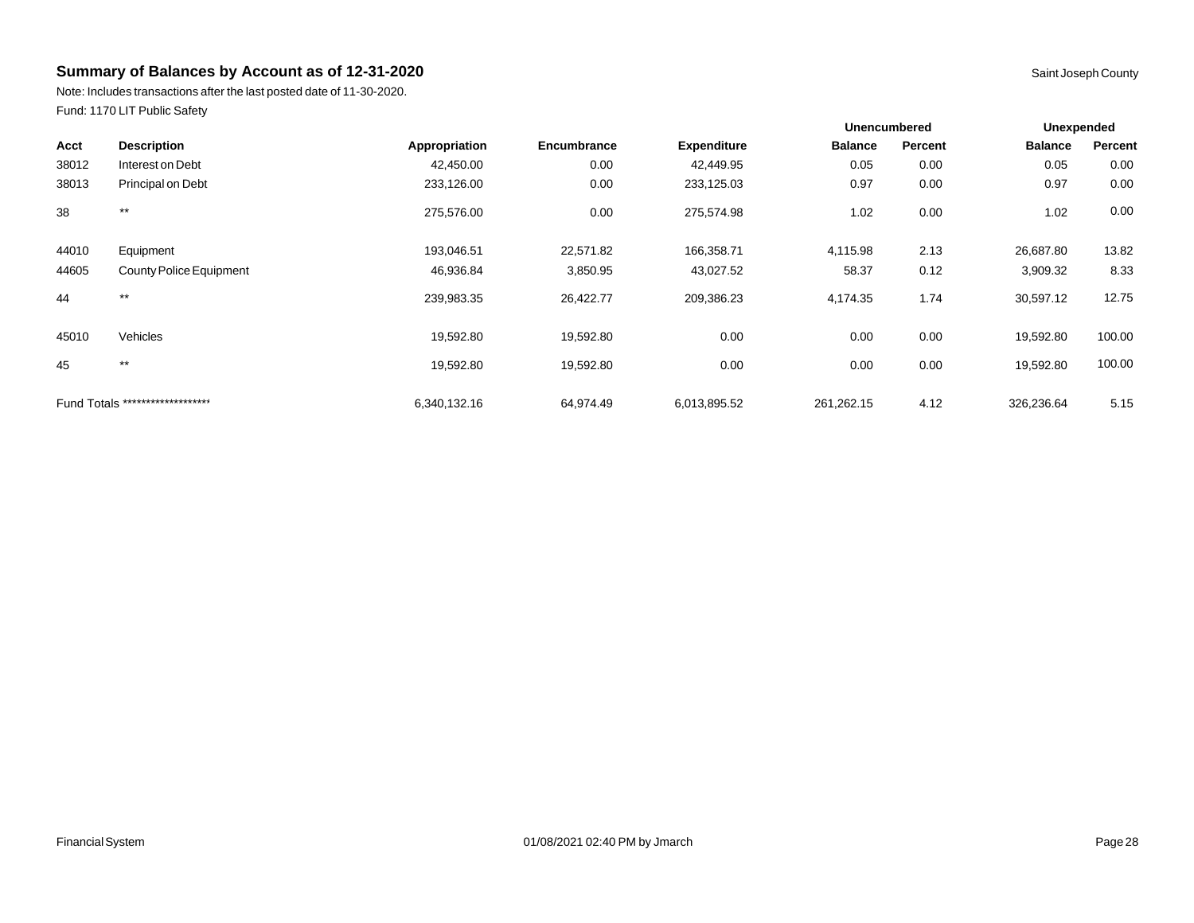Note: Includes transactions after the last posted date of 11-30-2020. Fund: 1170 LIT Public Safety

|       |                                  |               |             |                    | <b>Unencumbered</b> |         | Unexpended     |         |
|-------|----------------------------------|---------------|-------------|--------------------|---------------------|---------|----------------|---------|
| Acct  | <b>Description</b>               | Appropriation | Encumbrance | <b>Expenditure</b> | <b>Balance</b>      | Percent | <b>Balance</b> | Percent |
| 38012 | Interest on Debt                 | 42,450.00     | 0.00        | 42,449.95          | 0.05                | 0.00    | 0.05           | 0.00    |
| 38013 | Principal on Debt                | 233,126.00    | 0.00        | 233,125.03         | 0.97                | 0.00    | 0.97           | 0.00    |
| 38    | $***$                            | 275,576.00    | 0.00        | 275,574.98         | 1.02                | 0.00    | 1.02           | 0.00    |
| 44010 | Equipment                        | 193,046.51    | 22,571.82   | 166,358.71         | 4,115.98            | 2.13    | 26,687.80      | 13.82   |
| 44605 | County Police Equipment          | 46,936.84     | 3,850.95    | 43,027.52          | 58.37               | 0.12    | 3,909.32       | 8.33    |
| 44    | $***$                            | 239,983.35    | 26,422.77   | 209,386.23         | 4,174.35            | 1.74    | 30,597.12      | 12.75   |
| 45010 | Vehicles                         | 19,592.80     | 19,592.80   | 0.00               | 0.00                | 0.00    | 19,592.80      | 100.00  |
| 45    | $***$                            | 19,592.80     | 19,592.80   | 0.00               | 0.00                | 0.00    | 19,592.80      | 100.00  |
|       | Fund Totals ******************** | 6,340,132.16  | 64,974.49   | 6,013,895.52       | 261,262.15          | 4.12    | 326,236.64     | 5.15    |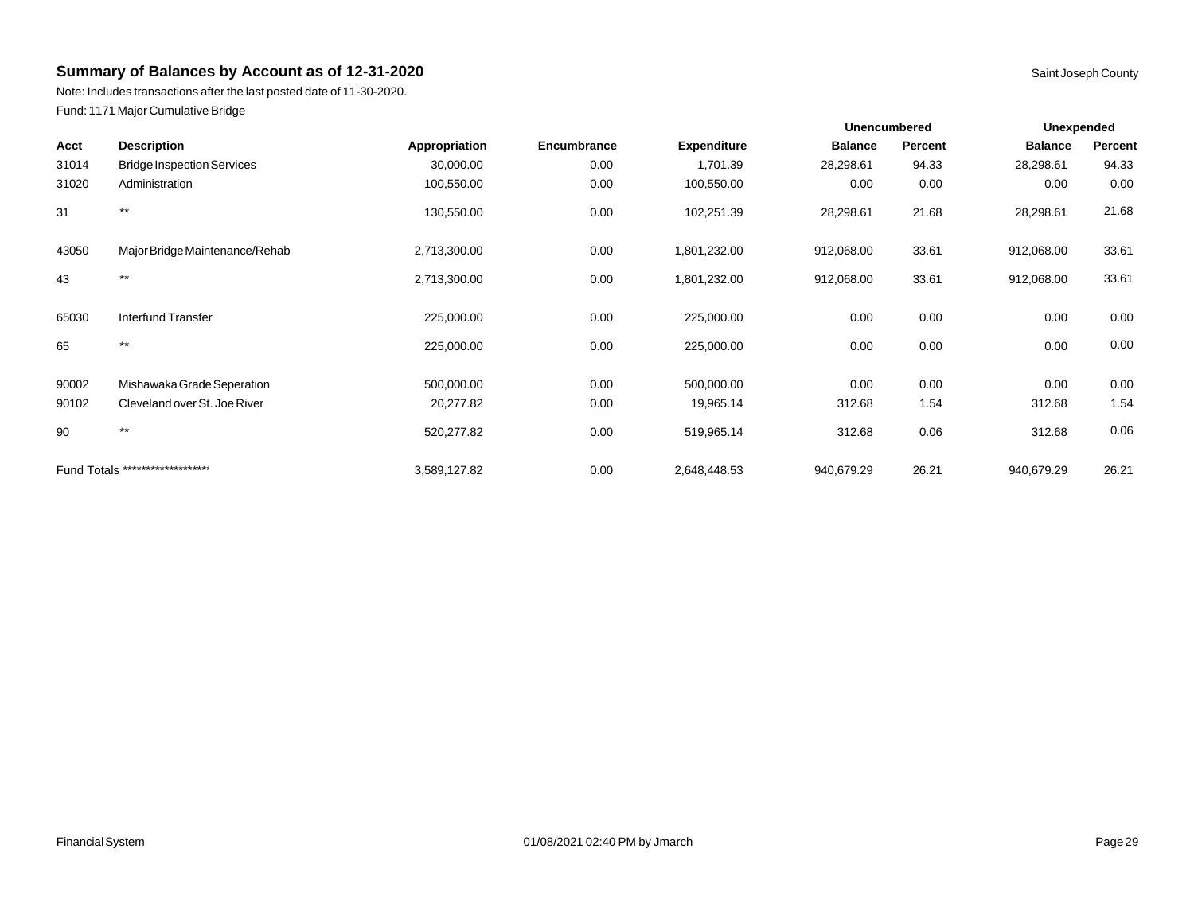Note: Includes transactions after the last posted date of 11-30-2020. Fund: 1171 Major Cumulative Bridge

|       |                                   |               |             |                    | <b>Unencumbered</b> |         | <b>Unexpended</b> |         |
|-------|-----------------------------------|---------------|-------------|--------------------|---------------------|---------|-------------------|---------|
| Acct  | <b>Description</b>                | Appropriation | Encumbrance | <b>Expenditure</b> | <b>Balance</b>      | Percent | <b>Balance</b>    | Percent |
| 31014 | <b>Bridge Inspection Services</b> | 30,000.00     | 0.00        | 1,701.39           | 28,298.61           | 94.33   | 28,298.61         | 94.33   |
| 31020 | Administration                    | 100,550.00    | 0.00        | 100,550.00         | 0.00                | 0.00    | 0.00              | 0.00    |
| 31    | $***$                             | 130,550.00    | 0.00        | 102,251.39         | 28,298.61           | 21.68   | 28,298.61         | 21.68   |
| 43050 | Major Bridge Maintenance/Rehab    | 2,713,300.00  | 0.00        | 1,801,232.00       | 912,068.00          | 33.61   | 912,068.00        | 33.61   |
| 43    | $***$                             | 2,713,300.00  | 0.00        | 1,801,232.00       | 912,068.00          | 33.61   | 912,068.00        | 33.61   |
| 65030 | Interfund Transfer                | 225,000.00    | 0.00        | 225,000.00         | 0.00                | 0.00    | 0.00              | 0.00    |
| 65    | $***$                             | 225,000.00    | 0.00        | 225,000.00         | 0.00                | 0.00    | 0.00              | 0.00    |
| 90002 | Mishawaka Grade Seperation        | 500,000.00    | 0.00        | 500,000.00         | 0.00                | 0.00    | 0.00              | 0.00    |
| 90102 | Cleveland over St. Joe River      | 20,277.82     | 0.00        | 19,965.14          | 312.68              | 1.54    | 312.68            | 1.54    |
| 90    | $***$                             | 520,277.82    | 0.00        | 519,965.14         | 312.68              | 0.06    | 312.68            | 0.06    |
|       | Fund Totals ********************  | 3,589,127.82  | 0.00        | 2,648,448.53       | 940,679.29          | 26.21   | 940,679.29        | 26.21   |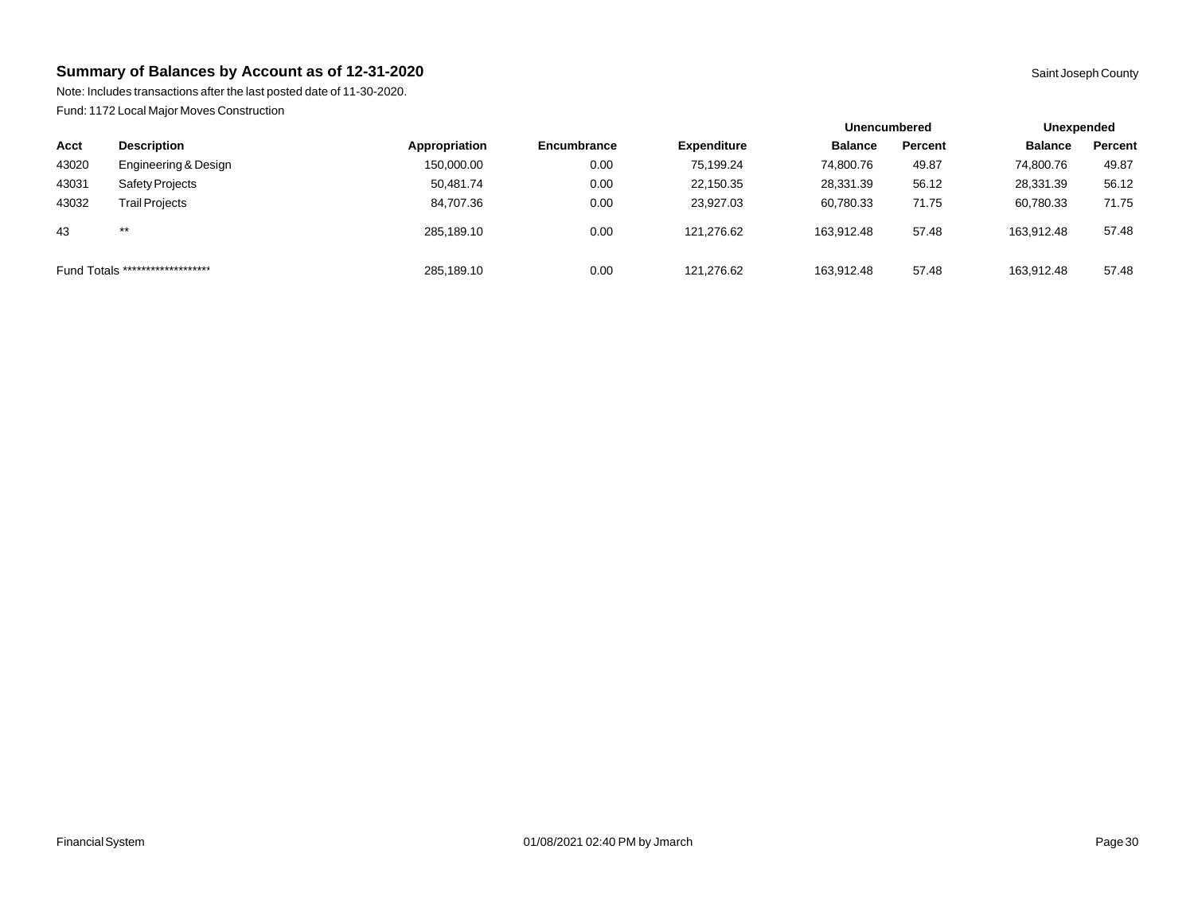Note: Includes transactions after the last posted date of 11-30-2020. Fund: 1172 Local Major Moves Construction

|                                  |                       |               |                    |                    | <b>Unencumbered</b> |         | Unexpended     |         |  |
|----------------------------------|-----------------------|---------------|--------------------|--------------------|---------------------|---------|----------------|---------|--|
| Acct                             | <b>Description</b>    | Appropriation | <b>Encumbrance</b> | <b>Expenditure</b> | <b>Balance</b>      | Percent | <b>Balance</b> | Percent |  |
| 43020                            | Engineering & Design  | 150,000.00    | 0.00               | 75.199.24          | 74.800.76           | 49.87   | 74,800.76      | 49.87   |  |
| 43031                            | Safety Projects       | 50.481.74     | 0.00               | 22.150.35          | 28,331.39           | 56.12   | 28,331.39      | 56.12   |  |
| 43032                            | <b>Trail Projects</b> | 84,707.36     | 0.00               | 23,927.03          | 60,780.33           | 71.75   | 60,780.33      | 71.75   |  |
| 43                               | $***$                 | 285.189.10    | 0.00               | 121.276.62         | 163.912.48          | 57.48   | 163.912.48     | 57.48   |  |
| Fund Totals ******************** |                       | 285,189.10    | 0.00               | 121.276.62         | 163.912.48          | 57.48   | 163.912.48     | 57.48   |  |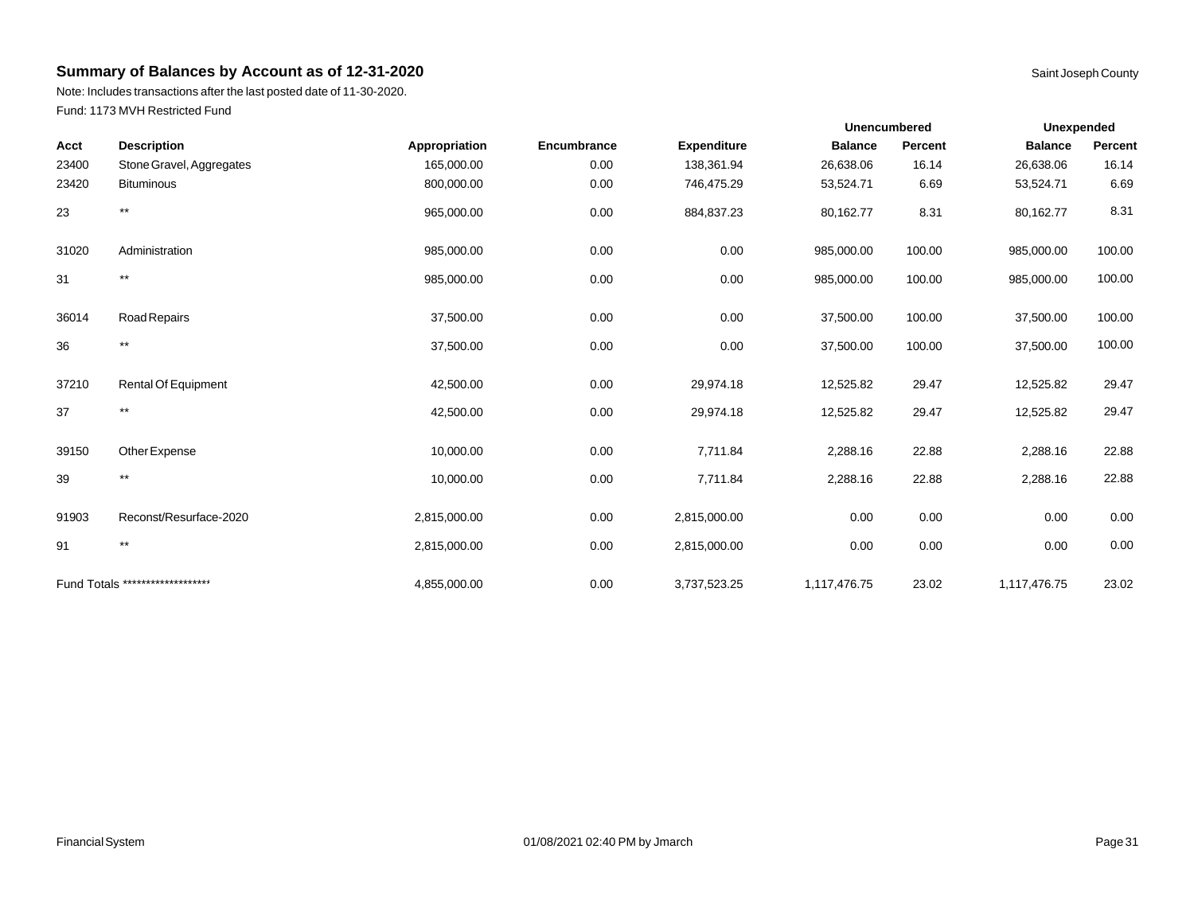Note: Includes transactions after the last posted date of 11-30-2020. Fund: 1173 MVH Restricted Fund

| Acct  | <b>Description</b>               | Appropriation | Encumbrance | <b>Expenditure</b> | <b>Balance</b> | Percent | <b>Balance</b> | Percent |
|-------|----------------------------------|---------------|-------------|--------------------|----------------|---------|----------------|---------|
| 23400 | Stone Gravel, Aggregates         | 165,000.00    | 0.00        | 138,361.94         | 26,638.06      | 16.14   | 26,638.06      | 16.14   |
| 23420 | <b>Bituminous</b>                | 800,000.00    | 0.00        | 746,475.29         | 53,524.71      | 6.69    | 53,524.71      | 6.69    |
| 23    | $***$                            | 965,000.00    | 0.00        | 884,837.23         | 80,162.77      | 8.31    | 80,162.77      | 8.31    |
| 31020 | Administration                   | 985,000.00    | 0.00        | 0.00               | 985,000.00     | 100.00  | 985,000.00     | 100.00  |
| 31    | $\star\star$                     | 985,000.00    | 0.00        | 0.00               | 985,000.00     | 100.00  | 985,000.00     | 100.00  |
| 36014 | <b>Road Repairs</b>              | 37,500.00     | 0.00        | 0.00               | 37,500.00      | 100.00  | 37,500.00      | 100.00  |
| 36    | $^{\star\star}$                  | 37,500.00     | 0.00        | 0.00               | 37,500.00      | 100.00  | 37,500.00      | 100.00  |
| 37210 | Rental Of Equipment              | 42,500.00     | 0.00        | 29,974.18          | 12,525.82      | 29.47   | 12,525.82      | 29.47   |
| 37    | $^{\star\star}$                  | 42,500.00     | 0.00        | 29,974.18          | 12,525.82      | 29.47   | 12,525.82      | 29.47   |
| 39150 | Other Expense                    | 10,000.00     | 0.00        | 7,711.84           | 2,288.16       | 22.88   | 2,288.16       | 22.88   |
| 39    | $***$                            | 10,000.00     | 0.00        | 7,711.84           | 2,288.16       | 22.88   | 2,288.16       | 22.88   |
| 91903 | Reconst/Resurface-2020           | 2,815,000.00  | 0.00        | 2,815,000.00       | 0.00           | 0.00    | 0.00           | 0.00    |
| 91    | $^{\star\star}$                  | 2,815,000.00  | 0.00        | 2,815,000.00       | 0.00           | 0.00    | 0.00           | 0.00    |
|       | Fund Totals ******************** | 4,855,000.00  | 0.00        | 3,737,523.25       | 1,117,476.75   | 23.02   | 1,117,476.75   | 23.02   |

**Unexpended**

**Unencumbered**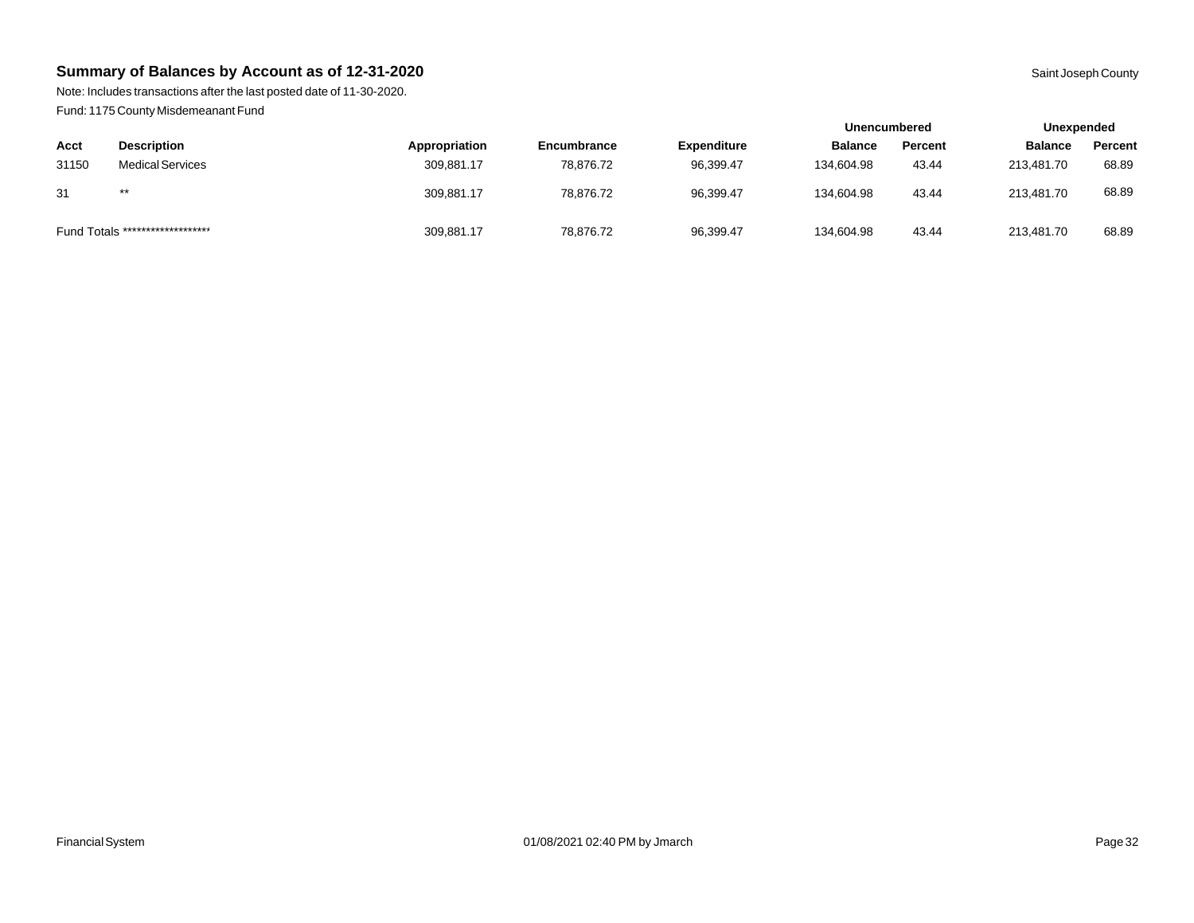Note: Includes transactions after the last posted date of 11-30-2020. Fund: 1175 County Misdemeanant Fund

|       |                                  |               |                    |                    | <b>Unencumbered</b> |                | Unexpended     |         |
|-------|----------------------------------|---------------|--------------------|--------------------|---------------------|----------------|----------------|---------|
| Acct  | <b>Description</b>               | Appropriation | <b>Encumbrance</b> | <b>Expenditure</b> | <b>Balance</b>      | <b>Percent</b> | <b>Balance</b> | Percent |
| 31150 | <b>Medical Services</b>          | 309,881.17    | 78,876.72          | 96,399.47          | 134,604.98          | 43.44          | 213.481.70     | 68.89   |
| 31    | $***$                            | 309.881.17    | 78.876.72          | 96,399.47          | 134.604.98          | 43.44          | 213.481.70     | 68.89   |
|       | Fund Totals ******************** | 309,881.17    | 78,876.72          | 96,399.47          | 134,604.98          | 43.44          | 213.481.70     | 68.89   |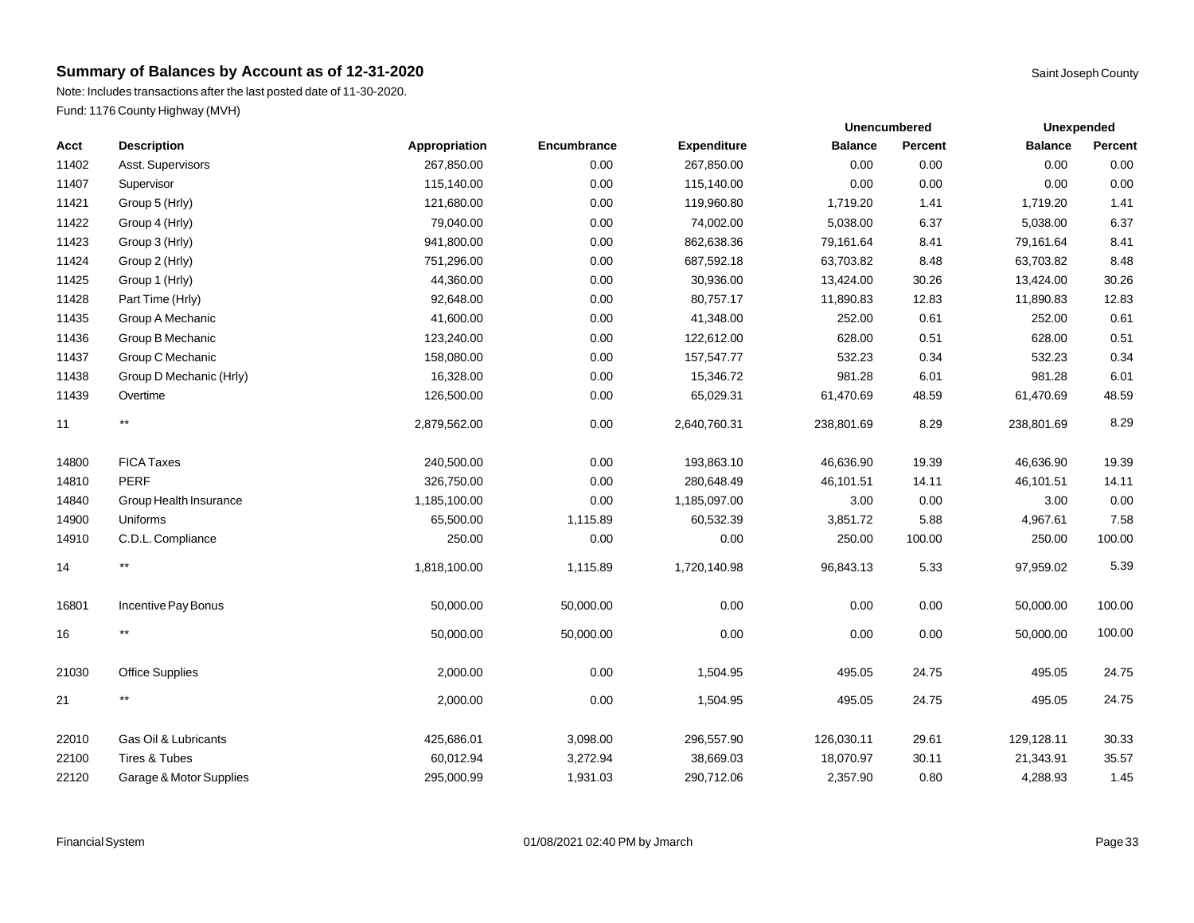Note: Includes transactions after the last posted date of 11-30-2020. Fund: 1176 County Highway (MVH)

|       |                         |               |             |                    |                | <b>Unencumbered</b> |                | <b>Unexpended</b> |  |
|-------|-------------------------|---------------|-------------|--------------------|----------------|---------------------|----------------|-------------------|--|
| Acct  | <b>Description</b>      | Appropriation | Encumbrance | <b>Expenditure</b> | <b>Balance</b> | Percent             | <b>Balance</b> | Percent           |  |
| 11402 | Asst. Supervisors       | 267,850.00    | 0.00        | 267,850.00         | 0.00           | 0.00                | 0.00           | 0.00              |  |
| 11407 | Supervisor              | 115,140.00    | 0.00        | 115,140.00         | 0.00           | 0.00                | 0.00           | 0.00              |  |
| 11421 | Group 5 (Hrly)          | 121,680.00    | 0.00        | 119,960.80         | 1,719.20       | 1.41                | 1,719.20       | 1.41              |  |
| 11422 | Group 4 (Hrly)          | 79,040.00     | 0.00        | 74,002.00          | 5,038.00       | 6.37                | 5,038.00       | 6.37              |  |
| 11423 | Group 3 (Hrly)          | 941,800.00    | 0.00        | 862,638.36         | 79,161.64      | 8.41                | 79,161.64      | 8.41              |  |
| 11424 | Group 2 (Hrly)          | 751,296.00    | 0.00        | 687,592.18         | 63,703.82      | 8.48                | 63,703.82      | 8.48              |  |
| 11425 | Group 1 (Hrly)          | 44,360.00     | 0.00        | 30,936.00          | 13,424.00      | 30.26               | 13,424.00      | 30.26             |  |
| 11428 | Part Time (Hrly)        | 92,648.00     | 0.00        | 80,757.17          | 11,890.83      | 12.83               | 11,890.83      | 12.83             |  |
| 11435 | Group A Mechanic        | 41,600.00     | 0.00        | 41,348.00          | 252.00         | 0.61                | 252.00         | 0.61              |  |
| 11436 | Group B Mechanic        | 123,240.00    | 0.00        | 122,612.00         | 628.00         | 0.51                | 628.00         | 0.51              |  |
| 11437 | Group C Mechanic        | 158,080.00    | 0.00        | 157,547.77         | 532.23         | 0.34                | 532.23         | 0.34              |  |
| 11438 | Group D Mechanic (Hrly) | 16,328.00     | 0.00        | 15,346.72          | 981.28         | 6.01                | 981.28         | 6.01              |  |
| 11439 | Overtime                | 126,500.00    | 0.00        | 65,029.31          | 61,470.69      | 48.59               | 61,470.69      | 48.59             |  |
| 11    | $\star\star$            | 2,879,562.00  | 0.00        | 2,640,760.31       | 238,801.69     | 8.29                | 238,801.69     | 8.29              |  |
| 14800 | <b>FICA Taxes</b>       | 240,500.00    | 0.00        | 193,863.10         | 46,636.90      | 19.39               | 46,636.90      | 19.39             |  |
| 14810 | <b>PERF</b>             | 326,750.00    | 0.00        | 280,648.49         | 46,101.51      | 14.11               | 46,101.51      | 14.11             |  |
| 14840 | Group Health Insurance  | 1,185,100.00  | 0.00        | 1,185,097.00       | 3.00           | 0.00                | 3.00           | 0.00              |  |
| 14900 | Uniforms                | 65,500.00     | 1,115.89    | 60,532.39          | 3,851.72       | 5.88                | 4,967.61       | 7.58              |  |
| 14910 | C.D.L. Compliance       | 250.00        | 0.00        | 0.00               | 250.00         | 100.00              | 250.00         | 100.00            |  |
| 14    | $^{\star\star}$         | 1,818,100.00  | 1,115.89    | 1,720,140.98       | 96,843.13      | 5.33                | 97,959.02      | 5.39              |  |
| 16801 | Incentive Pay Bonus     | 50,000.00     | 50,000.00   | 0.00               | 0.00           | 0.00                | 50,000.00      | 100.00            |  |
| 16    | $^{\star\star}$         | 50,000.00     | 50,000.00   | 0.00               | 0.00           | 0.00                | 50,000.00      | 100.00            |  |
| 21030 | <b>Office Supplies</b>  | 2,000.00      | 0.00        | 1,504.95           | 495.05         | 24.75               | 495.05         | 24.75             |  |
| 21    | $***$                   | 2,000.00      | 0.00        | 1,504.95           | 495.05         | 24.75               | 495.05         | 24.75             |  |
| 22010 | Gas Oil & Lubricants    | 425,686.01    | 3,098.00    | 296,557.90         | 126,030.11     | 29.61               | 129,128.11     | 30.33             |  |
| 22100 | Tires & Tubes           | 60,012.94     | 3,272.94    | 38,669.03          | 18,070.97      | 30.11               | 21,343.91      | 35.57             |  |
| 22120 | Garage & Motor Supplies | 295,000.99    | 1,931.03    | 290,712.06         | 2,357.90       | 0.80                | 4,288.93       | 1.45              |  |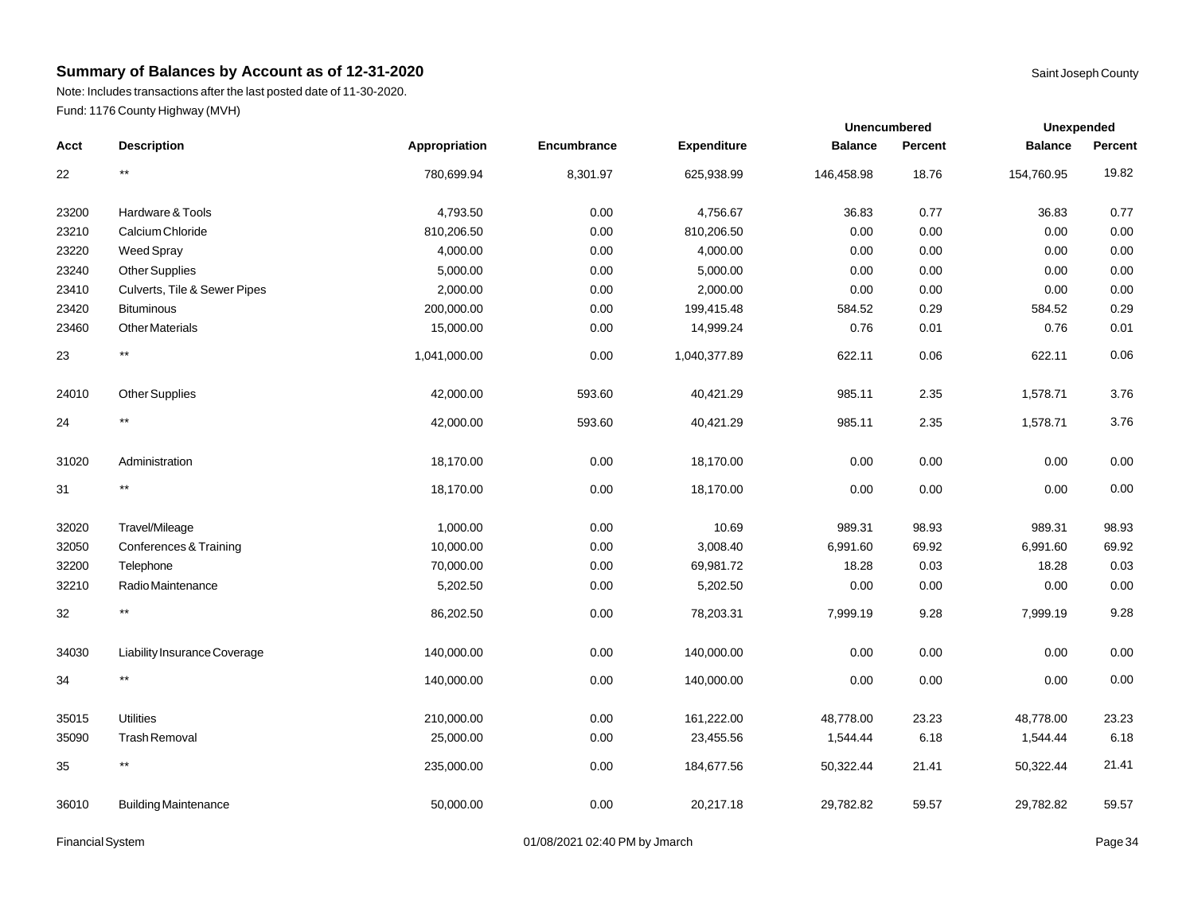Note: Includes transactions after the last posted date of 11-30-2020. Fund: 1176 County Highway (MVH)

|       |                              |               |             |                    | <b>Unencumbered</b> |         | Unexpended     |         |
|-------|------------------------------|---------------|-------------|--------------------|---------------------|---------|----------------|---------|
| Acct  | <b>Description</b>           | Appropriation | Encumbrance | <b>Expenditure</b> | <b>Balance</b>      | Percent | <b>Balance</b> | Percent |
| 22    | $^{\star\star}$              | 780,699.94    | 8,301.97    | 625,938.99         | 146,458.98          | 18.76   | 154,760.95     | 19.82   |
| 23200 | Hardware & Tools             | 4,793.50      | 0.00        | 4,756.67           | 36.83               | 0.77    | 36.83          | 0.77    |
| 23210 | Calcium Chloride             | 810,206.50    | 0.00        | 810,206.50         | 0.00                | 0.00    | 0.00           | 0.00    |
| 23220 | Weed Spray                   | 4,000.00      | 0.00        | 4,000.00           | 0.00                | 0.00    | 0.00           | 0.00    |
| 23240 | <b>Other Supplies</b>        | 5,000.00      | 0.00        | 5,000.00           | 0.00                | 0.00    | 0.00           | 0.00    |
| 23410 | Culverts, Tile & Sewer Pipes | 2,000.00      | 0.00        | 2,000.00           | 0.00                | 0.00    | 0.00           | 0.00    |
| 23420 | <b>Bituminous</b>            | 200,000.00    | 0.00        | 199,415.48         | 584.52              | 0.29    | 584.52         | 0.29    |
| 23460 | <b>Other Materials</b>       | 15,000.00     | 0.00        | 14,999.24          | 0.76                | 0.01    | 0.76           | 0.01    |
| 23    | $^{\star\star}$              | 1,041,000.00  | 0.00        | 1,040,377.89       | 622.11              | 0.06    | 622.11         | 0.06    |
| 24010 | <b>Other Supplies</b>        | 42,000.00     | 593.60      | 40,421.29          | 985.11              | 2.35    | 1,578.71       | 3.76    |
| 24    | $\star\star$                 | 42,000.00     | 593.60      | 40,421.29          | 985.11              | 2.35    | 1,578.71       | 3.76    |
| 31020 | Administration               | 18,170.00     | 0.00        | 18,170.00          | 0.00                | 0.00    | 0.00           | 0.00    |
| 31    | $^{\star\star}$              | 18,170.00     | 0.00        | 18,170.00          | 0.00                | 0.00    | 0.00           | 0.00    |
| 32020 | Travel/Mileage               | 1,000.00      | 0.00        | 10.69              | 989.31              | 98.93   | 989.31         | 98.93   |
| 32050 | Conferences & Training       | 10,000.00     | 0.00        | 3,008.40           | 6,991.60            | 69.92   | 6,991.60       | 69.92   |
| 32200 | Telephone                    | 70,000.00     | 0.00        | 69,981.72          | 18.28               | 0.03    | 18.28          | 0.03    |
| 32210 | Radio Maintenance            | 5,202.50      | 0.00        | 5,202.50           | 0.00                | 0.00    | 0.00           | 0.00    |
| 32    | $^{\star\star}$              | 86,202.50     | 0.00        | 78,203.31          | 7,999.19            | 9.28    | 7,999.19       | 9.28    |
| 34030 | Liability Insurance Coverage | 140,000.00    | 0.00        | 140,000.00         | 0.00                | 0.00    | 0.00           | 0.00    |
| 34    | $^{\star\star}$              | 140,000.00    | 0.00        | 140,000.00         | 0.00                | 0.00    | 0.00           | 0.00    |
| 35015 | <b>Utilities</b>             | 210,000.00    | 0.00        | 161,222.00         | 48,778.00           | 23.23   | 48,778.00      | 23.23   |
| 35090 | <b>Trash Removal</b>         | 25,000.00     | 0.00        | 23,455.56          | 1,544.44            | 6.18    | 1,544.44       | 6.18    |
| 35    | $^{\star\star}$              | 235,000.00    | 0.00        | 184,677.56         | 50,322.44           | 21.41   | 50,322.44      | 21.41   |
| 36010 | <b>Building Maintenance</b>  | 50,000.00     | 0.00        | 20,217.18          | 29,782.82           | 59.57   | 29,782.82      | 59.57   |

Financial System **Example 34** O1/08/2021 02:40 PM by Jmarch **Page 34** Page 34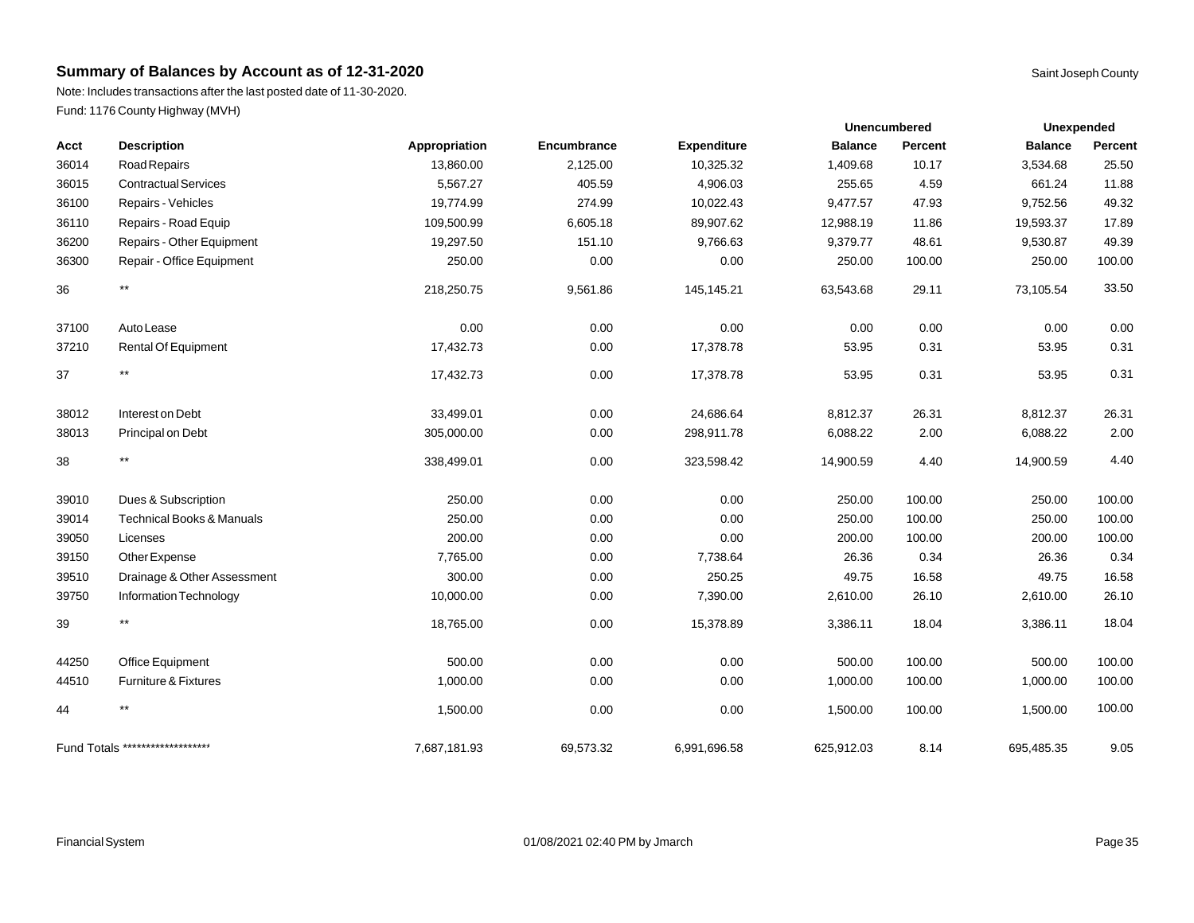Note: Includes transactions after the last posted date of 11-30-2020. Fund: 1176 County Highway (MVH)

| Acct  | <b>Description</b>                   | Appropriation | Encumbrance | <b>Expenditure</b> | <b>Balance</b> | Percent | <b>Balance</b> | Percent |
|-------|--------------------------------------|---------------|-------------|--------------------|----------------|---------|----------------|---------|
| 36014 | Road Repairs                         | 13,860.00     | 2,125.00    | 10,325.32          | 1,409.68       | 10.17   | 3,534.68       | 25.50   |
| 36015 | <b>Contractual Services</b>          | 5,567.27      | 405.59      | 4,906.03           | 255.65         | 4.59    | 661.24         | 11.88   |
| 36100 | Repairs - Vehicles                   | 19,774.99     | 274.99      | 10,022.43          | 9,477.57       | 47.93   | 9,752.56       | 49.32   |
| 36110 | Repairs - Road Equip                 | 109,500.99    | 6,605.18    | 89,907.62          | 12,988.19      | 11.86   | 19,593.37      | 17.89   |
| 36200 | Repairs - Other Equipment            | 19,297.50     | 151.10      | 9,766.63           | 9,379.77       | 48.61   | 9,530.87       | 49.39   |
| 36300 | Repair - Office Equipment            | 250.00        | 0.00        | 0.00               | 250.00         | 100.00  | 250.00         | 100.00  |
| 36    | $***$                                | 218,250.75    | 9,561.86    | 145,145.21         | 63,543.68      | 29.11   | 73,105.54      | 33.50   |
| 37100 | Auto Lease                           | 0.00          | 0.00        | 0.00               | 0.00           | 0.00    | 0.00           | 0.00    |
| 37210 | <b>Rental Of Equipment</b>           | 17,432.73     | 0.00        | 17,378.78          | 53.95          | 0.31    | 53.95          | 0.31    |
| 37    | $^{\star\star}$                      | 17,432.73     | 0.00        | 17,378.78          | 53.95          | 0.31    | 53.95          | 0.31    |
| 38012 | Interest on Debt                     | 33,499.01     | 0.00        | 24,686.64          | 8,812.37       | 26.31   | 8,812.37       | 26.31   |
| 38013 | Principal on Debt                    | 305,000.00    | 0.00        | 298,911.78         | 6,088.22       | 2.00    | 6,088.22       | 2.00    |
| 38    | $^{\star\star}$                      | 338,499.01    | 0.00        | 323,598.42         | 14,900.59      | 4.40    | 14,900.59      | 4.40    |
| 39010 | Dues & Subscription                  | 250.00        | 0.00        | 0.00               | 250.00         | 100.00  | 250.00         | 100.00  |
| 39014 | <b>Technical Books &amp; Manuals</b> | 250.00        | 0.00        | 0.00               | 250.00         | 100.00  | 250.00         | 100.00  |
| 39050 | Licenses                             | 200.00        | 0.00        | 0.00               | 200.00         | 100.00  | 200.00         | 100.00  |
| 39150 | Other Expense                        | 7,765.00      | 0.00        | 7,738.64           | 26.36          | 0.34    | 26.36          | 0.34    |
| 39510 | Drainage & Other Assessment          | 300.00        | 0.00        | 250.25             | 49.75          | 16.58   | 49.75          | 16.58   |
| 39750 | Information Technology               | 10,000.00     | 0.00        | 7,390.00           | 2,610.00       | 26.10   | 2,610.00       | 26.10   |
| 39    | $^{\star\star}$                      | 18,765.00     | 0.00        | 15,378.89          | 3,386.11       | 18.04   | 3,386.11       | 18.04   |
| 44250 | Office Equipment                     | 500.00        | 0.00        | 0.00               | 500.00         | 100.00  | 500.00         | 100.00  |
| 44510 | Furniture & Fixtures                 | 1,000.00      | 0.00        | 0.00               | 1,000.00       | 100.00  | 1,000.00       | 100.00  |
| 44    | $***$                                | 1,500.00      | 0.00        | 0.00               | 1,500.00       | 100.00  | 1,500.00       | 100.00  |
|       | Fund Totals ********************     | 7,687,181.93  | 69,573.32   | 6,991,696.58       | 625,912.03     | 8.14    | 695,485.35     | 9.05    |

**Unexpended**

**Unencumbered**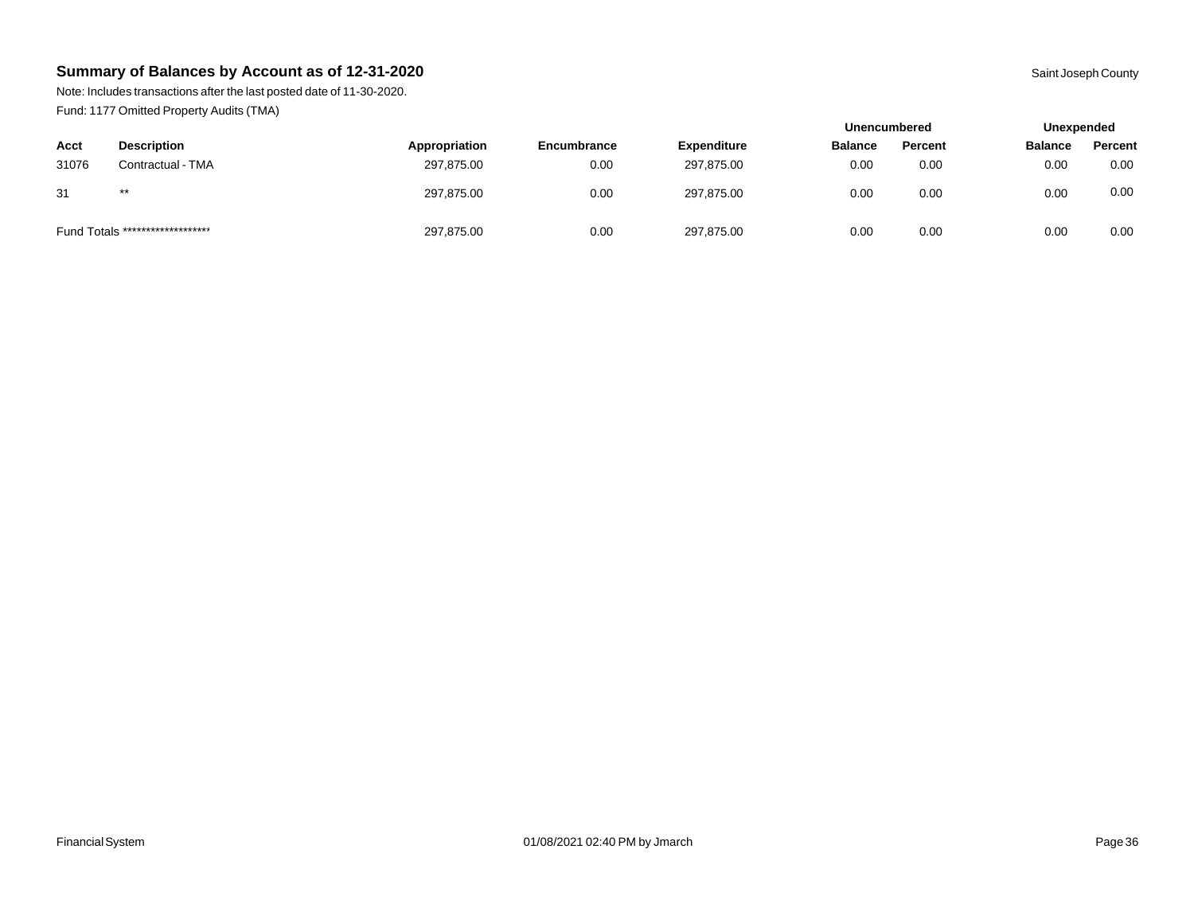Note: Includes transactions after the last posted date of 11-30-2020. Fund: 1177 Omitted Property Audits (TMA)

|                                  |                    |               |             |                    | <b>Unencumbered</b> |         | Unexpended     |         |
|----------------------------------|--------------------|---------------|-------------|--------------------|---------------------|---------|----------------|---------|
| Acct                             | <b>Description</b> | Appropriation | Encumbrance | <b>Expenditure</b> | <b>Balance</b>      | Percent | <b>Balance</b> | Percent |
| 31076                            | Contractual - TMA  | 297,875.00    | 0.00        | 297,875.00         | 0.00                | 0.00    | 0.00           | 0.00    |
| 31                               | $***$              | 297,875.00    | 0.00        | 297.875.00         | 0.00                | 0.00    | 0.00           | 0.00    |
| Fund Totals ******************** |                    | 297,875.00    | 0.00        | 297,875.00         | 0.00                | 0.00    | 0.00           | 0.00    |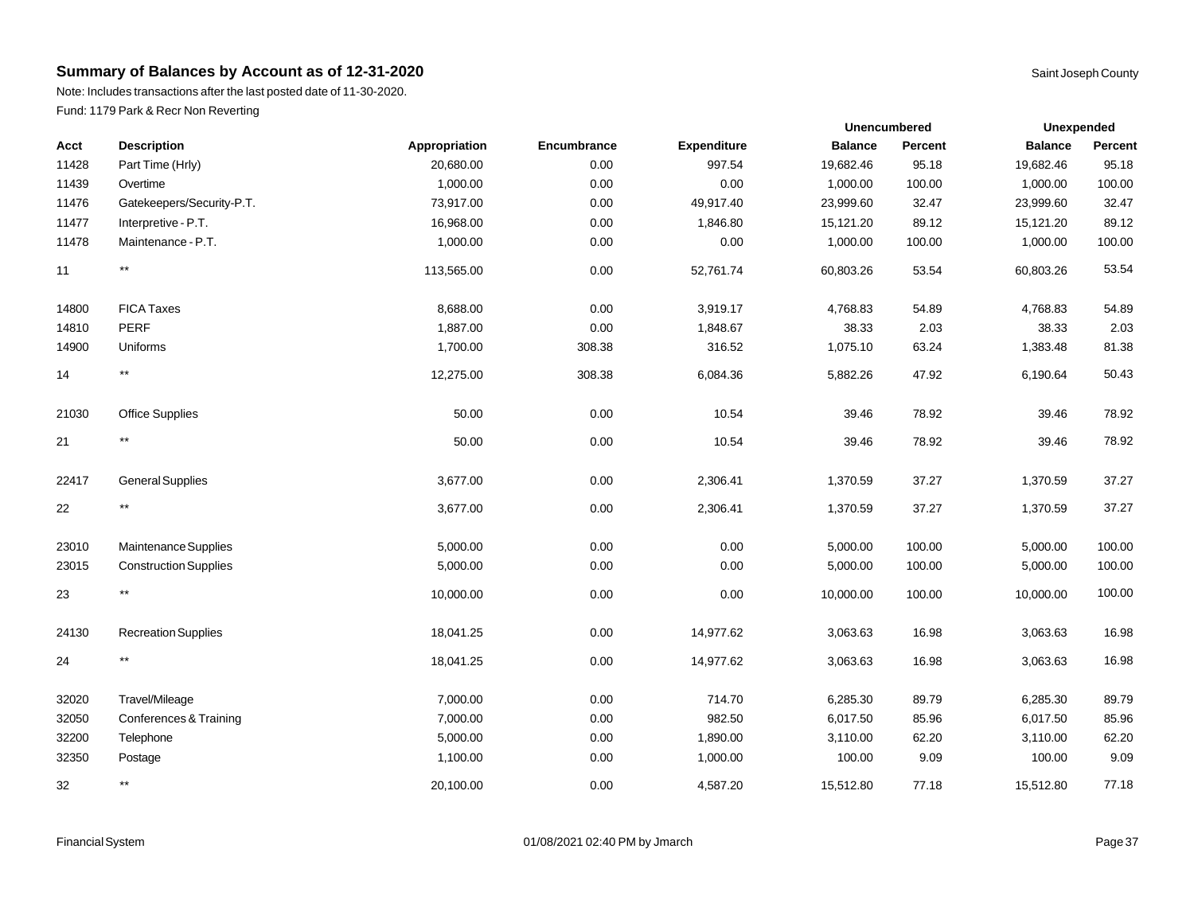Note: Includes transactions after the last posted date of 11-30-2020. Fund: 1179 Park & Recr Non Reverting

|       |                              |               |             |                    | Unencumbered   |         |                | Unexpended |  |
|-------|------------------------------|---------------|-------------|--------------------|----------------|---------|----------------|------------|--|
| Acct  | <b>Description</b>           | Appropriation | Encumbrance | <b>Expenditure</b> | <b>Balance</b> | Percent | <b>Balance</b> | Percent    |  |
| 11428 | Part Time (Hrly)             | 20,680.00     | 0.00        | 997.54             | 19,682.46      | 95.18   | 19,682.46      | 95.18      |  |
| 11439 | Overtime                     | 1,000.00      | 0.00        | 0.00               | 1,000.00       | 100.00  | 1,000.00       | 100.00     |  |
| 11476 | Gatekeepers/Security-P.T.    | 73,917.00     | 0.00        | 49,917.40          | 23,999.60      | 32.47   | 23,999.60      | 32.47      |  |
| 11477 | Interpretive - P.T.          | 16,968.00     | 0.00        | 1,846.80           | 15,121.20      | 89.12   | 15,121.20      | 89.12      |  |
| 11478 | Maintenance - P.T.           | 1,000.00      | 0.00        | 0.00               | 1,000.00       | 100.00  | 1,000.00       | 100.00     |  |
| 11    | $\star\star$                 | 113,565.00    | 0.00        | 52,761.74          | 60,803.26      | 53.54   | 60,803.26      | 53.54      |  |
| 14800 | <b>FICA Taxes</b>            | 8,688.00      | 0.00        | 3,919.17           | 4,768.83       | 54.89   | 4,768.83       | 54.89      |  |
| 14810 | <b>PERF</b>                  | 1,887.00      | 0.00        | 1,848.67           | 38.33          | 2.03    | 38.33          | 2.03       |  |
| 14900 | Uniforms                     | 1,700.00      | 308.38      | 316.52             | 1,075.10       | 63.24   | 1,383.48       | 81.38      |  |
| 14    | $^{\star\star}$              | 12,275.00     | 308.38      | 6,084.36           | 5,882.26       | 47.92   | 6,190.64       | 50.43      |  |
| 21030 | <b>Office Supplies</b>       | 50.00         | 0.00        | 10.54              | 39.46          | 78.92   | 39.46          | 78.92      |  |
| 21    | $***$                        | 50.00         | 0.00        | 10.54              | 39.46          | 78.92   | 39.46          | 78.92      |  |
| 22417 | <b>General Supplies</b>      | 3,677.00      | 0.00        | 2,306.41           | 1,370.59       | 37.27   | 1,370.59       | 37.27      |  |
| 22    | $^{\star\star}$              | 3,677.00      | 0.00        | 2,306.41           | 1,370.59       | 37.27   | 1,370.59       | 37.27      |  |
| 23010 | Maintenance Supplies         | 5,000.00      | 0.00        | 0.00               | 5,000.00       | 100.00  | 5,000.00       | 100.00     |  |
| 23015 | <b>Construction Supplies</b> | 5,000.00      | 0.00        | 0.00               | 5,000.00       | 100.00  | 5,000.00       | 100.00     |  |
| 23    | $***$                        | 10,000.00     | 0.00        | 0.00               | 10,000.00      | 100.00  | 10,000.00      | 100.00     |  |
| 24130 | <b>Recreation Supplies</b>   | 18,041.25     | 0.00        | 14,977.62          | 3,063.63       | 16.98   | 3,063.63       | 16.98      |  |
| 24    | $***$                        | 18,041.25     | 0.00        | 14,977.62          | 3,063.63       | 16.98   | 3,063.63       | 16.98      |  |
| 32020 | Travel/Mileage               | 7,000.00      | 0.00        | 714.70             | 6.285.30       | 89.79   | 6,285.30       | 89.79      |  |

Financial System **Example 37** Page 37 CHA by Jmarch 201/08/2021 02:40 PM by Jmarch 2010 PM by Jmarch 2010 PM by Jmarch 2010 PM by Jmarch 2010 PM by Jmarch 2010 PM by Jmarch 2010 PM by Jmarch 2010 PM by Jmarch 2010 PM by Jm

 Conferences & Training 7,000.00 0.00 982.50 6,017.50 85.96 6,017.50 85.96 32200 Telephone 5,000.00 0.00 1,890.00 3,110.00 62.20 3,110.00 62.20 Postage 1,100.00 0.00 1,000.00 100.00 9.09 100.00 9.09 \*\* 20,100.00 0.00 4,587.20 15,512.80 77.18 15,512.80 77.18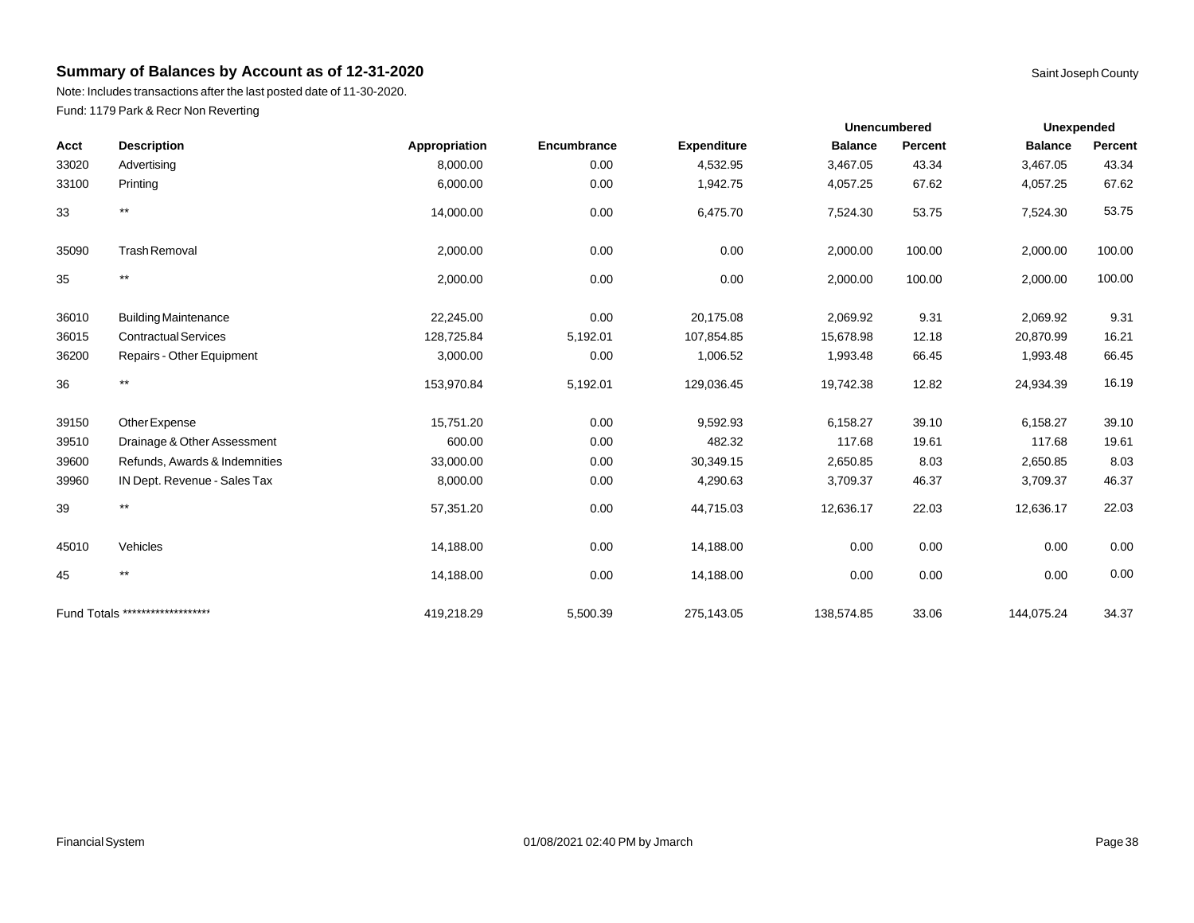Note: Includes transactions after the last posted date of 11-30-2020. Fund: 1179 Park & Recr Non Reverting

|       |                                  |               |             |                    | <b>Unencumbered</b> |          | Unexpended     |         |
|-------|----------------------------------|---------------|-------------|--------------------|---------------------|----------|----------------|---------|
| Acct  | <b>Description</b>               | Appropriation | Encumbrance | <b>Expenditure</b> | <b>Balance</b>      | Percent  | <b>Balance</b> | Percent |
| 33020 | Advertising                      | 8,000.00      | 0.00        | 4,532.95           | 3,467.05            | 43.34    | 3,467.05       | 43.34   |
| 33100 | Printing                         | 6,000.00      | 0.00        | 1,942.75           | 4,057.25            | 67.62    | 4,057.25       | 67.62   |
| 33    | $^{\star\star}$                  | 14,000.00     | 0.00        | 6,475.70           | 7,524.30            | 53.75    | 7,524.30       | 53.75   |
| 35090 | <b>Trash Removal</b>             | 2,000.00      | 0.00        | 0.00               | 2,000.00            | 100.00   | 2,000.00       | 100.00  |
| 35    | $^{\star\star}$                  | 2,000.00      | 0.00        | 0.00               | 2,000.00            | 100.00   | 2,000.00       | 100.00  |
| 36010 | <b>Building Maintenance</b>      | 22,245.00     | 0.00        | 20,175.08          | 2,069.92            | 9.31     | 2,069.92       | 9.31    |
| 36015 | <b>Contractual Services</b>      | 128,725.84    | 5,192.01    | 107,854.85         | 15,678.98           | 12.18    | 20,870.99      | 16.21   |
| 36200 | Repairs - Other Equipment        | 3,000.00      | 0.00        | 1,006.52           | 1,993.48            | 66.45    | 1,993.48       | 66.45   |
| 36    | $^{\star\star}$                  | 153,970.84    | 5,192.01    | 129,036.45         | 19,742.38           | 12.82    | 24,934.39      | 16.19   |
| 39150 | Other Expense                    | 15,751.20     | 0.00        | 9,592.93           | 6,158.27            | 39.10    | 6,158.27       | 39.10   |
| 39510 | Drainage & Other Assessment      | 600.00        | 0.00        | 482.32             | 117.68              | 19.61    | 117.68         | 19.61   |
| 39600 | Refunds, Awards & Indemnities    | 33,000.00     | 0.00        | 30,349.15          | 2,650.85            | 8.03     | 2,650.85       | 8.03    |
| 39960 | IN Dept. Revenue - Sales Tax     | 8,000.00      | 0.00        | 4,290.63           | 3,709.37            | 46.37    | 3,709.37       | 46.37   |
| 39    | $^{\star\star}$                  | 57,351.20     | 0.00        | 44,715.03          | 12,636.17           | 22.03    | 12,636.17      | 22.03   |
| 45010 | Vehicles                         | 14,188.00     | 0.00        | 14,188.00          | 0.00                | $0.00\,$ | 0.00           | 0.00    |
| 45    | $***$                            | 14,188.00     | 0.00        | 14,188.00          | 0.00                | 0.00     | 0.00           | 0.00    |
|       | Fund Totals ******************** | 419,218.29    | 5,500.39    | 275,143.05         | 138,574.85          | 33.06    | 144,075.24     | 34.37   |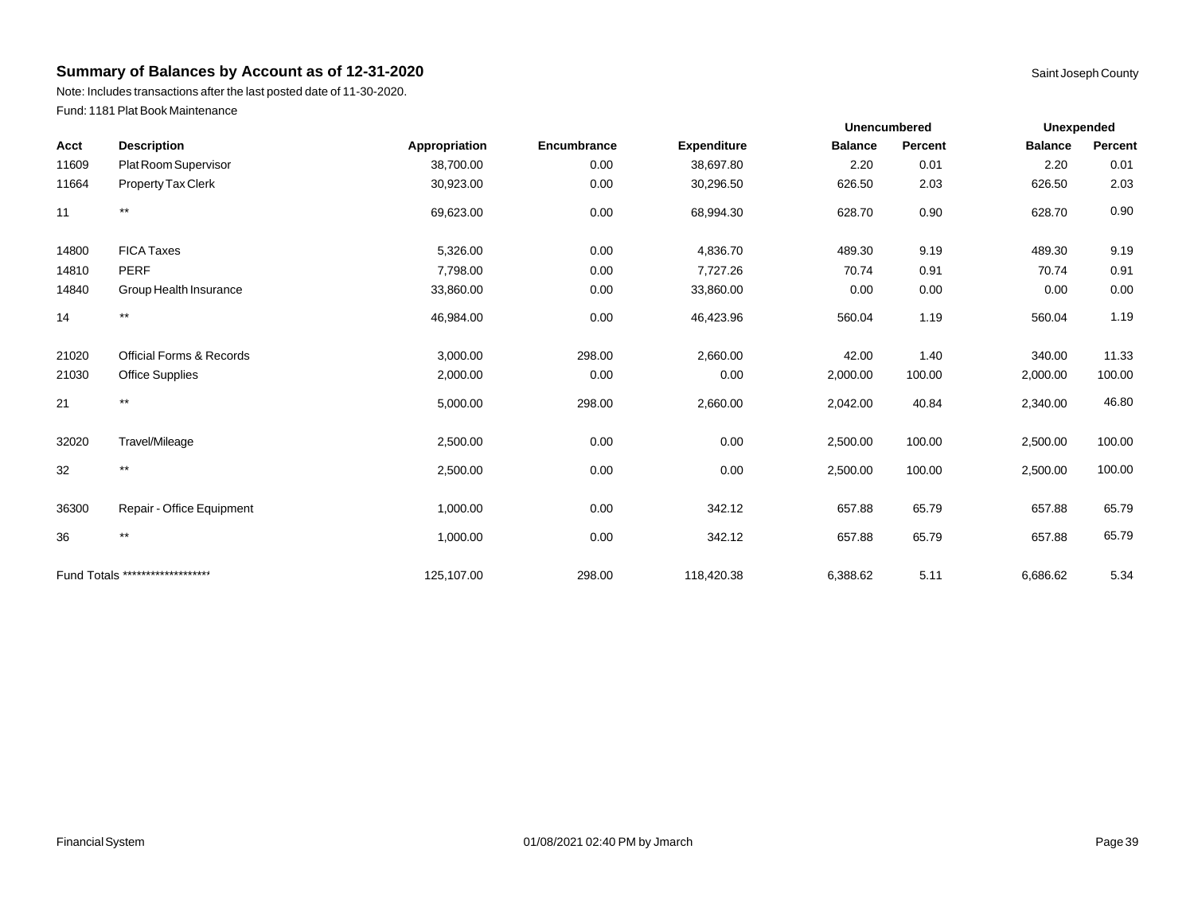Note: Includes transactions after the last posted date of 11-30-2020. Fund: 1181 Plat Book Maintenance

|       |                                     |               |             |                    | <b>Unencumbered</b> |         | Unexpended     |         |
|-------|-------------------------------------|---------------|-------------|--------------------|---------------------|---------|----------------|---------|
| Acct  | <b>Description</b>                  | Appropriation | Encumbrance | <b>Expenditure</b> | <b>Balance</b>      | Percent | <b>Balance</b> | Percent |
| 11609 | Plat Room Supervisor                | 38,700.00     | 0.00        | 38,697.80          | 2.20                | 0.01    | 2.20           | 0.01    |
| 11664 | Property Tax Clerk                  | 30,923.00     | 0.00        | 30,296.50          | 626.50              | 2.03    | 626.50         | 2.03    |
| 11    | $^{\star\star}$                     | 69,623.00     | 0.00        | 68,994.30          | 628.70              | 0.90    | 628.70         | 0.90    |
| 14800 | <b>FICA Taxes</b>                   | 5,326.00      | 0.00        | 4,836.70           | 489.30              | 9.19    | 489.30         | 9.19    |
| 14810 | <b>PERF</b>                         | 7,798.00      | 0.00        | 7,727.26           | 70.74               | 0.91    | 70.74          | 0.91    |
| 14840 | Group Health Insurance              | 33,860.00     | 0.00        | 33,860.00          | 0.00                | 0.00    | 0.00           | 0.00    |
| 14    | $^{\star\star}$                     | 46,984.00     | 0.00        | 46,423.96          | 560.04              | 1.19    | 560.04         | 1.19    |
| 21020 | <b>Official Forms &amp; Records</b> | 3,000.00      | 298.00      | 2,660.00           | 42.00               | 1.40    | 340.00         | 11.33   |
| 21030 | <b>Office Supplies</b>              | 2,000.00      | 0.00        | 0.00               | 2,000.00            | 100.00  | 2,000.00       | 100.00  |
| 21    | $^{\star\star}$                     | 5,000.00      | 298.00      | 2,660.00           | 2,042.00            | 40.84   | 2,340.00       | 46.80   |
| 32020 | Travel/Mileage                      | 2,500.00      | 0.00        | 0.00               | 2,500.00            | 100.00  | 2,500.00       | 100.00  |
| 32    | $***$                               | 2,500.00      | 0.00        | 0.00               | 2,500.00            | 100.00  | 2,500.00       | 100.00  |
| 36300 | Repair - Office Equipment           | 1,000.00      | 0.00        | 342.12             | 657.88              | 65.79   | 657.88         | 65.79   |
| 36    | $^{\star\star}$                     | 1,000.00      | 0.00        | 342.12             | 657.88              | 65.79   | 657.88         | 65.79   |
|       | Fund Totals ********************    | 125.107.00    | 298.00      | 118,420.38         | 6,388.62            | 5.11    | 6,686.62       | 5.34    |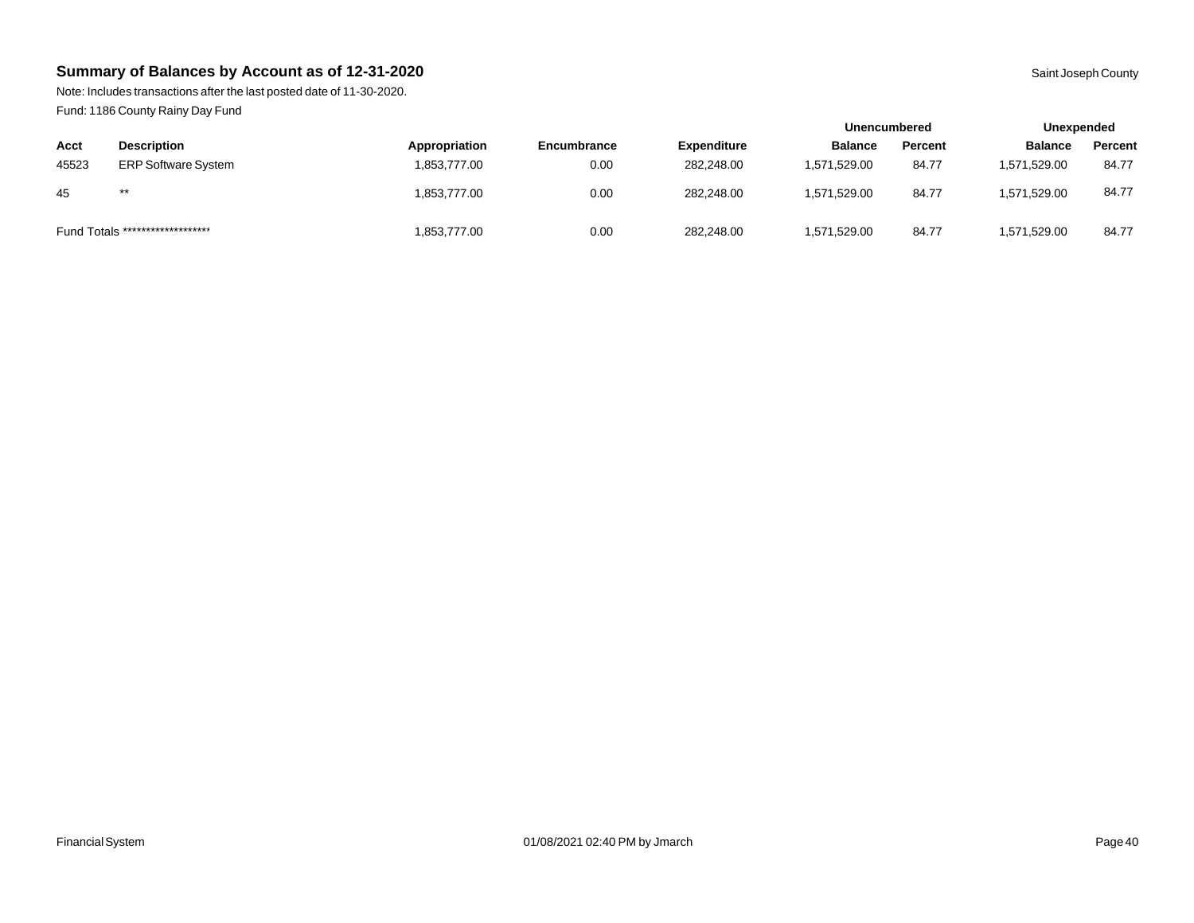Note: Includes transactions after the last posted date of 11-30-2020. Fund: 1186 County Rainy Day Fund

|       |                                  |               |             |                    | Unencumbered   |         | Unexpended     |         |
|-------|----------------------------------|---------------|-------------|--------------------|----------------|---------|----------------|---------|
| Acct  | <b>Description</b>               | Appropriation | Encumbrance | <b>Expenditure</b> | <b>Balance</b> | Percent | <b>Balance</b> | Percent |
| 45523 | <b>ERP Software System</b>       | 1,853,777.00  | 0.00        | 282.248.00         | 1,571,529.00   | 84.77   | 1,571,529.00   | 84.77   |
| 45    | $***$                            | 1,853,777.00  | 0.00        | 282.248.00         | 1.571.529.00   | 84.77   | 1.571.529.00   | 84.77   |
|       | Fund Totals ******************** | 1,853,777.00  | 0.00        | 282,248.00         | 1,571,529.00   | 84.77   | 1,571,529.00   | 84.77   |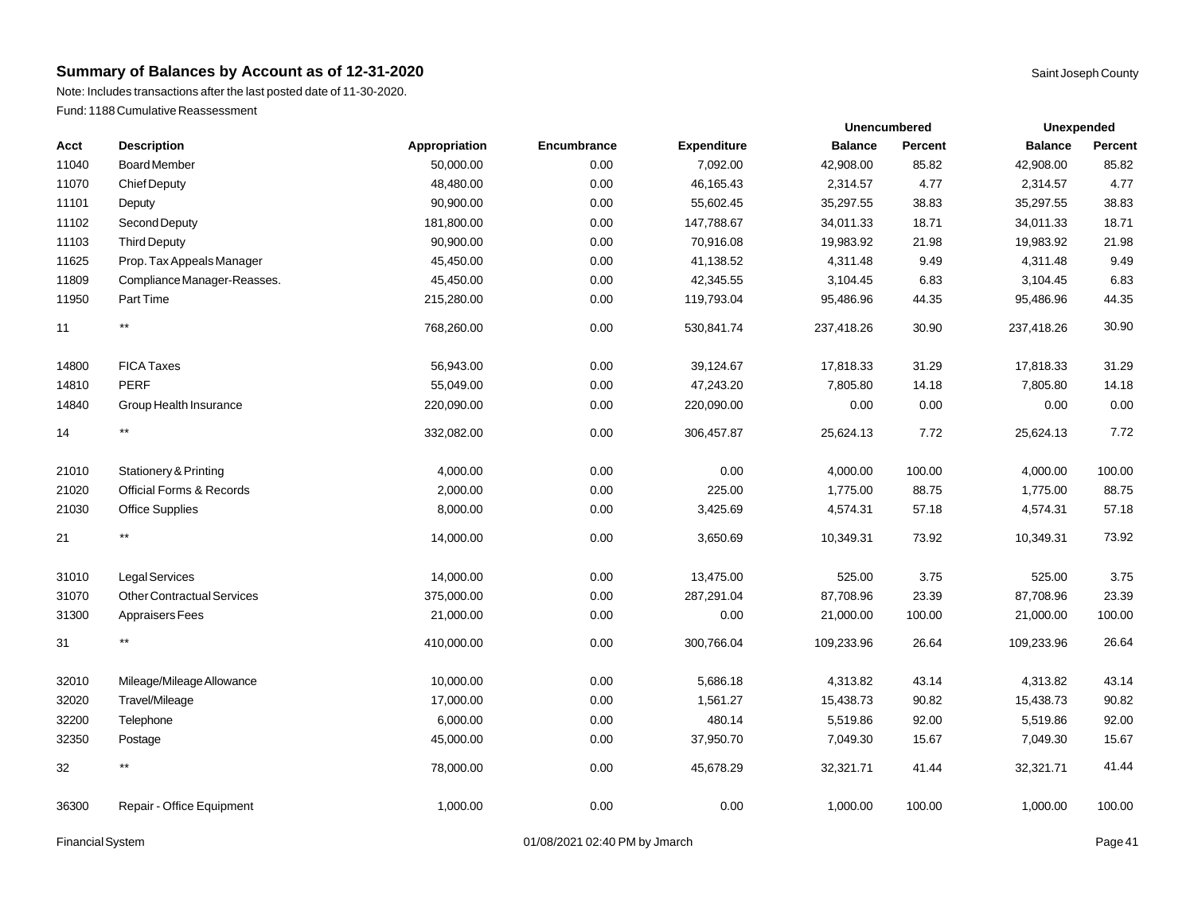Note: Includes transactions after the last posted date of 11-30-2020. Fund: 1188 Cumulative Reassessment

|       |                                   |               |             |                    | <b>Unencumbered</b> |         | <b>Unexpended</b> |         |
|-------|-----------------------------------|---------------|-------------|--------------------|---------------------|---------|-------------------|---------|
| Acct  | <b>Description</b>                | Appropriation | Encumbrance | <b>Expenditure</b> | <b>Balance</b>      | Percent | <b>Balance</b>    | Percent |
| 11040 | <b>Board Member</b>               | 50,000.00     | 0.00        | 7,092.00           | 42,908.00           | 85.82   | 42,908.00         | 85.82   |
| 11070 | <b>Chief Deputy</b>               | 48,480.00     | 0.00        | 46,165.43          | 2,314.57            | 4.77    | 2,314.57          | 4.77    |
| 11101 | Deputy                            | 90,900.00     | 0.00        | 55,602.45          | 35,297.55           | 38.83   | 35,297.55         | 38.83   |
| 11102 | Second Deputy                     | 181,800.00    | 0.00        | 147,788.67         | 34,011.33           | 18.71   | 34,011.33         | 18.71   |
| 11103 | <b>Third Deputy</b>               | 90,900.00     | 0.00        | 70,916.08          | 19,983.92           | 21.98   | 19,983.92         | 21.98   |
| 11625 | Prop. Tax Appeals Manager         | 45,450.00     | 0.00        | 41,138.52          | 4,311.48            | 9.49    | 4,311.48          | 9.49    |
| 11809 | Compliance Manager-Reasses.       | 45,450.00     | 0.00        | 42,345.55          | 3,104.45            | 6.83    | 3,104.45          | 6.83    |
| 11950 | Part Time                         | 215,280.00    | 0.00        | 119,793.04         | 95,486.96           | 44.35   | 95,486.96         | 44.35   |
| 11    | $\star\star$                      | 768,260.00    | 0.00        | 530,841.74         | 237,418.26          | 30.90   | 237,418.26        | 30.90   |
| 14800 | <b>FICA Taxes</b>                 | 56,943.00     | 0.00        | 39,124.67          | 17,818.33           | 31.29   | 17,818.33         | 31.29   |
| 14810 | <b>PERF</b>                       | 55,049.00     | 0.00        | 47,243.20          | 7,805.80            | 14.18   | 7,805.80          | 14.18   |
| 14840 | Group Health Insurance            | 220,090.00    | 0.00        | 220,090.00         | 0.00                | 0.00    | 0.00              | 0.00    |
| 14    | $\star\star$                      | 332,082.00    | 0.00        | 306,457.87         | 25,624.13           | 7.72    | 25,624.13         | 7.72    |
| 21010 | Stationery & Printing             | 4,000.00      | 0.00        | 0.00               | 4,000.00            | 100.00  | 4,000.00          | 100.00  |
| 21020 | Official Forms & Records          | 2,000.00      | 0.00        | 225.00             | 1,775.00            | 88.75   | 1,775.00          | 88.75   |
| 21030 | <b>Office Supplies</b>            | 8,000.00      | 0.00        | 3,425.69           | 4,574.31            | 57.18   | 4,574.31          | 57.18   |
| 21    | $\star\star$                      | 14,000.00     | 0.00        | 3,650.69           | 10,349.31           | 73.92   | 10,349.31         | 73.92   |
| 31010 | <b>Legal Services</b>             | 14,000.00     | 0.00        | 13,475.00          | 525.00              | 3.75    | 525.00            | 3.75    |
| 31070 | <b>Other Contractual Services</b> | 375,000.00    | 0.00        | 287,291.04         | 87,708.96           | 23.39   | 87,708.96         | 23.39   |
| 31300 | <b>Appraisers Fees</b>            | 21,000.00     | 0.00        | 0.00               | 21,000.00           | 100.00  | 21,000.00         | 100.00  |
| 31    | $^{\star\star}$                   | 410,000.00    | 0.00        | 300,766.04         | 109,233.96          | 26.64   | 109,233.96        | 26.64   |
| 32010 | Mileage/Mileage Allowance         | 10,000.00     | 0.00        | 5,686.18           | 4,313.82            | 43.14   | 4,313.82          | 43.14   |
| 32020 | Travel/Mileage                    | 17,000.00     | 0.00        | 1,561.27           | 15,438.73           | 90.82   | 15,438.73         | 90.82   |
| 32200 | Telephone                         | 6,000.00      | 0.00        | 480.14             | 5,519.86            | 92.00   | 5,519.86          | 92.00   |
| 32350 | Postage                           | 45,000.00     | 0.00        | 37,950.70          | 7,049.30            | 15.67   | 7,049.30          | 15.67   |
| 32    | $^{\star\star}$                   | 78,000.00     | 0.00        | 45,678.29          | 32,321.71           | 41.44   | 32,321.71         | 41.44   |
| 36300 | Repair - Office Equipment         | 1,000.00      | 0.00        | 0.00               | 1,000.00            | 100.00  | 1,000.00          | 100.00  |

Financial System **Example 2019** 2021 02:40 PM by Jmarch **Page 41** 201/08/2021 02:40 PM by Jmarch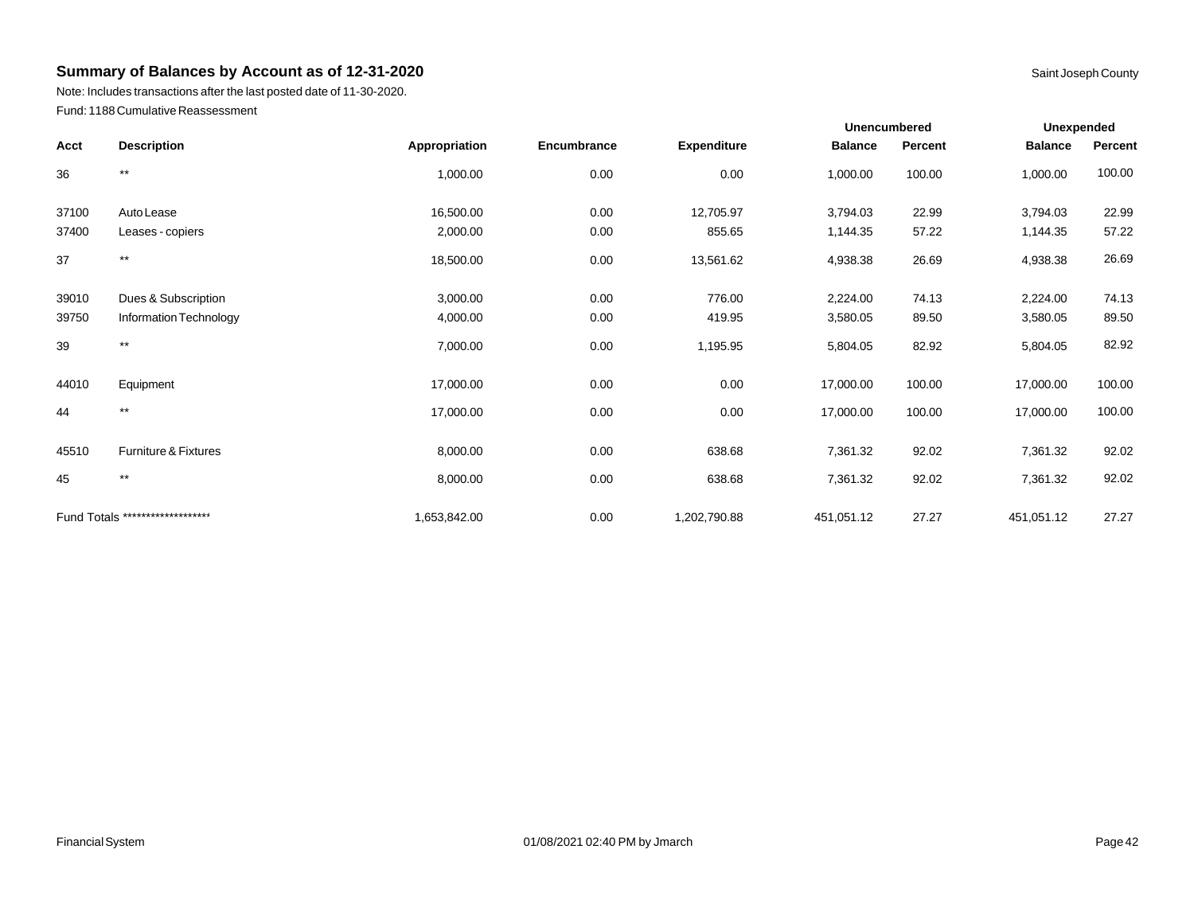Note: Includes transactions after the last posted date of 11-30-2020. Fund: 1188 Cumulative Reassessment

|       |                                  |               |             |                    | <b>Unencumbered</b> |         | Unexpended     |         |
|-------|----------------------------------|---------------|-------------|--------------------|---------------------|---------|----------------|---------|
| Acct  | <b>Description</b>               | Appropriation | Encumbrance | <b>Expenditure</b> | <b>Balance</b>      | Percent | <b>Balance</b> | Percent |
| 36    | $^{\star\star}$                  | 1,000.00      | 0.00        | 0.00               | 1,000.00            | 100.00  | 1,000.00       | 100.00  |
| 37100 | Auto Lease                       | 16,500.00     | 0.00        | 12,705.97          | 3,794.03            | 22.99   | 3,794.03       | 22.99   |
| 37400 | Leases - copiers                 | 2,000.00      | 0.00        | 855.65             | 1,144.35            | 57.22   | 1,144.35       | 57.22   |
| 37    | $***$                            | 18,500.00     | 0.00        | 13,561.62          | 4,938.38            | 26.69   | 4,938.38       | 26.69   |
| 39010 | Dues & Subscription              | 3,000.00      | 0.00        | 776.00             | 2,224.00            | 74.13   | 2,224.00       | 74.13   |
| 39750 | Information Technology           | 4,000.00      | 0.00        | 419.95             | 3,580.05            | 89.50   | 3,580.05       | 89.50   |
| 39    | $^{\star\star}$                  | 7,000.00      | 0.00        | 1,195.95           | 5,804.05            | 82.92   | 5,804.05       | 82.92   |
| 44010 | Equipment                        | 17,000.00     | 0.00        | 0.00               | 17,000.00           | 100.00  | 17,000.00      | 100.00  |
| 44    | $***$                            | 17,000.00     | 0.00        | 0.00               | 17,000.00           | 100.00  | 17,000.00      | 100.00  |
| 45510 | Furniture & Fixtures             | 8,000.00      | 0.00        | 638.68             | 7,361.32            | 92.02   | 7,361.32       | 92.02   |
| 45    | $***$                            | 8,000.00      | 0.00        | 638.68             | 7,361.32            | 92.02   | 7,361.32       | 92.02   |
|       | Fund Totals ******************** | 1,653,842.00  | 0.00        | 1,202,790.88       | 451,051.12          | 27.27   | 451,051.12     | 27.27   |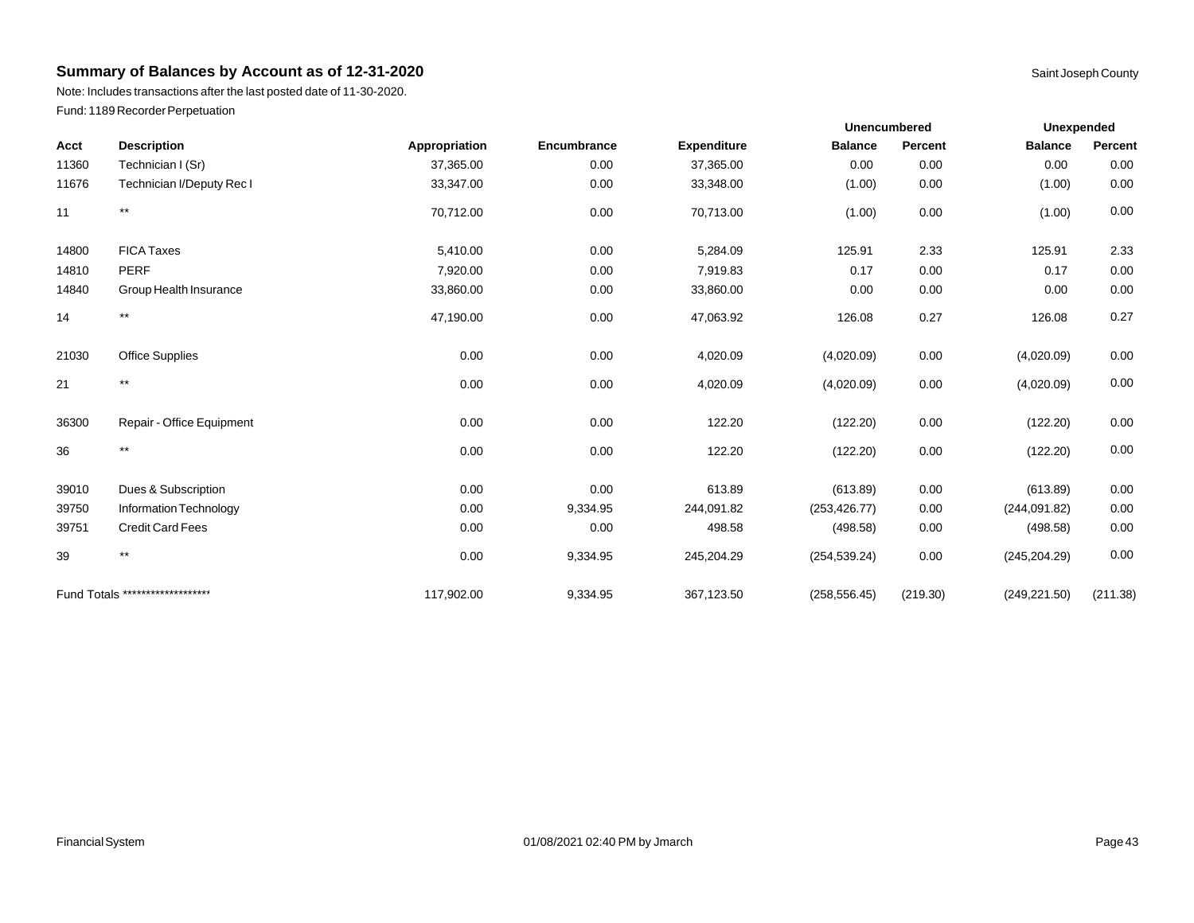Note: Includes transactions after the last posted date of 11-30-2020. Fund: 1189 Recorder Perpetuation

|       |                                  |               |             |                    | <b>Unencumbered</b> |          | Unexpended     |          |
|-------|----------------------------------|---------------|-------------|--------------------|---------------------|----------|----------------|----------|
| Acct  | <b>Description</b>               | Appropriation | Encumbrance | <b>Expenditure</b> | <b>Balance</b>      | Percent  | <b>Balance</b> | Percent  |
| 11360 | Technician I (Sr)                | 37,365.00     | 0.00        | 37,365.00          | 0.00                | 0.00     | 0.00           | 0.00     |
| 11676 | Technician I/Deputy Rec I        | 33,347.00     | 0.00        | 33,348.00          | (1.00)              | 0.00     | (1.00)         | 0.00     |
| 11    | $^{\star\star}$                  | 70,712.00     | 0.00        | 70,713.00          | (1.00)              | 0.00     | (1.00)         | 0.00     |
| 14800 | <b>FICA Taxes</b>                | 5,410.00      | 0.00        | 5,284.09           | 125.91              | 2.33     | 125.91         | 2.33     |
| 14810 | <b>PERF</b>                      | 7,920.00      | 0.00        | 7,919.83           | 0.17                | 0.00     | 0.17           | 0.00     |
| 14840 | Group Health Insurance           | 33,860.00     | 0.00        | 33,860.00          | 0.00                | 0.00     | 0.00           | 0.00     |
| 14    | $^{\star\star}$                  | 47,190.00     | 0.00        | 47,063.92          | 126.08              | 0.27     | 126.08         | 0.27     |
| 21030 | <b>Office Supplies</b>           | 0.00          | 0.00        | 4,020.09           | (4,020.09)          | 0.00     | (4,020.09)     | 0.00     |
| 21    | $^{\star\star}$                  | 0.00          | 0.00        | 4,020.09           | (4,020.09)          | 0.00     | (4,020.09)     | 0.00     |
| 36300 | Repair - Office Equipment        | 0.00          | 0.00        | 122.20             | (122.20)            | 0.00     | (122.20)       | 0.00     |
| 36    | $^{\star\star}$                  | 0.00          | 0.00        | 122.20             | (122.20)            | 0.00     | (122.20)       | 0.00     |
| 39010 | Dues & Subscription              | 0.00          | 0.00        | 613.89             | (613.89)            | 0.00     | (613.89)       | 0.00     |
| 39750 | Information Technology           | 0.00          | 9,334.95    | 244,091.82         | (253, 426.77)       | 0.00     | (244, 091.82)  | 0.00     |
| 39751 | <b>Credit Card Fees</b>          | 0.00          | 0.00        | 498.58             | (498.58)            | 0.00     | (498.58)       | 0.00     |
| 39    | $^{\star\star}$                  | 0.00          | 9,334.95    | 245,204.29         | (254, 539.24)       | 0.00     | (245, 204.29)  | 0.00     |
|       | Fund Totals ******************** | 117,902.00    | 9,334.95    | 367,123.50         | (258, 556.45)       | (219.30) | (249, 221.50)  | (211.38) |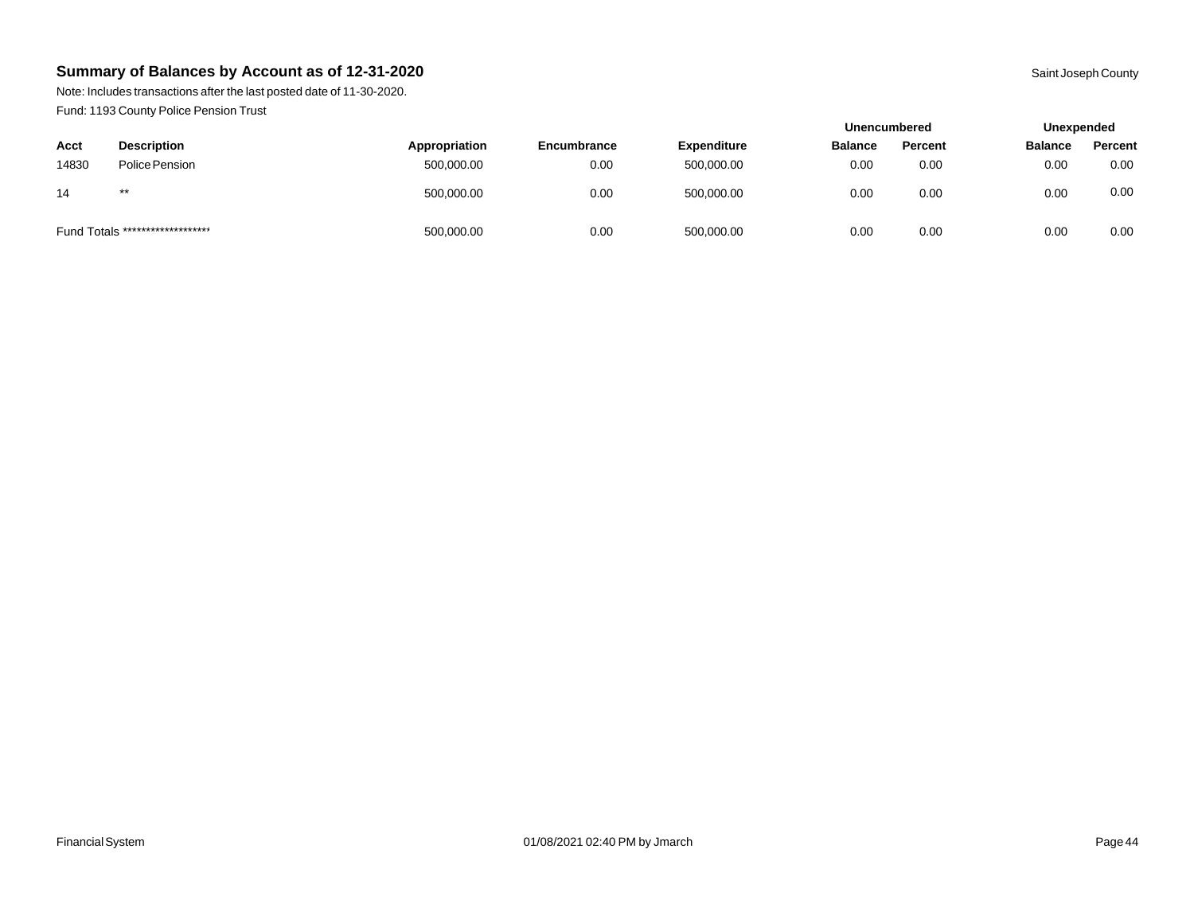Note: Includes transactions after the last posted date of 11-30-2020. Fund: 1193 County Police Pension Trust

|       |                                  |               |             |                    | <b>Unencumbered</b> |         | Unexpended     |         |
|-------|----------------------------------|---------------|-------------|--------------------|---------------------|---------|----------------|---------|
| Acct  | <b>Description</b>               | Appropriation | Encumbrance | <b>Expenditure</b> | <b>Balance</b>      | Percent | <b>Balance</b> | Percent |
| 14830 | Police Pension                   | 500,000.00    | 0.00        | 500,000.00         | 0.00                | 0.00    | 0.00           | 0.00    |
| 14    | $***$                            | 500,000.00    | 0.00        | 500,000.00         | 0.00                | 0.00    | 0.00           | 0.00    |
|       | Fund Totals ******************** | 500,000.00    | 0.00        | 500,000.00         | 0.00                | 0.00    | 0.00           | 0.00    |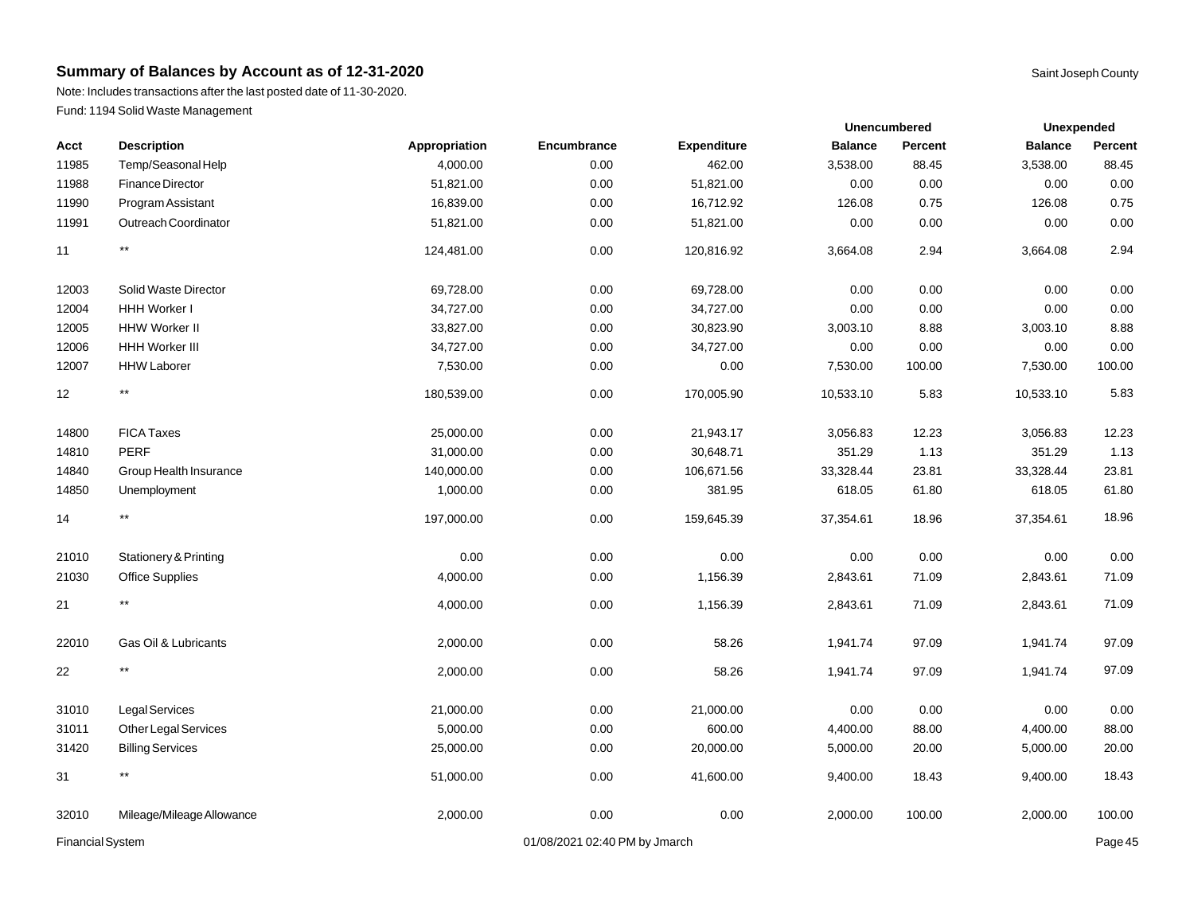Note: Includes transactions after the last posted date of 11-30-2020. Fund: 1194 Solid Waste Management

| Acct             | <b>Description</b>        | Appropriation | Encumbrance                   | <b>Expenditure</b> | <b>Balance</b> | Percent | <b>Balance</b> | Percent |
|------------------|---------------------------|---------------|-------------------------------|--------------------|----------------|---------|----------------|---------|
| 11985            | Temp/Seasonal Help        | 4,000.00      | 0.00                          | 462.00             | 3,538.00       | 88.45   | 3,538.00       | 88.45   |
| 11988            | Finance Director          | 51,821.00     | 0.00                          | 51,821.00          | 0.00           | 0.00    | 0.00           | 0.00    |
| 11990            | Program Assistant         | 16,839.00     | 0.00                          | 16,712.92          | 126.08         | 0.75    | 126.08         | 0.75    |
| 11991            | Outreach Coordinator      | 51,821.00     | 0.00                          | 51,821.00          | 0.00           | 0.00    | 0.00           | 0.00    |
| 11               | $^{\star\star}$           | 124,481.00    | 0.00                          | 120,816.92         | 3,664.08       | 2.94    | 3,664.08       | 2.94    |
| 12003            | Solid Waste Director      | 69,728.00     | 0.00                          | 69,728.00          | 0.00           | 0.00    | 0.00           | 0.00    |
| 12004            | HHH Worker I              | 34,727.00     | 0.00                          | 34,727.00          | 0.00           | 0.00    | 0.00           | 0.00    |
| 12005            | HHW Worker II             | 33,827.00     | 0.00                          | 30,823.90          | 3,003.10       | 8.88    | 3,003.10       | 8.88    |
| 12006            | <b>HHH Worker III</b>     | 34,727.00     | 0.00                          | 34,727.00          | 0.00           | 0.00    | 0.00           | 0.00    |
| 12007            | <b>HHW Laborer</b>        | 7,530.00      | 0.00                          | 0.00               | 7,530.00       | 100.00  | 7,530.00       | 100.00  |
| 12               | $\star\star$              | 180,539.00    | 0.00                          | 170,005.90         | 10,533.10      | 5.83    | 10,533.10      | 5.83    |
| 14800            | <b>FICA Taxes</b>         | 25,000.00     | 0.00                          | 21,943.17          | 3,056.83       | 12.23   | 3,056.83       | 12.23   |
| 14810            | PERF                      | 31,000.00     | $0.00\,$                      | 30,648.71          | 351.29         | 1.13    | 351.29         | 1.13    |
| 14840            | Group Health Insurance    | 140,000.00    | 0.00                          | 106,671.56         | 33,328.44      | 23.81   | 33,328.44      | 23.81   |
| 14850            | Unemployment              | 1,000.00      | 0.00                          | 381.95             | 618.05         | 61.80   | 618.05         | 61.80   |
| 14               | $\star\star$              | 197,000.00    | 0.00                          | 159,645.39         | 37,354.61      | 18.96   | 37,354.61      | 18.96   |
| 21010            | Stationery & Printing     | 0.00          | 0.00                          | 0.00               | 0.00           | 0.00    | 0.00           | 0.00    |
| 21030            | <b>Office Supplies</b>    | 4,000.00      | 0.00                          | 1,156.39           | 2,843.61       | 71.09   | 2,843.61       | 71.09   |
| 21               | $^{\star\star}$           | 4,000.00      | 0.00                          | 1,156.39           | 2,843.61       | 71.09   | 2,843.61       | 71.09   |
| 22010            | Gas Oil & Lubricants      | 2,000.00      | 0.00                          | 58.26              | 1,941.74       | 97.09   | 1,941.74       | 97.09   |
| 22               | $\star\star$              | 2,000.00      | 0.00                          | 58.26              | 1,941.74       | 97.09   | 1,941.74       | 97.09   |
| 31010            | <b>Legal Services</b>     | 21,000.00     | 0.00                          | 21,000.00          | 0.00           | 0.00    | 0.00           | 0.00    |
| 31011            | Other Legal Services      | 5,000.00      | 0.00                          | 600.00             | 4,400.00       | 88.00   | 4,400.00       | 88.00   |
| 31420            | <b>Billing Services</b>   | 25,000.00     | 0.00                          | 20,000.00          | 5,000.00       | 20.00   | 5,000.00       | 20.00   |
| 31               | $^{\star\star}$           | 51,000.00     | 0.00                          | 41,600.00          | 9,400.00       | 18.43   | 9,400.00       | 18.43   |
| 32010            | Mileage/Mileage Allowance | 2,000.00      | 0.00                          | 0.00               | 2,000.00       | 100.00  | 2,000.00       | 100.00  |
| Financial System |                           |               | 01/08/2021 02:40 PM by Jmarch |                    |                |         |                | Page 45 |

**Unexpended**

**Unencumbered**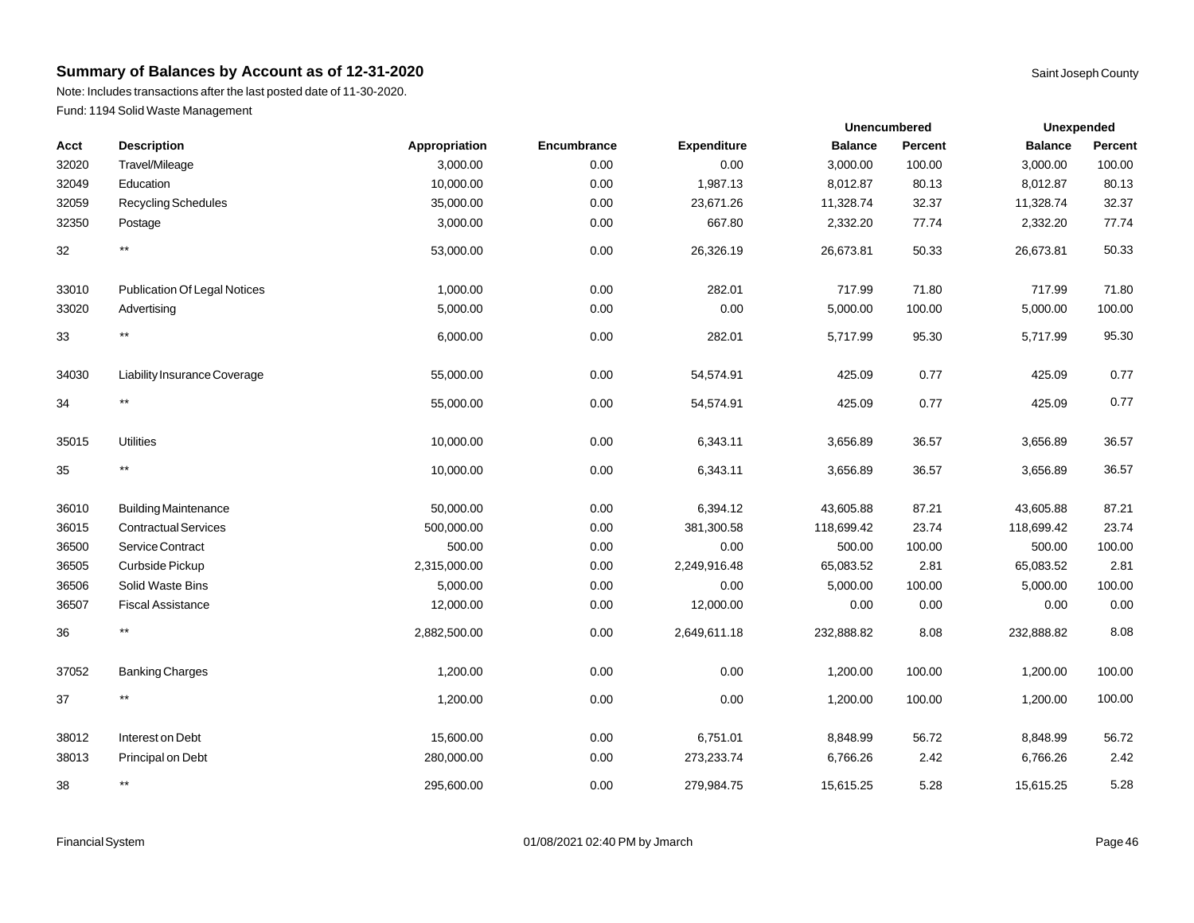Note: Includes transactions after the last posted date of 11-30-2020. Fund: 1194 Solid Waste Management

| Acct  | <b>Description</b>                  | Appropriation | Encumbrance | Expenditure  | <b>Balance</b> | <b>Percent</b> | <b>Balance</b> | Percent |
|-------|-------------------------------------|---------------|-------------|--------------|----------------|----------------|----------------|---------|
| 32020 | Travel/Mileage                      | 3,000.00      | 0.00        | 0.00         | 3,000.00       | 100.00         | 3,000.00       | 100.00  |
| 32049 | Education                           | 10,000.00     | 0.00        | 1,987.13     | 8,012.87       | 80.13          | 8,012.87       | 80.13   |
| 32059 | <b>Recycling Schedules</b>          | 35,000.00     | 0.00        | 23,671.26    | 11,328.74      | 32.37          | 11,328.74      | 32.37   |
| 32350 | Postage                             | 3,000.00      | 0.00        | 667.80       | 2,332.20       | 77.74          | 2,332.20       | 77.74   |
| 32    | $^{\star\star}$                     | 53,000.00     | 0.00        | 26,326.19    | 26,673.81      | 50.33          | 26,673.81      | 50.33   |
| 33010 | <b>Publication Of Legal Notices</b> | 1,000.00      | 0.00        | 282.01       | 717.99         | 71.80          | 717.99         | 71.80   |
| 33020 | Advertising                         | 5,000.00      | 0.00        | 0.00         | 5,000.00       | 100.00         | 5,000.00       | 100.00  |
| 33    | $^{\star\star}$                     | 6,000.00      | 0.00        | 282.01       | 5,717.99       | 95.30          | 5,717.99       | 95.30   |
| 34030 | Liability Insurance Coverage        | 55,000.00     | 0.00        | 54,574.91    | 425.09         | 0.77           | 425.09         | 0.77    |
| 34    | $^{\star\star}$                     | 55,000.00     | 0.00        | 54,574.91    | 425.09         | 0.77           | 425.09         | 0.77    |
| 35015 | <b>Utilities</b>                    | 10,000.00     | 0.00        | 6,343.11     | 3,656.89       | 36.57          | 3,656.89       | 36.57   |
| 35    | $^{\star\star}$                     | 10,000.00     | 0.00        | 6,343.11     | 3,656.89       | 36.57          | 3,656.89       | 36.57   |
| 36010 | <b>Building Maintenance</b>         | 50,000.00     | 0.00        | 6,394.12     | 43,605.88      | 87.21          | 43,605.88      | 87.21   |
| 36015 | <b>Contractual Services</b>         | 500,000.00    | 0.00        | 381,300.58   | 118,699.42     | 23.74          | 118,699.42     | 23.74   |
| 36500 | Service Contract                    | 500.00        | 0.00        | 0.00         | 500.00         | 100.00         | 500.00         | 100.00  |
| 36505 | Curbside Pickup                     | 2,315,000.00  | 0.00        | 2,249,916.48 | 65,083.52      | 2.81           | 65,083.52      | 2.81    |
| 36506 | Solid Waste Bins                    | 5,000.00      | 0.00        | 0.00         | 5,000.00       | 100.00         | 5,000.00       | 100.00  |
| 36507 | <b>Fiscal Assistance</b>            | 12,000.00     | 0.00        | 12,000.00    | 0.00           | 0.00           | 0.00           | 0.00    |
| 36    | $^{\star\star}$                     | 2,882,500.00  | 0.00        | 2,649,611.18 | 232,888.82     | 8.08           | 232,888.82     | 8.08    |
| 37052 | <b>Banking Charges</b>              | 1,200.00      | 0.00        | 0.00         | 1,200.00       | 100.00         | 1,200.00       | 100.00  |
| 37    | $^{\star\star}$                     | 1,200.00      | 0.00        | 0.00         | 1,200.00       | 100.00         | 1,200.00       | 100.00  |
| 38012 | Interest on Debt                    | 15,600.00     | 0.00        | 6,751.01     | 8,848.99       | 56.72          | 8,848.99       | 56.72   |
| 38013 | Principal on Debt                   | 280,000.00    | 0.00        | 273,233.74   | 6,766.26       | 2.42           | 6,766.26       | 2.42    |
| 38    | $^{\star\star}$                     | 295,600.00    | 0.00        | 279,984.75   | 15,615.25      | 5.28           | 15,615.25      | 5.28    |

**Unexpended**

**Unencumbered**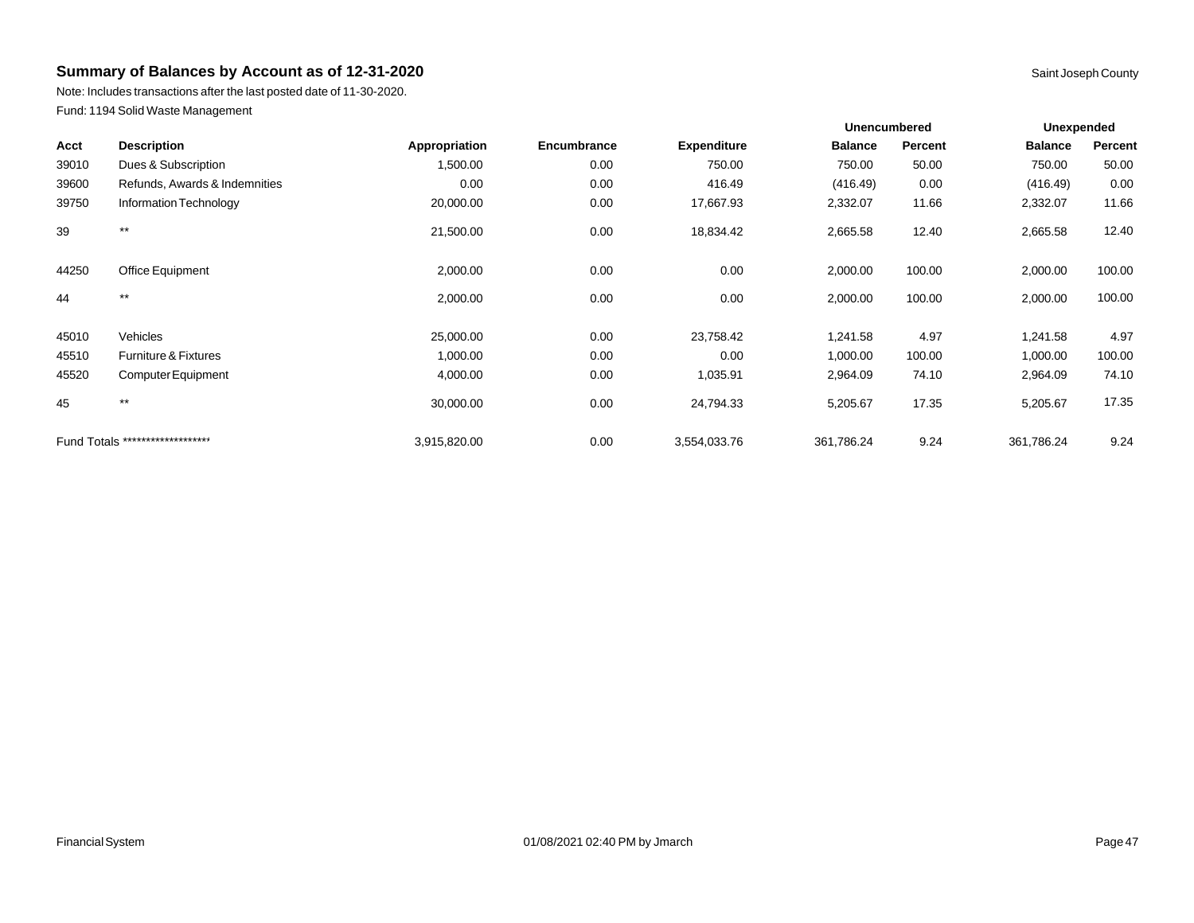Note: Includes transactions after the last posted date of 11-30-2020. Fund: 1194 Solid Waste Management

|       |                                  |               |             |                    | <b>Unencumbered</b> |         | <b>Unexpended</b> |         |
|-------|----------------------------------|---------------|-------------|--------------------|---------------------|---------|-------------------|---------|
| Acct  | <b>Description</b>               | Appropriation | Encumbrance | <b>Expenditure</b> | <b>Balance</b>      | Percent | <b>Balance</b>    | Percent |
| 39010 | Dues & Subscription              | 1,500.00      | 0.00        | 750.00             | 750.00              | 50.00   | 750.00            | 50.00   |
| 39600 | Refunds, Awards & Indemnities    | 0.00          | 0.00        | 416.49             | (416.49)            | 0.00    | (416.49)          | 0.00    |
| 39750 | Information Technology           | 20,000.00     | 0.00        | 17,667.93          | 2,332.07            | 11.66   | 2,332.07          | 11.66   |
| 39    | $***$                            | 21,500.00     | 0.00        | 18,834.42          | 2,665.58            | 12.40   | 2,665.58          | 12.40   |
| 44250 | Office Equipment                 | 2,000.00      | 0.00        | 0.00               | 2,000.00            | 100.00  | 2,000.00          | 100.00  |
| 44    | $***$                            | 2,000.00      | 0.00        | 0.00               | 2,000.00            | 100.00  | 2,000.00          | 100.00  |
| 45010 | Vehicles                         | 25,000.00     | 0.00        | 23,758.42          | 1,241.58            | 4.97    | 1,241.58          | 4.97    |
| 45510 | Furniture & Fixtures             | 1,000.00      | 0.00        | 0.00               | 1,000.00            | 100.00  | 1,000.00          | 100.00  |
| 45520 | Computer Equipment               | 4,000.00      | 0.00        | 1,035.91           | 2,964.09            | 74.10   | 2,964.09          | 74.10   |
| 45    | $***$                            | 30,000.00     | 0.00        | 24,794.33          | 5,205.67            | 17.35   | 5,205.67          | 17.35   |
|       | Fund Totals ******************** | 3,915,820.00  | 0.00        | 3,554,033.76       | 361,786.24          | 9.24    | 361,786.24        | 9.24    |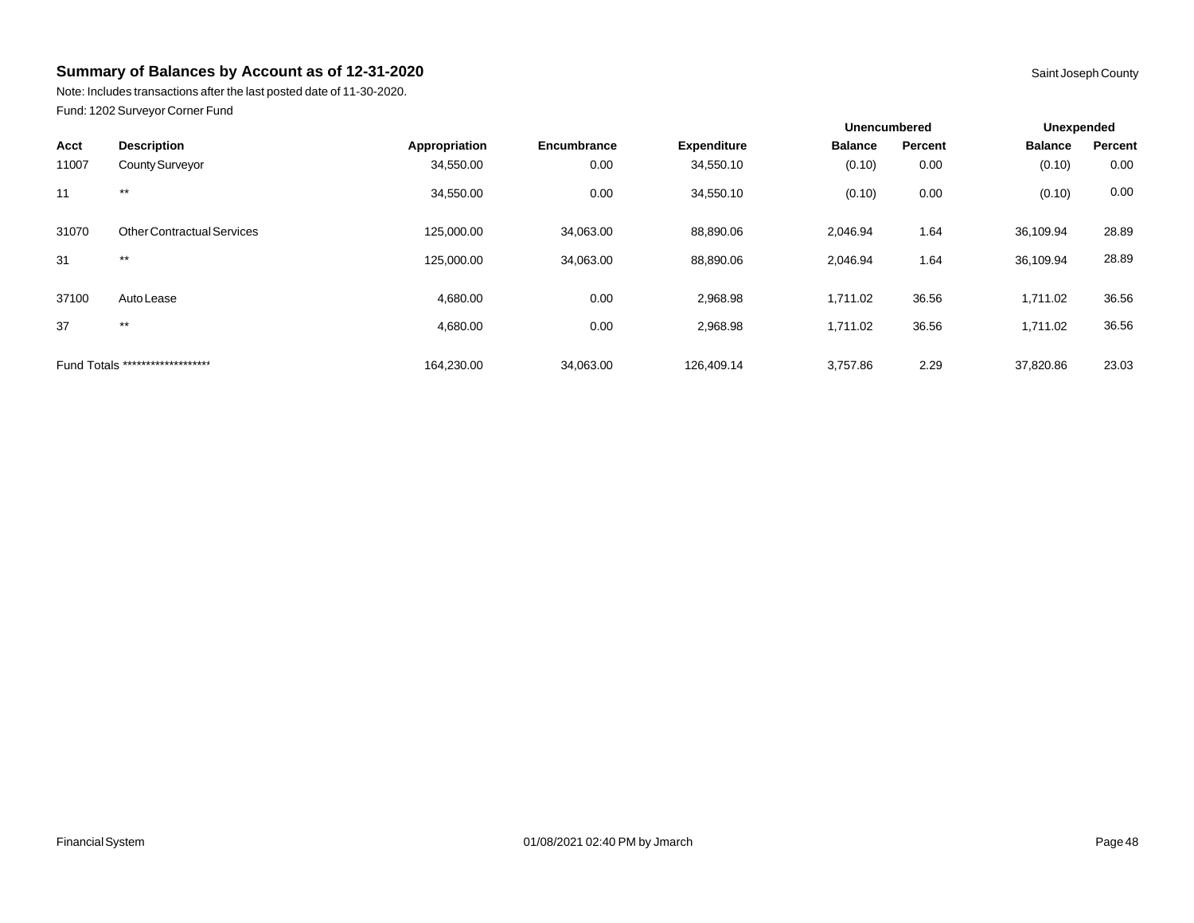Note: Includes transactions after the last posted date of 11-30-2020. Fund: 1202 Surveyor Corner Fund

|       |                                   |               |             |                    | <b>Unencumbered</b> |         | Unexpended     |         |
|-------|-----------------------------------|---------------|-------------|--------------------|---------------------|---------|----------------|---------|
| Acct  | <b>Description</b>                | Appropriation | Encumbrance | <b>Expenditure</b> | <b>Balance</b>      | Percent | <b>Balance</b> | Percent |
| 11007 | County Surveyor                   | 34,550.00     | 0.00        | 34,550.10          | (0.10)              | 0.00    | (0.10)         | 0.00    |
| 11    | $***$                             | 34,550.00     | 0.00        | 34,550.10          | (0.10)              | 0.00    | (0.10)         | 0.00    |
| 31070 | <b>Other Contractual Services</b> | 125,000.00    | 34,063.00   | 88,890.06          | 2,046.94            | 1.64    | 36,109.94      | 28.89   |
| 31    | $***$                             | 125,000.00    | 34,063.00   | 88,890.06          | 2.046.94            | 1.64    | 36,109.94      | 28.89   |
| 37100 | Auto Lease                        | 4,680.00      | 0.00        | 2,968.98           | 1,711.02            | 36.56   | 1,711.02       | 36.56   |
| 37    | $***$                             | 4,680.00      | 0.00        | 2,968.98           | 1,711.02            | 36.56   | 1,711.02       | 36.56   |
|       | Fund Totals ********************  | 164,230.00    | 34,063.00   | 126.409.14         | 3.757.86            | 2.29    | 37,820.86      | 23.03   |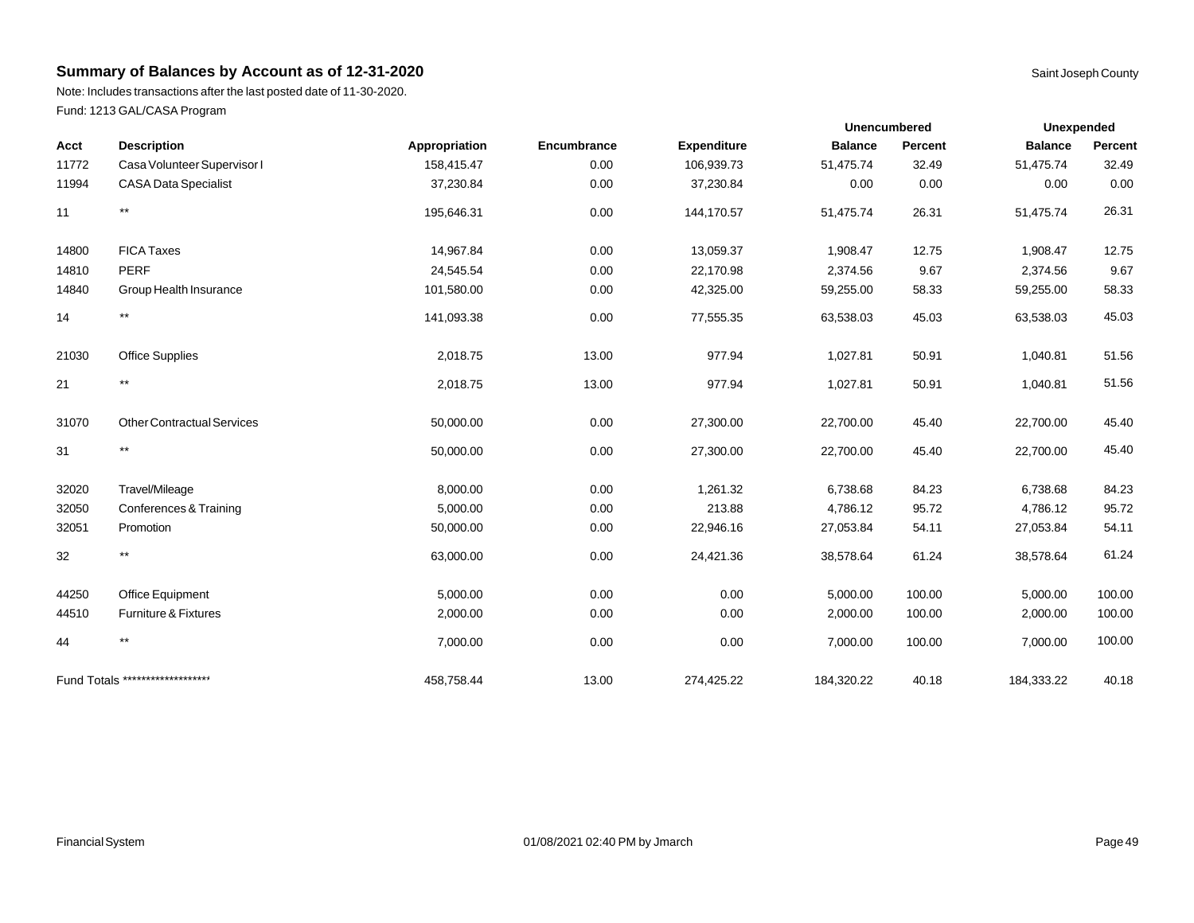Note: Includes transactions after the last posted date of 11-30-2020. Fund: 1213 GAL/CASA Program

|       |                                   |               |             |                    | Unencumbered   |         | <b>Unexpended</b> |         |
|-------|-----------------------------------|---------------|-------------|--------------------|----------------|---------|-------------------|---------|
| Acct  | <b>Description</b>                | Appropriation | Encumbrance | <b>Expenditure</b> | <b>Balance</b> | Percent | <b>Balance</b>    | Percent |
| 11772 | Casa Volunteer Supervisor I       | 158,415.47    | 0.00        | 106,939.73         | 51,475.74      | 32.49   | 51,475.74         | 32.49   |
| 11994 | <b>CASA Data Specialist</b>       | 37,230.84     | 0.00        | 37,230.84          | 0.00           | 0.00    | 0.00              | 0.00    |
| 11    | $^{\star\star}$                   | 195,646.31    | 0.00        | 144,170.57         | 51,475.74      | 26.31   | 51,475.74         | 26.31   |
| 14800 | <b>FICA Taxes</b>                 | 14,967.84     | 0.00        | 13,059.37          | 1,908.47       | 12.75   | 1,908.47          | 12.75   |
| 14810 | <b>PERF</b>                       | 24,545.54     | 0.00        | 22,170.98          | 2,374.56       | 9.67    | 2,374.56          | 9.67    |
| 14840 | Group Health Insurance            | 101,580.00    | 0.00        | 42,325.00          | 59,255.00      | 58.33   | 59,255.00         | 58.33   |
| 14    | $^{\star\star}$                   | 141,093.38    | 0.00        | 77,555.35          | 63,538.03      | 45.03   | 63,538.03         | 45.03   |
| 21030 | <b>Office Supplies</b>            | 2,018.75      | 13.00       | 977.94             | 1,027.81       | 50.91   | 1,040.81          | 51.56   |
| 21    | $^{\star\star}$                   | 2,018.75      | 13.00       | 977.94             | 1,027.81       | 50.91   | 1,040.81          | 51.56   |
| 31070 | <b>Other Contractual Services</b> | 50,000.00     | 0.00        | 27,300.00          | 22,700.00      | 45.40   | 22,700.00         | 45.40   |
| 31    | $^{\star\star}$                   | 50,000.00     | 0.00        | 27,300.00          | 22,700.00      | 45.40   | 22,700.00         | 45.40   |
| 32020 | Travel/Mileage                    | 8,000.00      | 0.00        | 1,261.32           | 6,738.68       | 84.23   | 6,738.68          | 84.23   |
| 32050 | Conferences & Training            | 5,000.00      | 0.00        | 213.88             | 4,786.12       | 95.72   | 4,786.12          | 95.72   |
| 32051 | Promotion                         | 50,000.00     | 0.00        | 22,946.16          | 27,053.84      | 54.11   | 27,053.84         | 54.11   |
| 32    | $^{\star\star}$                   | 63,000.00     | 0.00        | 24,421.36          | 38,578.64      | 61.24   | 38,578.64         | 61.24   |
| 44250 | Office Equipment                  | 5,000.00      | 0.00        | 0.00               | 5,000.00       | 100.00  | 5,000.00          | 100.00  |
| 44510 | Furniture & Fixtures              | 2,000.00      | 0.00        | 0.00               | 2,000.00       | 100.00  | 2,000.00          | 100.00  |
| 44    | $^{\star\star}$                   | 7,000.00      | 0.00        | 0.00               | 7,000.00       | 100.00  | 7,000.00          | 100.00  |
|       | Fund Totals ********************  | 458,758.44    | 13.00       | 274,425.22         | 184,320.22     | 40.18   | 184,333.22        | 40.18   |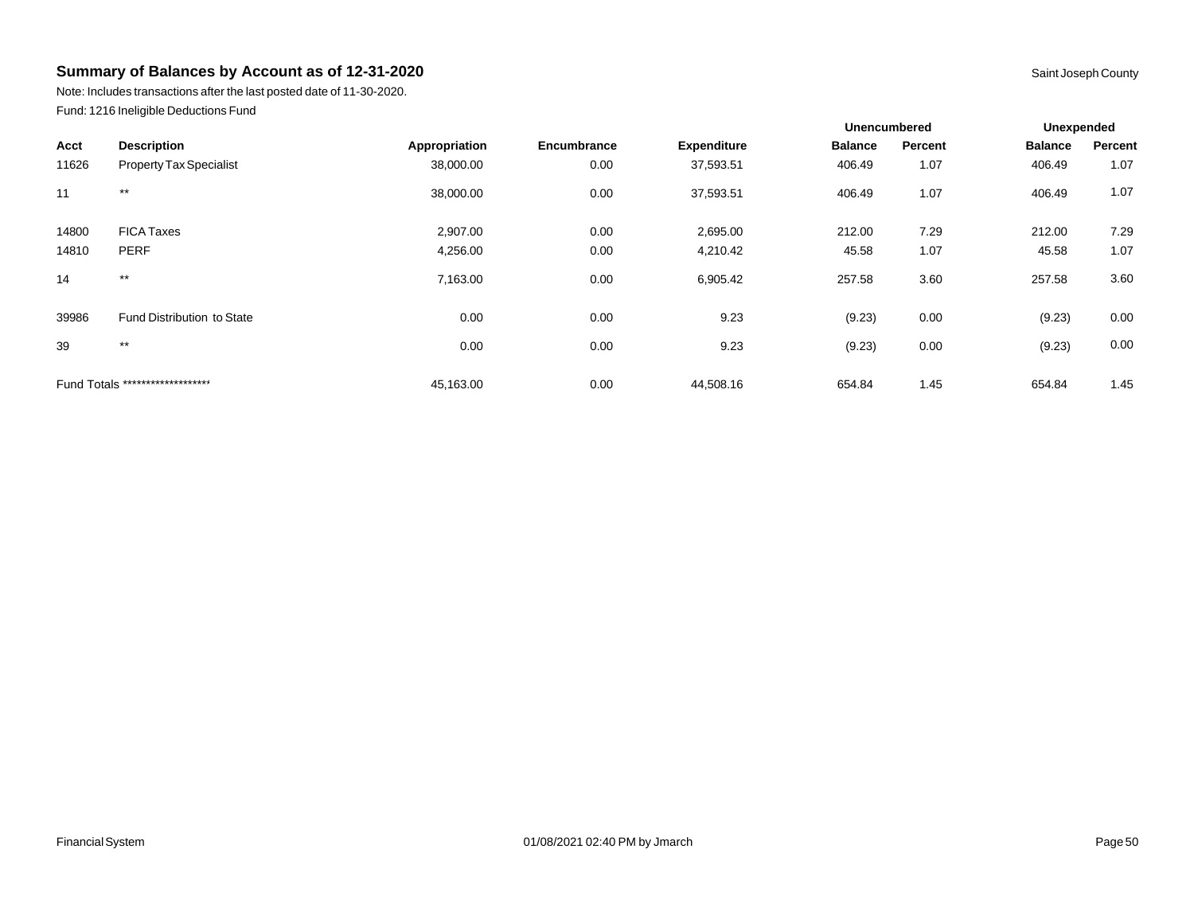Note: Includes transactions after the last posted date of 11-30-2020. Fund: 1216 Ineligible Deductions Fund

|       |                                   |               |             |                    | <b>Unencumbered</b> |         | Unexpended     |         |
|-------|-----------------------------------|---------------|-------------|--------------------|---------------------|---------|----------------|---------|
| Acct  | <b>Description</b>                | Appropriation | Encumbrance | <b>Expenditure</b> | <b>Balance</b>      | Percent | <b>Balance</b> | Percent |
| 11626 | <b>Property Tax Specialist</b>    | 38,000.00     | 0.00        | 37,593.51          | 406.49              | 1.07    | 406.49         | 1.07    |
| 11    | $***$                             | 38,000.00     | 0.00        | 37,593.51          | 406.49              | 1.07    | 406.49         | 1.07    |
| 14800 | <b>FICA Taxes</b>                 | 2,907.00      | 0.00        | 2,695.00           | 212.00              | 7.29    | 212.00         | 7.29    |
| 14810 | <b>PERF</b>                       | 4,256.00      | 0.00        | 4,210.42           | 45.58               | 1.07    | 45.58          | 1.07    |
| 14    | $***$                             | 7,163.00      | 0.00        | 6,905.42           | 257.58              | 3.60    | 257.58         | 3.60    |
| 39986 | <b>Fund Distribution to State</b> | 0.00          | 0.00        | 9.23               | (9.23)              | 0.00    | (9.23)         | 0.00    |
| 39    | $***$                             | 0.00          | 0.00        | 9.23               | (9.23)              | 0.00    | (9.23)         | 0.00    |
|       | Fund Totals ********************  | 45,163.00     | 0.00        | 44,508.16          | 654.84              | 1.45    | 654.84         | 1.45    |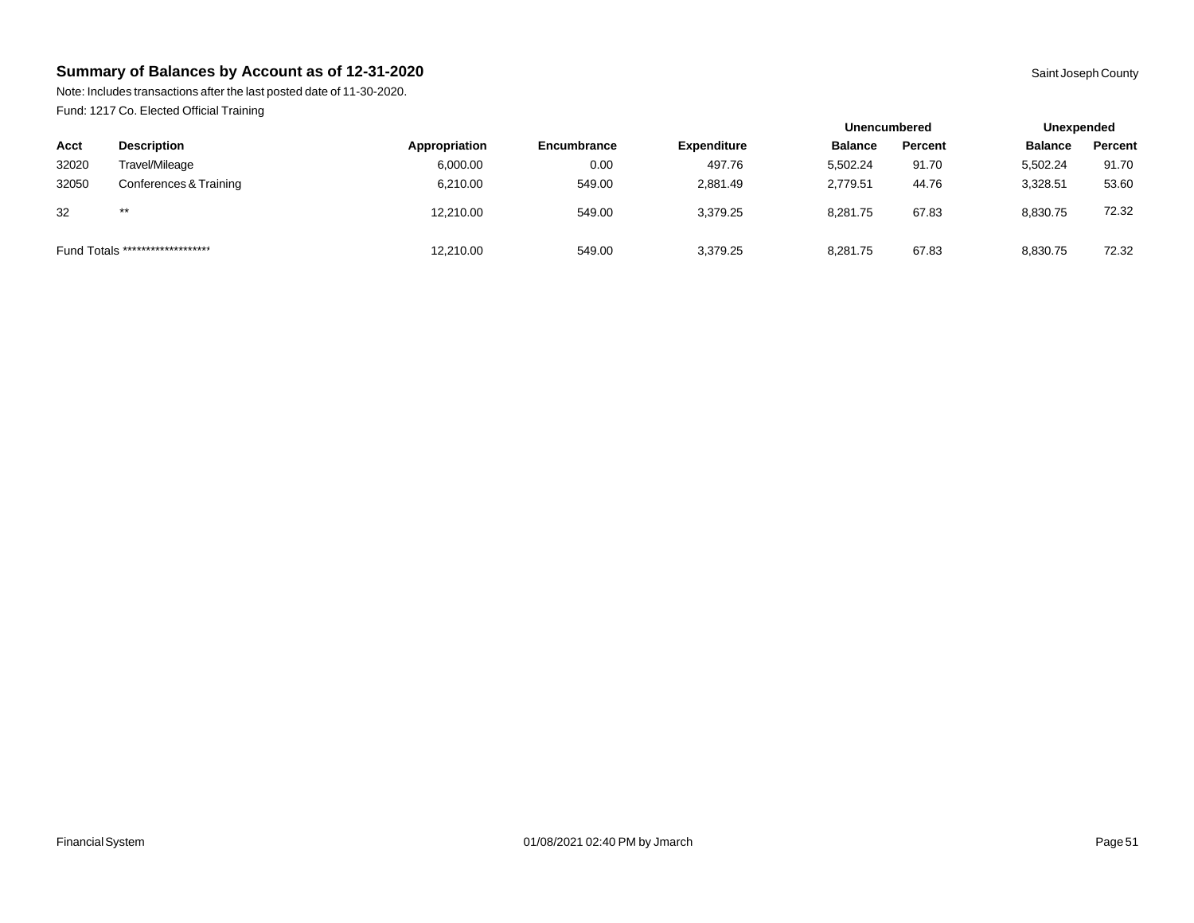Note: Includes transactions after the last posted date of 11-30-2020. Fund: 1217 Co. Elected Official Training

|                                  |                        |               |                    |                    | <b>Unencumbered</b> |         | Unexpended     |         |
|----------------------------------|------------------------|---------------|--------------------|--------------------|---------------------|---------|----------------|---------|
| Acct                             | <b>Description</b>     | Appropriation | <b>Encumbrance</b> | <b>Expenditure</b> | <b>Balance</b>      | Percent | <b>Balance</b> | Percent |
| 32020                            | Travel/Mileage         | 6,000.00      | 0.00               | 497.76             | 5.502.24            | 91.70   | 5,502.24       | 91.70   |
| 32050                            | Conferences & Training | 6,210.00      | 549.00             | 2.881.49           | 2.779.51            | 44.76   | 3,328.51       | 53.60   |
| 32                               | $***$                  | 12,210.00     | 549.00             | 3,379.25           | 8,281.75            | 67.83   | 8,830.75       | 72.32   |
| Fund Totals ******************** |                        | 12,210.00     | 549.00             | 3,379.25           | 8,281.75            | 67.83   | 8,830.75       | 72.32   |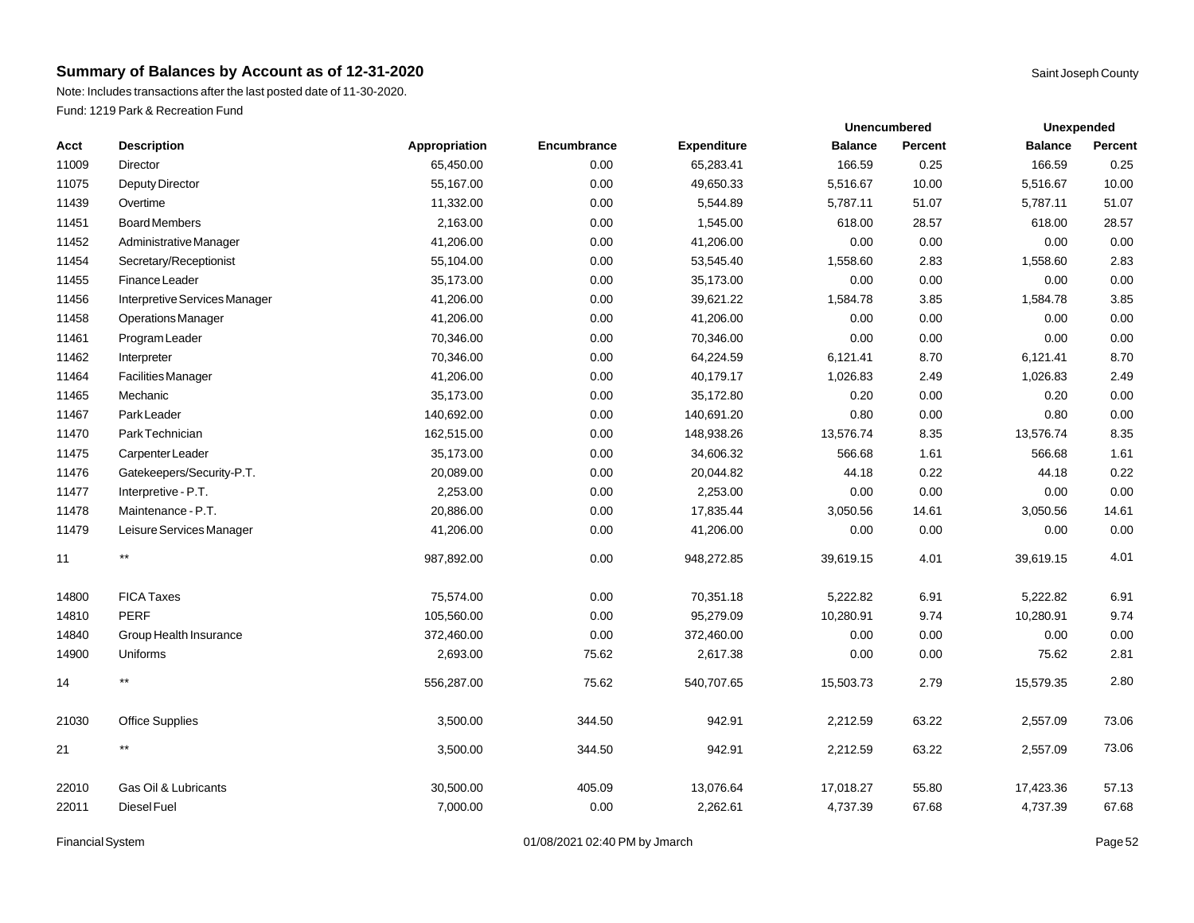Note: Includes transactions after the last posted date of 11-30-2020. Fund: 1219 Park & Recreation Fund

| Acct  | <b>Description</b>            | Appropriation | Encumbrance | <b>Expenditure</b> | <b>Balance</b> | Percent | <b>Balance</b> | Percent |
|-------|-------------------------------|---------------|-------------|--------------------|----------------|---------|----------------|---------|
| 11009 | Director                      | 65,450.00     | 0.00        | 65,283.41          | 166.59         | 0.25    | 166.59         | 0.25    |
| 11075 | Deputy Director               | 55,167.00     | 0.00        | 49,650.33          | 5,516.67       | 10.00   | 5,516.67       | 10.00   |
| 11439 | Overtime                      | 11,332.00     | 0.00        | 5,544.89           | 5,787.11       | 51.07   | 5,787.11       | 51.07   |
| 11451 | <b>Board Members</b>          | 2,163.00      | 0.00        | 1,545.00           | 618.00         | 28.57   | 618.00         | 28.57   |
| 11452 | Administrative Manager        | 41,206.00     | 0.00        | 41,206.00          | 0.00           | 0.00    | 0.00           | 0.00    |
| 11454 | Secretary/Receptionist        | 55,104.00     | 0.00        | 53,545.40          | 1,558.60       | 2.83    | 1,558.60       | 2.83    |
| 11455 | Finance Leader                | 35,173.00     | 0.00        | 35,173.00          | 0.00           | 0.00    | 0.00           | 0.00    |
| 11456 | Interpretive Services Manager | 41,206.00     | 0.00        | 39,621.22          | 1,584.78       | 3.85    | 1,584.78       | 3.85    |
| 11458 | <b>Operations Manager</b>     | 41,206.00     | 0.00        | 41,206.00          | 0.00           | 0.00    | 0.00           | 0.00    |
| 11461 | Program Leader                | 70,346.00     | 0.00        | 70,346.00          | 0.00           | 0.00    | 0.00           | 0.00    |
| 11462 | Interpreter                   | 70,346.00     | 0.00        | 64,224.59          | 6,121.41       | 8.70    | 6,121.41       | 8.70    |
| 11464 | <b>Facilities Manager</b>     | 41,206.00     | 0.00        | 40,179.17          | 1,026.83       | 2.49    | 1,026.83       | 2.49    |
| 11465 | Mechanic                      | 35,173.00     | 0.00        | 35,172.80          | 0.20           | 0.00    | 0.20           | 0.00    |
| 11467 | Park Leader                   | 140,692.00    | 0.00        | 140,691.20         | 0.80           | 0.00    | 0.80           | 0.00    |
| 11470 | Park Technician               | 162,515.00    | 0.00        | 148,938.26         | 13,576.74      | 8.35    | 13,576.74      | 8.35    |
| 11475 | Carpenter Leader              | 35,173.00     | 0.00        | 34,606.32          | 566.68         | 1.61    | 566.68         | 1.61    |
| 11476 | Gatekeepers/Security-P.T.     | 20,089.00     | 0.00        | 20,044.82          | 44.18          | 0.22    | 44.18          | 0.22    |
| 11477 | Interpretive - P.T.           | 2,253.00      | 0.00        | 2,253.00           | 0.00           | 0.00    | 0.00           | 0.00    |
| 11478 | Maintenance - P.T.            | 20,886.00     | 0.00        | 17,835.44          | 3,050.56       | 14.61   | 3,050.56       | 14.61   |
| 11479 | Leisure Services Manager      | 41,206.00     | 0.00        | 41,206.00          | 0.00           | 0.00    | 0.00           | 0.00    |
| 11    | $***$                         | 987,892.00    | 0.00        | 948,272.85         | 39,619.15      | 4.01    | 39,619.15      | 4.01    |
| 14800 | <b>FICA Taxes</b>             | 75,574.00     | 0.00        | 70,351.18          | 5,222.82       | 6.91    | 5,222.82       | 6.91    |
| 14810 | <b>PERF</b>                   | 105,560.00    | 0.00        | 95,279.09          | 10,280.91      | 9.74    | 10,280.91      | 9.74    |
| 14840 | Group Health Insurance        | 372,460.00    | 0.00        | 372,460.00         | 0.00           | 0.00    | 0.00           | 0.00    |
| 14900 | Uniforms                      | 2,693.00      | 75.62       | 2,617.38           | 0.00           | 0.00    | 75.62          | 2.81    |
| 14    | $***$                         | 556,287.00    | 75.62       | 540,707.65         | 15,503.73      | 2.79    | 15,579.35      | 2.80    |
| 21030 | <b>Office Supplies</b>        | 3,500.00      | 344.50      | 942.91             | 2,212.59       | 63.22   | 2,557.09       | 73.06   |
| 21    | $***$                         | 3,500.00      | 344.50      | 942.91             | 2,212.59       | 63.22   | 2,557.09       | 73.06   |
| 22010 | Gas Oil & Lubricants          | 30,500.00     | 405.09      | 13,076.64          | 17,018.27      | 55.80   | 17,423.36      | 57.13   |
| 22011 | Diesel Fuel                   | 7,000.00      | 0.00        | 2,262.61           | 4,737.39       | 67.68   | 4,737.39       | 67.68   |

Financial System **Example 2** Page 52 Contract 201/08/2021 02:40 PM by Jmarch Page 12 Contract Page 52

**Unexpended**

**Unencumbered**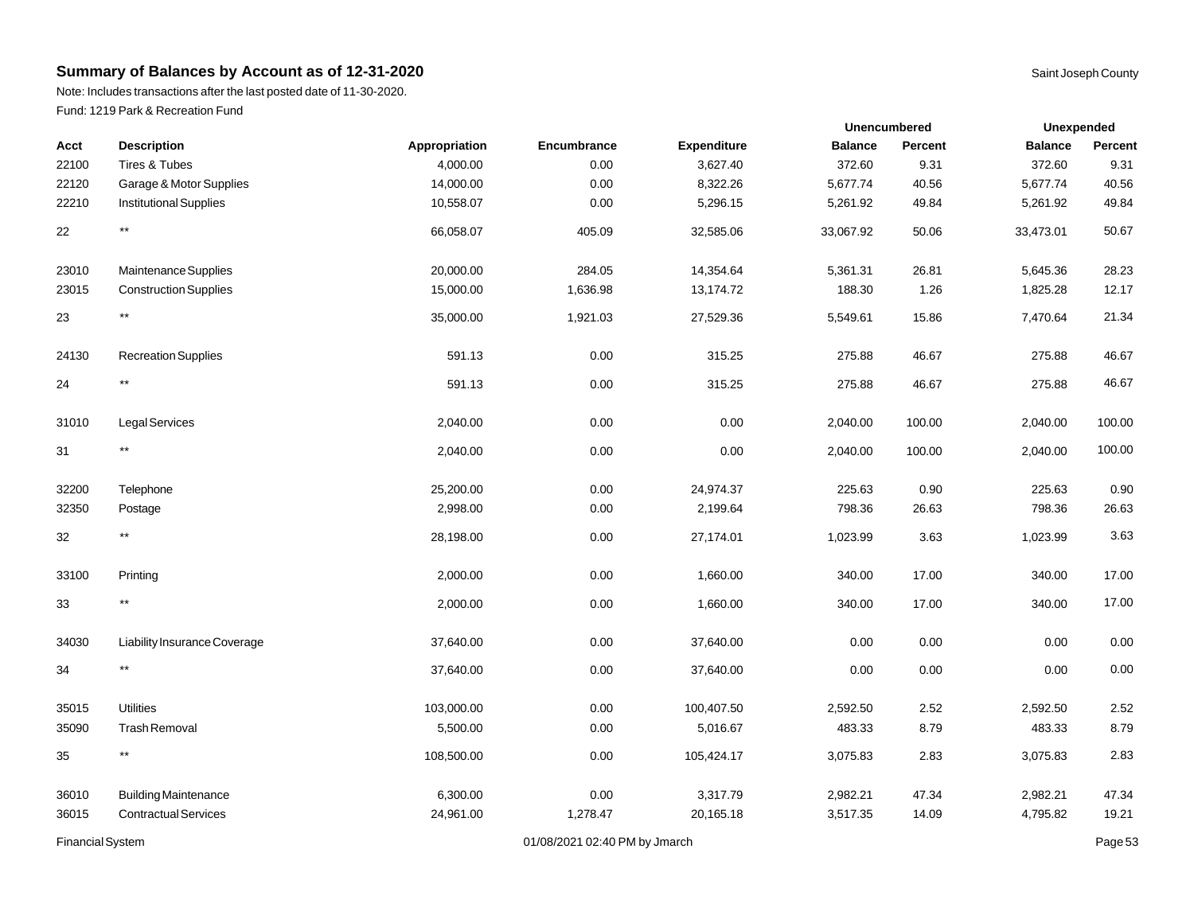Note: Includes transactions after the last posted date of 11-30-2020. Fund: 1219 Park & Recreation Fund

| Acct  | <b>Description</b>            | Appropriation | Encumbrance | <b>Expenditure</b> | <b>Balance</b> | <b>Percent</b> | <b>Balance</b> | Percent |
|-------|-------------------------------|---------------|-------------|--------------------|----------------|----------------|----------------|---------|
| 22100 | Tires & Tubes                 | 4,000.00      | 0.00        | 3,627.40           | 372.60         | 9.31           | 372.60         | 9.31    |
| 22120 | Garage & Motor Supplies       | 14,000.00     | 0.00        | 8,322.26           | 5,677.74       | 40.56          | 5,677.74       | 40.56   |
| 22210 | <b>Institutional Supplies</b> | 10,558.07     | 0.00        | 5,296.15           | 5,261.92       | 49.84          | 5,261.92       | 49.84   |
| 22    | $^{\star\star}$               | 66,058.07     | 405.09      | 32,585.06          | 33,067.92      | 50.06          | 33,473.01      | 50.67   |
| 23010 | Maintenance Supplies          | 20,000.00     | 284.05      | 14,354.64          | 5,361.31       | 26.81          | 5,645.36       | 28.23   |
| 23015 | <b>Construction Supplies</b>  | 15,000.00     | 1,636.98    | 13,174.72          | 188.30         | 1.26           | 1,825.28       | 12.17   |
| 23    | $\star\star$                  | 35,000.00     | 1,921.03    | 27,529.36          | 5,549.61       | 15.86          | 7,470.64       | 21.34   |
| 24130 | <b>Recreation Supplies</b>    | 591.13        | 0.00        | 315.25             | 275.88         | 46.67          | 275.88         | 46.67   |
| 24    | $\star\star$                  | 591.13        | 0.00        | 315.25             | 275.88         | 46.67          | 275.88         | 46.67   |
| 31010 | Legal Services                | 2,040.00      | 0.00        | 0.00               | 2,040.00       | 100.00         | 2,040.00       | 100.00  |
| 31    | $\star\star$                  | 2,040.00      | 0.00        | 0.00               | 2,040.00       | 100.00         | 2,040.00       | 100.00  |
| 32200 | Telephone                     | 25,200.00     | 0.00        | 24,974.37          | 225.63         | 0.90           | 225.63         | 0.90    |
| 32350 | Postage                       | 2,998.00      | 0.00        | 2,199.64           | 798.36         | 26.63          | 798.36         | 26.63   |
| 32    | $^{\star\star}$               | 28,198.00     | 0.00        | 27,174.01          | 1,023.99       | 3.63           | 1,023.99       | 3.63    |
| 33100 | Printing                      | 2,000.00      | 0.00        | 1,660.00           | 340.00         | 17.00          | 340.00         | 17.00   |
| 33    | $^{\star\star}$               | 2,000.00      | 0.00        | 1,660.00           | 340.00         | 17.00          | 340.00         | 17.00   |
| 34030 | Liability Insurance Coverage  | 37,640.00     | 0.00        | 37,640.00          | 0.00           | 0.00           | 0.00           | 0.00    |
| 34    | $***$                         | 37,640.00     | 0.00        | 37,640.00          | 0.00           | 0.00           | 0.00           | 0.00    |
| 35015 | <b>Utilities</b>              | 103,000.00    | 0.00        | 100,407.50         | 2,592.50       | 2.52           | 2,592.50       | 2.52    |
| 35090 | <b>Trash Removal</b>          | 5,500.00      | 0.00        | 5,016.67           | 483.33         | 8.79           | 483.33         | 8.79    |
| 35    | $^{\star\star}$               | 108,500.00    | 0.00        | 105,424.17         | 3,075.83       | 2.83           | 3,075.83       | 2.83    |
| 36010 | <b>Building Maintenance</b>   | 6,300.00      | 0.00        | 3,317.79           | 2,982.21       | 47.34          | 2,982.21       | 47.34   |
| 36015 | <b>Contractual Services</b>   | 24,961.00     | 1,278.47    | 20,165.18          | 3,517.35       | 14.09          | 4,795.82       | 19.21   |

Financial System **Example 2011** Controller 12:40 PM by Jmarch **Page 53** Page 53

|  | age by |  |
|--|--------|--|
|  |        |  |

**Unexpended**

**Unencumbered**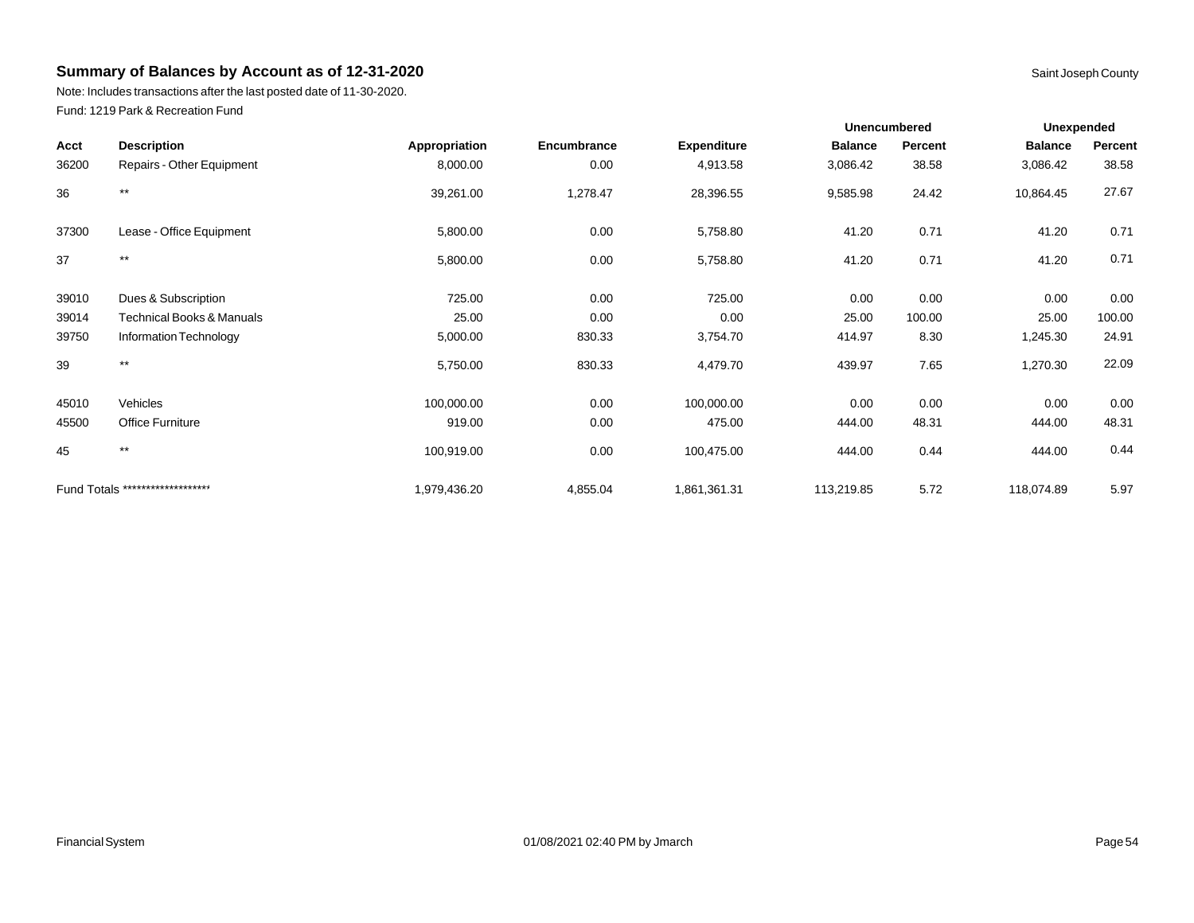Note: Includes transactions after the last posted date of 11-30-2020. Fund: 1219 Park & Recreation Fund

|       |                                      |               |             |                    |                | <b>Unencumbered</b> | <b>Unexpended</b> |         |
|-------|--------------------------------------|---------------|-------------|--------------------|----------------|---------------------|-------------------|---------|
| Acct  | <b>Description</b>                   | Appropriation | Encumbrance | <b>Expenditure</b> | <b>Balance</b> | Percent             | <b>Balance</b>    | Percent |
| 36200 | Repairs - Other Equipment            | 8,000.00      | 0.00        | 4,913.58           | 3,086.42       | 38.58               | 3,086.42          | 38.58   |
| 36    | $***$                                | 39,261.00     | 1,278.47    | 28,396.55          | 9,585.98       | 24.42               | 10,864.45         | 27.67   |
| 37300 | Lease - Office Equipment             | 5,800.00      | 0.00        | 5,758.80           | 41.20          | 0.71                | 41.20             | 0.71    |
| 37    | $***$                                | 5,800.00      | 0.00        | 5,758.80           | 41.20          | 0.71                | 41.20             | 0.71    |
| 39010 | Dues & Subscription                  | 725.00        | 0.00        | 725.00             | 0.00           | 0.00                | 0.00              | 0.00    |
| 39014 | <b>Technical Books &amp; Manuals</b> | 25.00         | 0.00        | 0.00               | 25.00          | 100.00              | 25.00             | 100.00  |
| 39750 | Information Technology               | 5,000.00      | 830.33      | 3,754.70           | 414.97         | 8.30                | 1,245.30          | 24.91   |
| 39    | $***$                                | 5,750.00      | 830.33      | 4,479.70           | 439.97         | 7.65                | 1,270.30          | 22.09   |
| 45010 | Vehicles                             | 100,000.00    | 0.00        | 100,000.00         | 0.00           | 0.00                | 0.00              | 0.00    |
| 45500 | <b>Office Furniture</b>              | 919.00        | 0.00        | 475.00             | 444.00         | 48.31               | 444.00            | 48.31   |
| 45    | $***$                                | 100,919.00    | 0.00        | 100,475.00         | 444.00         | 0.44                | 444.00            | 0.44    |
|       | Fund Totals ********************     | 1,979,436.20  | 4,855.04    | 1,861,361.31       | 113,219.85     | 5.72                | 118,074.89        | 5.97    |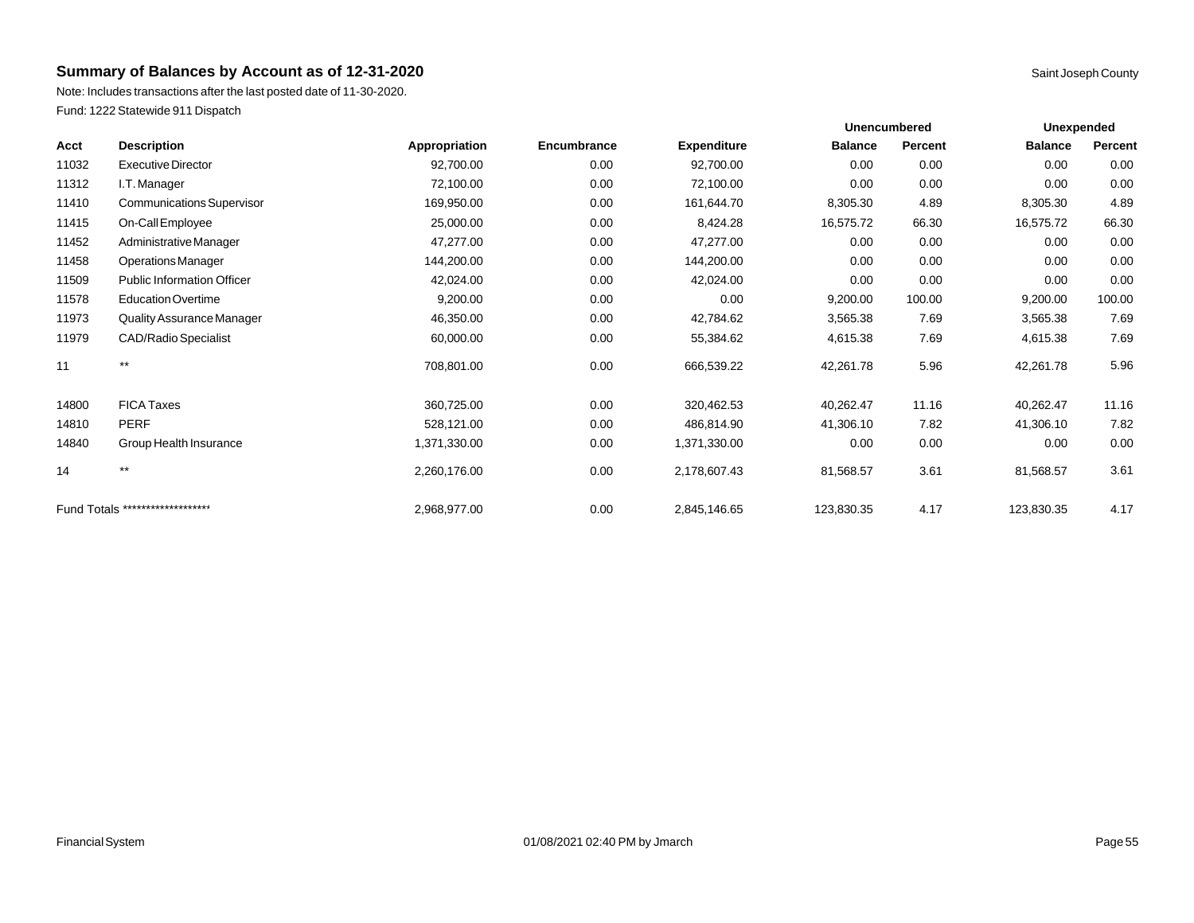Note: Includes transactions after the last posted date of 11-30-2020. Fund: 1222 Statewide 911 Dispatch

|       |                                   |               |             |                    | <b>Unencumbered</b> |         | <b>Unexpended</b> |         |
|-------|-----------------------------------|---------------|-------------|--------------------|---------------------|---------|-------------------|---------|
| Acct  | <b>Description</b>                | Appropriation | Encumbrance | <b>Expenditure</b> | <b>Balance</b>      | Percent | <b>Balance</b>    | Percent |
| 11032 | <b>Executive Director</b>         | 92,700.00     | 0.00        | 92,700.00          | 0.00                | 0.00    | 0.00              | 0.00    |
| 11312 | I.T. Manager                      | 72,100.00     | 0.00        | 72,100.00          | 0.00                | 0.00    | 0.00              | 0.00    |
| 11410 | <b>Communications Supervisor</b>  | 169,950.00    | 0.00        | 161,644.70         | 8,305.30            | 4.89    | 8,305.30          | 4.89    |
| 11415 | On-Call Employee                  | 25,000.00     | 0.00        | 8,424.28           | 16,575.72           | 66.30   | 16,575.72         | 66.30   |
| 11452 | Administrative Manager            | 47,277.00     | 0.00        | 47,277.00          | 0.00                | 0.00    | 0.00              | 0.00    |
| 11458 | <b>Operations Manager</b>         | 144,200.00    | 0.00        | 144,200.00         | 0.00                | 0.00    | 0.00              | 0.00    |
| 11509 | <b>Public Information Officer</b> | 42,024.00     | 0.00        | 42,024.00          | 0.00                | 0.00    | 0.00              | 0.00    |
| 11578 | <b>Education Overtime</b>         | 9,200.00      | 0.00        | 0.00               | 9,200.00            | 100.00  | 9,200.00          | 100.00  |
| 11973 | Quality Assurance Manager         | 46,350.00     | 0.00        | 42,784.62          | 3,565.38            | 7.69    | 3,565.38          | 7.69    |
| 11979 | <b>CAD/Radio Specialist</b>       | 60,000.00     | 0.00        | 55,384.62          | 4,615.38            | 7.69    | 4,615.38          | 7.69    |
| 11    | $***$                             | 708,801.00    | 0.00        | 666,539.22         | 42,261.78           | 5.96    | 42,261.78         | 5.96    |
| 14800 | <b>FICA Taxes</b>                 | 360,725.00    | 0.00        | 320,462.53         | 40,262.47           | 11.16   | 40,262.47         | 11.16   |
| 14810 | <b>PERF</b>                       | 528,121.00    | 0.00        | 486,814.90         | 41,306.10           | 7.82    | 41,306.10         | 7.82    |
| 14840 | Group Health Insurance            | 1,371,330.00  | 0.00        | 1,371,330.00       | 0.00                | 0.00    | 0.00              | 0.00    |
| 14    | $***$                             | 2,260,176.00  | 0.00        | 2,178,607.43       | 81,568.57           | 3.61    | 81,568.57         | 3.61    |
|       | Fund Totals ********************  | 2,968,977.00  | 0.00        | 2,845,146.65       | 123,830.35          | 4.17    | 123,830.35        | 4.17    |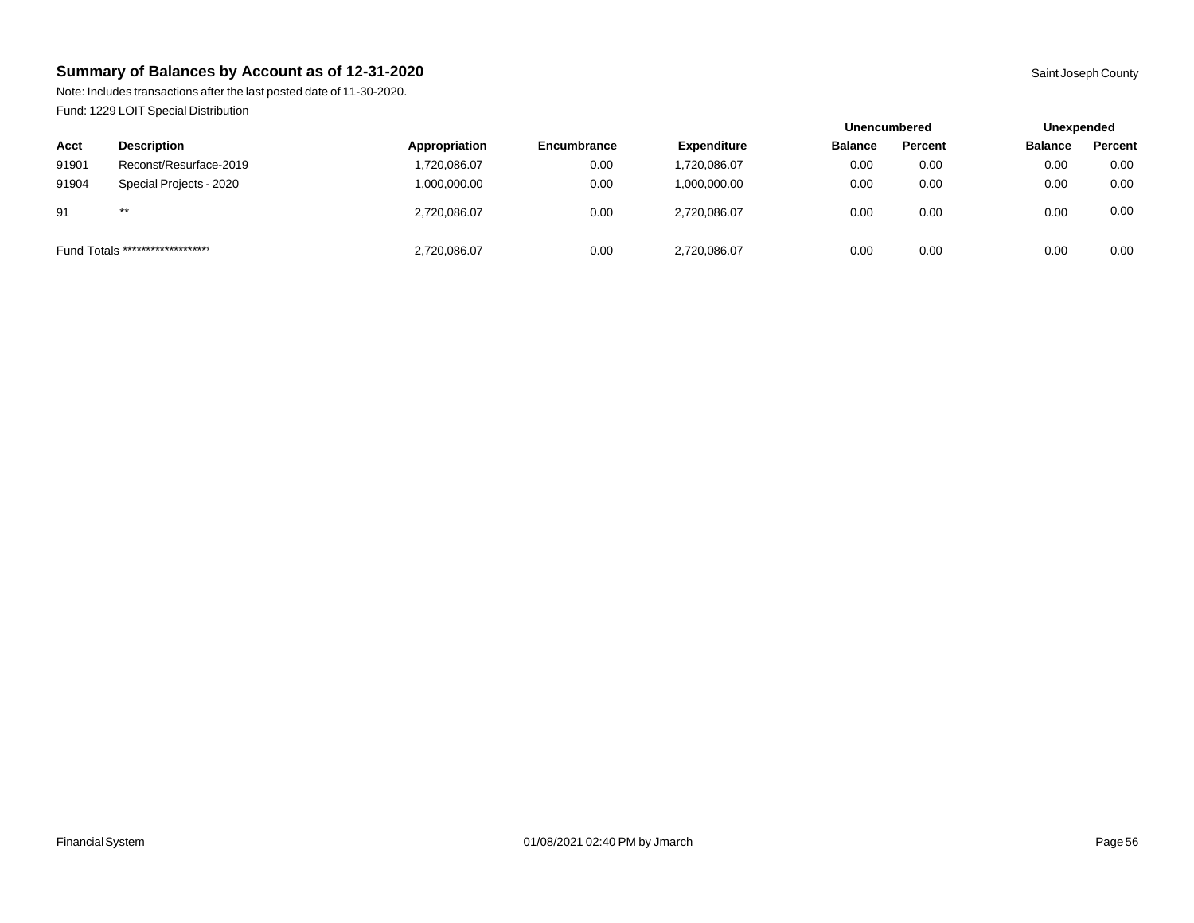Note: Includes transactions after the last posted date of 11-30-2020. Fund: 1229 LOIT Special Distribution

|       |                                  |               |                    |                    | <b>Unencumbered</b> |         | Unexpended     |         |
|-------|----------------------------------|---------------|--------------------|--------------------|---------------------|---------|----------------|---------|
| Acct  | <b>Description</b>               | Appropriation | <b>Encumbrance</b> | <b>Expenditure</b> | <b>Balance</b>      | Percent | <b>Balance</b> | Percent |
| 91901 | Reconst/Resurface-2019           | 1,720,086.07  | 0.00               | 1,720,086.07       | 0.00                | 0.00    | 0.00           | 0.00    |
| 91904 | Special Projects - 2020          | 1,000,000.00  | 0.00               | 1,000,000.00       | 0.00                | 0.00    | 0.00           | 0.00    |
| 91    | $***$                            | 2.720.086.07  | 0.00               | 2.720.086.07       | 0.00                | 0.00    | 0.00           | 0.00    |
|       | Fund Totals ******************** | 2,720,086.07  | 0.00               | 2,720,086.07       | 0.00                | 0.00    | 0.00           | 0.00    |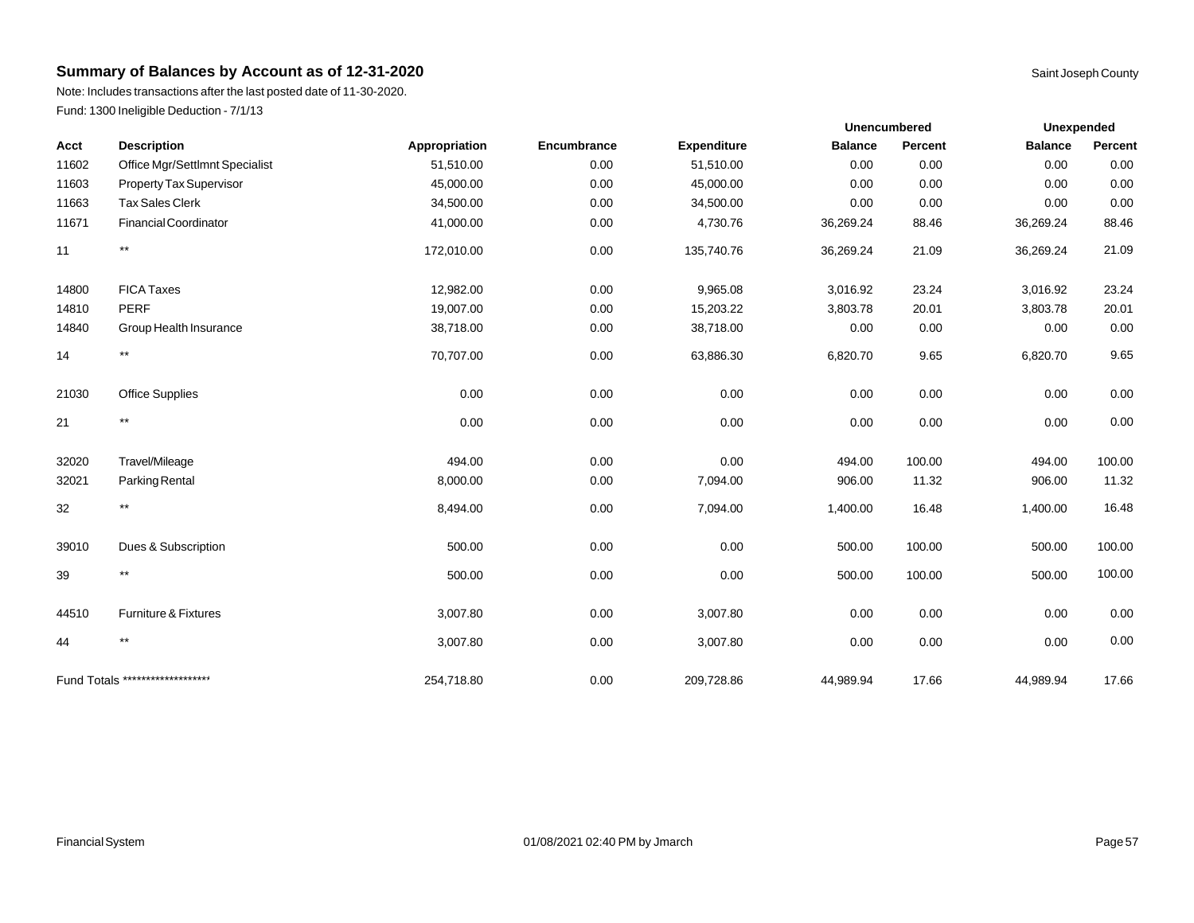Note: Includes transactions after the last posted date of 11-30-2020. Fund: 1300 Ineligible Deduction - 7/1/13

|       |                                  |               |             |                    |                | <b>Unencumbered</b> |                | <b>Unexpended</b> |
|-------|----------------------------------|---------------|-------------|--------------------|----------------|---------------------|----------------|-------------------|
| Acct  | <b>Description</b>               | Appropriation | Encumbrance | <b>Expenditure</b> | <b>Balance</b> | Percent             | <b>Balance</b> | Percent           |
| 11602 | Office Mgr/Settlmnt Specialist   | 51,510.00     | 0.00        | 51,510.00          | 0.00           | 0.00                | 0.00           | 0.00              |
| 11603 | <b>Property Tax Supervisor</b>   | 45,000.00     | 0.00        | 45,000.00          | 0.00           | 0.00                | 0.00           | 0.00              |
| 11663 | <b>Tax Sales Clerk</b>           | 34,500.00     | 0.00        | 34,500.00          | 0.00           | 0.00                | 0.00           | 0.00              |
| 11671 | Financial Coordinator            | 41,000.00     | 0.00        | 4,730.76           | 36,269.24      | 88.46               | 36,269.24      | 88.46             |
| 11    | $***$                            | 172,010.00    | 0.00        | 135,740.76         | 36,269.24      | 21.09               | 36,269.24      | 21.09             |
| 14800 | <b>FICA Taxes</b>                | 12,982.00     | 0.00        | 9,965.08           | 3,016.92       | 23.24               | 3,016.92       | 23.24             |
| 14810 | <b>PERF</b>                      | 19,007.00     | 0.00        | 15,203.22          | 3,803.78       | 20.01               | 3,803.78       | 20.01             |
| 14840 | Group Health Insurance           | 38,718.00     | 0.00        | 38,718.00          | 0.00           | 0.00                | 0.00           | 0.00              |
| 14    | $^{\star\star}$                  | 70,707.00     | 0.00        | 63,886.30          | 6,820.70       | 9.65                | 6,820.70       | 9.65              |
| 21030 | <b>Office Supplies</b>           | 0.00          | 0.00        | 0.00               | 0.00           | 0.00                | 0.00           | 0.00              |
| 21    | $^{\star\star}$                  | 0.00          | 0.00        | 0.00               | 0.00           | 0.00                | 0.00           | 0.00              |
| 32020 | Travel/Mileage                   | 494.00        | 0.00        | 0.00               | 494.00         | 100.00              | 494.00         | 100.00            |
| 32021 | Parking Rental                   | 8,000.00      | 0.00        | 7,094.00           | 906.00         | 11.32               | 906.00         | 11.32             |
| 32    | $\star\star$                     | 8,494.00      | 0.00        | 7,094.00           | 1,400.00       | 16.48               | 1,400.00       | 16.48             |
| 39010 | Dues & Subscription              | 500.00        | 0.00        | 0.00               | 500.00         | 100.00              | 500.00         | 100.00            |
| 39    | $\star\star$                     | 500.00        | 0.00        | 0.00               | 500.00         | 100.00              | 500.00         | 100.00            |
| 44510 | <b>Furniture &amp; Fixtures</b>  | 3,007.80      | 0.00        | 3,007.80           | 0.00           | 0.00                | 0.00           | 0.00              |
| 44    | $***$                            | 3,007.80      | 0.00        | 3,007.80           | 0.00           | 0.00                | 0.00           | 0.00              |
|       | Fund Totals ******************** | 254,718.80    | 0.00        | 209,728.86         | 44,989.94      | 17.66               | 44,989.94      | 17.66             |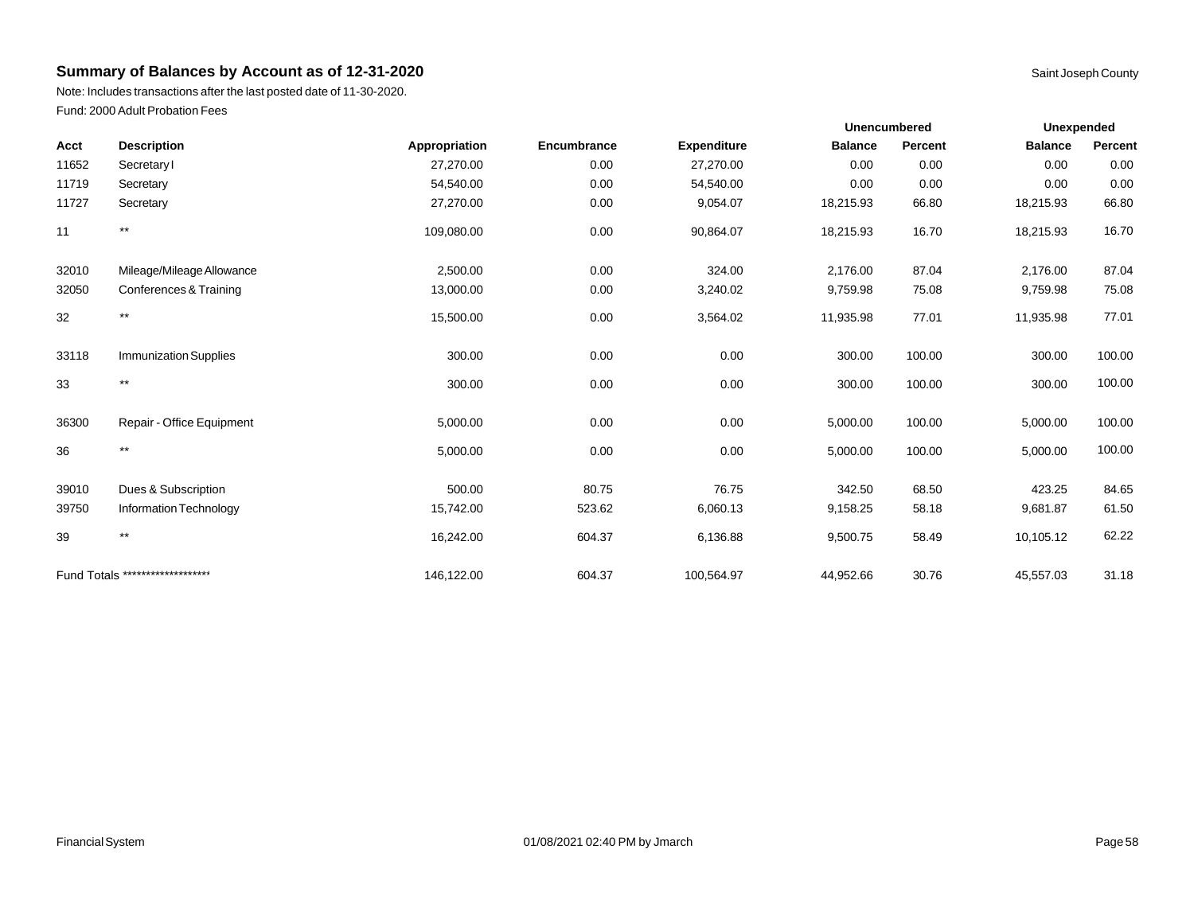Note: Includes transactions after the last posted date of 11-30-2020. Fund: 2000 Adult Probation Fees

|       |                              |               |             |                    | <b>Unencumbered</b> |                |                | <b>Unexpended</b> |  |
|-------|------------------------------|---------------|-------------|--------------------|---------------------|----------------|----------------|-------------------|--|
| Acct  | <b>Description</b>           | Appropriation | Encumbrance | <b>Expenditure</b> | <b>Balance</b>      | <b>Percent</b> | <b>Balance</b> | Percent           |  |
| 11652 | Secretary                    | 27,270.00     | 0.00        | 27,270.00          | 0.00                | 0.00           | 0.00           | 0.00              |  |
| 11719 | Secretary                    | 54,540.00     | 0.00        | 54,540.00          | 0.00                | 0.00           | 0.00           | 0.00              |  |
| 11727 | Secretary                    | 27,270.00     | 0.00        | 9,054.07           | 18,215.93           | 66.80          | 18,215.93      | 66.80             |  |
| 11    | $\star\star$                 | 109,080.00    | 0.00        | 90,864.07          | 18,215.93           | 16.70          | 18,215.93      | 16.70             |  |
| 32010 | Mileage/Mileage Allowance    | 2,500.00      | 0.00        | 324.00             | 2,176.00            | 87.04          | 2,176.00       | 87.04             |  |
| 32050 | Conferences & Training       | 13,000.00     | 0.00        | 3,240.02           | 9,759.98            | 75.08          | 9,759.98       | 75.08             |  |
| 32    | $***$                        | 15,500.00     | 0.00        | 3,564.02           | 11,935.98           | 77.01          | 11,935.98      | 77.01             |  |
| 33118 | <b>Immunization Supplies</b> | 300.00        | 0.00        | 0.00               | 300.00              | 100.00         | 300.00         | 100.00            |  |
| 33    | $^{\star\star}$              | 300.00        | 0.00        | 0.00               | 300.00              | 100.00         | 300.00         | 100.00            |  |
| 36300 | Repair - Office Equipment    | 5,000.00      | 0.00        | 0.00               | 5,000.00            | 100.00         | 5,000.00       | 100.00            |  |
| 36    | $***$                        | 5,000.00      | 0.00        | 0.00               | 5,000.00            | 100.00         | 5,000.00       | 100.00            |  |
| 39010 | Dues & Subscription          | 500.00        | 80.75       | 76.75              | 342.50              | 68.50          | 423.25         | 84.65             |  |
| 39750 | Information Technology       | 15,742.00     | 523.62      | 6,060.13           | 9,158.25            | 58.18          | 9,681.87       | 61.50             |  |
| 39    | $^{\star\star}$              | 16,242.00     | 604.37      | 6,136.88           | 9,500.75            | 58.49          | 10,105.12      | 62.22             |  |

Fund Totals \*\*\*\*\*\*\*\*\*\*\*\*\*\*\*\*\*\*\*\* 146,122.00 604.37 100,564.97 44,952.66 30.76 45,557.03 31.18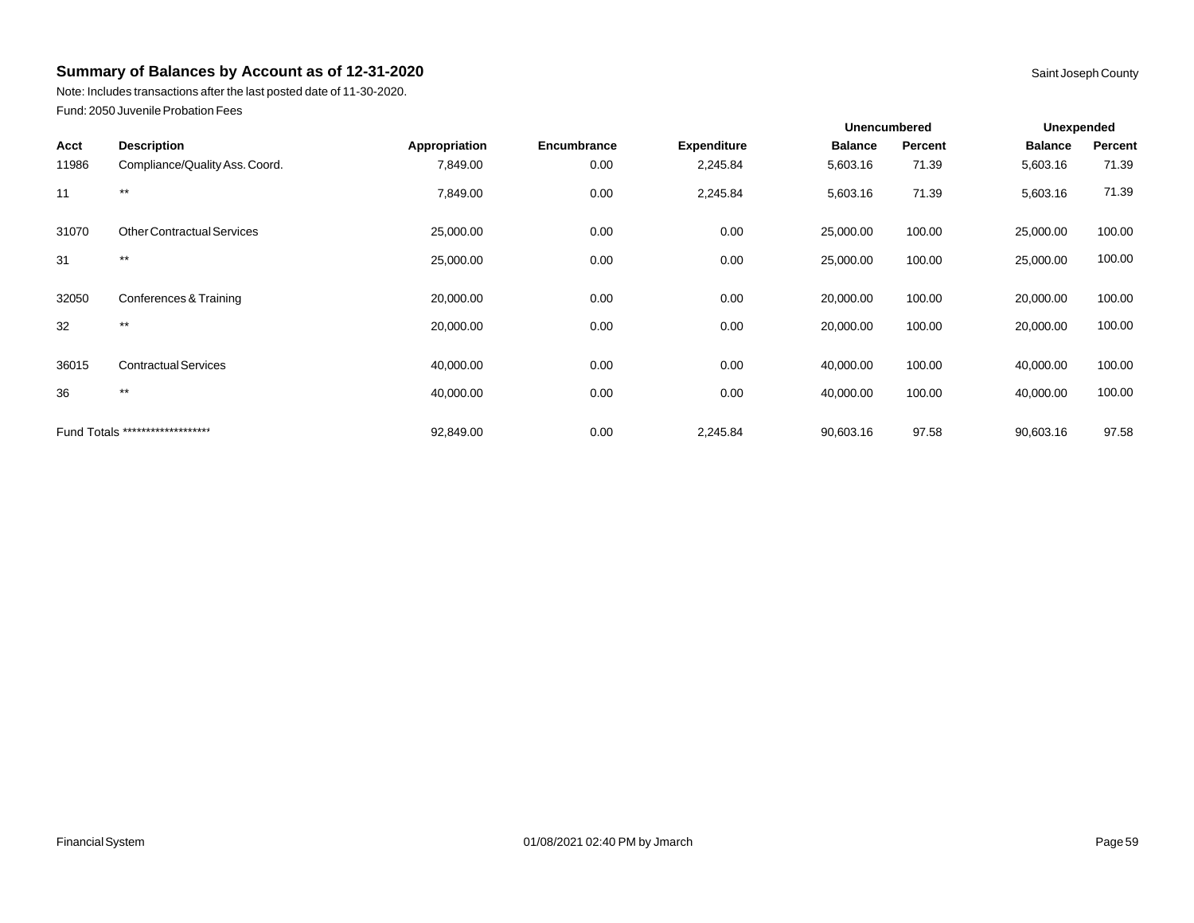Note: Includes transactions after the last posted date of 11-30-2020. Fund: 2050 Juvenile Probation Fees

|       |                                   |               |             |                    | <b>Unencumbered</b> |         | Unexpended     |         |
|-------|-----------------------------------|---------------|-------------|--------------------|---------------------|---------|----------------|---------|
| Acct  | <b>Description</b>                | Appropriation | Encumbrance | <b>Expenditure</b> | <b>Balance</b>      | Percent | <b>Balance</b> | Percent |
| 11986 | Compliance/Quality Ass. Coord.    | 7,849.00      | 0.00        | 2,245.84           | 5,603.16            | 71.39   | 5,603.16       | 71.39   |
| 11    | $***$                             | 7,849.00      | 0.00        | 2,245.84           | 5,603.16            | 71.39   | 5,603.16       | 71.39   |
| 31070 | <b>Other Contractual Services</b> | 25,000.00     | 0.00        | 0.00               | 25,000.00           | 100.00  | 25,000.00      | 100.00  |
| 31    | $***$                             | 25,000.00     | 0.00        | 0.00               | 25,000.00           | 100.00  | 25,000.00      | 100.00  |
| 32050 | Conferences & Training            | 20,000.00     | 0.00        | 0.00               | 20,000.00           | 100.00  | 20,000.00      | 100.00  |
| 32    | $***$                             | 20,000.00     | 0.00        | 0.00               | 20,000.00           | 100.00  | 20,000.00      | 100.00  |
| 36015 | <b>Contractual Services</b>       | 40,000.00     | 0.00        | 0.00               | 40,000.00           | 100.00  | 40,000.00      | 100.00  |
| 36    | $***$                             | 40,000.00     | 0.00        | 0.00               | 40,000.00           | 100.00  | 40,000.00      | 100.00  |
|       | Fund Totals ********************  | 92,849.00     | 0.00        | 2,245.84           | 90,603.16           | 97.58   | 90,603.16      | 97.58   |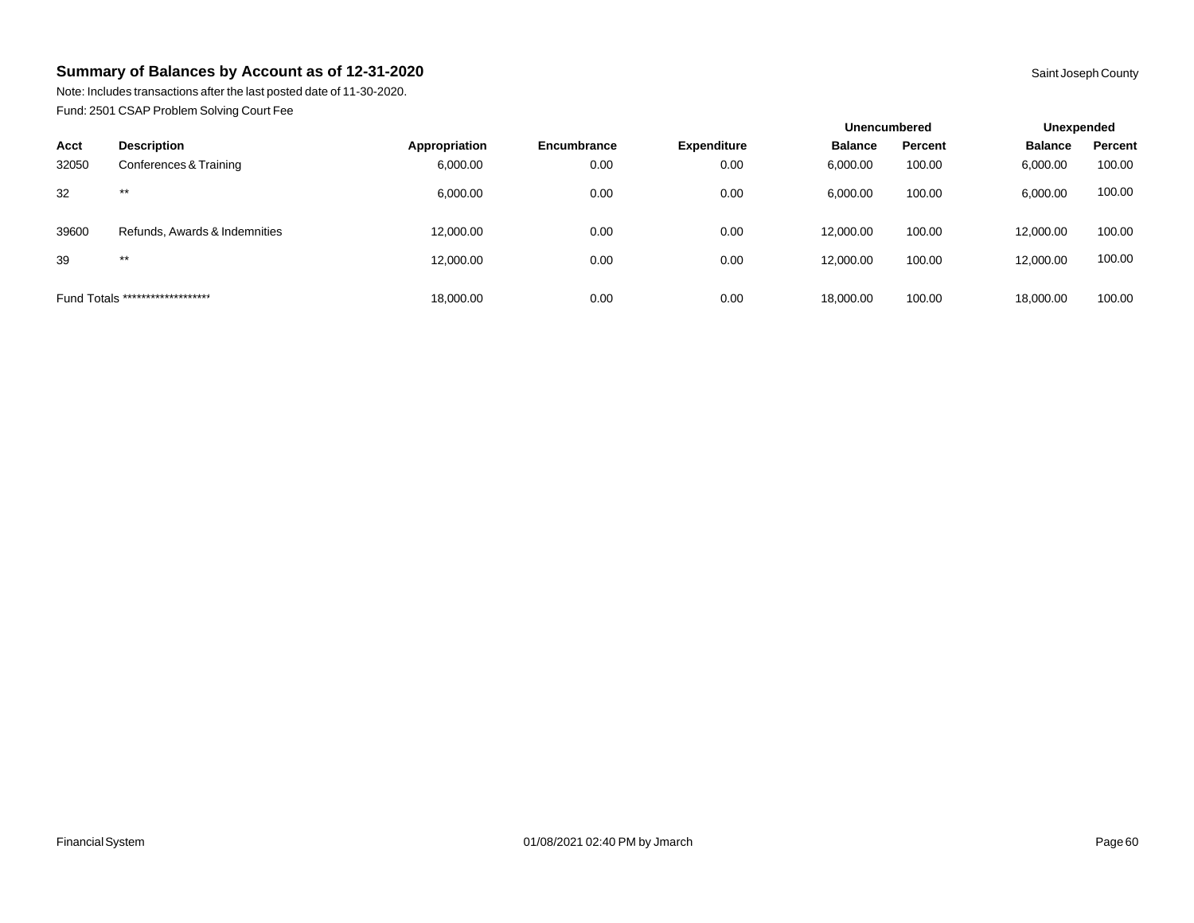Note: Includes transactions after the last posted date of 11-30-2020. Fund: 2501 CSAP Problem Solving Court Fee

|       |                                  |               |             |                    | Unencumbered   |         | Unexpended     |         |
|-------|----------------------------------|---------------|-------------|--------------------|----------------|---------|----------------|---------|
| Acct  | <b>Description</b>               | Appropriation | Encumbrance | <b>Expenditure</b> | <b>Balance</b> | Percent | <b>Balance</b> | Percent |
| 32050 | Conferences & Training           | 6,000.00      | 0.00        | 0.00               | 6,000.00       | 100.00  | 6,000.00       | 100.00  |
| 32    | $***$                            | 6,000.00      | 0.00        | 0.00               | 6,000.00       | 100.00  | 6,000.00       | 100.00  |
| 39600 | Refunds, Awards & Indemnities    | 12,000.00     | 0.00        | 0.00               | 12,000.00      | 100.00  | 12,000.00      | 100.00  |
| 39    | $***$                            | 12,000.00     | 0.00        | 0.00               | 12,000.00      | 100.00  | 12,000.00      | 100.00  |
|       | Fund Totals ******************** | 18,000.00     | 0.00        | 0.00               | 18,000.00      | 100.00  | 18,000.00      | 100.00  |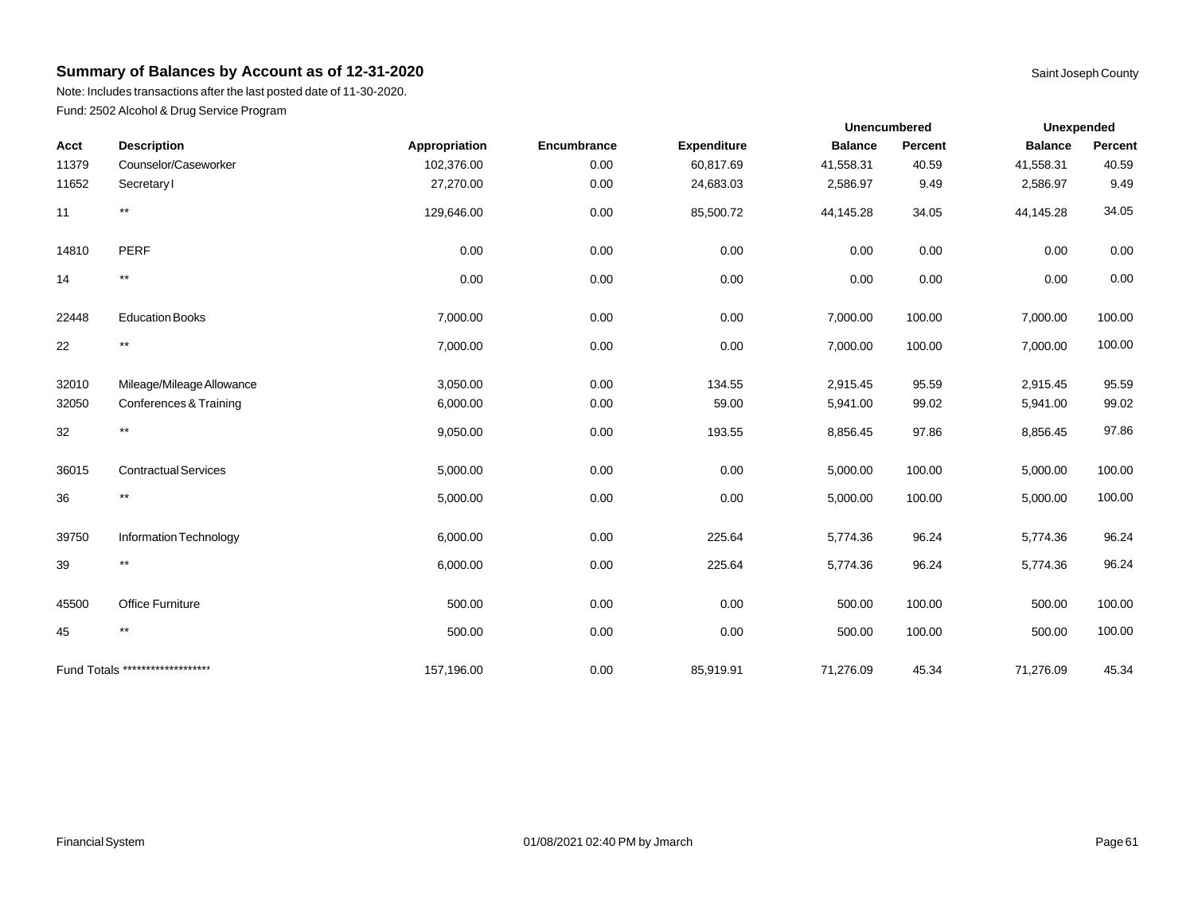Note: Includes transactions after the last posted date of 11-30-2020. Fund: 2502 Alcohol & Drug Service Program

| Unexpended<br><b>Unencumbered</b> |
|-----------------------------------|

| Acct  | <b>Description</b>               | Appropriation | Encumbrance | <b>Expenditure</b> | <b>Balance</b> | Percent | <b>Balance</b> | Percent |
|-------|----------------------------------|---------------|-------------|--------------------|----------------|---------|----------------|---------|
| 11379 | Counselor/Caseworker             | 102,376.00    | 0.00        | 60,817.69          | 41,558.31      | 40.59   | 41,558.31      | 40.59   |
| 11652 | Secretary                        | 27,270.00     | 0.00        | 24,683.03          | 2,586.97       | 9.49    | 2,586.97       | 9.49    |
| 11    | $\star\star$                     | 129,646.00    | 0.00        | 85,500.72          | 44,145.28      | 34.05   | 44,145.28      | 34.05   |
| 14810 | <b>PERF</b>                      | 0.00          | 0.00        | 0.00               | 0.00           | 0.00    | 0.00           | 0.00    |
| 14    | $^{\star\star}$                  | 0.00          | 0.00        | 0.00               | 0.00           | 0.00    | 0.00           | 0.00    |
| 22448 | <b>Education Books</b>           | 7,000.00      | 0.00        | 0.00               | 7,000.00       | 100.00  | 7,000.00       | 100.00  |
| 22    | $^{\star\star}$                  | 7,000.00      | 0.00        | 0.00               | 7,000.00       | 100.00  | 7,000.00       | 100.00  |
| 32010 | Mileage/Mileage Allowance        | 3,050.00      | 0.00        | 134.55             | 2,915.45       | 95.59   | 2,915.45       | 95.59   |
| 32050 | Conferences & Training           | 6,000.00      | 0.00        | 59.00              | 5,941.00       | 99.02   | 5,941.00       | 99.02   |
| 32    | $^{\star\star}$                  | 9,050.00      | 0.00        | 193.55             | 8,856.45       | 97.86   | 8,856.45       | 97.86   |
| 36015 | <b>Contractual Services</b>      | 5,000.00      | 0.00        | 0.00               | 5,000.00       | 100.00  | 5,000.00       | 100.00  |
| 36    | $***$                            | 5,000.00      | 0.00        | 0.00               | 5,000.00       | 100.00  | 5,000.00       | 100.00  |
| 39750 | Information Technology           | 6,000.00      | 0.00        | 225.64             | 5,774.36       | 96.24   | 5,774.36       | 96.24   |
| 39    | $***$                            | 6,000.00      | 0.00        | 225.64             | 5,774.36       | 96.24   | 5,774.36       | 96.24   |
| 45500 | Office Furniture                 | 500.00        | 0.00        | 0.00               | 500.00         | 100.00  | 500.00         | 100.00  |
| 45    | $***$                            | 500.00        | 0.00        | 0.00               | 500.00         | 100.00  | 500.00         | 100.00  |
|       | Fund Totals ******************** | 157,196.00    | 0.00        | 85,919.91          | 71,276.09      | 45.34   | 71,276.09      | 45.34   |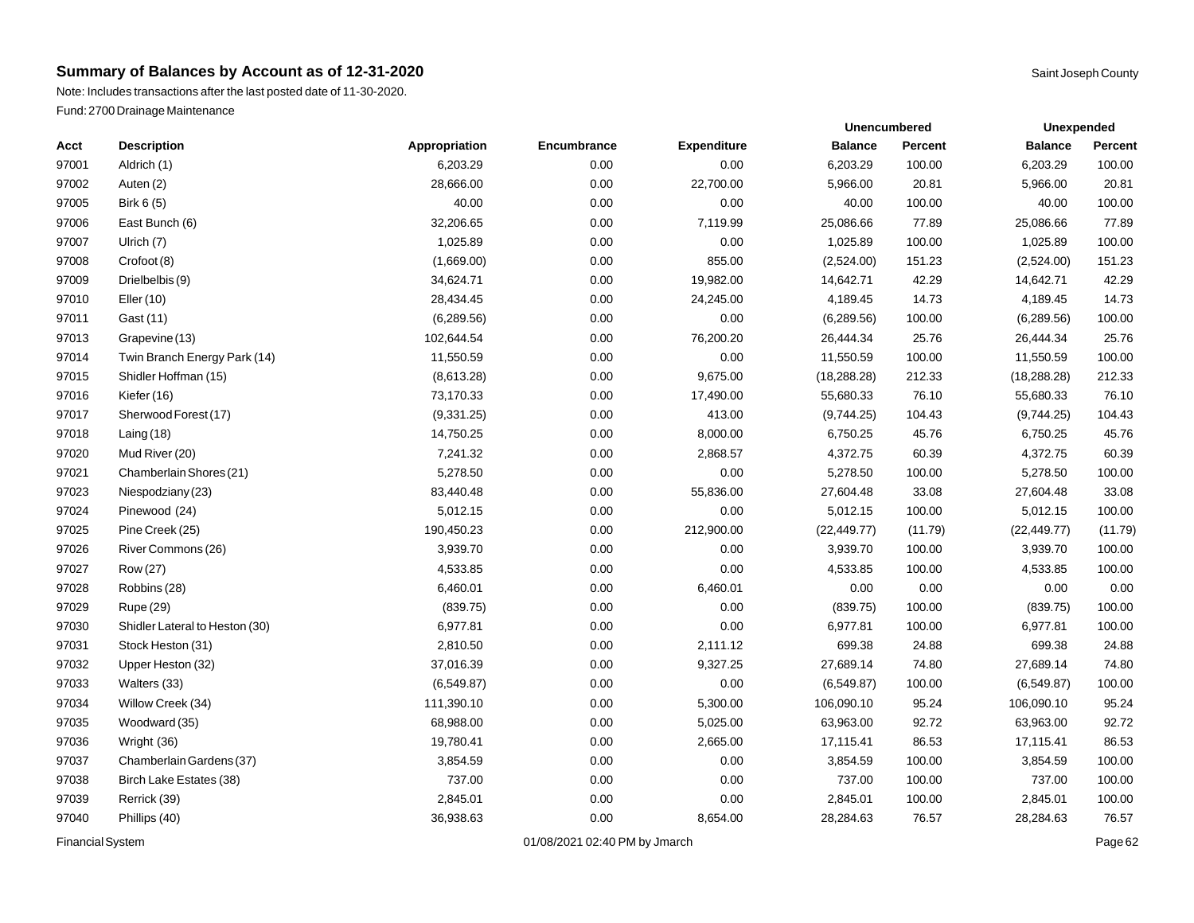|                         |                                |               |                               |                    |                | <b>Unencumbered</b> | <b>Unexpended</b> |         |
|-------------------------|--------------------------------|---------------|-------------------------------|--------------------|----------------|---------------------|-------------------|---------|
| Acct                    | <b>Description</b>             | Appropriation | Encumbrance                   | <b>Expenditure</b> | <b>Balance</b> | <b>Percent</b>      | <b>Balance</b>    | Percent |
| 97001                   | Aldrich (1)                    | 6,203.29      | 0.00                          | 0.00               | 6,203.29       | 100.00              | 6,203.29          | 100.00  |
| 97002                   | Auten (2)                      | 28,666.00     | 0.00                          | 22,700.00          | 5,966.00       | 20.81               | 5,966.00          | 20.81   |
| 97005                   | Birk 6 (5)                     | 40.00         | 0.00                          | 0.00               | 40.00          | 100.00              | 40.00             | 100.00  |
| 97006                   | East Bunch (6)                 | 32,206.65     | 0.00                          | 7,119.99           | 25,086.66      | 77.89               | 25,086.66         | 77.89   |
| 97007                   | Ulrich (7)                     | 1,025.89      | 0.00                          | 0.00               | 1,025.89       | 100.00              | 1,025.89          | 100.00  |
| 97008                   | Crofoot (8)                    | (1,669.00)    | 0.00                          | 855.00             | (2,524.00)     | 151.23              | (2,524.00)        | 151.23  |
| 97009                   | Drielbelbis (9)                | 34,624.71     | 0.00                          | 19,982.00          | 14,642.71      | 42.29               | 14,642.71         | 42.29   |
| 97010                   | Eller (10)                     | 28,434.45     | 0.00                          | 24,245.00          | 4,189.45       | 14.73               | 4,189.45          | 14.73   |
| 97011                   | Gast (11)                      | (6, 289.56)   | 0.00                          | 0.00               | (6, 289.56)    | 100.00              | (6,289.56)        | 100.00  |
| 97013                   | Grapevine (13)                 | 102,644.54    | 0.00                          | 76,200.20          | 26,444.34      | 25.76               | 26,444.34         | 25.76   |
| 97014                   | Twin Branch Energy Park (14)   | 11,550.59     | 0.00                          | 0.00               | 11,550.59      | 100.00              | 11,550.59         | 100.00  |
| 97015                   | Shidler Hoffman (15)           | (8,613.28)    | 0.00                          | 9,675.00           | (18, 288.28)   | 212.33              | (18, 288.28)      | 212.33  |
| 97016                   | Kiefer (16)                    | 73,170.33     | 0.00                          | 17,490.00          | 55,680.33      | 76.10               | 55,680.33         | 76.10   |
| 97017                   | Sherwood Forest (17)           | (9,331.25)    | 0.00                          | 413.00             | (9,744.25)     | 104.43              | (9,744.25)        | 104.43  |
| 97018                   | Laing $(18)$                   | 14,750.25     | 0.00                          | 8,000.00           | 6,750.25       | 45.76               | 6,750.25          | 45.76   |
| 97020                   | Mud River (20)                 | 7,241.32      | 0.00                          | 2,868.57           | 4,372.75       | 60.39               | 4,372.75          | 60.39   |
| 97021                   | Chamberlain Shores (21)        | 5,278.50      | 0.00                          | 0.00               | 5,278.50       | 100.00              | 5,278.50          | 100.00  |
| 97023                   | Niespodziany (23)              | 83,440.48     | 0.00                          | 55,836.00          | 27,604.48      | 33.08               | 27,604.48         | 33.08   |
| 97024                   | Pinewood (24)                  | 5,012.15      | 0.00                          | 0.00               | 5,012.15       | 100.00              | 5,012.15          | 100.00  |
| 97025                   | Pine Creek (25)                | 190,450.23    | 0.00                          | 212,900.00         | (22, 449.77)   | (11.79)             | (22, 449.77)      | (11.79) |
| 97026                   | River Commons (26)             | 3,939.70      | 0.00                          | 0.00               | 3,939.70       | 100.00              | 3,939.70          | 100.00  |
| 97027                   | Row (27)                       | 4,533.85      | 0.00                          | 0.00               | 4,533.85       | 100.00              | 4,533.85          | 100.00  |
| 97028                   | Robbins (28)                   | 6,460.01      | 0.00                          | 6,460.01           | 0.00           | 0.00                | 0.00              | 0.00    |
| 97029                   | Rupe (29)                      | (839.75)      | 0.00                          | 0.00               | (839.75)       | 100.00              | (839.75)          | 100.00  |
| 97030                   | Shidler Lateral to Heston (30) | 6,977.81      | 0.00                          | 0.00               | 6,977.81       | 100.00              | 6,977.81          | 100.00  |
| 97031                   | Stock Heston (31)              | 2,810.50      | 0.00                          | 2,111.12           | 699.38         | 24.88               | 699.38            | 24.88   |
| 97032                   | Upper Heston (32)              | 37,016.39     | 0.00                          | 9,327.25           | 27,689.14      | 74.80               | 27,689.14         | 74.80   |
| 97033                   | Walters (33)                   | (6,549.87)    | 0.00                          | 0.00               | (6,549.87)     | 100.00              | (6,549.87)        | 100.00  |
| 97034                   | Willow Creek (34)              | 111,390.10    | 0.00                          | 5,300.00           | 106,090.10     | 95.24               | 106,090.10        | 95.24   |
| 97035                   | Woodward (35)                  | 68,988.00     | 0.00                          | 5,025.00           | 63,963.00      | 92.72               | 63,963.00         | 92.72   |
| 97036                   | Wright (36)                    | 19,780.41     | 0.00                          | 2,665.00           | 17,115.41      | 86.53               | 17,115.41         | 86.53   |
| 97037                   | Chamberlain Gardens (37)       | 3,854.59      | 0.00                          | 0.00               | 3,854.59       | 100.00              | 3,854.59          | 100.00  |
| 97038                   | Birch Lake Estates (38)        | 737.00        | 0.00                          | 0.00               | 737.00         | 100.00              | 737.00            | 100.00  |
| 97039                   | Rerrick (39)                   | 2,845.01      | 0.00                          | 0.00               | 2,845.01       | 100.00              | 2,845.01          | 100.00  |
| 97040                   | Phillips (40)                  | 36,938.63     | 0.00                          | 8,654.00           | 28,284.63      | 76.57               | 28,284.63         | 76.57   |
| <b>Financial System</b> |                                |               | 01/08/2021 02:40 PM by Jmarch |                    |                |                     |                   | Page 62 |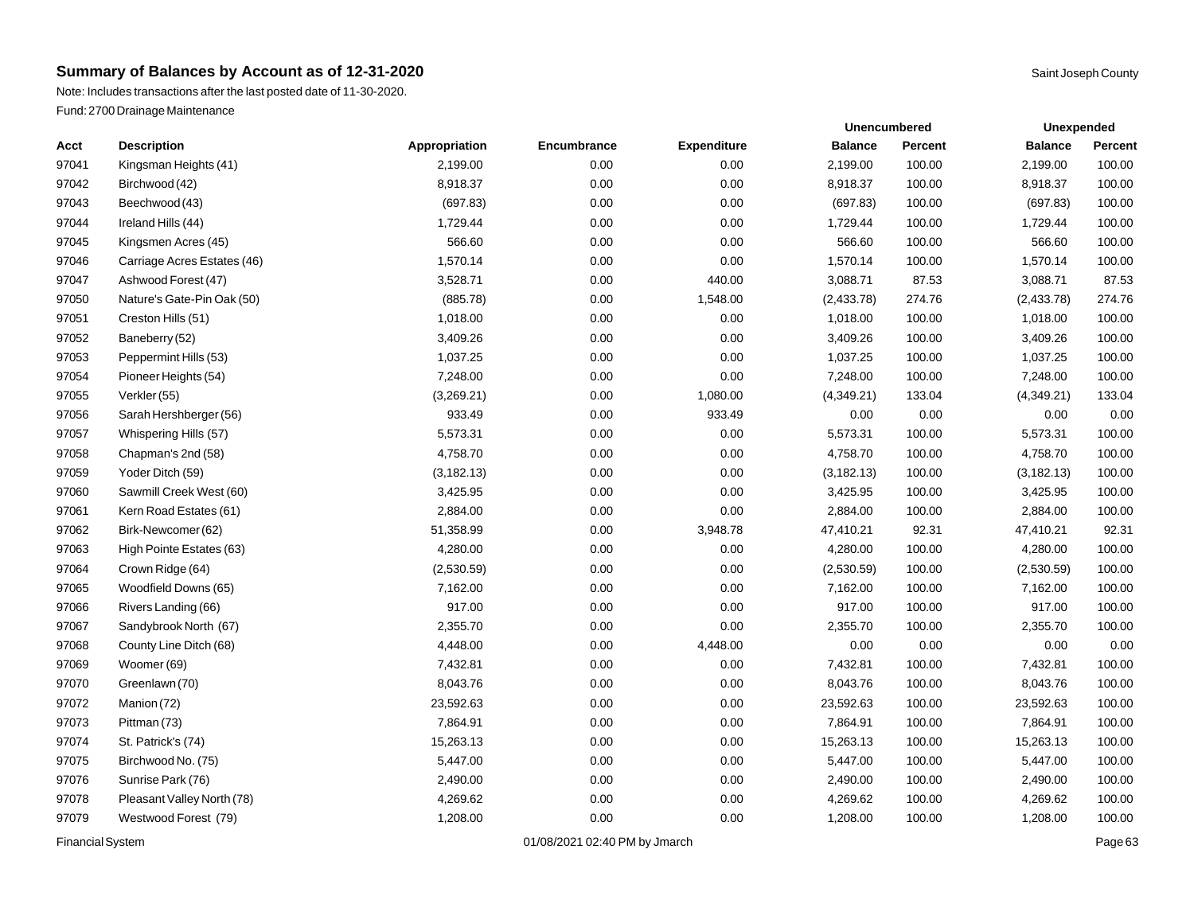|                         |                             |               |                               |                    |                | <b>Unencumbered</b> | <b>Unexpended</b> |         |  |
|-------------------------|-----------------------------|---------------|-------------------------------|--------------------|----------------|---------------------|-------------------|---------|--|
| Acct                    | <b>Description</b>          | Appropriation | Encumbrance                   | <b>Expenditure</b> | <b>Balance</b> | <b>Percent</b>      | <b>Balance</b>    | Percent |  |
| 97041                   | Kingsman Heights (41)       | 2,199.00      | 0.00                          | 0.00               | 2,199.00       | 100.00              | 2,199.00          | 100.00  |  |
| 97042                   | Birchwood (42)              | 8,918.37      | 0.00                          | 0.00               | 8,918.37       | 100.00              | 8,918.37          | 100.00  |  |
| 97043                   | Beechwood (43)              | (697.83)      | 0.00                          | 0.00               | (697.83)       | 100.00              | (697.83)          | 100.00  |  |
| 97044                   | Ireland Hills (44)          | 1,729.44      | 0.00                          | 0.00               | 1,729.44       | 100.00              | 1,729.44          | 100.00  |  |
| 97045                   | Kingsmen Acres (45)         | 566.60        | 0.00                          | 0.00               | 566.60         | 100.00              | 566.60            | 100.00  |  |
| 97046                   | Carriage Acres Estates (46) | 1,570.14      | 0.00                          | 0.00               | 1,570.14       | 100.00              | 1,570.14          | 100.00  |  |
| 97047                   | Ashwood Forest (47)         | 3,528.71      | 0.00                          | 440.00             | 3,088.71       | 87.53               | 3,088.71          | 87.53   |  |
| 97050                   | Nature's Gate-Pin Oak (50)  | (885.78)      | 0.00                          | 1,548.00           | (2,433.78)     | 274.76              | (2,433.78)        | 274.76  |  |
| 97051                   | Creston Hills (51)          | 1,018.00      | 0.00                          | 0.00               | 1,018.00       | 100.00              | 1,018.00          | 100.00  |  |
| 97052                   | Baneberry (52)              | 3,409.26      | 0.00                          | 0.00               | 3,409.26       | 100.00              | 3,409.26          | 100.00  |  |
| 97053                   | Peppermint Hills (53)       | 1,037.25      | 0.00                          | 0.00               | 1,037.25       | 100.00              | 1,037.25          | 100.00  |  |
| 97054                   | Pioneer Heights (54)        | 7,248.00      | 0.00                          | 0.00               | 7,248.00       | 100.00              | 7,248.00          | 100.00  |  |
| 97055                   | Verkler (55)                | (3,269.21)    | 0.00                          | 1,080.00           | (4,349.21)     | 133.04              | (4,349.21)        | 133.04  |  |
| 97056                   | Sarah Hershberger (56)      | 933.49        | 0.00                          | 933.49             | 0.00           | 0.00                | 0.00              | 0.00    |  |
| 97057                   | Whispering Hills (57)       | 5,573.31      | 0.00                          | 0.00               | 5,573.31       | 100.00              | 5,573.31          | 100.00  |  |
| 97058                   | Chapman's 2nd (58)          | 4,758.70      | 0.00                          | 0.00               | 4,758.70       | 100.00              | 4,758.70          | 100.00  |  |
| 97059                   | Yoder Ditch (59)            | (3, 182.13)   | 0.00                          | 0.00               | (3, 182.13)    | 100.00              | (3, 182.13)       | 100.00  |  |
| 97060                   | Sawmill Creek West (60)     | 3,425.95      | 0.00                          | 0.00               | 3,425.95       | 100.00              | 3,425.95          | 100.00  |  |
| 97061                   | Kern Road Estates (61)      | 2,884.00      | 0.00                          | 0.00               | 2,884.00       | 100.00              | 2,884.00          | 100.00  |  |
| 97062                   | Birk-Newcomer (62)          | 51,358.99     | 0.00                          | 3,948.78           | 47,410.21      | 92.31               | 47,410.21         | 92.31   |  |
| 97063                   | High Pointe Estates (63)    | 4,280.00      | 0.00                          | 0.00               | 4,280.00       | 100.00              | 4,280.00          | 100.00  |  |
| 97064                   | Crown Ridge (64)            | (2,530.59)    | 0.00                          | 0.00               | (2,530.59)     | 100.00              | (2,530.59)        | 100.00  |  |
| 97065                   | Woodfield Downs (65)        | 7,162.00      | 0.00                          | 0.00               | 7,162.00       | 100.00              | 7,162.00          | 100.00  |  |
| 97066                   | Rivers Landing (66)         | 917.00        | 0.00                          | 0.00               | 917.00         | 100.00              | 917.00            | 100.00  |  |
| 97067                   | Sandybrook North (67)       | 2,355.70      | 0.00                          | 0.00               | 2,355.70       | 100.00              | 2,355.70          | 100.00  |  |
| 97068                   | County Line Ditch (68)      | 4,448.00      | 0.00                          | 4,448.00           | 0.00           | 0.00                | 0.00              | 0.00    |  |
| 97069                   | Woomer (69)                 | 7,432.81      | 0.00                          | 0.00               | 7,432.81       | 100.00              | 7,432.81          | 100.00  |  |
| 97070                   | Greenlawn (70)              | 8,043.76      | 0.00                          | 0.00               | 8,043.76       | 100.00              | 8,043.76          | 100.00  |  |
| 97072                   | Manion (72)                 | 23,592.63     | 0.00                          | 0.00               | 23,592.63      | 100.00              | 23,592.63         | 100.00  |  |
| 97073                   | Pittman (73)                | 7,864.91      | 0.00                          | 0.00               | 7,864.91       | 100.00              | 7,864.91          | 100.00  |  |
| 97074                   | St. Patrick's (74)          | 15,263.13     | 0.00                          | 0.00               | 15,263.13      | 100.00              | 15,263.13         | 100.00  |  |
| 97075                   | Birchwood No. (75)          | 5,447.00      | 0.00                          | 0.00               | 5,447.00       | 100.00              | 5,447.00          | 100.00  |  |
| 97076                   | Sunrise Park (76)           | 2,490.00      | 0.00                          | 0.00               | 2,490.00       | 100.00              | 2,490.00          | 100.00  |  |
| 97078                   | Pleasant Valley North (78)  | 4,269.62      | 0.00                          | 0.00               | 4,269.62       | 100.00              | 4,269.62          | 100.00  |  |
| 97079                   | Westwood Forest (79)        | 1,208.00      | 0.00                          | 0.00               | 1,208.00       | 100.00              | 1,208.00          | 100.00  |  |
| <b>Financial System</b> |                             |               | 01/08/2021 02:40 PM by Jmarch |                    |                |                     |                   | Page 63 |  |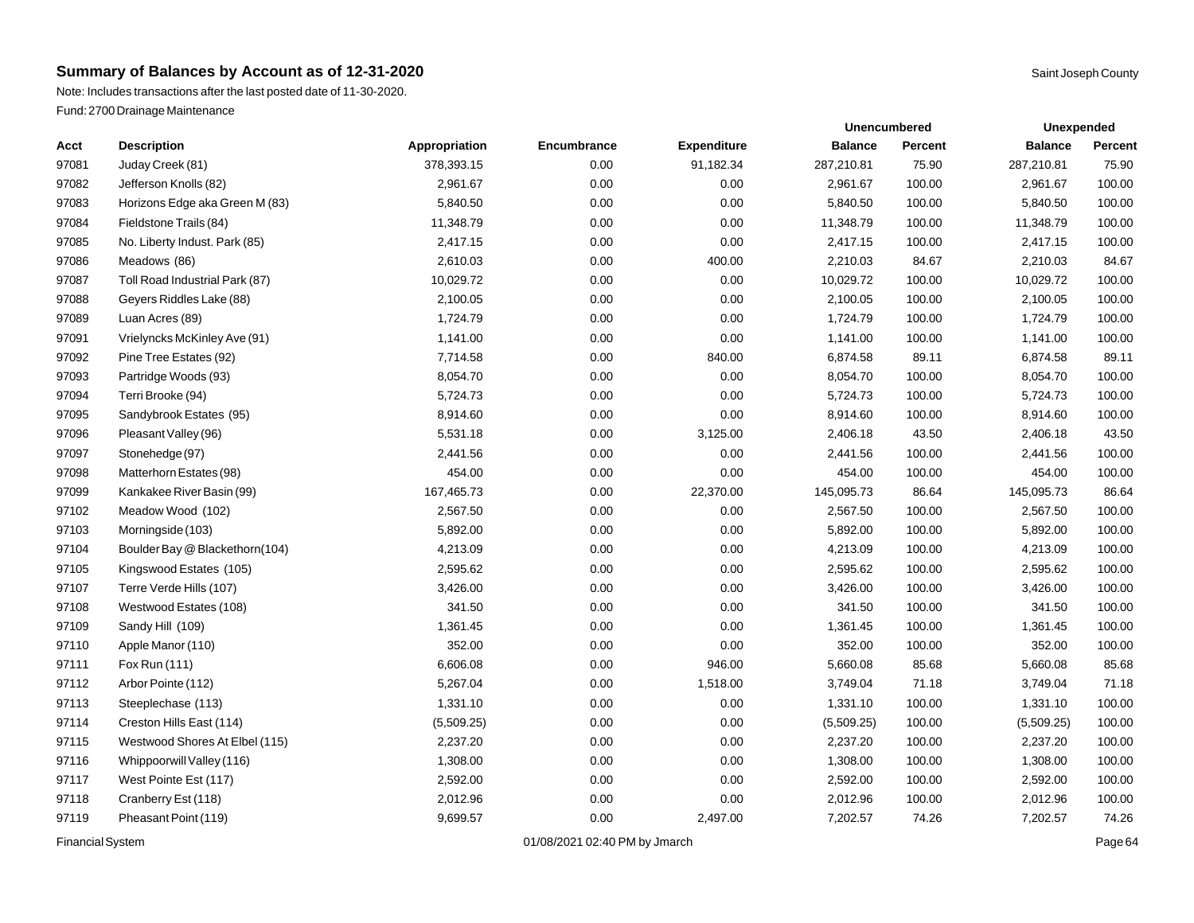|                         |                                |               |                               |                    |                | <b>Unencumbered</b> | <b>Unexpended</b> |         |  |
|-------------------------|--------------------------------|---------------|-------------------------------|--------------------|----------------|---------------------|-------------------|---------|--|
| Acct                    | <b>Description</b>             | Appropriation | Encumbrance                   | <b>Expenditure</b> | <b>Balance</b> | <b>Percent</b>      | <b>Balance</b>    | Percent |  |
| 97081                   | Juday Creek (81)               | 378,393.15    | 0.00                          | 91,182.34          | 287,210.81     | 75.90               | 287,210.81        | 75.90   |  |
| 97082                   | Jefferson Knolls (82)          | 2,961.67      | 0.00                          | 0.00               | 2,961.67       | 100.00              | 2,961.67          | 100.00  |  |
| 97083                   | Horizons Edge aka Green M (83) | 5,840.50      | 0.00                          | 0.00               | 5,840.50       | 100.00              | 5,840.50          | 100.00  |  |
| 97084                   | Fieldstone Trails (84)         | 11,348.79     | 0.00                          | 0.00               | 11,348.79      | 100.00              | 11,348.79         | 100.00  |  |
| 97085                   | No. Liberty Indust. Park (85)  | 2,417.15      | 0.00                          | 0.00               | 2,417.15       | 100.00              | 2,417.15          | 100.00  |  |
| 97086                   | Meadows (86)                   | 2,610.03      | 0.00                          | 400.00             | 2,210.03       | 84.67               | 2,210.03          | 84.67   |  |
| 97087                   | Toll Road Industrial Park (87) | 10,029.72     | 0.00                          | 0.00               | 10,029.72      | 100.00              | 10,029.72         | 100.00  |  |
| 97088                   | Geyers Riddles Lake (88)       | 2,100.05      | 0.00                          | 0.00               | 2,100.05       | 100.00              | 2,100.05          | 100.00  |  |
| 97089                   | Luan Acres (89)                | 1,724.79      | 0.00                          | 0.00               | 1,724.79       | 100.00              | 1,724.79          | 100.00  |  |
| 97091                   | Vrielyncks McKinley Ave (91)   | 1,141.00      | 0.00                          | 0.00               | 1,141.00       | 100.00              | 1,141.00          | 100.00  |  |
| 97092                   | Pine Tree Estates (92)         | 7,714.58      | 0.00                          | 840.00             | 6,874.58       | 89.11               | 6,874.58          | 89.11   |  |
| 97093                   | Partridge Woods (93)           | 8,054.70      | 0.00                          | 0.00               | 8,054.70       | 100.00              | 8,054.70          | 100.00  |  |
| 97094                   | Terri Brooke (94)              | 5,724.73      | 0.00                          | 0.00               | 5,724.73       | 100.00              | 5,724.73          | 100.00  |  |
| 97095                   | Sandybrook Estates (95)        | 8,914.60      | 0.00                          | 0.00               | 8,914.60       | 100.00              | 8,914.60          | 100.00  |  |
| 97096                   | Pleasant Valley (96)           | 5,531.18      | 0.00                          | 3,125.00           | 2,406.18       | 43.50               | 2,406.18          | 43.50   |  |
| 97097                   | Stonehedge (97)                | 2,441.56      | 0.00                          | 0.00               | 2,441.56       | 100.00              | 2,441.56          | 100.00  |  |
| 97098                   | Matterhorn Estates (98)        | 454.00        | 0.00                          | 0.00               | 454.00         | 100.00              | 454.00            | 100.00  |  |
| 97099                   | Kankakee River Basin (99)      | 167,465.73    | 0.00                          | 22,370.00          | 145,095.73     | 86.64               | 145,095.73        | 86.64   |  |
| 97102                   | Meadow Wood (102)              | 2,567.50      | 0.00                          | 0.00               | 2,567.50       | 100.00              | 2,567.50          | 100.00  |  |
| 97103                   | Morningside (103)              | 5,892.00      | 0.00                          | 0.00               | 5,892.00       | 100.00              | 5,892.00          | 100.00  |  |
| 97104                   | Boulder Bay @ Blackethorn(104) | 4,213.09      | 0.00                          | 0.00               | 4,213.09       | 100.00              | 4,213.09          | 100.00  |  |
| 97105                   | Kingswood Estates (105)        | 2,595.62      | 0.00                          | 0.00               | 2,595.62       | 100.00              | 2,595.62          | 100.00  |  |
| 97107                   | Terre Verde Hills (107)        | 3,426.00      | 0.00                          | 0.00               | 3,426.00       | 100.00              | 3,426.00          | 100.00  |  |
| 97108                   | Westwood Estates (108)         | 341.50        | 0.00                          | 0.00               | 341.50         | 100.00              | 341.50            | 100.00  |  |
| 97109                   | Sandy Hill (109)               | 1,361.45      | 0.00                          | 0.00               | 1,361.45       | 100.00              | 1,361.45          | 100.00  |  |
| 97110                   | Apple Manor (110)              | 352.00        | 0.00                          | 0.00               | 352.00         | 100.00              | 352.00            | 100.00  |  |
| 97111                   | Fox Run (111)                  | 6,606.08      | 0.00                          | 946.00             | 5,660.08       | 85.68               | 5,660.08          | 85.68   |  |
| 97112                   | Arbor Pointe (112)             | 5,267.04      | 0.00                          | 1,518.00           | 3,749.04       | 71.18               | 3,749.04          | 71.18   |  |
| 97113                   | Steeplechase (113)             | 1,331.10      | 0.00                          | 0.00               | 1,331.10       | 100.00              | 1,331.10          | 100.00  |  |
| 97114                   | Creston Hills East (114)       | (5,509.25)    | 0.00                          | 0.00               | (5,509.25)     | 100.00              | (5,509.25)        | 100.00  |  |
| 97115                   | Westwood Shores At Elbel (115) | 2,237.20      | 0.00                          | 0.00               | 2,237.20       | 100.00              | 2,237.20          | 100.00  |  |
| 97116                   | Whippoorwill Valley (116)      | 1,308.00      | 0.00                          | 0.00               | 1,308.00       | 100.00              | 1,308.00          | 100.00  |  |
| 97117                   | West Pointe Est (117)          | 2,592.00      | 0.00                          | 0.00               | 2,592.00       | 100.00              | 2,592.00          | 100.00  |  |
| 97118                   | Cranberry Est (118)            | 2,012.96      | 0.00                          | 0.00               | 2,012.96       | 100.00              | 2,012.96          | 100.00  |  |
| 97119                   | Pheasant Point (119)           | 9,699.57      | 0.00                          | 2,497.00           | 7,202.57       | 74.26               | 7,202.57          | 74.26   |  |
| <b>Financial System</b> |                                |               | 01/08/2021 02:40 PM by Jmarch |                    |                |                     |                   | Page 64 |  |

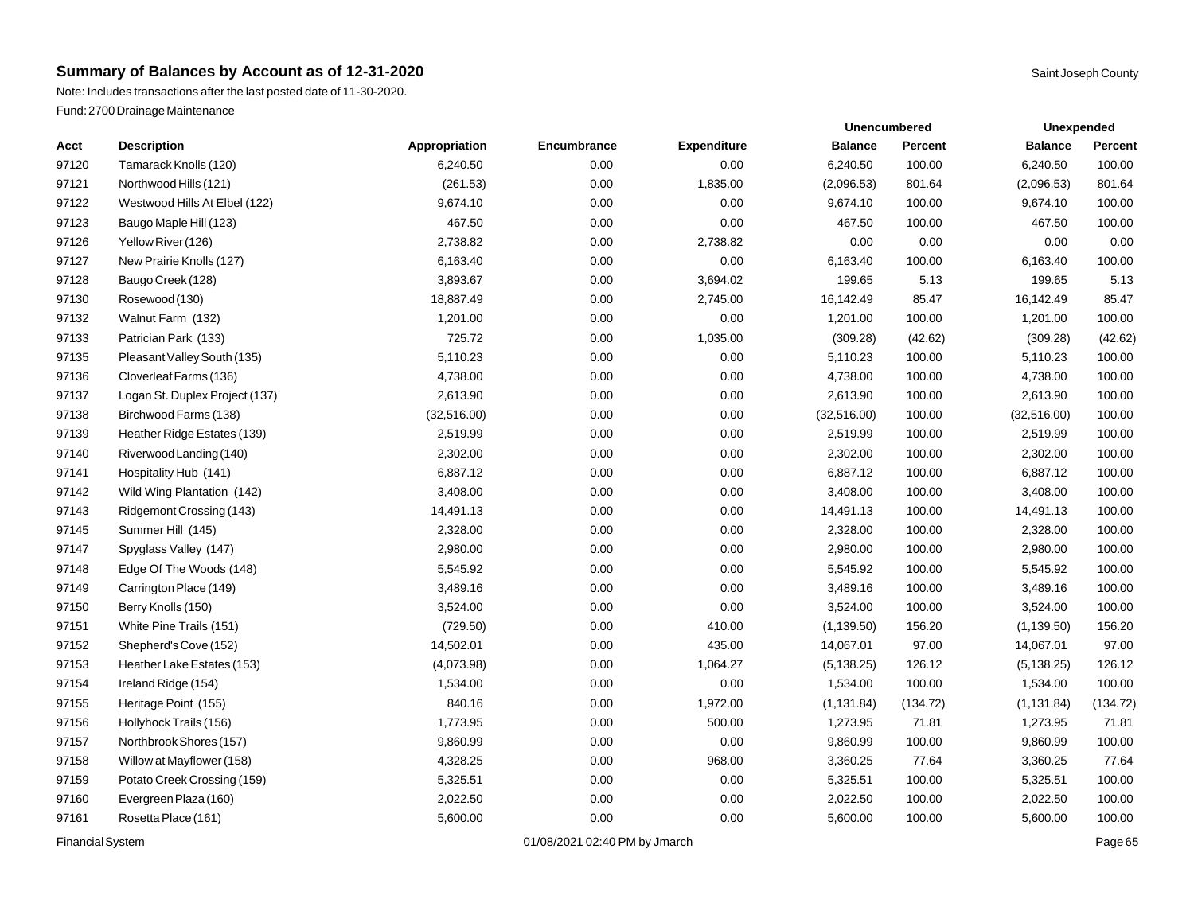|                         |                                |               |                               |                    |                | <b>Unencumbered</b> | <b>Unexpended</b> |          |  |
|-------------------------|--------------------------------|---------------|-------------------------------|--------------------|----------------|---------------------|-------------------|----------|--|
| Acct                    | <b>Description</b>             | Appropriation | Encumbrance                   | <b>Expenditure</b> | <b>Balance</b> | <b>Percent</b>      | <b>Balance</b>    | Percent  |  |
| 97120                   | Tamarack Knolls (120)          | 6,240.50      | 0.00                          | 0.00               | 6,240.50       | 100.00              | 6,240.50          | 100.00   |  |
| 97121                   | Northwood Hills (121)          | (261.53)      | 0.00                          | 1,835.00           | (2,096.53)     | 801.64              | (2,096.53)        | 801.64   |  |
| 97122                   | Westwood Hills At Elbel (122)  | 9,674.10      | 0.00                          | 0.00               | 9,674.10       | 100.00              | 9,674.10          | 100.00   |  |
| 97123                   | Baugo Maple Hill (123)         | 467.50        | 0.00                          | 0.00               | 467.50         | 100.00              | 467.50            | 100.00   |  |
| 97126                   | Yellow River (126)             | 2,738.82      | 0.00                          | 2,738.82           | 0.00           | 0.00                | 0.00              | 0.00     |  |
| 97127                   | New Prairie Knolls (127)       | 6,163.40      | 0.00                          | 0.00               | 6,163.40       | 100.00              | 6,163.40          | 100.00   |  |
| 97128                   | Baugo Creek (128)              | 3,893.67      | 0.00                          | 3,694.02           | 199.65         | 5.13                | 199.65            | 5.13     |  |
| 97130                   | Rosewood (130)                 | 18,887.49     | 0.00                          | 2,745.00           | 16,142.49      | 85.47               | 16,142.49         | 85.47    |  |
| 97132                   | Walnut Farm (132)              | 1,201.00      | 0.00                          | 0.00               | 1,201.00       | 100.00              | 1,201.00          | 100.00   |  |
| 97133                   | Patrician Park (133)           | 725.72        | 0.00                          | 1,035.00           | (309.28)       | (42.62)             | (309.28)          | (42.62)  |  |
| 97135                   | Pleasant Valley South (135)    | 5,110.23      | 0.00                          | 0.00               | 5,110.23       | 100.00              | 5,110.23          | 100.00   |  |
| 97136                   | Cloverleaf Farms (136)         | 4,738.00      | 0.00                          | 0.00               | 4,738.00       | 100.00              | 4,738.00          | 100.00   |  |
| 97137                   | Logan St. Duplex Project (137) | 2,613.90      | 0.00                          | 0.00               | 2,613.90       | 100.00              | 2,613.90          | 100.00   |  |
| 97138                   | Birchwood Farms (138)          | (32,516.00)   | 0.00                          | 0.00               | (32, 516.00)   | 100.00              | (32,516.00)       | 100.00   |  |
| 97139                   | Heather Ridge Estates (139)    | 2,519.99      | 0.00                          | 0.00               | 2,519.99       | 100.00              | 2,519.99          | 100.00   |  |
| 97140                   | Riverwood Landing (140)        | 2,302.00      | 0.00                          | 0.00               | 2,302.00       | 100.00              | 2,302.00          | 100.00   |  |
| 97141                   | Hospitality Hub (141)          | 6,887.12      | 0.00                          | 0.00               | 6,887.12       | 100.00              | 6,887.12          | 100.00   |  |
| 97142                   | Wild Wing Plantation (142)     | 3,408.00      | 0.00                          | 0.00               | 3,408.00       | 100.00              | 3,408.00          | 100.00   |  |
| 97143                   | Ridgemont Crossing (143)       | 14,491.13     | 0.00                          | 0.00               | 14,491.13      | 100.00              | 14,491.13         | 100.00   |  |
| 97145                   | Summer Hill (145)              | 2,328.00      | 0.00                          | 0.00               | 2,328.00       | 100.00              | 2,328.00          | 100.00   |  |
| 97147                   | Spyglass Valley (147)          | 2,980.00      | 0.00                          | 0.00               | 2,980.00       | 100.00              | 2,980.00          | 100.00   |  |
| 97148                   | Edge Of The Woods (148)        | 5,545.92      | 0.00                          | 0.00               | 5,545.92       | 100.00              | 5,545.92          | 100.00   |  |
| 97149                   | Carrington Place (149)         | 3,489.16      | 0.00                          | 0.00               | 3,489.16       | 100.00              | 3,489.16          | 100.00   |  |
| 97150                   | Berry Knolls (150)             | 3,524.00      | 0.00                          | 0.00               | 3,524.00       | 100.00              | 3,524.00          | 100.00   |  |
| 97151                   | White Pine Trails (151)        | (729.50)      | 0.00                          | 410.00             | (1, 139.50)    | 156.20              | (1, 139.50)       | 156.20   |  |
| 97152                   | Shepherd's Cove (152)          | 14,502.01     | 0.00                          | 435.00             | 14,067.01      | 97.00               | 14,067.01         | 97.00    |  |
| 97153                   | Heather Lake Estates (153)     | (4,073.98)    | 0.00                          | 1,064.27           | (5, 138.25)    | 126.12              | (5, 138.25)       | 126.12   |  |
| 97154                   | Ireland Ridge (154)            | 1,534.00      | 0.00                          | 0.00               | 1,534.00       | 100.00              | 1,534.00          | 100.00   |  |
| 97155                   | Heritage Point (155)           | 840.16        | 0.00                          | 1,972.00           | (1, 131.84)    | (134.72)            | (1, 131.84)       | (134.72) |  |
| 97156                   | Hollyhock Trails (156)         | 1,773.95      | 0.00                          | 500.00             | 1,273.95       | 71.81               | 1,273.95          | 71.81    |  |
| 97157                   | Northbrook Shores (157)        | 9,860.99      | 0.00                          | 0.00               | 9,860.99       | 100.00              | 9,860.99          | 100.00   |  |
| 97158                   | Willow at Mayflower (158)      | 4,328.25      | 0.00                          | 968.00             | 3,360.25       | 77.64               | 3,360.25          | 77.64    |  |
| 97159                   | Potato Creek Crossing (159)    | 5,325.51      | 0.00                          | 0.00               | 5,325.51       | 100.00              | 5,325.51          | 100.00   |  |
| 97160                   | Evergreen Plaza (160)          | 2,022.50      | 0.00                          | 0.00               | 2,022.50       | 100.00              | 2,022.50          | 100.00   |  |
| 97161                   | Rosetta Place (161)            | 5,600.00      | 0.00                          | 0.00               | 5,600.00       | 100.00              | 5,600.00          | 100.00   |  |
| <b>Financial System</b> |                                |               | 01/08/2021 02:40 PM by Jmarch |                    |                |                     |                   | Page 65  |  |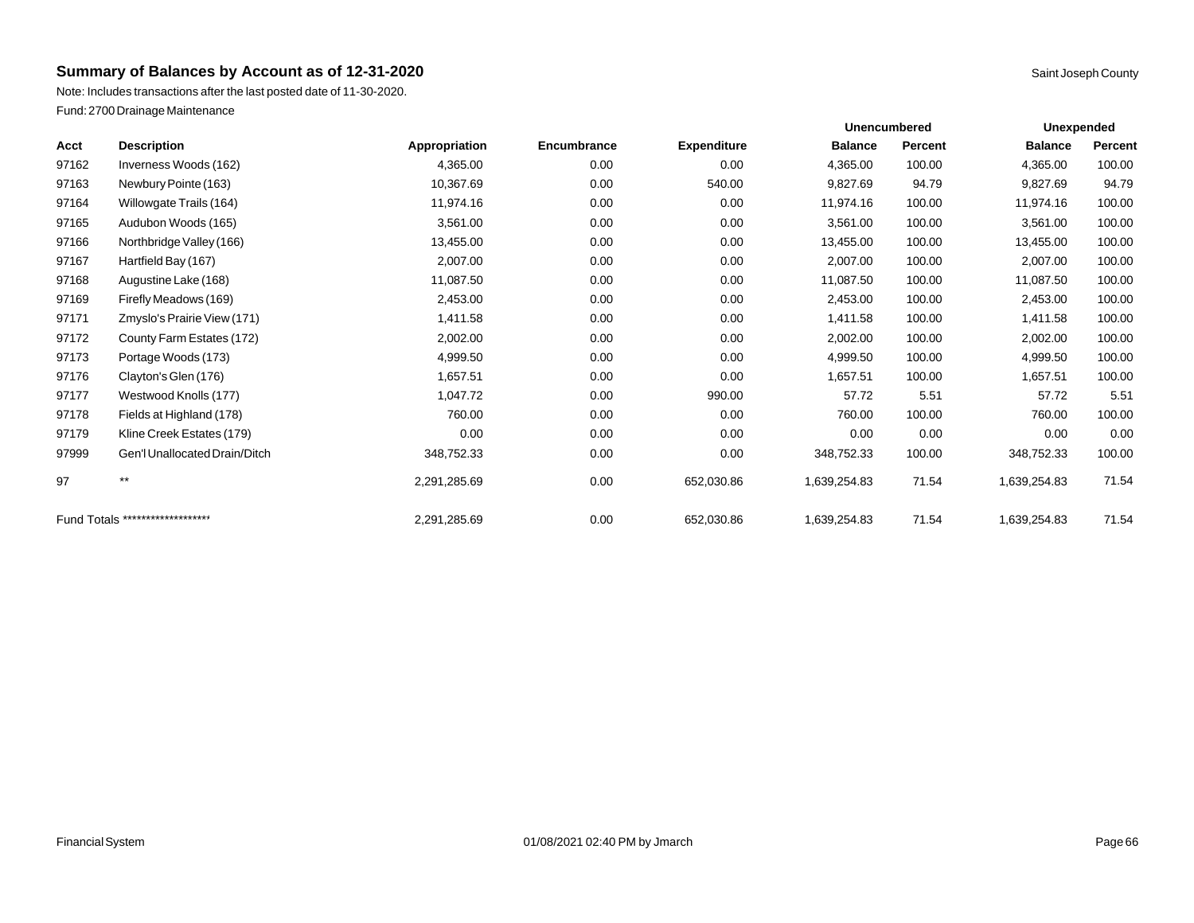Note: Includes transactions after the last posted date of 11-30-2020. Fund: 2700 Drainage Maintenance

| Acct  | <b>Description</b>               | Appropriation | Encumbrance | <b>Expenditure</b> | <b>Balance</b> | <b>Percent</b> | <b>Balance</b> | Percent |
|-------|----------------------------------|---------------|-------------|--------------------|----------------|----------------|----------------|---------|
| 97162 | Inverness Woods (162)            | 4,365.00      | 0.00        | 0.00               | 4,365.00       | 100.00         | 4,365.00       | 100.00  |
| 97163 | Newbury Pointe (163)             | 10,367.69     | 0.00        | 540.00             | 9,827.69       | 94.79          | 9,827.69       | 94.79   |
| 97164 | Willowgate Trails (164)          | 11,974.16     | 0.00        | 0.00               | 11,974.16      | 100.00         | 11,974.16      | 100.00  |
| 97165 | Audubon Woods (165)              | 3,561.00      | 0.00        | 0.00               | 3,561.00       | 100.00         | 3,561.00       | 100.00  |
| 97166 | Northbridge Valley (166)         | 13,455.00     | 0.00        | 0.00               | 13,455.00      | 100.00         | 13,455.00      | 100.00  |
| 97167 | Hartfield Bay (167)              | 2,007.00      | 0.00        | 0.00               | 2,007.00       | 100.00         | 2,007.00       | 100.00  |
| 97168 | Augustine Lake (168)             | 11,087.50     | 0.00        | 0.00               | 11,087.50      | 100.00         | 11,087.50      | 100.00  |
| 97169 | Firefly Meadows (169)            | 2,453.00      | 0.00        | 0.00               | 2,453.00       | 100.00         | 2,453.00       | 100.00  |
| 97171 | Zmyslo's Prairie View (171)      | 1,411.58      | 0.00        | 0.00               | 1,411.58       | 100.00         | 1,411.58       | 100.00  |
| 97172 | County Farm Estates (172)        | 2,002.00      | 0.00        | 0.00               | 2,002.00       | 100.00         | 2,002.00       | 100.00  |
| 97173 | Portage Woods (173)              | 4,999.50      | 0.00        | 0.00               | 4,999.50       | 100.00         | 4,999.50       | 100.00  |
| 97176 | Clayton's Glen (176)             | 1,657.51      | 0.00        | 0.00               | 1,657.51       | 100.00         | 1,657.51       | 100.00  |
| 97177 | Westwood Knolls (177)            | 1,047.72      | 0.00        | 990.00             | 57.72          | 5.51           | 57.72          | 5.51    |
| 97178 | Fields at Highland (178)         | 760.00        | 0.00        | 0.00               | 760.00         | 100.00         | 760.00         | 100.00  |
| 97179 | Kline Creek Estates (179)        | 0.00          | 0.00        | 0.00               | 0.00           | 0.00           | 0.00           | 0.00    |
| 97999 | Gen'l Unallocated Drain/Ditch    | 348.752.33    | 0.00        | 0.00               | 348,752.33     | 100.00         | 348,752.33     | 100.00  |
| 97    | $***$                            | 2,291,285.69  | 0.00        | 652,030.86         | 1,639,254.83   | 71.54          | 1,639,254.83   | 71.54   |
|       | Fund Totals ******************** | 2,291,285.69  | 0.00        | 652,030.86         | 1,639,254.83   | 71.54          | 1,639,254.83   | 71.54   |

**Unexpended**

**Unencumbered**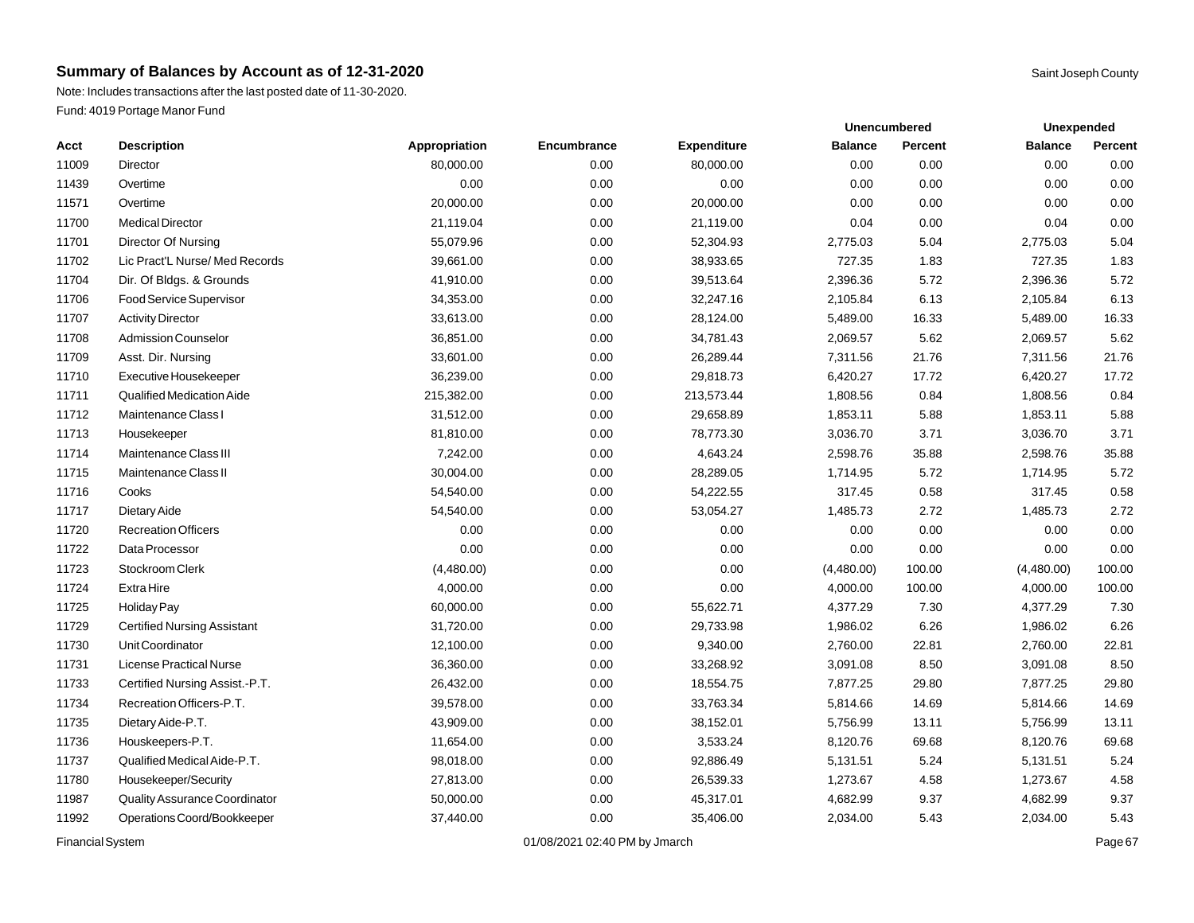Note: Includes transactions after the last posted date of 11-30-2020. Fund: 4019 Portage Manor Fund

| Acct  | <b>Description</b>                 | Appropriation | Encumbrance | <b>Expenditure</b> | <b>Balance</b> | <b>Percent</b> | <b>Balance</b> | <b>Percent</b> |
|-------|------------------------------------|---------------|-------------|--------------------|----------------|----------------|----------------|----------------|
| 11009 | Director                           | 80,000.00     | 0.00        | 80,000.00          | 0.00           | 0.00           | 0.00           | 0.00           |
| 11439 | Overtime                           | 0.00          | 0.00        | 0.00               | 0.00           | 0.00           | 0.00           | 0.00           |
| 11571 | Overtime                           | 20,000.00     | 0.00        | 20,000.00          | 0.00           | 0.00           | 0.00           | 0.00           |
| 11700 | <b>Medical Director</b>            | 21,119.04     | 0.00        | 21,119.00          | 0.04           | 0.00           | 0.04           | 0.00           |
| 11701 | Director Of Nursing                | 55,079.96     | 0.00        | 52,304.93          | 2,775.03       | 5.04           | 2,775.03       | 5.04           |
| 11702 | Lic Pract'L Nurse/ Med Records     | 39,661.00     | 0.00        | 38,933.65          | 727.35         | 1.83           | 727.35         | 1.83           |
| 11704 | Dir. Of Bldgs. & Grounds           | 41,910.00     | 0.00        | 39,513.64          | 2,396.36       | 5.72           | 2,396.36       | 5.72           |
| 11706 | Food Service Supervisor            | 34,353.00     | 0.00        | 32,247.16          | 2,105.84       | 6.13           | 2,105.84       | 6.13           |
| 11707 | <b>Activity Director</b>           | 33,613.00     | 0.00        | 28,124.00          | 5,489.00       | 16.33          | 5,489.00       | 16.33          |
| 11708 | Admission Counselor                | 36,851.00     | 0.00        | 34,781.43          | 2,069.57       | 5.62           | 2,069.57       | 5.62           |
| 11709 | Asst. Dir. Nursing                 | 33,601.00     | 0.00        | 26,289.44          | 7,311.56       | 21.76          | 7,311.56       | 21.76          |
| 11710 | Executive Housekeeper              | 36,239.00     | 0.00        | 29,818.73          | 6,420.27       | 17.72          | 6,420.27       | 17.72          |
| 11711 | Qualified Medication Aide          | 215,382.00    | 0.00        | 213,573.44         | 1,808.56       | 0.84           | 1,808.56       | 0.84           |
| 11712 | Maintenance Class I                | 31,512.00     | 0.00        | 29,658.89          | 1,853.11       | 5.88           | 1,853.11       | 5.88           |
| 11713 | Housekeeper                        | 81,810.00     | 0.00        | 78,773.30          | 3,036.70       | 3.71           | 3,036.70       | 3.71           |
| 11714 | <b>Maintenance Class III</b>       | 7,242.00      | 0.00        | 4,643.24           | 2,598.76       | 35.88          | 2,598.76       | 35.88          |
| 11715 | Maintenance Class II               | 30,004.00     | 0.00        | 28,289.05          | 1,714.95       | 5.72           | 1,714.95       | 5.72           |
| 11716 | Cooks                              | 54,540.00     | 0.00        | 54,222.55          | 317.45         | 0.58           | 317.45         | 0.58           |
| 11717 | Dietary Aide                       | 54,540.00     | 0.00        | 53,054.27          | 1,485.73       | 2.72           | 1,485.73       | 2.72           |
| 11720 | <b>Recreation Officers</b>         | 0.00          | 0.00        | 0.00               | 0.00           | 0.00           | 0.00           | 0.00           |
| 11722 | Data Processor                     | 0.00          | 0.00        | 0.00               | 0.00           | 0.00           | 0.00           | 0.00           |
| 11723 | Stockroom Clerk                    | (4,480.00)    | 0.00        | 0.00               | (4,480.00)     | 100.00         | (4,480.00)     | 100.00         |
| 11724 | <b>ExtraHire</b>                   | 4,000.00      | 0.00        | 0.00               | 4,000.00       | 100.00         | 4,000.00       | 100.00         |
| 11725 | Holiday Pay                        | 60,000.00     | 0.00        | 55,622.71          | 4,377.29       | 7.30           | 4,377.29       | 7.30           |
| 11729 | <b>Certified Nursing Assistant</b> | 31,720.00     | 0.00        | 29,733.98          | 1,986.02       | 6.26           | 1,986.02       | 6.26           |
| 11730 | Unit Coordinator                   | 12,100.00     | 0.00        | 9,340.00           | 2,760.00       | 22.81          | 2,760.00       | 22.81          |
| 11731 | License Practical Nurse            | 36,360.00     | 0.00        | 33,268.92          | 3,091.08       | 8.50           | 3,091.08       | 8.50           |
| 11733 | Certified Nursing Assist.-P.T.     | 26,432.00     | 0.00        | 18,554.75          | 7,877.25       | 29.80          | 7,877.25       | 29.80          |
| 11734 | Recreation Officers-P.T.           | 39,578.00     | 0.00        | 33,763.34          | 5,814.66       | 14.69          | 5,814.66       | 14.69          |
| 11735 | Dietary Aide-P.T.                  | 43,909.00     | 0.00        | 38,152.01          | 5,756.99       | 13.11          | 5,756.99       | 13.11          |
| 11736 | Houskeepers-P.T.                   | 11,654.00     | 0.00        | 3,533.24           | 8,120.76       | 69.68          | 8,120.76       | 69.68          |
| 11737 | Qualified Medical Aide-P.T.        | 98,018.00     | 0.00        | 92,886.49          | 5,131.51       | 5.24           | 5,131.51       | 5.24           |
| 11780 | Housekeeper/Security               | 27,813.00     | 0.00        | 26,539.33          | 1,273.67       | 4.58           | 1,273.67       | 4.58           |
| 11987 | Quality Assurance Coordinator      | 50,000.00     | 0.00        | 45,317.01          | 4,682.99       | 9.37           | 4,682.99       | 9.37           |
| 11992 | Operations Coord/Bookkeeper        | 37,440.00     | 0.00        | 35,406.00          | 2,034.00       | 5.43           | 2,034.00       | 5.43           |
|       |                                    |               |             |                    |                |                |                |                |

Financial System **Example 201/08/2021 02:40 PM by Jmarch** Page 67

**Unexpended**

**Unencumbered**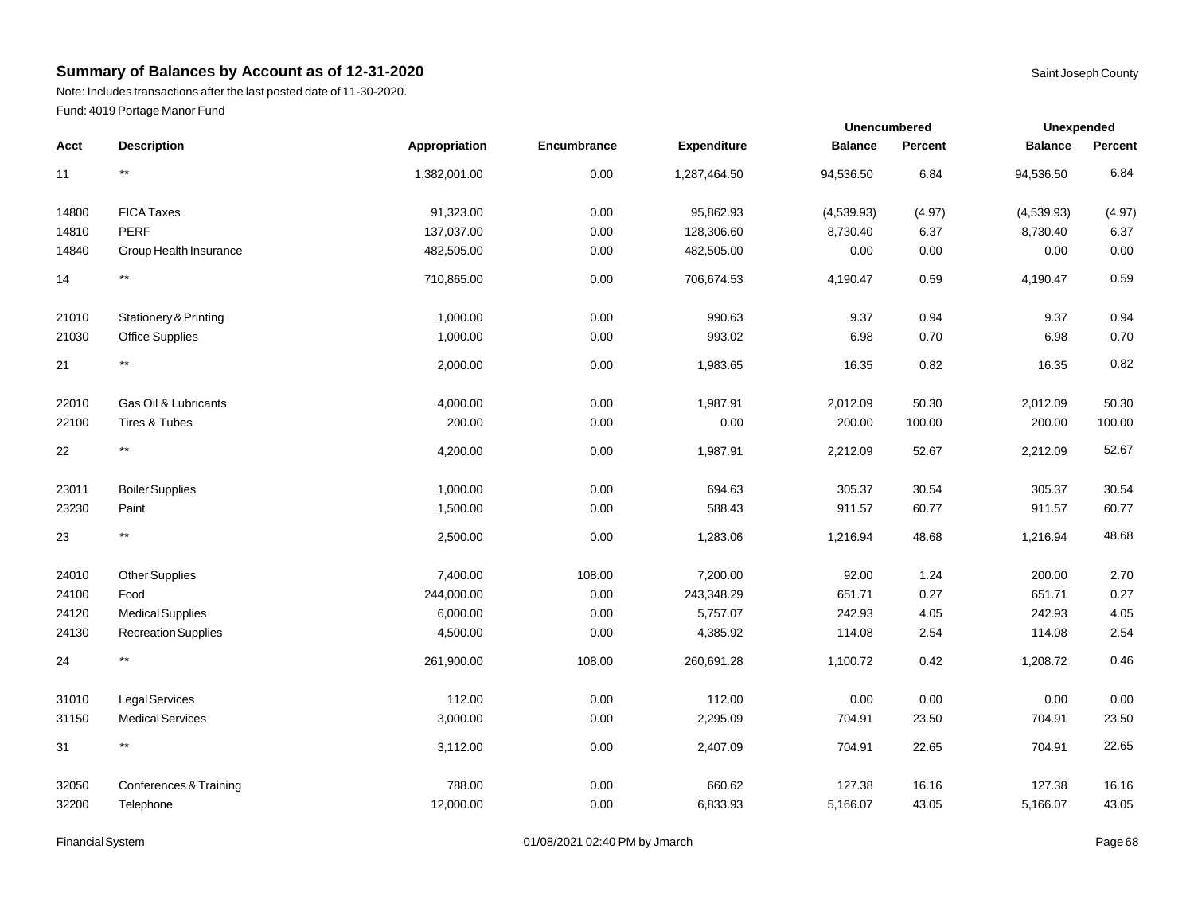Note: Includes transactions after the last posted date of 11-30-2020. Fund: 4019 Portage Manor Fund

|       |                            |               |                    |                    | Unencumbered   |                | Unexpended     |          |  |
|-------|----------------------------|---------------|--------------------|--------------------|----------------|----------------|----------------|----------|--|
| Acct  | <b>Description</b>         | Appropriation | <b>Encumbrance</b> | <b>Expenditure</b> | <b>Balance</b> | <b>Percent</b> | <b>Balance</b> | Percent  |  |
| 11    | $^{\star\star}$            | 1,382,001.00  | 0.00               | 1,287,464.50       | 94,536.50      | 6.84           | 94,536.50      | 6.84     |  |
| 14800 | <b>FICA Taxes</b>          | 91,323.00     | 0.00               | 95,862.93          | (4,539.93)     | (4.97)         | (4,539.93)     | (4.97)   |  |
| 14810 | <b>PERF</b>                | 137,037.00    | 0.00               | 128,306.60         | 8,730.40       | 6.37           | 8,730.40       | 6.37     |  |
| 14840 | Group Health Insurance     | 482,505.00    | 0.00               | 482,505.00         | 0.00           | 0.00           | 0.00           | $0.00\,$ |  |
| 14    | $^{\star\star}$            | 710,865.00    | 0.00               | 706,674.53         | 4,190.47       | 0.59           | 4,190.47       | 0.59     |  |
| 21010 | Stationery & Printing      | 1,000.00      | 0.00               | 990.63             | 9.37           | 0.94           | 9.37           | 0.94     |  |
| 21030 | <b>Office Supplies</b>     | 1,000.00      | 0.00               | 993.02             | 6.98           | 0.70           | 6.98           | 0.70     |  |
| 21    | $^{\star\star}$            | 2,000.00      | 0.00               | 1,983.65           | 16.35          | 0.82           | 16.35          | 0.82     |  |
| 22010 | Gas Oil & Lubricants       | 4,000.00      | 0.00               | 1,987.91           | 2,012.09       | 50.30          | 2,012.09       | 50.30    |  |
| 22100 | Tires & Tubes              | 200.00        | 0.00               | 0.00               | 200.00         | 100.00         | 200.00         | 100.00   |  |
| 22    | $^{\star\star}$            | 4,200.00      | 0.00               | 1,987.91           | 2,212.09       | 52.67          | 2,212.09       | 52.67    |  |
| 23011 | <b>Boiler Supplies</b>     | 1,000.00      | 0.00               | 694.63             | 305.37         | 30.54          | 305.37         | 30.54    |  |
| 23230 | Paint                      | 1,500.00      | 0.00               | 588.43             | 911.57         | 60.77          | 911.57         | 60.77    |  |
| 23    | $^{\star\star}$            | 2,500.00      | 0.00               | 1,283.06           | 1,216.94       | 48.68          | 1,216.94       | 48.68    |  |
| 24010 | <b>Other Supplies</b>      | 7,400.00      | 108.00             | 7,200.00           | 92.00          | 1.24           | 200.00         | 2.70     |  |
| 24100 | Food                       | 244,000.00    | 0.00               | 243,348.29         | 651.71         | 0.27           | 651.71         | 0.27     |  |
| 24120 | <b>Medical Supplies</b>    | 6,000.00      | 0.00               | 5,757.07           | 242.93         | 4.05           | 242.93         | 4.05     |  |
| 24130 | <b>Recreation Supplies</b> | 4,500.00      | 0.00               | 4,385.92           | 114.08         | 2.54           | 114.08         | 2.54     |  |
| 24    | $^{\star\star}$            | 261,900.00    | 108.00             | 260,691.28         | 1,100.72       | 0.42           | 1,208.72       | 0.46     |  |
| 31010 | Legal Services             | 112.00        | 0.00               | 112.00             | 0.00           | 0.00           | 0.00           | 0.00     |  |
| 31150 | <b>Medical Services</b>    | 3,000.00      | 0.00               | 2,295.09           | 704.91         | 23.50          | 704.91         | 23.50    |  |
| 31    | $^{\star\star}$            | 3,112.00      | 0.00               | 2,407.09           | 704.91         | 22.65          | 704.91         | 22.65    |  |
| 32050 | Conferences & Training     | 788.00        | 0.00               | 660.62             | 127.38         | 16.16          | 127.38         | 16.16    |  |
| 32200 | Telephone                  | 12,000.00     | 0.00               | 6,833.93           | 5,166.07       | 43.05          | 5,166.07       | 43.05    |  |

Financial System **Example 2014** Page 68 Contract 2014 02:40 PM by Jmarch Page 101/08/2021 02:40 PM by Jmarch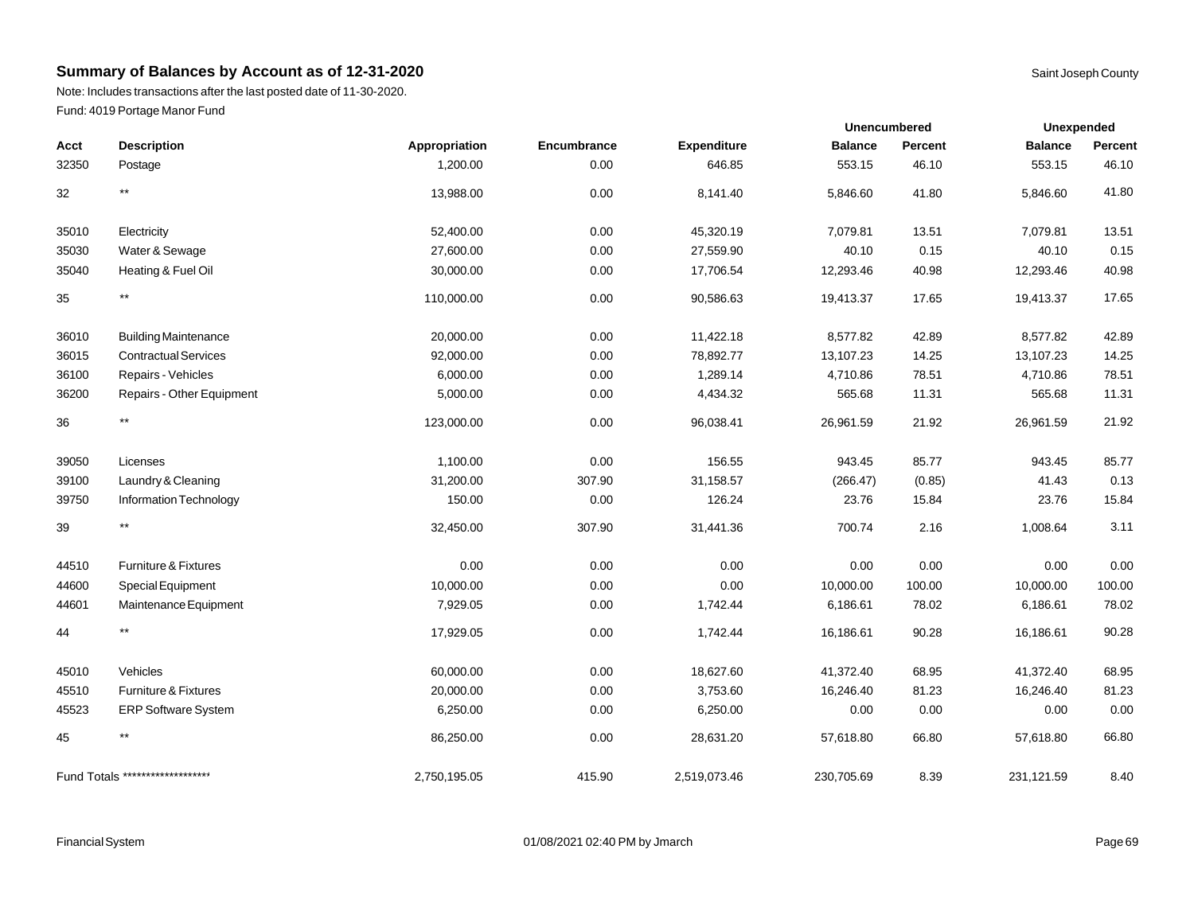Note: Includes transactions after the last posted date of 11-30-2020. Fund: 4019 Portage Manor Fund

| Acct  | <b>Description</b>               | Appropriation | Encumbrance | <b>Expenditure</b> | <b>Balance</b> | Percent | <b>Balance</b> | Percent |
|-------|----------------------------------|---------------|-------------|--------------------|----------------|---------|----------------|---------|
| 32350 | Postage                          | 1,200.00      | 0.00        | 646.85             | 553.15         | 46.10   | 553.15         | 46.10   |
| 32    | **                               | 13,988.00     | 0.00        | 8,141.40           | 5,846.60       | 41.80   | 5,846.60       | 41.80   |
| 35010 | Electricity                      | 52,400.00     | 0.00        | 45,320.19          | 7,079.81       | 13.51   | 7,079.81       | 13.51   |
| 35030 | Water & Sewage                   | 27,600.00     | 0.00        | 27,559.90          | 40.10          | 0.15    | 40.10          | 0.15    |
| 35040 | Heating & Fuel Oil               | 30,000.00     | 0.00        | 17,706.54          | 12,293.46      | 40.98   | 12,293.46      | 40.98   |
| 35    | $***$                            | 110,000.00    | 0.00        | 90,586.63          | 19,413.37      | 17.65   | 19,413.37      | 17.65   |
| 36010 | <b>Building Maintenance</b>      | 20,000.00     | 0.00        | 11,422.18          | 8,577.82       | 42.89   | 8,577.82       | 42.89   |
| 36015 | <b>Contractual Services</b>      | 92,000.00     | 0.00        | 78,892.77          | 13,107.23      | 14.25   | 13,107.23      | 14.25   |
| 36100 | Repairs - Vehicles               | 6,000.00      | 0.00        | 1,289.14           | 4,710.86       | 78.51   | 4,710.86       | 78.51   |
| 36200 | Repairs - Other Equipment        | 5,000.00      | 0.00        | 4,434.32           | 565.68         | 11.31   | 565.68         | 11.31   |
| 36    | $***$                            | 123,000.00    | 0.00        | 96,038.41          | 26,961.59      | 21.92   | 26,961.59      | 21.92   |
| 39050 | Licenses                         | 1,100.00      | 0.00        | 156.55             | 943.45         | 85.77   | 943.45         | 85.77   |
| 39100 | Laundry & Cleaning               | 31,200.00     | 307.90      | 31,158.57          | (266.47)       | (0.85)  | 41.43          | 0.13    |
| 39750 | Information Technology           | 150.00        | 0.00        | 126.24             | 23.76          | 15.84   | 23.76          | 15.84   |
| 39    | $***$                            | 32,450.00     | 307.90      | 31,441.36          | 700.74         | 2.16    | 1,008.64       | 3.11    |
| 44510 | Furniture & Fixtures             | 0.00          | 0.00        | 0.00               | 0.00           | 0.00    | 0.00           | 0.00    |
| 44600 | Special Equipment                | 10,000.00     | 0.00        | 0.00               | 10,000.00      | 100.00  | 10,000.00      | 100.00  |
| 44601 | Maintenance Equipment            | 7,929.05      | 0.00        | 1,742.44           | 6,186.61       | 78.02   | 6,186.61       | 78.02   |
| 44    | $***$                            | 17,929.05     | 0.00        | 1,742.44           | 16,186.61      | 90.28   | 16,186.61      | 90.28   |
| 45010 | Vehicles                         | 60,000.00     | 0.00        | 18,627.60          | 41,372.40      | 68.95   | 41,372.40      | 68.95   |
| 45510 | Furniture & Fixtures             | 20,000.00     | 0.00        | 3,753.60           | 16,246.40      | 81.23   | 16,246.40      | 81.23   |
| 45523 | ERP Software System              | 6,250.00      | 0.00        | 6,250.00           | 0.00           | 0.00    | 0.00           | 0.00    |
| 45    | $***$                            | 86,250.00     | 0.00        | 28,631.20          | 57,618.80      | 66.80   | 57,618.80      | 66.80   |
|       | Fund Totals ******************** | 2,750,195.05  | 415.90      | 2,519,073.46       | 230,705.69     | 8.39    | 231,121.59     | 8.40    |

**Unexpended**

**Unencumbered**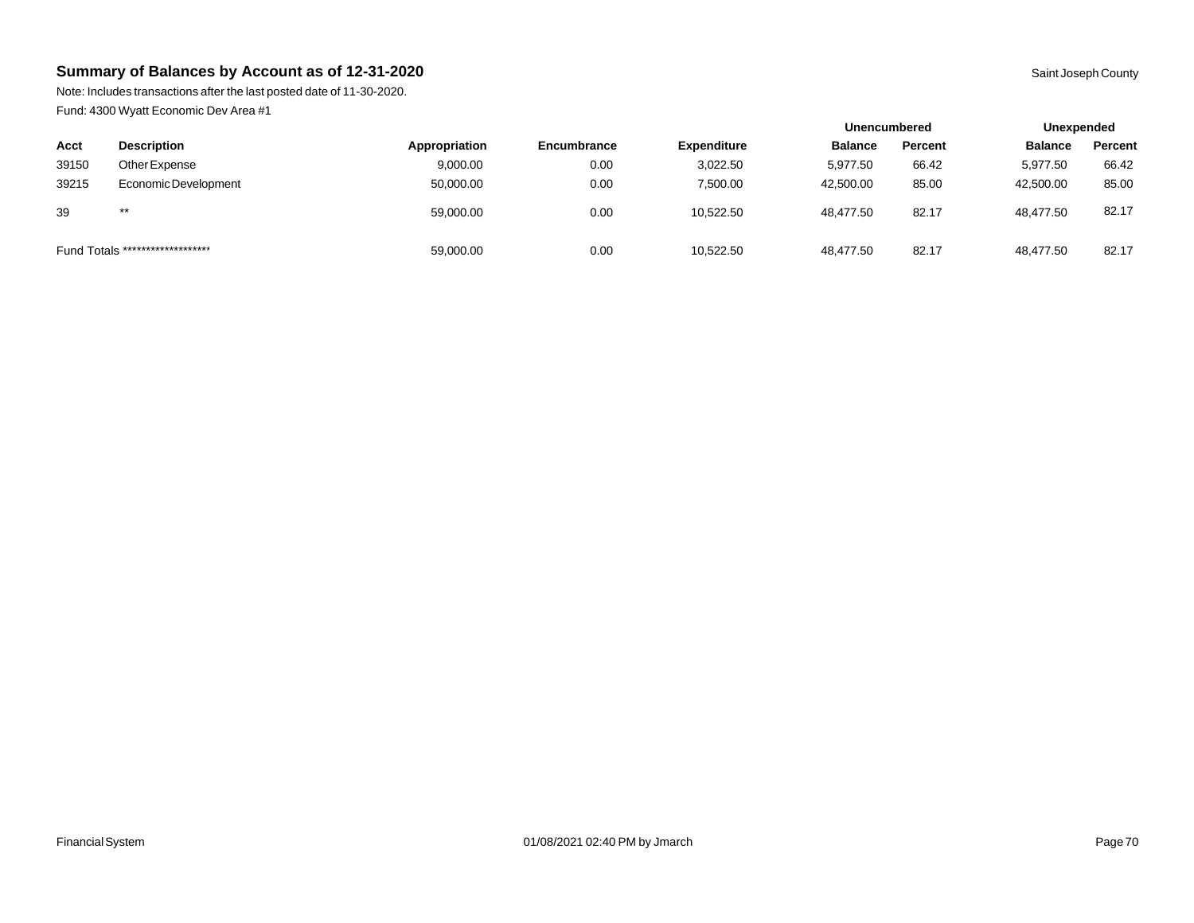Note: Includes transactions after the last posted date of 11-30-2020. Fund: 4300 Wyatt Economic Dev Area #1

|       |                                  |               |                    |                    | <b>Unencumbered</b> |         | Unexpended     |         |
|-------|----------------------------------|---------------|--------------------|--------------------|---------------------|---------|----------------|---------|
| Acct  | <b>Description</b>               | Appropriation | <b>Encumbrance</b> | <b>Expenditure</b> | <b>Balance</b>      | Percent | <b>Balance</b> | Percent |
| 39150 | Other Expense                    | 9,000.00      | 0.00               | 3,022.50           | 5.977.50            | 66.42   | 5,977.50       | 66.42   |
| 39215 | Economic Development             | 50,000.00     | 0.00               | 7.500.00           | 42,500.00           | 85.00   | 42,500.00      | 85.00   |
| 39    | $***$                            | 59,000.00     | 0.00               | 10,522.50          | 48,477.50           | 82.17   | 48,477.50      | 82.17   |
|       | Fund Totals ******************** | 59,000.00     | 0.00               | 10,522.50          | 48,477.50           | 82.17   | 48,477.50      | 82.17   |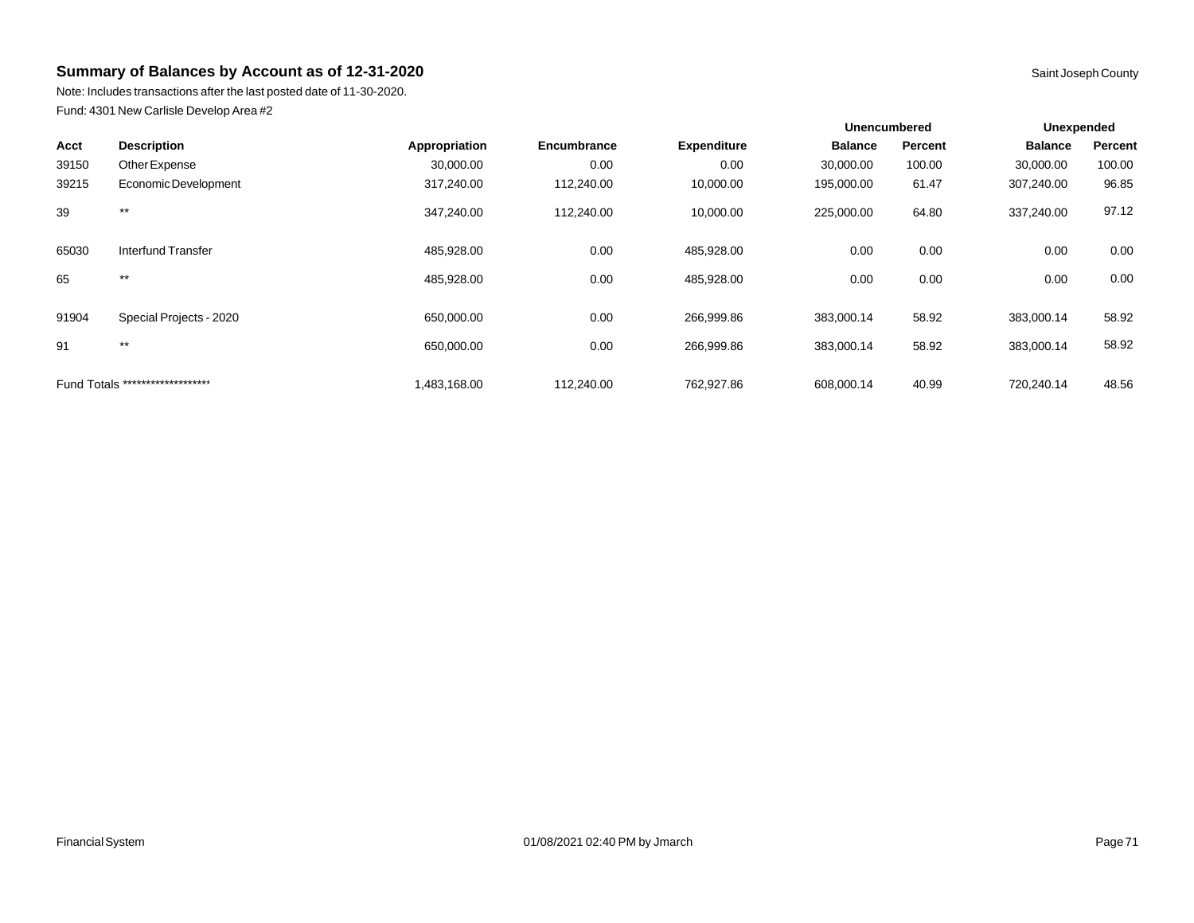Note: Includes transactions after the last posted date of 11-30-2020. Fund: 4301 New Carlisle Develop Area #2

| Saint Joseph G |
|----------------|
|                |

|       |                                  |               |             |                    | <b>Unencumbered</b> |         | Unexpended     |         |
|-------|----------------------------------|---------------|-------------|--------------------|---------------------|---------|----------------|---------|
| Acct  | <b>Description</b>               | Appropriation | Encumbrance | <b>Expenditure</b> | <b>Balance</b>      | Percent | <b>Balance</b> | Percent |
| 39150 | Other Expense                    | 30,000.00     | 0.00        | 0.00               | 30,000.00           | 100.00  | 30,000.00      | 100.00  |
| 39215 | Economic Development             | 317,240.00    | 112,240.00  | 10,000.00          | 195,000.00          | 61.47   | 307,240.00     | 96.85   |
| 39    | $***$                            | 347,240.00    | 112,240.00  | 10,000.00          | 225,000.00          | 64.80   | 337,240.00     | 97.12   |
| 65030 | Interfund Transfer               | 485,928.00    | 0.00        | 485,928.00         | 0.00                | 0.00    | 0.00           | 0.00    |
| 65    | $***$                            | 485,928.00    | 0.00        | 485,928.00         | 0.00                | 0.00    | 0.00           | 0.00    |
| 91904 | Special Projects - 2020          | 650,000.00    | 0.00        | 266,999.86         | 383,000.14          | 58.92   | 383,000.14     | 58.92   |
| 91    | $***$                            | 650,000.00    | 0.00        | 266,999.86         | 383,000.14          | 58.92   | 383,000.14     | 58.92   |
|       | Fund Totals ******************** | 1,483,168.00  | 112,240.00  | 762,927.86         | 608,000.14          | 40.99   | 720,240.14     | 48.56   |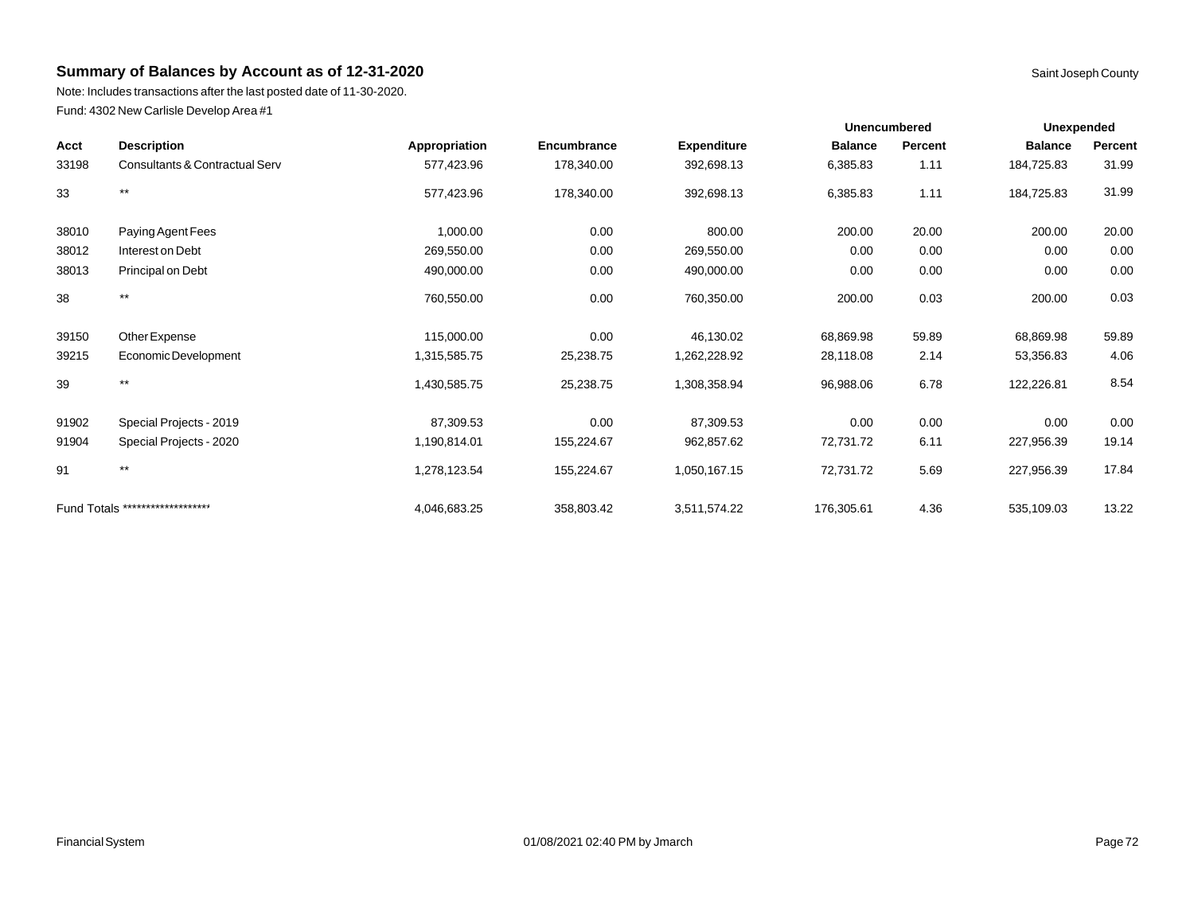Note: Includes transactions after the last posted date of 11-30-2020. Fund: 4302 New Carlisle Develop Area #1

| <b>Description</b><br>Acct |                                  | Appropriation | <b>Encumbrance</b> | <b>Expenditure</b> | <b>Unencumbered</b> |         | <b>Unexpended</b> |         |
|----------------------------|----------------------------------|---------------|--------------------|--------------------|---------------------|---------|-------------------|---------|
|                            |                                  |               |                    |                    | <b>Balance</b>      | Percent | <b>Balance</b>    | Percent |
| 33198                      | Consultants & Contractual Serv   | 577,423.96    | 178,340.00         | 392,698.13         | 6,385.83            | 1.11    | 184,725.83        | 31.99   |
| 33                         | $***$                            | 577,423.96    | 178,340.00         | 392,698.13         | 6,385.83            | 1.11    | 184,725.83        | 31.99   |
| 38010                      | Paying Agent Fees                | 1,000.00      | 0.00               | 800.00             | 200.00              | 20.00   | 200.00            | 20.00   |
| 38012                      | Interest on Debt                 | 269,550.00    | 0.00               | 269,550.00         | 0.00                | 0.00    | 0.00              | 0.00    |
| 38013                      | Principal on Debt                | 490,000.00    | 0.00               | 490,000.00         | 0.00                | 0.00    | 0.00              | 0.00    |
| 38                         | $^{\star\star}$                  | 760,550.00    | 0.00               | 760,350.00         | 200.00              | 0.03    | 200.00            | 0.03    |
| 39150                      | Other Expense                    | 115,000.00    | 0.00               | 46,130.02          | 68,869.98           | 59.89   | 68,869.98         | 59.89   |
| 39215                      | Economic Development             | 1,315,585.75  | 25,238.75          | 1,262,228.92       | 28,118.08           | 2.14    | 53,356.83         | 4.06    |
| 39                         | $***$                            | 1,430,585.75  | 25,238.75          | 1,308,358.94       | 96,988.06           | 6.78    | 122,226.81        | 8.54    |
| 91902                      | Special Projects - 2019          | 87,309.53     | 0.00               | 87,309.53          | 0.00                | 0.00    | 0.00              | 0.00    |
| 91904                      | Special Projects - 2020          | 1,190,814.01  | 155,224.67         | 962,857.62         | 72,731.72           | 6.11    | 227,956.39        | 19.14   |
| 91                         | $***$                            | 1,278,123.54  | 155,224.67         | 1,050,167.15       | 72,731.72           | 5.69    | 227,956.39        | 17.84   |
|                            | Fund Totals ******************** | 4,046,683.25  | 358,803.42         | 3,511,574.22       | 176,305.61          | 4.36    | 535,109.03        | 13.22   |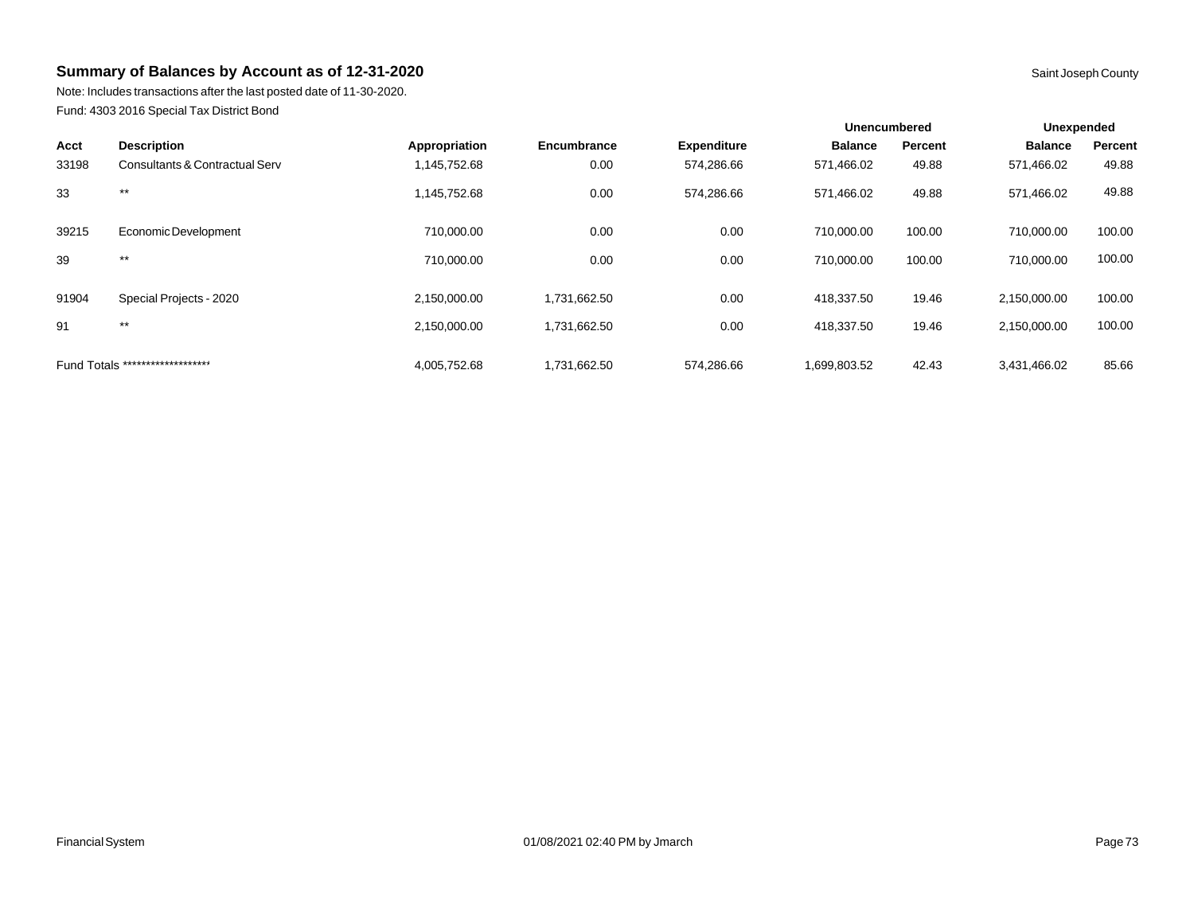Note: Includes transactions after the last posted date of 11-30-2020. Fund: 4303 2016 Special Tax District Bond

|       |                                  |               |              |                    | <b>Unencumbered</b> |         | Unexpended     |         |
|-------|----------------------------------|---------------|--------------|--------------------|---------------------|---------|----------------|---------|
| Acct  | <b>Description</b>               | Appropriation | Encumbrance  | <b>Expenditure</b> | <b>Balance</b>      | Percent | <b>Balance</b> | Percent |
| 33198 | Consultants & Contractual Serv   | 1,145,752.68  | 0.00         | 574,286.66         | 571,466.02          | 49.88   | 571,466.02     | 49.88   |
| 33    | $***$                            | 1,145,752.68  | 0.00         | 574,286.66         | 571,466.02          | 49.88   | 571,466.02     | 49.88   |
| 39215 | Economic Development             | 710,000.00    | 0.00         | 0.00               | 710,000.00          | 100.00  | 710,000.00     | 100.00  |
| 39    | $***$                            | 710.000.00    | 0.00         | 0.00               | 710.000.00          | 100.00  | 710,000.00     | 100.00  |
| 91904 | Special Projects - 2020          | 2,150,000.00  | 1,731,662.50 | 0.00               | 418,337.50          | 19.46   | 2,150,000.00   | 100.00  |
| 91    | $***$                            | 2,150,000.00  | 1,731,662.50 | 0.00               | 418,337.50          | 19.46   | 2,150,000.00   | 100.00  |
|       | Fund Totals ******************** | 4,005,752.68  | 1,731,662.50 | 574,286.66         | 1,699,803.52        | 42.43   | 3,431,466.02   | 85.66   |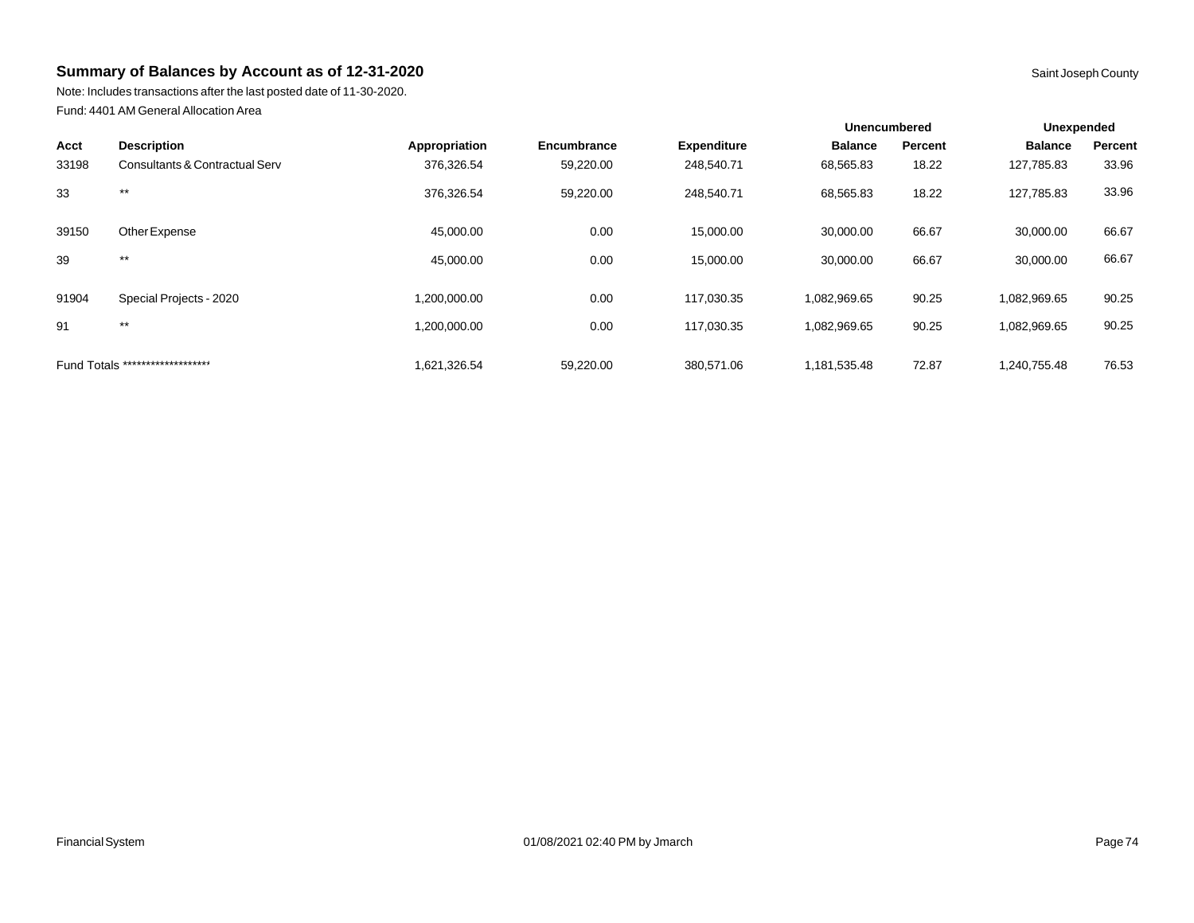Note: Includes transactions after the last posted date of 11-30-2020. Fund: 4401 AM General Allocation Area

|       |                                  |               |             |                    | <b>Unencumbered</b> |         | Unexpended     |         |
|-------|----------------------------------|---------------|-------------|--------------------|---------------------|---------|----------------|---------|
| Acct  | <b>Description</b>               | Appropriation | Encumbrance | <b>Expenditure</b> | <b>Balance</b>      | Percent | <b>Balance</b> | Percent |
| 33198 | Consultants & Contractual Serv   | 376,326.54    | 59,220.00   | 248,540.71         | 68,565.83           | 18.22   | 127,785.83     | 33.96   |
| 33    | $***$                            | 376,326.54    | 59,220.00   | 248,540.71         | 68,565.83           | 18.22   | 127,785.83     | 33.96   |
| 39150 | Other Expense                    | 45,000.00     | 0.00        | 15,000.00          | 30,000.00           | 66.67   | 30,000.00      | 66.67   |
| 39    | $***$                            | 45,000.00     | 0.00        | 15,000.00          | 30,000.00           | 66.67   | 30,000.00      | 66.67   |
| 91904 | Special Projects - 2020          | 1,200,000.00  | 0.00        | 117,030.35         | 1,082,969.65        | 90.25   | 1,082,969.65   | 90.25   |
| 91    | $***$                            | 1,200,000.00  | 0.00        | 117,030.35         | 1,082,969.65        | 90.25   | 1,082,969.65   | 90.25   |
|       | Fund Totals ******************** | 1.621.326.54  | 59,220.00   | 380.571.06         | 1.181.535.48        | 72.87   | 1.240.755.48   | 76.53   |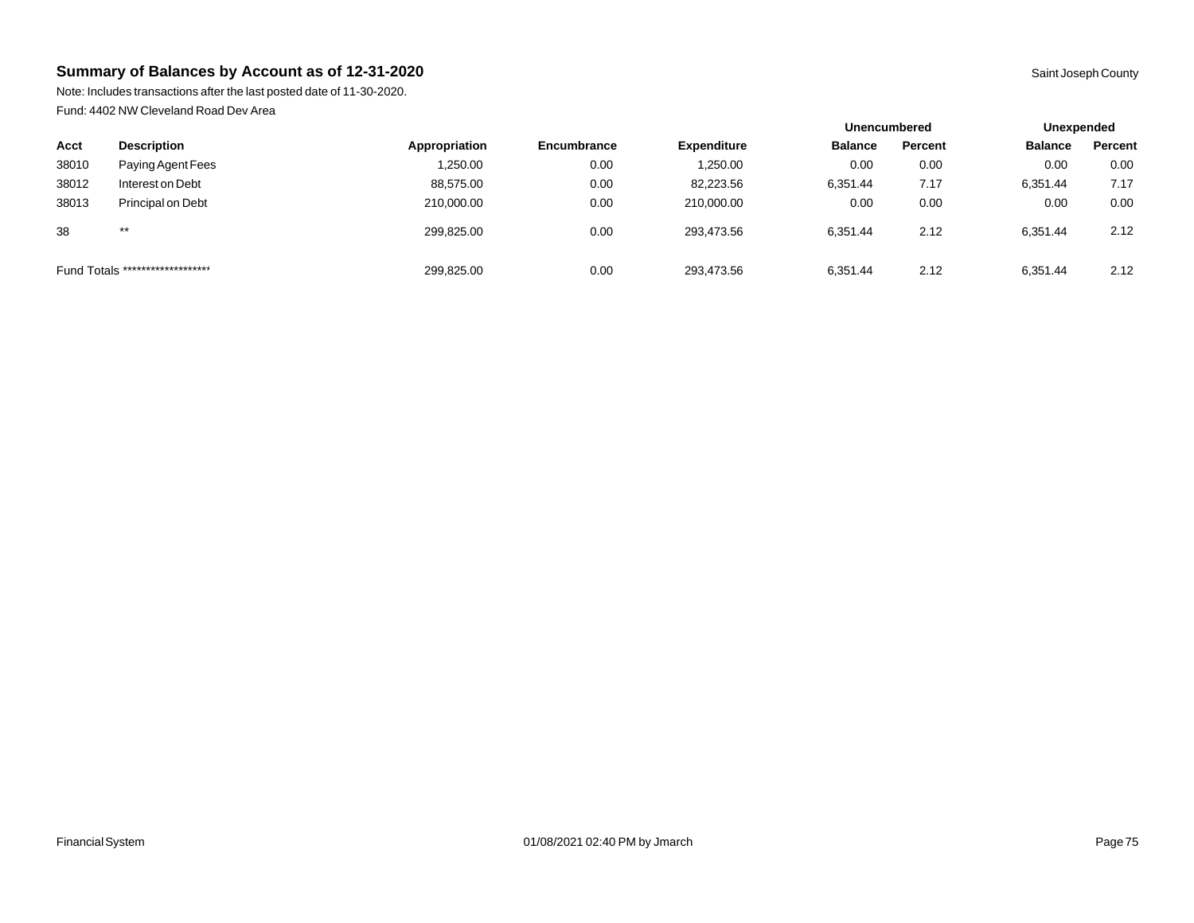Note: Includes transactions after the last posted date of 11-30-2020. Fund: 4402 NW Cleveland Road Dev Area

|       |                                  |               |                    | <b>Unencumbered</b> |                | Unexpended |                |         |
|-------|----------------------------------|---------------|--------------------|---------------------|----------------|------------|----------------|---------|
| Acct  | <b>Description</b>               | Appropriation | <b>Encumbrance</b> | <b>Expenditure</b>  | <b>Balance</b> | Percent    | <b>Balance</b> | Percent |
| 38010 | Paying Agent Fees                | 250.00.       | 0.00               | 1.250.00            | 0.00           | 0.00       | 0.00           | 0.00    |
| 38012 | Interest on Debt                 | 88,575.00     | 0.00               | 82,223.56           | 6,351.44       | 7.17       | 6,351.44       | 7.17    |
| 38013 | Principal on Debt                | 210,000.00    | 0.00               | 210,000.00          | 0.00           | 0.00       | 0.00           | 0.00    |
| 38    | $***$                            | 299.825.00    | 0.00               | 293.473.56          | 6.351.44       | 2.12       | 6.351.44       | 2.12    |
|       | Fund Totals ******************** | 299,825.00    | 0.00               | 293,473.56          | 6,351.44       | 2.12       | 6,351.44       | 2.12    |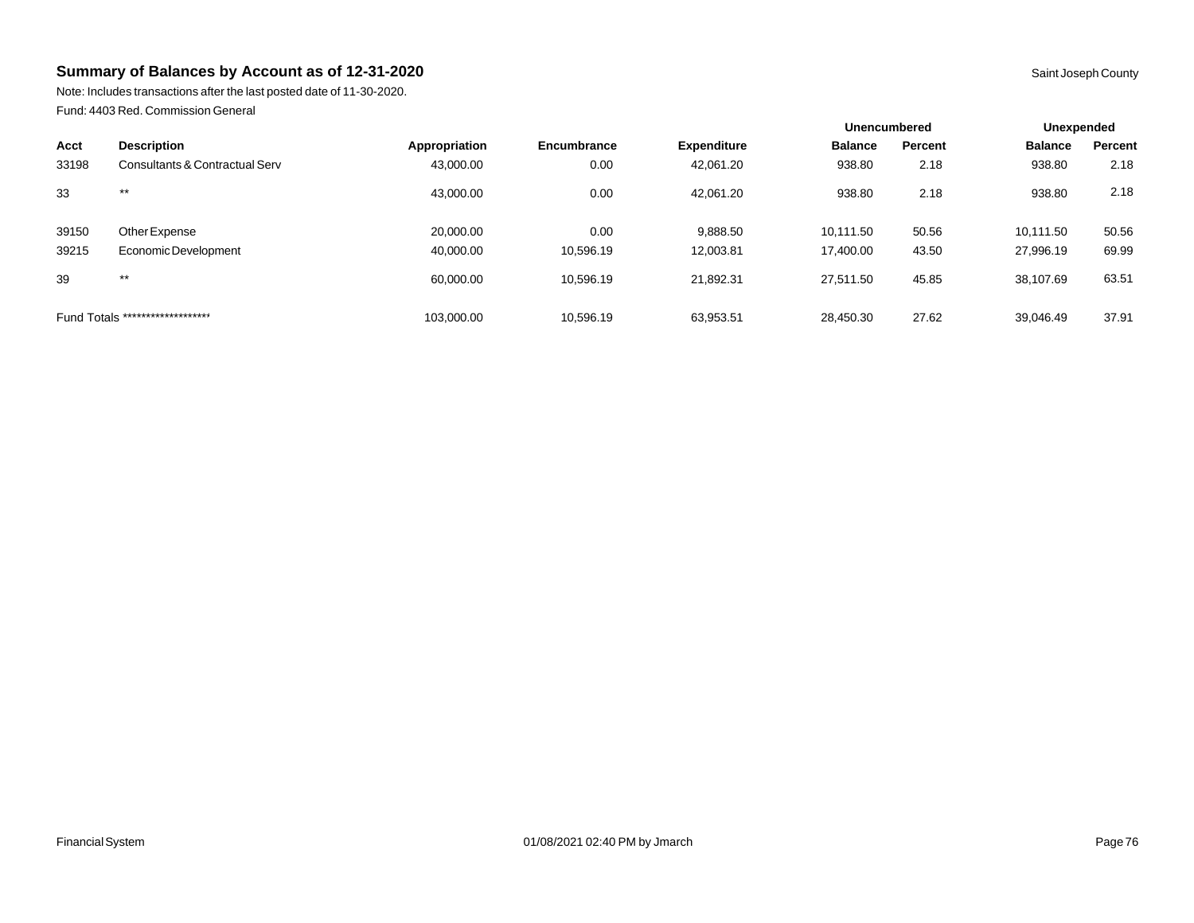Note: Includes transactions after the last posted date of 11-30-2020. Fund: 4403 Red. Commission General

|       |                                  |               |                    |                    | Unencumbered   |         | Unexpended     |         |
|-------|----------------------------------|---------------|--------------------|--------------------|----------------|---------|----------------|---------|
| Acct  | <b>Description</b>               | Appropriation | <b>Encumbrance</b> | <b>Expenditure</b> | <b>Balance</b> | Percent | <b>Balance</b> | Percent |
| 33198 | Consultants & Contractual Serv   | 43,000.00     | 0.00               | 42,061.20          | 938.80         | 2.18    | 938.80         | 2.18    |
| 33    | $***$                            | 43,000.00     | 0.00               | 42,061.20          | 938.80         | 2.18    | 938.80         | 2.18    |
| 39150 | Other Expense                    | 20,000.00     | 0.00               | 9,888.50           | 10,111.50      | 50.56   | 10,111.50      | 50.56   |
| 39215 | Economic Development             | 40.000.00     | 10.596.19          | 12,003.81          | 17.400.00      | 43.50   | 27,996.19      | 69.99   |
| 39    | $***$                            | 60.000.00     | 10.596.19          | 21,892.31          | 27.511.50      | 45.85   | 38,107.69      | 63.51   |
|       | Fund Totals ******************** | 103,000.00    | 10,596.19          | 63,953.51          | 28,450.30      | 27.62   | 39,046.49      | 37.91   |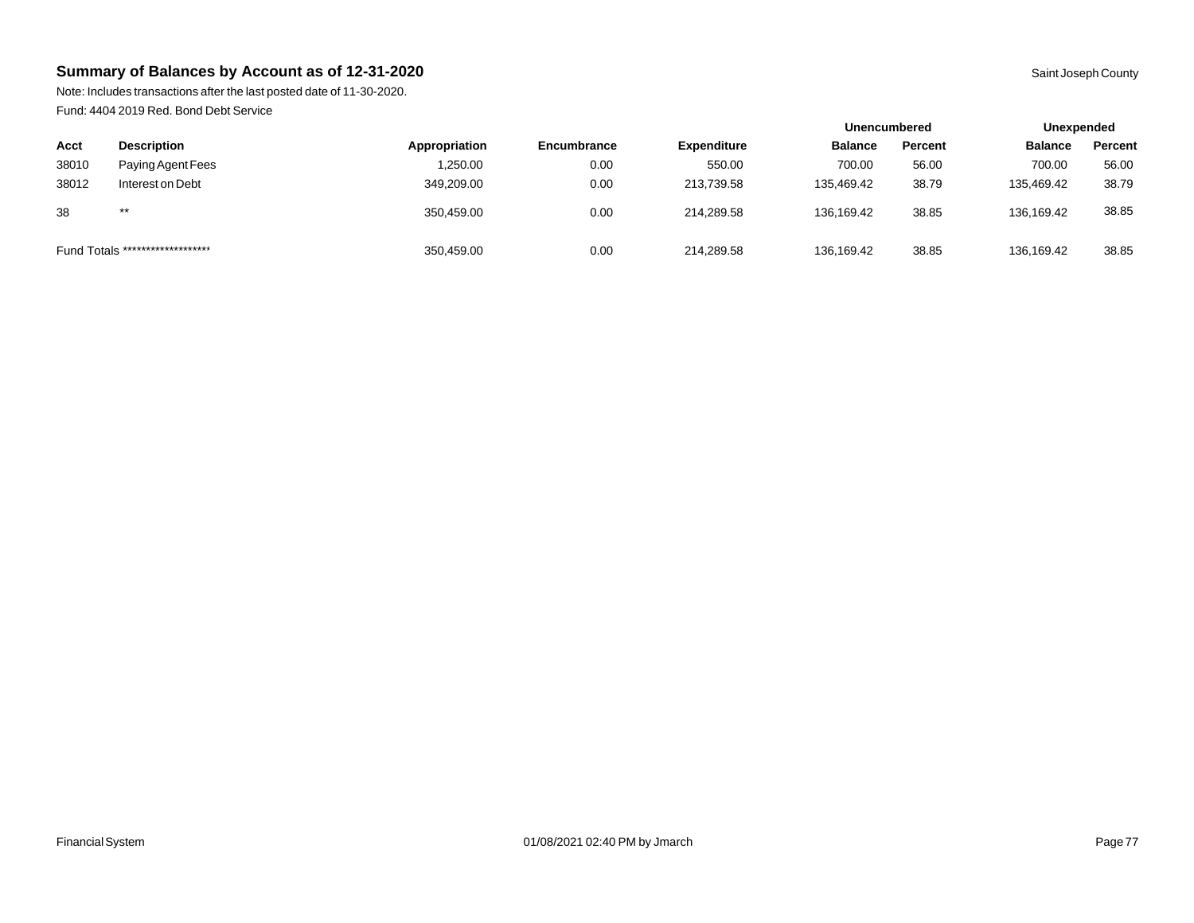Note: Includes transactions after the last posted date of 11-30-2020. Fund: 4404 2019 Red. Bond Debt Service

|                                  |                    |               |                    |                    | <b>Unencumbered</b> |         | Unexpended     |         |
|----------------------------------|--------------------|---------------|--------------------|--------------------|---------------------|---------|----------------|---------|
| Acct                             | <b>Description</b> | Appropriation | <b>Encumbrance</b> | <b>Expenditure</b> | <b>Balance</b>      | Percent | <b>Balance</b> | Percent |
| 38010                            | Paying Agent Fees  | ,250.00       | 0.00               | 550.00             | 700.00              | 56.00   | 700.00         | 56.00   |
| 38012                            | Interest on Debt   | 349,209.00    | 0.00               | 213.739.58         | 135,469.42          | 38.79   | 135,469.42     | 38.79   |
| 38                               | $***$              | 350.459.00    | 0.00               | 214.289.58         | 136,169.42          | 38.85   | 136,169.42     | 38.85   |
| Fund Totals ******************** |                    | 350,459.00    | 0.00               | 214,289.58         | 136,169.42          | 38.85   | 136,169.42     | 38.85   |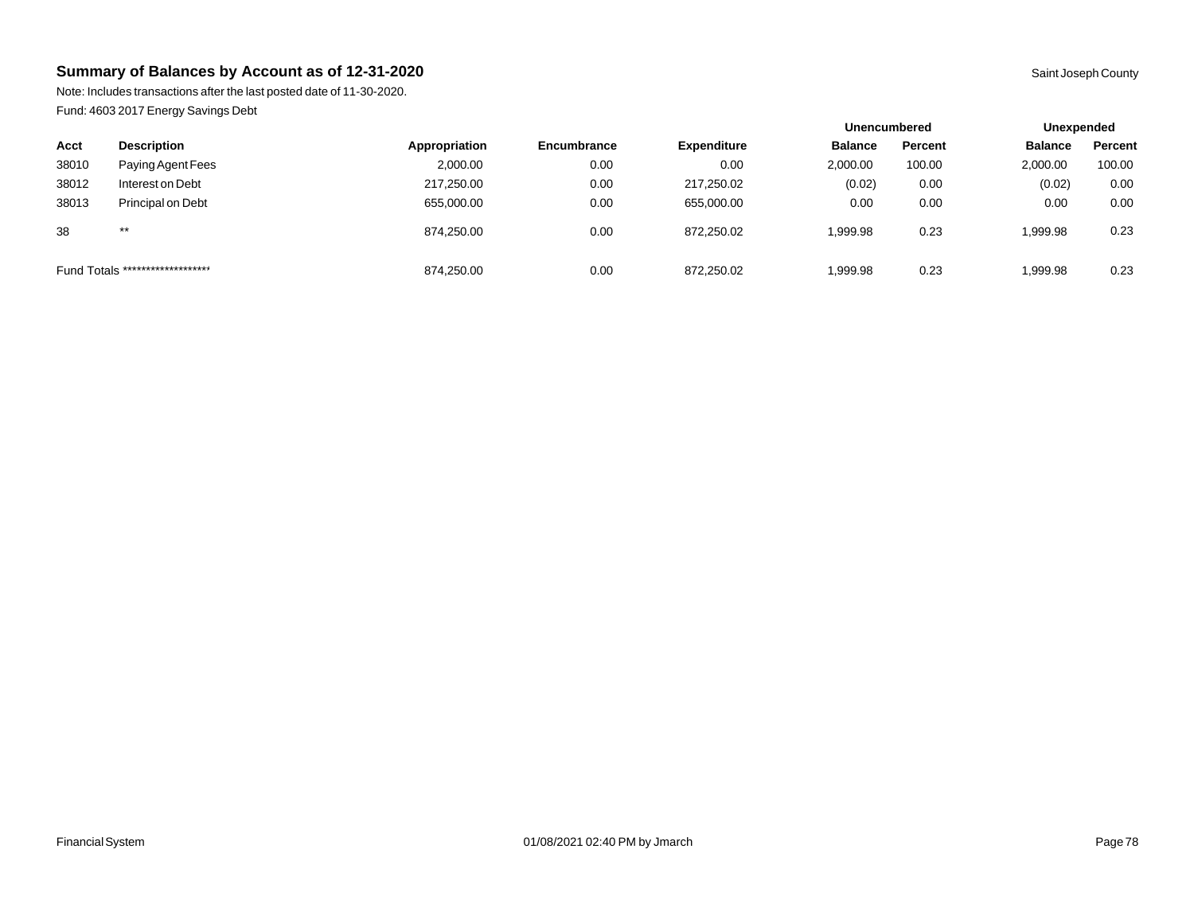Note: Includes transactions after the last posted date of 11-30-2020. Fund: 4603 2017 Energy Savings Debt

|       |                                  |               |                    |                    | <b>Unencumbered</b> |         | Unexpended     |         |
|-------|----------------------------------|---------------|--------------------|--------------------|---------------------|---------|----------------|---------|
| Acct  | <b>Description</b>               | Appropriation | <b>Encumbrance</b> | <b>Expenditure</b> | <b>Balance</b>      | Percent | <b>Balance</b> | Percent |
| 38010 | Paying Agent Fees                | 2,000.00      | 0.00               | 0.00               | 2,000.00            | 100.00  | 2,000.00       | 100.00  |
| 38012 | Interest on Debt                 | 217,250.00    | 0.00               | 217,250.02         | (0.02)              | 0.00    | (0.02)         | 0.00    |
| 38013 | Principal on Debt                | 655,000.00    | 0.00               | 655,000.00         | 0.00                | 0.00    | 0.00           | 0.00    |
| 38    | $***$                            | 874.250.00    | 0.00               | 872.250.02         | 1.999.98            | 0.23    | 999.98         | 0.23    |
|       | Fund Totals ******************** | 874,250.00    | 0.00               | 872.250.02         | 1,999.98            | 0.23    | 99.98.98       | 0.23    |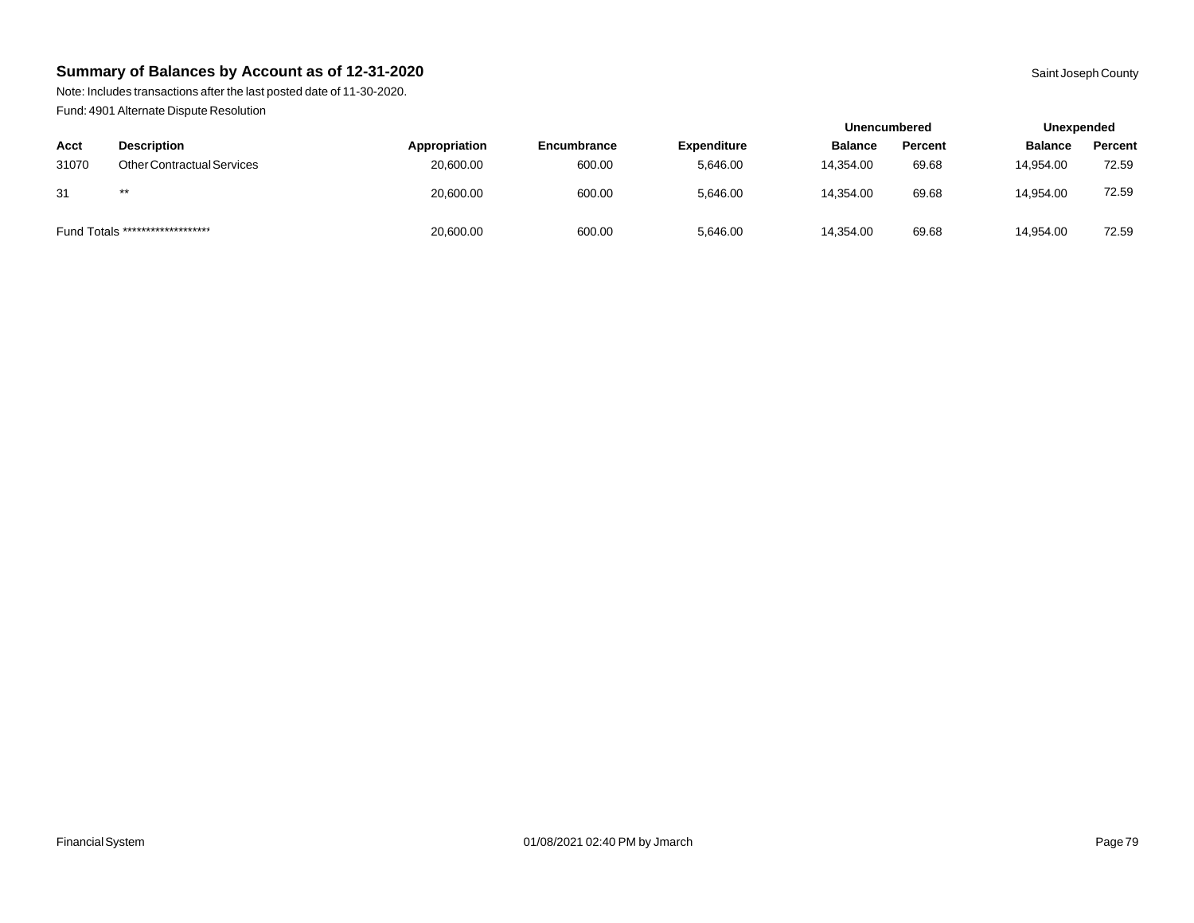Note: Includes transactions after the last posted date of 11-30-2020. Fund: 4901 Alternate Dispute Resolution

|       |                                  |               |                    |                    | <b>Unencumbered</b> |         | Unexpended     |         |
|-------|----------------------------------|---------------|--------------------|--------------------|---------------------|---------|----------------|---------|
| Acct  | <b>Description</b>               | Appropriation | <b>Encumbrance</b> | <b>Expenditure</b> | <b>Balance</b>      | Percent | <b>Balance</b> | Percent |
| 31070 | Other Contractual Services       | 20,600.00     | 600.00             | 5,646.00           | 14.354.00           | 69.68   | 14.954.00      | 72.59   |
| 31    | $***$                            | 20,600.00     | 600.00             | 5,646.00           | 14.354.00           | 69.68   | 14.954.00      | 72.59   |
|       | Fund Totals ******************** | 20,600.00     | 600.00             | 5,646.00           | 14.354.00           | 69.68   | 14,954.00      | 72.59   |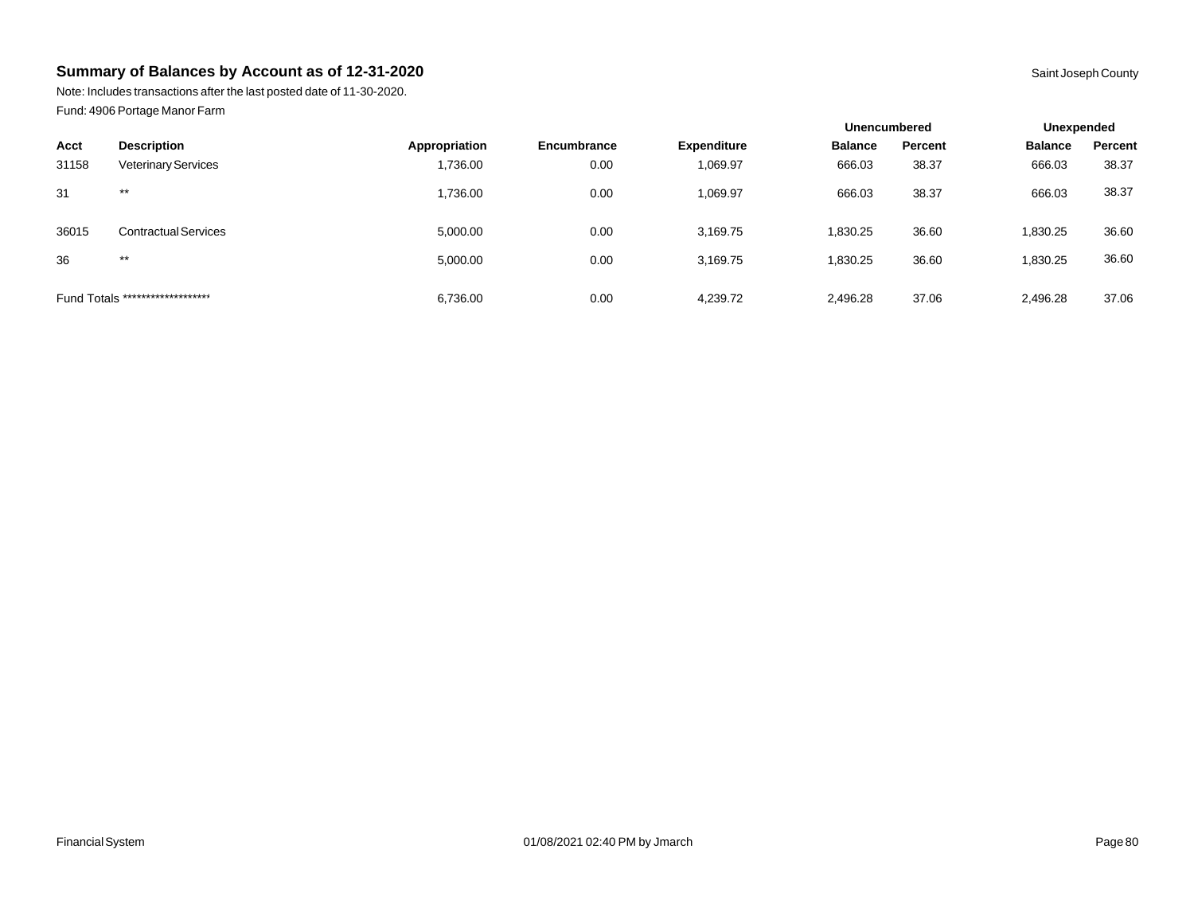Note: Includes transactions after the last posted date of 11-30-2020. Fund: 4906 Portage Manor Farm

|       |                                  |               |             |                    | <b>Unencumbered</b> |         | Unexpended     |         |
|-------|----------------------------------|---------------|-------------|--------------------|---------------------|---------|----------------|---------|
| Acct  | <b>Description</b>               | Appropriation | Encumbrance | <b>Expenditure</b> | <b>Balance</b>      | Percent | <b>Balance</b> | Percent |
| 31158 | <b>Veterinary Services</b>       | 1,736.00      | 0.00        | 1,069.97           | 666.03              | 38.37   | 666.03         | 38.37   |
| 31    | $***$                            | 1,736.00      | 0.00        | 1,069.97           | 666.03              | 38.37   | 666.03         | 38.37   |
| 36015 | <b>Contractual Services</b>      | 5,000.00      | 0.00        | 3,169.75           | 1,830.25            | 36.60   | 830.25         | 36.60   |
| 36    | $***$                            | 5,000.00      | 0.00        | 3,169.75           | 1.830.25            | 36.60   | 830.25         | 36.60   |
|       | Fund Totals ******************** | 6,736.00      | 0.00        | 4,239.72           | 2,496.28            | 37.06   | 2,496.28       | 37.06   |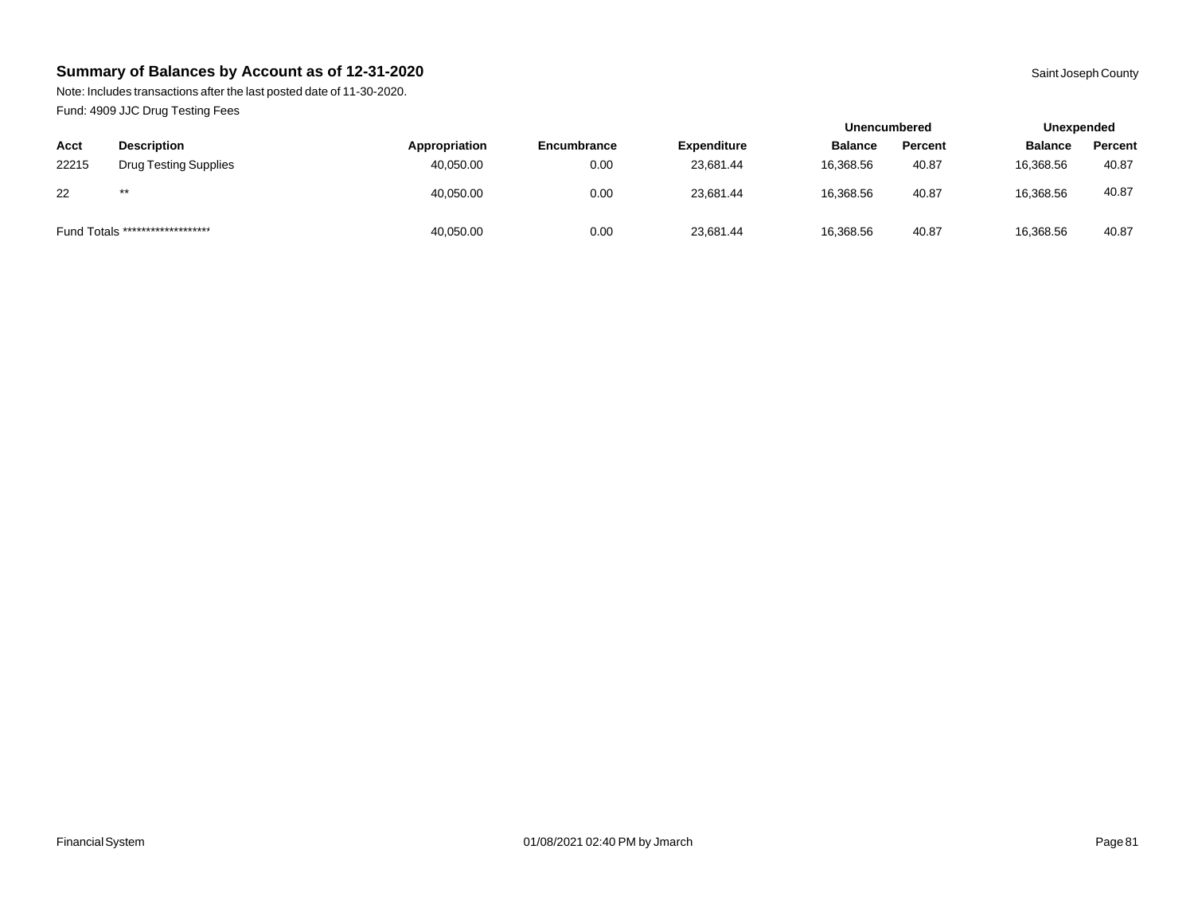Note: Includes transactions after the last posted date of 11-30-2020. Fund: 4909 JJC Drug Testing Fees

| . .   |                                  |               |             |                    | <b>Unencumbered</b> |         | Unexpended     |         |
|-------|----------------------------------|---------------|-------------|--------------------|---------------------|---------|----------------|---------|
| Acct  | <b>Description</b>               | Appropriation | Encumbrance | <b>Expenditure</b> | <b>Balance</b>      | Percent | <b>Balance</b> | Percent |
| 22215 | <b>Drug Testing Supplies</b>     | 40,050.00     | 0.00        | 23.681.44          | 16.368.56           | 40.87   | 16,368.56      | 40.87   |
| 22    | $***$                            | 40,050.00     | 0.00        | 23.681.44          | 16,368.56           | 40.87   | 16,368.56      | 40.87   |
|       | Fund Totals ******************** | 40,050.00     | 0.00        | 23,681.44          | 16,368.56           | 40.87   | 16,368.56      | 40.87   |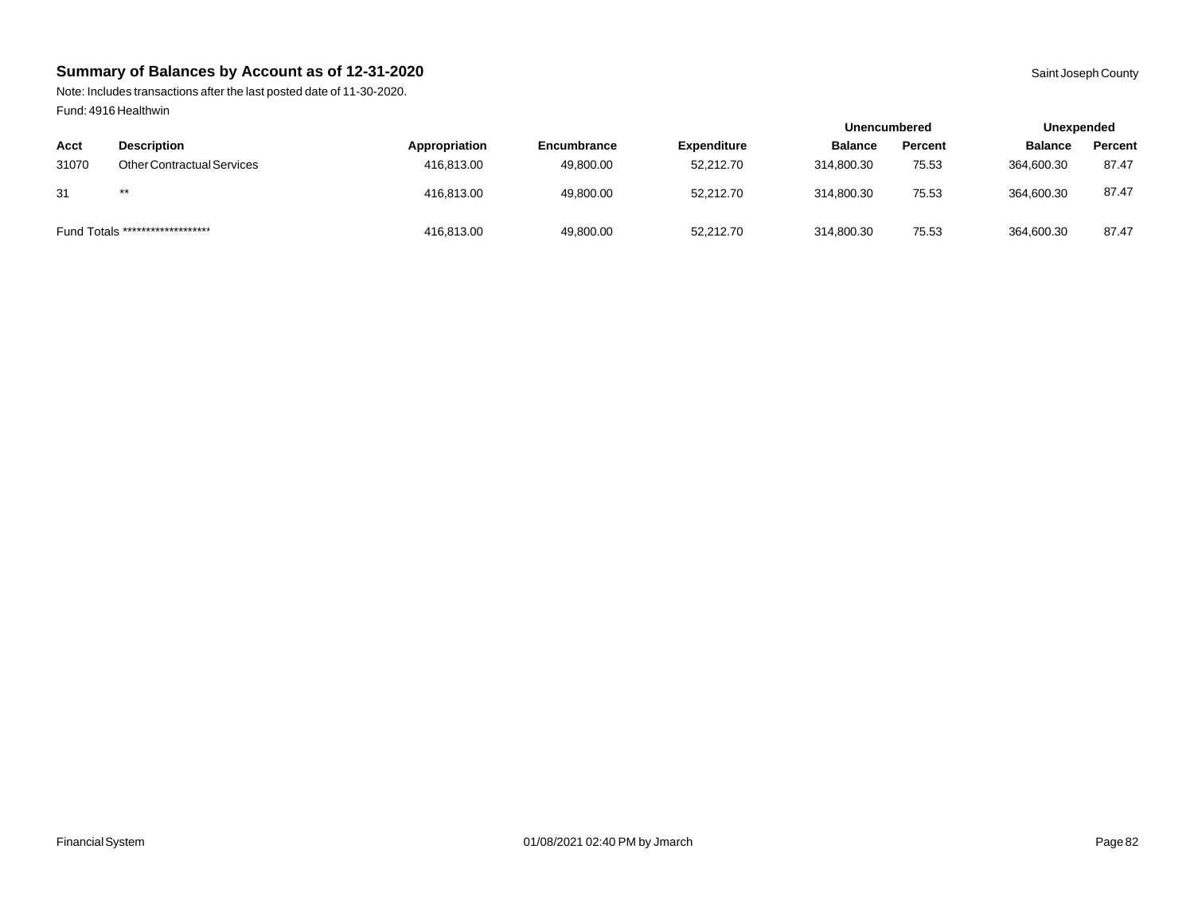Note: Includes transactions after the last posted date of 11-30-2020. Fund: 4916 Healthwin

|                                  |                                   |               |             |                    | Unencumbered   |         | Unexpended     |         |
|----------------------------------|-----------------------------------|---------------|-------------|--------------------|----------------|---------|----------------|---------|
| Acct                             | <b>Description</b>                | Appropriation | Encumbrance | <b>Expenditure</b> | <b>Balance</b> | Percent | <b>Balance</b> | Percent |
| 31070                            | <b>Other Contractual Services</b> | 416.813.00    | 49.800.00   | 52,212.70          | 314.800.30     | 75.53   | 364.600.30     | 87.47   |
| 31                               | $***$                             | 416.813.00    | 49,800.00   | 52.212.70          | 314,800.30     | 75.53   | 364,600.30     | 87.47   |
| Fund Totals ******************** |                                   | 416,813.00    | 49,800.00   | 52,212.70          | 314,800.30     | 75.53   | 364,600.30     | 87.47   |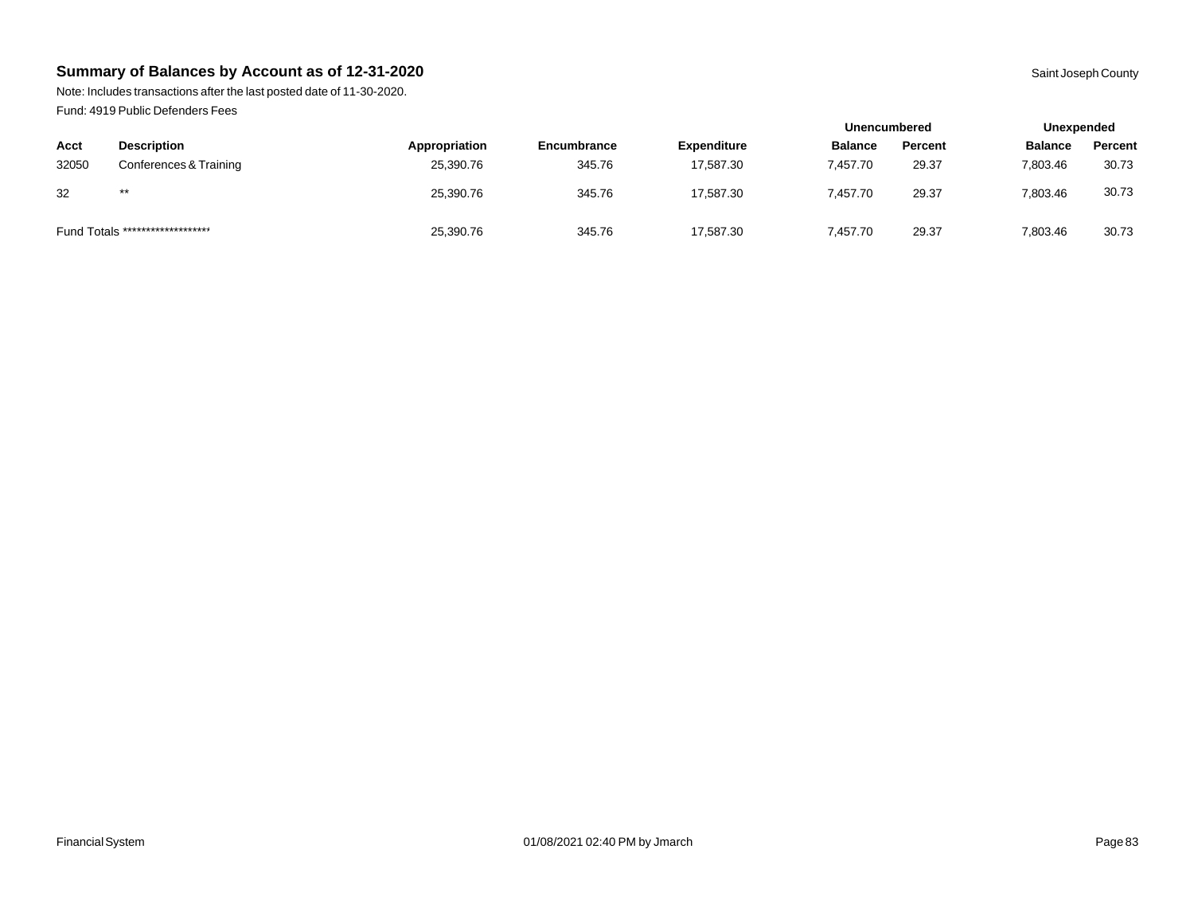Note: Includes transactions after the last posted date of 11-30-2020. Fund: 4919 Public Defenders Fees

|       |                                  |               |             |                    | <b>Unencumbered</b> |         |                | Unexpended |  |
|-------|----------------------------------|---------------|-------------|--------------------|---------------------|---------|----------------|------------|--|
| Acct  | <b>Description</b>               | Appropriation | Encumbrance | <b>Expenditure</b> | <b>Balance</b>      | Percent | <b>Balance</b> | Percent    |  |
| 32050 | Conferences & Training           | 25,390.76     | 345.76      | 17,587.30          | 7.457.70            | 29.37   | 7.803.46       | 30.73      |  |
| 32    | $***$                            | 25.390.76     | 345.76      | 17.587.30          | 7.457.70            | 29.37   | 7.803.46       | 30.73      |  |
|       | Fund Totals ******************** | 25,390.76     | 345.76      | 17,587.30          | 7.457.70            | 29.37   | 7,803.46       | 30.73      |  |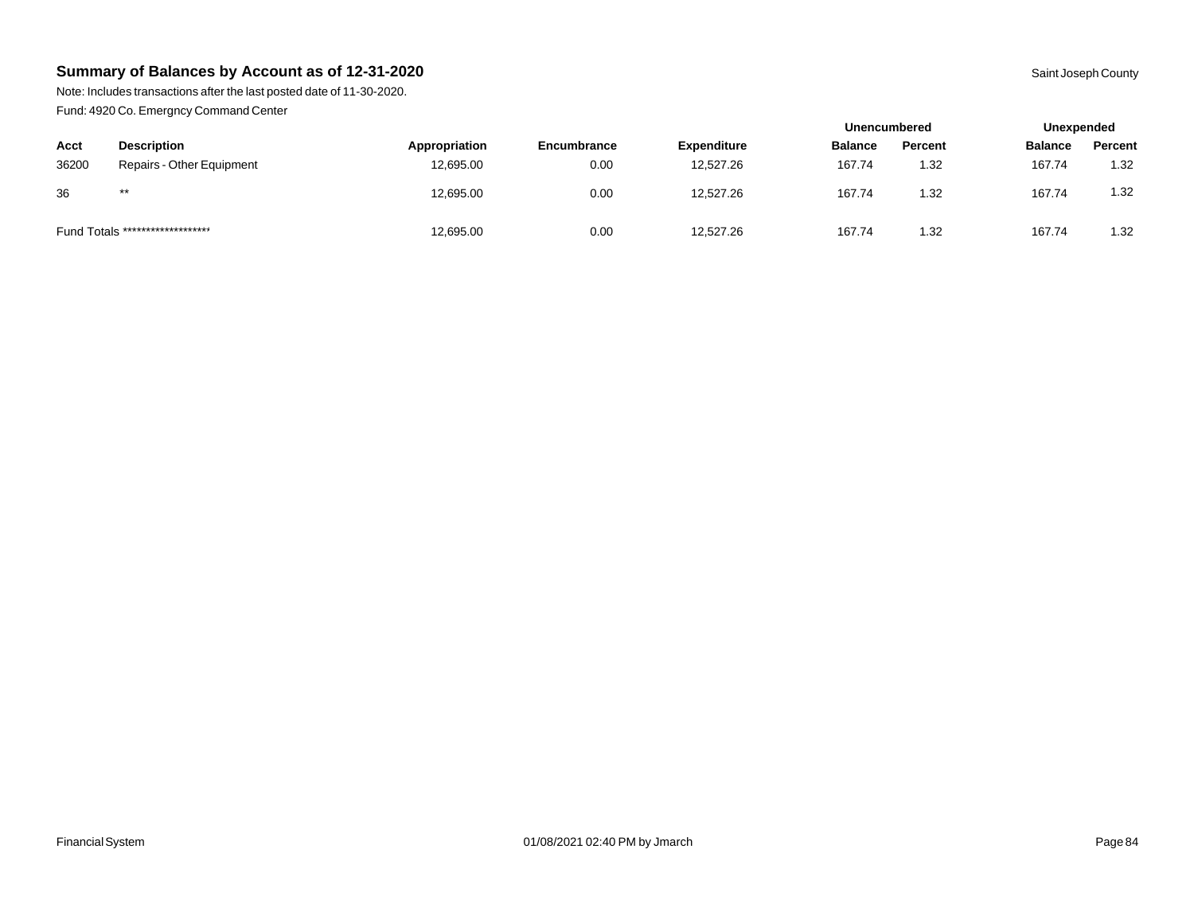Note: Includes transactions after the last posted date of 11-30-2020. Fund: 4920 Co. Emergncy Command Center

| - -   |                                  |               |                    |                    |                | <b>Unencumbered</b> |                | Unexpended |
|-------|----------------------------------|---------------|--------------------|--------------------|----------------|---------------------|----------------|------------|
| Acct  | <b>Description</b>               | Appropriation | <b>Encumbrance</b> | <b>Expenditure</b> | <b>Balance</b> | Percent             | <b>Balance</b> | Percent    |
| 36200 | Repairs - Other Equipment        | 12,695.00     | 0.00               | 12,527.26          | 167.74         | 1.32                | 167.74         | 1.32       |
| 36    | $***$                            | 12,695.00     | 0.00               | 12,527.26          | 167.74         | 1.32                | 167.74         | 1.32       |
|       | Fund Totals ******************** | 12,695.00     | 0.00               | 12,527.26          | 167.74         | 1.32                | 167.74         | 1.32       |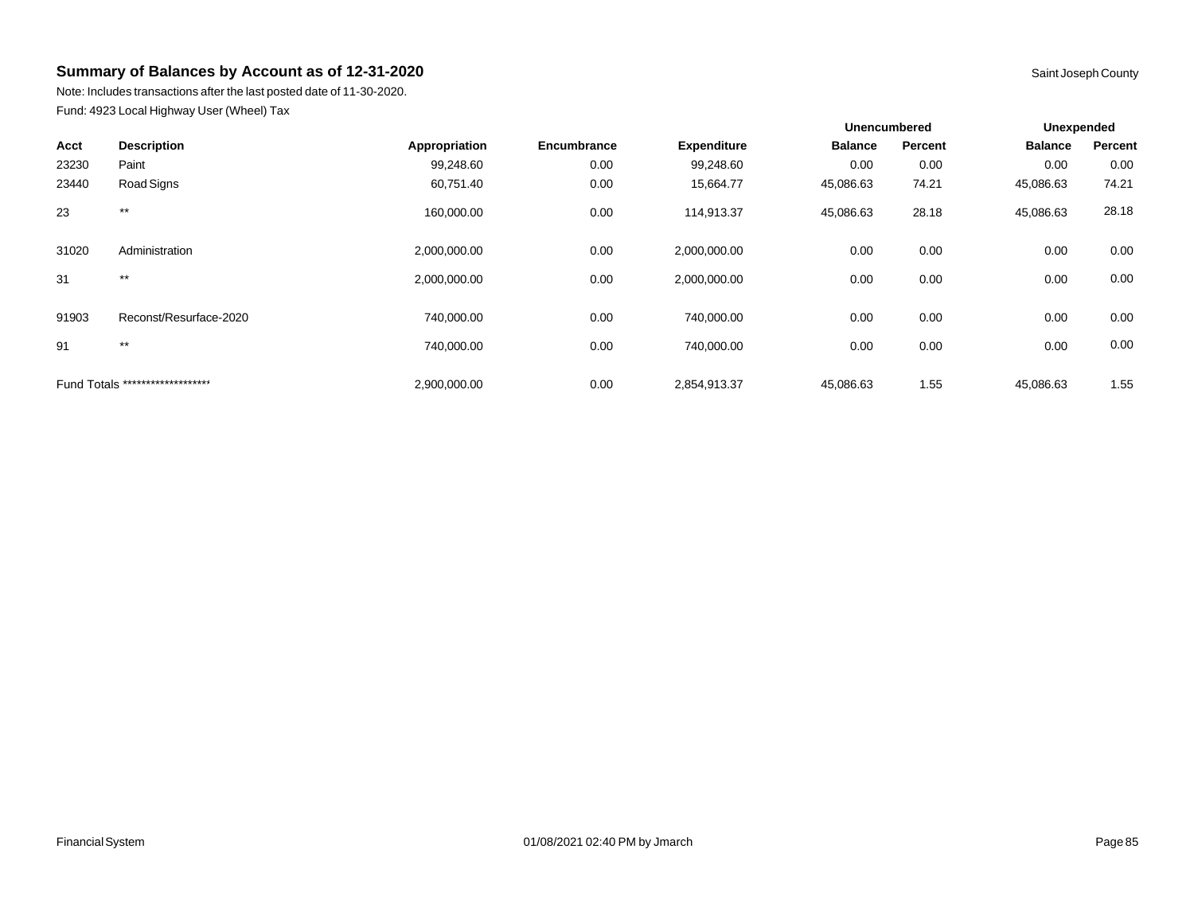Note: Includes transactions after the last posted date of 11-30-2020. Fund: 4923 Local Highway User (Wheel) Tax

|       |                                  |               |             |                    |                | <b>Unencumbered</b> |                | Unexpended |
|-------|----------------------------------|---------------|-------------|--------------------|----------------|---------------------|----------------|------------|
| Acct  | <b>Description</b>               | Appropriation | Encumbrance | <b>Expenditure</b> | <b>Balance</b> | Percent             | <b>Balance</b> | Percent    |
| 23230 | Paint                            | 99,248.60     | 0.00        | 99,248.60          | 0.00           | 0.00                | 0.00           | 0.00       |
| 23440 | Road Signs                       | 60,751.40     | 0.00        | 15,664.77          | 45,086.63      | 74.21               | 45,086.63      | 74.21      |
| 23    | $***$                            | 160,000.00    | 0.00        | 114,913.37         | 45,086.63      | 28.18               | 45,086.63      | 28.18      |
| 31020 | Administration                   | 2,000,000.00  | 0.00        | 2,000,000.00       | 0.00           | 0.00                | 0.00           | 0.00       |
| 31    | $***$                            | 2,000,000.00  | 0.00        | 2,000,000.00       | 0.00           | 0.00                | 0.00           | 0.00       |
| 91903 | Reconst/Resurface-2020           | 740,000.00    | 0.00        | 740,000.00         | 0.00           | 0.00                | 0.00           | 0.00       |
| 91    | $***$                            | 740,000.00    | 0.00        | 740,000.00         | 0.00           | 0.00                | 0.00           | 0.00       |
|       | Fund Totals ******************** | 2,900,000.00  | 0.00        | 2,854,913.37       | 45,086.63      | 1.55                | 45,086.63      | 1.55       |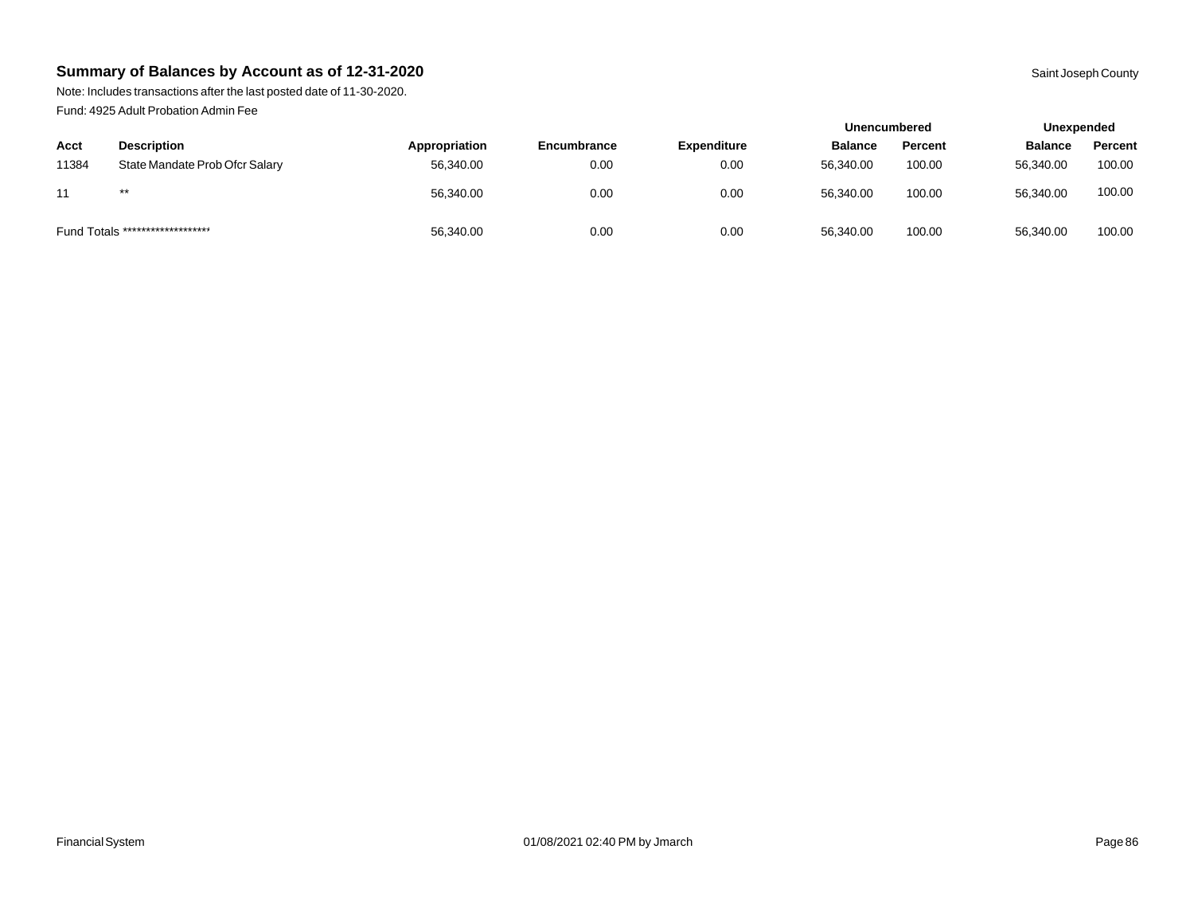Note: Includes transactions after the last posted date of 11-30-2020. Fund: 4925 Adult Probation Admin Fee

|       |                                  |               |                    |                    | <b>Unencumbered</b> |         | Unexpended     |         |
|-------|----------------------------------|---------------|--------------------|--------------------|---------------------|---------|----------------|---------|
| Acct  | <b>Description</b>               | Appropriation | <b>Encumbrance</b> | <b>Expenditure</b> | <b>Balance</b>      | Percent | <b>Balance</b> | Percent |
| 11384 | State Mandate Prob Ofcr Salary   | 56,340.00     | 0.00               | 0.00               | 56.340.00           | 100.00  | 56,340.00      | 100.00  |
| 11    | $***$                            | 56,340.00     | 0.00               | 0.00               | 56,340.00           | 100.00  | 56,340.00      | 100.00  |
|       | Fund Totals ******************** | 56,340.00     | 0.00               | 0.00               | 56,340.00           | 100.00  | 56,340.00      | 100.00  |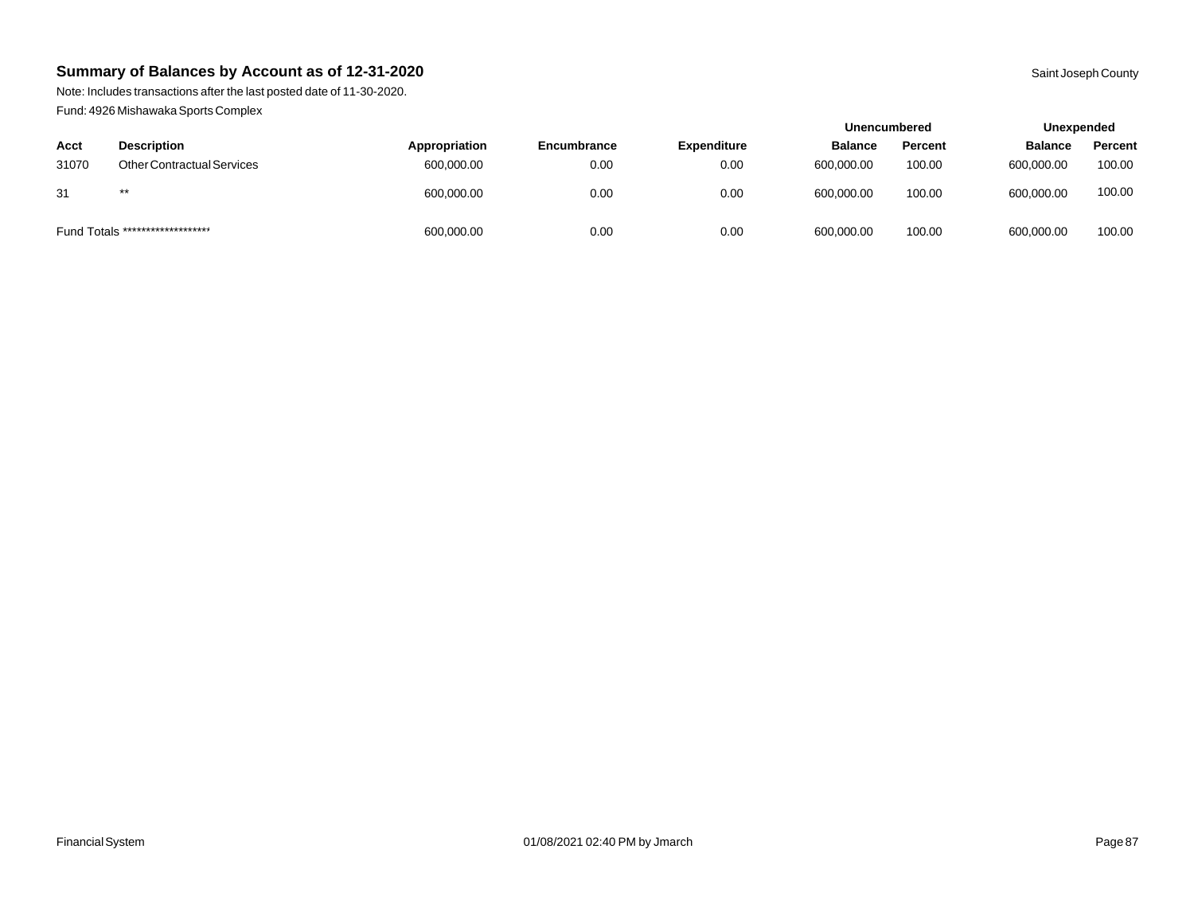Note: Includes transactions after the last posted date of 11-30-2020. Fund: 4926 Mishawaka Sports Complex

|       |                                   |               |             |                    | <b>Unencumbered</b> |                | Unexpended     |         |
|-------|-----------------------------------|---------------|-------------|--------------------|---------------------|----------------|----------------|---------|
| Acct  | <b>Description</b>                | Appropriation | Encumbrance | <b>Expenditure</b> | <b>Balance</b>      | <b>Percent</b> | <b>Balance</b> | Percent |
| 31070 | <b>Other Contractual Services</b> | 600,000.00    | 0.00        | 0.00               | 600,000.00          | 100.00         | 600.000.00     | 100.00  |
| 31    | $***$                             | 600,000.00    | 0.00        | 0.00               | 600,000.00          | 100.00         | 600.000.00     | 100.00  |
|       | Fund Totals ********************  | 600,000.00    | 0.00        | 0.00               | 600,000.00          | 100.00         | 600,000.00     | 100.00  |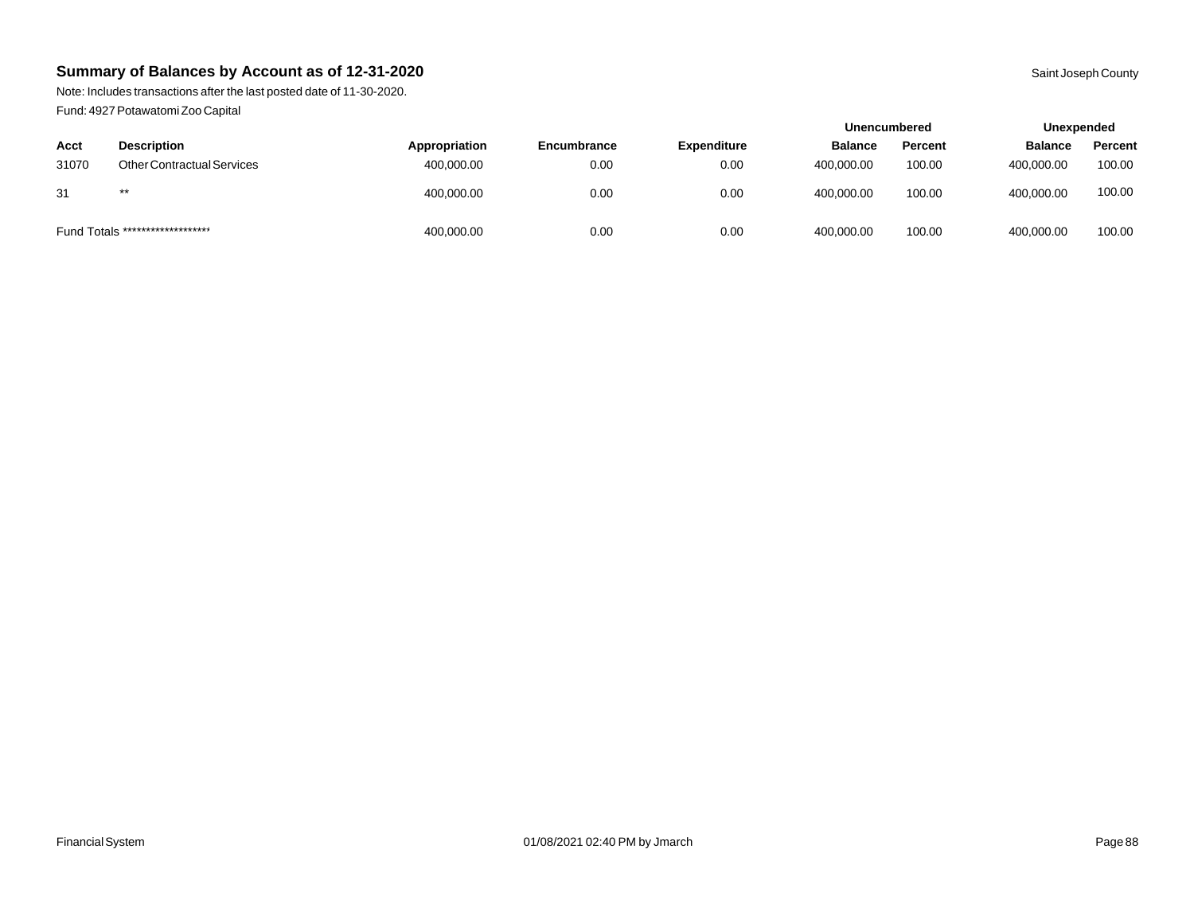Note: Includes transactions after the last posted date of 11-30-2020. Fund: 4927 Potawatomi Zoo Capital

|       |                                   |               |             |                    | <b>Unencumbered</b> |         |                | Unexpended |  |
|-------|-----------------------------------|---------------|-------------|--------------------|---------------------|---------|----------------|------------|--|
| Acct  | <b>Description</b>                | Appropriation | Encumbrance | <b>Expenditure</b> | <b>Balance</b>      | Percent | <b>Balance</b> | Percent    |  |
| 31070 | <b>Other Contractual Services</b> | 400,000.00    | 0.00        | 0.00               | 400,000.00          | 100.00  | 400,000.00     | 100.00     |  |
| 31    | $***$                             | 400,000.00    | 0.00        | 0.00               | 400,000.00          | 100.00  | 400,000.00     | 100.00     |  |
|       | Fund Totals ********************  | 400,000.00    | 0.00        | 0.00               | 400,000.00          | 100.00  | 400,000.00     | 100.00     |  |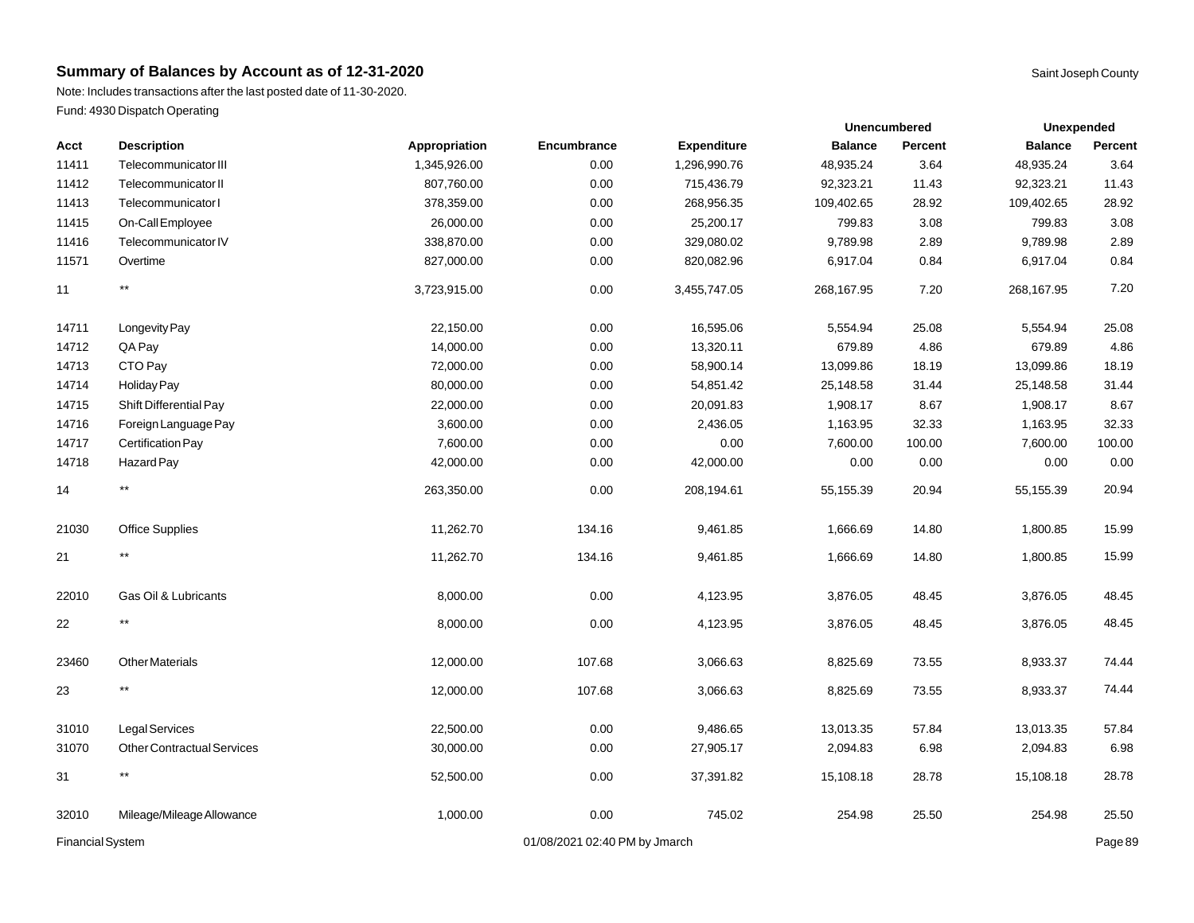Note: Includes transactions after the last posted date of 11-30-2020. Fund: 4930 Dispatch Operating

| Acct                    | <b>Description</b>                | Appropriation | Encumbrance                   | <b>Expenditure</b> | <b>Balance</b> | Percent | <b>Balance</b> | Percent |
|-------------------------|-----------------------------------|---------------|-------------------------------|--------------------|----------------|---------|----------------|---------|
| 11411                   | Telecommunicator III              | 1,345,926.00  | 0.00                          | 1,296,990.76       | 48,935.24      | 3.64    | 48,935.24      | 3.64    |
| 11412                   | Telecommunicator II               | 807,760.00    | 0.00                          | 715,436.79         | 92,323.21      | 11.43   | 92,323.21      | 11.43   |
| 11413                   | Telecommunicator I                | 378,359.00    | 0.00                          | 268,956.35         | 109,402.65     | 28.92   | 109,402.65     | 28.92   |
| 11415                   | On-Call Employee                  | 26,000.00     | 0.00                          | 25,200.17          | 799.83         | 3.08    | 799.83         | 3.08    |
| 11416                   | Telecommunicator IV               | 338,870.00    | 0.00                          | 329,080.02         | 9,789.98       | 2.89    | 9,789.98       | 2.89    |
| 11571                   | Overtime                          | 827,000.00    | 0.00                          | 820,082.96         | 6,917.04       | 0.84    | 6,917.04       | 0.84    |
| 11                      | $\star\star$                      | 3,723,915.00  | 0.00                          | 3,455,747.05       | 268,167.95     | 7.20    | 268,167.95     | 7.20    |
| 14711                   | Longevity Pay                     | 22,150.00     | 0.00                          | 16,595.06          | 5,554.94       | 25.08   | 5,554.94       | 25.08   |
| 14712                   | QA Pay                            | 14,000.00     | 0.00                          | 13,320.11          | 679.89         | 4.86    | 679.89         | 4.86    |
| 14713                   | CTO Pay                           | 72,000.00     | 0.00                          | 58,900.14          | 13,099.86      | 18.19   | 13,099.86      | 18.19   |
| 14714                   | Holiday Pay                       | 80,000.00     | 0.00                          | 54,851.42          | 25,148.58      | 31.44   | 25,148.58      | 31.44   |
| 14715                   | Shift Differential Pay            | 22,000.00     | 0.00                          | 20,091.83          | 1,908.17       | 8.67    | 1,908.17       | 8.67    |
| 14716                   | Foreign Language Pay              | 3,600.00      | 0.00                          | 2,436.05           | 1,163.95       | 32.33   | 1,163.95       | 32.33   |
| 14717                   | Certification Pay                 | 7,600.00      | 0.00                          | 0.00               | 7,600.00       | 100.00  | 7,600.00       | 100.00  |
| 14718                   | Hazard Pay                        | 42,000.00     | 0.00                          | 42,000.00          | 0.00           | 0.00    | 0.00           | 0.00    |
| 14                      | $\star\star$                      | 263,350.00    | 0.00                          | 208,194.61         | 55,155.39      | 20.94   | 55,155.39      | 20.94   |
| 21030                   | <b>Office Supplies</b>            | 11,262.70     | 134.16                        | 9,461.85           | 1,666.69       | 14.80   | 1,800.85       | 15.99   |
| 21                      | $\star\star$                      | 11,262.70     | 134.16                        | 9,461.85           | 1,666.69       | 14.80   | 1,800.85       | 15.99   |
| 22010                   | Gas Oil & Lubricants              | 8,000.00      | 0.00                          | 4,123.95           | 3,876.05       | 48.45   | 3,876.05       | 48.45   |
| 22                      | $^{\star\star}$                   | 8,000.00      | 0.00                          | 4,123.95           | 3,876.05       | 48.45   | 3,876.05       | 48.45   |
| 23460                   | <b>Other Materials</b>            | 12,000.00     | 107.68                        | 3,066.63           | 8,825.69       | 73.55   | 8,933.37       | 74.44   |
| 23                      | $\star\star$                      | 12,000.00     | 107.68                        | 3,066.63           | 8,825.69       | 73.55   | 8,933.37       | 74.44   |
| 31010                   | Legal Services                    | 22,500.00     | 0.00                          | 9,486.65           | 13,013.35      | 57.84   | 13,013.35      | 57.84   |
| 31070                   | <b>Other Contractual Services</b> | 30,000.00     | 0.00                          | 27,905.17          | 2,094.83       | 6.98    | 2,094.83       | 6.98    |
| 31                      | $^{\star\star}$                   | 52,500.00     | 0.00                          | 37,391.82          | 15,108.18      | 28.78   | 15,108.18      | 28.78   |
| 32010                   | Mileage/Mileage Allowance         | 1,000.00      | 0.00                          | 745.02             | 254.98         | 25.50   | 254.98         | 25.50   |
| <b>Financial System</b> |                                   |               | 01/08/2021 02:40 PM by Jmarch |                    |                |         |                | Page 89 |

**Unexpended**

**Unencumbered**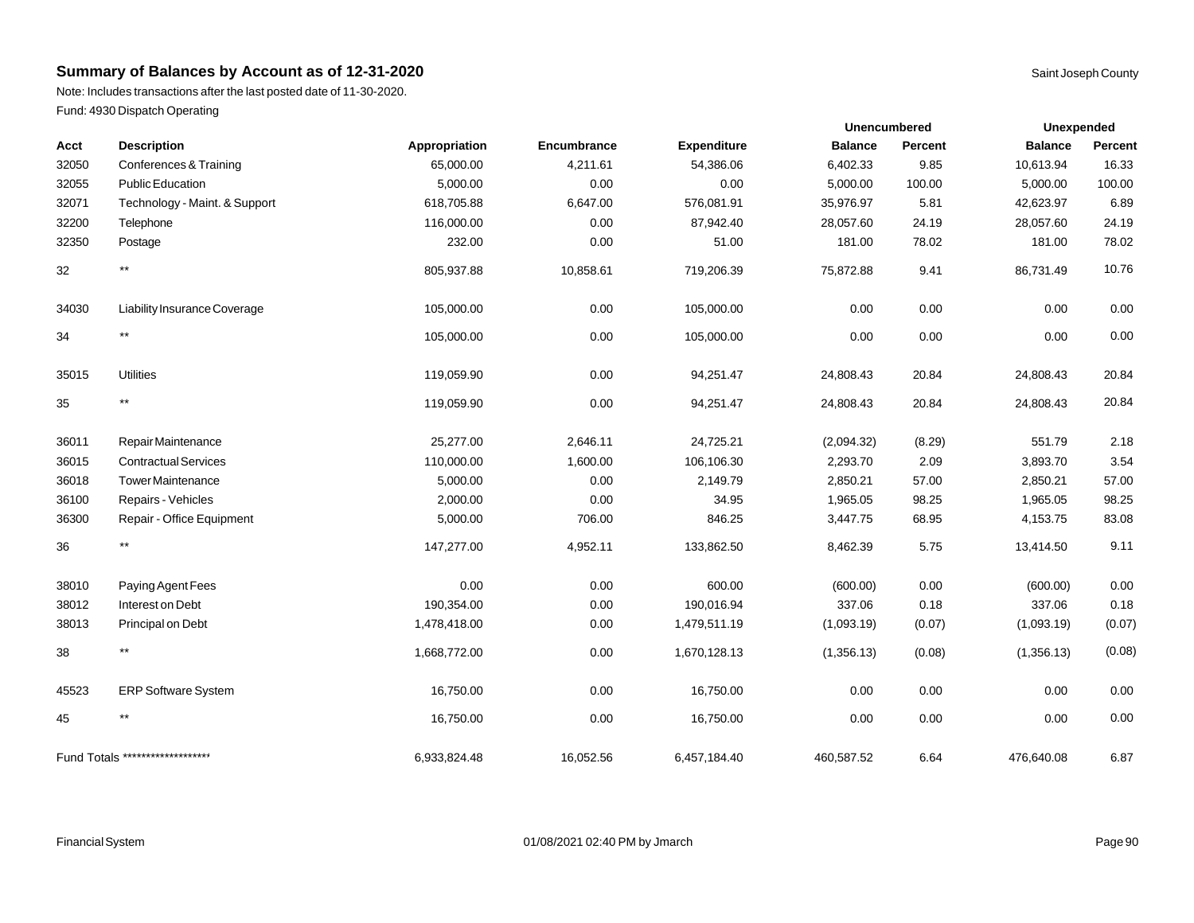Note: Includes transactions after the last posted date of 11-30-2020. Fund: 4930 Dispatch Operating

| Acct  | <b>Description</b>               | Appropriation | Encumbrance | <b>Expenditure</b> | <b>Balance</b> | Percent | <b>Balance</b> | Percent |
|-------|----------------------------------|---------------|-------------|--------------------|----------------|---------|----------------|---------|
| 32050 | Conferences & Training           | 65,000.00     | 4,211.61    | 54,386.06          | 6,402.33       | 9.85    | 10,613.94      | 16.33   |
| 32055 | Public Education                 | 5,000.00      | 0.00        | 0.00               | 5,000.00       | 100.00  | 5,000.00       | 100.00  |
| 32071 | Technology - Maint. & Support    | 618,705.88    | 6,647.00    | 576,081.91         | 35,976.97      | 5.81    | 42,623.97      | 6.89    |
| 32200 | Telephone                        | 116,000.00    | 0.00        | 87,942.40          | 28,057.60      | 24.19   | 28,057.60      | 24.19   |
| 32350 | Postage                          | 232.00        | 0.00        | 51.00              | 181.00         | 78.02   | 181.00         | 78.02   |
| 32    | $^{\star\star}$                  | 805,937.88    | 10,858.61   | 719,206.39         | 75,872.88      | 9.41    | 86,731.49      | 10.76   |
| 34030 | Liability Insurance Coverage     | 105,000.00    | 0.00        | 105,000.00         | 0.00           | 0.00    | 0.00           | 0.00    |
| 34    | $^{\star\star}$                  | 105,000.00    | 0.00        | 105,000.00         | 0.00           | 0.00    | 0.00           | 0.00    |
| 35015 | <b>Utilities</b>                 | 119,059.90    | 0.00        | 94,251.47          | 24,808.43      | 20.84   | 24,808.43      | 20.84   |
| 35    | $\star\star$                     | 119,059.90    | 0.00        | 94,251.47          | 24,808.43      | 20.84   | 24,808.43      | 20.84   |
| 36011 | Repair Maintenance               | 25,277.00     | 2,646.11    | 24,725.21          | (2,094.32)     | (8.29)  | 551.79         | 2.18    |
| 36015 | <b>Contractual Services</b>      | 110,000.00    | 1,600.00    | 106,106.30         | 2,293.70       | 2.09    | 3,893.70       | 3.54    |
| 36018 | <b>Tower Maintenance</b>         | 5,000.00      | 0.00        | 2,149.79           | 2,850.21       | 57.00   | 2,850.21       | 57.00   |
| 36100 | Repairs - Vehicles               | 2,000.00      | 0.00        | 34.95              | 1,965.05       | 98.25   | 1,965.05       | 98.25   |
| 36300 | Repair - Office Equipment        | 5,000.00      | 706.00      | 846.25             | 3,447.75       | 68.95   | 4,153.75       | 83.08   |
| 36    | $***$                            | 147,277.00    | 4,952.11    | 133,862.50         | 8,462.39       | 5.75    | 13,414.50      | 9.11    |
| 38010 | Paying Agent Fees                | 0.00          | 0.00        | 600.00             | (600.00)       | 0.00    | (600.00)       | 0.00    |
| 38012 | Interest on Debt                 | 190,354.00    | 0.00        | 190,016.94         | 337.06         | 0.18    | 337.06         | 0.18    |
| 38013 | Principal on Debt                | 1,478,418.00  | 0.00        | 1,479,511.19       | (1,093.19)     | (0.07)  | (1,093.19)     | (0.07)  |
| 38    | $***$                            | 1,668,772.00  | 0.00        | 1,670,128.13       | (1,356.13)     | (0.08)  | (1,356.13)     | (0.08)  |
| 45523 | <b>ERP Software System</b>       | 16,750.00     | 0.00        | 16,750.00          | 0.00           | 0.00    | 0.00           | 0.00    |
| 45    | $^{\star\star}$                  | 16,750.00     | 0.00        | 16,750.00          | 0.00           | 0.00    | 0.00           | 0.00    |
|       | Fund Totals ******************** | 6,933,824.48  | 16,052.56   | 6,457,184.40       | 460,587.52     | 6.64    | 476,640.08     | 6.87    |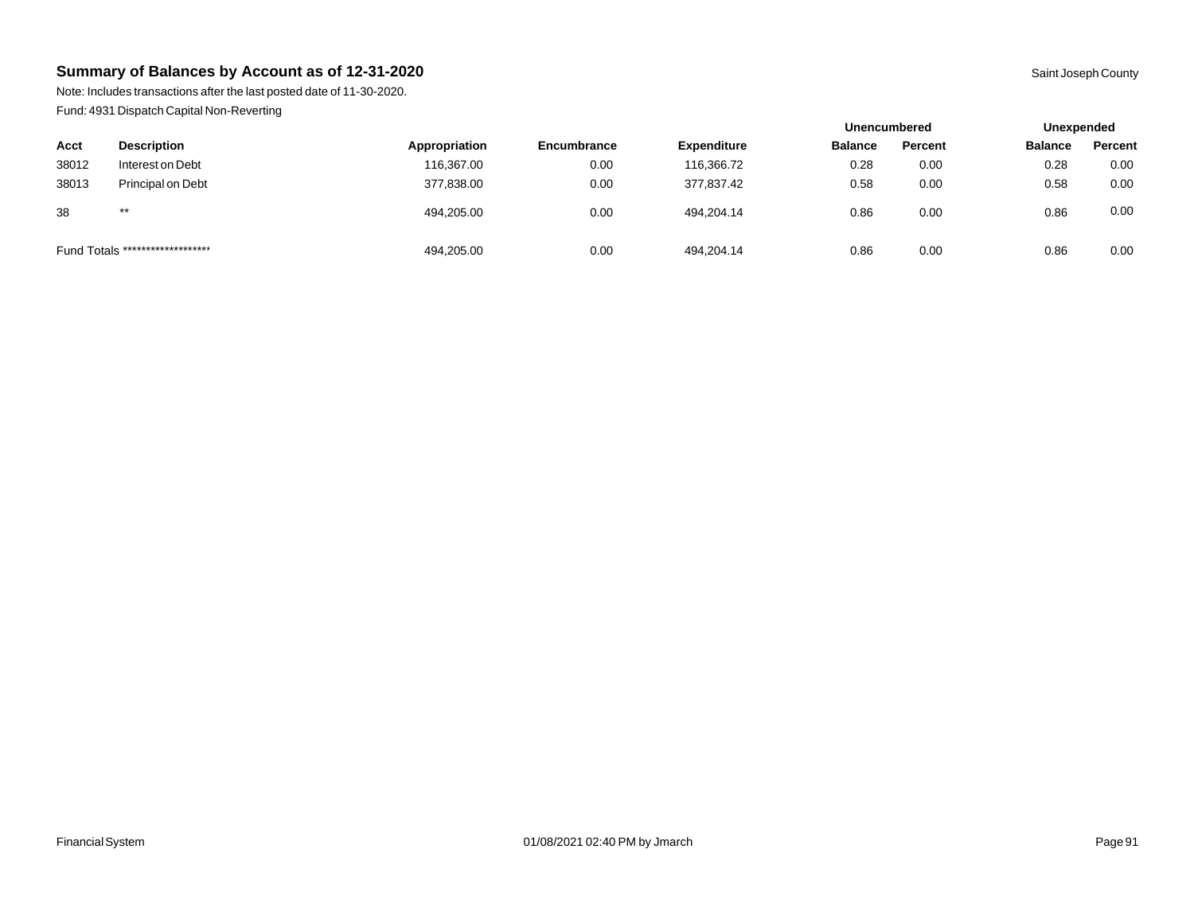Note: Includes transactions after the last posted date of 11-30-2020. Fund: 4931 Dispatch Capital Non-Reverting

|                                  |                    |               |                    |                    | <b>Unencumbered</b> |         | Unexpended     |         |
|----------------------------------|--------------------|---------------|--------------------|--------------------|---------------------|---------|----------------|---------|
| Acct                             | <b>Description</b> | Appropriation | <b>Encumbrance</b> | <b>Expenditure</b> | <b>Balance</b>      | Percent | <b>Balance</b> | Percent |
| 38012                            | Interest on Debt   | 116,367.00    | 0.00               | 116,366.72         | 0.28                | 0.00    | 0.28           | 0.00    |
| 38013                            | Principal on Debt  | 377,838.00    | 0.00               | 377,837.42         | 0.58                | 0.00    | 0.58           | 0.00    |
| 38                               | $***$              | 494,205.00    | 0.00               | 494,204.14         | 0.86                | 0.00    | 0.86           | 0.00    |
| Fund Totals ******************** |                    | 494,205.00    | 0.00               | 494.204.14         | 0.86                | 0.00    | 0.86           | 0.00    |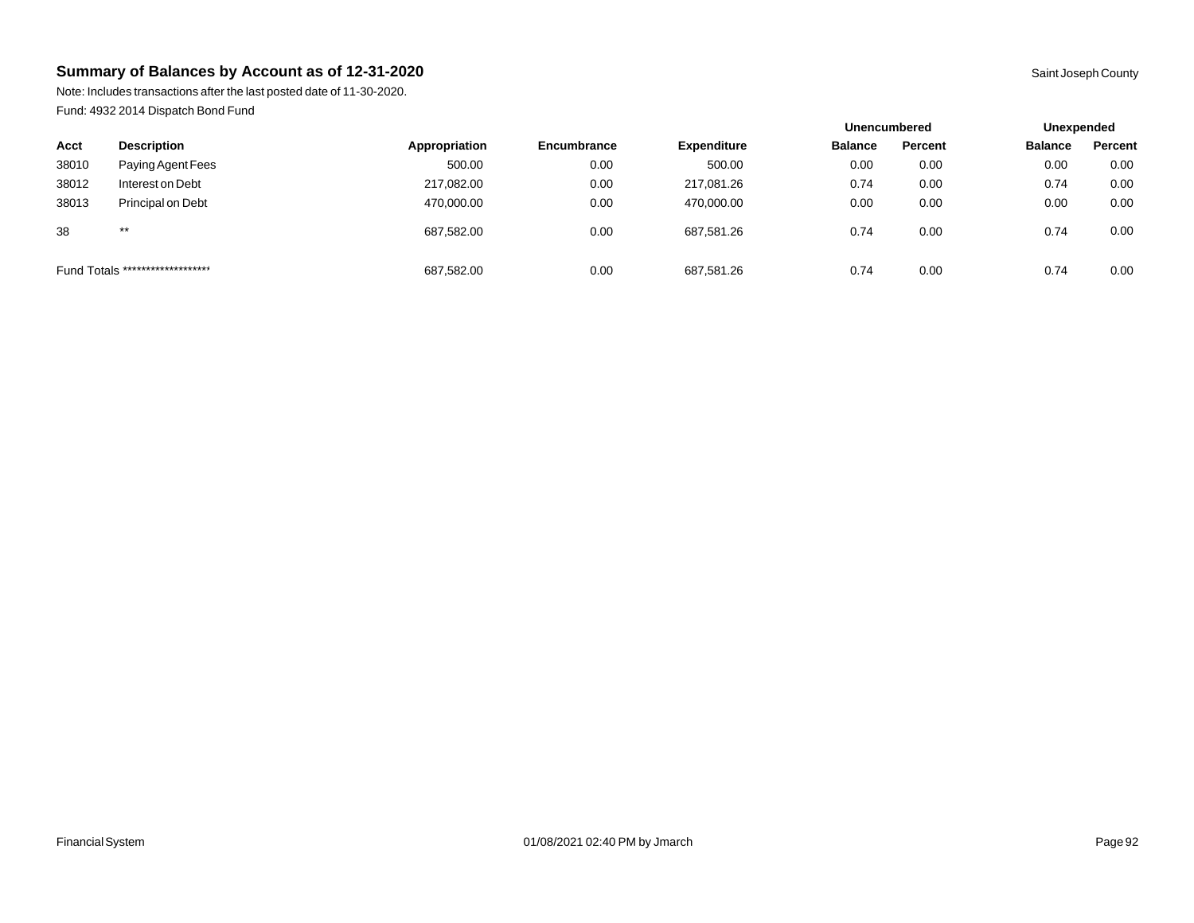Note: Includes transactions after the last posted date of 11-30-2020. Fund: 4932 2014 Dispatch Bond Fund

|                                  |                    |               |                    | <b>Unencumbered</b> |                | Unexpended |                |         |
|----------------------------------|--------------------|---------------|--------------------|---------------------|----------------|------------|----------------|---------|
| Acct                             | <b>Description</b> | Appropriation | <b>Encumbrance</b> | <b>Expenditure</b>  | <b>Balance</b> | Percent    | <b>Balance</b> | Percent |
| 38010                            | Paying Agent Fees  | 500.00        | 0.00               | 500.00              | 0.00           | 0.00       | 0.00           | 0.00    |
| 38012                            | Interest on Debt   | 217,082.00    | 0.00               | 217,081.26          | 0.74           | 0.00       | 0.74           | 0.00    |
| 38013                            | Principal on Debt  | 470,000.00    | 0.00               | 470,000.00          | 0.00           | 0.00       | 0.00           | 0.00    |
| 38                               | $***$              | 687.582.00    | 0.00               | 687.581.26          | 0.74           | 0.00       | 0.74           | 0.00    |
| Fund Totals ******************** |                    | 687,582.00    | 0.00               | 687,581.26          | 0.74           | 0.00       | 0.74           | 0.00    |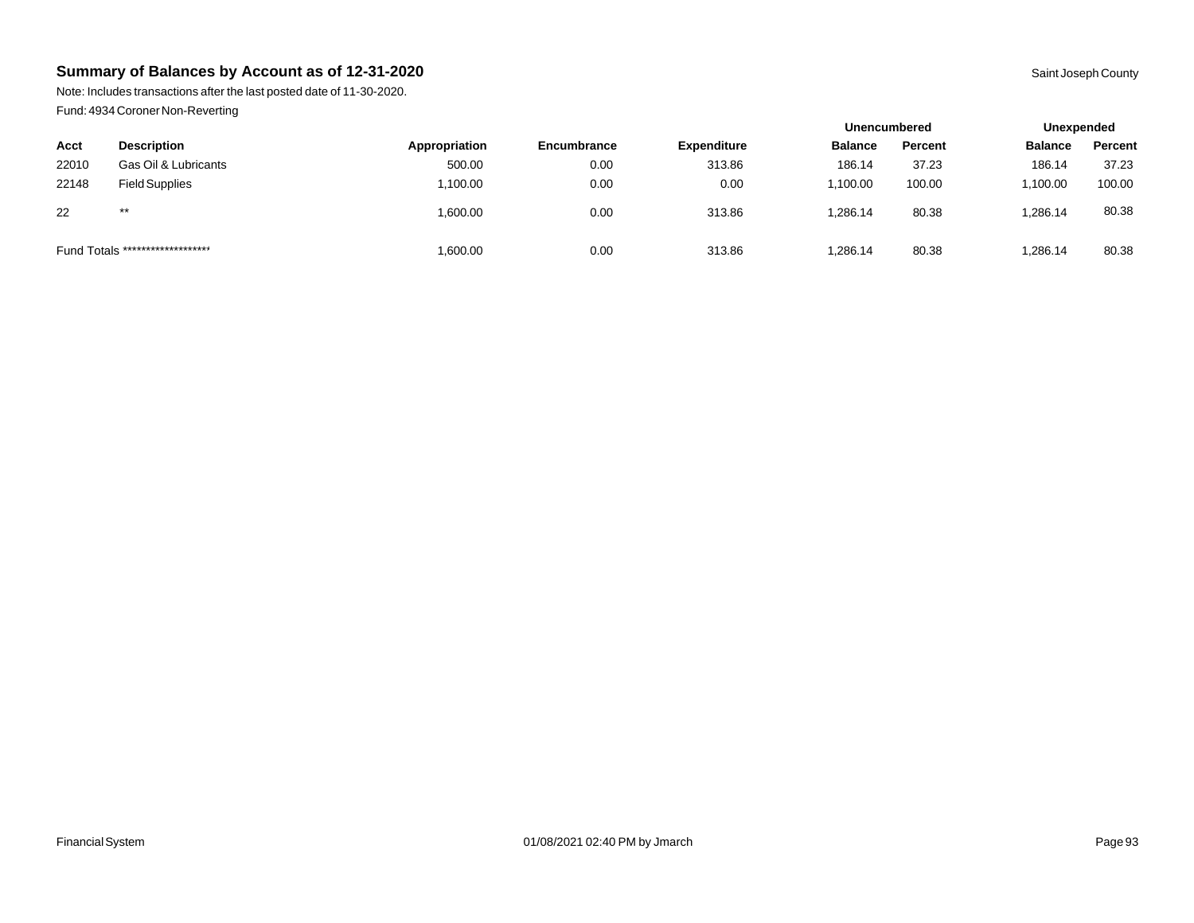Note: Includes transactions after the last posted date of 11-30-2020. Fund: 4934 Coroner Non-Reverting

|                                  |                       |               |                    |                    | <b>Unencumbered</b> |         |                | Unexpended |  |
|----------------------------------|-----------------------|---------------|--------------------|--------------------|---------------------|---------|----------------|------------|--|
| Acct                             | <b>Description</b>    | Appropriation | <b>Encumbrance</b> | <b>Expenditure</b> | <b>Balance</b>      | Percent | <b>Balance</b> | Percent    |  |
| 22010                            | Gas Oil & Lubricants  | 500.00        | 0.00               | 313.86             | 186.14              | 37.23   | 186.14         | 37.23      |  |
| 22148                            | <b>Field Supplies</b> | .100.00       | 0.00               | 0.00               | 1.100.00            | 100.00  | .100.00        | 100.00     |  |
| 22                               | $***$                 | 00.00.1       | 0.00               | 313.86             | 1.286.14            | 80.38   | ,286.14        | 80.38      |  |
| Fund Totals ******************** |                       | 00.00.00      | 0.00               | 313.86             | 1,286.14            | 80.38   | ,286.14        | 80.38      |  |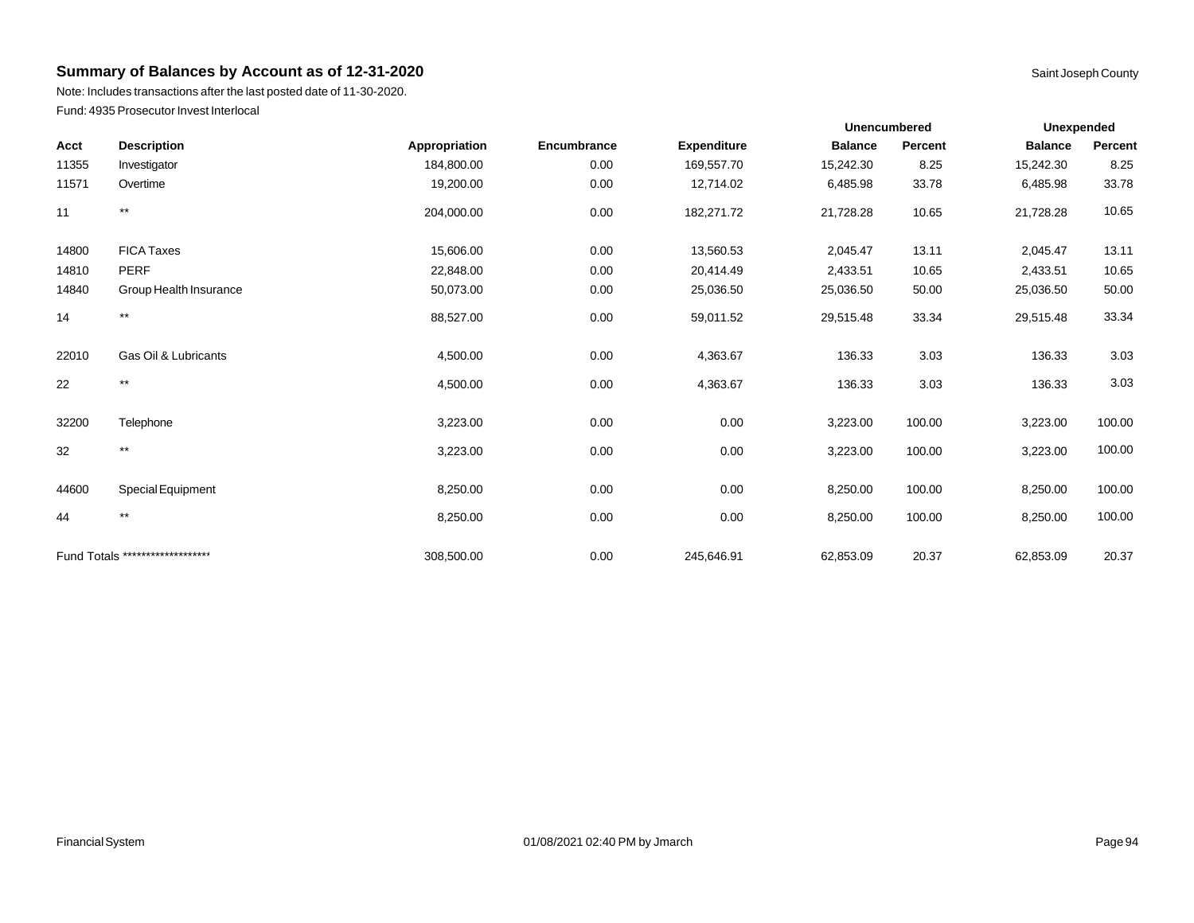Note: Includes transactions after the last posted date of 11-30-2020. Fund: 4935 Prosecutor Invest Interlocal

| Acct  | <b>Description</b>               | Appropriation | Encumbrance | <b>Expenditure</b> | <b>Balance</b> | Percent | <b>Balance</b> | Percent |
|-------|----------------------------------|---------------|-------------|--------------------|----------------|---------|----------------|---------|
| 11355 | Investigator                     | 184,800.00    | 0.00        | 169,557.70         | 15,242.30      | 8.25    | 15,242.30      | 8.25    |
| 11571 | Overtime                         | 19,200.00     | 0.00        | 12,714.02          | 6,485.98       | 33.78   | 6,485.98       | 33.78   |
| 11    | $^{\star\star}$                  | 204,000.00    | 0.00        | 182,271.72         | 21,728.28      | 10.65   | 21,728.28      | 10.65   |
| 14800 | <b>FICA Taxes</b>                | 15,606.00     | 0.00        | 13,560.53          | 2,045.47       | 13.11   | 2,045.47       | 13.11   |
| 14810 | <b>PERF</b>                      | 22,848.00     | 0.00        | 20,414.49          | 2,433.51       | 10.65   | 2,433.51       | 10.65   |
| 14840 | Group Health Insurance           | 50,073.00     | 0.00        | 25,036.50          | 25,036.50      | 50.00   | 25,036.50      | 50.00   |
| 14    | $***$                            | 88,527.00     | 0.00        | 59,011.52          | 29,515.48      | 33.34   | 29,515.48      | 33.34   |
| 22010 | Gas Oil & Lubricants             | 4,500.00      | 0.00        | 4,363.67           | 136.33         | 3.03    | 136.33         | 3.03    |
| 22    | $***$                            | 4,500.00      | 0.00        | 4,363.67           | 136.33         | 3.03    | 136.33         | 3.03    |
| 32200 | Telephone                        | 3,223.00      | 0.00        | 0.00               | 3,223.00       | 100.00  | 3,223.00       | 100.00  |
| 32    | $***$                            | 3,223.00      | 0.00        | 0.00               | 3,223.00       | 100.00  | 3,223.00       | 100.00  |
| 44600 | Special Equipment                | 8,250.00      | 0.00        | 0.00               | 8,250.00       | 100.00  | 8,250.00       | 100.00  |
| 44    | $***$                            | 8,250.00      | 0.00        | 0.00               | 8,250.00       | 100.00  | 8,250.00       | 100.00  |
|       | Fund Totals ******************** | 308,500.00    | 0.00        | 245,646.91         | 62,853.09      | 20.37   | 62,853.09      | 20.37   |

**Unexpended**

**Unencumbered**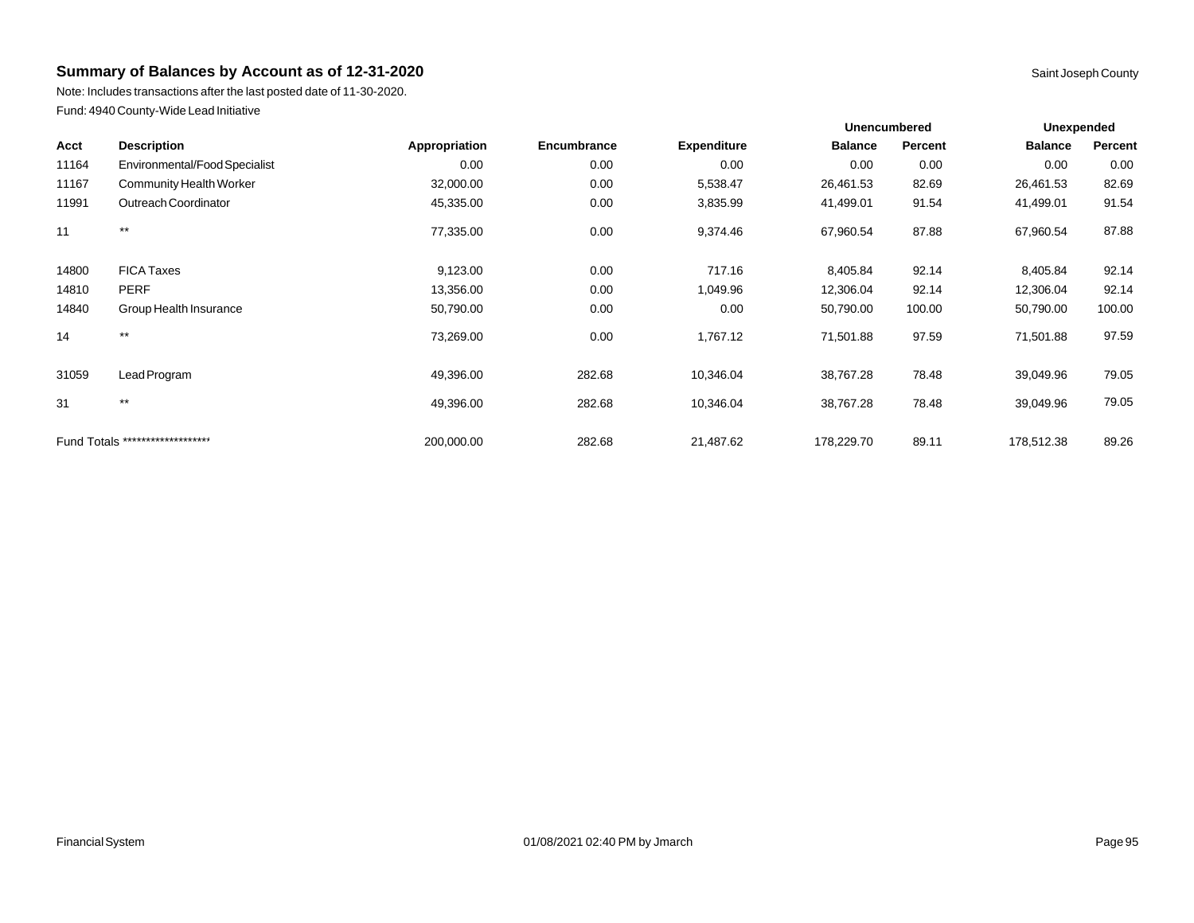Note: Includes transactions after the last posted date of 11-30-2020. Fund: 4940 County-Wide Lead Initiative

|       |                                  |               |             |                    | Unencumbered   |         |                | <b>Unexpended</b> |  |
|-------|----------------------------------|---------------|-------------|--------------------|----------------|---------|----------------|-------------------|--|
| Acct  | <b>Description</b>               | Appropriation | Encumbrance | <b>Expenditure</b> | <b>Balance</b> | Percent | <b>Balance</b> | Percent           |  |
| 11164 | Environmental/Food Specialist    | 0.00          | 0.00        | 0.00               | 0.00           | 0.00    | 0.00           | 0.00              |  |
| 11167 | <b>Community Health Worker</b>   | 32,000.00     | 0.00        | 5,538.47           | 26,461.53      | 82.69   | 26,461.53      | 82.69             |  |
| 11991 | Outreach Coordinator             | 45,335.00     | 0.00        | 3,835.99           | 41,499.01      | 91.54   | 41,499.01      | 91.54             |  |
| 11    | $***$                            | 77,335.00     | 0.00        | 9,374.46           | 67,960.54      | 87.88   | 67,960.54      | 87.88             |  |
| 14800 | <b>FICA Taxes</b>                | 9,123.00      | 0.00        | 717.16             | 8,405.84       | 92.14   | 8,405.84       | 92.14             |  |
| 14810 | <b>PERF</b>                      | 13,356.00     | 0.00        | 1,049.96           | 12,306.04      | 92.14   | 12,306.04      | 92.14             |  |
| 14840 | Group Health Insurance           | 50,790.00     | 0.00        | 0.00               | 50,790.00      | 100.00  | 50,790.00      | 100.00            |  |
| 14    | $***$                            | 73,269.00     | 0.00        | 1,767.12           | 71,501.88      | 97.59   | 71,501.88      | 97.59             |  |
| 31059 | Lead Program                     | 49,396.00     | 282.68      | 10,346.04          | 38,767.28      | 78.48   | 39,049.96      | 79.05             |  |
| 31    | $***$                            | 49,396.00     | 282.68      | 10,346.04          | 38,767.28      | 78.48   | 39,049.96      | 79.05             |  |
|       | Fund Totals ******************** | 200,000.00    | 282.68      | 21,487.62          | 178,229.70     | 89.11   | 178,512.38     | 89.26             |  |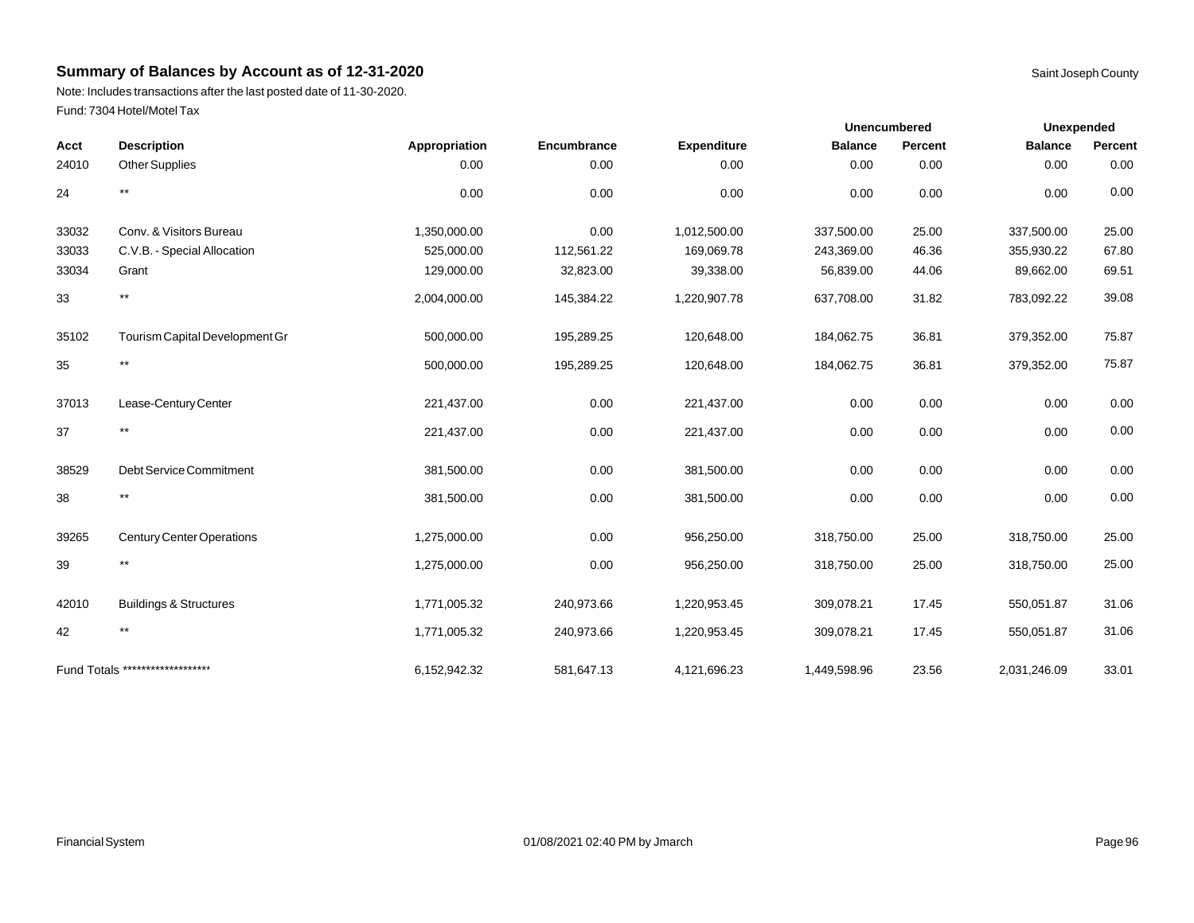Note: Includes transactions after the last posted date of 11-30-2020. Fund: 7304 Hotel/Motel Tax

|       |                                   |               |             |                    | Unencumbered   |         | <b>Unexpended</b> |         |
|-------|-----------------------------------|---------------|-------------|--------------------|----------------|---------|-------------------|---------|
| Acct  | <b>Description</b>                | Appropriation | Encumbrance | <b>Expenditure</b> | <b>Balance</b> | Percent | <b>Balance</b>    | Percent |
| 24010 | <b>Other Supplies</b>             | 0.00          | 0.00        | 0.00               | 0.00           | 0.00    | 0.00              | 0.00    |
| 24    | $***$                             | 0.00          | 0.00        | 0.00               | 0.00           | 0.00    | 0.00              | 0.00    |
| 33032 | Conv. & Visitors Bureau           | 1,350,000.00  | 0.00        | 1,012,500.00       | 337,500.00     | 25.00   | 337,500.00        | 25.00   |
| 33033 | C.V.B. - Special Allocation       | 525,000.00    | 112,561.22  | 169,069.78         | 243,369.00     | 46.36   | 355,930.22        | 67.80   |
| 33034 | Grant                             | 129,000.00    | 32,823.00   | 39,338.00          | 56,839.00      | 44.06   | 89,662.00         | 69.51   |
| 33    | $\star\star$                      | 2,004,000.00  | 145,384.22  | 1,220,907.78       | 637,708.00     | 31.82   | 783,092.22        | 39.08   |
| 35102 | Tourism Capital Development Gr    | 500,000.00    | 195,289.25  | 120,648.00         | 184,062.75     | 36.81   | 379,352.00        | 75.87   |
| 35    | $***$                             | 500,000.00    | 195,289.25  | 120,648.00         | 184,062.75     | 36.81   | 379,352.00        | 75.87   |
| 37013 | Lease-Century Center              | 221,437.00    | 0.00        | 221,437.00         | 0.00           | 0.00    | 0.00              | 0.00    |
| 37    | $^{\star\star}$                   | 221,437.00    | 0.00        | 221,437.00         | 0.00           | 0.00    | 0.00              | 0.00    |
| 38529 | Debt Service Commitment           | 381,500.00    | 0.00        | 381,500.00         | 0.00           | 0.00    | 0.00              | 0.00    |
| 38    | $^{\star\star}$                   | 381,500.00    | 0.00        | 381,500.00         | 0.00           | 0.00    | 0.00              | 0.00    |
| 39265 | <b>Century Center Operations</b>  | 1,275,000.00  | 0.00        | 956,250.00         | 318,750.00     | 25.00   | 318,750.00        | 25.00   |
| 39    | $\star\star$                      | 1,275,000.00  | 0.00        | 956,250.00         | 318,750.00     | 25.00   | 318,750.00        | 25.00   |
| 42010 | <b>Buildings &amp; Structures</b> | 1,771,005.32  | 240,973.66  | 1,220,953.45       | 309,078.21     | 17.45   | 550,051.87        | 31.06   |
| 42    | $\star\star$                      | 1,771,005.32  | 240,973.66  | 1,220,953.45       | 309,078.21     | 17.45   | 550,051.87        | 31.06   |
|       | Fund Totals ********************  | 6,152,942.32  | 581,647.13  | 4,121,696.23       | 1,449,598.96   | 23.56   | 2,031,246.09      | 33.01   |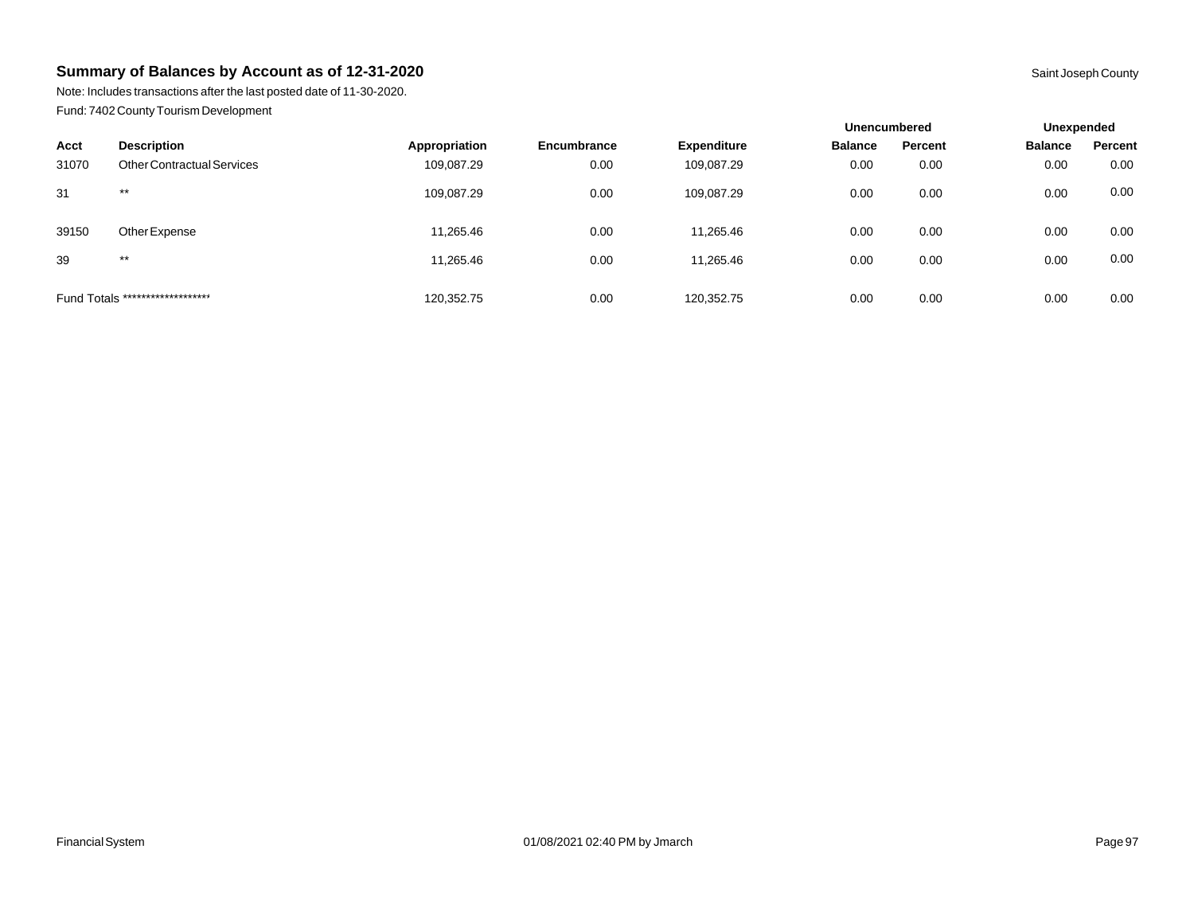Note: Includes transactions after the last posted date of 11-30-2020. Fund: 7402 County Tourism Development

|       |                                   |               |                    |                    | <b>Unencumbered</b> |         | Unexpended     |         |
|-------|-----------------------------------|---------------|--------------------|--------------------|---------------------|---------|----------------|---------|
| Acct  | <b>Description</b>                | Appropriation | <b>Encumbrance</b> | <b>Expenditure</b> | <b>Balance</b>      | Percent | <b>Balance</b> | Percent |
| 31070 | <b>Other Contractual Services</b> | 109,087.29    | 0.00               | 109,087.29         | 0.00                | 0.00    | 0.00           | 0.00    |
| 31    | $***$                             | 109,087.29    | 0.00               | 109,087.29         | 0.00                | 0.00    | 0.00           | 0.00    |
| 39150 | Other Expense                     | 11,265.46     | 0.00               | 11,265.46          | 0.00                | 0.00    | 0.00           | 0.00    |
| 39    | $***$                             | 11,265.46     | 0.00               | 11,265.46          | 0.00                | 0.00    | 0.00           | 0.00    |
|       | Fund Totals ********************  | 120,352.75    | 0.00               | 120.352.75         | 0.00                | 0.00    | 0.00           | 0.00    |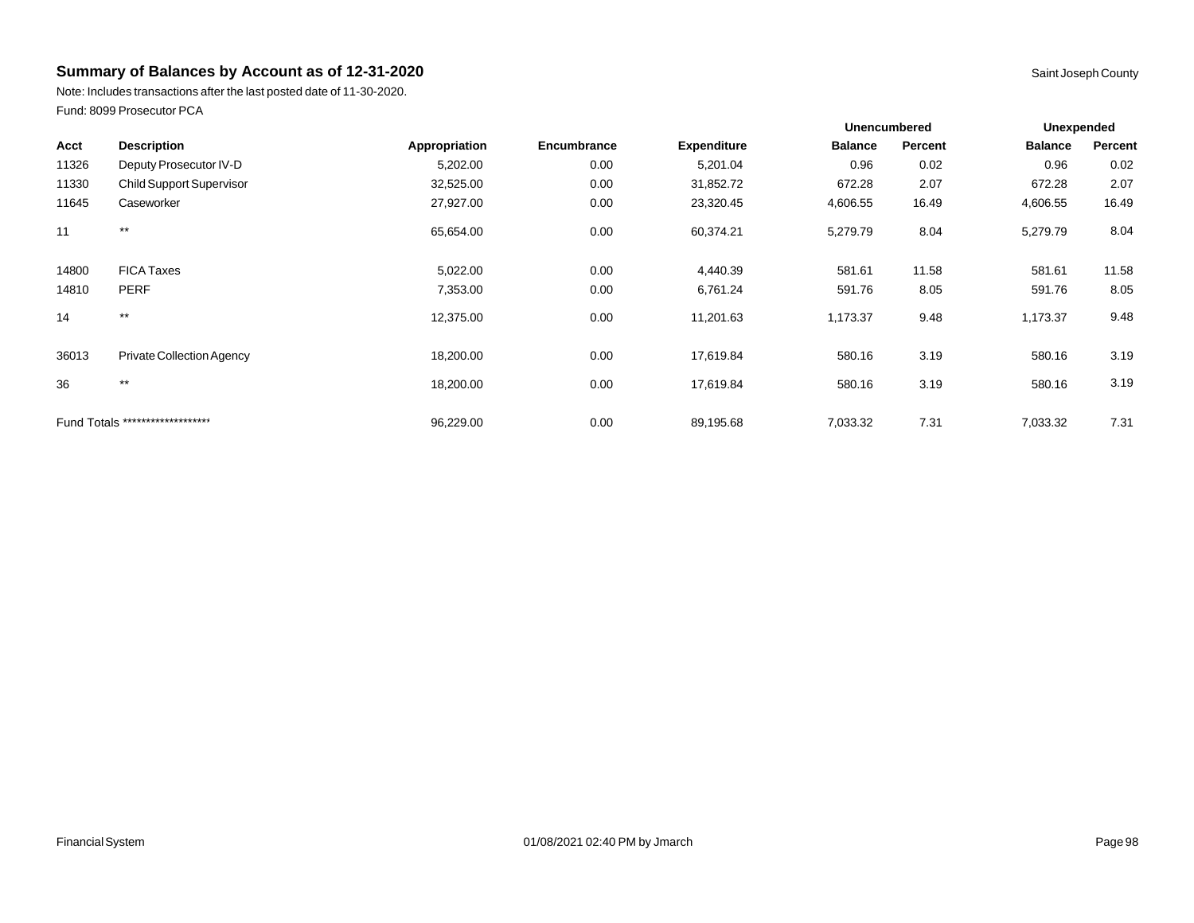Note: Includes transactions after the last posted date of 11-30-2020. Fund: 8099 Prosecutor PCA

|       |                                  |               |             |                    | <b>Unencumbered</b> |         | Unexpended     |         |
|-------|----------------------------------|---------------|-------------|--------------------|---------------------|---------|----------------|---------|
| Acct  | <b>Description</b>               | Appropriation | Encumbrance | <b>Expenditure</b> | <b>Balance</b>      | Percent | <b>Balance</b> | Percent |
| 11326 | Deputy Prosecutor IV-D           | 5,202.00      | 0.00        | 5,201.04           | 0.96                | 0.02    | 0.96           | 0.02    |
| 11330 | <b>Child Support Supervisor</b>  | 32,525.00     | 0.00        | 31,852.72          | 672.28              | 2.07    | 672.28         | 2.07    |
| 11645 | Caseworker                       | 27,927.00     | 0.00        | 23,320.45          | 4,606.55            | 16.49   | 4,606.55       | 16.49   |
| 11    | $***$                            | 65,654.00     | 0.00        | 60,374.21          | 5,279.79            | 8.04    | 5,279.79       | 8.04    |
| 14800 | <b>FICA Taxes</b>                | 5,022.00      | 0.00        | 4,440.39           | 581.61              | 11.58   | 581.61         | 11.58   |
| 14810 | <b>PERF</b>                      | 7,353.00      | 0.00        | 6,761.24           | 591.76              | 8.05    | 591.76         | 8.05    |
| 14    | $***$                            | 12,375.00     | 0.00        | 11,201.63          | 1,173.37            | 9.48    | 1,173.37       | 9.48    |
| 36013 | Private Collection Agency        | 18,200.00     | 0.00        | 17,619.84          | 580.16              | 3.19    | 580.16         | 3.19    |
| 36    | $\star\star$                     | 18,200.00     | 0.00        | 17,619.84          | 580.16              | 3.19    | 580.16         | 3.19    |
|       | Fund Totals ******************** | 96,229.00     | 0.00        | 89,195.68          | 7,033.32            | 7.31    | 7,033.32       | 7.31    |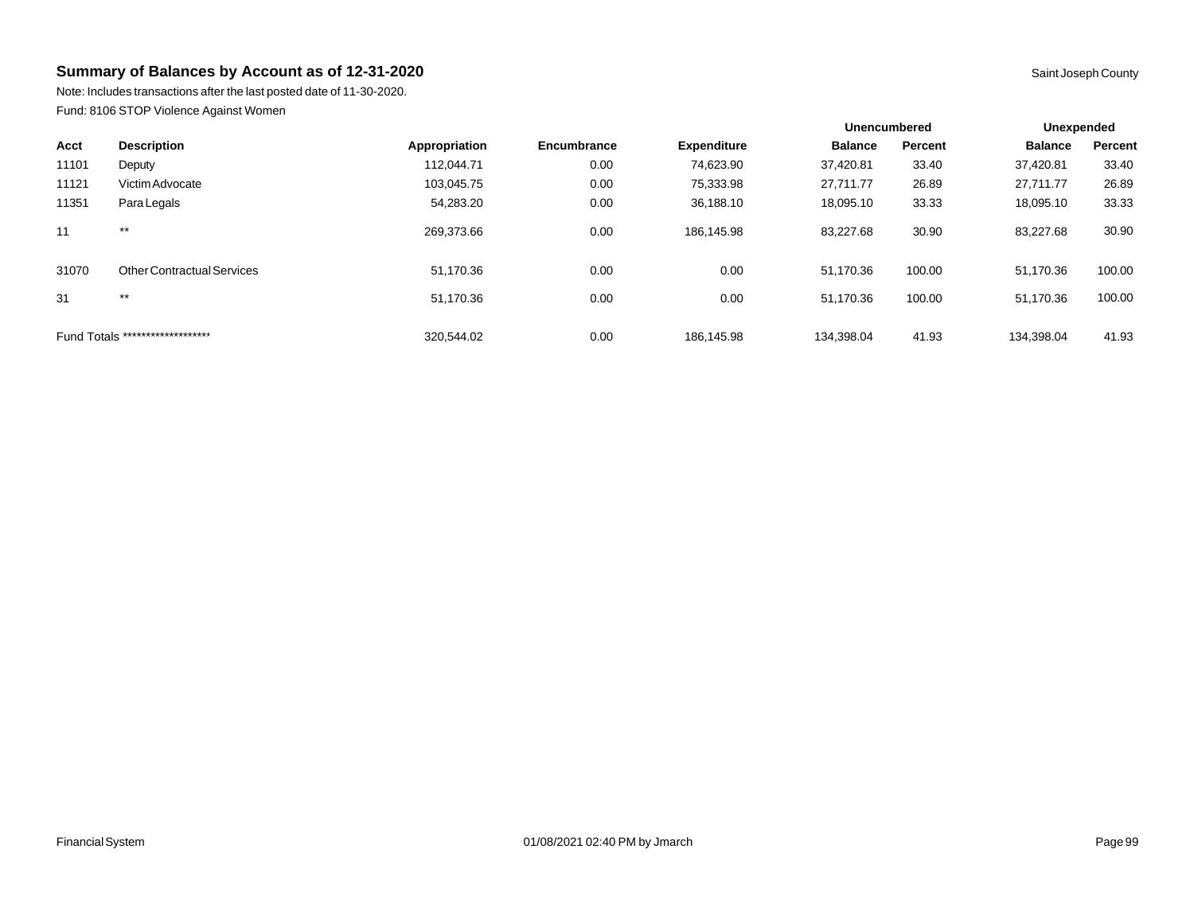Note: Includes transactions after the last posted date of 11-30-2020. Fund: 8106 STOP Violence Against Women

|       |                                   |               |             |                    | <b>Unencumbered</b> |         | Unexpended     |         |
|-------|-----------------------------------|---------------|-------------|--------------------|---------------------|---------|----------------|---------|
| Acct  | <b>Description</b>                | Appropriation | Encumbrance | <b>Expenditure</b> | <b>Balance</b>      | Percent | <b>Balance</b> | Percent |
| 11101 | Deputy                            | 112,044.71    | 0.00        | 74,623.90          | 37,420.81           | 33.40   | 37,420.81      | 33.40   |
| 11121 | Victim Advocate                   | 103.045.75    | 0.00        | 75,333.98          | 27.711.77           | 26.89   | 27,711.77      | 26.89   |
| 11351 | Para Legals                       | 54,283.20     | 0.00        | 36,188.10          | 18,095.10           | 33.33   | 18,095.10      | 33.33   |
| 11    | $***$                             | 269,373.66    | 0.00        | 186.145.98         | 83.227.68           | 30.90   | 83,227.68      | 30.90   |
| 31070 | <b>Other Contractual Services</b> | 51,170.36     | 0.00        | 0.00               | 51.170.36           | 100.00  | 51,170.36      | 100.00  |
| 31    | $***$                             | 51,170.36     | 0.00        | 0.00               | 51,170.36           | 100.00  | 51,170.36      | 100.00  |
|       | Fund Totals ********************  | 320.544.02    | 0.00        | 186.145.98         | 134.398.04          | 41.93   | 134.398.04     | 41.93   |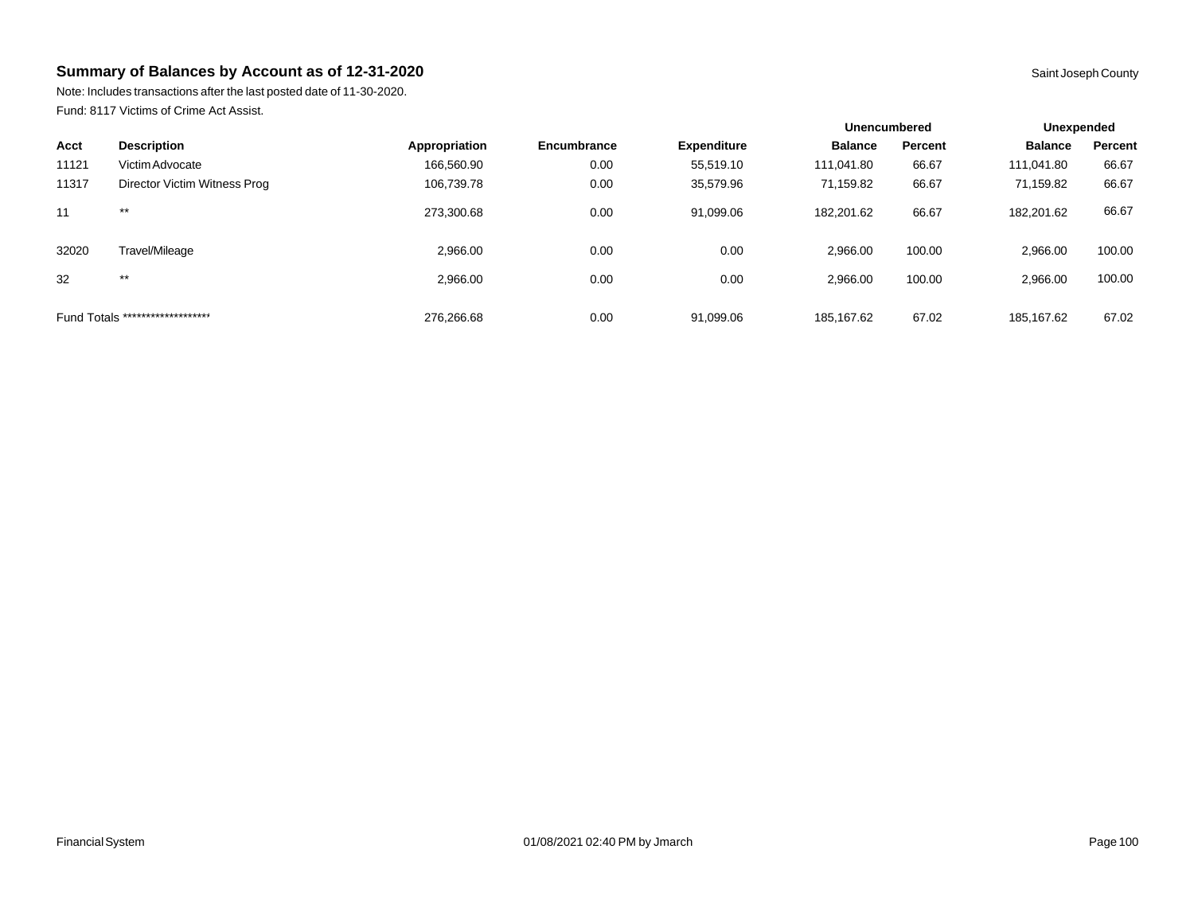Note: Includes transactions after the last posted date of 11-30-2020. Fund: 8117 Victims of Crime Act Assist.

|       |                                  |               |             |                    | Unencumbered   |         | Unexpended     |         |
|-------|----------------------------------|---------------|-------------|--------------------|----------------|---------|----------------|---------|
| Acct  | <b>Description</b>               | Appropriation | Encumbrance | <b>Expenditure</b> | <b>Balance</b> | Percent | <b>Balance</b> | Percent |
| 11121 | Victim Advocate                  | 166,560.90    | 0.00        | 55,519.10          | 111.041.80     | 66.67   | 111,041.80     | 66.67   |
| 11317 | Director Victim Witness Prog     | 106,739.78    | 0.00        | 35,579.96          | 71,159.82      | 66.67   | 71,159.82      | 66.67   |
| 11    | $***$                            | 273,300.68    | 0.00        | 91,099.06          | 182,201.62     | 66.67   | 182,201.62     | 66.67   |
| 32020 | Travel/Mileage                   | 2,966.00      | 0.00        | 0.00               | 2.966.00       | 100.00  | 2,966.00       | 100.00  |
| 32    | $***$                            | 2.966.00      | 0.00        | 0.00               | 2.966.00       | 100.00  | 2,966.00       | 100.00  |
|       | Fund Totals ******************** | 276,266.68    | 0.00        | 91,099.06          | 185,167.62     | 67.02   | 185,167.62     | 67.02   |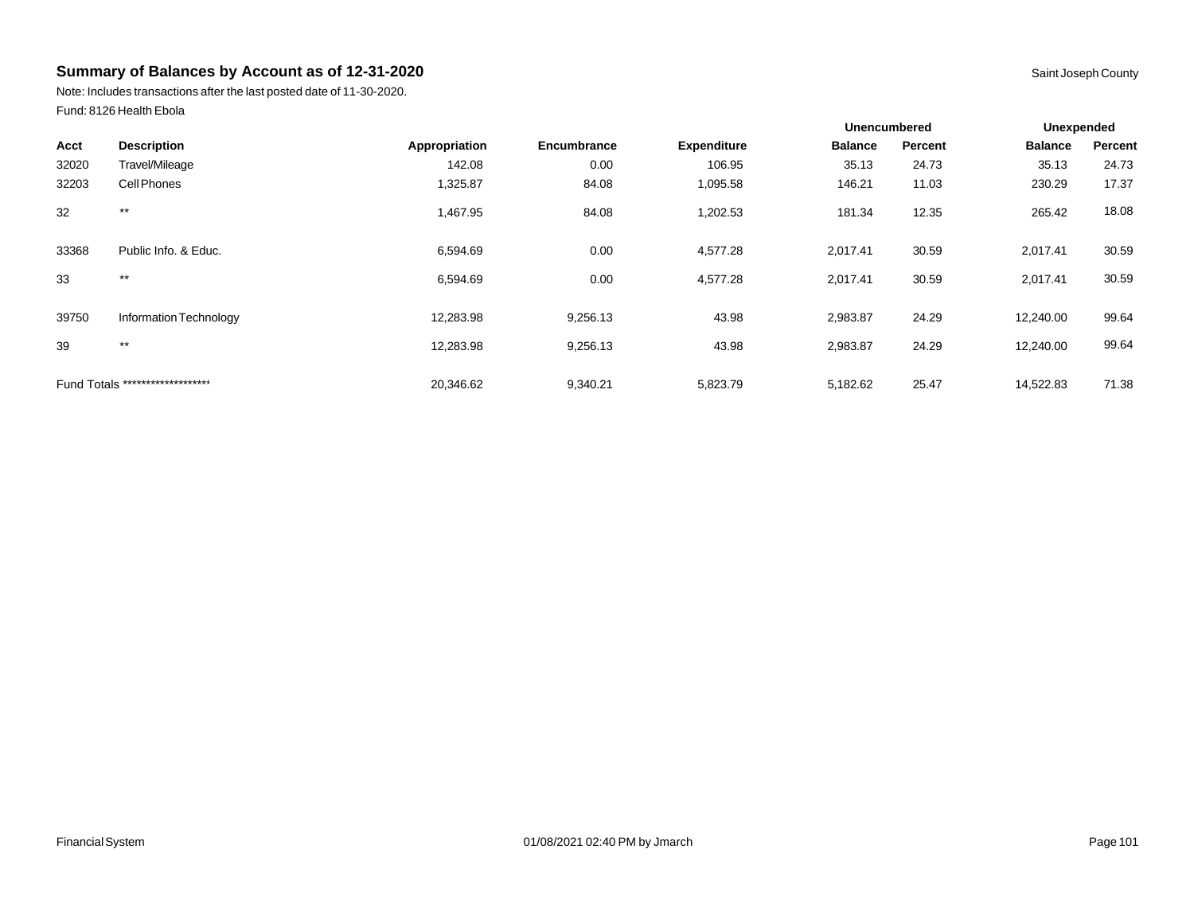Note: Includes transactions after the last posted date of 11-30-2020. Fund: 8126 Health Ebola

|       |                                  |               |             |                    |                | <b>Unencumbered</b> |                | <b>Unexpended</b> |  |
|-------|----------------------------------|---------------|-------------|--------------------|----------------|---------------------|----------------|-------------------|--|
| Acct  | <b>Description</b>               | Appropriation | Encumbrance | <b>Expenditure</b> | <b>Balance</b> | Percent             | <b>Balance</b> | Percent           |  |
| 32020 | Travel/Mileage                   | 142.08        | 0.00        | 106.95             | 35.13          | 24.73               | 35.13          | 24.73             |  |
| 32203 | Cell Phones                      | 1,325.87      | 84.08       | 1,095.58           | 146.21         | 11.03               | 230.29         | 17.37             |  |
| 32    | $***$                            | 1,467.95      | 84.08       | 1,202.53           | 181.34         | 12.35               | 265.42         | 18.08             |  |
| 33368 | Public Info. & Educ.             | 6,594.69      | 0.00        | 4,577.28           | 2,017.41       | 30.59               | 2,017.41       | 30.59             |  |
| 33    | $***$                            | 6,594.69      | 0.00        | 4,577.28           | 2,017.41       | 30.59               | 2,017.41       | 30.59             |  |
| 39750 | Information Technology           | 12,283.98     | 9,256.13    | 43.98              | 2,983.87       | 24.29               | 12,240.00      | 99.64             |  |
| 39    | $***$                            | 12,283.98     | 9,256.13    | 43.98              | 2,983.87       | 24.29               | 12,240.00      | 99.64             |  |
|       | Fund Totals ******************** | 20,346.62     | 9,340.21    | 5,823.79           | 5,182.62       | 25.47               | 14,522.83      | 71.38             |  |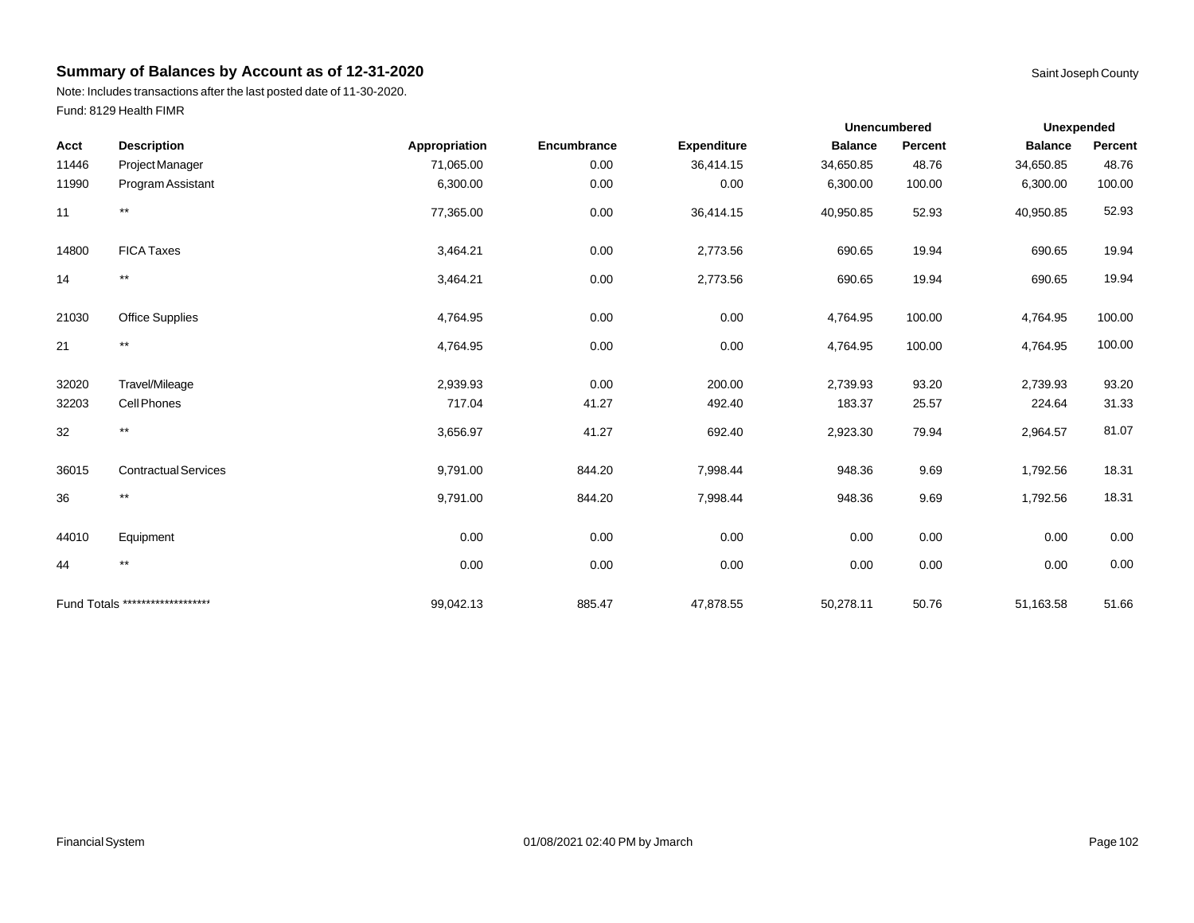Note: Includes transactions after the last posted date of 11-30-2020. Fund: 8129 Health FIMR

|       |                                  |               |             |                    |                | <b>Unencumbered</b> | <b>Unexpended</b> |         |
|-------|----------------------------------|---------------|-------------|--------------------|----------------|---------------------|-------------------|---------|
| Acct  | <b>Description</b>               | Appropriation | Encumbrance | <b>Expenditure</b> | <b>Balance</b> | Percent             | <b>Balance</b>    | Percent |
| 11446 | Project Manager                  | 71,065.00     | 0.00        | 36,414.15          | 34,650.85      | 48.76               | 34,650.85         | 48.76   |
| 11990 | Program Assistant                | 6,300.00      | 0.00        | 0.00               | 6,300.00       | 100.00              | 6,300.00          | 100.00  |
| 11    | $***$                            | 77,365.00     | 0.00        | 36,414.15          | 40,950.85      | 52.93               | 40,950.85         | 52.93   |
| 14800 | <b>FICA Taxes</b>                | 3,464.21      | 0.00        | 2,773.56           | 690.65         | 19.94               | 690.65            | 19.94   |
| 14    | $^{\star\star}$                  | 3,464.21      | 0.00        | 2,773.56           | 690.65         | 19.94               | 690.65            | 19.94   |
| 21030 | <b>Office Supplies</b>           | 4,764.95      | 0.00        | 0.00               | 4,764.95       | 100.00              | 4,764.95          | 100.00  |
| 21    | $^{\star\star}$                  | 4,764.95      | 0.00        | 0.00               | 4,764.95       | 100.00              | 4,764.95          | 100.00  |
| 32020 | Travel/Mileage                   | 2,939.93      | 0.00        | 200.00             | 2,739.93       | 93.20               | 2,739.93          | 93.20   |
| 32203 | Cell Phones                      | 717.04        | 41.27       | 492.40             | 183.37         | 25.57               | 224.64            | 31.33   |
| 32    | $^{\star\star}$                  | 3,656.97      | 41.27       | 692.40             | 2,923.30       | 79.94               | 2,964.57          | 81.07   |
| 36015 | <b>Contractual Services</b>      | 9,791.00      | 844.20      | 7,998.44           | 948.36         | 9.69                | 1,792.56          | 18.31   |
| 36    | $^{\star\star}$                  | 9,791.00      | 844.20      | 7,998.44           | 948.36         | 9.69                | 1,792.56          | 18.31   |
| 44010 | Equipment                        | 0.00          | 0.00        | 0.00               | 0.00           | 0.00                | 0.00              | 0.00    |
| 44    | $^{\star\star}$                  | 0.00          | 0.00        | 0.00               | 0.00           | 0.00                | 0.00              | 0.00    |
|       | Fund Totals ******************** | 99,042.13     | 885.47      | 47,878.55          | 50,278.11      | 50.76               | 51,163.58         | 51.66   |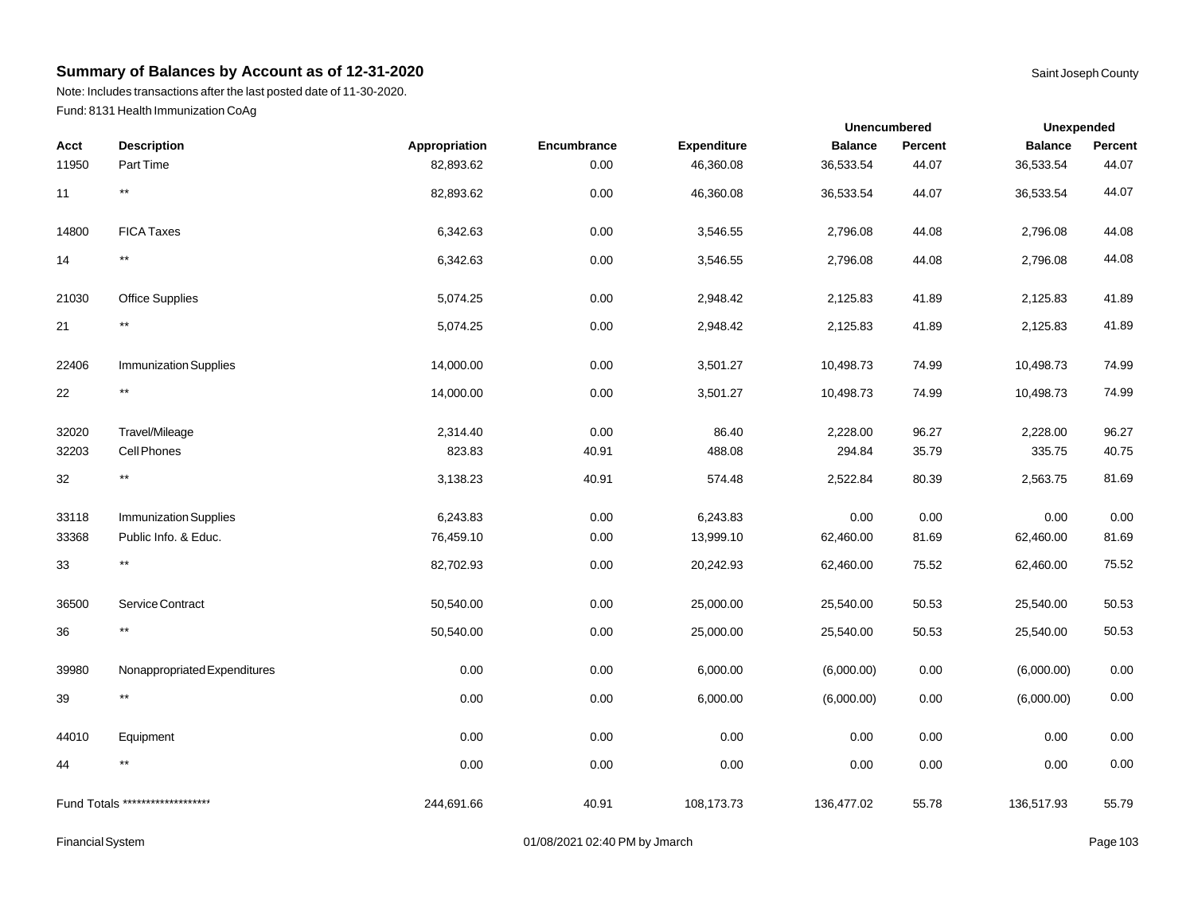Note: Includes transactions after the last posted date of 11-30-2020. Fund: 8131 Health Immunization CoAg

|       |                                  |               |             |                    |                | <b>Unencumbered</b> | Unexpended     |          |
|-------|----------------------------------|---------------|-------------|--------------------|----------------|---------------------|----------------|----------|
| Acct  | <b>Description</b>               | Appropriation | Encumbrance | <b>Expenditure</b> | <b>Balance</b> | Percent             | <b>Balance</b> | Percent  |
| 11950 | Part Time                        | 82,893.62     | 0.00        | 46,360.08          | 36,533.54      | 44.07               | 36,533.54      | 44.07    |
| 11    | $***$                            | 82,893.62     | 0.00        | 46,360.08          | 36,533.54      | 44.07               | 36,533.54      | 44.07    |
| 14800 | <b>FICA Taxes</b>                | 6,342.63      | 0.00        | 3,546.55           | 2,796.08       | 44.08               | 2,796.08       | 44.08    |
| 14    | $^{\star\star}$                  | 6,342.63      | 0.00        | 3,546.55           | 2,796.08       | 44.08               | 2,796.08       | 44.08    |
| 21030 | <b>Office Supplies</b>           | 5,074.25      | 0.00        | 2,948.42           | 2,125.83       | 41.89               | 2,125.83       | 41.89    |
| 21    | $^{\star\star}$                  | 5,074.25      | 0.00        | 2,948.42           | 2,125.83       | 41.89               | 2,125.83       | 41.89    |
| 22406 | <b>Immunization Supplies</b>     | 14,000.00     | 0.00        | 3,501.27           | 10,498.73      | 74.99               | 10,498.73      | 74.99    |
| 22    | $^{\star\star}$                  | 14,000.00     | 0.00        | 3,501.27           | 10,498.73      | 74.99               | 10,498.73      | 74.99    |
| 32020 | Travel/Mileage                   | 2,314.40      | 0.00        | 86.40              | 2,228.00       | 96.27               | 2,228.00       | 96.27    |
| 32203 | Cell Phones                      | 823.83        | 40.91       | 488.08             | 294.84         | 35.79               | 335.75         | 40.75    |
| 32    | $^{\star\star}$                  | 3,138.23      | 40.91       | 574.48             | 2,522.84       | 80.39               | 2,563.75       | 81.69    |
| 33118 | <b>Immunization Supplies</b>     | 6,243.83      | 0.00        | 6,243.83           | 0.00           | 0.00                | 0.00           | 0.00     |
| 33368 | Public Info. & Educ.             | 76,459.10     | 0.00        | 13,999.10          | 62,460.00      | 81.69               | 62,460.00      | 81.69    |
| 33    | $^{\star\star}$                  | 82,702.93     | 0.00        | 20,242.93          | 62,460.00      | 75.52               | 62,460.00      | 75.52    |
| 36500 | Service Contract                 | 50,540.00     | 0.00        | 25,000.00          | 25,540.00      | 50.53               | 25,540.00      | 50.53    |
| 36    | $^{\star\star}$                  | 50,540.00     | 0.00        | 25,000.00          | 25,540.00      | 50.53               | 25,540.00      | 50.53    |
| 39980 | Nonappropriated Expenditures     | 0.00          | 0.00        | 6,000.00           | (6,000.00)     | $0.00\,$            | (6,000.00)     | 0.00     |
| 39    | $^{\star\star}$                  | 0.00          | 0.00        | 6,000.00           | (6,000.00)     | $0.00\,$            | (6,000.00)     | $0.00\,$ |
| 44010 | Equipment                        | 0.00          | 0.00        | 0.00               | 0.00           | 0.00                | 0.00           | 0.00     |
| 44    | $***$                            | 0.00          | 0.00        | 0.00               | 0.00           | 0.00                | 0.00           | 0.00     |
|       | Fund Totals ******************** | 244,691.66    | 40.91       | 108,173.73         | 136,477.02     | 55.78               | 136,517.93     | 55.79    |

Financial System **Example 2019** 2021 02:40 PM by Jmarch **Page 103** 2021 02:40 PM by Jmarch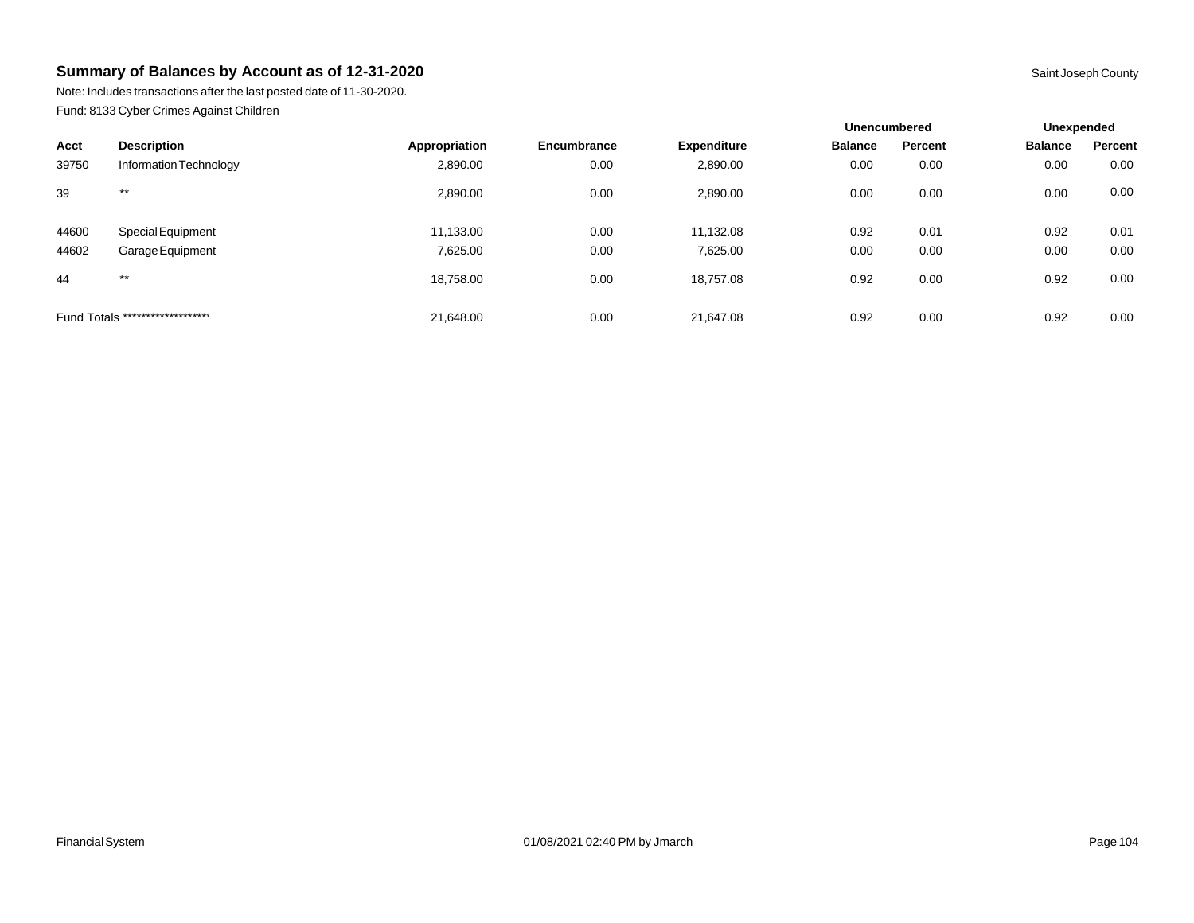Note: Includes transactions after the last posted date of 11-30-2020. Fund: 8133 Cyber Crimes Against Children

|       |                                  |               |             |                    | <b>Unencumbered</b> |         | Unexpended     |         |
|-------|----------------------------------|---------------|-------------|--------------------|---------------------|---------|----------------|---------|
| Acct  | <b>Description</b>               | Appropriation | Encumbrance | <b>Expenditure</b> | <b>Balance</b>      | Percent | <b>Balance</b> | Percent |
| 39750 | Information Technology           | 2,890.00      | 0.00        | 2,890.00           | 0.00                | 0.00    | 0.00           | 0.00    |
| 39    | $***$                            | 2,890.00      | 0.00        | 2,890.00           | 0.00                | 0.00    | 0.00           | 0.00    |
| 44600 | <b>Special Equipment</b>         | 11,133.00     | 0.00        | 11,132.08          | 0.92                | 0.01    | 0.92           | 0.01    |
| 44602 | Garage Equipment                 | 7,625.00      | 0.00        | 7,625.00           | 0.00                | 0.00    | 0.00           | 0.00    |
| 44    | $***$                            | 18,758.00     | 0.00        | 18,757.08          | 0.92                | 0.00    | 0.92           | 0.00    |
|       | Fund Totals ******************** | 21.648.00     | 0.00        | 21.647.08          | 0.92                | 0.00    | 0.92           | 0.00    |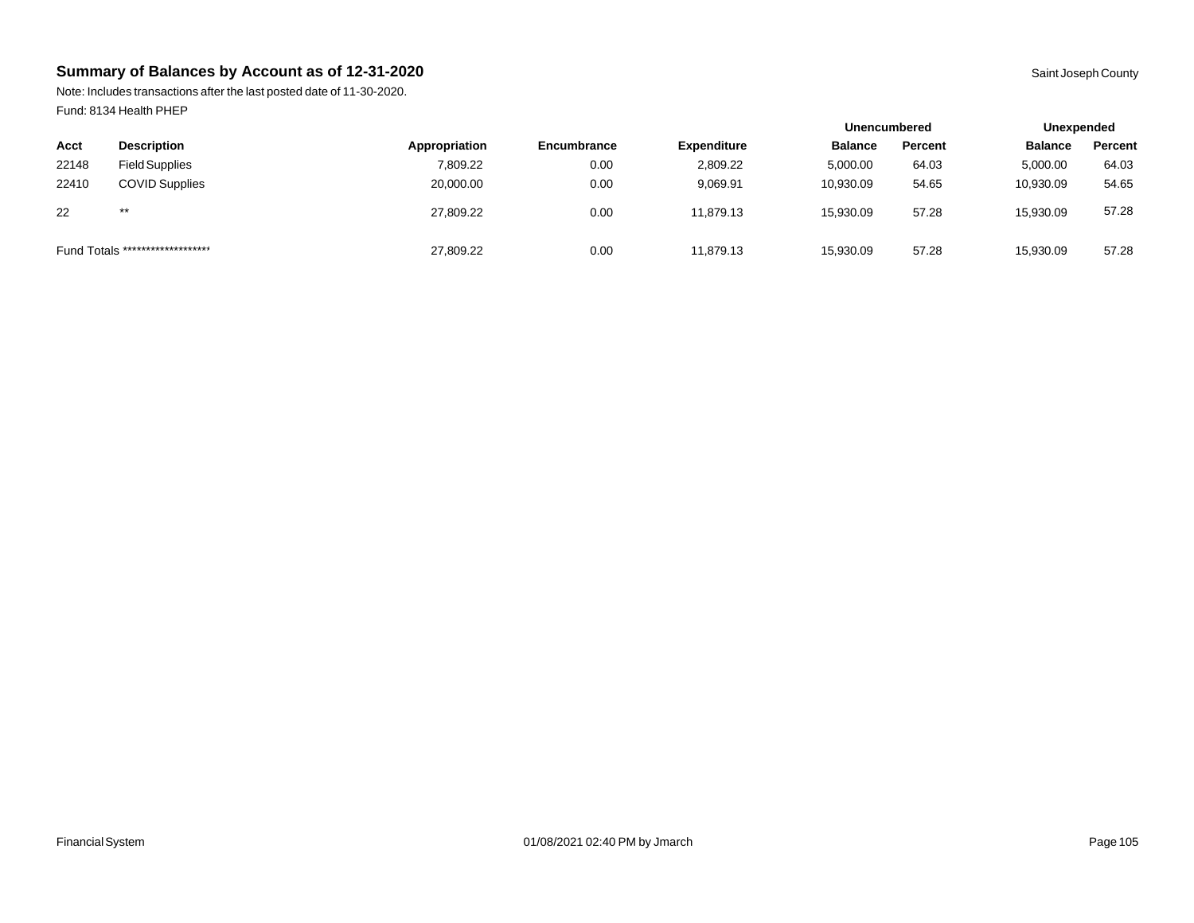Note: Includes transactions after the last posted date of 11-30-2020. Fund: 8134 Health PHEP

|                                  |                       |               |                    |                    | <b>Unencumbered</b> |         | Unexpended     |         |
|----------------------------------|-----------------------|---------------|--------------------|--------------------|---------------------|---------|----------------|---------|
| Acct                             | <b>Description</b>    | Appropriation | <b>Encumbrance</b> | <b>Expenditure</b> | <b>Balance</b>      | Percent | <b>Balance</b> | Percent |
| 22148                            | <b>Field Supplies</b> | 7.809.22      | 0.00               | 2,809.22           | 5,000.00            | 64.03   | 5,000.00       | 64.03   |
| 22410                            | <b>COVID Supplies</b> | 20,000.00     | 0.00               | 9,069.91           | 10,930.09           | 54.65   | 10,930.09      | 54.65   |
| 22                               | $***$                 | 27,809.22     | 0.00               | 11.879.13          | 15,930.09           | 57.28   | 15,930.09      | 57.28   |
| Fund Totals ******************** |                       | 27,809.22     | 0.00               | 11,879.13          | 15,930.09           | 57.28   | 15,930.09      | 57.28   |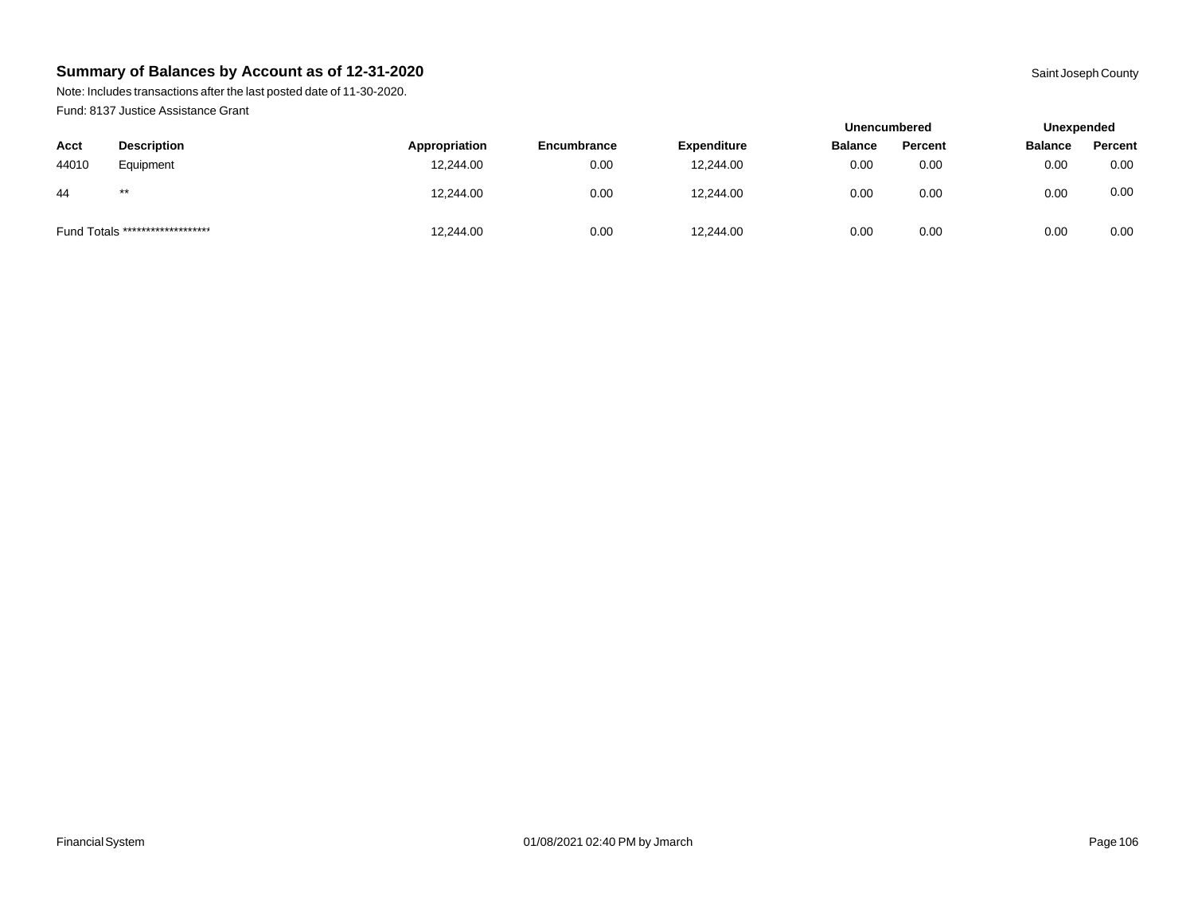Note: Includes transactions after the last posted date of 11-30-2020. Fund: 8137 Justice Assistance Grant

|       |                                  |               |             |                    | <b>Unencumbered</b> |         | Unexpended     |         |
|-------|----------------------------------|---------------|-------------|--------------------|---------------------|---------|----------------|---------|
| Acct  | <b>Description</b>               | Appropriation | Encumbrance | <b>Expenditure</b> | <b>Balance</b>      | Percent | <b>Balance</b> | Percent |
| 44010 | Equipment                        | 12.244.00     | 0.00        | 12,244.00          | 0.00                | 0.00    | 0.00           | 0.00    |
| -44   | $***$                            | 12,244.00     | 0.00        | 12,244.00          | 0.00                | 0.00    | 0.00           | 0.00    |
|       | Fund Totals ******************** | 12,244.00     | 0.00        | 12,244.00          | 0.00                | 0.00    | 0.00           | 0.00    |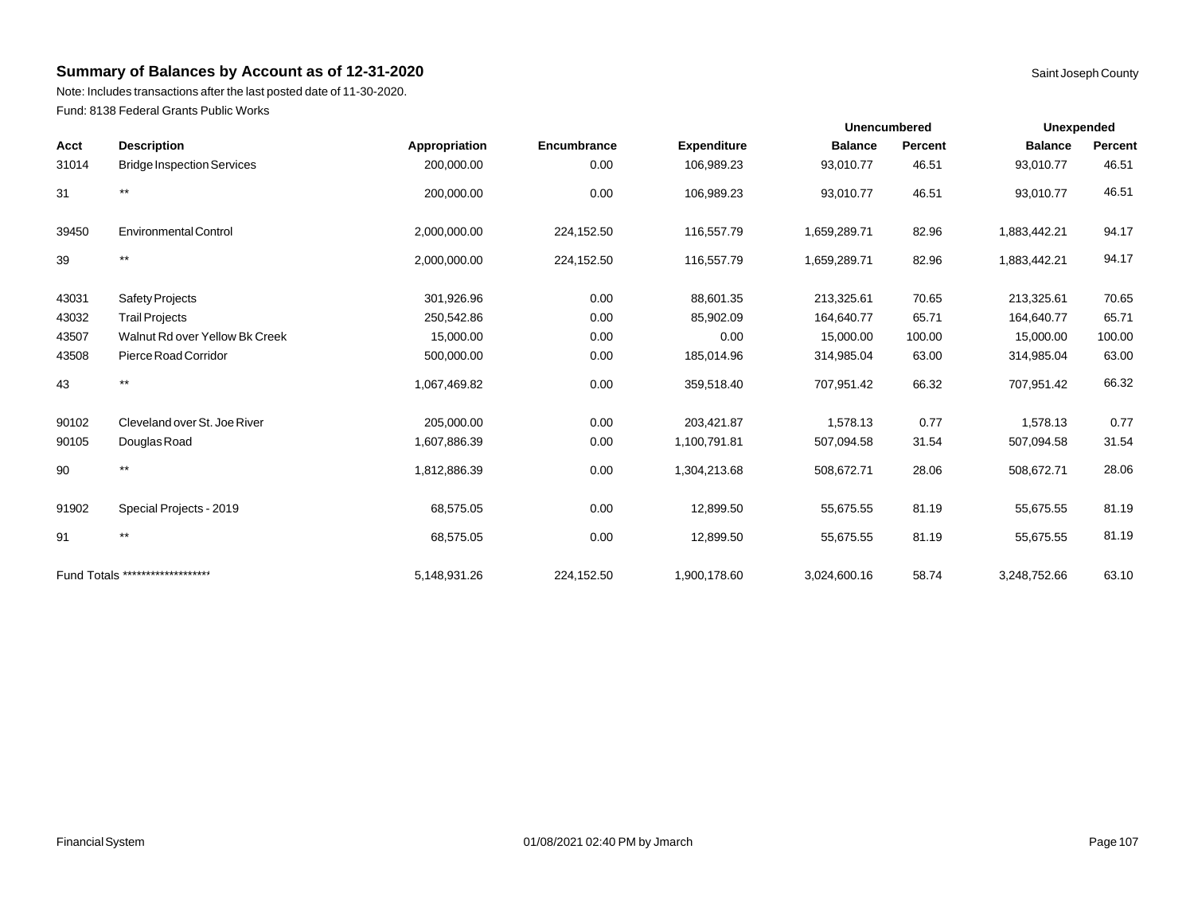Note: Includes transactions after the last posted date of 11-30-2020. Fund: 8138 Federal Grants Public Works

|       |                                   |               |             |                    | <b>Unencumbered</b> |                | <b>Unexpended</b> |         |
|-------|-----------------------------------|---------------|-------------|--------------------|---------------------|----------------|-------------------|---------|
| Acct  | <b>Description</b>                | Appropriation | Encumbrance | <b>Expenditure</b> | <b>Balance</b>      | <b>Percent</b> | <b>Balance</b>    | Percent |
| 31014 | <b>Bridge Inspection Services</b> | 200,000.00    | 0.00        | 106,989.23         | 93,010.77           | 46.51          | 93,010.77         | 46.51   |
| 31    | $***$                             | 200,000.00    | 0.00        | 106,989.23         | 93,010.77           | 46.51          | 93,010.77         | 46.51   |
| 39450 | <b>Environmental Control</b>      | 2,000,000.00  | 224,152.50  | 116,557.79         | 1,659,289.71        | 82.96          | 1,883,442.21      | 94.17   |
| 39    | $***$                             | 2,000,000.00  | 224,152.50  | 116,557.79         | 1,659,289.71        | 82.96          | 1,883,442.21      | 94.17   |
| 43031 | <b>Safety Projects</b>            | 301,926.96    | 0.00        | 88,601.35          | 213,325.61          | 70.65          | 213,325.61        | 70.65   |
| 43032 | <b>Trail Projects</b>             | 250,542.86    | 0.00        | 85,902.09          | 164,640.77          | 65.71          | 164,640.77        | 65.71   |
| 43507 | Walnut Rd over Yellow Bk Creek    | 15,000.00     | 0.00        | 0.00               | 15,000.00           | 100.00         | 15,000.00         | 100.00  |
| 43508 | Pierce Road Corridor              | 500,000.00    | 0.00        | 185,014.96         | 314,985.04          | 63.00          | 314,985.04        | 63.00   |
| 43    | $***$                             | 1,067,469.82  | 0.00        | 359,518.40         | 707,951.42          | 66.32          | 707,951.42        | 66.32   |
| 90102 | Cleveland over St. Joe River      | 205,000.00    | 0.00        | 203,421.87         | 1,578.13            | 0.77           | 1,578.13          | 0.77    |
| 90105 | Douglas Road                      | 1,607,886.39  | 0.00        | 1,100,791.81       | 507,094.58          | 31.54          | 507,094.58        | 31.54   |
| 90    | $***$                             | 1,812,886.39  | 0.00        | 1,304,213.68       | 508,672.71          | 28.06          | 508,672.71        | 28.06   |
| 91902 | Special Projects - 2019           | 68,575.05     | 0.00        | 12,899.50          | 55,675.55           | 81.19          | 55,675.55         | 81.19   |
| 91    | $***$                             | 68,575.05     | 0.00        | 12,899.50          | 55,675.55           | 81.19          | 55,675.55         | 81.19   |
|       | Fund Totals ********************  | 5,148,931.26  | 224,152.50  | 1,900,178.60       | 3,024,600.16        | 58.74          | 3,248,752.66      | 63.10   |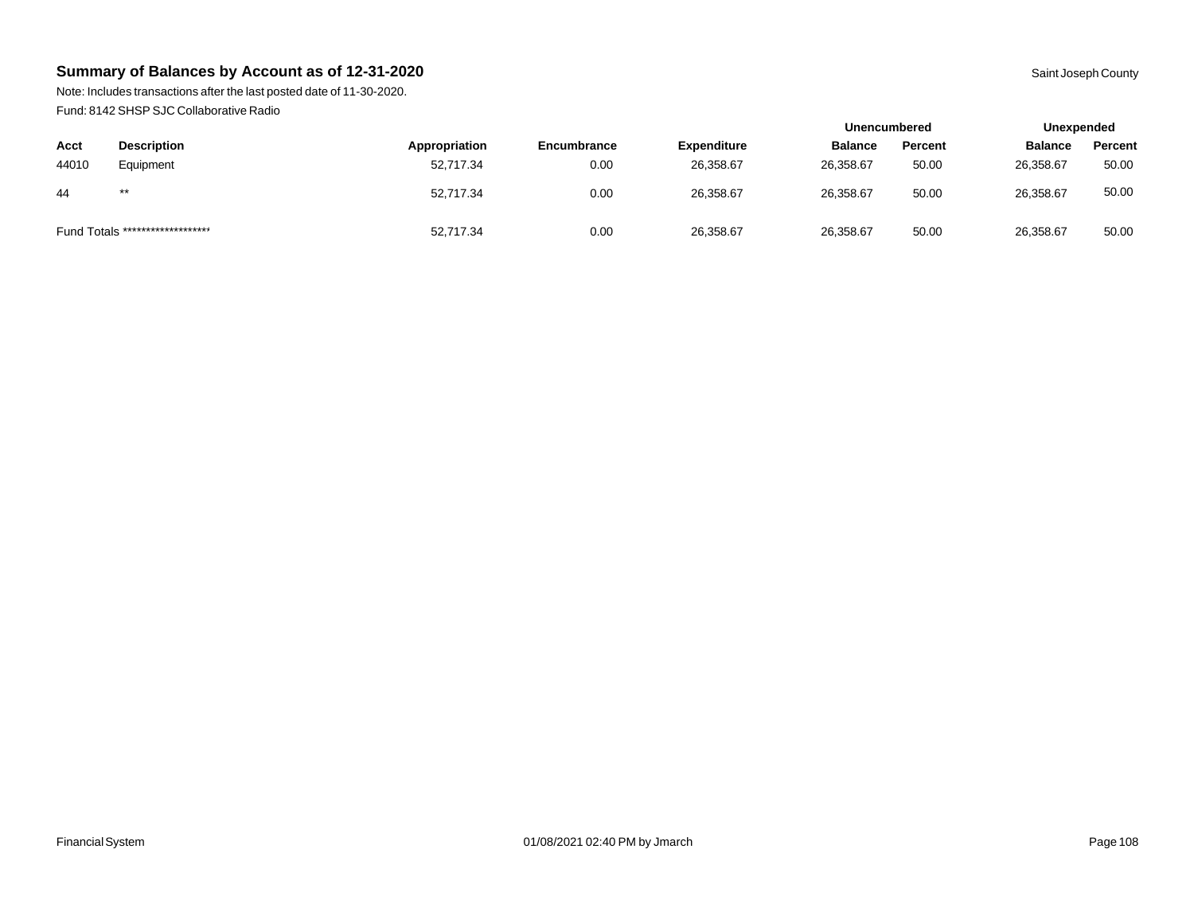Note: Includes transactions after the last posted date of 11-30-2020. Fund: 8142 SHSP SJC Collaborative Radio

|       |                                  |               |             |                    | <b>Unencumbered</b> |         | Unexpended     |         |
|-------|----------------------------------|---------------|-------------|--------------------|---------------------|---------|----------------|---------|
| Acct  | <b>Description</b>               | Appropriation | Encumbrance | <b>Expenditure</b> | <b>Balance</b>      | Percent | <b>Balance</b> | Percent |
| 44010 | Equipment                        | 52,717.34     | 0.00        | 26,358.67          | 26,358.67           | 50.00   | 26,358.67      | 50.00   |
| 44    | $***$                            | 52,717.34     | 0.00        | 26,358.67          | 26,358.67           | 50.00   | 26,358.67      | 50.00   |
|       | Fund Totals ******************** | 52,717.34     | 0.00        | 26,358.67          | 26,358.67           | 50.00   | 26,358.67      | 50.00   |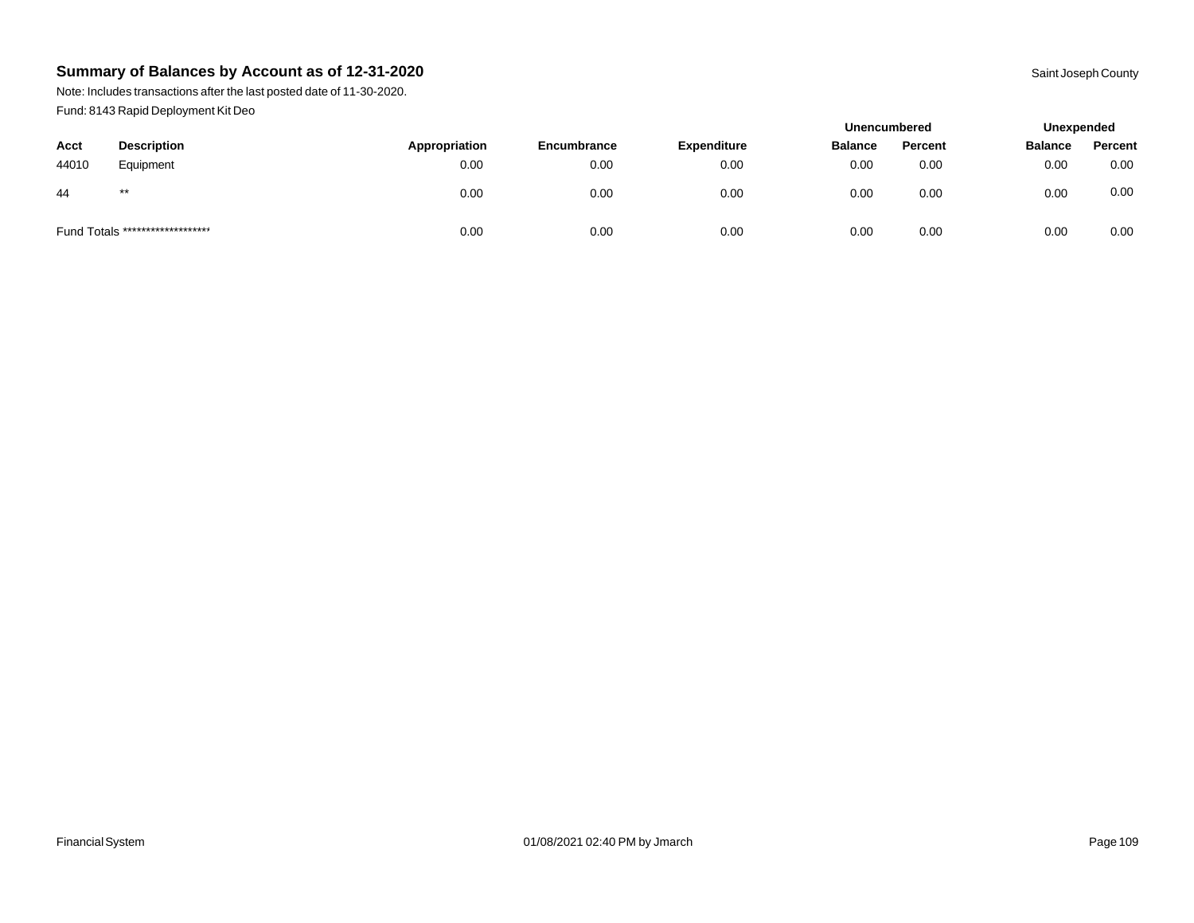Note: Includes transactions after the last posted date of 11-30-2020. Fund: 8143 Rapid Deployment Kit Deo

|       |                                  |               |                    |                    | <b>Unencumbered</b> |         | Unexpended     |         |
|-------|----------------------------------|---------------|--------------------|--------------------|---------------------|---------|----------------|---------|
| Acct  | <b>Description</b>               | Appropriation | <b>Encumbrance</b> | <b>Expenditure</b> | <b>Balance</b>      | Percent | <b>Balance</b> | Percent |
| 44010 | Equipment                        | 0.00          | 0.00               | 0.00               | 0.00                | 0.00    | 0.00           | 0.00    |
| 44    | $***$                            | 0.00          | 0.00               | 0.00               | 0.00                | 0.00    | 0.00           | 0.00    |
|       | Fund Totals ******************** | 0.00          | 0.00               | 0.00               | 0.00                | 0.00    | 0.00           | 0.00    |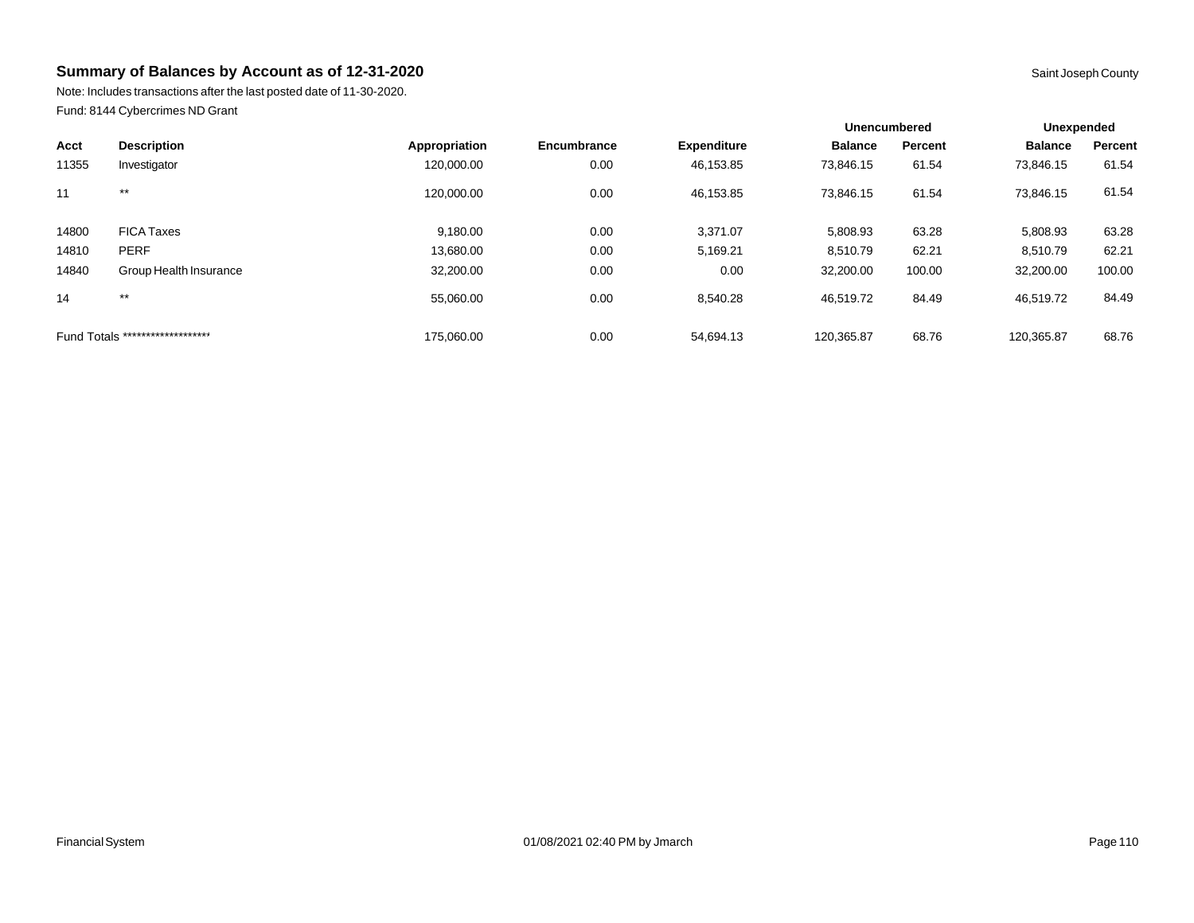Note: Includes transactions after the last posted date of 11-30-2020. Fund: 8144 Cybercrimes ND Grant

|       |                                  |               |             |                    | <b>Unencumbered</b> |                | Unexpended     |         |
|-------|----------------------------------|---------------|-------------|--------------------|---------------------|----------------|----------------|---------|
| Acct  | <b>Description</b>               | Appropriation | Encumbrance | <b>Expenditure</b> | <b>Balance</b>      | <b>Percent</b> | <b>Balance</b> | Percent |
| 11355 | Investigator                     | 120,000.00    | 0.00        | 46,153.85          | 73,846.15           | 61.54          | 73,846.15      | 61.54   |
| 11    | $***$                            | 120.000.00    | 0.00        | 46,153.85          | 73,846.15           | 61.54          | 73,846.15      | 61.54   |
| 14800 | <b>FICA Taxes</b>                | 9,180.00      | 0.00        | 3,371.07           | 5,808.93            | 63.28          | 5,808.93       | 63.28   |
| 14810 | <b>PERF</b>                      | 13,680.00     | 0.00        | 5,169.21           | 8.510.79            | 62.21          | 8,510.79       | 62.21   |
| 14840 | Group Health Insurance           | 32,200.00     | 0.00        | 0.00               | 32,200.00           | 100.00         | 32,200.00      | 100.00  |
| 14    | $***$                            | 55.060.00     | 0.00        | 8.540.28           | 46.519.72           | 84.49          | 46,519.72      | 84.49   |
|       | Fund Totals ******************** | 175.060.00    | 0.00        | 54,694.13          | 120.365.87          | 68.76          | 120.365.87     | 68.76   |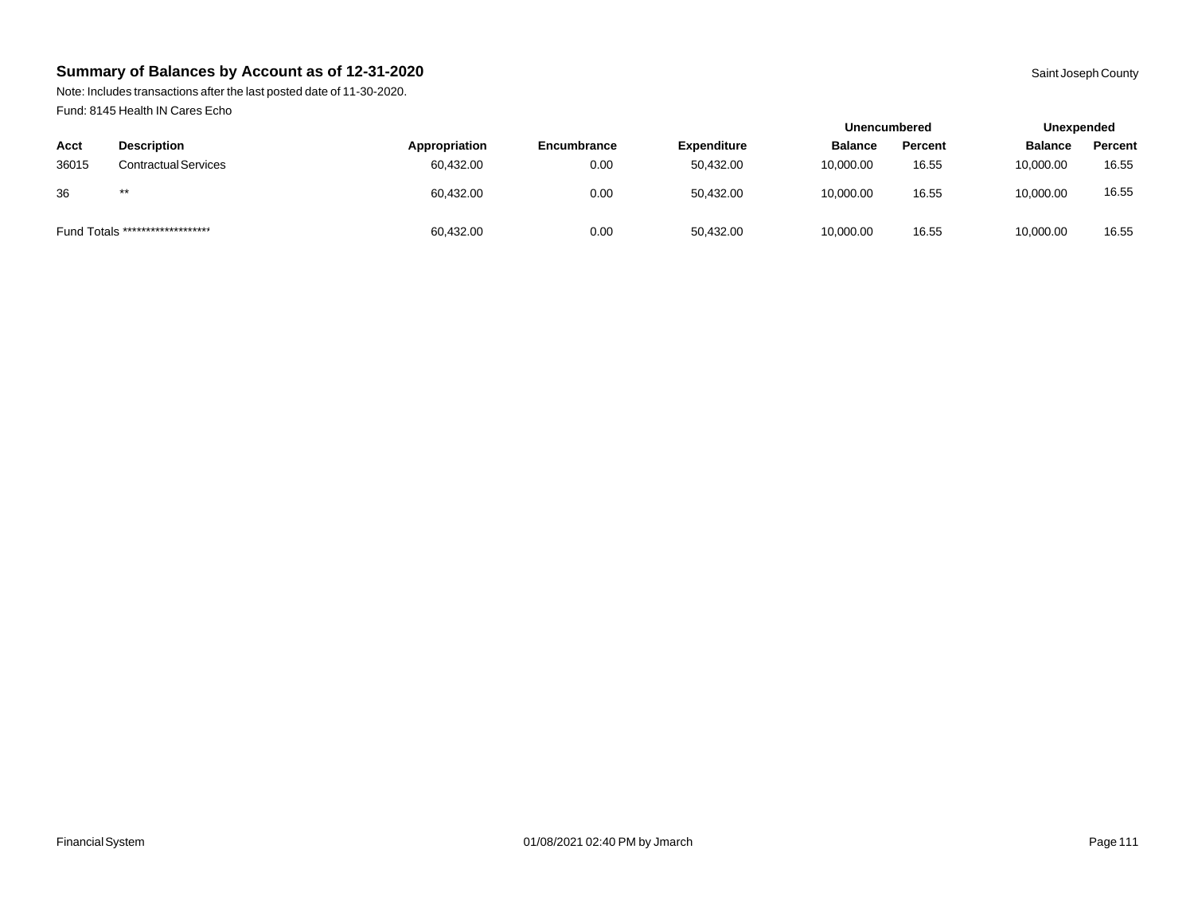Note: Includes transactions after the last posted date of 11-30-2020. Fund: 8145 Health IN Cares Echo

|       |                                  |               |             |                    | Unencumbered   |         | Unexpended     |         |
|-------|----------------------------------|---------------|-------------|--------------------|----------------|---------|----------------|---------|
| Acct  | <b>Description</b>               | Appropriation | Encumbrance | <b>Expenditure</b> | <b>Balance</b> | Percent | <b>Balance</b> | Percent |
| 36015 | <b>Contractual Services</b>      | 60,432.00     | 0.00        | 50,432.00          | 10,000.00      | 16.55   | 10,000.00      | 16.55   |
| 36    | $***$                            | 60,432.00     | 0.00        | 50,432.00          | 10,000.00      | 16.55   | 10,000.00      | 16.55   |
|       | Fund Totals ******************** | 60,432.00     | 0.00        | 50,432.00          | 10,000.00      | 16.55   | 10,000.00      | 16.55   |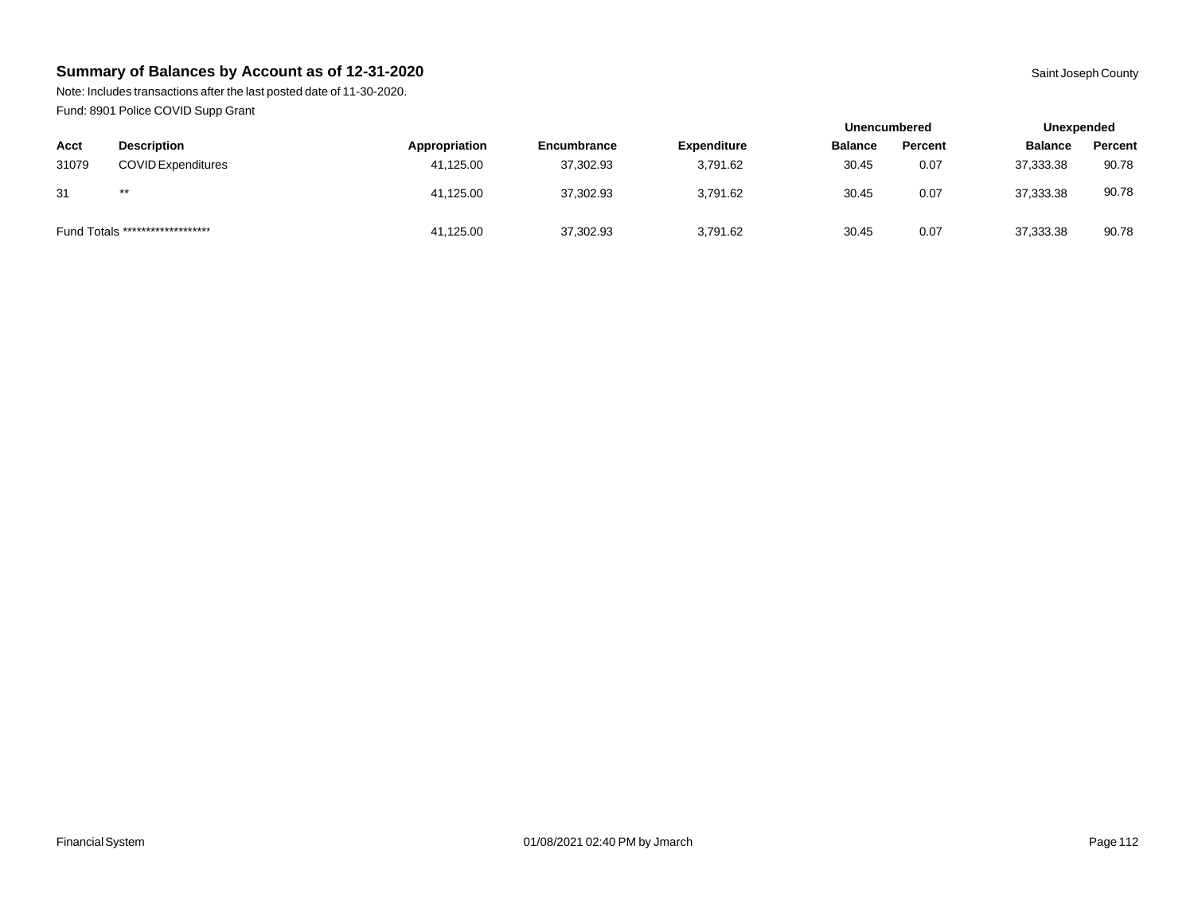Note: Includes transactions after the last posted date of 11-30-2020. Fund: 8901 Police COVID Supp Grant

|       |                                  |               |             |                    | <b>Unencumbered</b> |         | Unexpended     |         |
|-------|----------------------------------|---------------|-------------|--------------------|---------------------|---------|----------------|---------|
| Acct  | <b>Description</b>               | Appropriation | Encumbrance | <b>Expenditure</b> | <b>Balance</b>      | Percent | <b>Balance</b> | Percent |
| 31079 | <b>COVID Expenditures</b>        | 41,125.00     | 37,302.93   | 3.791.62           | 30.45               | 0.07    | 37,333.38      | 90.78   |
| 31    | $***$                            | 41,125.00     | 37,302.93   | 3,791.62           | 30.45               | 0.07    | 37,333.38      | 90.78   |
|       | Fund Totals ******************** | 41,125.00     | 37,302.93   | 3,791.62           | 30.45               | 0.07    | 37,333.38      | 90.78   |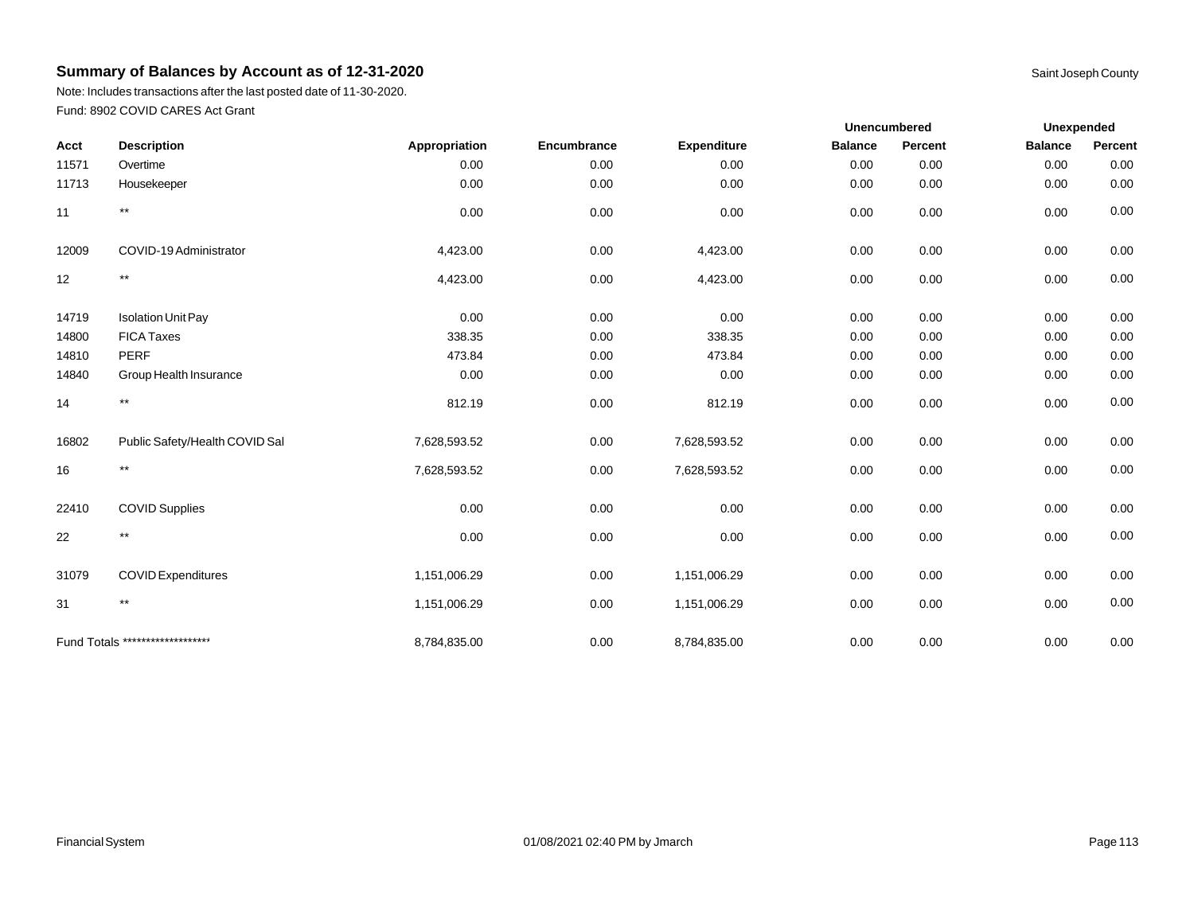Note: Includes transactions after the last posted date of 11-30-2020. Fund: 8902 COVID CARES Act Grant

|       |                                  |               |             |                    | Unencumbered   |         | <b>Unexpended</b> |         |  |
|-------|----------------------------------|---------------|-------------|--------------------|----------------|---------|-------------------|---------|--|
| Acct  | <b>Description</b>               | Appropriation | Encumbrance | <b>Expenditure</b> | <b>Balance</b> | Percent | <b>Balance</b>    | Percent |  |
| 11571 | Overtime                         | 0.00          | 0.00        | 0.00               | 0.00           | 0.00    | 0.00              | 0.00    |  |
| 11713 | Housekeeper                      | 0.00          | 0.00        | 0.00               | 0.00           | 0.00    | 0.00              | 0.00    |  |
| 11    | $***$                            | 0.00          | 0.00        | 0.00               | 0.00           | 0.00    | 0.00              | 0.00    |  |
| 12009 | COVID-19 Administrator           | 4,423.00      | 0.00        | 4,423.00           | 0.00           | 0.00    | 0.00              | 0.00    |  |
| 12    | $\star\star$                     | 4,423.00      | 0.00        | 4,423.00           | 0.00           | 0.00    | 0.00              | 0.00    |  |
| 14719 | <b>Isolation Unit Pay</b>        | 0.00          | 0.00        | 0.00               | 0.00           | 0.00    | 0.00              | 0.00    |  |
| 14800 | <b>FICA Taxes</b>                | 338.35        | 0.00        | 338.35             | 0.00           | 0.00    | 0.00              | 0.00    |  |
| 14810 | <b>PERF</b>                      | 473.84        | 0.00        | 473.84             | 0.00           | 0.00    | 0.00              | 0.00    |  |
| 14840 | Group Health Insurance           | 0.00          | 0.00        | 0.00               | 0.00           | 0.00    | 0.00              | 0.00    |  |
| 14    | $^{\star\star}$                  | 812.19        | 0.00        | 812.19             | 0.00           | 0.00    | 0.00              | 0.00    |  |
| 16802 | Public Safety/Health COVID Sal   | 7,628,593.52  | 0.00        | 7,628,593.52       | 0.00           | 0.00    | 0.00              | 0.00    |  |
| 16    | $^{\star\star}$                  | 7,628,593.52  | 0.00        | 7,628,593.52       | 0.00           | 0.00    | 0.00              | 0.00    |  |
| 22410 | <b>COVID Supplies</b>            | 0.00          | 0.00        | 0.00               | 0.00           | 0.00    | 0.00              | 0.00    |  |
| 22    | $^{\star\star}$                  | 0.00          | 0.00        | 0.00               | 0.00           | 0.00    | 0.00              | 0.00    |  |
| 31079 | <b>COVID Expenditures</b>        | 1,151,006.29  | 0.00        | 1,151,006.29       | 0.00           | 0.00    | 0.00              | 0.00    |  |
| 31    | $***$                            | 1,151,006.29  | 0.00        | 1,151,006.29       | 0.00           | 0.00    | 0.00              | 0.00    |  |
|       | Fund Totals ******************** | 8,784,835.00  | 0.00        | 8,784,835.00       | 0.00           | 0.00    | 0.00              | 0.00    |  |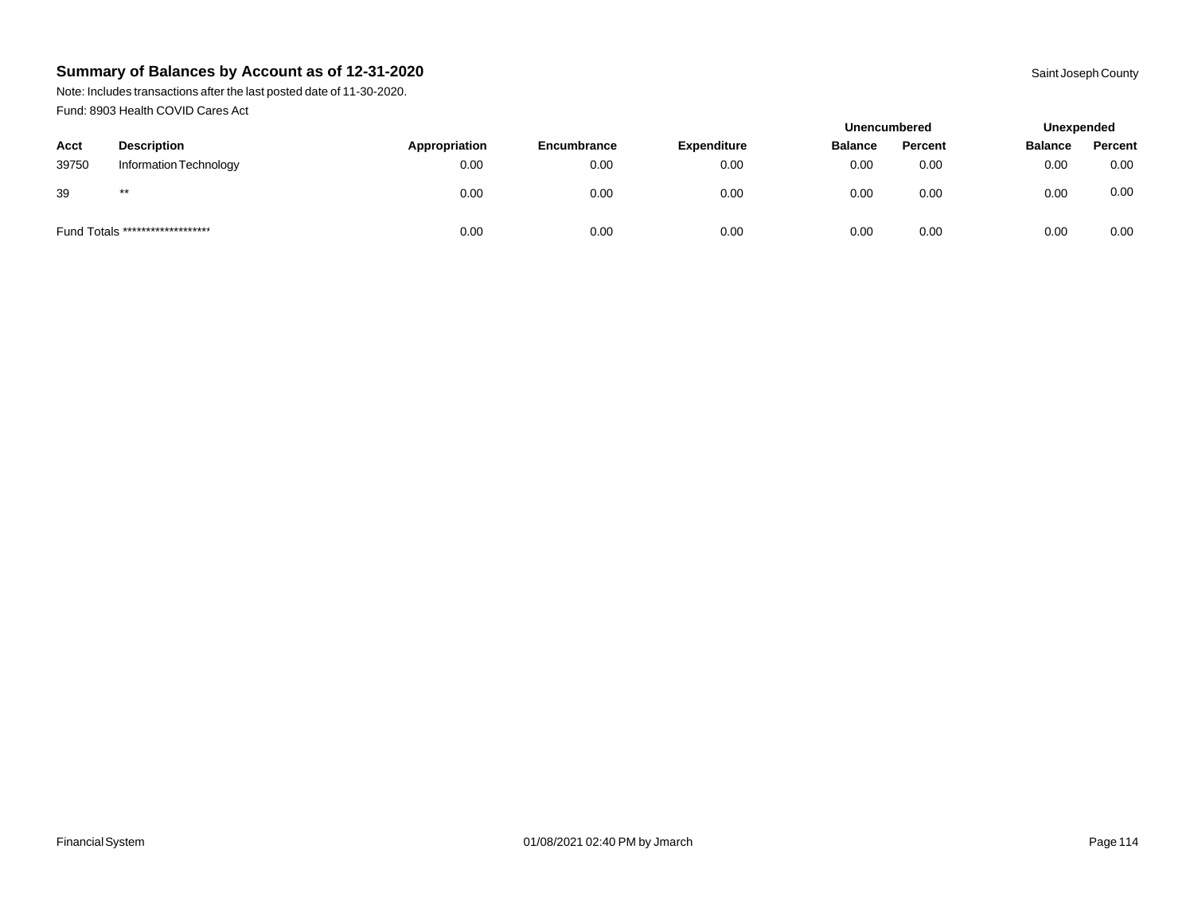Note: Includes transactions after the last posted date of 11-30-2020. Fund: 8903 Health COVID Cares Act

|       |                                  |               |                    |                    | <b>Unencumbered</b> |         | Unexpended     |         |
|-------|----------------------------------|---------------|--------------------|--------------------|---------------------|---------|----------------|---------|
| Acct  | <b>Description</b>               | Appropriation | <b>Encumbrance</b> | <b>Expenditure</b> | <b>Balance</b>      | Percent | <b>Balance</b> | Percent |
| 39750 | Information Technology           | 0.00          | 0.00               | 0.00               | 0.00                | 0.00    | 0.00           | 0.00    |
| 39    | $***$                            | 0.00          | 0.00               | 0.00               | 0.00                | 0.00    | 0.00           | 0.00    |
|       | Fund Totals ******************** | 0.00          | 0.00               | 0.00               | 0.00                | 0.00    | 0.00           | 0.00    |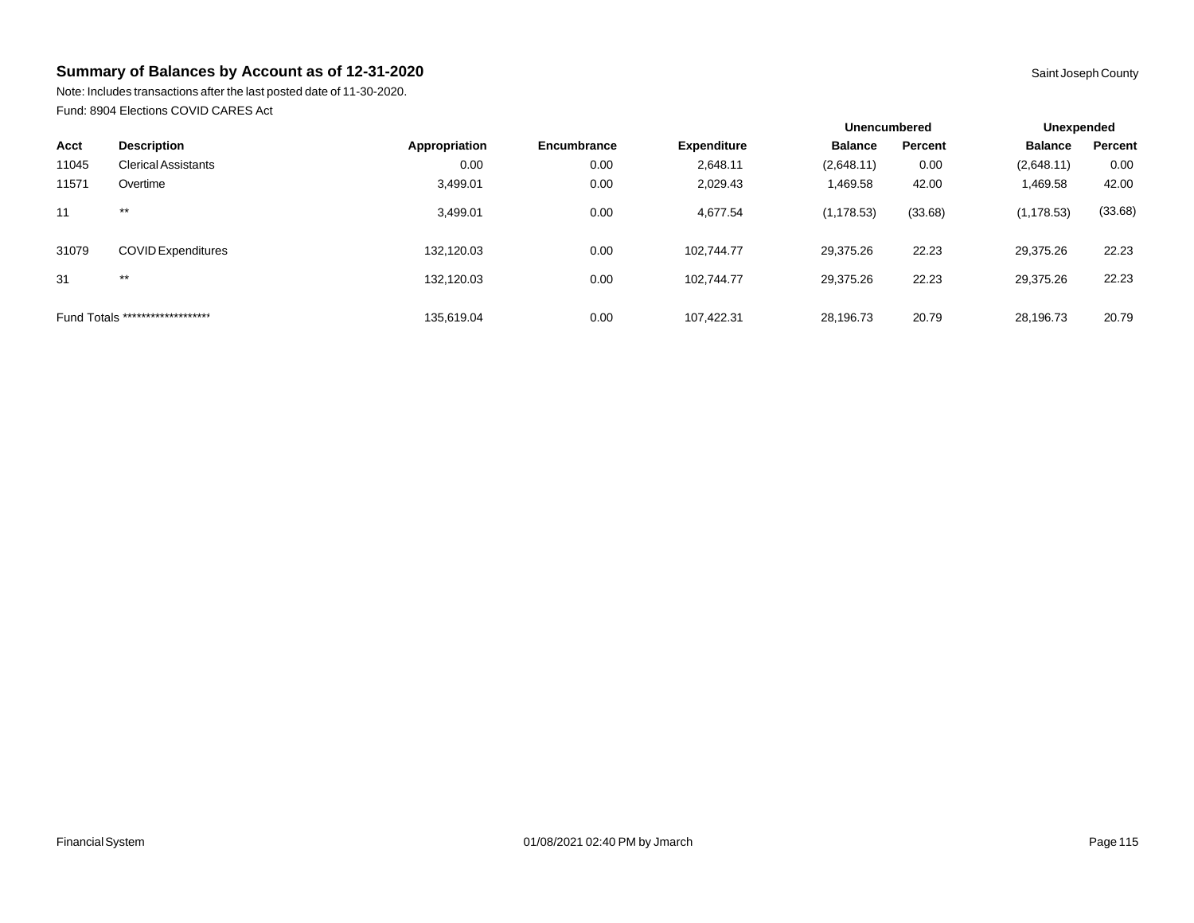Note: Includes transactions after the last posted date of 11-30-2020. Fund: 8904 Elections COVID CARES Act

|       |                                  |               |             |                    | <b>Unencumbered</b> |         | Unexpended     |         |
|-------|----------------------------------|---------------|-------------|--------------------|---------------------|---------|----------------|---------|
| Acct  | <b>Description</b>               | Appropriation | Encumbrance | <b>Expenditure</b> | <b>Balance</b>      | Percent | <b>Balance</b> | Percent |
| 11045 | <b>Clerical Assistants</b>       | 0.00          | 0.00        | 2,648.11           | (2,648.11)          | 0.00    | (2,648.11)     | 0.00    |
| 11571 | Overtime                         | 3,499.01      | 0.00        | 2,029.43           | 1,469.58            | 42.00   | 1,469.58       | 42.00   |
| 11    | $***$                            | 3,499.01      | 0.00        | 4,677.54           | (1, 178.53)         | (33.68) | (1, 178.53)    | (33.68) |
| 31079 | <b>COVID Expenditures</b>        | 132,120.03    | 0.00        | 102.744.77         | 29,375.26           | 22.23   | 29,375.26      | 22.23   |
| 31    | $***$                            | 132.120.03    | 0.00        | 102.744.77         | 29.375.26           | 22.23   | 29,375.26      | 22.23   |
|       | Fund Totals ******************** | 135.619.04    | 0.00        | 107.422.31         | 28.196.73           | 20.79   | 28,196.73      | 20.79   |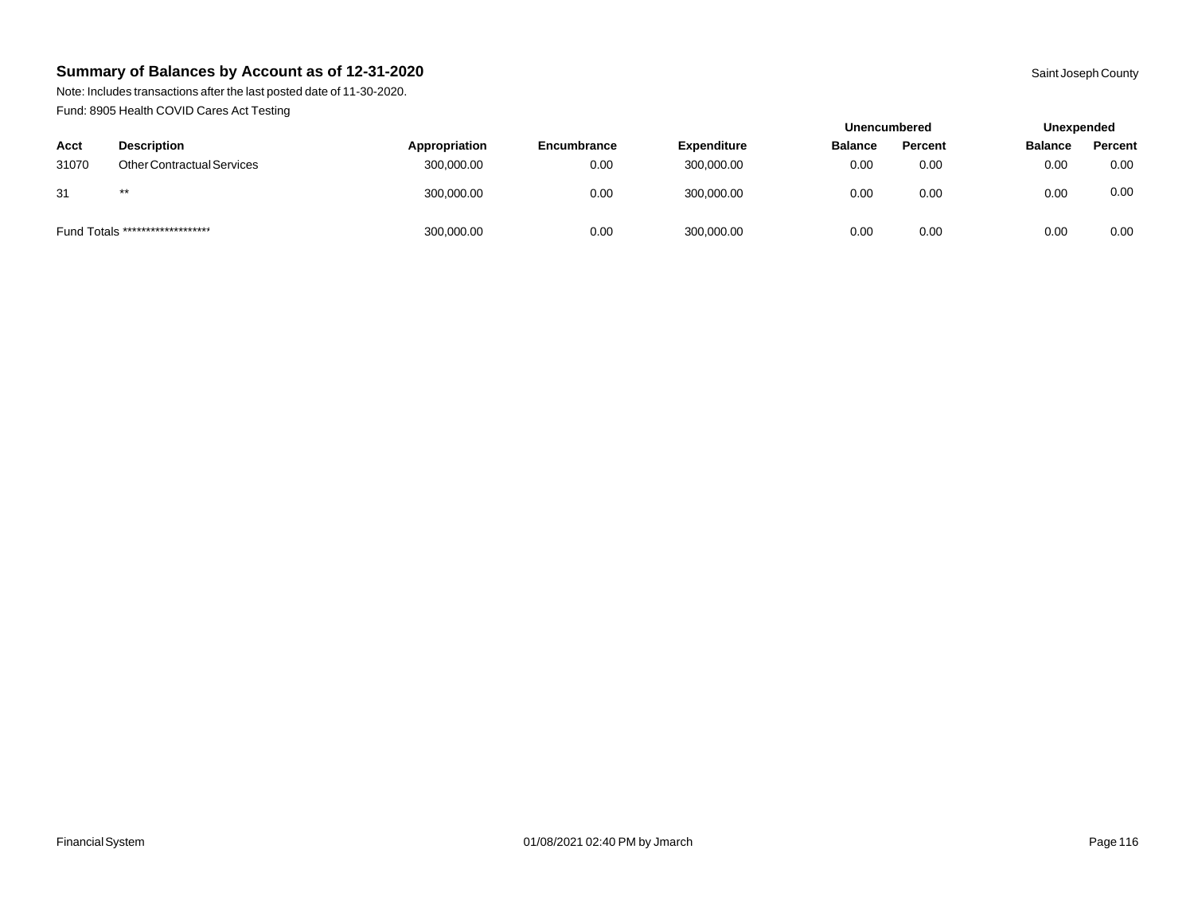Note: Includes transactions after the last posted date of 11-30-2020. Fund: 8905 Health COVID Cares Act Testing

|       |                                   |               |                    |                    | <b>Unencumbered</b> |                | Unexpended     |         |
|-------|-----------------------------------|---------------|--------------------|--------------------|---------------------|----------------|----------------|---------|
| Acct  | <b>Description</b>                | Appropriation | <b>Encumbrance</b> | <b>Expenditure</b> | <b>Balance</b>      | <b>Percent</b> | <b>Balance</b> | Percent |
| 31070 | <b>Other Contractual Services</b> | 300,000.00    | 0.00               | 300,000.00         | 0.00                | 0.00           | 0.00           | 0.00    |
| 31    | $***$                             | 300,000.00    | 0.00               | 300,000.00         | 0.00                | 0.00           | 0.00           | 0.00    |
|       | Fund Totals ********************  | 300,000.00    | 0.00               | 300,000.00         | 0.00                | 0.00           | 0.00           | 0.00    |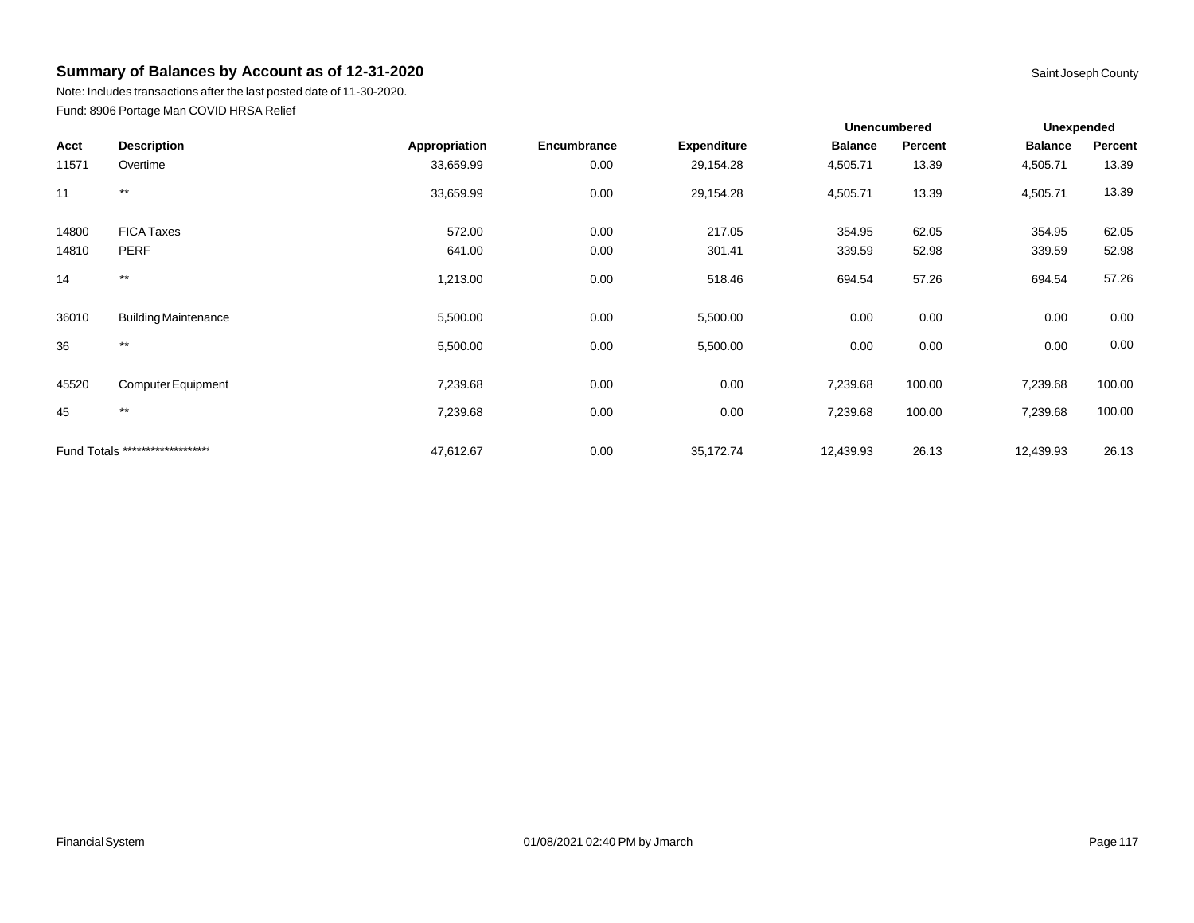Note: Includes transactions after the last posted date of 11-30-2020. Fund: 8906 Portage Man COVID HRSA Relief

|       |                                  |               |             |                    | <b>Unencumbered</b> |         | <b>Unexpended</b> |         |
|-------|----------------------------------|---------------|-------------|--------------------|---------------------|---------|-------------------|---------|
| Acct  | <b>Description</b>               | Appropriation | Encumbrance | <b>Expenditure</b> | <b>Balance</b>      | Percent | <b>Balance</b>    | Percent |
| 11571 | Overtime                         | 33,659.99     | 0.00        | 29,154.28          | 4,505.71            | 13.39   | 4,505.71          | 13.39   |
| 11    | $***$                            | 33,659.99     | 0.00        | 29,154.28          | 4,505.71            | 13.39   | 4,505.71          | 13.39   |
| 14800 | <b>FICA Taxes</b>                | 572.00        | 0.00        | 217.05             | 354.95              | 62.05   | 354.95            | 62.05   |
| 14810 | <b>PERF</b>                      | 641.00        | 0.00        | 301.41             | 339.59              | 52.98   | 339.59            | 52.98   |
| 14    | $^{\star\star}$                  | 1,213.00      | 0.00        | 518.46             | 694.54              | 57.26   | 694.54            | 57.26   |
| 36010 | <b>Building Maintenance</b>      | 5,500.00      | 0.00        | 5,500.00           | 0.00                | 0.00    | 0.00              | 0.00    |
| 36    | $^{\star\star}$                  | 5,500.00      | 0.00        | 5,500.00           | 0.00                | 0.00    | 0.00              | 0.00    |
| 45520 | Computer Equipment               | 7,239.68      | 0.00        | 0.00               | 7,239.68            | 100.00  | 7,239.68          | 100.00  |
| 45    | $***$                            | 7,239.68      | 0.00        | 0.00               | 7,239.68            | 100.00  | 7,239.68          | 100.00  |
|       | Fund Totals ******************** | 47,612.67     | 0.00        | 35,172.74          | 12,439.93           | 26.13   | 12,439.93         | 26.13   |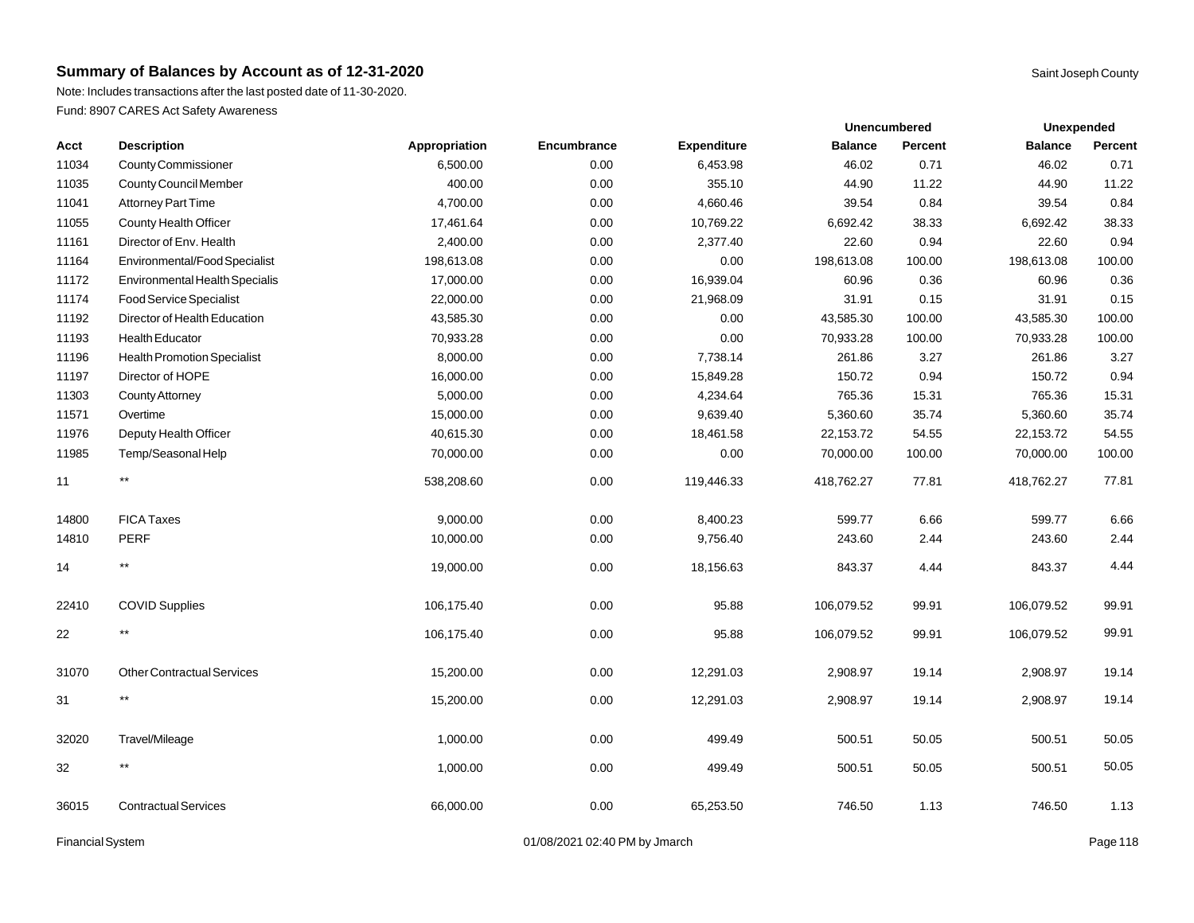**Acct Description Appropriation Encumbrance** 

11034 County Commissioner 6,500.00 6,500.00 0.00

Note: Includes transactions after the last posted date of 11-30-2020. Fund: 8907 CARES Act Safety Awareness

|                |                | Unexpended     |                |  |
|----------------|----------------|----------------|----------------|--|
| <b>Balance</b> | <b>Percent</b> | <b>Balance</b> | <b>Percent</b> |  |
| 46.02          | 0.71           | 46.02          | 0.71           |  |
| 44.90          | 11.22          | 44.90          | 11.22          |  |
| 39.54          | 0.84           | 39.54          | 0.84           |  |
|                |                | Unencumbered   |                |  |

| 11035  | County Council Member                 | 400.00     | 0.00 | 355.10     | 44.90      | 11.22  | 44.90      | 11.22  |
|--------|---------------------------------------|------------|------|------------|------------|--------|------------|--------|
| 11041  | <b>Attorney Part Time</b>             | 4,700.00   | 0.00 | 4,660.46   | 39.54      | 0.84   | 39.54      | 0.84   |
| 11055  | County Health Officer                 | 17,461.64  | 0.00 | 10,769.22  | 6,692.42   | 38.33  | 6,692.42   | 38.33  |
| 11161  | Director of Env. Health               | 2,400.00   | 0.00 | 2,377.40   | 22.60      | 0.94   | 22.60      | 0.94   |
| 11164  | Environmental/Food Specialist         | 198,613.08 | 0.00 | 0.00       | 198,613.08 | 100.00 | 198,613.08 | 100.00 |
| 11172  | <b>Environmental Health Specialis</b> | 17,000.00  | 0.00 | 16,939.04  | 60.96      | 0.36   | 60.96      | 0.36   |
| 11174  | <b>Food Service Specialist</b>        | 22,000.00  | 0.00 | 21,968.09  | 31.91      | 0.15   | 31.91      | 0.15   |
| 11192  | Director of Health Education          | 43,585.30  | 0.00 | 0.00       | 43,585.30  | 100.00 | 43,585.30  | 100.00 |
| 11193  | <b>Health Educator</b>                | 70,933.28  | 0.00 | 0.00       | 70,933.28  | 100.00 | 70,933.28  | 100.00 |
| 11196  | <b>Health Promotion Specialist</b>    | 8,000.00   | 0.00 | 7,738.14   | 261.86     | 3.27   | 261.86     | 3.27   |
| 11197  | Director of HOPE                      | 16,000.00  | 0.00 | 15,849.28  | 150.72     | 0.94   | 150.72     | 0.94   |
| 11303  | <b>County Attorney</b>                | 5,000.00   | 0.00 | 4,234.64   | 765.36     | 15.31  | 765.36     | 15.31  |
| 11571  | Overtime                              | 15,000.00  | 0.00 | 9,639.40   | 5,360.60   | 35.74  | 5,360.60   | 35.74  |
| 11976  | Deputy Health Officer                 | 40,615.30  | 0.00 | 18,461.58  | 22,153.72  | 54.55  | 22,153.72  | 54.55  |
| 11985  | Temp/Seasonal Help                    | 70,000.00  | 0.00 | 0.00       | 70,000.00  | 100.00 | 70,000.00  | 100.00 |
| 11     | $***$                                 | 538,208.60 | 0.00 | 119,446.33 | 418,762.27 | 77.81  | 418,762.27 | 77.81  |
| 14800  | <b>FICA Taxes</b>                     | 9,000.00   | 0.00 | 8,400.23   | 599.77     | 6.66   | 599.77     | 6.66   |
| 14810  | PERF                                  | 10,000.00  | 0.00 | 9,756.40   | 243.60     | 2.44   | 243.60     | 2.44   |
| 14     | $***$                                 | 19,000.00  | 0.00 | 18,156.63  | 843.37     | 4.44   | 843.37     | 4.44   |
| 22410  | <b>COVID Supplies</b>                 | 106,175.40 | 0.00 | 95.88      | 106,079.52 | 99.91  | 106,079.52 | 99.91  |
| 22     | $***$                                 | 106,175.40 | 0.00 | 95.88      | 106,079.52 | 99.91  | 106,079.52 | 99.91  |
| 31070  | <b>Other Contractual Services</b>     | 15,200.00  | 0.00 | 12,291.03  | 2,908.97   | 19.14  | 2,908.97   | 19.14  |
| 31     | $***$                                 | 15,200.00  | 0.00 | 12,291.03  | 2,908.97   | 19.14  | 2,908.97   | 19.14  |
| 32020  | Travel/Mileage                        | 1,000.00   | 0.00 | 499.49     | 500.51     | 50.05  | 500.51     | 50.05  |
| $32\,$ | $\star\star$                          | 1,000.00   | 0.00 | 499.49     | 500.51     | 50.05  | 500.51     | 50.05  |
| 36015  | <b>Contractual Services</b>           | 66,000.00  | 0.00 | 65,253.50  | 746.50     | 1.13   | 746.50     | 1.13   |

Financial System **Example 2014** Page 118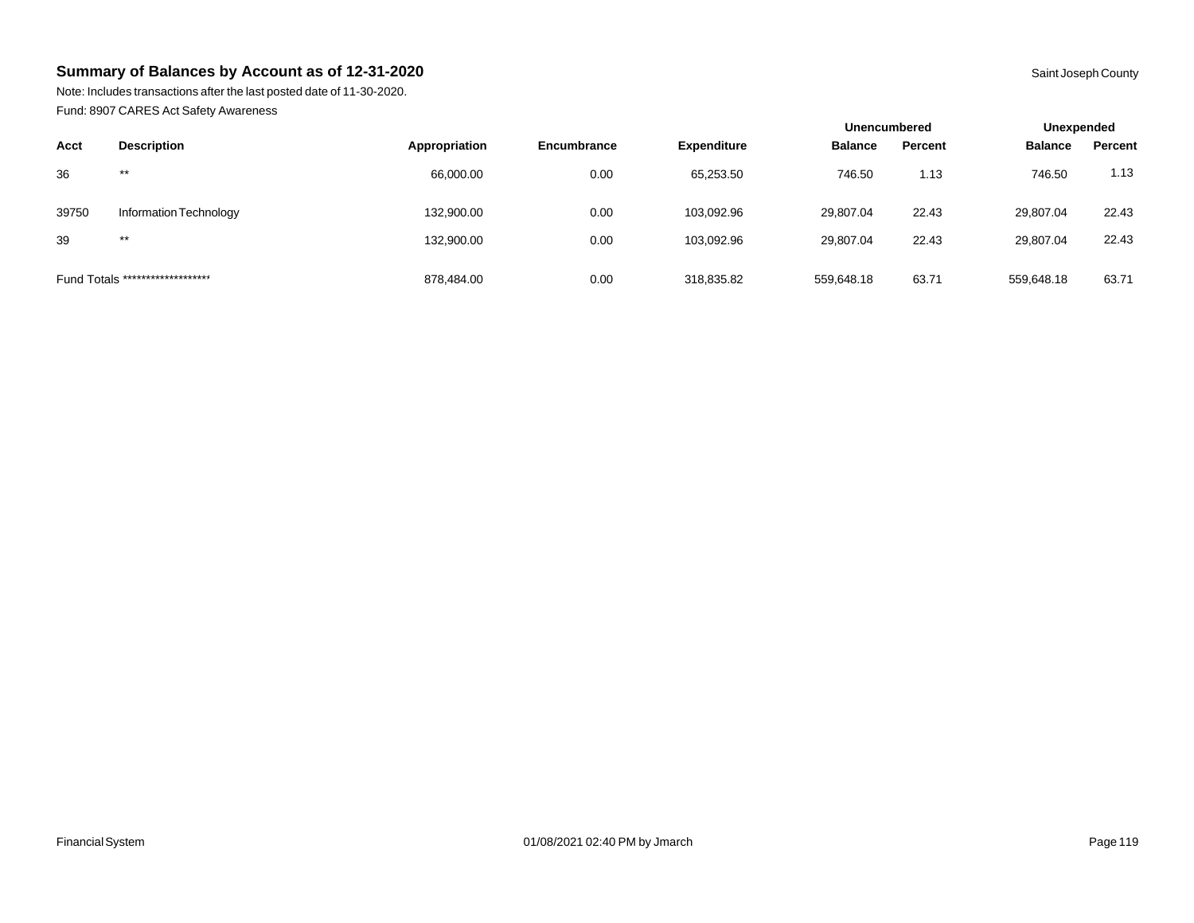Note: Includes transactions after the last posted date of 11-30-2020. Fund: 8907 CARES Act Safety Awareness

|       |                                  |               |                    |                    | <b>Unencumbered</b> |         | Unexpended     |         |  |
|-------|----------------------------------|---------------|--------------------|--------------------|---------------------|---------|----------------|---------|--|
| Acct  | <b>Description</b>               | Appropriation | <b>Encumbrance</b> | <b>Expenditure</b> | <b>Balance</b>      | Percent | <b>Balance</b> | Percent |  |
| 36    | $***$                            | 66,000.00     | 0.00               | 65,253.50          | 746.50              | 1.13    | 746.50         | 1.13    |  |
| 39750 | Information Technology           | 132,900.00    | 0.00               | 103,092.96         | 29,807.04           | 22.43   | 29,807.04      | 22.43   |  |
| 39    | $***$                            | 132,900.00    | 0.00               | 103,092.96         | 29,807.04           | 22.43   | 29,807.04      | 22.43   |  |
|       | Fund Totals ******************** | 878.484.00    | 0.00               | 318,835.82         | 559.648.18          | 63.71   | 559,648.18     | 63.71   |  |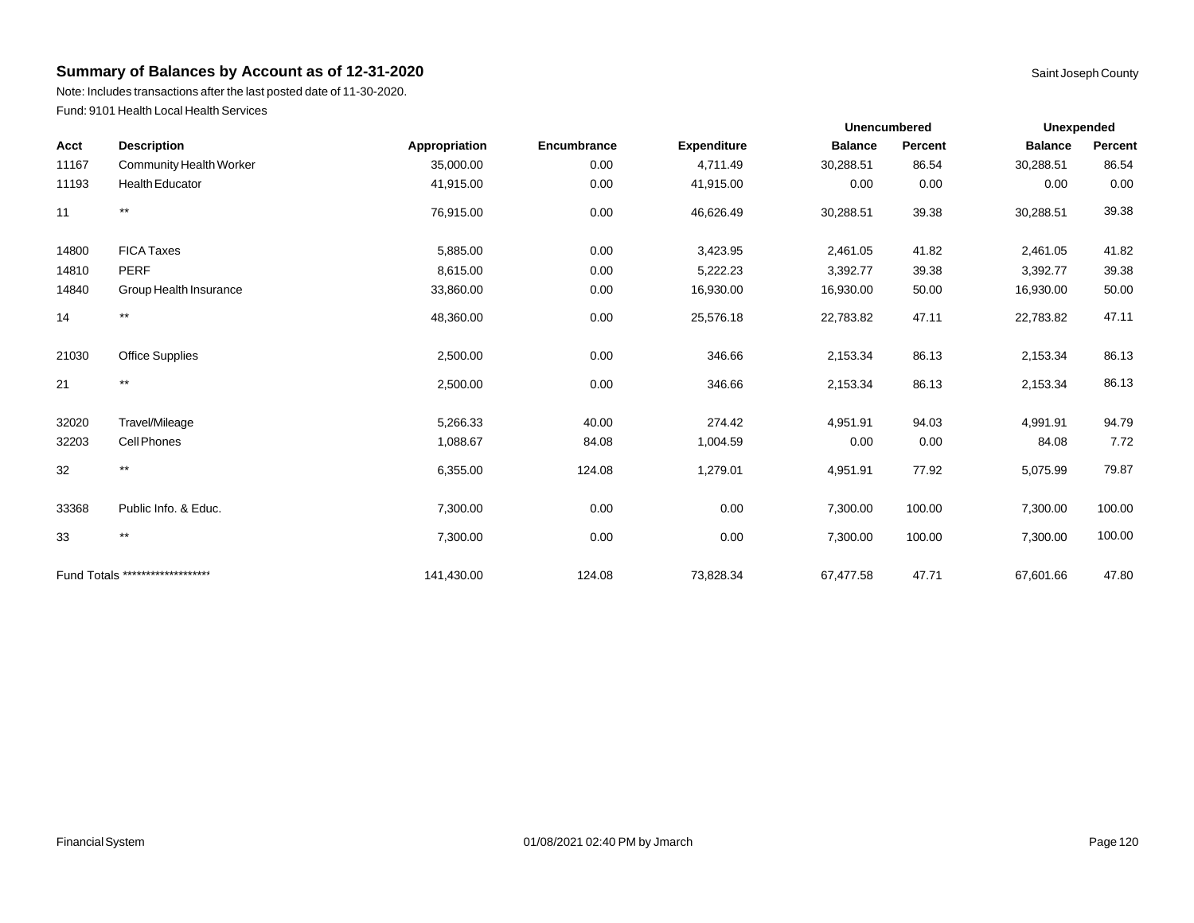Note: Includes transactions after the last posted date of 11-30-2020. Fund: 9101 Health Local Health Services

| <b>Description</b><br>Acct |                                  |               |             |                    |                | <b>Unencumbered</b><br><b>Unexpended</b> |                |         |
|----------------------------|----------------------------------|---------------|-------------|--------------------|----------------|------------------------------------------|----------------|---------|
|                            |                                  | Appropriation | Encumbrance | <b>Expenditure</b> | <b>Balance</b> | Percent                                  | <b>Balance</b> | Percent |
| 11167                      | <b>Community Health Worker</b>   | 35,000.00     | 0.00        | 4,711.49           | 30,288.51      | 86.54                                    | 30,288.51      | 86.54   |
| 11193                      | <b>Health Educator</b>           | 41,915.00     | 0.00        | 41,915.00          | 0.00           | 0.00                                     | 0.00           | 0.00    |
| 11                         | $\star\star$                     | 76,915.00     | 0.00        | 46,626.49          | 30,288.51      | 39.38                                    | 30,288.51      | 39.38   |
| 14800                      | <b>FICA Taxes</b>                | 5,885.00      | 0.00        | 3,423.95           | 2,461.05       | 41.82                                    | 2,461.05       | 41.82   |
| 14810                      | <b>PERF</b>                      | 8,615.00      | 0.00        | 5,222.23           | 3,392.77       | 39.38                                    | 3,392.77       | 39.38   |
| 14840                      | Group Health Insurance           | 33,860.00     | 0.00        | 16,930.00          | 16,930.00      | 50.00                                    | 16,930.00      | 50.00   |
| 14                         | $\star\star$                     | 48,360.00     | 0.00        | 25,576.18          | 22,783.82      | 47.11                                    | 22,783.82      | 47.11   |
| 21030                      | Office Supplies                  | 2,500.00      | 0.00        | 346.66             | 2,153.34       | 86.13                                    | 2,153.34       | 86.13   |
| 21                         | $\star\star$                     | 2,500.00      | 0.00        | 346.66             | 2,153.34       | 86.13                                    | 2,153.34       | 86.13   |
| 32020                      | Travel/Mileage                   | 5,266.33      | 40.00       | 274.42             | 4,951.91       | 94.03                                    | 4,991.91       | 94.79   |
| 32203                      | Cell Phones                      | 1,088.67      | 84.08       | 1,004.59           | 0.00           | 0.00                                     | 84.08          | 7.72    |
| 32                         | $***$                            | 6,355.00      | 124.08      | 1,279.01           | 4,951.91       | 77.92                                    | 5,075.99       | 79.87   |
| 33368                      | Public Info. & Educ.             | 7,300.00      | 0.00        | 0.00               | 7,300.00       | 100.00                                   | 7,300.00       | 100.00  |
| 33                         | $\star\star$                     | 7,300.00      | 0.00        | 0.00               | 7,300.00       | 100.00                                   | 7,300.00       | 100.00  |
|                            | Fund Totals ******************** | 141,430.00    | 124.08      | 73,828.34          | 67,477.58      | 47.71                                    | 67,601.66      | 47.80   |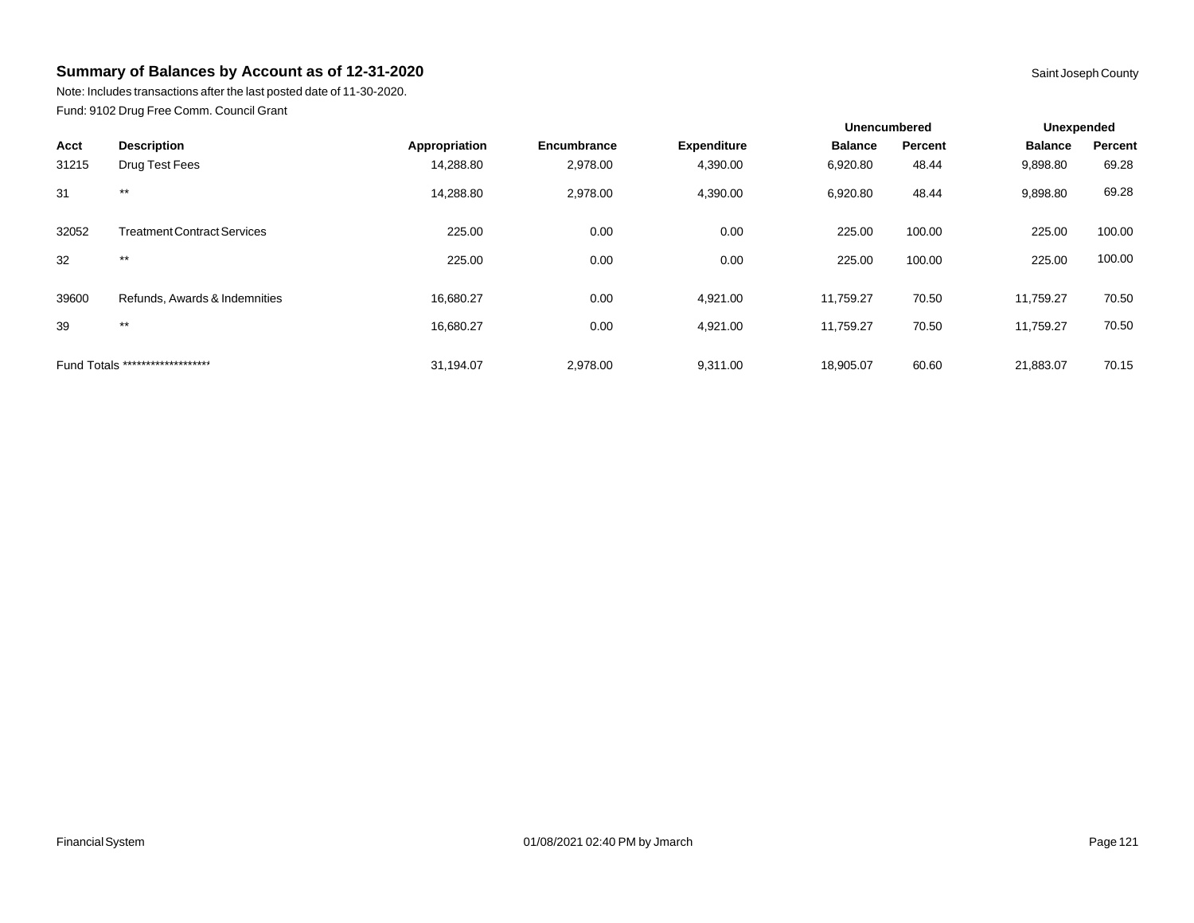Note: Includes transactions after the last posted date of 11-30-2020. Fund: 9102 Drug Free Comm. Council Grant

|                                  |                                    |               |             |                    | <b>Unencumbered</b> |         | Unexpended     |         |
|----------------------------------|------------------------------------|---------------|-------------|--------------------|---------------------|---------|----------------|---------|
| Acct                             | <b>Description</b>                 | Appropriation | Encumbrance | <b>Expenditure</b> | <b>Balance</b>      | Percent | <b>Balance</b> | Percent |
| 31215                            | Drug Test Fees                     | 14,288.80     | 2,978.00    | 4,390.00           | 6,920.80            | 48.44   | 9,898.80       | 69.28   |
| 31                               | $***$                              | 14,288.80     | 2,978.00    | 4,390.00           | 6,920.80            | 48.44   | 9,898.80       | 69.28   |
| 32052                            | <b>Treatment Contract Services</b> | 225.00        | 0.00        | 0.00               | 225.00              | 100.00  | 225.00         | 100.00  |
| 32                               | $***$                              | 225.00        | 0.00        | 0.00               | 225.00              | 100.00  | 225.00         | 100.00  |
| 39600                            | Refunds, Awards & Indemnities      | 16.680.27     | 0.00        | 4,921.00           | 11.759.27           | 70.50   | 11,759.27      | 70.50   |
| 39                               | $***$                              | 16,680.27     | 0.00        | 4,921.00           | 11,759.27           | 70.50   | 11,759.27      | 70.50   |
| Fund Totals ******************** |                                    | 31.194.07     | 2.978.00    | 9,311.00           | 18.905.07           | 60.60   | 21,883.07      | 70.15   |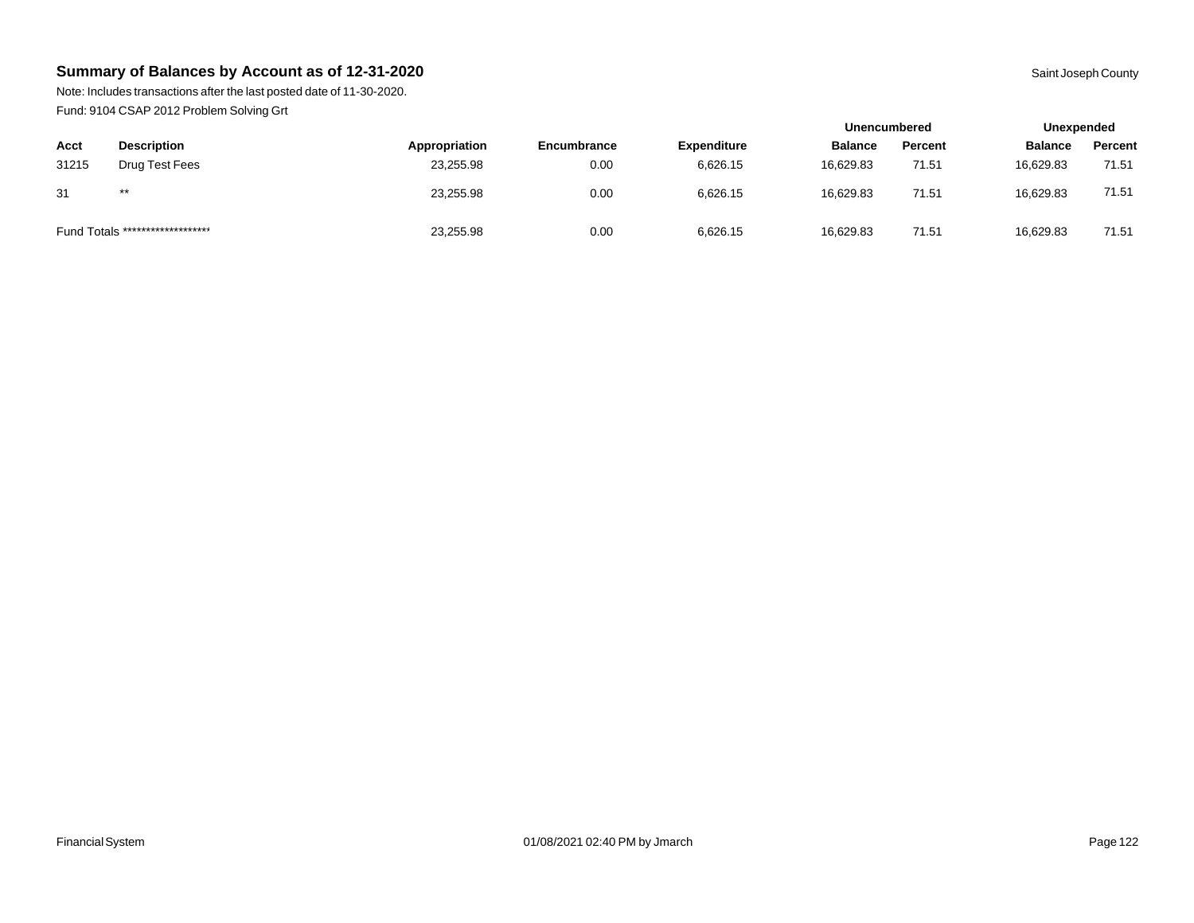Note: Includes transactions after the last posted date of 11-30-2020. Fund: 9104 CSAP 2012 Problem Solving Grt

|       |                                  |               |             |                    | <b>Unencumbered</b> |         |                | Unexpended |  |
|-------|----------------------------------|---------------|-------------|--------------------|---------------------|---------|----------------|------------|--|
| Acct  | <b>Description</b>               | Appropriation | Encumbrance | <b>Expenditure</b> | <b>Balance</b>      | Percent | <b>Balance</b> | Percent    |  |
| 31215 | Drug Test Fees                   | 23,255.98     | 0.00        | 6,626.15           | 16.629.83           | 71.51   | 16,629.83      | 71.51      |  |
| 31    | $***$                            | 23,255.98     | 0.00        | 6,626.15           | 16.629.83           | 71.51   | 16,629.83      | 71.51      |  |
|       | Fund Totals ******************** | 23,255.98     | 0.00        | 6,626.15           | 16,629.83           | 71.51   | 16,629.83      | 71.51      |  |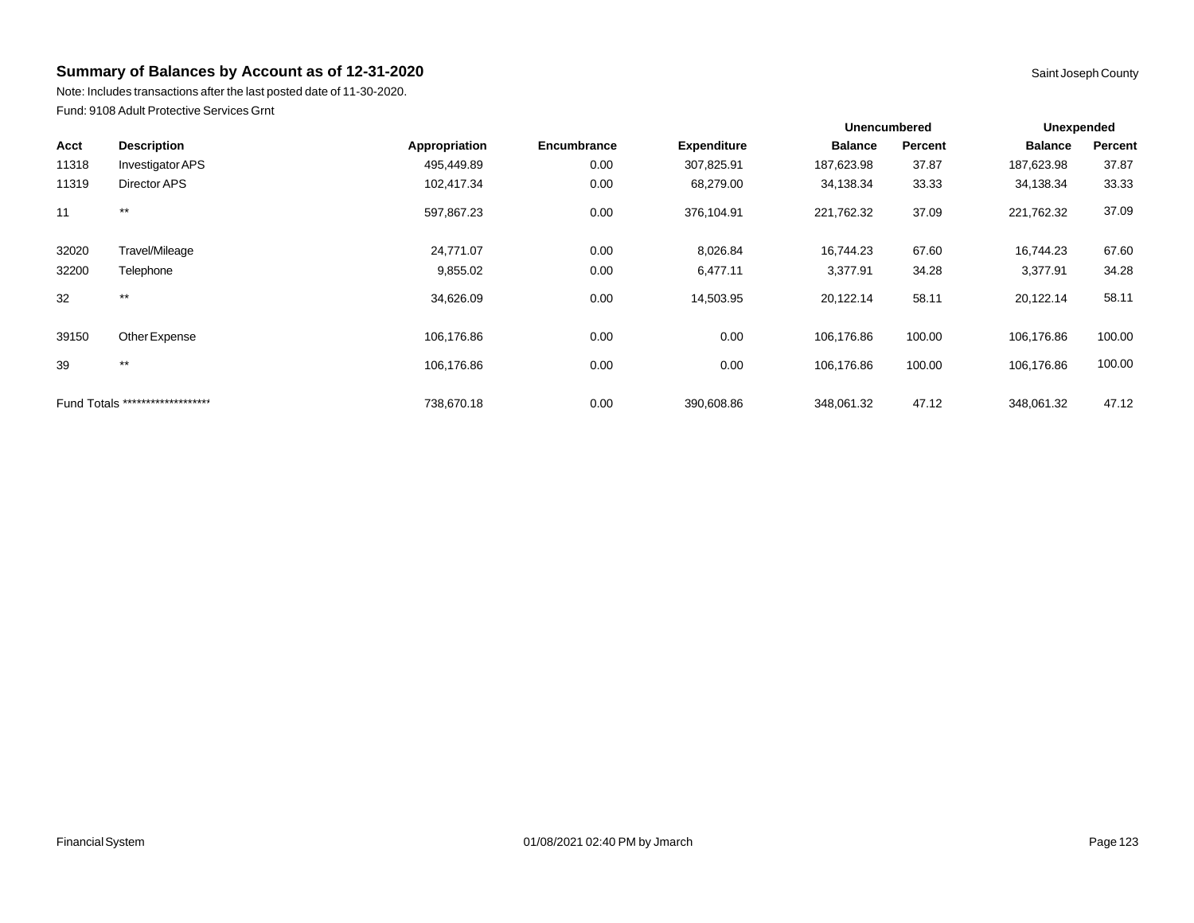Note: Includes transactions after the last posted date of 11-30-2020. Fund: 9108 Adult Protective Services Grnt

|       |                                  |               |             | <b>Unencumbered</b><br>Unexpended |                |         |                |         |
|-------|----------------------------------|---------------|-------------|-----------------------------------|----------------|---------|----------------|---------|
| Acct  | <b>Description</b>               | Appropriation | Encumbrance | <b>Expenditure</b>                | <b>Balance</b> | Percent | <b>Balance</b> | Percent |
| 11318 | Investigator APS                 | 495,449.89    | 0.00        | 307,825.91                        | 187,623.98     | 37.87   | 187,623.98     | 37.87   |
| 11319 | <b>Director APS</b>              | 102,417.34    | 0.00        | 68,279.00                         | 34,138.34      | 33.33   | 34,138.34      | 33.33   |
| 11    | $***$                            | 597,867.23    | 0.00        | 376,104.91                        | 221,762.32     | 37.09   | 221,762.32     | 37.09   |
| 32020 | Travel/Mileage                   | 24,771.07     | 0.00        | 8,026.84                          | 16,744.23      | 67.60   | 16,744.23      | 67.60   |
| 32200 | Telephone                        | 9,855.02      | 0.00        | 6,477.11                          | 3,377.91       | 34.28   | 3,377.91       | 34.28   |
| 32    | $***$                            | 34,626.09     | 0.00        | 14,503.95                         | 20,122.14      | 58.11   | 20,122.14      | 58.11   |
| 39150 | Other Expense                    | 106,176.86    | 0.00        | 0.00                              | 106,176.86     | 100.00  | 106,176.86     | 100.00  |
| 39    | $***$                            | 106,176.86    | 0.00        | 0.00                              | 106,176.86     | 100.00  | 106,176.86     | 100.00  |
|       | Fund Totals ******************** | 738,670.18    | 0.00        | 390,608.86                        | 348,061.32     | 47.12   | 348,061.32     | 47.12   |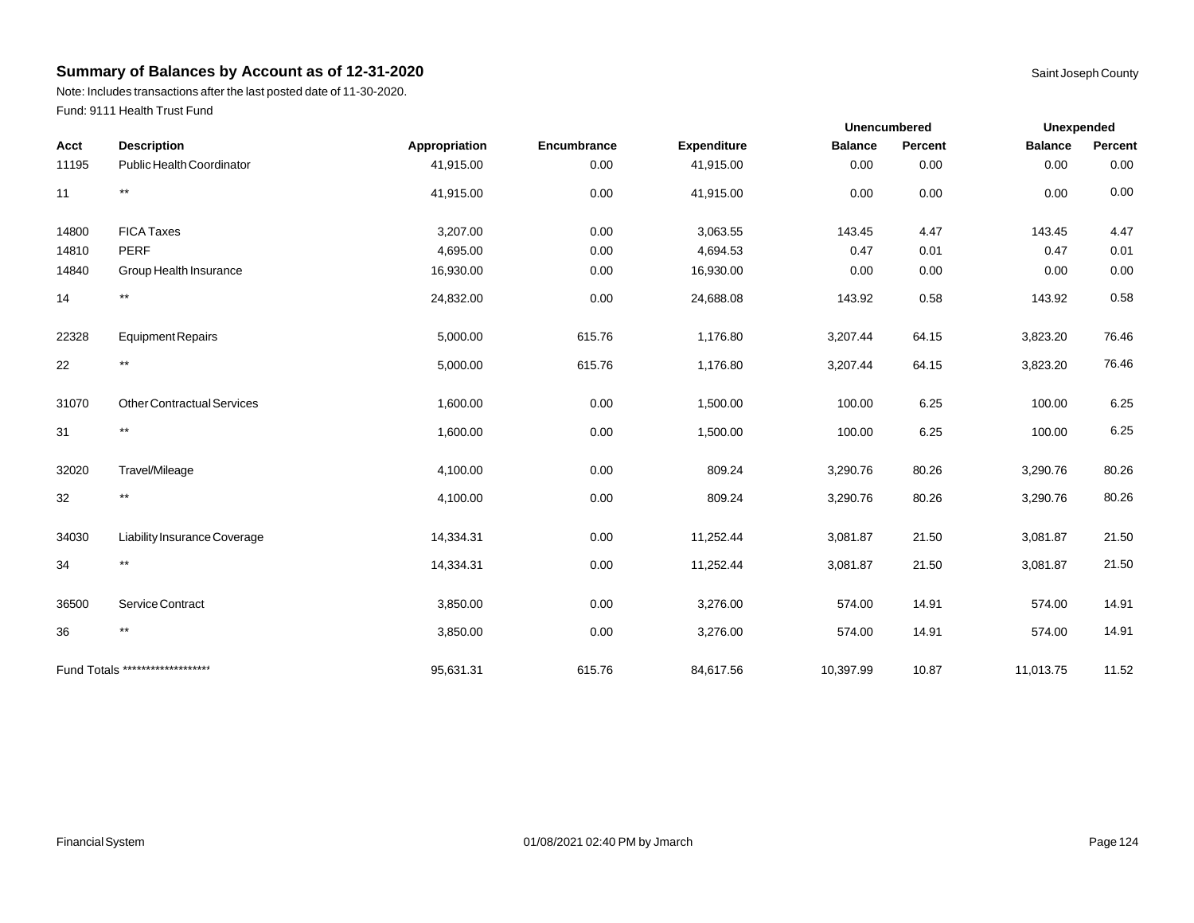Note: Includes transactions after the last posted date of 11-30-2020. Fund: 9111 Health Trust Fund

|       |                                   |               |             |                                                                                                                                                                                                                                                                                                                                                                                                                                                                                                                                                                                                                                                                                                                                                                                                                                                                                                                                                                                                                                                                                                               | <b>Unencumbered</b> | <b>Unexpended</b> |  |
|-------|-----------------------------------|---------------|-------------|---------------------------------------------------------------------------------------------------------------------------------------------------------------------------------------------------------------------------------------------------------------------------------------------------------------------------------------------------------------------------------------------------------------------------------------------------------------------------------------------------------------------------------------------------------------------------------------------------------------------------------------------------------------------------------------------------------------------------------------------------------------------------------------------------------------------------------------------------------------------------------------------------------------------------------------------------------------------------------------------------------------------------------------------------------------------------------------------------------------|---------------------|-------------------|--|
| Acct  | <b>Description</b>                | Appropriation | Encumbrance | <b>Expenditure</b><br><b>Balance</b><br>Percent<br><b>Balance</b><br>Percent<br>0.00<br>41,915.00<br>0.00<br>0.00<br>0.00<br>0.00<br>0.00<br>0.00<br>0.00<br>41,915.00<br>0.00<br>0.00<br>3,063.55<br>0.00<br>143.45<br>4.47<br>143.45<br>4.47<br>0.00<br>4,694.53<br>0.47<br>0.01<br>0.47<br>0.01<br>0.00<br>0.00<br>16,930.00<br>0.00<br>0.00<br>0.00<br>0.58<br>0.58<br>0.00<br>24,688.08<br>143.92<br>143.92<br>615.76<br>1,176.80<br>64.15<br>3,207.44<br>3,823.20<br>76.46<br>64.15<br>76.46<br>615.76<br>1,176.80<br>3,207.44<br>3,823.20<br>0.00<br>1,500.00<br>6.25<br>6.25<br>100.00<br>100.00<br>6.25<br>0.00<br>1,500.00<br>6.25<br>100.00<br>100.00<br>0.00<br>809.24<br>80.26<br>80.26<br>3,290.76<br>3,290.76<br>80.26<br>80.26<br>0.00<br>809.24<br>3,290.76<br>3,290.76<br>0.00<br>11,252.44<br>3,081.87<br>21.50<br>3,081.87<br>21.50<br>21.50<br>0.00<br>3,081.87<br>21.50<br>11,252.44<br>3,081.87<br>0.00<br>3,276.00<br>14.91<br>574.00<br>14.91<br>574.00<br>14.91<br>0.00<br>3,276.00<br>14.91<br>574.00<br>574.00<br>615.76<br>84,617.56<br>10,397.99<br>10.87<br>11,013.75<br>11.52 |                     |                   |  |
| 11195 | Public Health Coordinator         | 41,915.00     |             |                                                                                                                                                                                                                                                                                                                                                                                                                                                                                                                                                                                                                                                                                                                                                                                                                                                                                                                                                                                                                                                                                                               |                     |                   |  |
| 11    | $***$                             | 41,915.00     |             |                                                                                                                                                                                                                                                                                                                                                                                                                                                                                                                                                                                                                                                                                                                                                                                                                                                                                                                                                                                                                                                                                                               |                     |                   |  |
| 14800 | <b>FICA Taxes</b>                 | 3,207.00      |             |                                                                                                                                                                                                                                                                                                                                                                                                                                                                                                                                                                                                                                                                                                                                                                                                                                                                                                                                                                                                                                                                                                               |                     |                   |  |
| 14810 | <b>PERF</b>                       | 4,695.00      |             |                                                                                                                                                                                                                                                                                                                                                                                                                                                                                                                                                                                                                                                                                                                                                                                                                                                                                                                                                                                                                                                                                                               |                     |                   |  |
| 14840 | Group Health Insurance            | 16,930.00     |             |                                                                                                                                                                                                                                                                                                                                                                                                                                                                                                                                                                                                                                                                                                                                                                                                                                                                                                                                                                                                                                                                                                               |                     |                   |  |
| 14    | $***$                             | 24,832.00     |             |                                                                                                                                                                                                                                                                                                                                                                                                                                                                                                                                                                                                                                                                                                                                                                                                                                                                                                                                                                                                                                                                                                               |                     |                   |  |
| 22328 | <b>Equipment Repairs</b>          | 5,000.00      |             |                                                                                                                                                                                                                                                                                                                                                                                                                                                                                                                                                                                                                                                                                                                                                                                                                                                                                                                                                                                                                                                                                                               |                     |                   |  |
| 22    | $***$                             | 5,000.00      |             |                                                                                                                                                                                                                                                                                                                                                                                                                                                                                                                                                                                                                                                                                                                                                                                                                                                                                                                                                                                                                                                                                                               |                     |                   |  |
| 31070 | <b>Other Contractual Services</b> | 1,600.00      |             |                                                                                                                                                                                                                                                                                                                                                                                                                                                                                                                                                                                                                                                                                                                                                                                                                                                                                                                                                                                                                                                                                                               |                     |                   |  |
| 31    | $***$                             | 1,600.00      |             |                                                                                                                                                                                                                                                                                                                                                                                                                                                                                                                                                                                                                                                                                                                                                                                                                                                                                                                                                                                                                                                                                                               |                     |                   |  |
| 32020 | Travel/Mileage                    | 4,100.00      |             |                                                                                                                                                                                                                                                                                                                                                                                                                                                                                                                                                                                                                                                                                                                                                                                                                                                                                                                                                                                                                                                                                                               |                     |                   |  |
| 32    | $***$                             | 4,100.00      |             |                                                                                                                                                                                                                                                                                                                                                                                                                                                                                                                                                                                                                                                                                                                                                                                                                                                                                                                                                                                                                                                                                                               |                     |                   |  |
| 34030 | Liability Insurance Coverage      | 14,334.31     |             |                                                                                                                                                                                                                                                                                                                                                                                                                                                                                                                                                                                                                                                                                                                                                                                                                                                                                                                                                                                                                                                                                                               |                     |                   |  |
| 34    | $***$                             | 14,334.31     |             |                                                                                                                                                                                                                                                                                                                                                                                                                                                                                                                                                                                                                                                                                                                                                                                                                                                                                                                                                                                                                                                                                                               |                     |                   |  |
| 36500 | Service Contract                  | 3,850.00      |             |                                                                                                                                                                                                                                                                                                                                                                                                                                                                                                                                                                                                                                                                                                                                                                                                                                                                                                                                                                                                                                                                                                               |                     |                   |  |
| 36    | $***$                             | 3,850.00      |             |                                                                                                                                                                                                                                                                                                                                                                                                                                                                                                                                                                                                                                                                                                                                                                                                                                                                                                                                                                                                                                                                                                               |                     |                   |  |
|       | Fund Totals ********************  | 95,631.31     |             |                                                                                                                                                                                                                                                                                                                                                                                                                                                                                                                                                                                                                                                                                                                                                                                                                                                                                                                                                                                                                                                                                                               |                     |                   |  |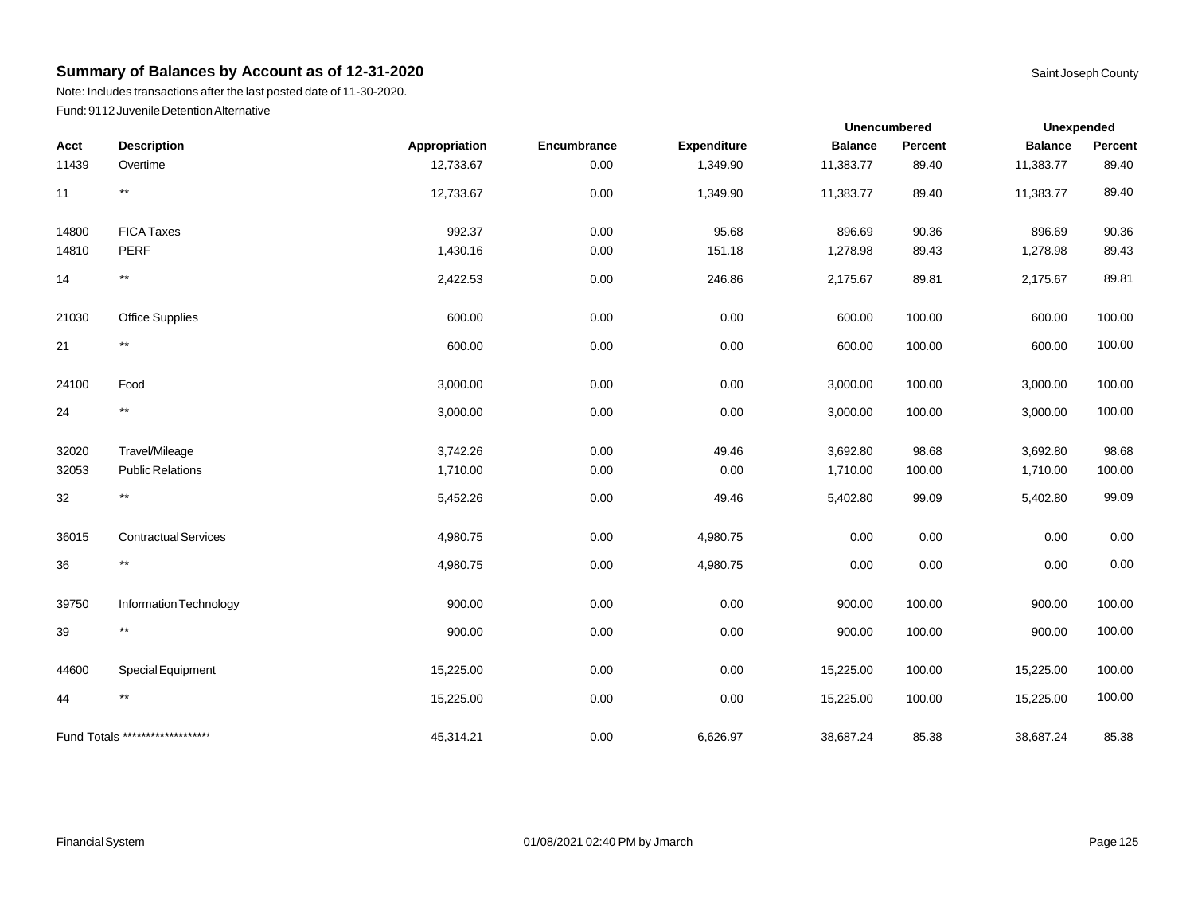Note: Includes transactions after the last posted date of 11-30-2020. Fund: 9112 Juvenile Detention Alternative

|       |                                  |               |             |             | <b>Unencumbered</b> |         | Unexpended     |         |
|-------|----------------------------------|---------------|-------------|-------------|---------------------|---------|----------------|---------|
| Acct  | <b>Description</b>               | Appropriation | Encumbrance | Expenditure | <b>Balance</b>      | Percent | <b>Balance</b> | Percent |
| 11439 | Overtime                         | 12,733.67     | 0.00        | 1,349.90    | 11,383.77           | 89.40   | 11,383.77      | 89.40   |
| 11    | $^{\star\star}$                  | 12,733.67     | 0.00        | 1,349.90    | 11,383.77           | 89.40   | 11,383.77      | 89.40   |
| 14800 | <b>FICA Taxes</b>                | 992.37        | 0.00        | 95.68       | 896.69              | 90.36   | 896.69         | 90.36   |
| 14810 | PERF                             | 1,430.16      | 0.00        | 151.18      | 1,278.98            | 89.43   | 1,278.98       | 89.43   |
| 14    | $\star\star$                     | 2,422.53      | 0.00        | 246.86      | 2,175.67            | 89.81   | 2,175.67       | 89.81   |
| 21030 | <b>Office Supplies</b>           | 600.00        | 0.00        | 0.00        | 600.00              | 100.00  | 600.00         | 100.00  |
| 21    | $^{\star\star}$                  | 600.00        | 0.00        | 0.00        | 600.00              | 100.00  | 600.00         | 100.00  |
| 24100 | Food                             | 3,000.00      | 0.00        | 0.00        | 3,000.00            | 100.00  | 3,000.00       | 100.00  |
| 24    | $\star\star$                     | 3,000.00      | 0.00        | 0.00        | 3,000.00            | 100.00  | 3,000.00       | 100.00  |
| 32020 | Travel/Mileage                   | 3,742.26      | 0.00        | 49.46       | 3,692.80            | 98.68   | 3,692.80       | 98.68   |
| 32053 | <b>Public Relations</b>          | 1,710.00      | 0.00        | 0.00        | 1,710.00            | 100.00  | 1,710.00       | 100.00  |
| 32    | $^{\star\star}$                  | 5,452.26      | 0.00        | 49.46       | 5,402.80            | 99.09   | 5,402.80       | 99.09   |
| 36015 | <b>Contractual Services</b>      | 4,980.75      | 0.00        | 4,980.75    | 0.00                | 0.00    | 0.00           | 0.00    |
| 36    | $^{\star\star}$                  | 4,980.75      | 0.00        | 4,980.75    | 0.00                | 0.00    | 0.00           | 0.00    |
| 39750 | Information Technology           | 900.00        | 0.00        | 0.00        | 900.00              | 100.00  | 900.00         | 100.00  |
| 39    | $^{\star\star}$                  | 900.00        | 0.00        | 0.00        | 900.00              | 100.00  | 900.00         | 100.00  |
| 44600 | Special Equipment                | 15,225.00     | 0.00        | 0.00        | 15,225.00           | 100.00  | 15,225.00      | 100.00  |
| 44    | $^{\star\star}$                  | 15,225.00     | $0.00\,$    | 0.00        | 15,225.00           | 100.00  | 15,225.00      | 100.00  |
|       | Fund Totals ******************** | 45,314.21     | 0.00        | 6,626.97    | 38,687.24           | 85.38   | 38,687.24      | 85.38   |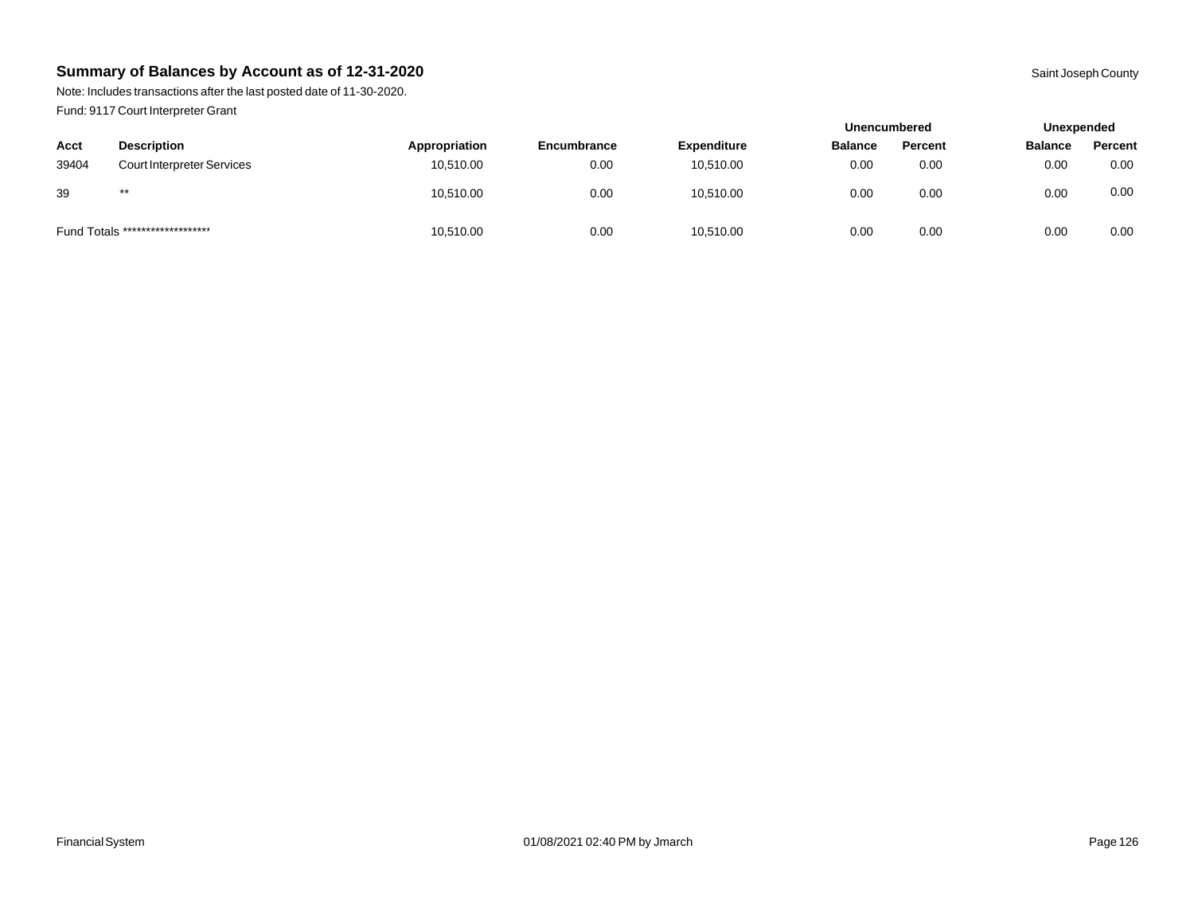Note: Includes transactions after the last posted date of 11-30-2020. Fund: 9117 Court Interpreter Grant

|       |                                  |               |             |                    | <b>Unencumbered</b> |         |                | Unexpended |  |
|-------|----------------------------------|---------------|-------------|--------------------|---------------------|---------|----------------|------------|--|
| Acct  | <b>Description</b>               | Appropriation | Encumbrance | <b>Expenditure</b> | <b>Balance</b>      | Percent | <b>Balance</b> | Percent    |  |
| 39404 | Court Interpreter Services       | 10,510.00     | 0.00        | 10,510.00          | 0.00                | 0.00    | 0.00           | 0.00       |  |
| 39    | $***$                            | 10,510.00     | 0.00        | 10,510.00          | 0.00                | 0.00    | 0.00           | 0.00       |  |
|       | Fund Totals ******************** | 10,510.00     | 0.00        | 10,510.00          | 0.00                | 0.00    | 0.00           | 0.00       |  |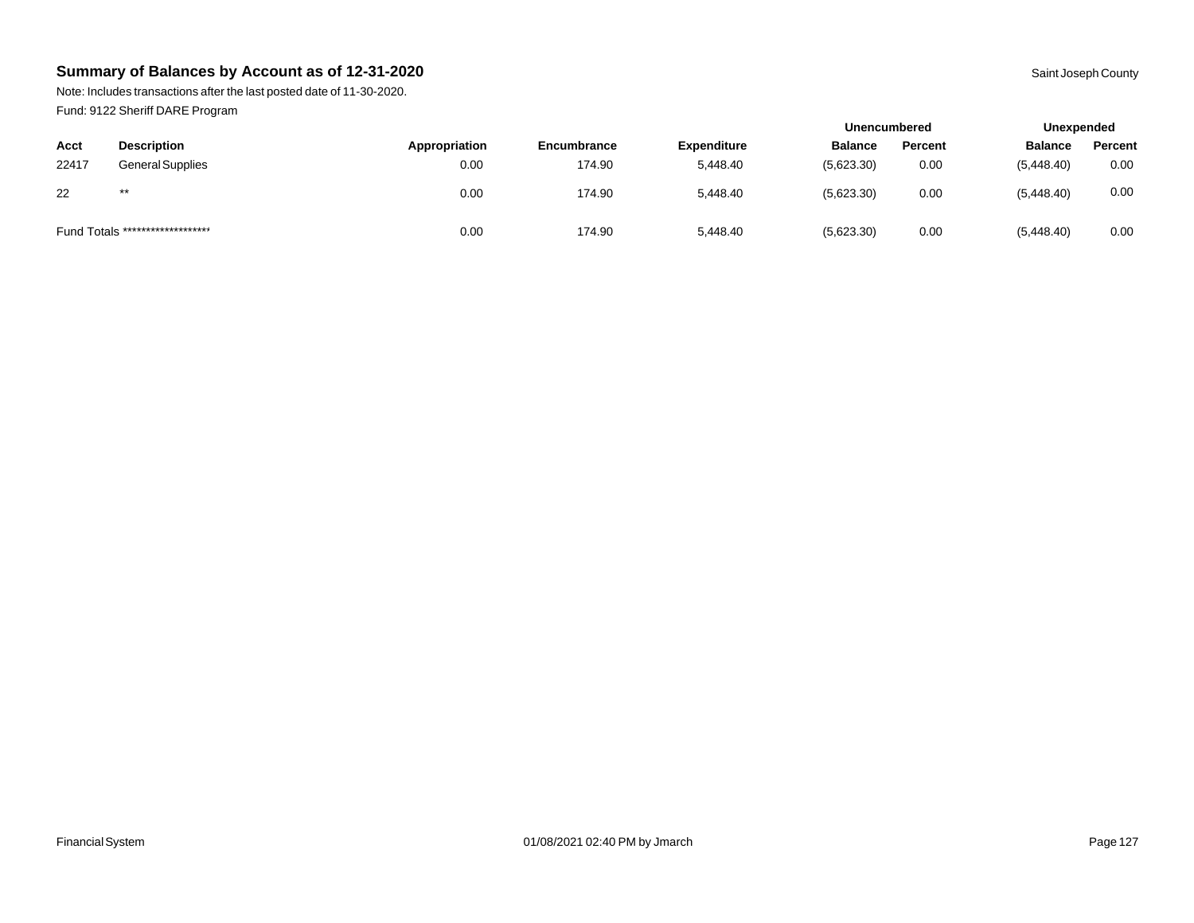Note: Includes transactions after the last posted date of 11-30-2020. Fund: 9122 Sheriff DARE Program

|       |                                  |               |             |                    |                | <b>Unencumbered</b> |                | Unexpended |  |
|-------|----------------------------------|---------------|-------------|--------------------|----------------|---------------------|----------------|------------|--|
| Acct  | <b>Description</b>               | Appropriation | Encumbrance | <b>Expenditure</b> | <b>Balance</b> | Percent             | <b>Balance</b> | Percent    |  |
| 22417 | <b>General Supplies</b>          | 0.00          | 174.90      | 5,448.40           | (5,623.30)     | 0.00                | (5,448.40)     | 0.00       |  |
| 22    | $***$                            | 0.00          | 174.90      | 5,448.40           | (5,623.30)     | 0.00                | (5,448.40)     | 0.00       |  |
|       | Fund Totals ******************** | 0.00          | 174.90      | 5,448.40           | (5,623.30)     | 0.00                | (5,448.40)     | 0.00       |  |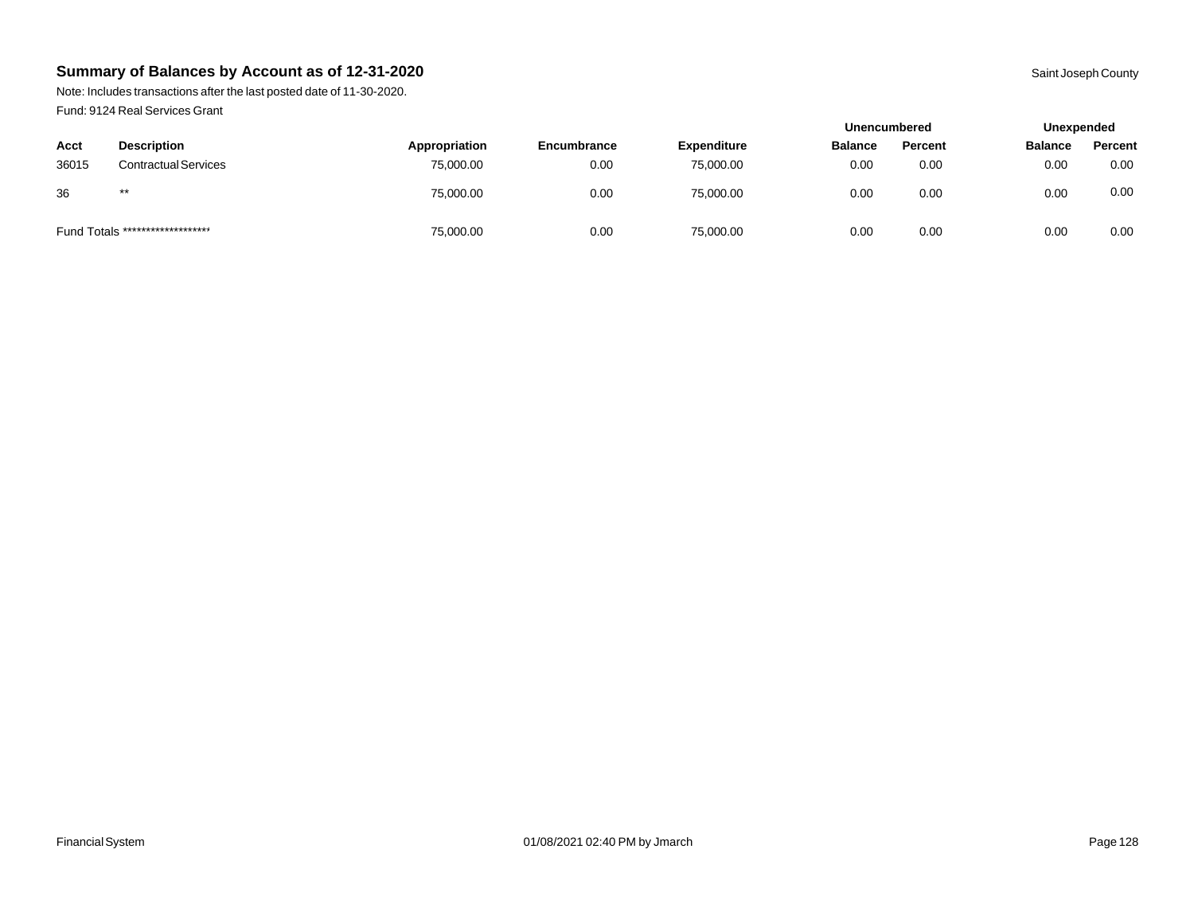Note: Includes transactions after the last posted date of 11-30-2020. Fund: 9124 Real Services Grant

|       |                                  |               |             |                    | <b>Unencumbered</b> |         |                | Unexpended |  |
|-------|----------------------------------|---------------|-------------|--------------------|---------------------|---------|----------------|------------|--|
| Acct  | <b>Description</b>               | Appropriation | Encumbrance | <b>Expenditure</b> | <b>Balance</b>      | Percent | <b>Balance</b> | Percent    |  |
| 36015 | <b>Contractual Services</b>      | 75,000.00     | 0.00        | 75,000.00          | 0.00                | 0.00    | 0.00           | 0.00       |  |
| 36    | $***$                            | 75,000.00     | 0.00        | 75,000.00          | 0.00                | 0.00    | 0.00           | 0.00       |  |
|       | Fund Totals ******************** | 75,000.00     | 0.00        | 75,000.00          | 0.00                | 0.00    | 0.00           | 0.00       |  |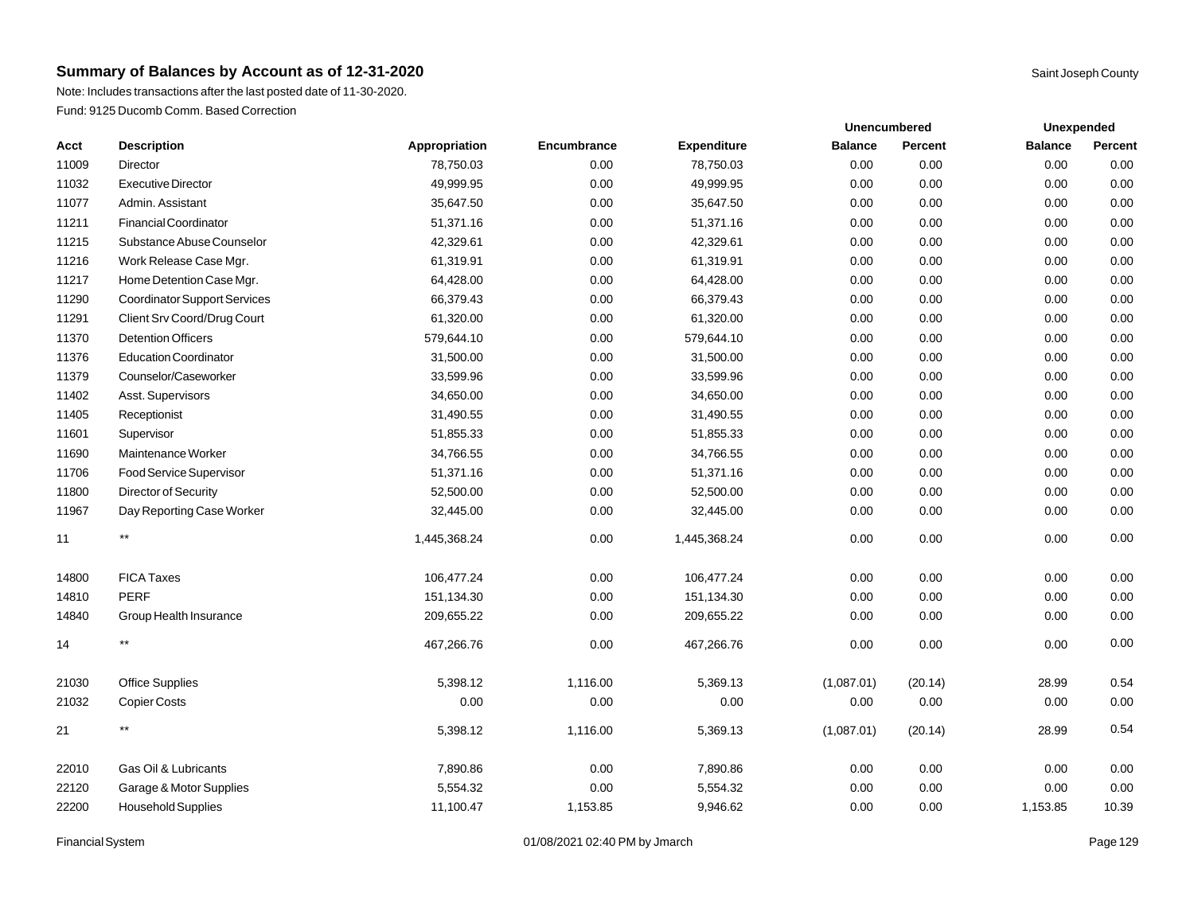## **Summary of Balances by Account as of 12-31-2020** Saint Joseph County **Saint Joseph County** Saint Joseph County

Note: Includes transactions after the last posted date of 11-30-2020. Fund: 9125 Ducomb Comm. Based Correction

|       |                                     |               |             |                    |                | <b>Unencumbered</b> | <b>Unexpended</b> |         |
|-------|-------------------------------------|---------------|-------------|--------------------|----------------|---------------------|-------------------|---------|
| Acct  | <b>Description</b>                  | Appropriation | Encumbrance | <b>Expenditure</b> | <b>Balance</b> | Percent             | <b>Balance</b>    | Percent |
| 11009 | Director                            | 78.750.03     | 0.00        | 78,750.03          | 0.00           | 0.00                | 0.00              | 0.00    |
| 11032 | <b>Executive Director</b>           | 49,999.95     | 0.00        | 49,999.95          | 0.00           | 0.00                | 0.00              | 0.00    |
| 11077 | Admin, Assistant                    | 35,647.50     | 0.00        | 35,647.50          | 0.00           | 0.00                | 0.00              | 0.00    |
| 11211 | Financial Coordinator               | 51,371.16     | 0.00        | 51,371.16          | 0.00           | 0.00                | 0.00              | 0.00    |
| 11215 | Substance Abuse Counselor           | 42,329.61     | 0.00        | 42,329.61          | 0.00           | 0.00                | 0.00              | 0.00    |
| 11216 | Work Release Case Mgr.              | 61,319.91     | 0.00        | 61,319.91          | 0.00           | 0.00                | 0.00              | 0.00    |
| 11217 | Home Detention Case Mgr.            | 64,428.00     | 0.00        | 64,428.00          | 0.00           | 0.00                | 0.00              | 0.00    |
| 11290 | <b>Coordinator Support Services</b> | 66,379.43     | 0.00        | 66,379.43          | 0.00           | 0.00                | 0.00              | 0.00    |
| 11291 | Client Srv Coord/Drug Court         | 61,320.00     | 0.00        | 61,320.00          | 0.00           | 0.00                | 0.00              | 0.00    |
| 11370 | <b>Detention Officers</b>           | 579,644.10    | 0.00        | 579,644.10         | 0.00           | 0.00                | 0.00              | 0.00    |
| 11376 | <b>Education Coordinator</b>        | 31,500.00     | 0.00        | 31,500.00          | 0.00           | 0.00                | 0.00              | 0.00    |
| 11379 | Counselor/Caseworker                | 33,599.96     | 0.00        | 33,599.96          | 0.00           | 0.00                | 0.00              | 0.00    |
| 11402 | Asst. Supervisors                   | 34,650.00     | 0.00        | 34,650.00          | 0.00           | 0.00                | 0.00              | 0.00    |
| 11405 | Receptionist                        | 31,490.55     | 0.00        | 31,490.55          | 0.00           | 0.00                | 0.00              | 0.00    |
| 11601 | Supervisor                          | 51,855.33     | 0.00        | 51,855.33          | 0.00           | 0.00                | 0.00              | 0.00    |
| 11690 | Maintenance Worker                  | 34,766.55     | 0.00        | 34,766.55          | 0.00           | 0.00                | 0.00              | 0.00    |
| 11706 | Food Service Supervisor             | 51,371.16     | 0.00        | 51,371.16          | 0.00           | 0.00                | 0.00              | 0.00    |
| 11800 | <b>Director of Security</b>         | 52,500.00     | 0.00        | 52,500.00          | 0.00           | 0.00                | 0.00              | 0.00    |
| 11967 | Day Reporting Case Worker           | 32,445.00     | 0.00        | 32,445.00          | 0.00           | 0.00                | 0.00              | 0.00    |
| 11    | $***$                               | 1,445,368.24  | 0.00        | 1,445,368.24       | 0.00           | 0.00                | 0.00              | 0.00    |
| 14800 | <b>FICA Taxes</b>                   | 106,477.24    | 0.00        | 106,477.24         | 0.00           | 0.00                | 0.00              | 0.00    |
| 14810 | PERF                                | 151,134.30    | 0.00        | 151,134.30         | 0.00           | 0.00                | 0.00              | 0.00    |
| 14840 | Group Health Insurance              | 209,655.22    | 0.00        | 209,655.22         | 0.00           | 0.00                | 0.00              | 0.00    |
|       |                                     |               |             |                    |                |                     |                   |         |

Financial System 01/08/2021 02:40 PM by Jmarch Page 129

\*\* 467,266.76 0.00 467,266.76 0.00 0.00 0.00 0.00

 Office Supplies 5,398.12 1,116.00 5,369.13 (1,087.01) (20.14) 28.99 0.54 Copier Costs 0.00 0.00 0.00 0.00 0.00 0.00 0.00 \*\* 5,398.12 1,116.00 5,369.13 (1,087.01) (20.14) 28.99 0.54

 Gas Oil & Lubricants 7,890.86 0.00 7,890.86 0.00 0.00 0.00 0.00 Garage & Motor Supplies 5,554.32 0.00 5,554.32 0.00 0.00 0.00 0.00 Household Supplies 11,100.47 1,153.85 9,946.62 0.00 0.00 1,153.85 10.39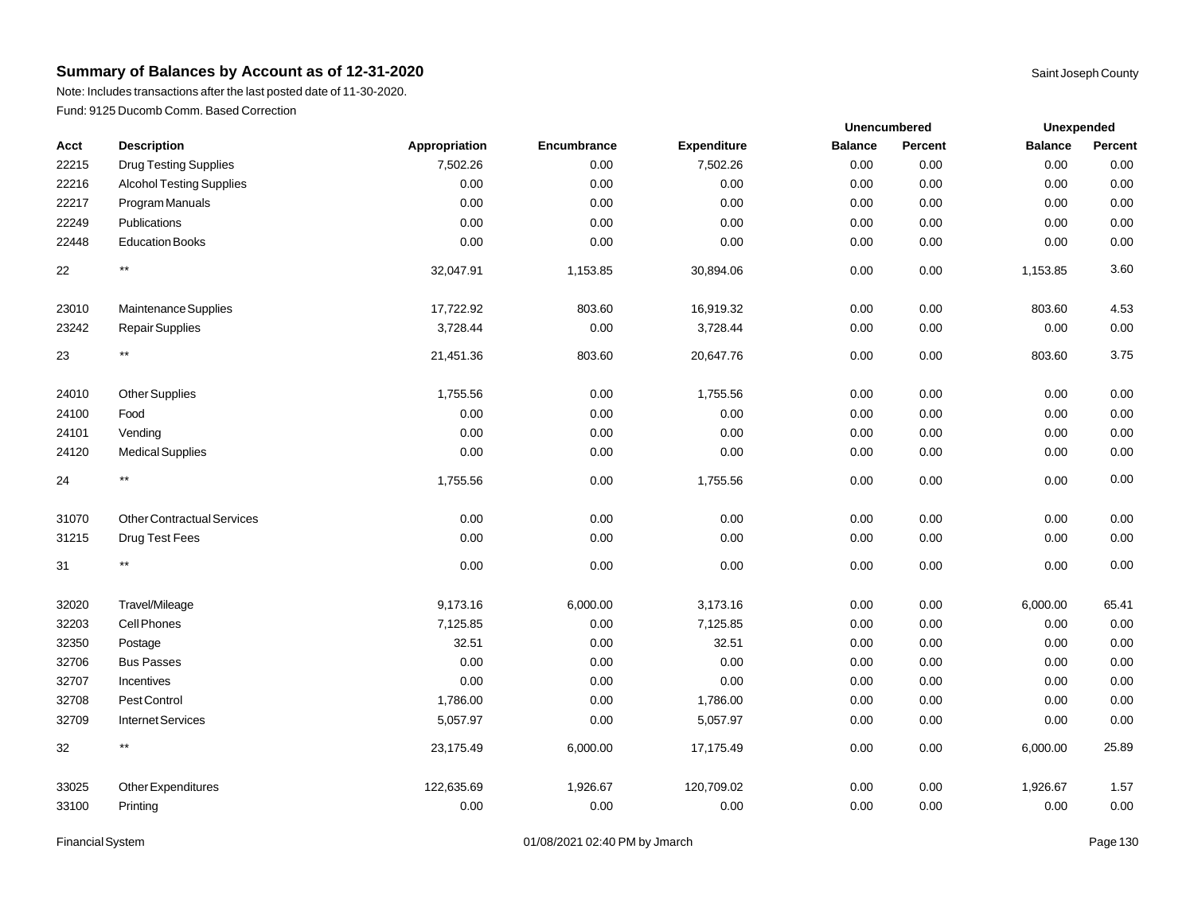Note: Includes transactions after the last posted date of 11-30-2020. Fund: 9125 Ducomb Comm. Based Correction

|       |                                   |               |             |             | Unencumbered   |         | Unexpended     |         |
|-------|-----------------------------------|---------------|-------------|-------------|----------------|---------|----------------|---------|
| Acct  | <b>Description</b>                | Appropriation | Encumbrance | Expenditure | <b>Balance</b> | Percent | <b>Balance</b> | Percent |
| 22215 | <b>Drug Testing Supplies</b>      | 7,502.26      | 0.00        | 7,502.26    | 0.00           | 0.00    | 0.00           | 0.00    |
| 22216 | <b>Alcohol Testing Supplies</b>   | 0.00          | 0.00        | 0.00        | 0.00           | 0.00    | 0.00           | 0.00    |
| 22217 | Program Manuals                   | 0.00          | 0.00        | 0.00        | 0.00           | 0.00    | 0.00           | 0.00    |
| 22249 | Publications                      | 0.00          | 0.00        | 0.00        | 0.00           | 0.00    | 0.00           | 0.00    |
| 22448 | <b>Education Books</b>            | 0.00          | 0.00        | 0.00        | 0.00           | 0.00    | 0.00           | 0.00    |
| 22    | $^{\star\star}$                   | 32,047.91     | 1,153.85    | 30,894.06   | 0.00           | 0.00    | 1,153.85       | 3.60    |
| 23010 | Maintenance Supplies              | 17,722.92     | 803.60      | 16,919.32   | 0.00           | 0.00    | 803.60         | 4.53    |
| 23242 | <b>Repair Supplies</b>            | 3,728.44      | 0.00        | 3,728.44    | 0.00           | 0.00    | 0.00           | 0.00    |
| 23    | $^{\star\star}$                   | 21,451.36     | 803.60      | 20,647.76   | 0.00           | 0.00    | 803.60         | 3.75    |
| 24010 | <b>Other Supplies</b>             | 1,755.56      | 0.00        | 1,755.56    | 0.00           | 0.00    | 0.00           | 0.00    |
| 24100 | Food                              | 0.00          | 0.00        | 0.00        | 0.00           | 0.00    | 0.00           | 0.00    |
| 24101 | Vending                           | 0.00          | 0.00        | 0.00        | 0.00           | 0.00    | 0.00           | 0.00    |
| 24120 | <b>Medical Supplies</b>           | 0.00          | 0.00        | 0.00        | 0.00           | 0.00    | 0.00           | 0.00    |
| 24    | $***$                             | 1,755.56      | 0.00        | 1,755.56    | 0.00           | 0.00    | 0.00           | 0.00    |
| 31070 | <b>Other Contractual Services</b> | 0.00          | 0.00        | 0.00        | 0.00           | 0.00    | 0.00           | 0.00    |
| 31215 | Drug Test Fees                    | 0.00          | 0.00        | 0.00        | 0.00           | 0.00    | 0.00           | 0.00    |
| 31    | $^{\star\star}$                   | 0.00          | 0.00        | 0.00        | 0.00           | 0.00    | 0.00           | 0.00    |
| 32020 | Travel/Mileage                    | 9,173.16      | 6,000.00    | 3,173.16    | 0.00           | 0.00    | 6,000.00       | 65.41   |
| 32203 | Cell Phones                       | 7,125.85      | 0.00        | 7,125.85    | 0.00           | 0.00    | 0.00           | 0.00    |
| 32350 | Postage                           | 32.51         | 0.00        | 32.51       | 0.00           | 0.00    | 0.00           | 0.00    |
| 32706 | <b>Bus Passes</b>                 | 0.00          | 0.00        | 0.00        | 0.00           | 0.00    | 0.00           | 0.00    |
| 32707 | Incentives                        | 0.00          | 0.00        | 0.00        | 0.00           | 0.00    | 0.00           | 0.00    |
| 32708 | Pest Control                      | 1,786.00      | 0.00        | 1,786.00    | 0.00           | 0.00    | 0.00           | 0.00    |
| 32709 | <b>Internet Services</b>          | 5,057.97      | 0.00        | 5,057.97    | 0.00           | 0.00    | 0.00           | 0.00    |
| 32    | $^{\star\star}$                   | 23,175.49     | 6,000.00    | 17,175.49   | 0.00           | 0.00    | 6,000.00       | 25.89   |
| 33025 | Other Expenditures                | 122,635.69    | 1,926.67    | 120,709.02  | 0.00           | 0.00    | 1,926.67       | 1.57    |
| 33100 | Printing                          | 0.00          | 0.00        | 0.00        | 0.00           | 0.00    | 0.00           | 0.00    |

Financial System **Example 201/08/2021 02:40 PM by Jmarch Page 130** Page 130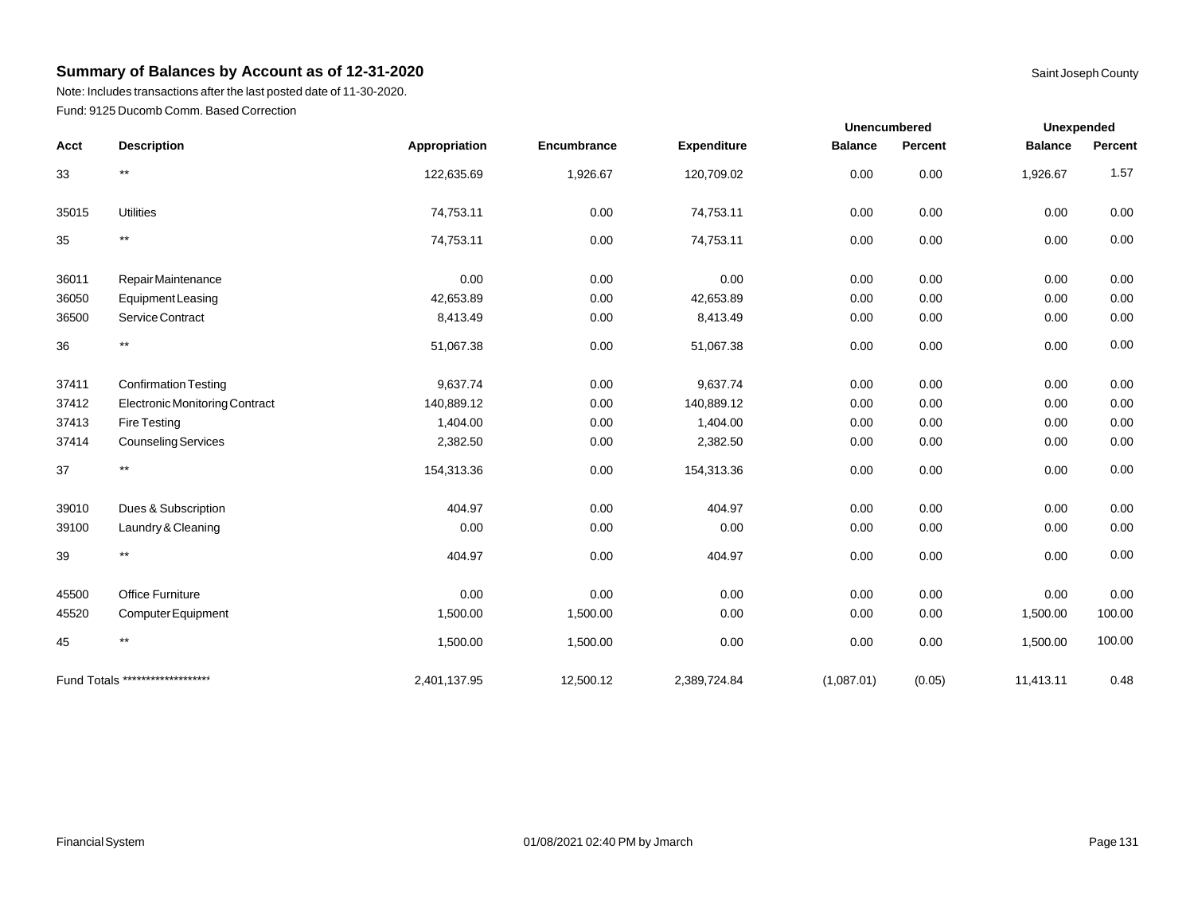Note: Includes transactions after the last posted date of 11-30-2020. Fund: 9125 Ducomb Comm. Based Correction

|       |                                  |               |             |                    | <b>Unencumbered</b> |          | <b>Unexpended</b> |         |
|-------|----------------------------------|---------------|-------------|--------------------|---------------------|----------|-------------------|---------|
| Acct  | <b>Description</b>               | Appropriation | Encumbrance | <b>Expenditure</b> | <b>Balance</b>      | Percent  | <b>Balance</b>    | Percent |
| 33    | $***$                            | 122,635.69    | 1,926.67    | 120,709.02         | 0.00                | 0.00     | 1,926.67          | 1.57    |
| 35015 | <b>Utilities</b>                 | 74,753.11     | 0.00        | 74,753.11          | 0.00                | 0.00     | 0.00              | 0.00    |
| 35    | $***$                            | 74,753.11     | 0.00        | 74,753.11          | 0.00                | 0.00     | 0.00              | 0.00    |
| 36011 | Repair Maintenance               | 0.00          | 0.00        | 0.00               | 0.00                | 0.00     | 0.00              | 0.00    |
| 36050 | <b>Equipment Leasing</b>         | 42,653.89     | 0.00        | 42,653.89          | 0.00                | 0.00     | 0.00              | 0.00    |
| 36500 | Service Contract                 | 8,413.49      | 0.00        | 8,413.49           | 0.00                | 0.00     | 0.00              | 0.00    |
| 36    | $***$                            | 51,067.38     | 0.00        | 51,067.38          | 0.00                | 0.00     | 0.00              | 0.00    |
| 37411 | <b>Confirmation Testing</b>      | 9,637.74      | 0.00        | 9,637.74           | 0.00                | 0.00     | 0.00              | 0.00    |
| 37412 | Electronic Monitoring Contract   | 140,889.12    | 0.00        | 140,889.12         | 0.00                | 0.00     | 0.00              | 0.00    |
| 37413 | Fire Testing                     | 1,404.00      | 0.00        | 1,404.00           | 0.00                | 0.00     | 0.00              | 0.00    |
| 37414 | <b>Counseling Services</b>       | 2,382.50      | 0.00        | 2,382.50           | 0.00                | 0.00     | 0.00              | 0.00    |
| 37    | $***$                            | 154,313.36    | 0.00        | 154,313.36         | 0.00                | 0.00     | 0.00              | 0.00    |
| 39010 | Dues & Subscription              | 404.97        | 0.00        | 404.97             | 0.00                | 0.00     | 0.00              | 0.00    |
| 39100 | Laundry & Cleaning               | 0.00          | 0.00        | 0.00               | 0.00                | $0.00\,$ | 0.00              | 0.00    |
| 39    | $***$                            | 404.97        | 0.00        | 404.97             | 0.00                | 0.00     | 0.00              | 0.00    |
| 45500 | <b>Office Furniture</b>          | 0.00          | 0.00        | 0.00               | 0.00                | 0.00     | 0.00              | 0.00    |
| 45520 | Computer Equipment               | 1,500.00      | 1,500.00    | 0.00               | 0.00                | 0.00     | 1,500.00          | 100.00  |
| 45    | $^{\star\star}$                  | 1,500.00      | 1,500.00    | 0.00               | 0.00                | 0.00     | 1,500.00          | 100.00  |
|       | Fund Totals ******************** | 2,401,137.95  | 12,500.12   | 2,389,724.84       | (1,087.01)          | (0.05)   | 11,413.11         | 0.48    |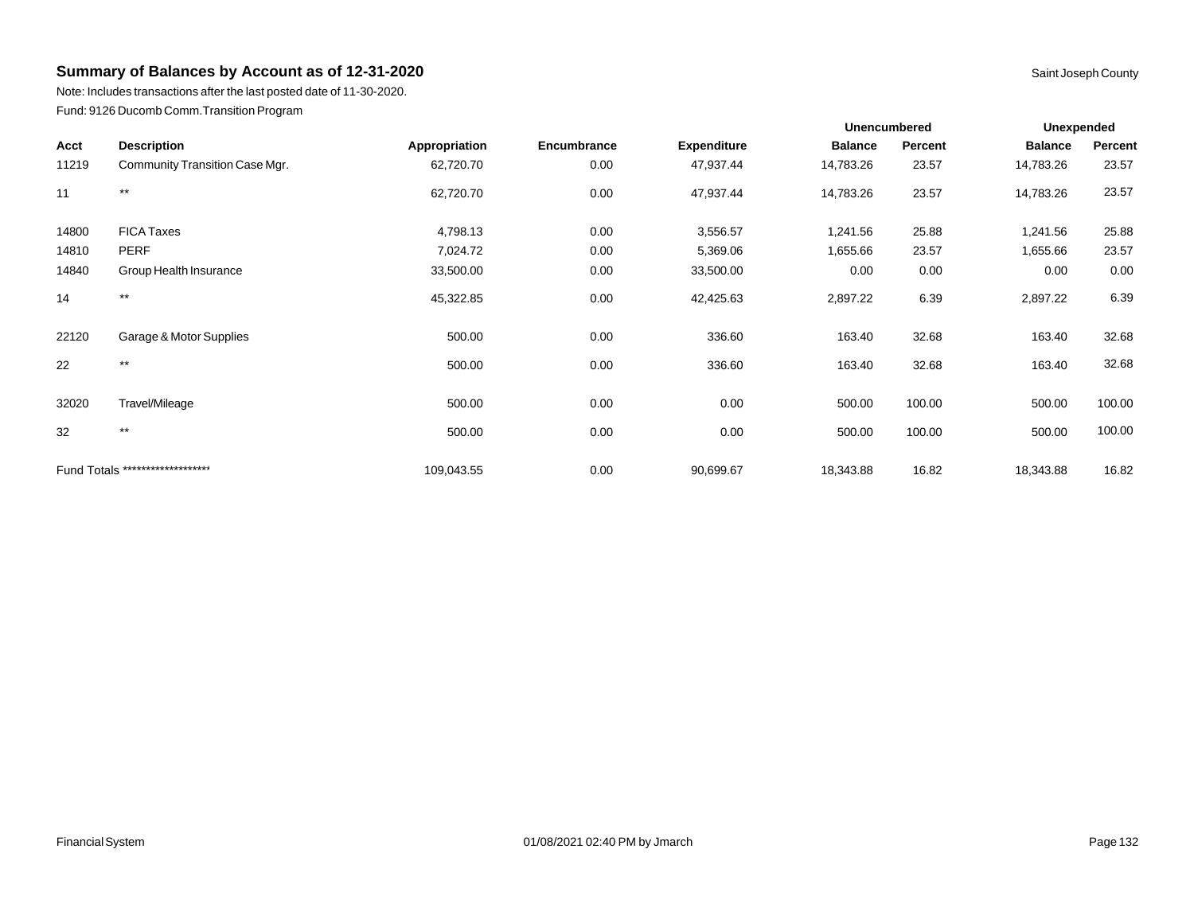Note: Includes transactions after the last posted date of 11-30-2020. Fund: 9126 Ducomb Comm.Transition Program

|       |                                  |               |             | <b>Unencumbered</b> |                | <b>Unexpended</b> |                |         |
|-------|----------------------------------|---------------|-------------|---------------------|----------------|-------------------|----------------|---------|
| Acct  | <b>Description</b>               | Appropriation | Encumbrance | <b>Expenditure</b>  | <b>Balance</b> | Percent           | <b>Balance</b> | Percent |
| 11219 | Community Transition Case Mgr.   | 62,720.70     | 0.00        | 47,937.44           | 14,783.26      | 23.57             | 14,783.26      | 23.57   |
| 11    | $***$                            | 62,720.70     | 0.00        | 47,937.44           | 14,783.26      | 23.57             | 14,783.26      | 23.57   |
| 14800 | <b>FICA Taxes</b>                | 4,798.13      | 0.00        | 3,556.57            | 1,241.56       | 25.88             | 1,241.56       | 25.88   |
| 14810 | <b>PERF</b>                      | 7,024.72      | 0.00        | 5,369.06            | 1,655.66       | 23.57             | 1,655.66       | 23.57   |
| 14840 | Group Health Insurance           | 33,500.00     | 0.00        | 33,500.00           | 0.00           | 0.00              | 0.00           | 0.00    |
| 14    | $\star\star$                     | 45,322.85     | 0.00        | 42,425.63           | 2,897.22       | 6.39              | 2,897.22       | 6.39    |
| 22120 | Garage & Motor Supplies          | 500.00        | 0.00        | 336.60              | 163.40         | 32.68             | 163.40         | 32.68   |
| 22    | $***$                            | 500.00        | 0.00        | 336.60              | 163.40         | 32.68             | 163.40         | 32.68   |
| 32020 | Travel/Mileage                   | 500.00        | 0.00        | 0.00                | 500.00         | 100.00            | 500.00         | 100.00  |
| 32    | $***$                            | 500.00        | 0.00        | 0.00                | 500.00         | 100.00            | 500.00         | 100.00  |
|       | Fund Totals ******************** | 109,043.55    | 0.00        | 90,699.67           | 18,343.88      | 16.82             | 18,343.88      | 16.82   |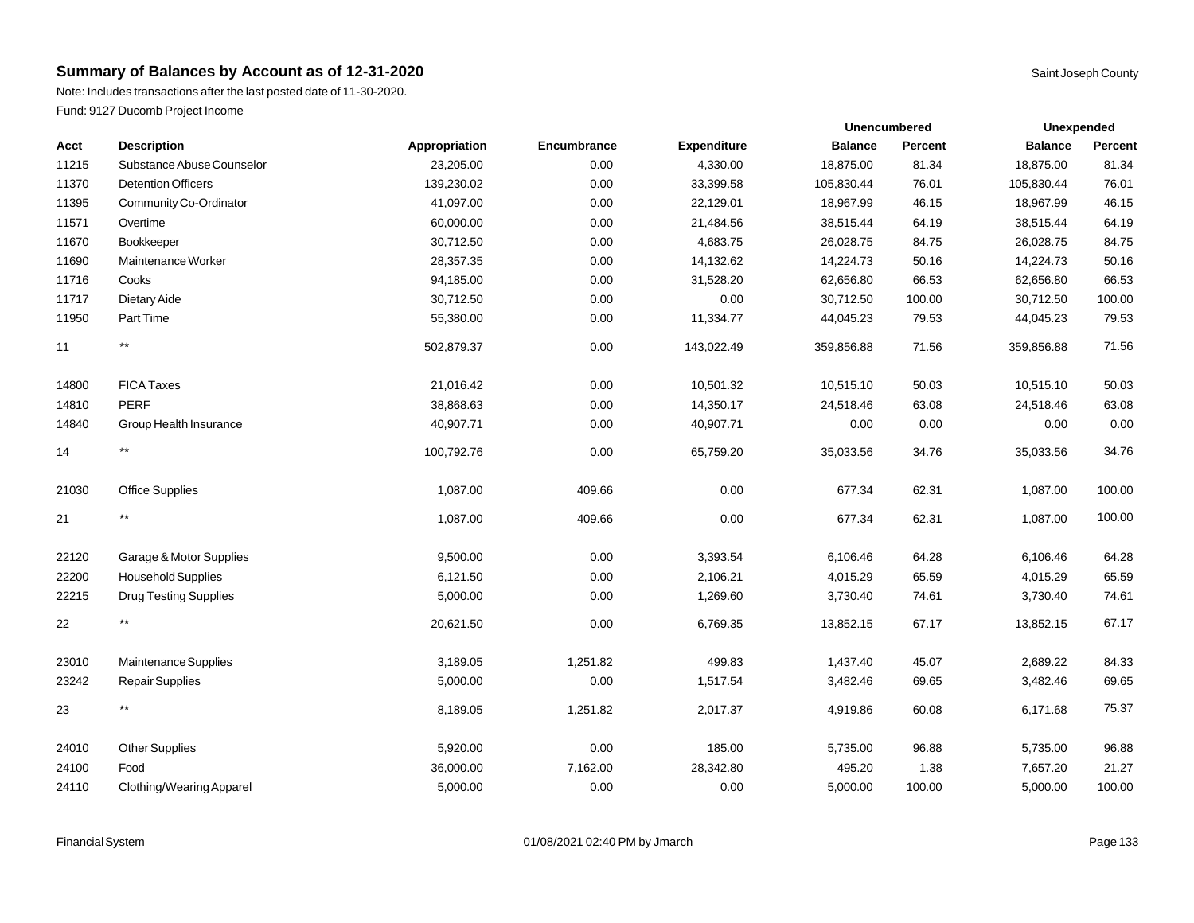Note: Includes transactions after the last posted date of 11-30-2020. Fund: 9127 Ducomb Project Income

| Acct  | <b>Description</b>           | Appropriation | Encumbrance | <b>Expenditure</b> | <b>Balance</b> | Percent | <b>Balance</b> | Percent |
|-------|------------------------------|---------------|-------------|--------------------|----------------|---------|----------------|---------|
| 11215 | Substance Abuse Counselor    | 23,205.00     | 0.00        | 4,330.00           | 18,875.00      | 81.34   | 18,875.00      | 81.34   |
| 11370 | <b>Detention Officers</b>    | 139,230.02    | 0.00        | 33,399.58          | 105,830.44     | 76.01   | 105,830.44     | 76.01   |
| 11395 | Community Co-Ordinator       | 41,097.00     | 0.00        | 22,129.01          | 18,967.99      | 46.15   | 18,967.99      | 46.15   |
| 11571 | Overtime                     | 60,000.00     | 0.00        | 21,484.56          | 38,515.44      | 64.19   | 38,515.44      | 64.19   |
| 11670 | Bookkeeper                   | 30,712.50     | 0.00        | 4,683.75           | 26,028.75      | 84.75   | 26,028.75      | 84.75   |
| 11690 | Maintenance Worker           | 28,357.35     | 0.00        | 14,132.62          | 14,224.73      | 50.16   | 14,224.73      | 50.16   |
| 11716 | Cooks                        | 94,185.00     | 0.00        | 31,528.20          | 62,656.80      | 66.53   | 62,656.80      | 66.53   |
| 11717 | Dietary Aide                 | 30,712.50     | 0.00        | 0.00               | 30,712.50      | 100.00  | 30,712.50      | 100.00  |
| 11950 | Part Time                    | 55,380.00     | 0.00        | 11,334.77          | 44,045.23      | 79.53   | 44,045.23      | 79.53   |
| 11    | $^{\star\star}$              | 502,879.37    | 0.00        | 143,022.49         | 359,856.88     | 71.56   | 359,856.88     | 71.56   |
| 14800 | <b>FICA Taxes</b>            | 21,016.42     | 0.00        | 10,501.32          | 10,515.10      | 50.03   | 10,515.10      | 50.03   |
| 14810 | <b>PERF</b>                  | 38,868.63     | 0.00        | 14,350.17          | 24,518.46      | 63.08   | 24,518.46      | 63.08   |
| 14840 | Group Health Insurance       | 40,907.71     | 0.00        | 40,907.71          | 0.00           | 0.00    | 0.00           | 0.00    |
| 14    | $^{\star\star}$              | 100,792.76    | 0.00        | 65,759.20          | 35,033.56      | 34.76   | 35,033.56      | 34.76   |
| 21030 | <b>Office Supplies</b>       | 1,087.00      | 409.66      | 0.00               | 677.34         | 62.31   | 1,087.00       | 100.00  |
| 21    | $^{\star\star}$              | 1,087.00      | 409.66      | 0.00               | 677.34         | 62.31   | 1,087.00       | 100.00  |
| 22120 | Garage & Motor Supplies      | 9,500.00      | 0.00        | 3,393.54           | 6,106.46       | 64.28   | 6,106.46       | 64.28   |
| 22200 | Household Supplies           | 6,121.50      | 0.00        | 2,106.21           | 4,015.29       | 65.59   | 4,015.29       | 65.59   |
| 22215 | <b>Drug Testing Supplies</b> | 5,000.00      | 0.00        | 1,269.60           | 3,730.40       | 74.61   | 3,730.40       | 74.61   |
| 22    | $^{\star\star}$              | 20,621.50     | 0.00        | 6,769.35           | 13,852.15      | 67.17   | 13,852.15      | 67.17   |
| 23010 | Maintenance Supplies         | 3,189.05      | 1,251.82    | 499.83             | 1,437.40       | 45.07   | 2,689.22       | 84.33   |
| 23242 | Repair Supplies              | 5,000.00      | 0.00        | 1,517.54           | 3,482.46       | 69.65   | 3,482.46       | 69.65   |
| 23    | $^{\star\star}$              | 8,189.05      | 1,251.82    | 2,017.37           | 4,919.86       | 60.08   | 6,171.68       | 75.37   |
| 24010 | <b>Other Supplies</b>        | 5,920.00      | 0.00        | 185.00             | 5,735.00       | 96.88   | 5,735.00       | 96.88   |
| 24100 | Food                         | 36,000.00     | 7,162.00    | 28,342.80          | 495.20         | 1.38    | 7,657.20       | 21.27   |
| 24110 | Clothing/Wearing Apparel     | 5,000.00      | 0.00        | 0.00               | 5,000.00       | 100.00  | 5,000.00       | 100.00  |

**Unexpended**

**Unencumbered**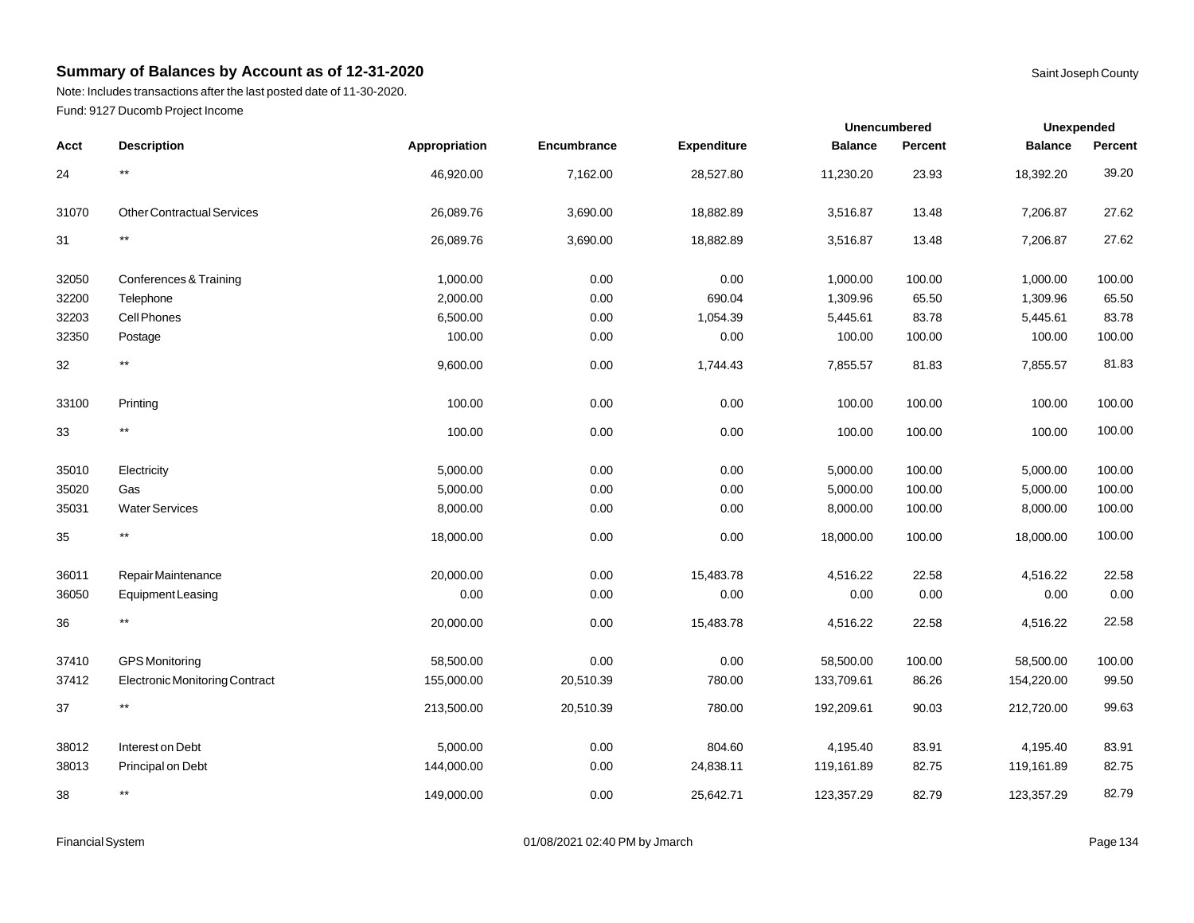Note: Includes transactions after the last posted date of 11-30-2020. Fund: 9127 Ducomb Project Income

|        |                                       |               |             |                    | Unencumbered   |         | <b>Unexpended</b> |         |
|--------|---------------------------------------|---------------|-------------|--------------------|----------------|---------|-------------------|---------|
| Acct   | <b>Description</b>                    | Appropriation | Encumbrance | <b>Expenditure</b> | <b>Balance</b> | Percent | <b>Balance</b>    | Percent |
| 24     | $^{\star\star}$                       | 46,920.00     | 7,162.00    | 28,527.80          | 11,230.20      | 23.93   | 18,392.20         | 39.20   |
| 31070  | <b>Other Contractual Services</b>     | 26,089.76     | 3,690.00    | 18,882.89          | 3,516.87       | 13.48   | 7,206.87          | 27.62   |
| 31     | $^{\star\star}$                       | 26,089.76     | 3,690.00    | 18,882.89          | 3,516.87       | 13.48   | 7,206.87          | 27.62   |
| 32050  | Conferences & Training                | 1,000.00      | 0.00        | 0.00               | 1,000.00       | 100.00  | 1,000.00          | 100.00  |
| 32200  | Telephone                             | 2,000.00      | 0.00        | 690.04             | 1,309.96       | 65.50   | 1,309.96          | 65.50   |
| 32203  | Cell Phones                           | 6,500.00      | 0.00        | 1,054.39           | 5,445.61       | 83.78   | 5,445.61          | 83.78   |
| 32350  | Postage                               | 100.00        | 0.00        | 0.00               | 100.00         | 100.00  | 100.00            | 100.00  |
| 32     | $***$                                 | 9,600.00      | 0.00        | 1,744.43           | 7,855.57       | 81.83   | 7,855.57          | 81.83   |
| 33100  | Printing                              | 100.00        | 0.00        | 0.00               | 100.00         | 100.00  | 100.00            | 100.00  |
| $33\,$ | $^{\star\star}$                       | 100.00        | 0.00        | 0.00               | 100.00         | 100.00  | 100.00            | 100.00  |
| 35010  | Electricity                           | 5,000.00      | 0.00        | 0.00               | 5,000.00       | 100.00  | 5,000.00          | 100.00  |
| 35020  | Gas                                   | 5,000.00      | 0.00        | 0.00               | 5,000.00       | 100.00  | 5,000.00          | 100.00  |
| 35031  | <b>Water Services</b>                 | 8,000.00      | 0.00        | 0.00               | 8,000.00       | 100.00  | 8,000.00          | 100.00  |
| 35     | $^{\star\star}$                       | 18,000.00     | 0.00        | 0.00               | 18,000.00      | 100.00  | 18,000.00         | 100.00  |
| 36011  | Repair Maintenance                    | 20,000.00     | 0.00        | 15,483.78          | 4,516.22       | 22.58   | 4,516.22          | 22.58   |
| 36050  | <b>Equipment Leasing</b>              | 0.00          | 0.00        | 0.00               | 0.00           | 0.00    | 0.00              | 0.00    |
| 36     | $^{\star\star}$                       | 20,000.00     | 0.00        | 15,483.78          | 4,516.22       | 22.58   | 4,516.22          | 22.58   |
| 37410  | <b>GPS</b> Monitoring                 | 58,500.00     | 0.00        | 0.00               | 58,500.00      | 100.00  | 58,500.00         | 100.00  |
| 37412  | <b>Electronic Monitoring Contract</b> | 155,000.00    | 20,510.39   | 780.00             | 133,709.61     | 86.26   | 154,220.00        | 99.50   |
| 37     | $^{\star\star}$                       | 213,500.00    | 20,510.39   | 780.00             | 192,209.61     | 90.03   | 212,720.00        | 99.63   |
| 38012  | Interest on Debt                      | 5,000.00      | 0.00        | 804.60             | 4,195.40       | 83.91   | 4,195.40          | 83.91   |
| 38013  | Principal on Debt                     | 144,000.00    | 0.00        | 24,838.11          | 119,161.89     | 82.75   | 119,161.89        | 82.75   |
| 38     | $^{\star\star}$                       | 149,000.00    | 0.00        | 25,642.71          | 123,357.29     | 82.79   | 123,357.29        | 82.79   |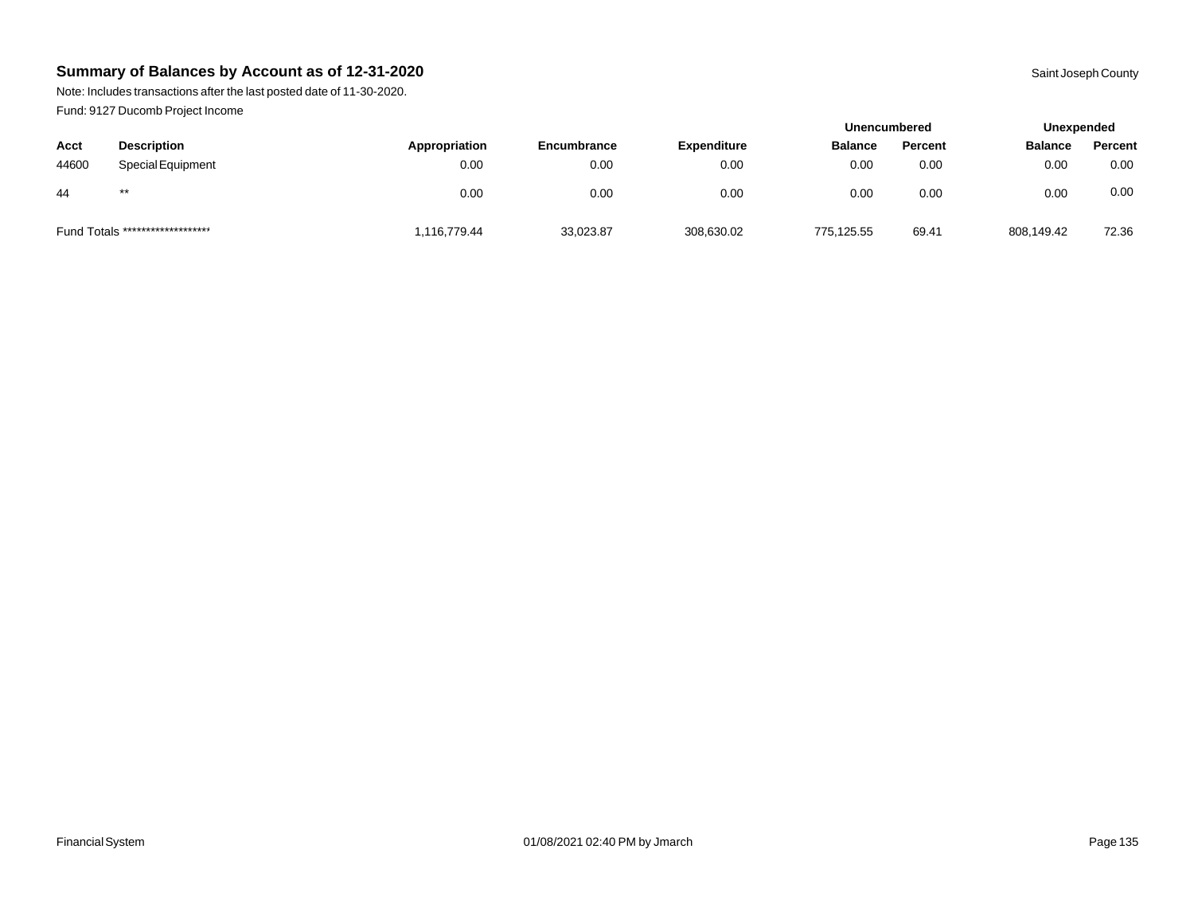Note: Includes transactions after the last posted date of 11-30-2020. Fund: 9127 Ducomb Project Income

|       |                                  |               |             |                    | <b>Unencumbered</b> |         | Unexpended     |         |
|-------|----------------------------------|---------------|-------------|--------------------|---------------------|---------|----------------|---------|
| Acct  | <b>Description</b>               | Appropriation | Encumbrance | <b>Expenditure</b> | <b>Balance</b>      | Percent | <b>Balance</b> | Percent |
| 44600 | <b>Special Equipment</b>         | 0.00          | 0.00        | 0.00               | 0.00                | 0.00    | 0.00           | 0.00    |
| 44    | $***$                            | 0.00          | 0.00        | 0.00               | 0.00                | 0.00    | 0.00           | 0.00    |
|       | Fund Totals ******************** | 1,116,779.44  | 33,023.87   | 308,630.02         | 775,125.55          | 69.41   | 808,149.42     | 72.36   |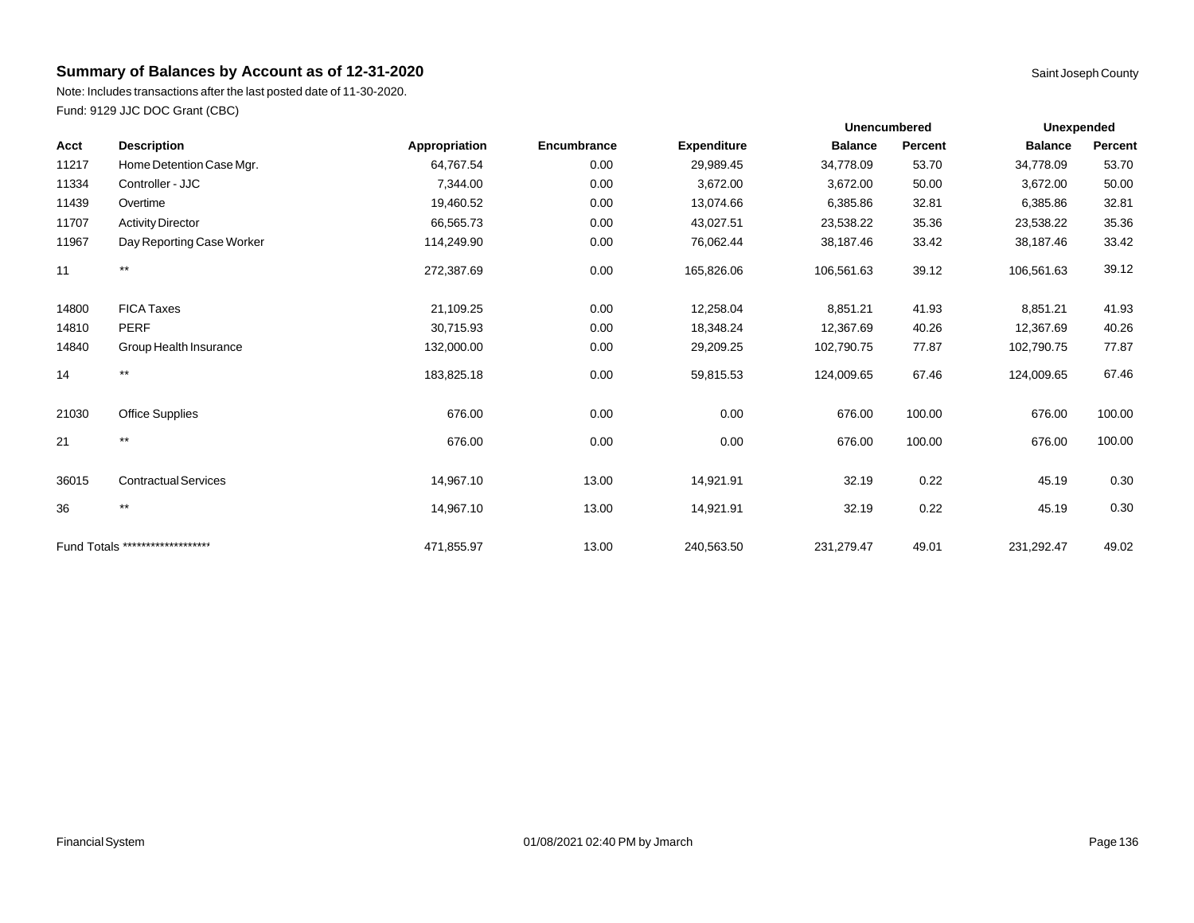Note: Includes transactions after the last posted date of 11-30-2020. Fund: 9129 JJC DOC Grant (CBC)

| Acct  | <b>Description</b>               | Appropriation | Encumbrance | <b>Expenditure</b> | <b>Balance</b> | Percent | <b>Balance</b> | Percent |
|-------|----------------------------------|---------------|-------------|--------------------|----------------|---------|----------------|---------|
| 11217 | Home Detention Case Mgr.         | 64,767.54     | 0.00        | 29,989.45          | 34,778.09      | 53.70   | 34,778.09      | 53.70   |
| 11334 | Controller - JJC                 | 7,344.00      | 0.00        | 3,672.00           | 3,672.00       | 50.00   | 3,672.00       | 50.00   |
| 11439 | Overtime                         | 19,460.52     | 0.00        | 13,074.66          | 6,385.86       | 32.81   | 6,385.86       | 32.81   |
| 11707 | <b>Activity Director</b>         | 66,565.73     | 0.00        | 43,027.51          | 23,538.22      | 35.36   | 23,538.22      | 35.36   |
| 11967 | Day Reporting Case Worker        | 114,249.90    | 0.00        | 76,062.44          | 38,187.46      | 33.42   | 38,187.46      | 33.42   |
| 11    | $***$                            | 272,387.69    | 0.00        | 165,826.06         | 106,561.63     | 39.12   | 106,561.63     | 39.12   |
| 14800 | <b>FICA Taxes</b>                | 21,109.25     | 0.00        | 12,258.04          | 8,851.21       | 41.93   | 8,851.21       | 41.93   |
| 14810 | <b>PERF</b>                      | 30,715.93     | 0.00        | 18,348.24          | 12,367.69      | 40.26   | 12,367.69      | 40.26   |
| 14840 | Group Health Insurance           | 132,000.00    | 0.00        | 29,209.25          | 102,790.75     | 77.87   | 102,790.75     | 77.87   |
| 14    | $***$                            | 183,825.18    | 0.00        | 59,815.53          | 124,009.65     | 67.46   | 124,009.65     | 67.46   |
| 21030 | <b>Office Supplies</b>           | 676.00        | 0.00        | 0.00               | 676.00         | 100.00  | 676.00         | 100.00  |
| 21    | $***$                            | 676.00        | 0.00        | 0.00               | 676.00         | 100.00  | 676.00         | 100.00  |
| 36015 | <b>Contractual Services</b>      | 14,967.10     | 13.00       | 14,921.91          | 32.19          | 0.22    | 45.19          | 0.30    |
| 36    | $***$                            | 14,967.10     | 13.00       | 14,921.91          | 32.19          | 0.22    | 45.19          | 0.30    |
|       | Fund Totals ******************** | 471,855.97    | 13.00       | 240,563.50         | 231,279.47     | 49.01   | 231,292.47     | 49.02   |

**Unexpended**

**Unencumbered**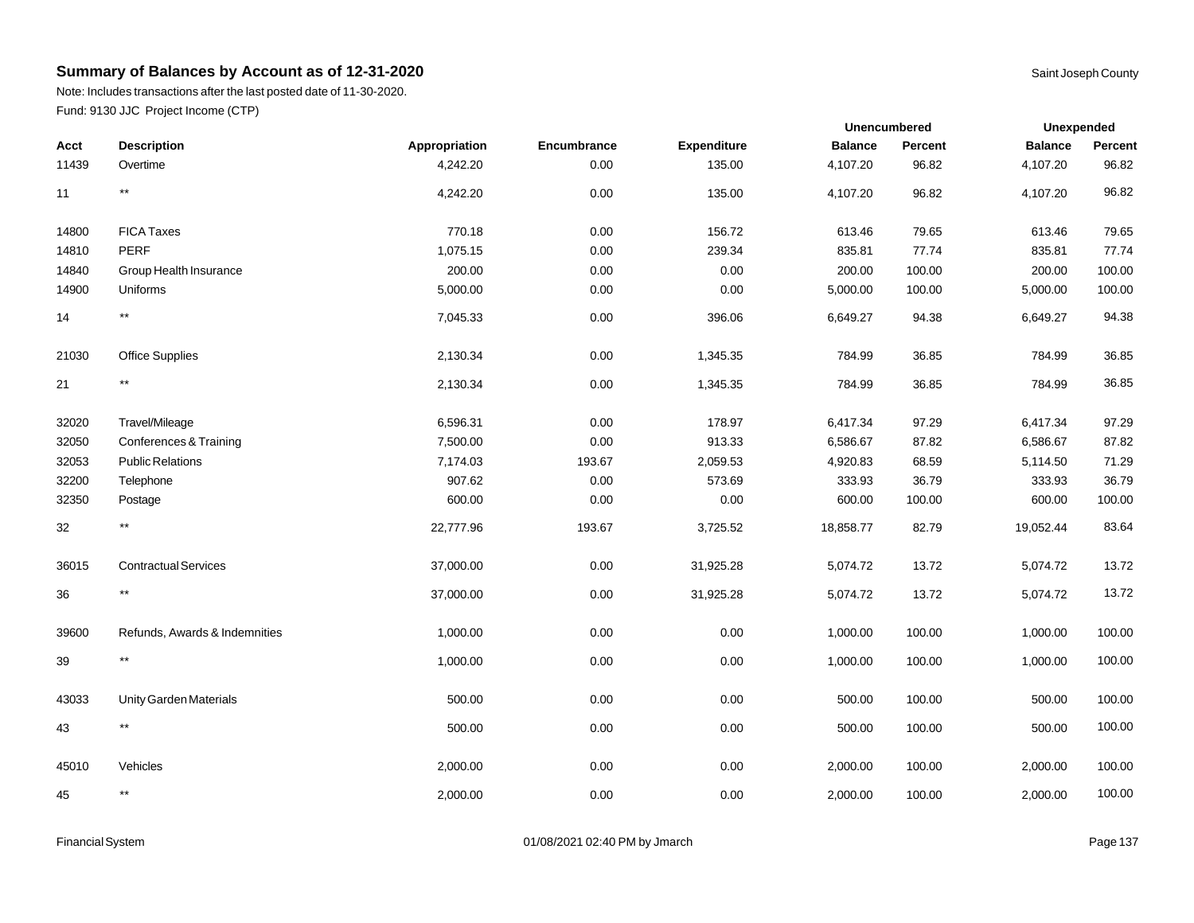Note: Includes transactions after the last posted date of 11-30-2020. Fund: 9130 JJC Project Income (CTP)

|       |                               |               |             |                    | Unencumbered   |                | <b>Unexpended</b> |         |
|-------|-------------------------------|---------------|-------------|--------------------|----------------|----------------|-------------------|---------|
| Acct  | <b>Description</b>            | Appropriation | Encumbrance | <b>Expenditure</b> | <b>Balance</b> | <b>Percent</b> | <b>Balance</b>    | Percent |
| 11439 | Overtime                      | 4,242.20      | 0.00        | 135.00             | 4,107.20       | 96.82          | 4,107.20          | 96.82   |
| 11    | $^{\star\star}$               | 4,242.20      | 0.00        | 135.00             | 4,107.20       | 96.82          | 4,107.20          | 96.82   |
| 14800 | <b>FICA Taxes</b>             | 770.18        | 0.00        | 156.72             | 613.46         | 79.65          | 613.46            | 79.65   |
| 14810 | PERF                          | 1,075.15      | 0.00        | 239.34             | 835.81         | 77.74          | 835.81            | 77.74   |
| 14840 | Group Health Insurance        | 200.00        | 0.00        | 0.00               | 200.00         | 100.00         | 200.00            | 100.00  |
| 14900 | Uniforms                      | 5,000.00      | 0.00        | 0.00               | 5,000.00       | 100.00         | 5,000.00          | 100.00  |
| 14    | $***$                         | 7,045.33      | 0.00        | 396.06             | 6,649.27       | 94.38          | 6,649.27          | 94.38   |
| 21030 | Office Supplies               | 2,130.34      | 0.00        | 1,345.35           | 784.99         | 36.85          | 784.99            | 36.85   |
| 21    | $***$                         | 2,130.34      | 0.00        | 1,345.35           | 784.99         | 36.85          | 784.99            | 36.85   |
| 32020 | Travel/Mileage                | 6,596.31      | 0.00        | 178.97             | 6,417.34       | 97.29          | 6,417.34          | 97.29   |
| 32050 | Conferences & Training        | 7,500.00      | 0.00        | 913.33             | 6,586.67       | 87.82          | 6,586.67          | 87.82   |
| 32053 | <b>Public Relations</b>       | 7,174.03      | 193.67      | 2,059.53           | 4,920.83       | 68.59          | 5,114.50          | 71.29   |
| 32200 | Telephone                     | 907.62        | 0.00        | 573.69             | 333.93         | 36.79          | 333.93            | 36.79   |
| 32350 | Postage                       | 600.00        | 0.00        | 0.00               | 600.00         | 100.00         | 600.00            | 100.00  |
| 32    | $\star\star$                  | 22,777.96     | 193.67      | 3,725.52           | 18,858.77      | 82.79          | 19,052.44         | 83.64   |
| 36015 | <b>Contractual Services</b>   | 37,000.00     | 0.00        | 31,925.28          | 5,074.72       | 13.72          | 5,074.72          | 13.72   |
| 36    | $***$                         | 37,000.00     | 0.00        | 31,925.28          | 5,074.72       | 13.72          | 5,074.72          | 13.72   |
| 39600 | Refunds, Awards & Indemnities | 1,000.00      | 0.00        | 0.00               | 1,000.00       | 100.00         | 1,000.00          | 100.00  |
| 39    | $***$                         | 1,000.00      | 0.00        | 0.00               | 1,000.00       | 100.00         | 1,000.00          | 100.00  |
| 43033 | Unity Garden Materials        | 500.00        | 0.00        | 0.00               | 500.00         | 100.00         | 500.00            | 100.00  |
| 43    | $\star\star$                  | 500.00        | 0.00        | 0.00               | 500.00         | 100.00         | 500.00            | 100.00  |
| 45010 | Vehicles                      | 2,000.00      | 0.00        | 0.00               | 2,000.00       | 100.00         | 2,000.00          | 100.00  |
| 45    | $***$                         | 2,000.00      | 0.00        | 0.00               | 2,000.00       | 100.00         | 2,000.00          | 100.00  |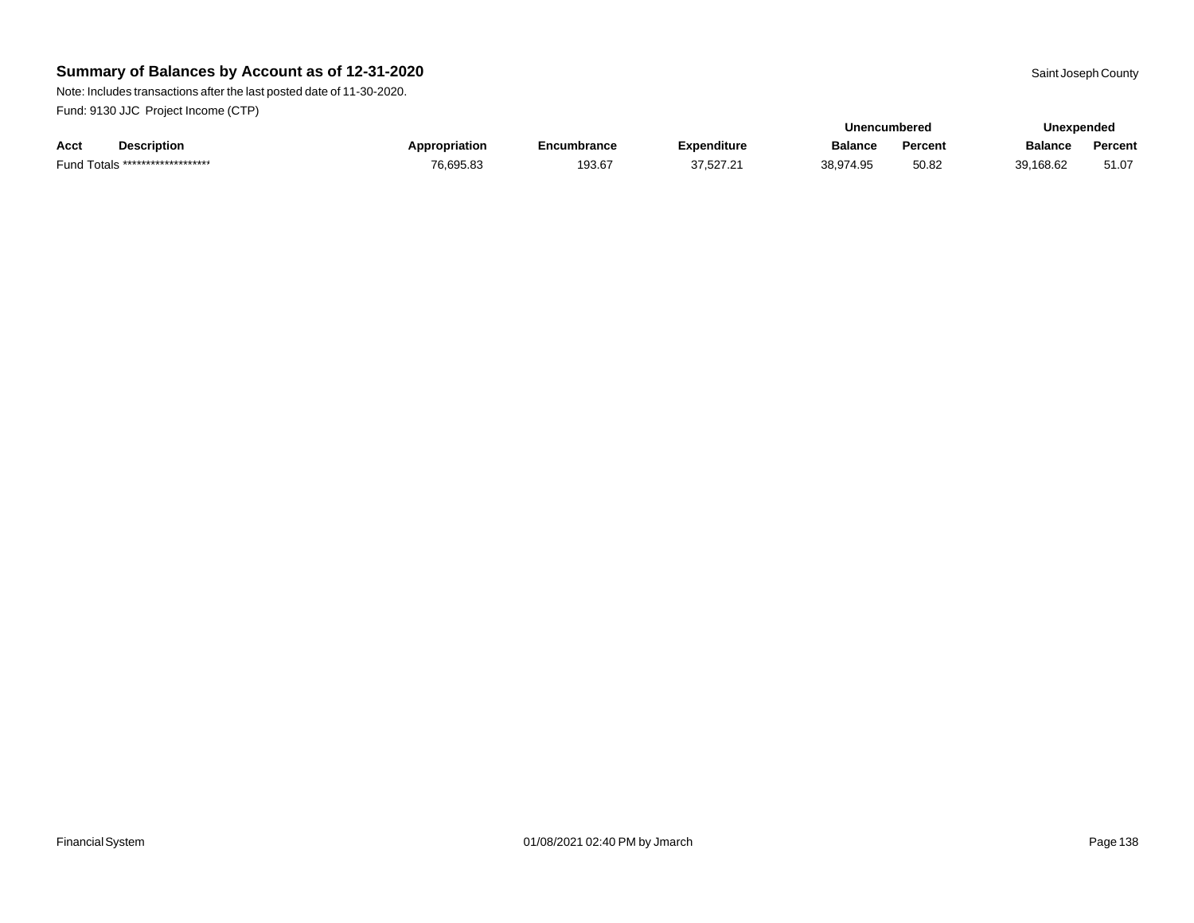Note: Includes transactions after the last posted date of 11-30-2020. Fund: 9130 JJC Project Income (CTP)

|      |                                  |               |             |                    | Unencumbered |         |                | <b>Unexpended</b> |
|------|----------------------------------|---------------|-------------|--------------------|--------------|---------|----------------|-------------------|
| Acct | <b>Description</b>               | Appropriation | Encumbrance | <b>Expenditure</b> | Balance      | Percent | <b>Balance</b> | Percent           |
|      | Fund Totals ******************** | 76,695.83     | 193.67      | 37.527.21          | 38.974.95    | 50.82   | 39,168.62      | 51.07             |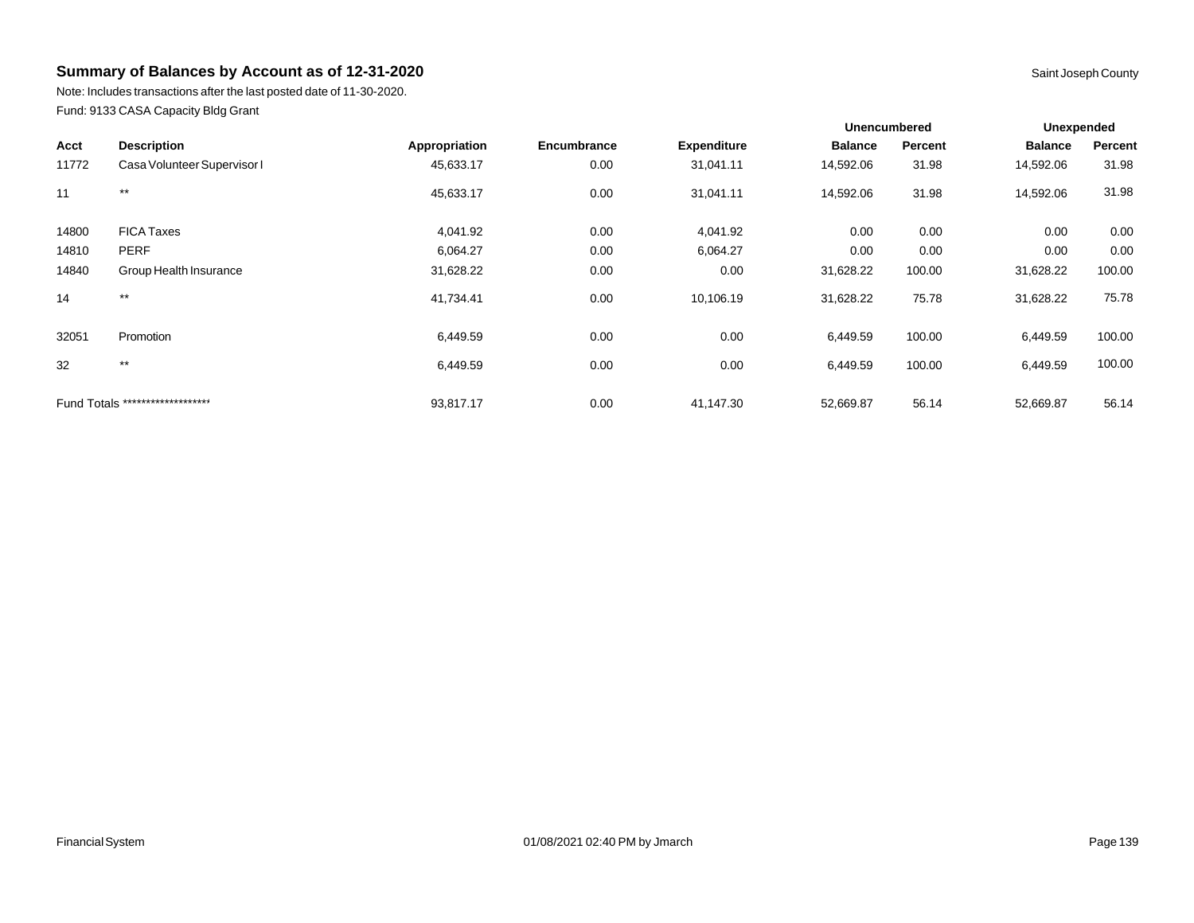Note: Includes transactions after the last posted date of 11-30-2020. Fund: 9133 CASA Capacity Bldg Grant

|       |                                  |               |             |                    | <b>Unencumbered</b> |         | Unexpended     |         |  |
|-------|----------------------------------|---------------|-------------|--------------------|---------------------|---------|----------------|---------|--|
| Acct  | <b>Description</b>               | Appropriation | Encumbrance | <b>Expenditure</b> | <b>Balance</b>      | Percent | <b>Balance</b> | Percent |  |
| 11772 | Casa Volunteer Supervisor I      | 45,633.17     | 0.00        | 31,041.11          | 14,592.06           | 31.98   | 14,592.06      | 31.98   |  |
| 11    | $***$                            | 45,633.17     | 0.00        | 31,041.11          | 14,592.06           | 31.98   | 14,592.06      | 31.98   |  |
| 14800 | <b>FICA Taxes</b>                | 4,041.92      | 0.00        | 4,041.92           | 0.00                | 0.00    | 0.00           | 0.00    |  |
| 14810 | <b>PERF</b>                      | 6,064.27      | 0.00        | 6,064.27           | 0.00                | 0.00    | 0.00           | 0.00    |  |
| 14840 | Group Health Insurance           | 31,628.22     | 0.00        | 0.00               | 31,628.22           | 100.00  | 31,628.22      | 100.00  |  |
| 14    | $***$                            | 41,734.41     | 0.00        | 10,106.19          | 31,628.22           | 75.78   | 31,628.22      | 75.78   |  |
| 32051 | Promotion                        | 6,449.59      | 0.00        | 0.00               | 6,449.59            | 100.00  | 6,449.59       | 100.00  |  |
| 32    | $***$                            | 6,449.59      | 0.00        | 0.00               | 6,449.59            | 100.00  | 6,449.59       | 100.00  |  |
|       | Fund Totals ******************** | 93,817.17     | 0.00        | 41,147.30          | 52,669.87           | 56.14   | 52,669.87      | 56.14   |  |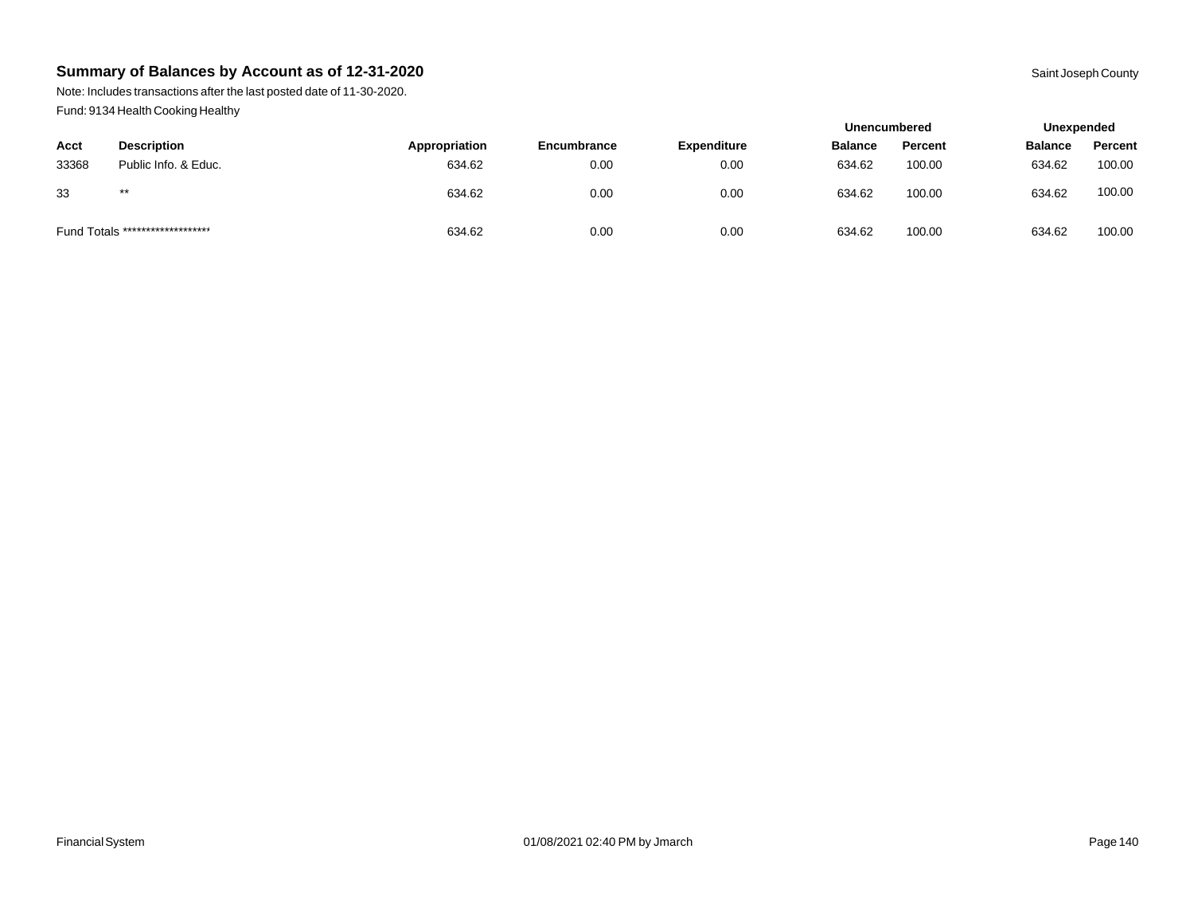Note: Includes transactions after the last posted date of 11-30-2020. Fund: 9134 Health Cooking Healthy

|       |                                  |               |             |                    | <b>Unencumbered</b> |         | Unexpended     |         |
|-------|----------------------------------|---------------|-------------|--------------------|---------------------|---------|----------------|---------|
| Acct  | <b>Description</b>               | Appropriation | Encumbrance | <b>Expenditure</b> | <b>Balance</b>      | Percent | <b>Balance</b> | Percent |
| 33368 | Public Info. & Educ.             | 634.62        | 0.00        | 0.00               | 634.62              | 100.00  | 634.62         | 100.00  |
| 33    | $***$                            | 634.62        | 0.00        | 0.00               | 634.62              | 100.00  | 634.62         | 100.00  |
|       | Fund Totals ******************** | 634.62        | 0.00        | 0.00               | 634.62              | 100.00  | 634.62         | 100.00  |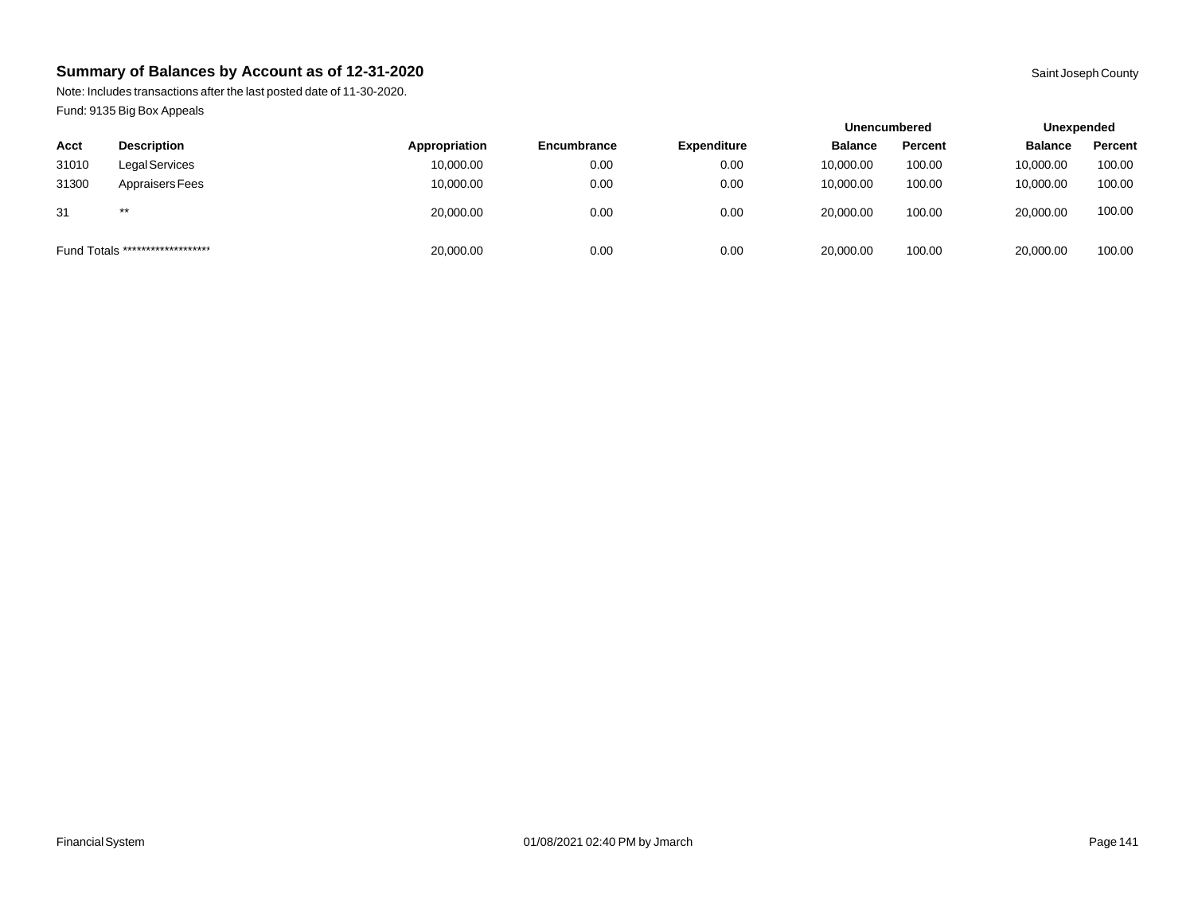Note: Includes transactions after the last posted date of 11-30-2020. Fund: 9135 Big Box Appeals

|                                  |                    |               |                    |                    | <b>Unencumbered</b> |         | Unexpended     |         |
|----------------------------------|--------------------|---------------|--------------------|--------------------|---------------------|---------|----------------|---------|
| Acct                             | <b>Description</b> | Appropriation | <b>Encumbrance</b> | <b>Expenditure</b> | <b>Balance</b>      | Percent | <b>Balance</b> | Percent |
| 31010                            | Legal Services     | 10,000.00     | 0.00               | 0.00               | 10,000.00           | 100.00  | 10,000.00      | 100.00  |
| 31300                            | Appraisers Fees    | 10,000.00     | 0.00               | 0.00               | 10.000.00           | 100.00  | 10,000.00      | 100.00  |
| 31                               | $***$              | 20,000.00     | 0.00               | 0.00               | 20,000.00           | 100.00  | 20,000.00      | 100.00  |
| Fund Totals ******************** |                    | 20,000.00     | 0.00               | 0.00               | 20,000.00           | 100.00  | 20,000.00      | 100.00  |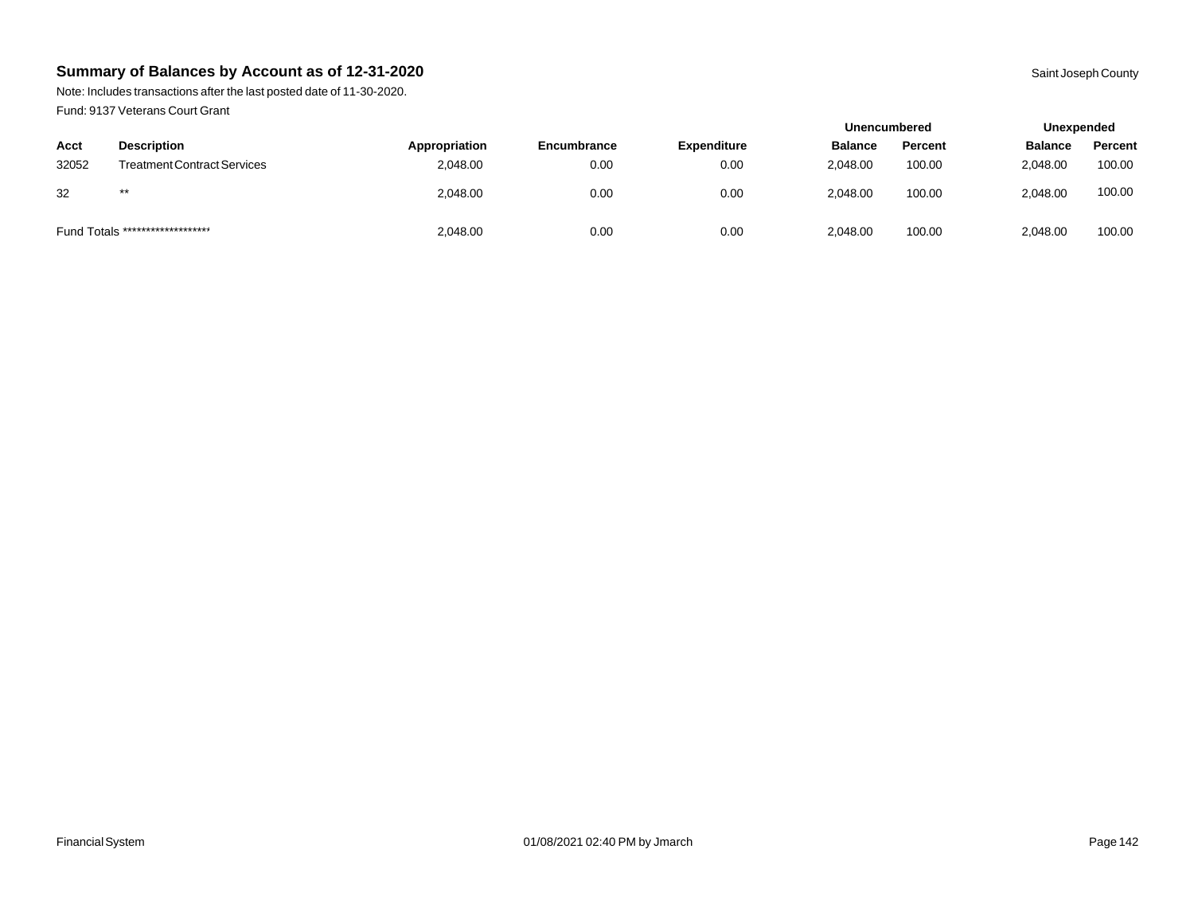Note: Includes transactions after the last posted date of 11-30-2020. Fund: 9137 Veterans Court Grant

|       |                                    |               |             |                    | <b>Unencumbered</b> |         | Unexpended     |         |
|-------|------------------------------------|---------------|-------------|--------------------|---------------------|---------|----------------|---------|
| Acct  | <b>Description</b>                 | Appropriation | Encumbrance | <b>Expenditure</b> | <b>Balance</b>      | Percent | <b>Balance</b> | Percent |
| 32052 | <b>Treatment Contract Services</b> | 2,048.00      | 0.00        | 0.00               | 2.048.00            | 100.00  | 2.048.00       | 100.00  |
| 32    | $***$                              | 2,048.00      | 0.00        | 0.00               | 2.048.00            | 100.00  | 2,048.00       | 100.00  |
|       | Fund Totals ********************   | 2,048.00      | 0.00        | 0.00               | 2,048.00            | 100.00  | 2,048.00       | 100.00  |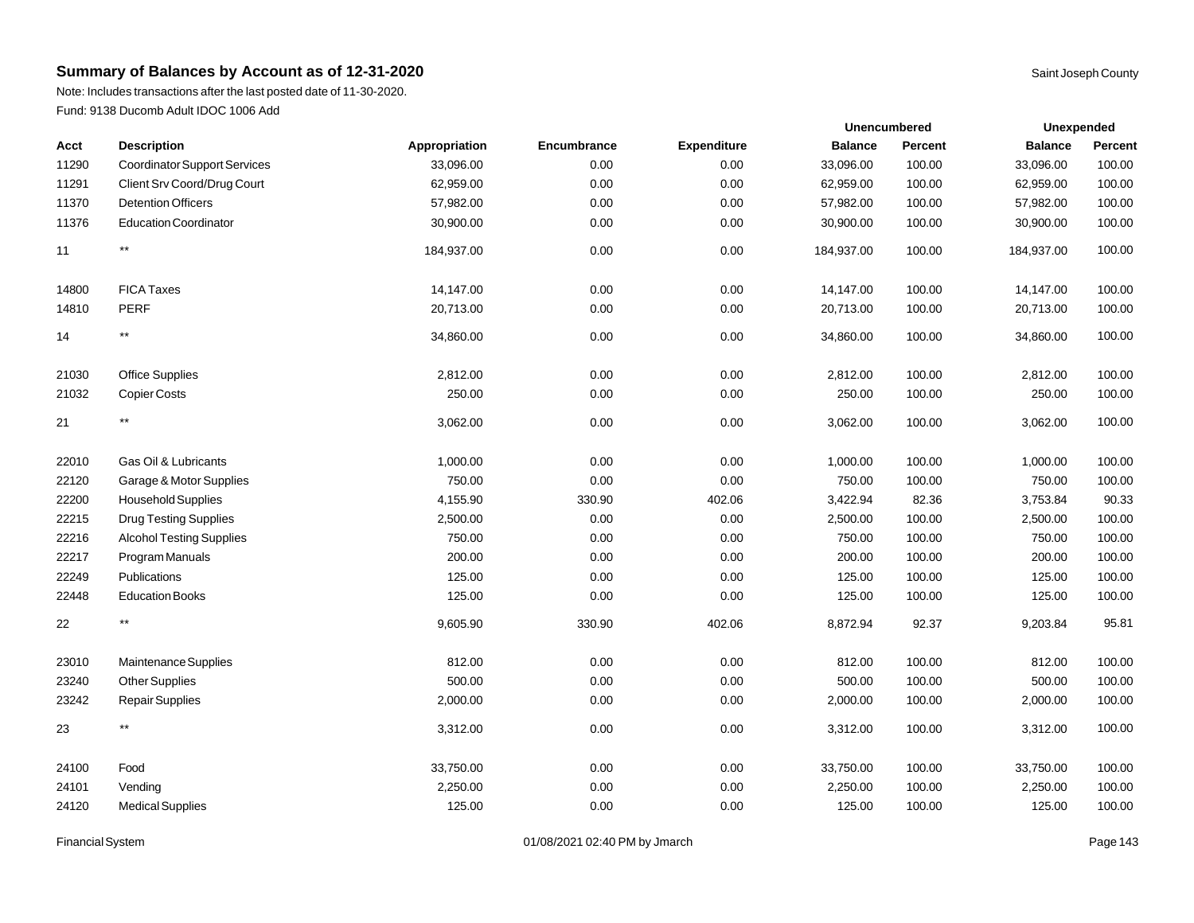Note: Includes transactions after the last posted date of 11-30-2020. Fund: 9138 Ducomb Adult IDOC 1006 Add

|       |                                     |               |             |                    |                | Unencumbered   |                | <b>Unexpended</b> |
|-------|-------------------------------------|---------------|-------------|--------------------|----------------|----------------|----------------|-------------------|
| Acct  | <b>Description</b>                  | Appropriation | Encumbrance | <b>Expenditure</b> | <b>Balance</b> | <b>Percent</b> | <b>Balance</b> | Percent           |
| 11290 | <b>Coordinator Support Services</b> | 33,096.00     | 0.00        | 0.00               | 33,096.00      | 100.00         | 33,096.00      | 100.00            |
| 11291 | Client Srv Coord/Drug Court         | 62,959.00     | 0.00        | 0.00               | 62,959.00      | 100.00         | 62,959.00      | 100.00            |
| 11370 | <b>Detention Officers</b>           | 57,982.00     | 0.00        | 0.00               | 57,982.00      | 100.00         | 57,982.00      | 100.00            |
| 11376 | <b>Education Coordinator</b>        | 30,900.00     | 0.00        | 0.00               | 30,900.00      | 100.00         | 30,900.00      | 100.00            |
| 11    | $^{\star\star}$                     | 184,937.00    | 0.00        | 0.00               | 184,937.00     | 100.00         | 184,937.00     | 100.00            |
| 14800 | <b>FICA Taxes</b>                   | 14,147.00     | 0.00        | 0.00               | 14,147.00      | 100.00         | 14,147.00      | 100.00            |
| 14810 | <b>PERF</b>                         | 20,713.00     | 0.00        | 0.00               | 20,713.00      | 100.00         | 20,713.00      | 100.00            |
| 14    | $\star\star$                        | 34,860.00     | 0.00        | 0.00               | 34,860.00      | 100.00         | 34,860.00      | 100.00            |
| 21030 | Office Supplies                     | 2,812.00      | 0.00        | 0.00               | 2,812.00       | 100.00         | 2,812.00       | 100.00            |
| 21032 | <b>Copier Costs</b>                 | 250.00        | 0.00        | 0.00               | 250.00         | 100.00         | 250.00         | 100.00            |
| 21    | $***$                               | 3,062.00      | 0.00        | 0.00               | 3,062.00       | 100.00         | 3,062.00       | 100.00            |
| 22010 | Gas Oil & Lubricants                | 1,000.00      | 0.00        | 0.00               | 1,000.00       | 100.00         | 1,000.00       | 100.00            |
| 22120 | Garage & Motor Supplies             | 750.00        | 0.00        | 0.00               | 750.00         | 100.00         | 750.00         | 100.00            |
| 22200 | Household Supplies                  | 4,155.90      | 330.90      | 402.06             | 3,422.94       | 82.36          | 3,753.84       | 90.33             |
| 22215 | <b>Drug Testing Supplies</b>        | 2,500.00      | 0.00        | 0.00               | 2,500.00       | 100.00         | 2,500.00       | 100.00            |
| 22216 | <b>Alcohol Testing Supplies</b>     | 750.00        | 0.00        | 0.00               | 750.00         | 100.00         | 750.00         | 100.00            |
| 22217 | Program Manuals                     | 200.00        | 0.00        | 0.00               | 200.00         | 100.00         | 200.00         | 100.00            |
| 22249 | Publications                        | 125.00        | 0.00        | 0.00               | 125.00         | 100.00         | 125.00         | 100.00            |
| 22448 | <b>Education Books</b>              | 125.00        | 0.00        | 0.00               | 125.00         | 100.00         | 125.00         | 100.00            |
| 22    | $^{\star\star}$                     | 9,605.90      | 330.90      | 402.06             | 8,872.94       | 92.37          | 9,203.84       | 95.81             |
| 23010 | Maintenance Supplies                | 812.00        | 0.00        | 0.00               | 812.00         | 100.00         | 812.00         | 100.00            |
| 23240 | <b>Other Supplies</b>               | 500.00        | 0.00        | 0.00               | 500.00         | 100.00         | 500.00         | 100.00            |
| 23242 | <b>Repair Supplies</b>              | 2,000.00      | 0.00        | 0.00               | 2,000.00       | 100.00         | 2,000.00       | 100.00            |
| 23    | $^{\star\star}$                     | 3,312.00      | 0.00        | 0.00               | 3,312.00       | 100.00         | 3,312.00       | 100.00            |
| 24100 | Food                                | 33,750.00     | 0.00        | 0.00               | 33,750.00      | 100.00         | 33,750.00      | 100.00            |
| 24101 | Vending                             | 2,250.00      | 0.00        | 0.00               | 2,250.00       | 100.00         | 2,250.00       | 100.00            |
| 24120 | <b>Medical Supplies</b>             | 125.00        | 0.00        | 0.00               | 125.00         | 100.00         | 125.00         | 100.00            |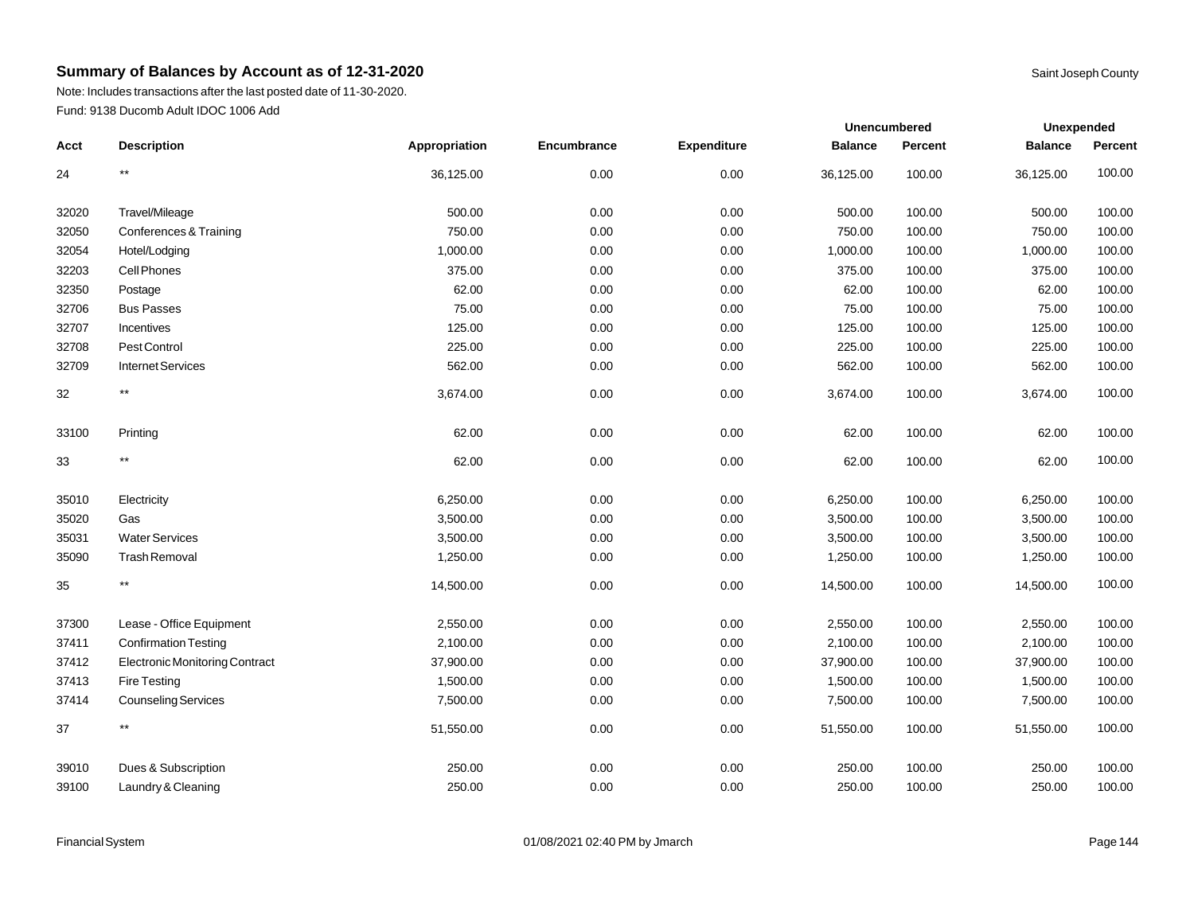Note: Includes transactions after the last posted date of 11-30-2020. Fund: 9138 Ducomb Adult IDOC 1006 Add

|       |                                       |               |             |                    | Unencumbered   |                | <b>Unexpended</b> |         |
|-------|---------------------------------------|---------------|-------------|--------------------|----------------|----------------|-------------------|---------|
| Acct  | <b>Description</b>                    | Appropriation | Encumbrance | <b>Expenditure</b> | <b>Balance</b> | <b>Percent</b> | <b>Balance</b>    | Percent |
| 24    | $^{\star\star}$                       | 36,125.00     | 0.00        | 0.00               | 36,125.00      | 100.00         | 36,125.00         | 100.00  |
| 32020 | Travel/Mileage                        | 500.00        | 0.00        | 0.00               | 500.00         | 100.00         | 500.00            | 100.00  |
| 32050 | Conferences & Training                | 750.00        | 0.00        | 0.00               | 750.00         | 100.00         | 750.00            | 100.00  |
| 32054 | Hotel/Lodging                         | 1,000.00      | 0.00        | 0.00               | 1,000.00       | 100.00         | 1,000.00          | 100.00  |
| 32203 | Cell Phones                           | 375.00        | 0.00        | 0.00               | 375.00         | 100.00         | 375.00            | 100.00  |
| 32350 | Postage                               | 62.00         | 0.00        | 0.00               | 62.00          | 100.00         | 62.00             | 100.00  |
| 32706 | <b>Bus Passes</b>                     | 75.00         | 0.00        | 0.00               | 75.00          | 100.00         | 75.00             | 100.00  |
| 32707 | Incentives                            | 125.00        | 0.00        | 0.00               | 125.00         | 100.00         | 125.00            | 100.00  |
| 32708 | Pest Control                          | 225.00        | 0.00        | 0.00               | 225.00         | 100.00         | 225.00            | 100.00  |
| 32709 | <b>Internet Services</b>              | 562.00        | 0.00        | 0.00               | 562.00         | 100.00         | 562.00            | 100.00  |
| 32    | $^{\star\star}$                       | 3,674.00      | 0.00        | 0.00               | 3,674.00       | 100.00         | 3,674.00          | 100.00  |
| 33100 | Printing                              | 62.00         | 0.00        | 0.00               | 62.00          | 100.00         | 62.00             | 100.00  |
| 33    | $***$                                 | 62.00         | 0.00        | 0.00               | 62.00          | 100.00         | 62.00             | 100.00  |
| 35010 | Electricity                           | 6,250.00      | 0.00        | 0.00               | 6,250.00       | 100.00         | 6,250.00          | 100.00  |
| 35020 | Gas                                   | 3,500.00      | 0.00        | 0.00               | 3,500.00       | 100.00         | 3,500.00          | 100.00  |
| 35031 | <b>Water Services</b>                 | 3,500.00      | 0.00        | 0.00               | 3,500.00       | 100.00         | 3,500.00          | 100.00  |
| 35090 | <b>Trash Removal</b>                  | 1,250.00      | 0.00        | 0.00               | 1,250.00       | 100.00         | 1,250.00          | 100.00  |
| 35    | $^{\star\star}$                       | 14,500.00     | 0.00        | 0.00               | 14,500.00      | 100.00         | 14,500.00         | 100.00  |
| 37300 | Lease - Office Equipment              | 2,550.00      | 0.00        | 0.00               | 2,550.00       | 100.00         | 2,550.00          | 100.00  |
| 37411 | <b>Confirmation Testing</b>           | 2,100.00      | 0.00        | 0.00               | 2,100.00       | 100.00         | 2,100.00          | 100.00  |
| 37412 | <b>Electronic Monitoring Contract</b> | 37,900.00     | 0.00        | 0.00               | 37,900.00      | 100.00         | 37,900.00         | 100.00  |
| 37413 | Fire Testing                          | 1,500.00      | 0.00        | 0.00               | 1,500.00       | 100.00         | 1,500.00          | 100.00  |
| 37414 | Counseling Services                   | 7,500.00      | 0.00        | 0.00               | 7,500.00       | 100.00         | 7,500.00          | 100.00  |
| 37    | $^{\star\star}$                       | 51,550.00     | 0.00        | 0.00               | 51,550.00      | 100.00         | 51,550.00         | 100.00  |
| 39010 | Dues & Subscription                   | 250.00        | 0.00        | 0.00               | 250.00         | 100.00         | 250.00            | 100.00  |
| 39100 | Laundry & Cleaning                    | 250.00        | 0.00        | 0.00               | 250.00         | 100.00         | 250.00            | 100.00  |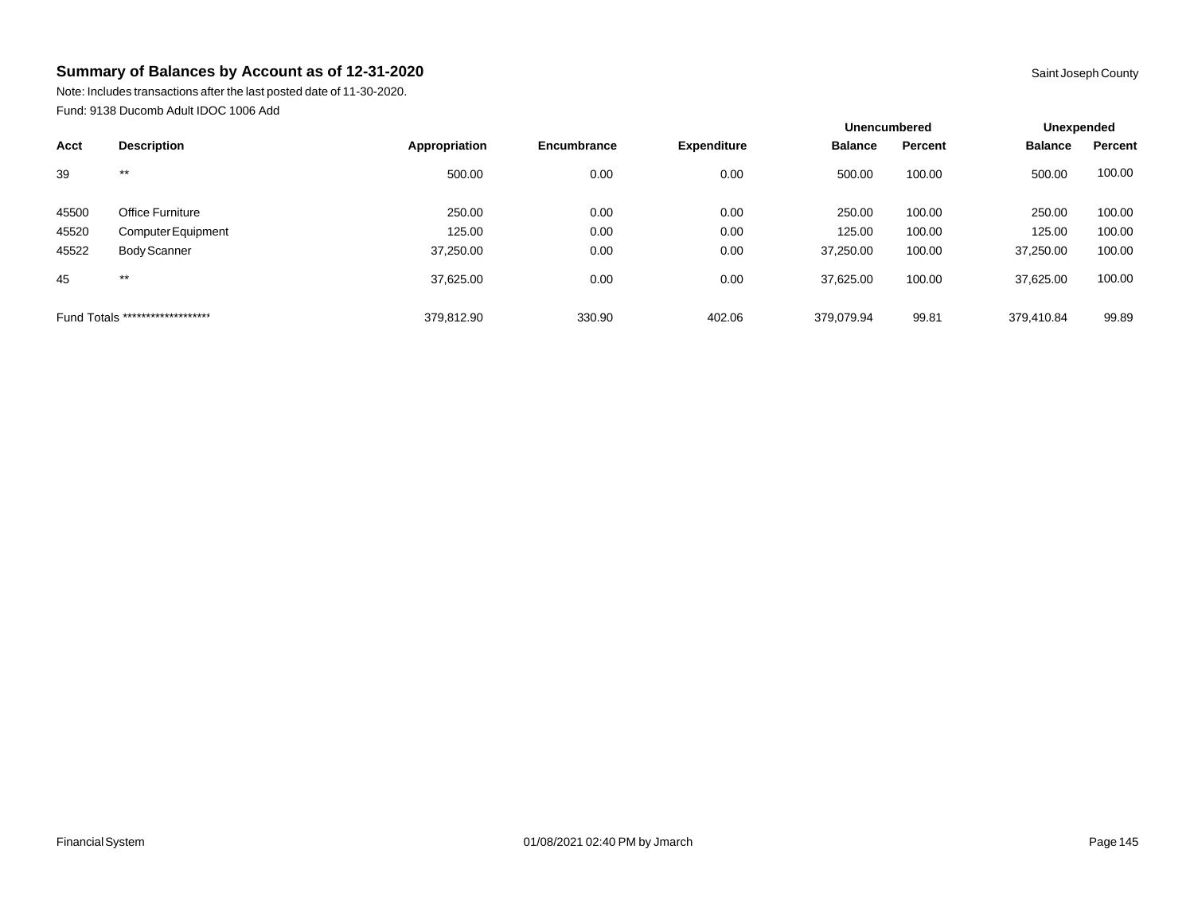Note: Includes transactions after the last posted date of 11-30-2020. Fund: 9138 Ducomb Adult IDOC 1006 Add

|                                  |                     |               |             |                    |                | <b>Unencumbered</b> |                | Unexpended |  |
|----------------------------------|---------------------|---------------|-------------|--------------------|----------------|---------------------|----------------|------------|--|
| Acct                             | <b>Description</b>  | Appropriation | Encumbrance | <b>Expenditure</b> | <b>Balance</b> | Percent             | <b>Balance</b> | Percent    |  |
| 39                               | $***$               | 500.00        | 0.00        | 0.00               | 500.00         | 100.00              | 500.00         | 100.00     |  |
| 45500                            | Office Furniture    | 250.00        | 0.00        | 0.00               | 250.00         | 100.00              | 250.00         | 100.00     |  |
| 45520                            | Computer Equipment  | 125.00        | 0.00        | 0.00               | 125.00         | 100.00              | 125.00         | 100.00     |  |
| 45522                            | <b>Body Scanner</b> | 37,250.00     | 0.00        | 0.00               | 37,250.00      | 100.00              | 37,250.00      | 100.00     |  |
| 45                               | $***$               | 37,625.00     | 0.00        | 0.00               | 37.625.00      | 100.00              | 37,625.00      | 100.00     |  |
| Fund Totals ******************** |                     | 379,812.90    | 330.90      | 402.06             | 379.079.94     | 99.81               | 379.410.84     | 99.89      |  |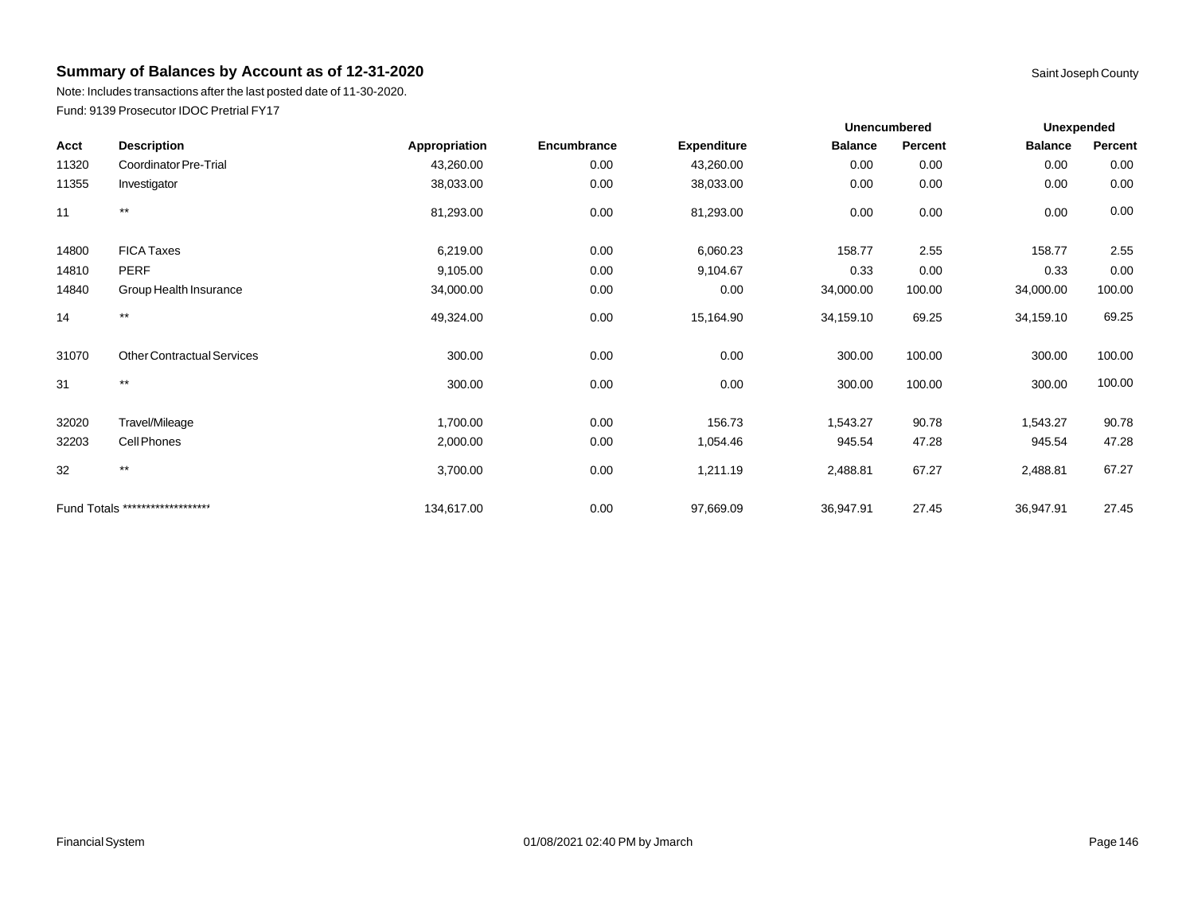Note: Includes transactions after the last posted date of 11-30-2020. Fund: 9139 Prosecutor IDOC Pretrial FY17

|       |                                   |               |             |                    | <b>Unencumbered</b> |                |                | <b>Unexpended</b> |  |  |
|-------|-----------------------------------|---------------|-------------|--------------------|---------------------|----------------|----------------|-------------------|--|--|
| Acct  | <b>Description</b>                | Appropriation | Encumbrance | <b>Expenditure</b> | <b>Balance</b>      | <b>Percent</b> | <b>Balance</b> | Percent           |  |  |
| 11320 | Coordinator Pre-Trial             | 43,260.00     | 0.00        | 43,260.00          | 0.00                | 0.00           | 0.00           | 0.00              |  |  |
| 11355 | Investigator                      | 38,033.00     | 0.00        | 38,033.00          | 0.00                | 0.00           | 0.00           | 0.00              |  |  |
| 11    | $\star\star$                      | 81,293.00     | 0.00        | 81,293.00          | 0.00                | 0.00           | 0.00           | 0.00              |  |  |
| 14800 | <b>FICA Taxes</b>                 | 6,219.00      | 0.00        | 6,060.23           | 158.77              | 2.55           | 158.77         | 2.55              |  |  |
| 14810 | <b>PERF</b>                       | 9,105.00      | 0.00        | 9,104.67           | 0.33                | 0.00           | 0.33           | 0.00              |  |  |
| 14840 | Group Health Insurance            | 34,000.00     | 0.00        | 0.00               | 34,000.00           | 100.00         | 34,000.00      | 100.00            |  |  |
| 14    | $***$                             | 49,324.00     | 0.00        | 15,164.90          | 34,159.10           | 69.25          | 34,159.10      | 69.25             |  |  |
| 31070 | <b>Other Contractual Services</b> | 300.00        | 0.00        | 0.00               | 300.00              | 100.00         | 300.00         | 100.00            |  |  |
| 31    | $\star\star$                      | 300.00        | 0.00        | 0.00               | 300.00              | 100.00         | 300.00         | 100.00            |  |  |
| 32020 | Travel/Mileage                    | 1,700.00      | 0.00        | 156.73             | 1,543.27            | 90.78          | 1,543.27       | 90.78             |  |  |
| 32203 | Cell Phones                       | 2,000.00      | 0.00        | 1,054.46           | 945.54              | 47.28          | 945.54         | 47.28             |  |  |
| 32    | $***$                             | 3,700.00      | 0.00        | 1,211.19           | 2,488.81            | 67.27          | 2,488.81       | 67.27             |  |  |
|       | Fund Totals ********************  | 134,617.00    | 0.00        | 97,669.09          | 36,947.91           | 27.45          | 36,947.91      | 27.45             |  |  |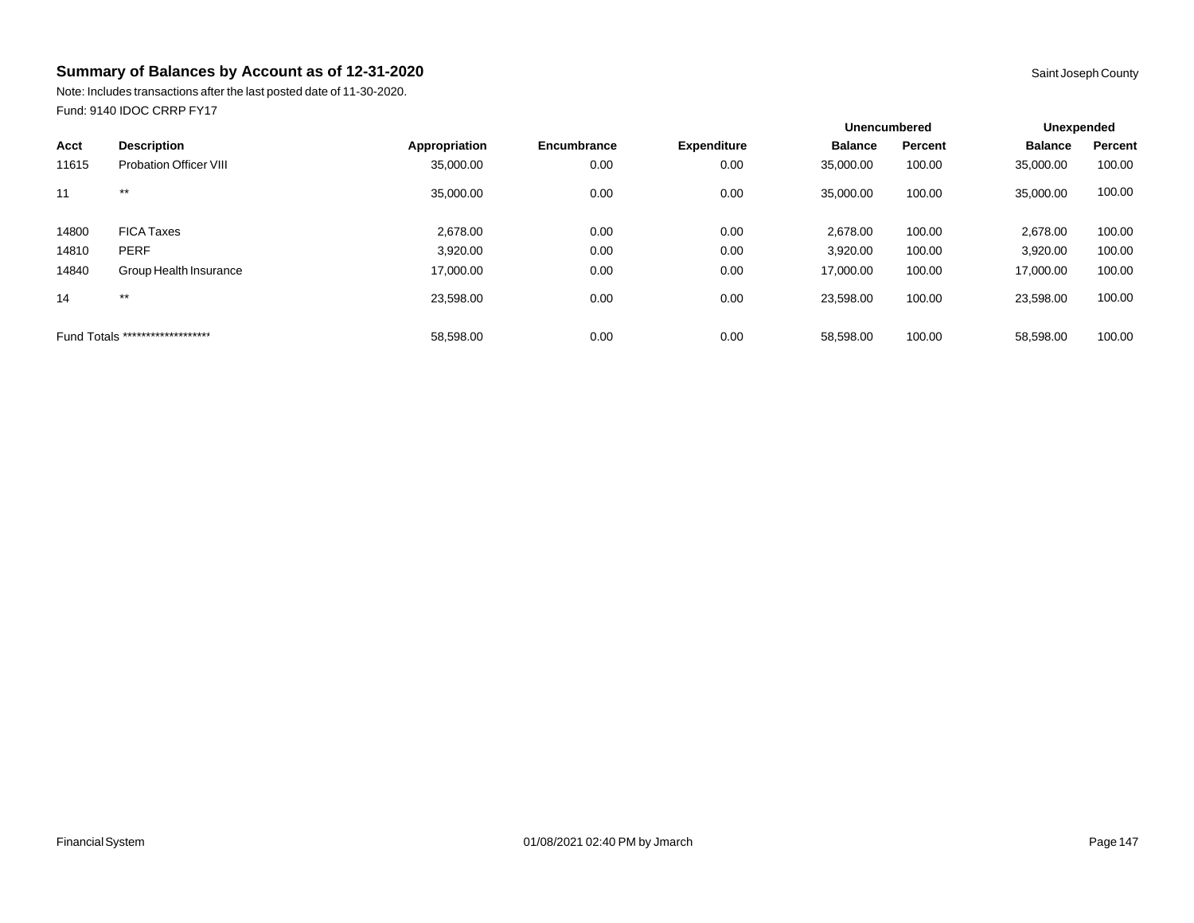Note: Includes transactions after the last posted date of 11-30-2020. Fund: 9140 IDOC CRRP FY17

|       |                                  |               |             |                    | <b>Unencumbered</b> |         | Unexpended     |         |
|-------|----------------------------------|---------------|-------------|--------------------|---------------------|---------|----------------|---------|
| Acct  | <b>Description</b>               | Appropriation | Encumbrance | <b>Expenditure</b> | <b>Balance</b>      | Percent | <b>Balance</b> | Percent |
| 11615 | <b>Probation Officer VIII</b>    | 35,000.00     | 0.00        | 0.00               | 35,000.00           | 100.00  | 35,000.00      | 100.00  |
| 11    | $***$                            | 35,000.00     | 0.00        | 0.00               | 35,000.00           | 100.00  | 35,000.00      | 100.00  |
| 14800 | <b>FICA Taxes</b>                | 2,678.00      | 0.00        | 0.00               | 2.678.00            | 100.00  | 2,678.00       | 100.00  |
| 14810 | <b>PERF</b>                      | 3,920.00      | 0.00        | 0.00               | 3,920.00            | 100.00  | 3,920.00       | 100.00  |
| 14840 | Group Health Insurance           | 17,000.00     | 0.00        | 0.00               | 17,000.00           | 100.00  | 17,000.00      | 100.00  |
| 14    | $***$                            | 23,598.00     | 0.00        | 0.00               | 23,598.00           | 100.00  | 23,598.00      | 100.00  |
|       | Fund Totals ******************** | 58.598.00     | 0.00        | 0.00               | 58.598.00           | 100.00  | 58,598.00      | 100.00  |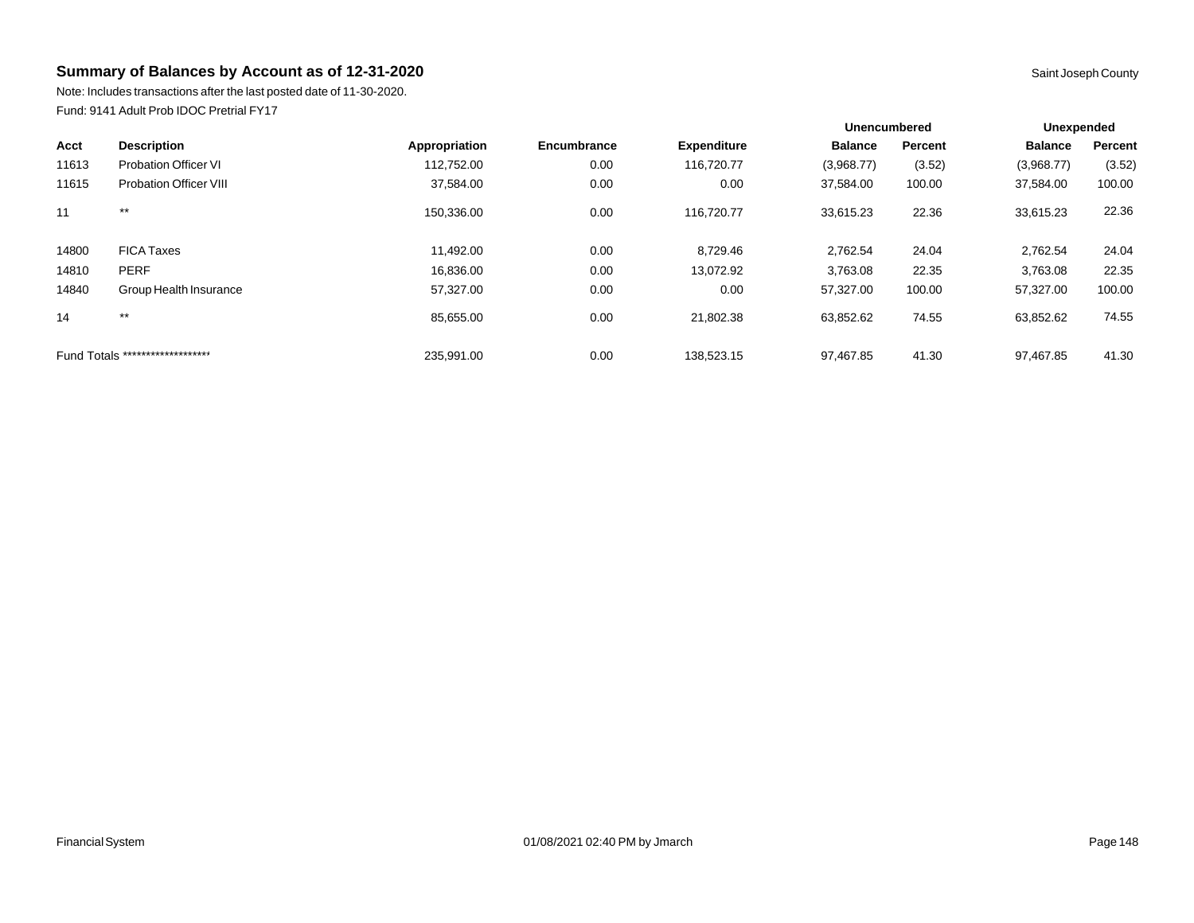Note: Includes transactions after the last posted date of 11-30-2020. Fund: 9141 Adult Prob IDOC Pretrial FY17

|       |                                  |               |             |                    | <b>Unencumbered</b> |         | Unexpended |         |
|-------|----------------------------------|---------------|-------------|--------------------|---------------------|---------|------------|---------|
| Acct  | <b>Description</b>               | Appropriation | Encumbrance | <b>Expenditure</b> | <b>Balance</b>      | Percent | Balance    | Percent |
| 11613 | <b>Probation Officer VI</b>      | 112.752.00    | 0.00        | 116,720.77         | (3,968.77)          | (3.52)  | (3,968.77) | (3.52)  |
| 11615 | <b>Probation Officer VIII</b>    | 37,584.00     | 0.00        | 0.00               | 37,584.00           | 100.00  | 37,584.00  | 100.00  |
| 11    | $***$                            | 150.336.00    | 0.00        | 116.720.77         | 33.615.23           | 22.36   | 33,615.23  | 22.36   |
| 14800 | <b>FICA Taxes</b>                | 11,492.00     | 0.00        | 8,729.46           | 2,762.54            | 24.04   | 2,762.54   | 24.04   |
| 14810 | <b>PERF</b>                      | 16,836.00     | 0.00        | 13,072.92          | 3,763.08            | 22.35   | 3,763.08   | 22.35   |
| 14840 | Group Health Insurance           | 57,327.00     | 0.00        | 0.00               | 57,327.00           | 100.00  | 57,327.00  | 100.00  |
| 14    | $***$                            | 85.655.00     | 0.00        | 21,802.38          | 63,852.62           | 74.55   | 63,852.62  | 74.55   |
|       | Fund Totals ******************** | 235.991.00    | 0.00        | 138.523.15         | 97.467.85           | 41.30   | 97.467.85  | 41.30   |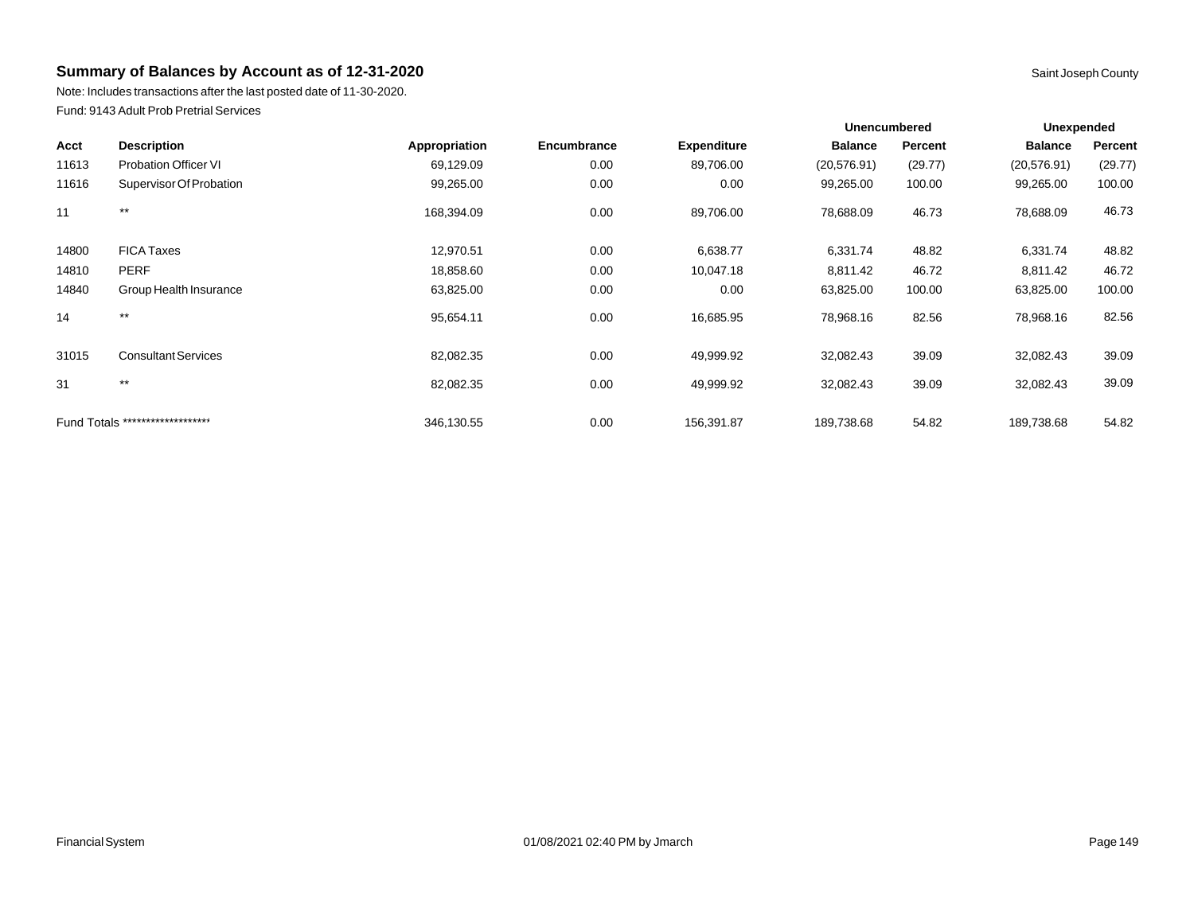Note: Includes transactions after the last posted date of 11-30-2020. Fund: 9143 Adult Prob Pretrial Services

|       |                                  |               |             |                    |                | <b>Unencumbered</b> |                | <b>Unexpended</b> |  |
|-------|----------------------------------|---------------|-------------|--------------------|----------------|---------------------|----------------|-------------------|--|
| Acct  | <b>Description</b>               | Appropriation | Encumbrance | <b>Expenditure</b> | <b>Balance</b> | Percent             | <b>Balance</b> | Percent           |  |
| 11613 | <b>Probation Officer VI</b>      | 69,129.09     | 0.00        | 89,706.00          | (20, 576.91)   | (29.77)             | (20, 576.91)   | (29.77)           |  |
| 11616 | Supervisor Of Probation          | 99,265.00     | 0.00        | 0.00               | 99,265.00      | 100.00              | 99,265.00      | 100.00            |  |
| 11    | $***$                            | 168,394.09    | 0.00        | 89,706.00          | 78,688.09      | 46.73               | 78,688.09      | 46.73             |  |
| 14800 | <b>FICA Taxes</b>                | 12,970.51     | 0.00        | 6,638.77           | 6,331.74       | 48.82               | 6,331.74       | 48.82             |  |
| 14810 | <b>PERF</b>                      | 18,858.60     | 0.00        | 10,047.18          | 8,811.42       | 46.72               | 8,811.42       | 46.72             |  |
| 14840 | Group Health Insurance           | 63,825.00     | 0.00        | 0.00               | 63,825.00      | 100.00              | 63,825.00      | 100.00            |  |
| 14    | $***$                            | 95,654.11     | 0.00        | 16,685.95          | 78,968.16      | 82.56               | 78,968.16      | 82.56             |  |
| 31015 | <b>Consultant Services</b>       | 82,082.35     | 0.00        | 49,999.92          | 32,082.43      | 39.09               | 32,082.43      | 39.09             |  |
| 31    | $***$                            | 82,082.35     | 0.00        | 49,999.92          | 32,082.43      | 39.09               | 32,082.43      | 39.09             |  |
|       | Fund Totals ******************** | 346,130.55    | 0.00        | 156,391.87         | 189,738.68     | 54.82               | 189,738.68     | 54.82             |  |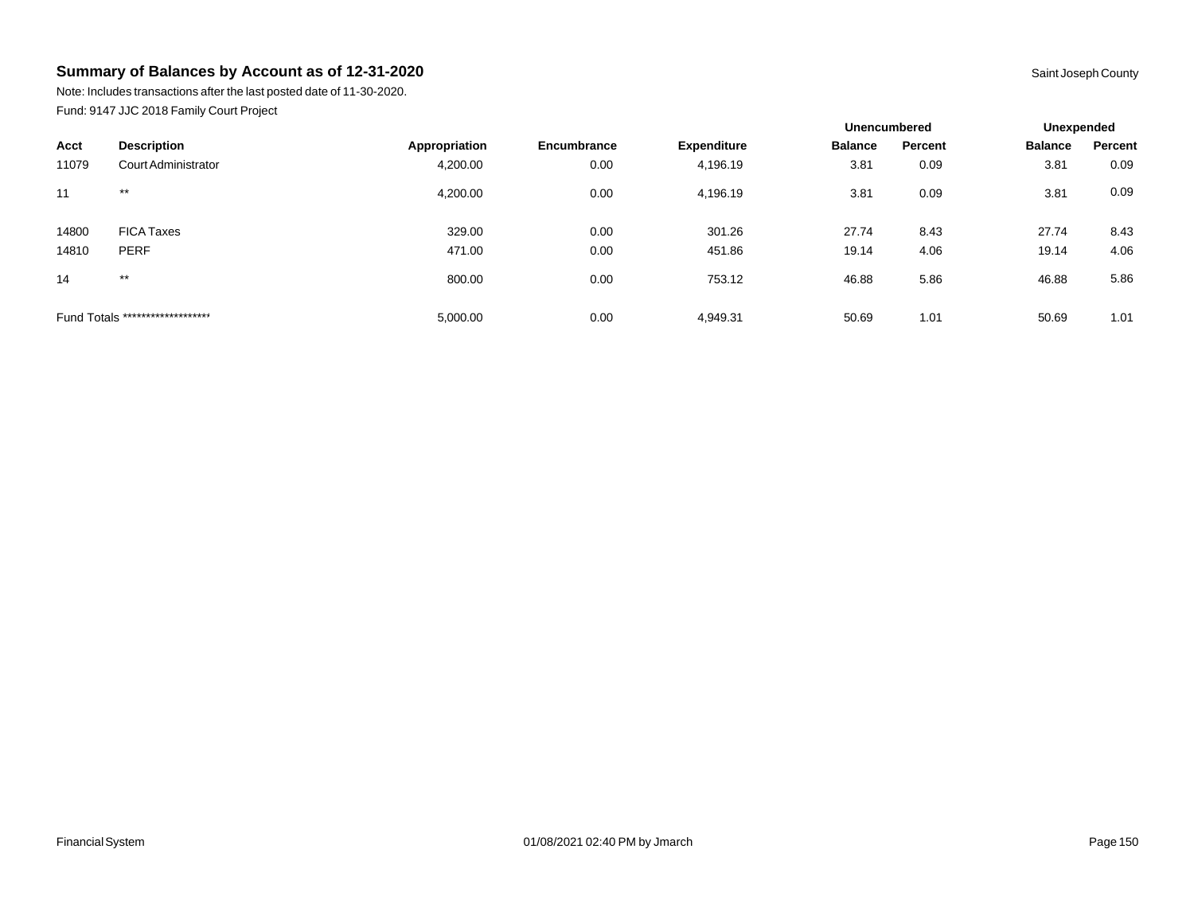Note: Includes transactions after the last posted date of 11-30-2020. Fund: 9147 JJC 2018 Family Court Project

|       |                                  |               |             |                    | <b>Unencumbered</b> |         | Unexpended     |         |
|-------|----------------------------------|---------------|-------------|--------------------|---------------------|---------|----------------|---------|
| Acct  | <b>Description</b>               | Appropriation | Encumbrance | <b>Expenditure</b> | <b>Balance</b>      | Percent | <b>Balance</b> | Percent |
| 11079 | Court Administrator              | 4,200.00      | 0.00        | 4,196.19           | 3.81                | 0.09    | 3.81           | 0.09    |
| 11    | $***$                            | 4,200.00      | 0.00        | 4,196.19           | 3.81                | 0.09    | 3.81           | 0.09    |
| 14800 | <b>FICA Taxes</b>                | 329.00        | 0.00        | 301.26             | 27.74               | 8.43    | 27.74          | 8.43    |
| 14810 | <b>PERF</b>                      | 471.00        | 0.00        | 451.86             | 19.14               | 4.06    | 19.14          | 4.06    |
| 14    | $***$                            | 800.00        | 0.00        | 753.12             | 46.88               | 5.86    | 46.88          | 5.86    |
|       | Fund Totals ******************** | 5,000.00      | 0.00        | 4,949.31           | 50.69               | 1.01    | 50.69          | 1.01    |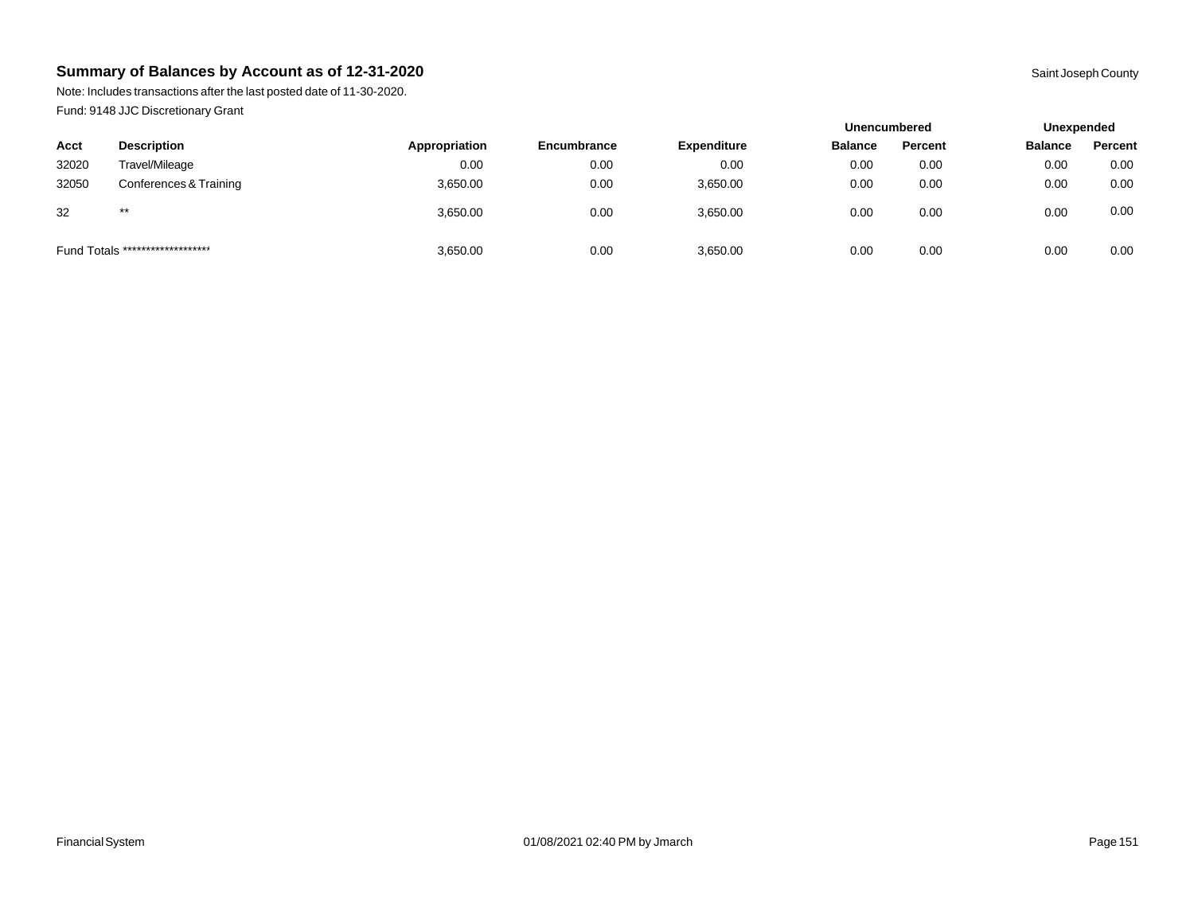Note: Includes transactions after the last posted date of 11-30-2020. Fund: 9148 JJC Discretionary Grant

|                                  |                        |               |                    |                    |                | <b>Unencumbered</b> |                | Unexpended |  |
|----------------------------------|------------------------|---------------|--------------------|--------------------|----------------|---------------------|----------------|------------|--|
| Acct                             | <b>Description</b>     | Appropriation | <b>Encumbrance</b> | <b>Expenditure</b> | <b>Balance</b> | Percent             | <b>Balance</b> | Percent    |  |
| 32020                            | Travel/Mileage         | 0.00          | 0.00               | 0.00               | 0.00           | 0.00                | 0.00           | 0.00       |  |
| 32050                            | Conferences & Training | 3,650.00      | 0.00               | 3.650.00           | 0.00           | 0.00                | 0.00           | 0.00       |  |
| 32                               | $***$                  | 3,650.00      | 0.00               | 3,650.00           | 0.00           | 0.00                | 0.00           | 0.00       |  |
| Fund Totals ******************** |                        | 3,650.00      | 0.00               | 3,650.00           | 0.00           | 0.00                | 0.00           | 0.00       |  |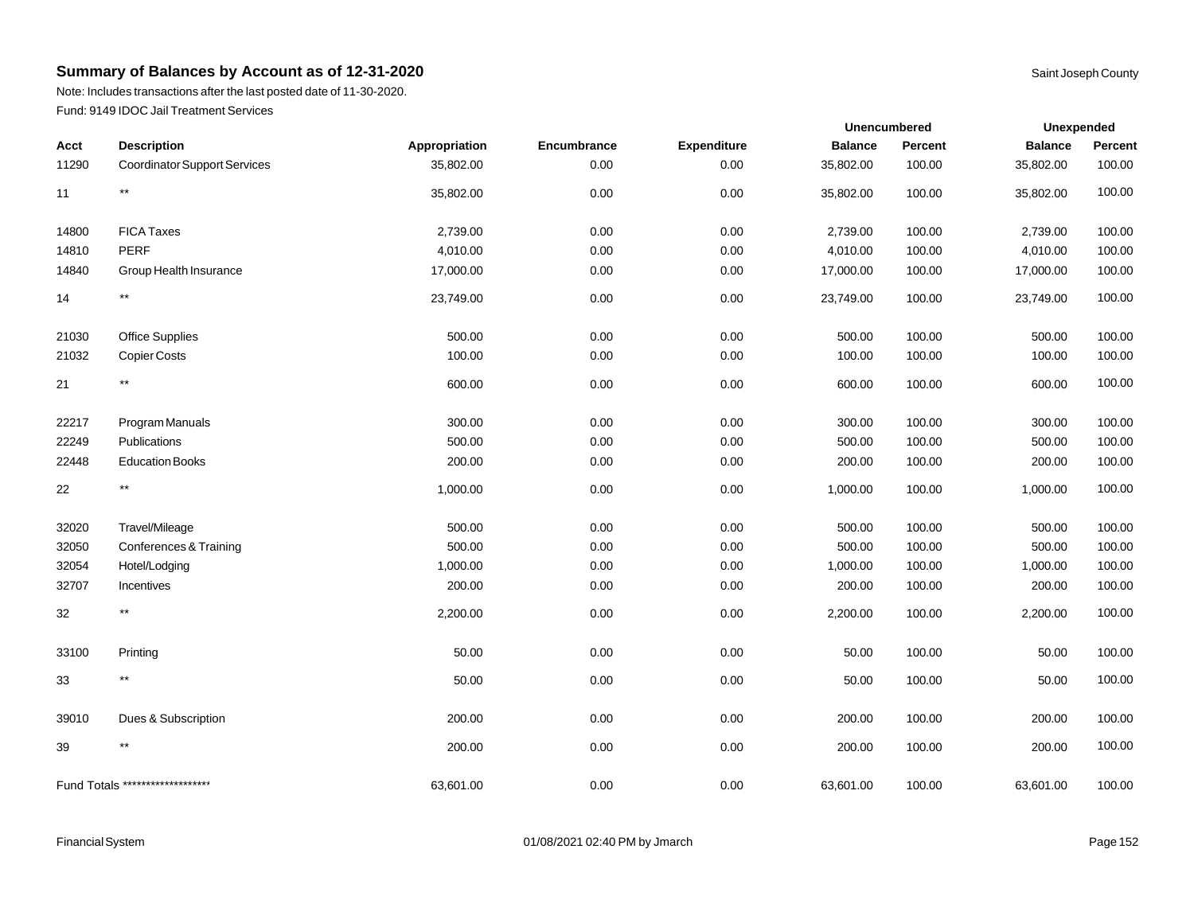Note: Includes transactions after the last posted date of 11-30-2020. Fund: 9149 IDOC Jail Treatment Services

|        |                                     |               |             | Unencumbered       |                | Unexpended |                |         |
|--------|-------------------------------------|---------------|-------------|--------------------|----------------|------------|----------------|---------|
| Acct   | <b>Description</b>                  | Appropriation | Encumbrance | <b>Expenditure</b> | <b>Balance</b> | Percent    | <b>Balance</b> | Percent |
| 11290  | <b>Coordinator Support Services</b> | 35,802.00     | 0.00        | 0.00               | 35,802.00      | 100.00     | 35,802.00      | 100.00  |
| 11     | $^{\star\star}$                     | 35,802.00     | 0.00        | 0.00               | 35,802.00      | 100.00     | 35,802.00      | 100.00  |
| 14800  | <b>FICA Taxes</b>                   | 2,739.00      | 0.00        | 0.00               | 2,739.00       | 100.00     | 2,739.00       | 100.00  |
| 14810  | <b>PERF</b>                         | 4,010.00      | 0.00        | 0.00               | 4,010.00       | 100.00     | 4,010.00       | 100.00  |
| 14840  | Group Health Insurance              | 17,000.00     | 0.00        | 0.00               | 17,000.00      | 100.00     | 17,000.00      | 100.00  |
| 14     | $^{\star\star}$                     | 23,749.00     | 0.00        | 0.00               | 23,749.00      | 100.00     | 23,749.00      | 100.00  |
| 21030  | Office Supplies                     | 500.00        | 0.00        | 0.00               | 500.00         | 100.00     | 500.00         | 100.00  |
| 21032  | <b>Copier Costs</b>                 | 100.00        | 0.00        | 0.00               | 100.00         | 100.00     | 100.00         | 100.00  |
| 21     | $***$                               | 600.00        | 0.00        | 0.00               | 600.00         | 100.00     | 600.00         | 100.00  |
| 22217  | Program Manuals                     | 300.00        | 0.00        | 0.00               | 300.00         | 100.00     | 300.00         | 100.00  |
| 22249  | Publications                        | 500.00        | 0.00        | 0.00               | 500.00         | 100.00     | 500.00         | 100.00  |
| 22448  | <b>Education Books</b>              | 200.00        | 0.00        | 0.00               | 200.00         | 100.00     | 200.00         | 100.00  |
| 22     | $^{\star\star}$                     | 1,000.00      | 0.00        | 0.00               | 1,000.00       | 100.00     | 1,000.00       | 100.00  |
| 32020  | Travel/Mileage                      | 500.00        | 0.00        | 0.00               | 500.00         | 100.00     | 500.00         | 100.00  |
| 32050  | Conferences & Training              | 500.00        | 0.00        | 0.00               | 500.00         | 100.00     | 500.00         | 100.00  |
| 32054  | Hotel/Lodging                       | 1,000.00      | 0.00        | 0.00               | 1,000.00       | 100.00     | 1,000.00       | 100.00  |
| 32707  | Incentives                          | 200.00        | 0.00        | 0.00               | 200.00         | 100.00     | 200.00         | 100.00  |
| 32     | $***$                               | 2,200.00      | 0.00        | 0.00               | 2,200.00       | 100.00     | 2,200.00       | 100.00  |
| 33100  | Printing                            | 50.00         | 0.00        | 0.00               | 50.00          | 100.00     | 50.00          | 100.00  |
| 33     | $^{\star\star}$                     | 50.00         | 0.00        | 0.00               | 50.00          | 100.00     | 50.00          | 100.00  |
| 39010  | Dues & Subscription                 | 200.00        | 0.00        | 0.00               | 200.00         | 100.00     | 200.00         | 100.00  |
| $39\,$ | $***$                               | 200.00        | 0.00        | 0.00               | 200.00         | 100.00     | 200.00         | 100.00  |
|        | Fund Totals ********************    | 63,601.00     | 0.00        | 0.00               | 63,601.00      | 100.00     | 63,601.00      | 100.00  |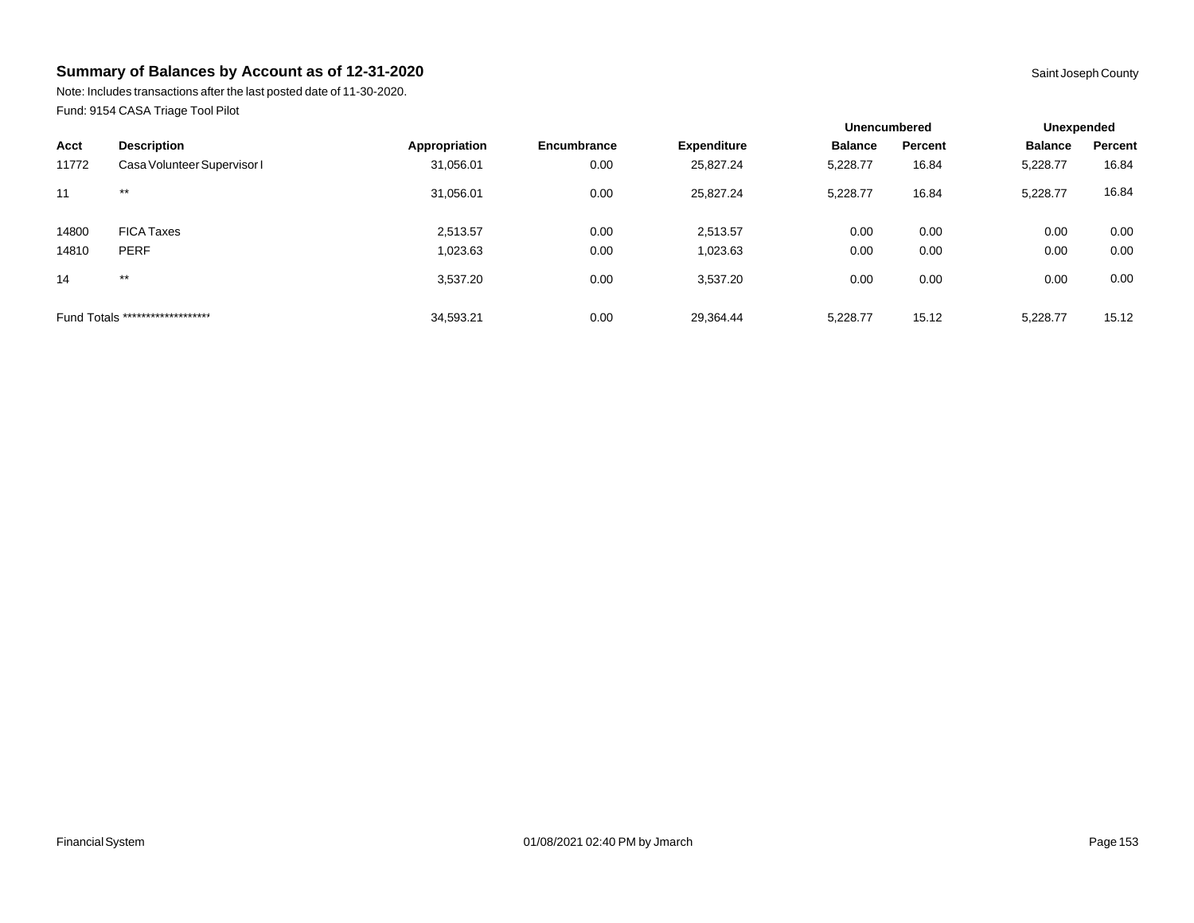Note: Includes transactions after the last posted date of 11-30-2020. Fund: 9154 CASA Triage Tool Pilot

|       |                                  |               |             |                    | <b>Unencumbered</b> |         | Unexpended     |         |
|-------|----------------------------------|---------------|-------------|--------------------|---------------------|---------|----------------|---------|
| Acct  | <b>Description</b>               | Appropriation | Encumbrance | <b>Expenditure</b> | <b>Balance</b>      | Percent | <b>Balance</b> | Percent |
| 11772 | Casa Volunteer Supervisor I      | 31,056.01     | 0.00        | 25,827.24          | 5,228.77            | 16.84   | 5,228.77       | 16.84   |
| 11    | $***$                            | 31,056.01     | 0.00        | 25,827.24          | 5.228.77            | 16.84   | 5,228.77       | 16.84   |
| 14800 | <b>FICA Taxes</b>                | 2.513.57      | 0.00        | 2,513.57           | 0.00                | 0.00    | 0.00           | 0.00    |
| 14810 | <b>PERF</b>                      | 1,023.63      | 0.00        | 1,023.63           | 0.00                | 0.00    | 0.00           | 0.00    |
| 14    | $***$                            | 3,537.20      | 0.00        | 3,537.20           | 0.00                | 0.00    | 0.00           | 0.00    |
|       | Fund Totals ******************** | 34,593.21     | 0.00        | 29,364.44          | 5.228.77            | 15.12   | 5,228.77       | 15.12   |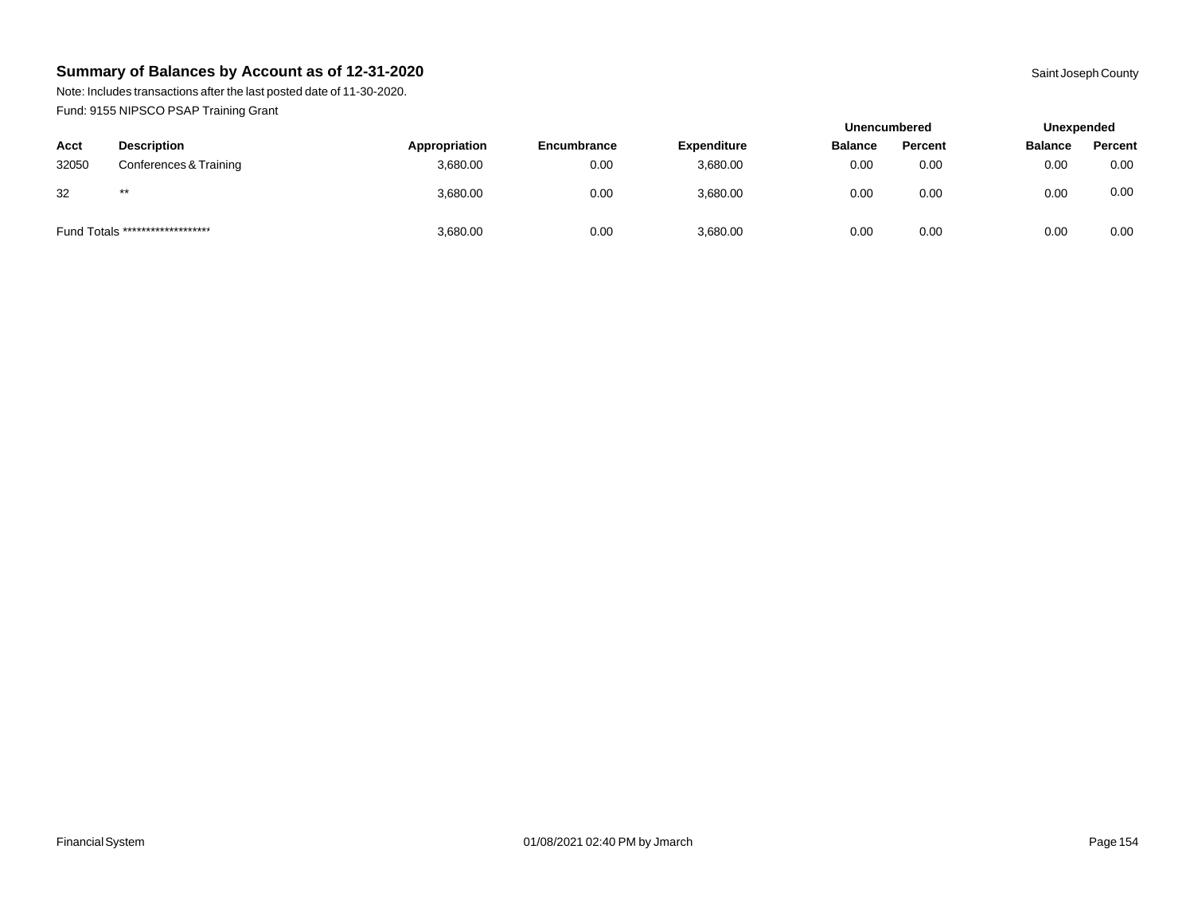Note: Includes transactions after the last posted date of 11-30-2020. Fund: 9155 NIPSCO PSAP Training Grant

|       |                                  |               |                    |                    | <b>Unencumbered</b> |         | Unexpended     |         |
|-------|----------------------------------|---------------|--------------------|--------------------|---------------------|---------|----------------|---------|
| Acct  | <b>Description</b>               | Appropriation | <b>Encumbrance</b> | <b>Expenditure</b> | <b>Balance</b>      | Percent | <b>Balance</b> | Percent |
| 32050 | Conferences & Training           | 3,680.00      | 0.00               | 3,680.00           | 0.00                | 0.00    | 0.00           | 0.00    |
| 32    | $***$                            | 3,680.00      | 0.00               | 3,680.00           | 0.00                | 0.00    | 0.00           | 0.00    |
|       | Fund Totals ******************** | 3,680.00      | 0.00               | 3,680.00           | 0.00                | 0.00    | 0.00           | 0.00    |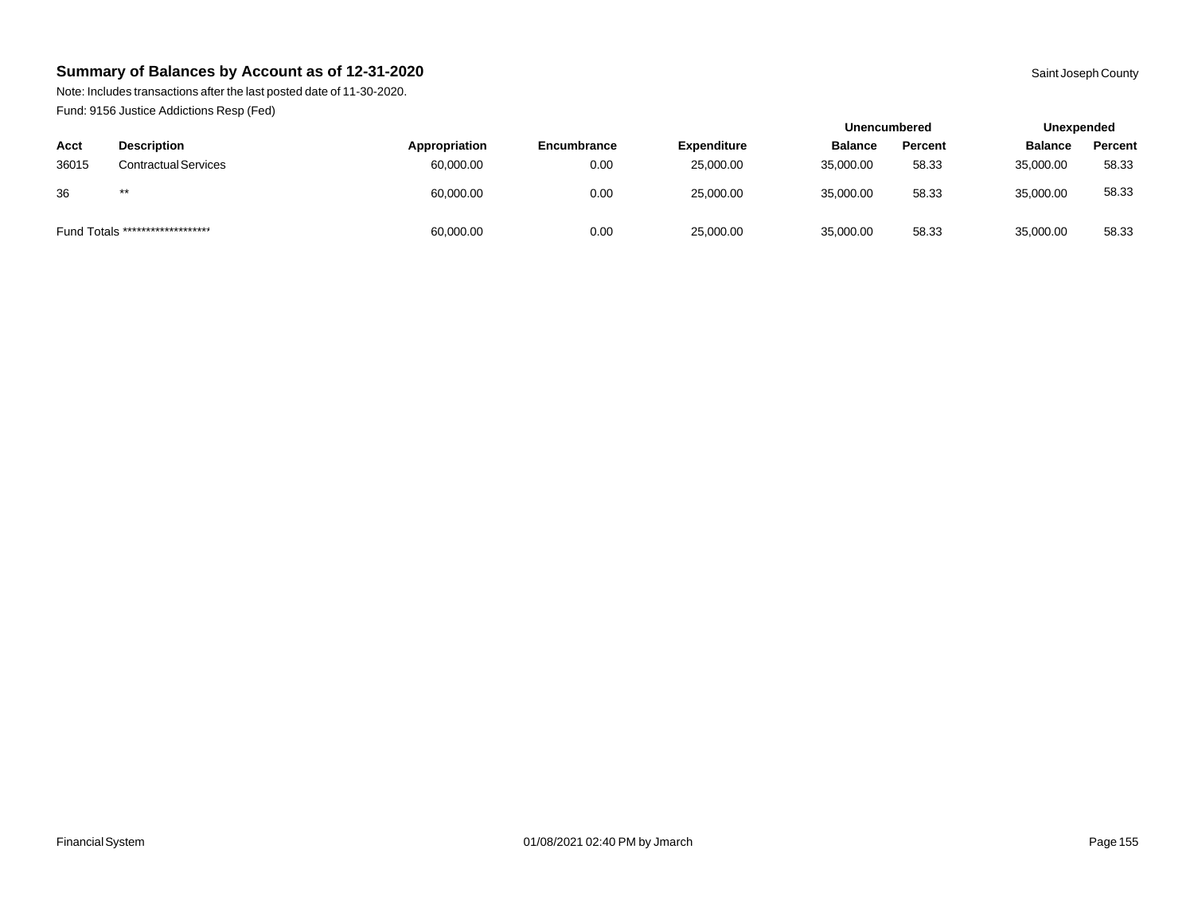Note: Includes transactions after the last posted date of 11-30-2020. Fund: 9156 Justice Addictions Resp (Fed)

|       |                                  |               |             | <b>Unencumbered</b> |                | Unexpended |                |         |
|-------|----------------------------------|---------------|-------------|---------------------|----------------|------------|----------------|---------|
| Acct  | <b>Description</b>               | Appropriation | Encumbrance | <b>Expenditure</b>  | <b>Balance</b> | Percent    | <b>Balance</b> | Percent |
| 36015 | <b>Contractual Services</b>      | 60,000.00     | 0.00        | 25,000.00           | 35,000.00      | 58.33      | 35,000.00      | 58.33   |
| 36    | $***$                            | 60,000.00     | 0.00        | 25,000.00           | 35,000.00      | 58.33      | 35,000.00      | 58.33   |
|       | Fund Totals ******************** | 60,000.00     | 0.00        | 25,000.00           | 35,000.00      | 58.33      | 35,000.00      | 58.33   |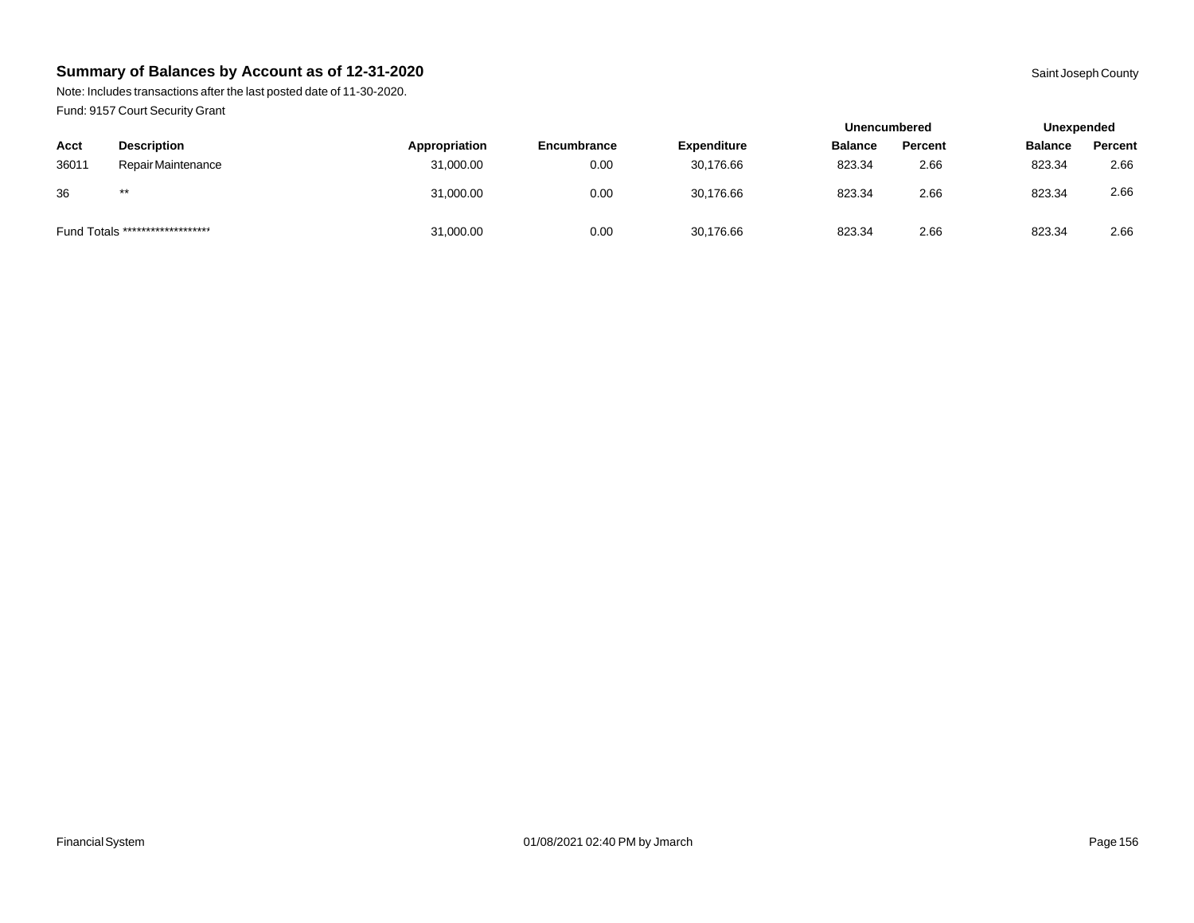Note: Includes transactions after the last posted date of 11-30-2020. Fund: 9157 Court Security Grant

|       |                                  |               |             |                    | <b>Unencumbered</b> |         | Unexpended     |         |
|-------|----------------------------------|---------------|-------------|--------------------|---------------------|---------|----------------|---------|
| Acct  | <b>Description</b>               | Appropriation | Encumbrance | <b>Expenditure</b> | <b>Balance</b>      | Percent | <b>Balance</b> | Percent |
| 36011 | Repair Maintenance               | 31,000.00     | 0.00        | 30,176.66          | 823.34              | 2.66    | 823.34         | 2.66    |
| 36    | $***$                            | 31,000.00     | 0.00        | 30.176.66          | 823.34              | 2.66    | 823.34         | 2.66    |
|       | Fund Totals ******************** | 31,000.00     | 0.00        | 30,176.66          | 823.34              | 2.66    | 823.34         | 2.66    |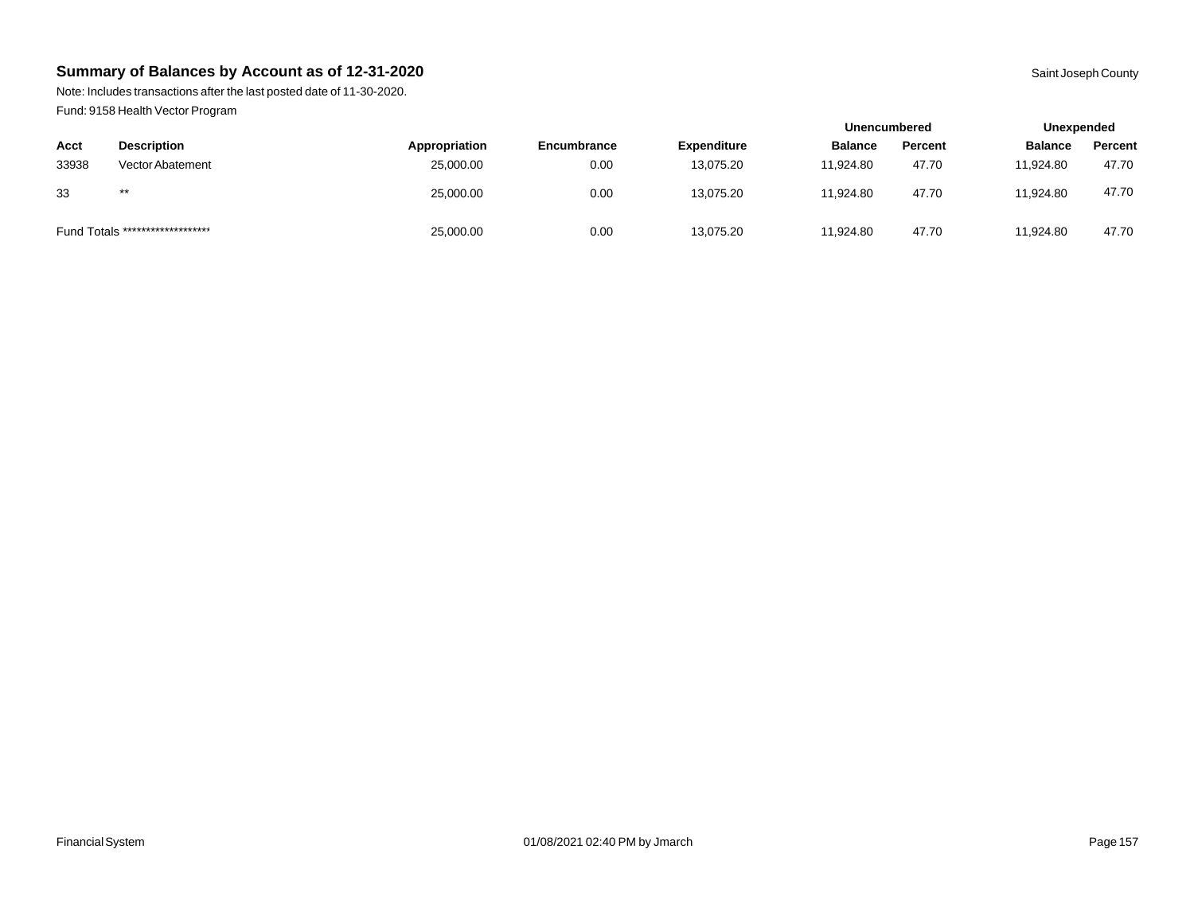Note: Includes transactions after the last posted date of 11-30-2020. Fund: 9158 Health Vector Program

|                                  |                         |               |             |                    | <b>Unencumbered</b> |         | Unexpended     |         |
|----------------------------------|-------------------------|---------------|-------------|--------------------|---------------------|---------|----------------|---------|
| Acct                             | <b>Description</b>      | Appropriation | Encumbrance | <b>Expenditure</b> | <b>Balance</b>      | Percent | <b>Balance</b> | Percent |
| 33938                            | <b>Vector Abatement</b> | 25,000.00     | 0.00        | 13.075.20          | 11.924.80           | 47.70   | 11.924.80      | 47.70   |
| 33                               | $***$                   | 25,000.00     | 0.00        | 13,075.20          | 11.924.80           | 47.70   | 11.924.80      | 47.70   |
| Fund Totals ******************** |                         | 25,000.00     | 0.00        | 13,075.20          | 11,924.80           | 47.70   | 11.924.80      | 47.70   |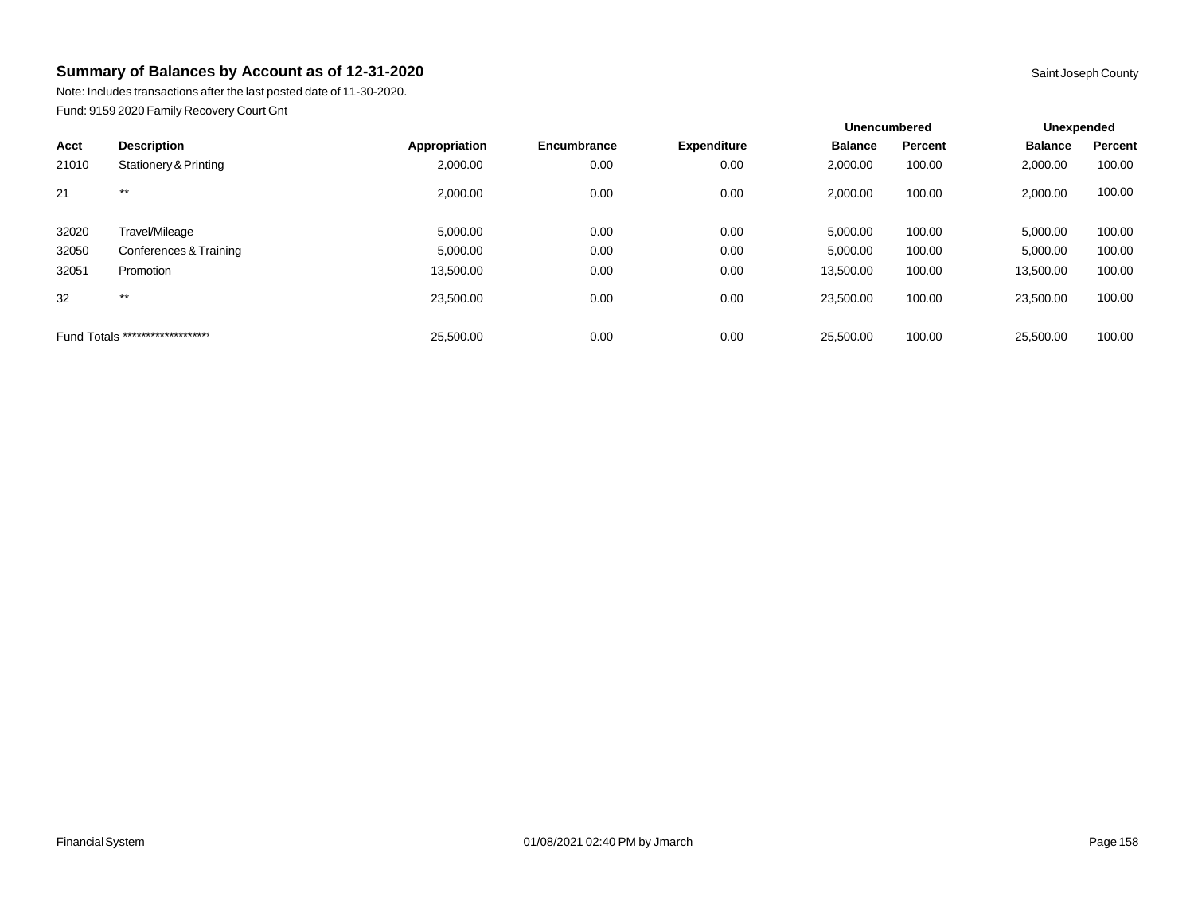Note: Includes transactions after the last posted date of 11-30-2020. Fund: 9159 2020 Family Recovery Court Gnt

|                                  |                        |               |             |                    | <b>Unencumbered</b> |         | Unexpended     |         |
|----------------------------------|------------------------|---------------|-------------|--------------------|---------------------|---------|----------------|---------|
| Acct                             | <b>Description</b>     | Appropriation | Encumbrance | <b>Expenditure</b> | <b>Balance</b>      | Percent | <b>Balance</b> | Percent |
| 21010                            | Stationery & Printing  | 2,000.00      | 0.00        | 0.00               | 2,000.00            | 100.00  | 2,000.00       | 100.00  |
| 21                               | $***$                  | 2,000.00      | 0.00        | 0.00               | 2,000.00            | 100.00  | 2,000.00       | 100.00  |
| 32020                            | Travel/Mileage         | 5,000.00      | 0.00        | 0.00               | 5,000.00            | 100.00  | 5,000.00       | 100.00  |
| 32050                            | Conferences & Training | 5,000.00      | 0.00        | 0.00               | 5,000.00            | 100.00  | 5,000.00       | 100.00  |
| 32051                            | Promotion              | 13,500.00     | 0.00        | 0.00               | 13,500.00           | 100.00  | 13,500.00      | 100.00  |
| 32                               | $***$                  | 23,500.00     | 0.00        | 0.00               | 23,500.00           | 100.00  | 23,500.00      | 100.00  |
| Fund Totals ******************** |                        | 25.500.00     | 0.00        | 0.00               | 25,500.00           | 100.00  | 25,500.00      | 100.00  |